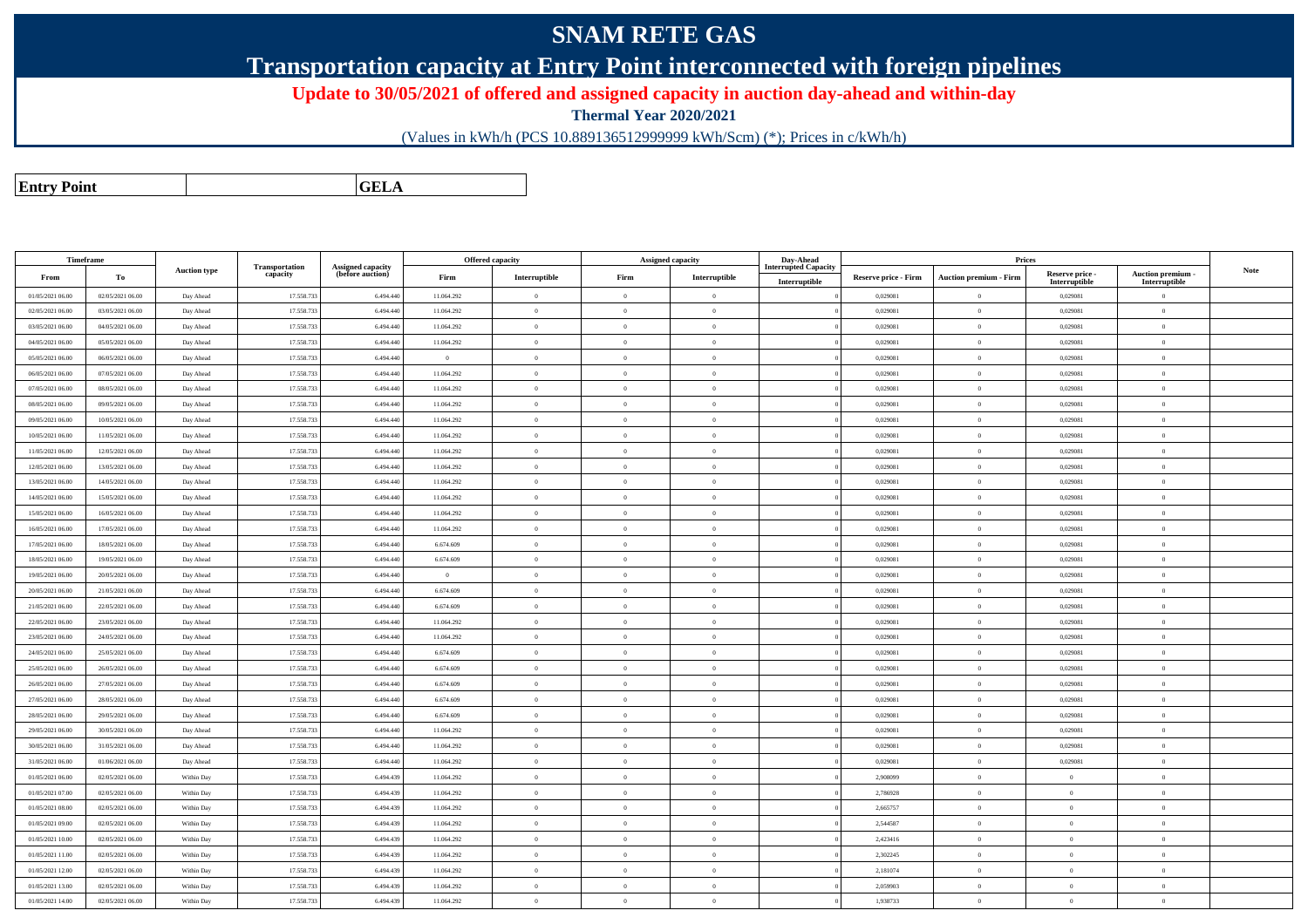## **SNAM RETE GAS**

**Transportation capacity at Entry Point interconnected with foreign pipelines**

**Update to 30/05/2021 of offered and assigned capacity in auction day-ahead and within-day**

**Thermal Year 2020/2021**

(Values in kWh/h (PCS 10.889136512999999 kWh/Scm) (\*); Prices in c/kWh/h)

**Entry PointGELA**

| Timeframe        |                  |                     |                                   |                                       |                | <b>Offered capacity</b> |                | Assigned capacity | Day-Ahead                                    |                      | Prices                        |                                  |                                         |             |
|------------------|------------------|---------------------|-----------------------------------|---------------------------------------|----------------|-------------------------|----------------|-------------------|----------------------------------------------|----------------------|-------------------------------|----------------------------------|-----------------------------------------|-------------|
| From             | To               | <b>Auction type</b> | <b>Transportation</b><br>capacity | Assigned capacity<br>(before auction) | Firm           | Interruptible           | Firm           | Interruptible     | <b>Interrupted Capacity</b><br>Interruptible | Reserve price - Firm | <b>Auction premium - Firm</b> | Reserve price -<br>Interruptible | <b>Auction premium</b><br>Interruptible | <b>Note</b> |
| 01/05/2021 06:00 | 02/05/2021 06:00 | Day Ahead           | 17.558.733                        | 6.494.440                             | 11.064.292     | $\,$ 0                  | $\overline{0}$ | $\overline{0}$    |                                              | 0,029081             | $\theta$                      | 0,029081                         | $\overline{0}$                          |             |
| 02/05/2021 06:00 | 03/05/2021 06:00 | Day Ahead           | 17.558.733                        | 6.494.440                             | 11.064.292     | $\overline{0}$          | $\overline{0}$ | $\overline{0}$    |                                              | 0,029081             | $\overline{0}$                | 0,029081                         | $\overline{0}$                          |             |
| 03/05/2021 06:00 | 04/05/2021 06:00 | Day Ahead           | 17.558.733                        | 6.494.440                             | 11.064.292     | $\bf{0}$                | $\overline{0}$ | $\overline{0}$    |                                              | 0,029081             | $\theta$                      | 0,029081                         | $\overline{0}$                          |             |
| 04/05/2021 06:00 | 05/05/2021 06:00 | Day Ahead           | 17.558.733                        | 6.494.440                             | 11.064.292     | $\overline{0}$          | $\overline{0}$ | $\overline{0}$    |                                              | 0,029081             | $\theta$                      | 0,029081                         | $\overline{0}$                          |             |
| 05/05/2021 06:00 | 06/05/2021 06:00 | Day Ahead           | 17.558.733                        | 6.494.440                             | $\overline{0}$ | $\overline{0}$          | $\overline{0}$ | $\overline{0}$    |                                              | 0,029081             | $\overline{0}$                | 0,029081                         | $\overline{0}$                          |             |
| 06/05/2021 06:00 | 07/05/2021 06:00 | Day Ahead           | 17.558.733                        | 6.494.440                             | 11.064.292     | $\bf{0}$                | $\overline{0}$ | $\overline{0}$    |                                              | 0,029081             | $\bf{0}$                      | 0,029081                         | $\overline{0}$                          |             |
| 07/05/2021 06:00 | 08/05/2021 06:00 | Day Ahead           | 17.558.733                        | 6.494.440                             | 11.064.292     | $\bf{0}$                | $\overline{0}$ | $\overline{0}$    |                                              | 0,029081             | $\theta$                      | 0,029081                         | $\overline{0}$                          |             |
| 08/05/2021 06:00 | 09/05/2021 06:00 | Day Ahead           | 17.558.733                        | 6.494.440                             | 11.064.292     | $\bf{0}$                | $\overline{0}$ | $\overline{0}$    |                                              | 0,029081             | $\overline{0}$                | 0,029081                         | $\overline{0}$                          |             |
| 09/05/2021 06:00 | 10/05/2021 06:00 | Day Ahead           | 17.558.733                        | 6.494.440                             | 11.064.292     | $\overline{0}$          | $\overline{0}$ | $\theta$          |                                              | 0,029081             | $\theta$                      | 0,029081                         | $\overline{0}$                          |             |
| 10/05/2021 06:00 | 11/05/2021 06:00 | Day Ahead           | 17.558.733                        | 6.494.440                             | 11.064.292     | $\,$ 0 $\,$             | $\overline{0}$ | $\overline{0}$    |                                              | 0,029081             | $\overline{0}$                | 0,029081                         | $\overline{0}$                          |             |
| 11/05/2021 06:00 | 12/05/2021 06:00 | Day Ahead           | 17.558.733                        | 6.494.440                             | 11.064.292     | $\bf{0}$                | $\overline{0}$ | $\overline{0}$    |                                              | 0,029081             | $\overline{0}$                | 0,029081                         | $\overline{0}$                          |             |
| 12/05/2021 06:00 | 13/05/2021 06:00 | Day Ahead           | 17.558.733                        | 6.494.440                             | 11.064.292     | $\bf{0}$                | $\overline{0}$ | $\overline{0}$    |                                              | 0,029081             | $\theta$                      | 0,029081                         | $\overline{0}$                          |             |
| 13/05/2021 06:00 | 14/05/2021 06:00 | Day Ahead           | 17.558.733                        | 6.494.440                             | 11.064.292     | $\overline{0}$          | $\overline{0}$ | $\overline{0}$    |                                              | 0,029081             | $\overline{0}$                | 0,029081                         | $\overline{0}$                          |             |
| 14/05/2021 06:00 | 15/05/2021 06:00 | Day Ahead           | 17.558.733                        | 6.494.440                             | 11.064.292     | $\overline{0}$          | $\overline{0}$ | $\overline{0}$    |                                              | 0,029081             | $\theta$                      | 0,029081                         | $\overline{0}$                          |             |
| 15/05/2021 06:00 | 16/05/2021 06:00 | Day Ahead           | 17.558.733                        | 6.494.440                             | 11.064.292     | $\bf{0}$                | $\overline{0}$ | $\overline{0}$    |                                              | 0,029081             | $\theta$                      | 0,029081                         | $\overline{0}$                          |             |
| 16/05/2021 06:00 | 17/05/2021 06:00 | Day Ahead           | 17.558.733                        | 6.494.440                             | 11.064.292     | $\bf{0}$                | $\overline{0}$ | $\overline{0}$    |                                              | 0,029081             | $\overline{0}$                | 0,029081                         | $\overline{0}$                          |             |
| 17/05/2021 06:00 | 18/05/2021 06:00 | Day Ahead           | 17.558.733                        | 6.494.440                             | 6.674.609      | $\theta$                | $\Omega$       | $\theta$          |                                              | 0,029081             | $\theta$                      | 0,029081                         | $\theta$                                |             |
| 18/05/2021 06:00 | 19/05/2021 06:00 | Day Ahead           | 17.558.733                        | 6.494.440                             | 6.674.609      | $\bf{0}$                | $\overline{0}$ | $\overline{0}$    |                                              | 0,029081             | $\overline{0}$                | 0,029081                         | $\overline{0}$                          |             |
| 19/05/2021 06:00 | 20/05/2021 06:00 | Day Ahead           | 17.558.733                        | 6.494.440                             | $\overline{0}$ | $\bf{0}$                | $\overline{0}$ | $\overline{0}$    |                                              | 0,029081             | $\theta$                      | 0,029081                         | $\overline{0}$                          |             |
| 20/05/2021 06:00 | 21/05/2021 06:00 | Day Ahead           | 17.558.733                        | 6.494.440                             | 6.674.609      | $\bf{0}$                | $\overline{0}$ | $\overline{0}$    |                                              | 0,029081             | $\theta$                      | 0,029081                         | $\theta$                                |             |
| 21/05/2021 06:00 | 22/05/2021 06:00 | Day Ahead           | 17.558.733                        | 6,494,440                             | 6.674.609      | $\theta$                | $\Omega$       | $\overline{0}$    |                                              | 0.029081             | $\theta$                      | 0.029081                         | $\Omega$                                |             |
| 22/05/2021 06:00 | 23/05/2021 06:00 | Day Ahead           | 17.558.733                        | 6.494.440                             | 11.064.292     | $\bf{0}$                | $\overline{0}$ | $\overline{0}$    |                                              | 0,029081             | $\theta$                      | 0,029081                         | $\overline{0}$                          |             |
| 23/05/2021 06:00 | 24/05/2021 06:00 | Day Ahead           | 17.558.733                        | 6.494.440                             | 11.064.292     | $\overline{0}$          | $\overline{0}$ | $\overline{0}$    |                                              | 0,029081             | $\overline{0}$                | 0,029081                         | $\overline{0}$                          |             |
| 24/05/2021 06:00 | 25/05/2021 06:00 | Day Ahead           | 17,558,733                        | 6,494,440                             | 6.674.609      | $\theta$                | $\Omega$       | $\overline{0}$    |                                              | 0.029081             | $\theta$                      | 0.029081                         | $\Omega$                                |             |
| 25/05/2021 06:00 | 26/05/2021 06:00 | Day Ahead           | 17.558.733                        | 6.494.440                             | 6.674.609      | $\theta$                | $\overline{0}$ | $\Omega$          |                                              | 0,029081             | $\theta$                      | 0,029081                         | $\overline{0}$                          |             |
| 26/05/2021 06:00 | 27/05/2021 06:00 | Day Ahead           | 17,558,733                        | 6,494,440                             | 6.674.609      | $\theta$                | $\Omega$       | $\overline{0}$    |                                              | 0.029081             | $\overline{0}$                | 0.029081                         | $\overline{0}$                          |             |
| 27/05/2021 06:00 | 28/05/2021 06:00 | Day Ahead           | 17.558.733                        | 6,494,440                             | 6.674.609      | $\overline{0}$          | $\overline{0}$ | $\overline{0}$    |                                              | 0,029081             | $\theta$                      | 0.029081                         | $\overline{0}$                          |             |
| 28/05/2021 06:00 | 29/05/2021 06:00 | Day Ahead           | 17.558.733                        | 6.494.440                             | 6.674.609      | $\theta$                | $\overline{0}$ | $\overline{0}$    |                                              | 0,029081             | $\overline{0}$                | 0,029081                         | $\overline{0}$                          |             |
| 29/05/2021 06:00 | 30/05/2021 06:00 | Day Ahead           | 17,558,733                        | 6,494,440                             | 11.064.292     | $\theta$                | $\Omega$       | $\overline{0}$    |                                              | 0.029081             | $\theta$                      | 0.029081                         | $\overline{0}$                          |             |
| 30/05/2021 06:00 | 31/05/2021 06:00 | Day Ahead           | 17.558.733                        | 6.494.440                             | 11.064.292     | $\mathbf{0}$            | $\overline{0}$ | $\overline{0}$    |                                              | 0,029081             | $\overline{0}$                | 0,029081                         | $\overline{0}$                          |             |
| 31/05/2021 06:00 | 01/06/2021 06:00 | Day Ahead           | 17,558,733                        | 6,494,440                             | 11.064.292     | $\theta$                | $\Omega$       | $\overline{0}$    |                                              | 0.029081             | $\overline{0}$                | 0.029081                         | $\overline{0}$                          |             |
| 01/05/2021 06:00 | 02/05/2021 06:00 | Within Day          | 17.558.733                        | 6.494.439                             | 11.064.292     | $\theta$                | $\Omega$       | $\overline{0}$    |                                              | 2.908099             | $\overline{0}$                | $\theta$                         | $\overline{0}$                          |             |
| 01/05/2021 07:00 | 02/05/2021 06:00 | Within Day          | 17.558.733                        | 6.494.439                             | 11.064.292     | $\mathbf{0}$            | $\overline{0}$ | $\overline{0}$    |                                              | 2,786928             | $\theta$                      | $\theta$                         | $\theta$                                |             |
| 01/05/2021 08:00 | 02/05/2021 06:00 | Within Day          | 17.558.733                        | 6,494,439                             | 11.064.292     | $\theta$                | $\Omega$       | $\overline{0}$    |                                              | 2.665757             | $\overline{0}$                | $\theta$                         | $\overline{0}$                          |             |
| 01/05/2021 09:00 | 02/05/2021 06:00 | Within Day          | 17.558.733                        | 6.494.439                             | 11.064.292     | $\overline{0}$          | $\overline{0}$ | $\overline{0}$    |                                              | 2,544587             | $\bf{0}$                      | $\overline{0}$                   | $\overline{0}$                          |             |
| 01/05/2021 10:00 | 02/05/2021 06:00 | Within Day          | 17.558.733                        | 6.494.439                             | 11.064.292     | $\theta$                | $\overline{0}$ | $\overline{0}$    |                                              | 2,423416             | $\theta$                      | $\theta$                         | $\overline{0}$                          |             |
| 01/05/2021 11:00 | 02/05/2021 06:00 | Within Day          | 17.558.733                        | 6,494,439                             | 11.064.292     | $\theta$                | $\Omega$       | $\overline{0}$    |                                              | 2,302245             | $\theta$                      | $\theta$                         | $\theta$                                |             |
| 01/05/2021 12:00 | 02/05/2021 06:00 | Within Day          | 17.558.733                        | 6.494.439                             | 11.064.292     | $\mathbf{0}$            | $\overline{0}$ | $\overline{0}$    |                                              | 2,181074             | $\theta$                      | $\theta$                         | $\overline{0}$                          |             |
| 01/05/2021 13:00 | 02/05/2021 06:00 | Within Day          | 17.558.733                        | 6.494.439                             | 11.064.292     | $\bf{0}$                | $\overline{0}$ | $\overline{0}$    |                                              | 2.059903             | $\theta$                      | $\overline{0}$                   | $\overline{0}$                          |             |
| 01/05/2021 14:00 | 02/05/2021 06:00 | Within Day          | 17.558.733                        | 6.494.439                             | 11.064.292     | $\theta$                | $\Omega$       | $\Omega$          |                                              | 1,938733             | $\theta$                      | $\theta$                         | $\overline{0}$                          |             |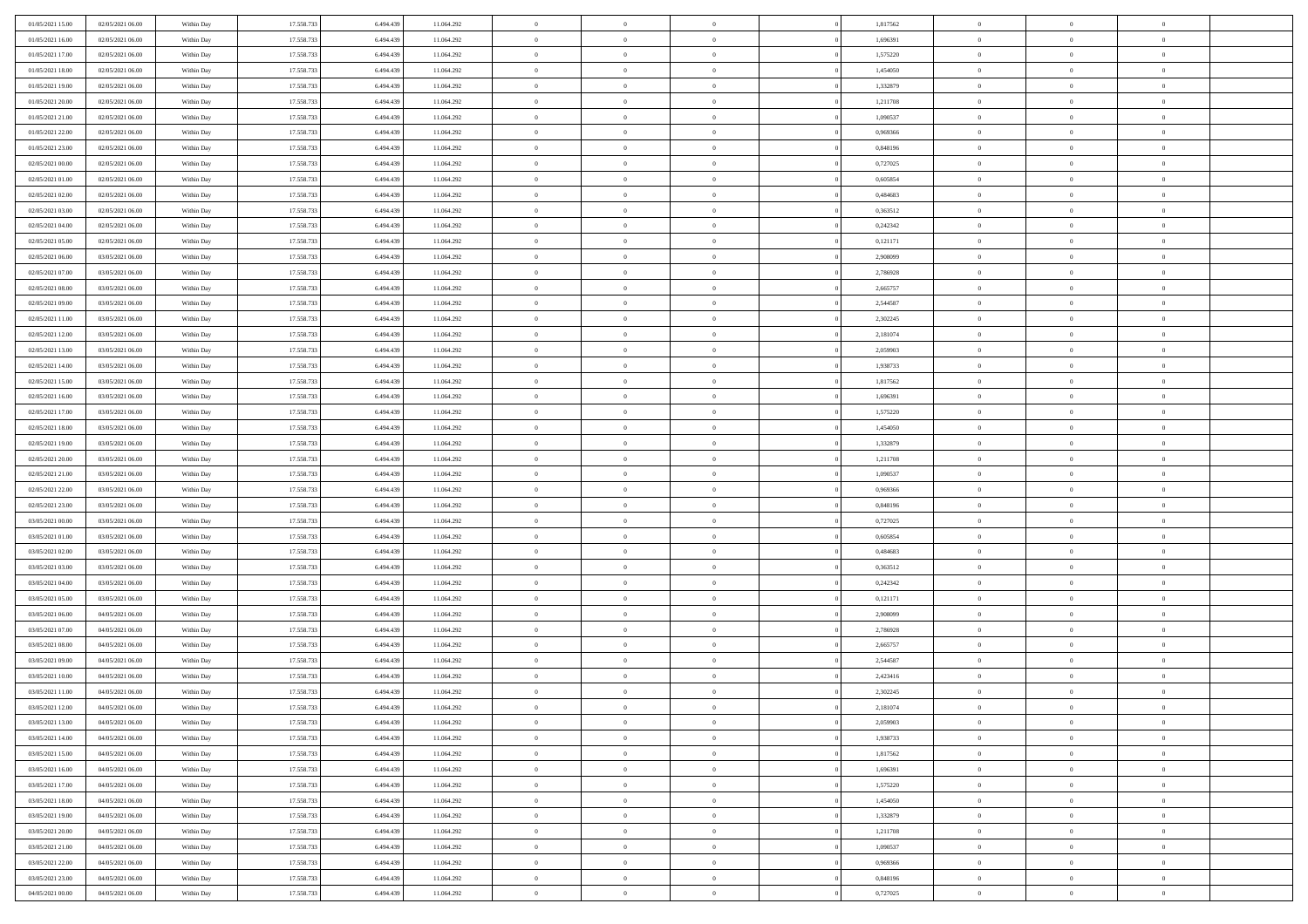| 01/05/2021 15:00                     | 02/05/2021 06:00                     | Within Day               | 17.558.733               | 6.494.439              | 11.064.292               | $\,$ 0                   | $\bf{0}$                         | $\theta$                         |          | 1,817562             | $\bf{0}$                 | $\overline{0}$                   | $\,0\,$                    |  |
|--------------------------------------|--------------------------------------|--------------------------|--------------------------|------------------------|--------------------------|--------------------------|----------------------------------|----------------------------------|----------|----------------------|--------------------------|----------------------------------|----------------------------|--|
| 01/05/2021 16:00                     | 02/05/2021 06:00                     | Within Day               | 17.558.733               | 6,494,439              | 11.064.292               | $\overline{0}$           | $\overline{0}$                   | $\overline{0}$                   |          | 1,696391             | $\overline{0}$           | $\overline{0}$                   | $\theta$                   |  |
| 01/05/2021 17:00                     | 02/05/2021 06:00                     | Within Dav               | 17.558.733               | 6.494.439              | 11.064.292               | $\mathbf{0}$             | $\overline{0}$                   | $\overline{0}$                   |          | 1,575220             | $\mathbf{0}$             | $\overline{0}$                   | $\overline{0}$             |  |
| 01/05/2021 18:00                     | 02/05/2021 06:00                     | Within Day               | 17.558.733               | 6.494.439              | 11.064.292               | $\bf{0}$                 | $\overline{0}$                   | $\bf{0}$                         |          | 1,454050             | $\bf{0}$                 | $\overline{0}$                   | $\bf{0}$                   |  |
| 01/05/2021 19:00                     | 02/05/2021 06:00                     | Within Day               | 17.558.733               | 6,494,439              | 11.064.292               | $\bf{0}$                 | $\bf{0}$                         | $\overline{0}$                   |          | 1,332879             | $\bf{0}$                 | $\bf{0}$                         | $\,0\,$                    |  |
| 01/05/2021 20:00                     | 02/05/2021 06:00                     | Within Dav               | 17.558.733               | 6.494.439              | 11.064.292               | $\mathbf{0}$             | $\overline{0}$                   | $\overline{0}$                   |          | 1,211708             | $\mathbf{0}$             | $\overline{0}$                   | $\overline{0}$             |  |
| 01/05/2021 21:00                     | 02/05/2021 06:00                     | Within Day               | 17.558.733               | 6.494.439              | 11.064.292               | $\bf{0}$                 | $\bf{0}$                         | $\overline{0}$                   |          | 1,090537             | $\bf{0}$                 | $\overline{0}$                   | $\,0\,$                    |  |
| 01/05/2021 22:00                     | 02/05/2021 06:00                     | Within Day               | 17.558.733               | 6,494,439              | 11.064.292               | $\overline{0}$           | $\overline{0}$                   | $\overline{0}$                   |          | 0,969366             | $\,$ 0 $\,$              | $\overline{0}$                   | $\overline{0}$             |  |
| 01/05/2021 23:00                     | 02/05/2021 06:00                     | Within Day               | 17.558.733               | 6.494.439              | 11.064.292               | $\mathbf{0}$             | $\overline{0}$                   | $\overline{0}$                   |          | 0,848196             | $\mathbf{0}$             | $\overline{0}$                   | $\overline{0}$             |  |
| 02/05/2021 00:00                     | 02/05/2021 06:00                     | Within Day               | 17.558.733               | 6.494.439              | 11.064.292               | $\bf{0}$                 | $\bf{0}$                         | $\overline{0}$                   |          | 0,727025             | $\bf{0}$                 | $\overline{0}$                   | $\,0\,$                    |  |
| 02/05/2021 01:00                     | 02/05/2021 06:00                     | Within Day               | 17.558.733               | 6,494,439              | 11.064.292               | $\overline{0}$           | $\overline{0}$                   | $\overline{0}$                   |          | 0.605854             | $\bf{0}$                 | $\overline{0}$                   | $\theta$                   |  |
| 02/05/2021 02:00                     | 02/05/2021 06:00                     | Within Dav               | 17.558.733               | 6.494.439              | 11.064.292               | $\mathbf{0}$             | $\overline{0}$                   | $\overline{0}$                   |          | 0,484683             | $\mathbf{0}$             | $\overline{0}$                   | $\overline{0}$             |  |
| 02/05/2021 03:00                     | 02/05/2021 06:00                     | Within Day               | 17.558.733               | 6.494.439              | 11.064.292               | $\bf{0}$                 | $\overline{0}$                   | $\bf{0}$                         |          | 0,363512             | $\bf{0}$                 | $\overline{0}$                   | $\bf{0}$                   |  |
| 02/05/2021 04:00                     | 02/05/2021 06:00                     | Within Day               | 17.558.733               | 6,494,439              | 11.064.292               | $\bf{0}$                 | $\overline{0}$                   | $\overline{0}$                   |          | 0,242342             | $\bf{0}$                 | $\mathbf{0}$                     | $\,0\,$                    |  |
| 02/05/2021 05:00                     | 02/05/2021 06:00                     | Within Dav               | 17.558.733               | 6.494.439              | 11.064.292               | $\overline{0}$           | $\overline{0}$                   | $\overline{0}$                   |          | 0,121171             | $\mathbf{0}$             | $\overline{0}$                   | $\overline{0}$             |  |
| 02/05/2021 06:00                     | 03/05/2021 06:00                     | Within Day               | 17.558.733               | 6.494.439              | 11.064.292               | $\bf{0}$                 | $\bf{0}$                         | $\overline{0}$                   |          | 2,908099             | $\bf{0}$                 | $\overline{0}$                   | $\bf{0}$                   |  |
| 02/05/2021 07:00                     | 03/05/2021 06:00                     | Within Day               | 17.558.733               | 6,494,439              | 11.064.292               | $\overline{0}$           | $\overline{0}$                   | $\overline{0}$                   |          | 2,786928             | $\bf{0}$                 | $\overline{0}$                   | $\theta$                   |  |
| 02/05/2021 08:00                     | 03/05/2021 06:00                     | Within Day               | 17.558.733               | 6.494.439              | 11.064.292               | $\mathbf{0}$             | $\overline{0}$                   | $\overline{0}$                   |          | 2,665757             | $\mathbf{0}$             | $\overline{0}$                   | $\overline{0}$             |  |
| 02/05/2021 09:00                     | 03/05/2021 06:00                     | Within Day               | 17.558.733               | 6.494.439              | 11.064.292               | $\bf{0}$                 | $\bf{0}$                         | $\overline{0}$                   |          | 2,544587             | $\bf{0}$                 | $\overline{0}$                   | $\,0\,$                    |  |
| 02/05/2021 11:00                     | 03/05/2021 06:00                     | Within Day               | 17.558.733               | 6,494,439              | 11.064.292               | $\overline{0}$           | $\overline{0}$                   | $\overline{0}$                   |          | 2,302245             | $\bf{0}$                 | $\overline{0}$                   | $\overline{0}$             |  |
| 02/05/2021 12:00                     | 03/05/2021 06:00                     | Within Dav               | 17.558.733               | 6.494.439              | 11.064.292               | $\mathbf{0}$             | $\overline{0}$                   | $\overline{0}$                   |          | 2,181074             | $\mathbf{0}$             | $\overline{0}$                   | $\overline{0}$             |  |
| 02/05/2021 13:00                     | 03/05/2021 06:00                     | Within Day               | 17.558.733               | 6.494.439              | 11.064.292               | $\bf{0}$                 | $\overline{0}$                   | $\bf{0}$                         |          | 2,059903             | $\bf{0}$                 | $\overline{0}$                   | $\bf{0}$                   |  |
| 02/05/2021 14:00                     | 03/05/2021 06:00                     |                          | 17.558.733               | 6,494,439              | 11.064.292               | $\bf{0}$                 | $\bf{0}$                         | $\overline{0}$                   |          | 1,938733             | $\bf{0}$                 | $\overline{0}$                   | $\,0\,$                    |  |
| 02/05/2021 15:00                     | 03/05/2021 06:00                     | Within Day<br>Within Dav | 17.558.733               | 6.494.439              | 11.064.292               | $\mathbf{0}$             | $\overline{0}$                   | $\overline{0}$                   |          | 1,817562             | $\mathbf{0}$             | $\overline{0}$                   | $\overline{0}$             |  |
| 02/05/2021 16:00                     | 03/05/2021 06:00                     | Within Day               | 17.558.733               | 6.494.439              | 11.064.292               | $\bf{0}$                 | $\bf{0}$                         | $\overline{0}$                   |          | 1,696391             | $\bf{0}$                 | $\overline{0}$                   | $\,0\,$                    |  |
|                                      |                                      |                          | 17.558.733               | 6,494,439              |                          | $\overline{0}$           | $\overline{0}$                   | $\overline{0}$                   |          |                      | $\bf{0}$                 | $\overline{0}$                   | $\overline{0}$             |  |
| 02/05/2021 17:00<br>02/05/2021 18:00 | 03/05/2021 06:00<br>03/05/2021 06:00 | Within Day               |                          |                        | 11.064.292               | $\mathbf{0}$             |                                  |                                  |          | 1,575220             | $\mathbf{0}$             |                                  | $\overline{0}$             |  |
| 02/05/2021 19:00                     | 03/05/2021 06:00                     | Within Day               | 17.558.733               | 6.494.439              | 11.064.292               |                          | $\overline{0}$                   | $\overline{0}$<br>$\overline{0}$ |          | 1,454050             |                          | $\overline{0}$<br>$\overline{0}$ |                            |  |
|                                      |                                      | Within Day               | 17.558.733               | 6.494.439<br>6,494,439 | 11.064.292               | $\bf{0}$                 | $\bf{0}$                         |                                  |          | 1,332879             | $\bf{0}$                 |                                  | $\,0\,$                    |  |
| 02/05/2021 20:00                     | 03/05/2021 06:00                     | Within Day               | 17.558.733               |                        | 11.064.292               | $\bf{0}$<br>$\mathbf{0}$ | $\bf{0}$                         | $\overline{0}$                   |          | 1,211708             | $\bf{0}$<br>$\mathbf{0}$ | $\overline{0}$                   | $\bf{0}$<br>$\overline{0}$ |  |
| 02/05/2021 21:00                     | 03/05/2021 06:00                     | Within Dav               | 17.558.733               | 6.494.439              | 11.064.292               |                          | $\overline{0}$                   | $\overline{0}$                   |          | 1,090537             |                          | $\overline{0}$<br>$\overline{0}$ | $\theta$                   |  |
| 02/05/2021 22:00                     | 03/05/2021 06:00                     | Within Day               | 17.558.733<br>17.558.733 | 6.494.439<br>6,494,439 | 11.064.292               | $\bf{0}$<br>$\bf{0}$     | $\overline{0}$                   | $\theta$                         |          | 0,969366             | $\,$ 0<br>$\bf{0}$       | $\overline{0}$                   |                            |  |
| 02/05/2021 23:00<br>03/05/2021 00:00 | 03/05/2021 06:00<br>03/05/2021 06:00 | Within Day<br>Within Dav | 17.558.733               | 6.494.439              | 11.064.292<br>11.064.292 | $\mathbf{0}$             | $\bf{0}$<br>$\overline{0}$       | $\overline{0}$<br>$\overline{0}$ |          | 0,848196<br>0,727025 | $\mathbf{0}$             | $\overline{0}$                   | $\bf{0}$<br>$\overline{0}$ |  |
|                                      |                                      |                          |                          |                        |                          | $\bf{0}$                 | $\overline{0}$                   | $\theta$                         |          |                      | $\,$ 0                   | $\overline{0}$                   | $\theta$                   |  |
| 03/05/2021 01:00                     | 03/05/2021 06:00                     | Within Day               | 17.558.733<br>17.558.733 | 6.494.439<br>6,494,439 | 11.064.292               | $\overline{0}$           | $\overline{0}$                   | $\overline{0}$                   |          | 0,605854<br>0.484683 |                          | $\overline{0}$                   | $\overline{0}$             |  |
| 03/05/2021 02:00<br>03/05/2021 03:00 | 03/05/2021 06:00<br>03/05/2021 06:00 | Within Day<br>Within Day | 17.558.733               | 6.494.439              | 11.064.292<br>11.064.292 | $\mathbf{0}$             | $\overline{0}$                   |                                  |          | 0,363512             | $\bf{0}$<br>$\mathbf{0}$ | $\overline{0}$                   | $\overline{0}$             |  |
|                                      |                                      |                          |                          |                        |                          | $\bf{0}$                 |                                  | $\overline{0}$                   |          |                      |                          | $\overline{0}$                   | $\theta$                   |  |
| 03/05/2021 04:00                     | 03/05/2021 06:00                     | Within Day               | 17.558.733<br>17.558.733 | 6.494.439<br>6,494,439 | 11.064.292               | $\bf{0}$                 | $\overline{0}$                   | $\theta$<br>$\overline{0}$       |          | 0,242342             | $\,$ 0                   | $\overline{0}$                   |                            |  |
| 03/05/2021 05:00<br>03/05/2021 06:00 | 03/05/2021 06:00<br>04/05/2021 06:00 | Within Day<br>Within Dav | 17.558.733               | 6.494.439              | 11.064.292<br>11.064.292 | $\mathbf{0}$             | $\overline{0}$<br>$\overline{0}$ | $\overline{0}$                   |          | 0,121171<br>2,908099 | $\bf{0}$<br>$\mathbf{0}$ | $\overline{0}$                   | $\bf{0}$<br>$\overline{0}$ |  |
|                                      |                                      |                          |                          |                        |                          |                          |                                  |                                  |          |                      |                          | $\overline{0}$                   | $\theta$                   |  |
| 03/05/2021 07:00<br>03/05/2021 08:00 | 04/05/2021 06:00<br>04/05/2021 06:00 | Within Day               | 17.558.733<br>17.558.733 | 6.494.439<br>6.494.439 | 11.064.292               | $\,0\,$<br>$\bf{0}$      | $\overline{0}$<br>$\bf{0}$       | $\theta$<br>$\overline{0}$       |          | 2,786928             | $\,$ 0                   | $\overline{0}$                   | $\overline{0}$             |  |
| 03/05/2021 09:00                     | 04/05/2021 06:00                     | Within Day<br>Within Dav | 17.558.733               | 6.494.439              | 11.064.292<br>11.064.292 | $\mathbf{0}$             | $\overline{0}$                   | $\overline{0}$                   |          | 2,665757<br>2,544587 | $\bf{0}$<br>$\mathbf{0}$ | $\overline{0}$                   | $\overline{0}$             |  |
| 03/05/2021 10:00                     | 04/05/2021 06:00                     | Within Day               | 17.558.733               | 6.494.439              | 11.064.292               | $\bf{0}$                 | $\overline{0}$                   | $\theta$                         |          | 2,423416             | $\,$ 0                   | $\overline{0}$                   | $\theta$                   |  |
| 03/05/2021 11:00                     | 04/05/2021 06:00                     |                          | 17.558.733               | 6.494.439              | 11.064.292               | $\bf{0}$                 | $\overline{0}$                   | $\overline{0}$                   |          | 2,302245             | $\,$ 0 $\,$              | $\overline{0}$                   | $\overline{0}$             |  |
| 03/05/2021 12:00                     | 04/05/2021 06:00                     | Within Day<br>Within Day | 17.558.733               | 6.494.439              | 11.064.292               | $\bf{0}$                 | $\overline{0}$                   |                                  |          | 2,181074             | $\overline{0}$           | $\theta$                         | $\theta$                   |  |
| 03/05/2021 13:00                     | 04/05/2021 06:00                     | Within Day               | 17.558.733               | 6.494.439              | 11.064.292               | $\,0\,$                  | $\overline{0}$                   | $\theta$                         |          | 2,059903             | $\,$ 0 $\,$              | $\bf{0}$                         | $\theta$                   |  |
| 03/05/2021 14:00                     | 04/05/2021 06:00                     |                          | 17.558.733               | 6.494.439              |                          | $\overline{0}$           | $\overline{0}$                   | $\overline{0}$                   |          | 1,938733             | $\overline{0}$           | $\overline{0}$                   | $\overline{0}$             |  |
| 03/05/2021 15:00                     | 04/05/2021 06:00                     | Within Day<br>Within Day | 17.558.733               | 6.494.439              | 11.064.292<br>11.064.292 | $\bf{0}$                 | $\overline{0}$                   | $\overline{0}$                   |          | 1,817562             | $\overline{0}$           | $\bf{0}$                         | $\mathbf{0}$               |  |
| 03/05/2021 16:00                     | 04/05/2021 06:00                     | Within Day               | 17.558.733               | 6.494.439              | 11.064.292               | $\bf{0}$                 | $\overline{0}$                   | $\overline{0}$                   | $\theta$ | 1,696391             | $\,$ 0 $\,$              | $\bf{0}$                         | $\,$ 0 $\,$                |  |
|                                      | 04/05/2021 06:00                     |                          | 17.558.733               | 6,494,439              |                          | $\bf{0}$                 | $\overline{0}$                   | $\overline{0}$                   |          | 1,575220             | $\,$ 0 $\,$              | $\overline{0}$                   | $\overline{0}$             |  |
| 03/05/2021 17:00<br>03/05/2021 18:00 | 04/05/2021 06:00                     | Within Day<br>Within Day | 17.558.733               | 6.494.439              | 11.064.292<br>11.064.292 | $\bf{0}$                 | $\overline{0}$                   | $\overline{0}$                   |          | 1,454050             | $\mathbf{0}$             | $\overline{0}$                   | $\overline{0}$             |  |
|                                      |                                      |                          |                          |                        |                          |                          |                                  |                                  |          |                      |                          |                                  |                            |  |
| 03/05/2021 19:00                     | 04/05/2021 06:00                     | Within Day               | 17.558.733               | 6.494.439              | 11.064.292               | $\,0\,$                  | $\overline{0}$                   | $\overline{0}$                   | $\theta$ | 1,332879             | $\,$ 0 $\,$              | $\overline{0}$                   | $\overline{0}$             |  |
| 03/05/2021 20:00                     | 04/05/2021 06:00                     | Within Day               | 17.558.733               | 6.494.439              | 11.064.292               | $\bf{0}$                 | $\overline{0}$                   | $\overline{0}$                   |          | 1,211708             | $\overline{0}$           | $\overline{0}$                   | $\overline{0}$             |  |
| 03/05/2021 21:00                     | 04/05/2021 06:00                     | Within Day               | 17.558.733               | 6.494.439              | 11.064.292               | $\bf{0}$                 | $\overline{0}$                   | $\overline{0}$                   |          | 1,090537             | $\mathbf{0}$             | $\overline{0}$                   | $\mathbf{0}$               |  |
| 03/05/2021 22.00                     | 04/05/2021 06:00                     | Within Day               | 17.558.733               | 6.494.439              | 11.064.292               | $\,0\,$                  | $\overline{0}$                   | $\overline{0}$                   |          | 0,969366             | $\,$ 0 $\,$              | $\mathbf{0}$                     | $\overline{0}$             |  |
| 03/05/2021 23.00                     | 04/05/2021 06:00                     | Within Day               | 17.558.733               | 6,494,439              | 11.064.292               | $\bf{0}$                 | $\overline{0}$                   | $\overline{0}$                   |          | 0.848196             | $\bf{0}$                 | $\mathbf{0}$                     | $\overline{0}$             |  |
| 04/05/2021 00:00                     | 04/05/2021 06:00                     | Within Day               | 17.558.733               | 6.494.439              | 11.064.292               | $\bf{0}$                 | $\overline{0}$                   | $\overline{0}$                   |          | 0,727025             | $\mathbf{0}$             | $\overline{0}$                   | $\overline{0}$             |  |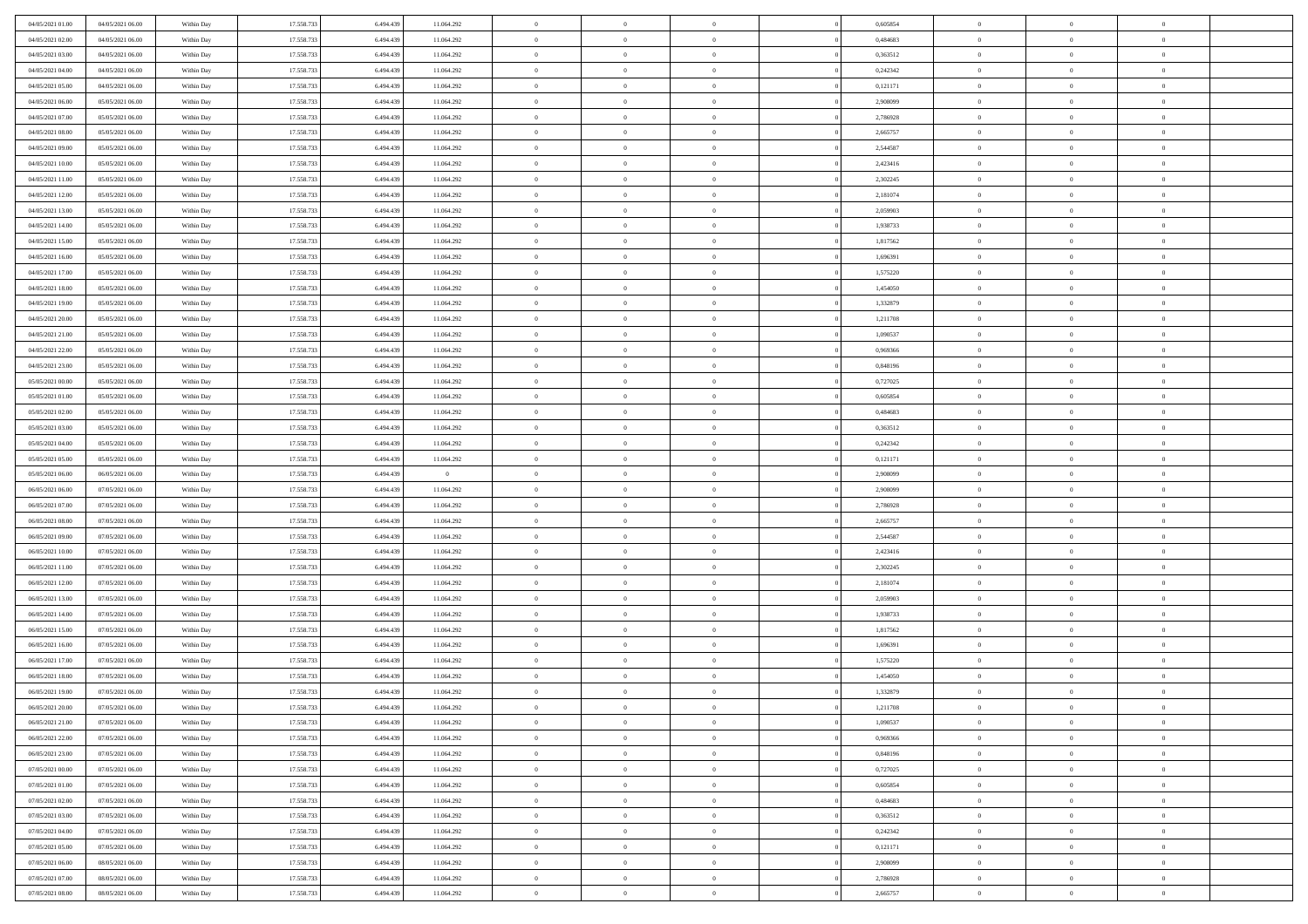| 04/05/2021 01:00 | 04/05/2021 06:00 | Within Day | 17.558.733 | 6.494.439 | 11.064.292     | $\,$ 0         | $\bf{0}$       | $\theta$       |          | 0,605854 | $\bf{0}$       | $\overline{0}$ | $\,0\,$        |  |
|------------------|------------------|------------|------------|-----------|----------------|----------------|----------------|----------------|----------|----------|----------------|----------------|----------------|--|
| 04/05/2021 02:00 | 04/05/2021 06:00 | Within Day | 17.558.733 | 6,494,439 | 11.064.292     | $\overline{0}$ | $\overline{0}$ | $\overline{0}$ |          | 0.484683 | $\overline{0}$ | $\overline{0}$ | $\theta$       |  |
| 04/05/2021 03:00 | 04/05/2021 06:00 | Within Dav | 17.558.733 | 6.494.439 | 11.064.292     | $\mathbf{0}$   | $\overline{0}$ | $\overline{0}$ |          | 0,363512 | $\mathbf{0}$   | $\overline{0}$ | $\overline{0}$ |  |
| 04/05/2021 04:00 | 04/05/2021 06:00 | Within Day | 17.558.733 | 6.494.439 | 11.064.292     | $\bf{0}$       | $\overline{0}$ | $\bf{0}$       |          | 0,242342 | $\bf{0}$       | $\overline{0}$ | $\bf{0}$       |  |
| 04/05/2021 05:00 | 04/05/2021 06:00 | Within Day | 17.558.733 | 6,494,439 | 11.064.292     | $\bf{0}$       | $\bf{0}$       | $\overline{0}$ |          | 0,121171 | $\bf{0}$       | $\bf{0}$       | $\,0\,$        |  |
| 04/05/2021 06:00 | 05/05/2021 06:00 | Within Dav | 17.558.733 | 6.494.439 | 11.064.292     | $\mathbf{0}$   | $\overline{0}$ | $\overline{0}$ |          | 2,908099 | $\mathbf{0}$   | $\overline{0}$ | $\overline{0}$ |  |
| 04/05/2021 07.00 | 05/05/2021 06:00 | Within Day | 17.558.733 | 6.494.439 | 11.064.292     | $\bf{0}$       | $\bf{0}$       | $\overline{0}$ |          | 2,786928 | $\bf{0}$       | $\overline{0}$ | $\,0\,$        |  |
| 04/05/2021 08:00 | 05/05/2021 06:00 | Within Day | 17.558.733 | 6,494,439 | 11.064.292     | $\overline{0}$ | $\overline{0}$ | $\overline{0}$ |          | 2,665757 | $\,$ 0 $\,$    | $\overline{0}$ | $\theta$       |  |
| 04/05/2021 09:00 | 05/05/2021 06:00 | Within Day | 17.558.733 | 6.494.439 | 11.064.292     | $\mathbf{0}$   | $\overline{0}$ | $\overline{0}$ |          | 2,544587 | $\mathbf{0}$   | $\overline{0}$ | $\overline{0}$ |  |
| 04/05/2021 10:00 | 05/05/2021 06:00 | Within Day | 17.558.733 | 6.494.439 | 11.064.292     | $\bf{0}$       | $\bf{0}$       | $\overline{0}$ |          | 2,423416 | $\bf{0}$       | $\overline{0}$ | $\,0\,$        |  |
| 04/05/2021 11:00 | 05/05/2021 06:00 | Within Day | 17.558.733 | 6,494,439 | 11.064.292     | $\overline{0}$ | $\overline{0}$ | $\overline{0}$ |          | 2,302245 | $\bf{0}$       | $\overline{0}$ | $\theta$       |  |
| 04/05/2021 12:00 | 05/05/2021 06:00 | Within Dav | 17.558.733 | 6.494.439 | 11.064.292     | $\mathbf{0}$   | $\overline{0}$ | $\overline{0}$ |          | 2,181074 | $\mathbf{0}$   | $\overline{0}$ | $\overline{0}$ |  |
| 04/05/2021 13:00 | 05/05/2021 06:00 | Within Day | 17.558.733 | 6.494.439 | 11.064.292     | $\bf{0}$       | $\overline{0}$ | $\bf{0}$       |          | 2,059903 | $\bf{0}$       | $\overline{0}$ | $\bf{0}$       |  |
| 04/05/2021 14:00 | 05/05/2021 06:00 | Within Day | 17.558.733 | 6,494,439 | 11.064.292     | $\bf{0}$       | $\overline{0}$ | $\overline{0}$ |          | 1,938733 | $\bf{0}$       | $\theta$       | $\,0\,$        |  |
| 04/05/2021 15:00 | 05/05/2021 06:00 | Within Dav | 17.558.733 | 6.494.439 | 11.064.292     | $\overline{0}$ | $\overline{0}$ | $\overline{0}$ |          | 1,817562 | $\mathbf{0}$   | $\overline{0}$ | $\overline{0}$ |  |
| 04/05/2021 16:00 | 05/05/2021 06:00 | Within Day | 17.558.733 | 6.494.439 | 11.064.292     | $\bf{0}$       | $\bf{0}$       | $\overline{0}$ |          | 1,696391 | $\bf{0}$       | $\overline{0}$ | $\,0\,$        |  |
| 04/05/2021 17.00 | 05/05/2021 06:00 | Within Day | 17.558.733 | 6,494,439 | 11.064.292     | $\overline{0}$ | $\overline{0}$ | $\overline{0}$ |          | 1,575220 | $\,$ 0 $\,$    | $\overline{0}$ | $\theta$       |  |
| 04/05/2021 18:00 | 05/05/2021 06:00 | Within Day | 17.558.733 | 6.494.439 | 11.064.292     | $\mathbf{0}$   | $\overline{0}$ | $\overline{0}$ |          | 1,454050 | $\mathbf{0}$   | $\overline{0}$ | $\overline{0}$ |  |
| 04/05/2021 19:00 | 05/05/2021 06:00 | Within Day | 17.558.733 | 6.494.439 | 11.064.292     | $\bf{0}$       | $\bf{0}$       | $\overline{0}$ |          | 1,332879 | $\bf{0}$       | $\overline{0}$ | $\,0\,$        |  |
| 04/05/2021 20:00 | 05/05/2021 06:00 | Within Day | 17.558.733 | 6,494,439 | 11.064.292     | $\overline{0}$ | $\overline{0}$ | $\overline{0}$ |          | 1,211708 | $\bf{0}$       | $\overline{0}$ | $\overline{0}$ |  |
| 04/05/2021 21:00 | 05/05/2021 06:00 | Within Dav | 17.558.733 | 6.494.439 | 11.064.292     | $\mathbf{0}$   | $\overline{0}$ | $\overline{0}$ |          | 1,090537 | $\mathbf{0}$   | $\overline{0}$ | $\overline{0}$ |  |
| 04/05/2021 22.00 | 05/05/2021 06:00 | Within Day | 17.558.733 | 6.494.439 | 11.064.292     | $\bf{0}$       | $\overline{0}$ | $\bf{0}$       |          | 0,969366 | $\bf{0}$       | $\overline{0}$ | $\bf{0}$       |  |
| 04/05/2021 23:00 | 05/05/2021 06:00 | Within Day | 17.558.733 | 6,494,439 | 11.064.292     | $\bf{0}$       | $\bf{0}$       | $\overline{0}$ |          | 0,848196 | $\bf{0}$       | $\bf{0}$       | $\,0\,$        |  |
| 05/05/2021 00:00 | 05/05/2021 06:00 | Within Dav | 17.558.733 | 6.494.439 | 11.064.292     | $\mathbf{0}$   | $\overline{0}$ | $\overline{0}$ |          | 0,727025 | $\mathbf{0}$   | $\overline{0}$ | $\overline{0}$ |  |
| 05/05/2021 01:00 | 05/05/2021 06:00 | Within Day | 17.558.733 | 6.494.439 | 11.064.292     | $\bf{0}$       | $\bf{0}$       | $\overline{0}$ |          | 0,605854 | $\bf{0}$       | $\overline{0}$ | $\,0\,$        |  |
| 05/05/2021 02:00 | 05/05/2021 06:00 | Within Day | 17.558.733 | 6,494,439 | 11.064.292     | $\overline{0}$ | $\overline{0}$ | $\overline{0}$ |          | 0.484683 | $\bf{0}$       | $\overline{0}$ | $\overline{0}$ |  |
| 05/05/2021 03:00 | 05/05/2021 06:00 | Within Day | 17.558.733 | 6.494.439 | 11.064.292     | $\mathbf{0}$   | $\overline{0}$ | $\overline{0}$ |          | 0,363512 | $\mathbf{0}$   | $\overline{0}$ | $\overline{0}$ |  |
| 05/05/2021 04:00 | 05/05/2021 06:00 | Within Day | 17.558.733 | 6.494.439 | 11.064.292     | $\bf{0}$       | $\bf{0}$       | $\overline{0}$ |          | 0,242342 | $\bf{0}$       | $\overline{0}$ | $\,0\,$        |  |
| 05/05/2021 05:00 | 05/05/2021 06:00 | Within Day | 17.558.733 | 6,494,439 | 11.064.292     | $\bf{0}$       | $\bf{0}$       | $\overline{0}$ |          | 0,121171 | $\bf{0}$       | $\mathbf{0}$   | $\bf{0}$       |  |
| 05/05/2021 06:00 | 06/05/2021 06:00 | Within Dav | 17.558.733 | 6.494.439 | $\overline{0}$ | $\mathbf{0}$   | $\overline{0}$ | $\overline{0}$ |          | 2,908099 | $\mathbf{0}$   | $\overline{0}$ | $\overline{0}$ |  |
| 06/05/2021 06:00 | 07/05/2021 06:00 | Within Day | 17.558.733 | 6.494.439 | 11.064.292     | $\bf{0}$       | $\overline{0}$ | $\theta$       |          | 2,908099 | $\,$ 0         | $\overline{0}$ | $\theta$       |  |
| 06/05/2021 07:00 | 07/05/2021 06:00 | Within Day | 17.558.733 | 6,494,439 | 11.064.292     | $\bf{0}$       | $\bf{0}$       | $\overline{0}$ |          | 2,786928 | $\bf{0}$       | $\bf{0}$       | $\overline{0}$ |  |
| 06/05/2021 08:00 | 07/05/2021 06:00 | Within Dav | 17.558.733 | 6.494.439 | 11.064.292     | $\mathbf{0}$   | $\overline{0}$ | $\overline{0}$ |          | 2,665757 | $\mathbf{0}$   | $\overline{0}$ | $\overline{0}$ |  |
| 06/05/2021 09:00 | 07/05/2021 06:00 | Within Day | 17.558.733 | 6.494.439 | 11.064.292     | $\bf{0}$       | $\overline{0}$ | $\theta$       |          | 2,544587 | $\,$ 0         | $\overline{0}$ | $\theta$       |  |
| 06/05/2021 10:00 | 07/05/2021 06:00 | Within Day | 17.558.733 | 6,494,439 | 11.064.292     | $\overline{0}$ | $\overline{0}$ | $\overline{0}$ |          | 2,423416 | $\bf{0}$       | $\overline{0}$ | $\overline{0}$ |  |
| 06/05/2021 11:00 | 07/05/2021 06:00 | Within Day | 17.558.733 | 6.494.439 | 11.064.292     | $\mathbf{0}$   | $\overline{0}$ | $\overline{0}$ |          | 2,302245 | $\mathbf{0}$   | $\overline{0}$ | $\overline{0}$ |  |
| 06/05/2021 12:00 | 07/05/2021 06:00 | Within Day | 17.558.733 | 6.494.439 | 11.064.292     | $\bf{0}$       | $\overline{0}$ | $\theta$       |          | 2,181074 | $\,$ 0         | $\overline{0}$ | $\theta$       |  |
| 06/05/2021 13:00 | 07/05/2021 06:00 | Within Day | 17.558.733 | 6,494,439 | 11.064.292     | $\bf{0}$       | $\overline{0}$ | $\overline{0}$ |          | 2,059903 | $\bf{0}$       | $\mathbf{0}$   | $\overline{0}$ |  |
| 06/05/2021 14:00 | 07/05/2021 06:00 | Within Dav | 17.558.733 | 6.494.439 | 11.064.292     | $\mathbf{0}$   | $\overline{0}$ | $\overline{0}$ |          | 1,938733 | $\mathbf{0}$   | $\overline{0}$ | $\overline{0}$ |  |
| 06/05/2021 15:00 | 07/05/2021 06:00 | Within Day | 17.558.733 | 6.494.439 | 11.064.292     | $\,0\,$        | $\overline{0}$ | $\theta$       |          | 1,817562 | $\,$ 0         | $\overline{0}$ | $\theta$       |  |
| 06/05/2021 16:00 | 07/05/2021 06:00 | Within Day | 17.558.733 | 6.494.439 | 11.064.292     | $\bf{0}$       | $\bf{0}$       | $\overline{0}$ |          | 1,696391 | $\bf{0}$       | $\overline{0}$ | $\overline{0}$ |  |
| 06/05/2021 17:00 | 07/05/2021 06:00 | Within Dav | 17.558.733 | 6.494.439 | 11.064.292     | $\mathbf{0}$   | $\overline{0}$ | $\overline{0}$ |          | 1,575220 | $\mathbf{0}$   | $\overline{0}$ | $\overline{0}$ |  |
| 06/05/2021 18:00 | 07/05/2021 06:00 | Within Day | 17.558.733 | 6.494.439 | 11.064.292     | $\bf{0}$       | $\overline{0}$ | $\theta$       |          | 1,454050 | $\,$ 0         | $\overline{0}$ | $\theta$       |  |
| 06/05/2021 19:00 | 07/05/2021 06:00 | Within Day | 17.558.733 | 6.494.439 | 11.064.292     | $\bf{0}$       | $\overline{0}$ | $\overline{0}$ |          | 1,332879 | $\bf{0}$       | $\overline{0}$ | $\bf{0}$       |  |
| 06/05/2021 20:00 | 07/05/2021 06:00 | Within Day | 17.558.733 | 6.494.439 | 11.064.292     | $\bf{0}$       | $\overline{0}$ |                |          | 1,211708 | $\overline{0}$ | $\theta$       | $\theta$       |  |
| 06/05/2021 21:00 | 07/05/2021 06:00 | Within Day | 17.558.733 | 6.494.439 | 11.064.292     | $\,0\,$        | $\overline{0}$ | $\theta$       |          | 1,090537 | $\,$ 0 $\,$    | $\bf{0}$       | $\theta$       |  |
| 06/05/2021 22.00 | 07/05/2021 06:00 | Within Day | 17.558.733 | 6.494.439 | 11.064.292     | $\overline{0}$ | $\overline{0}$ | $\overline{0}$ |          | 0.969366 | $\overline{0}$ | $\overline{0}$ | $\overline{0}$ |  |
| 06/05/2021 23:00 | 07/05/2021 06:00 | Within Day | 17.558.733 | 6.494.439 | 11.064.292     | $\bf{0}$       | $\overline{0}$ | $\overline{0}$ |          | 0,848196 | $\overline{0}$ | $\bf{0}$       | $\mathbf{0}$   |  |
| 07/05/2021 00:00 | 07/05/2021 06:00 | Within Day | 17.558.733 | 6.494.439 | 11.064.292     | $\bf{0}$       | $\overline{0}$ | $\overline{0}$ | $\theta$ | 0,727025 | $\mathbf{0}$   | $\bf{0}$       | $\,$ 0 $\,$    |  |
| 07/05/2021 01:00 | 07/05/2021 06:00 | Within Day | 17.558.733 | 6,494,439 | 11.064.292     | $\bf{0}$       | $\overline{0}$ | $\overline{0}$ |          | 0,605854 | $\,$ 0 $\,$    | $\overline{0}$ | $\overline{0}$ |  |
| 07/05/2021 02:00 | 07/05/2021 06:00 | Within Day | 17.558.733 | 6.494.439 | 11.064.292     | $\bf{0}$       | $\overline{0}$ | $\overline{0}$ |          | 0,484683 | $\mathbf{0}$   | $\overline{0}$ | $\overline{0}$ |  |
| 07/05/2021 03:00 | 07/05/2021 06:00 | Within Day | 17.558.733 | 6.494.439 | 11.064.292     | $\,$ 0 $\,$    | $\overline{0}$ | $\overline{0}$ | $\theta$ | 0,363512 | $\,$ 0 $\,$    | $\overline{0}$ | $\overline{0}$ |  |
| 07/05/2021 04:00 | 07/05/2021 06:00 | Within Day | 17.558.733 | 6.494.439 | 11.064.292     | $\bf{0}$       | $\overline{0}$ | $\overline{0}$ |          | 0,242342 | $\overline{0}$ | $\overline{0}$ | $\overline{0}$ |  |
| 07/05/2021 05:00 | 07/05/2021 06:00 | Within Day | 17.558.733 | 6.494.439 | 11.064.292     | $\bf{0}$       | $\overline{0}$ | $\overline{0}$ |          | 0,121171 | $\mathbf{0}$   | $\overline{0}$ | $\overline{0}$ |  |
| 07/05/2021 06:00 | 08/05/2021 06:00 | Within Day | 17.558.733 | 6.494.439 | 11.064.292     | $\,0\,$        | $\overline{0}$ | $\overline{0}$ |          | 2,908099 | $\,$ 0 $\,$    | $\mathbf{0}$   | $\overline{0}$ |  |
| 07/05/2021 07:00 | 08/05/2021 06:00 | Within Day | 17.558.733 | 6,494,439 | 11.064.292     | $\bf{0}$       | $\overline{0}$ | $\overline{0}$ |          | 2,786928 | $\bf{0}$       | $\mathbf{0}$   | $\overline{0}$ |  |
| 07/05/2021 08:00 | 08/05/2021 06:00 | Within Day | 17.558.733 | 6.494.439 | 11.064.292     | $\bf{0}$       | $\overline{0}$ | $\overline{0}$ |          | 2,665757 | $\mathbf{0}$   | $\overline{0}$ | $\overline{0}$ |  |
|                  |                  |            |            |           |                |                |                |                |          |          |                |                |                |  |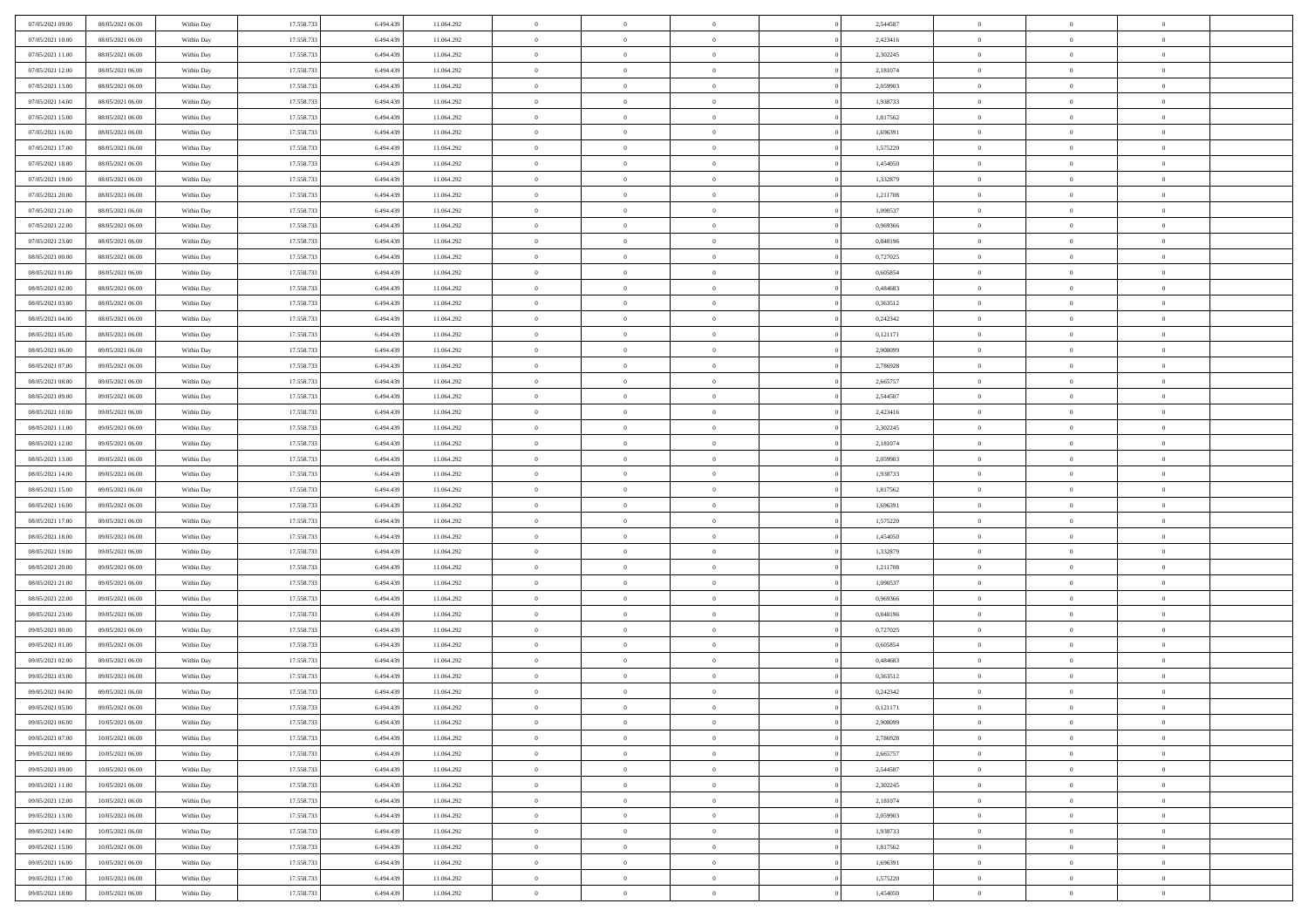| 07/05/2021 09:00                     | 08/05/2021 06:00                     | Within Day               | 17.558.733               | 6.494.439              | 11.064.292               | $\,$ 0         | $\bf{0}$                         | $\theta$       |          | 2,544587             | $\bf{0}$       | $\overline{0}$ | $\,0\,$                        |  |
|--------------------------------------|--------------------------------------|--------------------------|--------------------------|------------------------|--------------------------|----------------|----------------------------------|----------------|----------|----------------------|----------------|----------------|--------------------------------|--|
| 07/05/2021 10:00                     | 08/05/2021 06:00                     | Within Day               | 17.558.733               | 6,494,439              | 11.064.292               | $\overline{0}$ | $\overline{0}$                   | $\overline{0}$ |          | 2,423416             | $\overline{0}$ | $\overline{0}$ | $\theta$                       |  |
| 07/05/2021 11:00                     | 08/05/2021 06:00                     | Within Dav               | 17.558.733               | 6.494.439              | 11.064.292               | $\mathbf{0}$   | $\overline{0}$                   | $\overline{0}$ |          | 2,302245             | $\mathbf{0}$   | $\overline{0}$ | $\overline{0}$                 |  |
| 07/05/2021 12:00                     | 08/05/2021 06:00                     | Within Day               | 17.558.733               | 6.494.439              | 11.064.292               | $\bf{0}$       | $\overline{0}$                   | $\bf{0}$       |          | 2,181074             | $\bf{0}$       | $\overline{0}$ | $\bf{0}$                       |  |
| 07/05/2021 13:00                     | 08/05/2021 06:00                     | Within Day               | 17.558.733               | 6,494,439              | 11.064.292               | $\bf{0}$       | $\bf{0}$                         | $\overline{0}$ |          | 2,059903             | $\bf{0}$       | $\bf{0}$       | $\,0\,$                        |  |
| 07/05/2021 14:00                     | 08/05/2021 06:00                     | Within Dav               | 17.558.733               | 6.494.439              | 11.064.292               | $\mathbf{0}$   | $\overline{0}$                   | $\overline{0}$ |          | 1,938733             | $\mathbf{0}$   | $\overline{0}$ | $\overline{0}$                 |  |
| 07/05/2021 15:00                     | 08/05/2021 06:00                     | Within Day               | 17.558.733               | 6.494.439              | 11.064.292               | $\bf{0}$       | $\bf{0}$                         | $\overline{0}$ |          | 1,817562             | $\bf{0}$       | $\overline{0}$ | $\,0\,$                        |  |
| 07/05/2021 16:00                     | 08/05/2021 06:00                     | Within Day               | 17.558.733               | 6,494,439              | 11.064.292               | $\overline{0}$ | $\overline{0}$                   | $\overline{0}$ |          | 1,696391             | $\,$ 0 $\,$    | $\overline{0}$ | $\theta$                       |  |
| 07/05/2021 17:00                     | 08/05/2021 06:00                     | Within Day               | 17.558.733               | 6.494.439              | 11.064.292               | $\mathbf{0}$   | $\overline{0}$                   | $\overline{0}$ |          | 1,575220             | $\mathbf{0}$   | $\overline{0}$ | $\overline{0}$                 |  |
| 07/05/2021 18:00                     | 08/05/2021 06:00                     | Within Day               | 17.558.733               | 6.494.439              | 11.064.292               | $\bf{0}$       | $\bf{0}$                         | $\overline{0}$ |          | 1,454050             | $\bf{0}$       | $\overline{0}$ | $\,0\,$                        |  |
| 07/05/2021 19:00                     | 08/05/2021 06:00                     | Within Day               | 17.558.733               | 6,494,439              | 11.064.292               | $\overline{0}$ | $\overline{0}$                   | $\overline{0}$ |          | 1,332879             | $\bf{0}$       | $\overline{0}$ | $\theta$                       |  |
| 07/05/2021 20:00                     | 08/05/2021 06:00                     | Within Dav               | 17.558.733               | 6.494.439              | 11.064.292               | $\mathbf{0}$   | $\overline{0}$                   | $\overline{0}$ |          | 1,211708             | $\mathbf{0}$   | $\overline{0}$ | $\overline{0}$                 |  |
| 07/05/2021 21:00                     | 08/05/2021 06:00                     | Within Day               | 17.558.733               | 6.494.439              | 11.064.292               | $\bf{0}$       | $\overline{0}$                   | $\bf{0}$       |          | 1,090537             | $\bf{0}$       | $\overline{0}$ | $\bf{0}$                       |  |
| 07/05/2021 22:00                     | 08/05/2021 06:00                     | Within Day               | 17.558.733               | 6,494,439              | 11.064.292               | $\bf{0}$       | $\overline{0}$                   | $\overline{0}$ |          | 0,969366             | $\bf{0}$       | $\mathbf{0}$   | $\,0\,$                        |  |
| 07/05/2021 23:00                     | 08/05/2021 06:00                     | Within Dav               | 17.558.733               | 6.494.439              | 11.064.292               | $\overline{0}$ | $\overline{0}$                   | $\overline{0}$ |          | 0,848196             | $\mathbf{0}$   | $\overline{0}$ | $\overline{0}$                 |  |
| 08/05/2021 00:00                     | 08/05/2021 06:00                     | Within Day               | 17.558.733               | 6.494.439              | 11.064.292               | $\bf{0}$       | $\bf{0}$                         | $\overline{0}$ |          | 0,727025             | $\bf{0}$       | $\overline{0}$ | $\bf{0}$                       |  |
| 08/05/2021 01:00                     | 08/05/2021 06:00                     | Within Day               | 17.558.733               | 6,494,439              | 11.064.292               | $\overline{0}$ | $\overline{0}$                   | $\overline{0}$ |          | 0.605854             | $\bf{0}$       | $\overline{0}$ | $\theta$                       |  |
| 08/05/2021 02:00                     | 08/05/2021 06:00                     | Within Day               | 17.558.733               | 6.494.439              | 11.064.292               | $\mathbf{0}$   | $\overline{0}$                   | $\overline{0}$ |          | 0,484683             | $\mathbf{0}$   | $\overline{0}$ | $\overline{0}$                 |  |
| 08/05/2021 03:00                     | 08/05/2021 06:00                     | Within Day               | 17.558.733               | 6.494.439              | 11.064.292               | $\bf{0}$       | $\bf{0}$                         | $\overline{0}$ |          | 0,363512             | $\bf{0}$       | $\overline{0}$ | $\,0\,$                        |  |
| 08/05/2021 04:00                     | 08/05/2021 06:00                     | Within Day               | 17.558.733               | 6,494,439              | 11.064.292               | $\overline{0}$ | $\overline{0}$                   | $\overline{0}$ |          | 0,242342             | $\bf{0}$       | $\overline{0}$ | $\overline{0}$                 |  |
| 08/05/2021 05:00                     | 08/05/2021 06:00                     | Within Dav               | 17.558.733               | 6.494.439              | 11.064.292               | $\mathbf{0}$   | $\overline{0}$                   | $\overline{0}$ |          | 0,121171             | $\mathbf{0}$   | $\overline{0}$ | $\overline{0}$                 |  |
| 08/05/2021 06:00                     | 09/05/2021 06:00                     | Within Day               | 17.558.733               | 6.494.439              | 11.064.292               | $\bf{0}$       | $\overline{0}$                   | $\overline{0}$ |          | 2,908099             | $\bf{0}$       | $\overline{0}$ | $\bf{0}$                       |  |
| 08/05/2021 07:00                     | 09/05/2021 06:00                     | Within Day               | 17.558.733               | 6,494,439              | 11.064.292               | $\bf{0}$       | $\bf{0}$                         | $\overline{0}$ |          | 2,786928             | $\bf{0}$       | $\overline{0}$ | $\,0\,$                        |  |
| 08/05/2021 08:00                     | 09/05/2021 06:00                     | Within Dav               | 17.558.733               | 6.494.439              | 11.064.292               | $\mathbf{0}$   | $\overline{0}$                   | $\overline{0}$ |          | 2,665757             | $\mathbf{0}$   | $\overline{0}$ | $\overline{0}$                 |  |
| 08/05/2021 09:00                     | 09/05/2021 06:00                     | Within Day               | 17.558.733               | 6.494.439              | 11.064.292               | $\bf{0}$       | $\bf{0}$                         | $\overline{0}$ |          | 2,544587             | $\bf{0}$       | $\overline{0}$ | $\,0\,$                        |  |
| 08/05/2021 10:00                     | 09/05/2021 06:00                     | Within Day               | 17.558.733               | 6,494,439              | 11.064.292               | $\overline{0}$ | $\overline{0}$                   | $\overline{0}$ |          | 2,423416             | $\bf{0}$       | $\overline{0}$ | $\overline{0}$                 |  |
| 08/05/2021 11:00                     | 09/05/2021 06:00                     | Within Day               | 17.558.733               | 6.494.439              | 11.064.292               | $\mathbf{0}$   | $\overline{0}$                   | $\overline{0}$ |          | 2,302245             | $\mathbf{0}$   | $\overline{0}$ | $\overline{0}$                 |  |
| 08/05/2021 12:00                     | 09/05/2021 06:00                     | Within Day               | 17.558.733               | 6.494.439              | 11.064.292               | $\bf{0}$       | $\bf{0}$                         | $\overline{0}$ |          | 2,181074             | $\bf{0}$       | $\overline{0}$ | $\,0\,$                        |  |
| 08/05/2021 13:00                     | 09/05/2021 06:00                     |                          | 17.558.733               | 6,494,439              |                          | $\bf{0}$       | $\bf{0}$                         | $\overline{0}$ |          | 2,059903             | $\bf{0}$       | $\overline{0}$ | $\overline{0}$                 |  |
| 08/05/2021 14:00                     | 09/05/2021 06:00                     | Within Day<br>Within Dav | 17.558.733               | 6.494.439              | 11.064.292<br>11.064.292 | $\mathbf{0}$   | $\overline{0}$                   | $\overline{0}$ |          | 1,938733             | $\mathbf{0}$   | $\overline{0}$ | $\overline{0}$                 |  |
| 08/05/2021 15:00                     | 09/05/2021 06:00                     | Within Day               | 17.558.733               | 6.494.439              | 11.064.292               | $\bf{0}$       | $\overline{0}$                   | $\theta$       |          | 1,817562             | $\,$ 0         | $\overline{0}$ | $\theta$                       |  |
| 08/05/2021 16:00                     | 09/05/2021 06:00                     | Within Day               | 17.558.733               | 6,494,439              | 11.064.292               | $\bf{0}$       | $\bf{0}$                         | $\overline{0}$ |          | 1,696391             | $\bf{0}$       | $\overline{0}$ | $\overline{0}$                 |  |
| 08/05/2021 17:00                     | 09/05/2021 06:00                     | Within Dav               | 17.558.733               | 6.494.439              | 11.064.292               | $\mathbf{0}$   | $\overline{0}$                   | $\overline{0}$ |          | 1,575220             | $\mathbf{0}$   | $\overline{0}$ | $\overline{0}$                 |  |
| 08/05/2021 18:00                     | 09/05/2021 06:00                     | Within Day               | 17.558.733               | 6.494.439              | 11.064.292               | $\bf{0}$       | $\overline{0}$                   | $\theta$       |          | 1,454050             | $\,$ 0         | $\overline{0}$ | $\theta$                       |  |
| 08/05/2021 19:00                     | 09/05/2021 06:00                     | Within Day               | 17.558.733               | 6,494,439              | 11.064.292               | $\overline{0}$ | $\overline{0}$                   | $\overline{0}$ |          | 1,332879             | $\bf{0}$       | $\overline{0}$ | $\overline{0}$                 |  |
| 08/05/2021 20:00                     | 09/05/2021 06:00                     | Within Day               | 17.558.733               | 6.494.439              | 11.064.292               | $\mathbf{0}$   | $\overline{0}$                   | $\overline{0}$ |          | 1,211708             | $\mathbf{0}$   | $\overline{0}$ | $\overline{0}$                 |  |
| 08/05/2021 21:00                     | 09/05/2021 06:00                     | Within Day               | 17.558.733               | 6.494.439              | 11.064.292               | $\bf{0}$       | $\overline{0}$                   | $\theta$       |          | 1,090537             | $\,$ 0         | $\overline{0}$ | $\theta$                       |  |
| 08/05/2021 22.00                     | 09/05/2021 06:00                     | Within Day               | 17.558.733               | 6,494,439              | 11.064.292               | $\bf{0}$       | $\overline{0}$                   | $\overline{0}$ |          | 0.969366             | $\bf{0}$       | $\mathbf{0}$   | $\bf{0}$                       |  |
| 08/05/2021 23:00                     | 09/05/2021 06:00                     | Within Dav               | 17.558.733               | 6.494.439              | 11.064.292               | $\mathbf{0}$   | $\overline{0}$                   | $\overline{0}$ |          | 0,848196             | $\mathbf{0}$   | $\overline{0}$ | $\overline{0}$                 |  |
| 09/05/2021 00:00                     | 09/05/2021 06:00                     | Within Day               | 17.558.733               | 6.494.439              | 11.064.292               | $\,0\,$        | $\overline{0}$                   | $\theta$       |          | 0,727025             | $\,$ 0         | $\overline{0}$ | $\theta$                       |  |
| 09/05/2021 01:00                     | 09/05/2021 06:00                     | Within Day               | 17.558.733               | 6.494.439              | 11.064.292               | $\bf{0}$       | $\bf{0}$                         | $\overline{0}$ |          | 0,605854             | $\bf{0}$       | $\overline{0}$ | $\bf{0}$                       |  |
| 09/05/2021 02:00                     | 09/05/2021 06:00                     | Within Dav               | 17.558.733               | 6.494.439              | 11.064.292               | $\mathbf{0}$   | $\overline{0}$                   | $\overline{0}$ |          | 0,484683             | $\mathbf{0}$   | $\overline{0}$ | $\overline{0}$                 |  |
| 09/05/2021 03:00                     | 09/05/2021 06:00                     | Within Day               | 17.558.733               | 6.494.439              | 11.064.292               | $\bf{0}$       | $\overline{0}$                   | $\theta$       |          | 0,363512             | $\,$ 0         | $\overline{0}$ | $\theta$                       |  |
| 09/05/2021 04:00                     | 09/05/2021 06:00                     | Within Day               | 17.558.733               | 6.494.439              | 11.064.292               | $\bf{0}$       | $\overline{0}$                   | $\overline{0}$ |          | 0,242342             | $\bf{0}$       | $\overline{0}$ | $\bf{0}$                       |  |
| 09/05/2021 05:00                     | 09/05/2021 06:00                     | Within Day               | 17.558.733               | 6.494.439              | 11.064.292               | $\bf{0}$       | $\overline{0}$                   |                |          | 0,121171             | $\overline{0}$ | $\theta$       | $\theta$                       |  |
| 09/05/2021 06:00                     | 10/05/2021 06:00                     | Within Day               | 17.558.733               | 6.494.439              | 11.064.292               | $\,0\,$        | $\overline{0}$                   | $\theta$       |          | 2,908099             | $\,$ 0 $\,$    | $\bf{0}$       | $\theta$                       |  |
| 09/05/2021 07:00                     | 10/05/2021 06:00                     | Within Day               | 17.558.733               | 6.494.439              | 11.064.292               | $\overline{0}$ | $\overline{0}$                   | $\overline{0}$ |          | 2,786928             | $\overline{0}$ | $\overline{0}$ | $\overline{0}$                 |  |
| 09/05/2021 08:00                     | 10/05/2021 06:00                     | Within Day               | 17.558.733               | 6.494.439              | 11.064.292               | $\bf{0}$       | $\overline{0}$                   | $\overline{0}$ |          | 2,665757             | $\overline{0}$ | $\bf{0}$       | $\mathbf{0}$                   |  |
| 09/05/2021 09:00                     | 10/05/2021 06:00                     | Within Day               | 17.558.733               | 6.494.439              | 11.064.292               | $\bf{0}$       | $\overline{0}$                   | $\overline{0}$ | $\theta$ | 2,544587             | $\,$ 0 $\,$    | $\bf{0}$       | $\,$ 0 $\,$                    |  |
| 09/05/2021 11:00                     | 10/05/2021 06:00                     | Within Day               | 17.558.733               | 6,494,439              | 11.064.292               | $\bf{0}$       | $\overline{0}$                   | $\overline{0}$ |          | 2,302245             | $\,$ 0 $\,$    | $\overline{0}$ | $\overline{0}$                 |  |
| 09/05/2021 12:00                     | 10/05/2021 06:00                     | Within Day               | 17.558.733               | 6.494.439              | 11.064.292               | $\bf{0}$       | $\overline{0}$                   | $\overline{0}$ |          | 2,181074             | $\mathbf{0}$   | $\overline{0}$ | $\overline{0}$                 |  |
|                                      |                                      |                          |                          |                        |                          | $\,0\,$        |                                  | $\overline{0}$ | $\theta$ |                      | $\,$ 0 $\,$    | $\overline{0}$ | $\overline{0}$                 |  |
| 09/05/2021 13:00                     | 10/05/2021 06:00                     | Within Day               | 17.558.733<br>17.558.733 | 6.494.439<br>6.494.439 | 11.064.292               | $\bf{0}$       | $\overline{0}$<br>$\overline{0}$ | $\overline{0}$ |          | 2,059903             | $\overline{0}$ | $\overline{0}$ |                                |  |
| 09/05/2021 14:00<br>09/05/2021 15:00 | 10/05/2021 06:00<br>10/05/2021 06:00 | Within Day<br>Within Day | 17.558.733               | 6.494.439              | 11.064.292<br>11.064.292 | $\bf{0}$       | $\overline{0}$                   | $\overline{0}$ |          | 1,938733<br>1,817562 | $\mathbf{0}$   | $\overline{0}$ | $\overline{0}$<br>$\mathbf{0}$ |  |
|                                      |                                      |                          |                          |                        |                          | $\,0\,$        | $\overline{0}$                   | $\overline{0}$ |          |                      | $\,$ 0 $\,$    | $\mathbf{0}$   | $\overline{0}$                 |  |
| 09/05/2021 16:00                     | 10/05/2021 06:00                     | Within Day               | 17.558.733               | 6.494.439<br>6,494,439 | 11.064.292               |                |                                  |                |          | 1,696391             |                |                |                                |  |
| 09/05/2021 17:00                     | 10/05/2021 06:00                     | Within Day               | 17.558.733               |                        | 11.064.292               | $\bf{0}$       | $\overline{0}$                   | $\overline{0}$ |          | 1,575220             | $\bf{0}$       | $\mathbf{0}$   | $\overline{0}$                 |  |
| 09/05/2021 18:00                     | 10/05/2021 06:00                     | Within Day               | 17.558.733               | 6.494.439              | 11.064.292               | $\bf{0}$       | $\overline{0}$                   | $\overline{0}$ |          | 1,454050             | $\mathbf{0}$   | $\overline{0}$ | $\overline{0}$                 |  |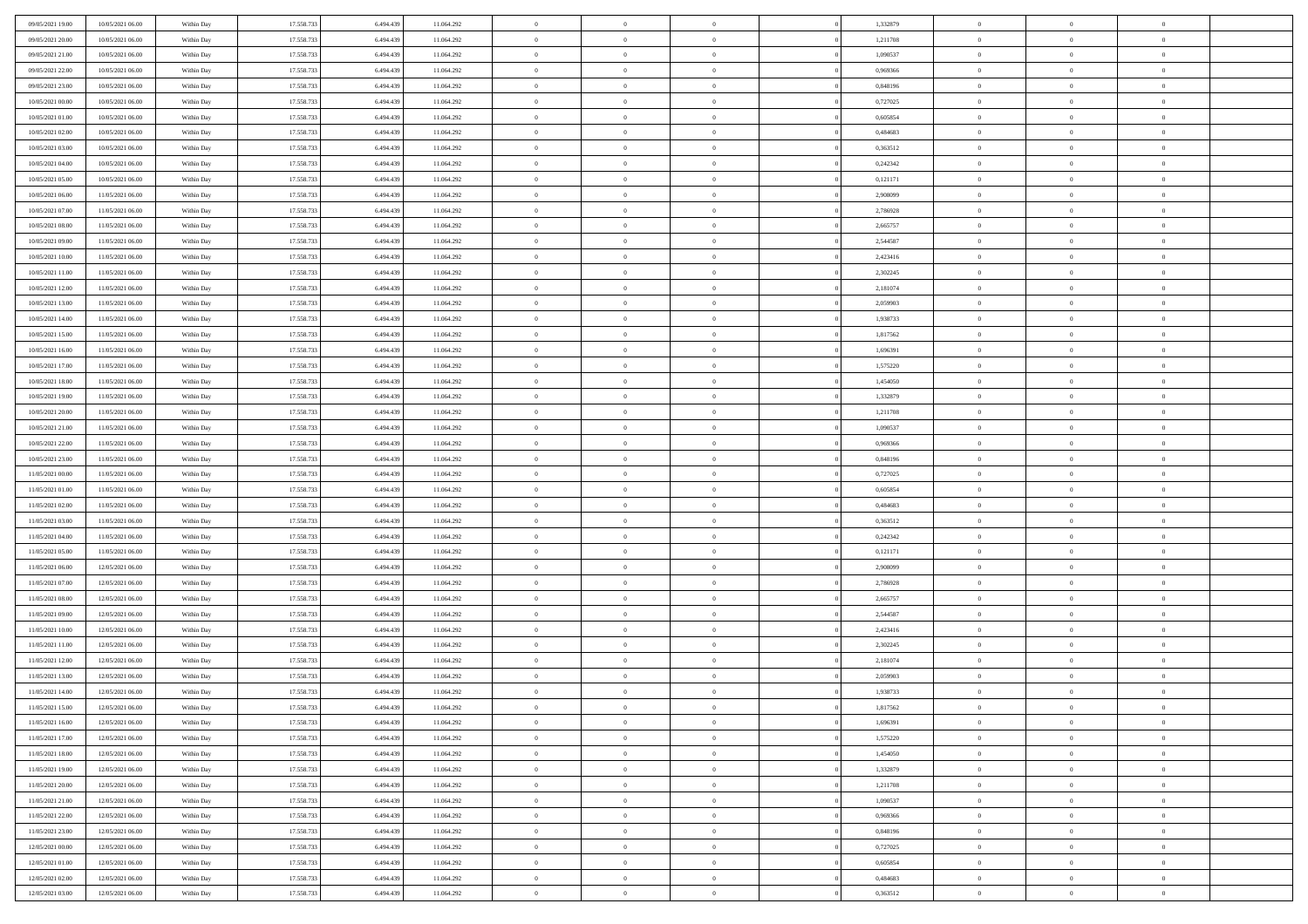| 09/05/2021 19:00 | 10/05/2021 06:00 | Within Day               | 17.558.733 | 6.494.439 | 11.064.292               | $\bf{0}$       | $\bf{0}$       | $\theta$       |          | 1,332879             | $\bf{0}$       | $\overline{0}$ | $\,0\,$        |  |
|------------------|------------------|--------------------------|------------|-----------|--------------------------|----------------|----------------|----------------|----------|----------------------|----------------|----------------|----------------|--|
| 09/05/2021 20:00 | 10/05/2021 06:00 | Within Day               | 17.558.733 | 6,494,439 | 11.064.292               | $\overline{0}$ | $\overline{0}$ | $\overline{0}$ |          | 1,211708             | $\overline{0}$ | $\overline{0}$ | $\theta$       |  |
| 09/05/2021 21:00 | 10/05/2021 06:00 | Within Dav               | 17.558.733 | 6.494.439 | 11.064.292               | $\mathbf{0}$   | $\overline{0}$ | $\overline{0}$ |          | 1,090537             | $\mathbf{0}$   | $\overline{0}$ | $\overline{0}$ |  |
| 09/05/2021 22.00 | 10/05/2021 06:00 | Within Day               | 17.558.733 | 6.494.439 | 11.064.292               | $\bf{0}$       | $\overline{0}$ | $\bf{0}$       |          | 0,969366             | $\bf{0}$       | $\overline{0}$ | $\bf{0}$       |  |
| 09/05/2021 23:00 | 10/05/2021 06:00 | Within Day               | 17.558.733 | 6,494,439 | 11.064.292               | $\bf{0}$       | $\bf{0}$       | $\overline{0}$ |          | 0,848196             | $\bf{0}$       | $\bf{0}$       | $\,0\,$        |  |
| 10/05/2021 00:00 | 10/05/2021 06:00 | Within Dav               | 17.558.733 | 6.494.439 | 11.064.292               | $\mathbf{0}$   | $\overline{0}$ | $\overline{0}$ |          | 0,727025             | $\mathbf{0}$   | $\overline{0}$ | $\overline{0}$ |  |
| 10/05/2021 01:00 | 10/05/2021 06:00 | Within Day               | 17.558.733 | 6.494.439 | 11.064.292               | $\bf{0}$       | $\bf{0}$       | $\overline{0}$ |          | 0,605854             | $\bf{0}$       | $\overline{0}$ | $\,0\,$        |  |
| 10/05/2021 02:00 | 10/05/2021 06:00 | Within Day               | 17.558.733 | 6,494,439 | 11.064.292               | $\overline{0}$ | $\overline{0}$ | $\overline{0}$ |          | 0.484683             | $\,$ 0 $\,$    | $\overline{0}$ | $\overline{0}$ |  |
| 10/05/2021 03:00 | 10/05/2021 06:00 | Within Day               | 17.558.733 | 6.494.439 | 11.064.292               | $\mathbf{0}$   | $\overline{0}$ | $\overline{0}$ |          | 0,363512             | $\mathbf{0}$   | $\overline{0}$ | $\overline{0}$ |  |
| 10/05/2021 04:00 | 10/05/2021 06:00 | Within Day               | 17.558.733 | 6.494.439 | 11.064.292               | $\bf{0}$       | $\bf{0}$       | $\overline{0}$ |          | 0,242342             | $\bf{0}$       | $\overline{0}$ | $\,0\,$        |  |
| 10/05/2021 05:00 | 10/05/2021 06:00 | Within Day               | 17.558.733 | 6,494,439 | 11.064.292               | $\bf{0}$       | $\overline{0}$ | $\overline{0}$ |          | 0,121171             | $\bf{0}$       | $\overline{0}$ | $\theta$       |  |
| 10/05/2021 06:00 | 11/05/2021 06:00 | Within Dav               | 17.558.733 | 6.494.439 | 11.064.292               | $\mathbf{0}$   | $\overline{0}$ | $\overline{0}$ |          | 2,908099             | $\mathbf{0}$   | $\overline{0}$ | $\overline{0}$ |  |
| 10/05/2021 07:00 | 11/05/2021 06:00 | Within Day               | 17.558.733 | 6.494.439 | 11.064.292               | $\bf{0}$       | $\overline{0}$ | $\bf{0}$       |          | 2,786928             | $\bf{0}$       | $\overline{0}$ | $\overline{0}$ |  |
| 10/05/2021 08:00 | 11/05/2021 06:00 |                          | 17.558.733 | 6,494,439 |                          | $\bf{0}$       | $\overline{0}$ | $\overline{0}$ |          |                      | $\bf{0}$       | $\mathbf{0}$   | $\,0\,$        |  |
| 10/05/2021 09:00 | 11/05/2021 06:00 | Within Day<br>Within Dav | 17.558.733 | 6.494.439 | 11.064.292<br>11.064.292 | $\overline{0}$ | $\overline{0}$ |                |          | 2,665757<br>2,544587 | $\mathbf{0}$   | $\overline{0}$ | $\overline{0}$ |  |
|                  |                  |                          |            |           |                          |                |                | $\overline{0}$ |          |                      |                |                |                |  |
| 10/05/2021 10:00 | 11/05/2021 06:00 | Within Day               | 17.558.733 | 6.494.439 | 11.064.292               | $\bf{0}$       | $\bf{0}$       | $\overline{0}$ |          | 2,423416             | $\bf{0}$       | $\overline{0}$ | $\bf{0}$       |  |
| 10/05/2021 11:00 | 11/05/2021 06:00 | Within Day               | 17.558.733 | 6,494,439 | 11.064.292               | $\overline{0}$ | $\overline{0}$ | $\overline{0}$ |          | 2,302245             | $\bf{0}$       | $\overline{0}$ | $\theta$       |  |
| 10/05/2021 12:00 | 11/05/2021 06:00 | Within Day               | 17.558.733 | 6.494.439 | 11.064.292               | $\mathbf{0}$   | $\overline{0}$ | $\overline{0}$ |          | 2,181074             | $\mathbf{0}$   | $\overline{0}$ | $\overline{0}$ |  |
| 10/05/2021 13:00 | 11/05/2021 06:00 | Within Day               | 17.558.733 | 6.494.439 | 11.064.292               | $\bf{0}$       | $\bf{0}$       | $\overline{0}$ |          | 2,059903             | $\bf{0}$       | $\overline{0}$ | $\,0\,$        |  |
| 10/05/2021 14:00 | 11/05/2021 06:00 | Within Day               | 17.558.733 | 6,494,439 | 11.064.292               | $\bf{0}$       | $\overline{0}$ | $\overline{0}$ |          | 1,938733             | $\bf{0}$       | $\overline{0}$ | $\overline{0}$ |  |
| 10/05/2021 15:00 | 11/05/2021 06:00 | Within Dav               | 17.558.733 | 6.494.439 | 11.064.292               | $\mathbf{0}$   | $\overline{0}$ | $\overline{0}$ |          | 1,817562             | $\mathbf{0}$   | $\overline{0}$ | $\overline{0}$ |  |
| 10/05/2021 16:00 | 11/05/2021 06:00 | Within Day               | 17.558.733 | 6.494.439 | 11.064.292               | $\bf{0}$       | $\overline{0}$ | $\overline{0}$ |          | 1,696391             | $\bf{0}$       | $\overline{0}$ | $\bf{0}$       |  |
| 10/05/2021 17:00 | 11/05/2021 06:00 | Within Day               | 17.558.733 | 6,494,439 | 11.064.292               | $\bf{0}$       | $\bf{0}$       | $\overline{0}$ |          | 1,575220             | $\bf{0}$       | $\overline{0}$ | $\,0\,$        |  |
| 10/05/2021 18:00 | 11/05/2021 06:00 | Within Dav               | 17.558.733 | 6.494.439 | 11.064.292               | $\mathbf{0}$   | $\overline{0}$ | $\overline{0}$ |          | 1,454050             | $\mathbf{0}$   | $\overline{0}$ | $\overline{0}$ |  |
| 10/05/2021 19:00 | 11/05/2021 06:00 | Within Day               | 17.558.733 | 6.494.439 | 11.064.292               | $\bf{0}$       | $\bf{0}$       | $\overline{0}$ |          | 1,332879             | $\bf{0}$       | $\overline{0}$ | $\,0\,$        |  |
| 10/05/2021 20:00 | 11/05/2021 06:00 | Within Day               | 17.558.733 | 6,494,439 | 11.064.292               | $\overline{0}$ | $\overline{0}$ | $\overline{0}$ |          | 1,211708             | $\bf{0}$       | $\mathbf{0}$   | $\overline{0}$ |  |
| 10/05/2021 21:00 | 11/05/2021 06:00 | Within Dav               | 17.558.733 | 6.494.439 | 11.064.292               | $\mathbf{0}$   | $\overline{0}$ | $\overline{0}$ |          | 1,090537             | $\mathbf{0}$   | $\overline{0}$ | $\overline{0}$ |  |
| 10/05/2021 22:00 | 11/05/2021 06:00 | Within Day               | 17.558.733 | 6.494.439 | 11.064.292               | $\bf{0}$       | $\bf{0}$       | $\overline{0}$ |          | 0,969366             | $\bf{0}$       | $\overline{0}$ | $\,0\,$        |  |
| 10/05/2021 23:00 | 11/05/2021 06:00 | Within Day               | 17.558.733 | 6,494,439 | 11.064.292               | $\bf{0}$       | $\bf{0}$       | $\overline{0}$ |          | 0.848196             | $\bf{0}$       | $\overline{0}$ | $\bf{0}$       |  |
| 11/05/2021 00:00 | 11/05/2021 06:00 | Within Dav               | 17.558.733 | 6.494.439 | 11.064.292               | $\mathbf{0}$   | $\overline{0}$ | $\overline{0}$ |          | 0,727025             | $\mathbf{0}$   | $\overline{0}$ | $\overline{0}$ |  |
| 11/05/2021 01:00 | 11/05/2021 06:00 | Within Day               | 17.558.733 | 6.494.439 | 11.064.292               | $\bf{0}$       | $\overline{0}$ | $\theta$       |          | 0,605854             | $\,$ 0         | $\overline{0}$ | $\theta$       |  |
| 11/05/2021 02:00 | 11/05/2021 06:00 | Within Day               | 17.558.733 | 6.494.439 | 11.064.292               | $\bf{0}$       | $\bf{0}$       | $\overline{0}$ |          | 0,484683             | $\bf{0}$       | $\overline{0}$ | $\bf{0}$       |  |
| 11/05/2021 03:00 | 11/05/2021 06:00 | Within Dav               | 17.558.733 | 6.494.439 | 11.064.292               | $\overline{0}$ | $\overline{0}$ | $\overline{0}$ |          | 0,363512             | $\mathbf{0}$   | $\overline{0}$ | $\overline{0}$ |  |
| 11/05/2021 04:00 | 11/05/2021 06:00 | Within Day               | 17.558.733 | 6.494.439 | 11.064.292               | $\bf{0}$       | $\overline{0}$ | $\theta$       |          | 0,242342             | $\,$ 0         | $\overline{0}$ | $\theta$       |  |
| 11/05/2021 05:00 | 11/05/2021 06:00 | Within Day               | 17.558.733 | 6,494,439 | 11.064.292               | $\bf{0}$       | $\overline{0}$ | $\overline{0}$ |          | 0,121171             | $\bf{0}$       | $\overline{0}$ | $\overline{0}$ |  |
| 11/05/2021 06:00 | 12/05/2021 06:00 | Within Day               | 17.558.733 | 6.494.439 | 11.064.292               | $\mathbf{0}$   | $\overline{0}$ | $\overline{0}$ |          | 2,908099             | $\mathbf{0}$   | $\overline{0}$ | $\overline{0}$ |  |
| 11/05/2021 07:00 | 12/05/2021 06:00 | Within Day               | 17.558.733 | 6.494.439 | 11.064.292               | $\bf{0}$       | $\overline{0}$ | $\theta$       |          | 2,786928             | $\,$ 0         | $\overline{0}$ | $\theta$       |  |
| 11/05/2021 08:00 | 12/05/2021 06:00 | Within Day               | 17.558.733 | 6,494,439 | 11.064.292               | $\bf{0}$       | $\overline{0}$ | $\overline{0}$ |          | 2,665757             | $\bf{0}$       | $\bf{0}$       | $\bf{0}$       |  |
| 11/05/2021 09:00 | 12/05/2021 06:00 | Within Dav               | 17.558.733 | 6.494.439 | 11.064.292               | $\mathbf{0}$   | $\overline{0}$ | $\overline{0}$ |          | 2,544587             | $\mathbf{0}$   | $\overline{0}$ | $\overline{0}$ |  |
| 11/05/2021 10:00 | 12/05/2021 06:00 | Within Day               | 17.558.733 | 6.494.439 | 11.064.292               | $\,0\,$        | $\overline{0}$ | $\theta$       |          | 2,423416             | $\,$ 0         | $\overline{0}$ | $\theta$       |  |
| 11/05/2021 11:00 | 12/05/2021 06:00 | Within Day               | 17.558.733 | 6.494.439 | 11.064.292               | $\bf{0}$       | $\overline{0}$ | $\overline{0}$ |          | 2,302245             | $\bf{0}$       | $\overline{0}$ | $\bf{0}$       |  |
| 11/05/2021 12:00 | 12/05/2021 06:00 | Within Dav               | 17.558.733 | 6.494.439 | 11.064.292               | $\mathbf{0}$   | $\overline{0}$ | $\overline{0}$ |          | 2,181074             | $\mathbf{0}$   | $\overline{0}$ | $\overline{0}$ |  |
| 11/05/2021 13:00 | 12/05/2021 06:00 | Within Day               | 17.558.733 | 6.494.439 | 11.064.292               | $\bf{0}$       | $\overline{0}$ | $\theta$       |          | 2,059903             | $\,$ 0         | $\overline{0}$ | $\theta$       |  |
| 11/05/2021 14:00 | 12/05/2021 06:00 | Within Day               | 17.558.733 | 6.494.439 | 11.064.292               | $\bf{0}$       | $\overline{0}$ | $\overline{0}$ |          | 1,938733             | $\bf{0}$       | $\overline{0}$ | $\bf{0}$       |  |
| 11/05/2021 15:00 | 12/05/2021 06:00 | Within Day               | 17.558.733 | 6.494.439 | 11.064.292               | $\bf{0}$       | $\overline{0}$ |                |          | 1,817562             | $\overline{0}$ | $\theta$       | $\theta$       |  |
| 11/05/2021 16:00 | 12/05/2021 06:00 | Within Day               | 17.558.733 | 6.494.439 | 11.064.292               | $\,0\,$        | $\overline{0}$ | $\theta$       |          | 1,696391             | $\,$ 0 $\,$    | $\bf{0}$       | $\theta$       |  |
| 11/05/2021 17:00 | 12/05/2021 06:00 | Within Day               | 17.558.733 | 6.494.439 | 11.064.292               | $\overline{0}$ | $\overline{0}$ | $\overline{0}$ |          | 1,575220             | $\overline{0}$ | $\overline{0}$ | $\overline{0}$ |  |
| 11/05/2021 18:00 | 12/05/2021 06:00 | Within Day               | 17.558.733 | 6.494.439 | 11.064.292               | $\bf{0}$       | $\overline{0}$ | $\overline{0}$ |          | 1,454050             | $\overline{0}$ | $\bf{0}$       | $\mathbf{0}$   |  |
| 11/05/2021 19:00 | 12/05/2021 06:00 | Within Day               | 17.558.733 | 6.494.439 | 11.064.292               | $\bf{0}$       | $\overline{0}$ | $\overline{0}$ | $\theta$ | 1,332879             | $\mathbf{0}$   | $\bf{0}$       | $\,$ 0 $\,$    |  |
| 11/05/2021 20:00 | 12/05/2021 06:00 | Within Day               | 17.558.733 | 6.494.439 | 11.064.292               | $\,$ 0 $\,$    | $\overline{0}$ | $\overline{0}$ |          | 1,211708             | $\,$ 0 $\,$    | $\overline{0}$ | $\overline{0}$ |  |
| 11/05/2021 21:00 | 12/05/2021 06:00 | Within Day               | 17.558.733 | 6.494.439 | 11.064.292               | $\bf{0}$       | $\overline{0}$ | $\overline{0}$ |          | 1,090537             | $\mathbf{0}$   | $\overline{0}$ | $\overline{0}$ |  |
| 11/05/2021 22:00 | 12/05/2021 06:00 | Within Day               | 17.558.733 | 6.494.439 | 11.064.292               | $\,$ 0 $\,$    | $\overline{0}$ | $\overline{0}$ | $\theta$ | 0,969366             | $\,$ 0 $\,$    | $\mathbf{0}$   | $\,$ 0 $\,$    |  |
| 11/05/2021 23:00 | 12/05/2021 06:00 | Within Day               | 17.558.733 | 6.494.439 | 11.064.292               | $\bf{0}$       | $\overline{0}$ | $\overline{0}$ |          | 0,848196             | $\overline{0}$ | $\overline{0}$ | $\overline{0}$ |  |
| 12/05/2021 00:00 | 12/05/2021 06:00 | Within Day               | 17.558.733 | 6.494.439 | 11.064.292               | $\bf{0}$       | $\overline{0}$ | $\overline{0}$ |          | 0,727025             | $\mathbf{0}$   | $\bf{0}$       | $\overline{0}$ |  |
| 12/05/2021 01:00 | 12/05/2021 06:00 | Within Day               | 17.558.733 | 6.494.439 | 11.064.292               | $\,0\,$        | $\overline{0}$ | $\overline{0}$ |          | 0,605854             | $\,$ 0 $\,$    | $\mathbf{0}$   | $\,$ 0 $\,$    |  |
| 12/05/2021 02:00 | 12/05/2021 06:00 | Within Day               | 17.558.733 | 6.494.439 | 11.064.292               | $\bf{0}$       | $\overline{0}$ | $\overline{0}$ |          | 0.484683             | $\bf{0}$       | $\mathbf{0}$   | $\overline{0}$ |  |
| 12/05/2021 03:00 | 12/05/2021 06:00 | Within Day               | 17.558.733 | 6.494.439 | 11.064.292               | $\bf{0}$       | $\overline{0}$ | $\overline{0}$ |          | 0,363512             | $\mathbf{0}$   | $\overline{0}$ | $\overline{0}$ |  |
|                  |                  |                          |            |           |                          |                |                |                |          |                      |                |                |                |  |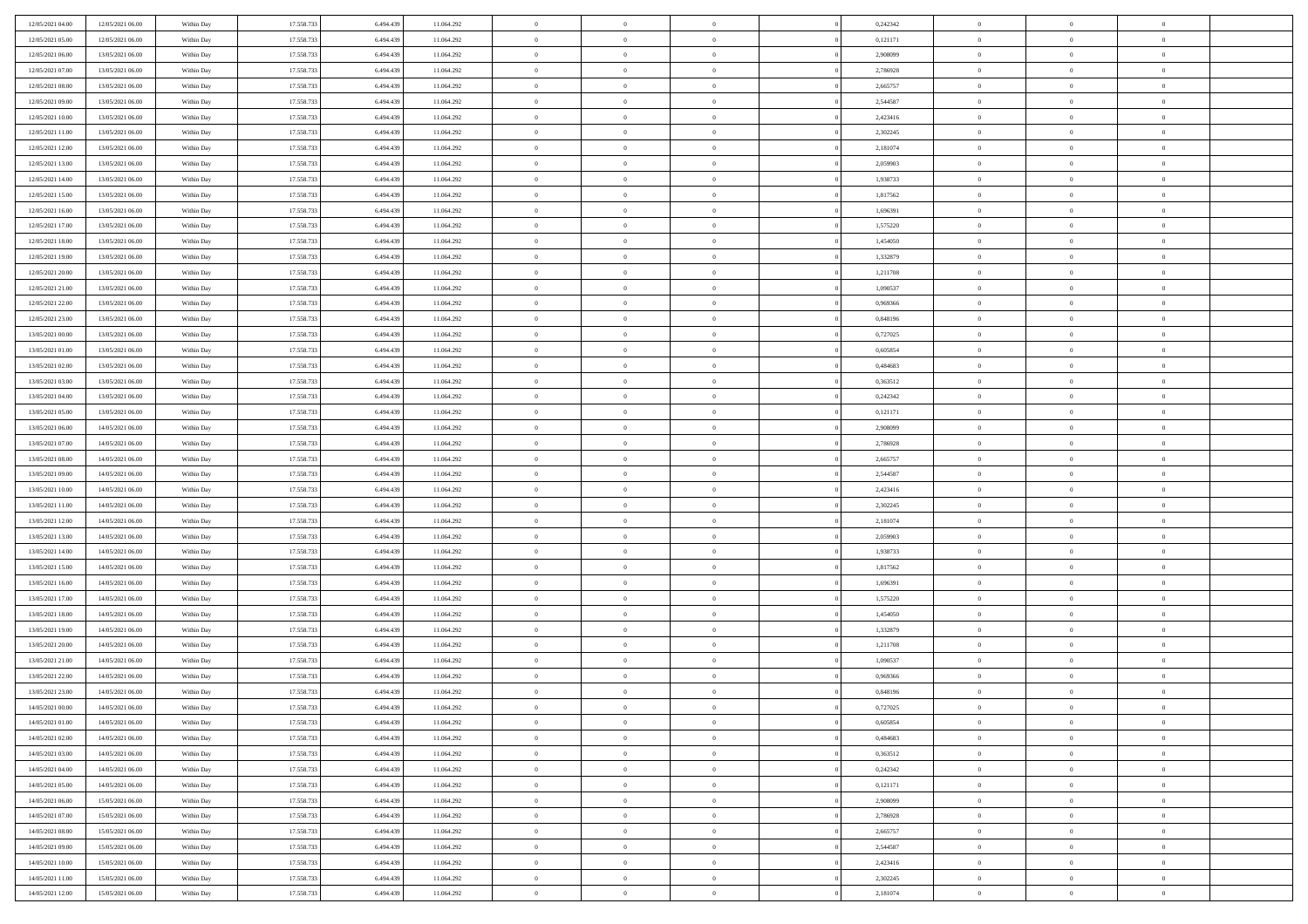| 12/05/2021 04:00                     | 12/05/2021 06:00                     | Within Day               | 17.558.733 | 6.494.439 | 11.064.292               | $\bf{0}$       | $\bf{0}$       | $\theta$                         |          | 0,242342             | $\bf{0}$       | $\overline{0}$ | $\,0\,$        |  |
|--------------------------------------|--------------------------------------|--------------------------|------------|-----------|--------------------------|----------------|----------------|----------------------------------|----------|----------------------|----------------|----------------|----------------|--|
| 12/05/2021 05:00                     | 12/05/2021 06:00                     | Within Day               | 17.558.733 | 6,494,439 | 11.064.292               | $\overline{0}$ | $\overline{0}$ | $\overline{0}$                   |          | 0,121171             | $\overline{0}$ | $\overline{0}$ | $\theta$       |  |
| 12/05/2021 06:00                     | 13/05/2021 06:00                     | Within Dav               | 17.558.733 | 6.494.439 | 11.064.292               | $\mathbf{0}$   | $\overline{0}$ | $\overline{0}$                   |          | 2,908099             | $\mathbf{0}$   | $\overline{0}$ | $\overline{0}$ |  |
| 12/05/2021 07:00                     | 13/05/2021 06:00                     | Within Day               | 17.558.733 | 6.494.439 | 11.064.292               | $\bf{0}$       | $\overline{0}$ | $\bf{0}$                         |          | 2,786928             | $\bf{0}$       | $\overline{0}$ | $\bf{0}$       |  |
| 12/05/2021 08:00                     | 13/05/2021 06:00                     | Within Day               | 17.558.733 | 6,494,439 | 11.064.292               | $\bf{0}$       | $\bf{0}$       | $\overline{0}$                   |          | 2,665757             | $\bf{0}$       | $\bf{0}$       | $\,0\,$        |  |
| 12/05/2021 09:00                     | 13/05/2021 06:00                     | Within Dav               | 17.558.733 | 6.494.439 | 11.064.292               | $\overline{0}$ | $\overline{0}$ | $\overline{0}$                   |          | 2,544587             | $\mathbf{0}$   | $\overline{0}$ | $\overline{0}$ |  |
| 12/05/2021 10:00                     | 13/05/2021 06:00                     | Within Day               | 17.558.733 | 6.494.439 | 11.064.292               | $\bf{0}$       | $\bf{0}$       | $\overline{0}$                   |          | 2,423416             | $\bf{0}$       | $\overline{0}$ | $\,0\,$        |  |
| 12/05/2021 11:00                     | 13/05/2021 06:00                     | Within Day               | 17.558.733 | 6,494,439 | 11.064.292               | $\overline{0}$ | $\overline{0}$ | $\overline{0}$                   |          | 2,302245             | $\,$ 0 $\,$    | $\overline{0}$ | $\overline{0}$ |  |
| 12/05/2021 12:00                     | 13/05/2021 06:00                     | Within Day               | 17.558.733 | 6.494.439 | 11.064.292               | $\mathbf{0}$   | $\overline{0}$ | $\overline{0}$                   |          | 2,181074             | $\mathbf{0}$   | $\overline{0}$ | $\overline{0}$ |  |
| 12/05/2021 13:00                     | 13/05/2021 06:00                     | Within Day               | 17.558.733 | 6.494.439 | 11.064.292               | $\bf{0}$       | $\bf{0}$       | $\overline{0}$                   |          | 2,059903             | $\bf{0}$       | $\overline{0}$ | $\,0\,$        |  |
| 12/05/2021 14:00                     | 13/05/2021 06:00                     | Within Day               | 17.558.733 | 6,494,439 | 11.064.292               | $\bf{0}$       | $\overline{0}$ | $\overline{0}$                   |          | 1,938733             | $\bf{0}$       | $\overline{0}$ | $\theta$       |  |
| 12/05/2021 15:00                     | 13/05/2021 06:00                     | Within Dav               | 17.558.733 | 6.494.439 | 11.064.292               | $\mathbf{0}$   | $\overline{0}$ | $\overline{0}$                   |          | 1,817562             | $\mathbf{0}$   | $\overline{0}$ | $\overline{0}$ |  |
| 12/05/2021 16:00                     | 13/05/2021 06:00                     | Within Day               | 17.558.733 | 6.494.439 | 11.064.292               | $\bf{0}$       | $\overline{0}$ | $\bf{0}$                         |          | 1,696391             | $\bf{0}$       | $\overline{0}$ | $\overline{0}$ |  |
| 12/05/2021 17:00                     | 13/05/2021 06:00                     | Within Day               | 17.558.733 | 6,494,439 | 11.064.292               | $\bf{0}$       | $\overline{0}$ | $\overline{0}$                   |          | 1,575220             | $\bf{0}$       | $\mathbf{0}$   | $\,0\,$        |  |
| 12/05/2021 18:00                     | 13/05/2021 06:00                     | Within Dav               | 17.558.733 | 6.494.439 | 11.064.292               | $\overline{0}$ | $\overline{0}$ | $\overline{0}$                   |          | 1,454050             | $\mathbf{0}$   | $\overline{0}$ | $\overline{0}$ |  |
| 12/05/2021 19:00                     | 13/05/2021 06:00                     | Within Day               | 17.558.733 | 6.494.439 | 11.064.292               | $\bf{0}$       | $\bf{0}$       | $\overline{0}$                   |          | 1,332879             | $\bf{0}$       | $\overline{0}$ | $\bf{0}$       |  |
|                                      |                                      |                          | 17.558.733 | 6,494,439 |                          | $\overline{0}$ | $\overline{0}$ | $\overline{0}$                   |          |                      | $\,$ 0 $\,$    | $\overline{0}$ | $\theta$       |  |
| 12/05/2021 20:00<br>12/05/2021 21:00 | 13/05/2021 06:00<br>13/05/2021 06:00 | Within Day<br>Within Day | 17.558.733 | 6.494.439 | 11.064.292<br>11.064.292 | $\mathbf{0}$   | $\overline{0}$ |                                  |          | 1,211708<br>1,090537 | $\mathbf{0}$   | $\overline{0}$ | $\overline{0}$ |  |
|                                      |                                      |                          | 17.558.733 |           |                          | $\bf{0}$       |                | $\overline{0}$<br>$\overline{0}$ |          |                      | $\bf{0}$       | $\overline{0}$ | $\,0\,$        |  |
| 12/05/2021 22.00                     | 13/05/2021 06:00                     | Within Day               |            | 6.494.439 | 11.064.292               |                | $\bf{0}$       |                                  |          | 0,969366             |                | $\overline{0}$ |                |  |
| 12/05/2021 23:00                     | 13/05/2021 06:00                     | Within Day               | 17.558.733 | 6,494,439 | 11.064.292               | $\bf{0}$       | $\overline{0}$ | $\overline{0}$                   |          | 0,848196             | $\bf{0}$       |                | $\overline{0}$ |  |
| 13/05/2021 00:00                     | 13/05/2021 06:00                     | Within Dav               | 17.558.733 | 6.494.439 | 11.064.292               | $\mathbf{0}$   | $\overline{0}$ | $\overline{0}$                   |          | 0,727025             | $\mathbf{0}$   | $\overline{0}$ | $\overline{0}$ |  |
| 13/05/2021 01:00                     | 13/05/2021 06:00                     | Within Day               | 17.558.733 | 6.494.439 | 11.064.292               | $\bf{0}$       | $\overline{0}$ | $\overline{0}$                   |          | 0,605854             | $\bf{0}$       | $\overline{0}$ | $\bf{0}$       |  |
| 13/05/2021 02:00                     | 13/05/2021 06:00                     | Within Day               | 17.558.733 | 6,494,439 | 11.064.292               | $\bf{0}$       | $\bf{0}$       | $\overline{0}$                   |          | 0,484683             | $\bf{0}$       | $\bf{0}$       | $\,0\,$        |  |
| 13/05/2021 03:00                     | 13/05/2021 06:00                     | Within Dav               | 17.558.733 | 6.494.439 | 11.064.292               | $\mathbf{0}$   | $\overline{0}$ | $\overline{0}$                   |          | 0,363512             | $\mathbf{0}$   | $\overline{0}$ | $\overline{0}$ |  |
| 13/05/2021 04:00                     | 13/05/2021 06:00                     | Within Day               | 17.558.733 | 6.494.439 | 11.064.292               | $\bf{0}$       | $\bf{0}$       | $\overline{0}$                   |          | 0,242342             | $\bf{0}$       | $\overline{0}$ | $\,0\,$        |  |
| 13/05/2021 05:00                     | 13/05/2021 06:00                     | Within Day               | 17.558.733 | 6,494,439 | 11.064.292               | $\overline{0}$ | $\overline{0}$ | $\overline{0}$                   |          | 0,121171             | $\bf{0}$       | $\mathbf{0}$   | $\overline{0}$ |  |
| 13/05/2021 06:00                     | 14/05/2021 06:00                     | Within Day               | 17.558.733 | 6.494.439 | 11.064.292               | $\mathbf{0}$   | $\overline{0}$ | $\overline{0}$                   |          | 2,908099             | $\mathbf{0}$   | $\overline{0}$ | $\overline{0}$ |  |
| 13/05/2021 07:00                     | 14/05/2021 06:00                     | Within Day               | 17.558.733 | 6.494.439 | 11.064.292               | $\bf{0}$       | $\bf{0}$       | $\overline{0}$                   |          | 2,786928             | $\bf{0}$       | $\overline{0}$ | $\,0\,$        |  |
| 13/05/2021 08:00                     | 14/05/2021 06:00                     | Within Day               | 17.558.733 | 6,494,439 | 11.064.292               | $\bf{0}$       | $\bf{0}$       | $\overline{0}$                   |          | 2,665757             | $\bf{0}$       | $\bf{0}$       | $\overline{0}$ |  |
| 13/05/2021 09:00                     | 14/05/2021 06:00                     | Within Dav               | 17.558.733 | 6.494.439 | 11.064.292               | $\mathbf{0}$   | $\overline{0}$ | $\overline{0}$                   |          | 2,544587             | $\mathbf{0}$   | $\overline{0}$ | $\overline{0}$ |  |
| 13/05/2021 10:00                     | 14/05/2021 06:00                     | Within Day               | 17.558.733 | 6.494.439 | 11.064.292               | $\bf{0}$       | $\overline{0}$ | $\theta$                         |          | 2,423416             | $\,$ 0         | $\overline{0}$ | $\theta$       |  |
| 13/05/2021 11:00                     | 14/05/2021 06:00                     | Within Day               | 17.558.733 | 6.494.439 | 11.064.292               | $\bf{0}$       | $\bf{0}$       | $\overline{0}$                   |          | 2,302245             | $\bf{0}$       | $\bf{0}$       | $\bf{0}$       |  |
| 13/05/2021 12:00                     | 14/05/2021 06:00                     | Within Dav               | 17.558.733 | 6.494.439 | 11.064.292               | $\overline{0}$ | $\overline{0}$ | $\overline{0}$                   |          | 2,181074             | $\mathbf{0}$   | $\overline{0}$ | $\overline{0}$ |  |
| 13/05/2021 13:00                     | 14/05/2021 06:00                     | Within Day               | 17.558.733 | 6.494.439 | 11.064.292               | $\bf{0}$       | $\overline{0}$ | $\theta$                         |          | 2,059903             | $\,$ 0         | $\overline{0}$ | $\theta$       |  |
| 13/05/2021 14:00                     | 14/05/2021 06:00                     | Within Day               | 17.558.733 | 6,494,439 | 11.064.292               | $\bf{0}$       | $\overline{0}$ | $\overline{0}$                   |          | 1,938733             | $\bf{0}$       | $\overline{0}$ | $\overline{0}$ |  |
| 13/05/2021 15:00                     | 14/05/2021 06:00                     | Within Day               | 17.558.733 | 6.494.439 | 11.064.292               | $\mathbf{0}$   | $\overline{0}$ | $\overline{0}$                   |          | 1,817562             | $\mathbf{0}$   | $\overline{0}$ | $\overline{0}$ |  |
| 13/05/2021 16:00                     | 14/05/2021 06:00                     | Within Day               | 17.558.733 | 6.494.439 | 11.064.292               | $\bf{0}$       | $\overline{0}$ | $\theta$                         |          | 1,696391             | $\,$ 0         | $\overline{0}$ | $\theta$       |  |
| 13/05/2021 17:00                     | 14/05/2021 06:00                     | Within Day               | 17.558.733 | 6,494,439 | 11.064.292               | $\bf{0}$       | $\overline{0}$ | $\overline{0}$                   |          | 1,575220             | $\bf{0}$       | $\overline{0}$ | $\bf{0}$       |  |
| 13/05/2021 18:00                     | 14/05/2021 06:00                     | Within Dav               | 17.558.733 | 6.494.439 | 11.064.292               | $\mathbf{0}$   | $\overline{0}$ | $\overline{0}$                   |          | 1,454050             | $\mathbf{0}$   | $\overline{0}$ | $\overline{0}$ |  |
| 13/05/2021 19:00                     | 14/05/2021 06:00                     | Within Day               | 17.558.733 | 6.494.439 | 11.064.292               | $\,0\,$        | $\overline{0}$ | $\theta$                         |          | 1,332879             | $\,$ 0         | $\overline{0}$ | $\theta$       |  |
| 13/05/2021 20:00                     | 14/05/2021 06:00                     | Within Day               | 17.558.733 | 6.494.439 | 11.064.292               | $\bf{0}$       | $\overline{0}$ | $\overline{0}$                   |          | 1,211708             | $\bf{0}$       | $\overline{0}$ | $\bf{0}$       |  |
| 13/05/2021 21:00                     | 14/05/2021 06:00                     | Within Dav               | 17.558.733 | 6.494.439 | 11.064.292               | $\mathbf{0}$   | $\overline{0}$ | $\overline{0}$                   |          | 1,090537             | $\mathbf{0}$   | $\overline{0}$ | $\overline{0}$ |  |
| 13/05/2021 22:00                     | 14/05/2021 06:00                     | Within Day               | 17.558.733 | 6.494.439 | 11.064.292               | $\bf{0}$       | $\overline{0}$ | $\theta$                         |          | 0,969366             | $\,$ 0         | $\overline{0}$ | $\theta$       |  |
| 13/05/2021 23:00                     | 14/05/2021 06:00                     | Within Day               | 17.558.733 | 6.494.439 | 11.064.292               | $\bf{0}$       | $\overline{0}$ | $\overline{0}$                   |          | 0,848196             | $\bf{0}$       | $\overline{0}$ | $\bf{0}$       |  |
| 14/05/2021 00:00                     | 14/05/2021 06:00                     | Within Day               | 17.558.733 | 6.494.439 | 11.064.292               | $\bf{0}$       | $\overline{0}$ |                                  |          | 0,727025             | $\overline{0}$ | $\theta$       | $\theta$       |  |
| 14/05/2021 01:00                     | 14/05/2021 06:00                     | Within Day               | 17.558.733 | 6.494.439 | 11.064.292               | $\,0\,$        | $\overline{0}$ | $\theta$                         |          | 0,605854             | $\,$ 0 $\,$    | $\bf{0}$       | $\theta$       |  |
| 14/05/2021 02:00                     | 14/05/2021 06:00                     | Within Day               | 17.558.733 | 6.494.439 | 11.064.292               | $\overline{0}$ | $\overline{0}$ | $\overline{0}$                   |          | 0.484683             | $\overline{0}$ | $\overline{0}$ | $\overline{0}$ |  |
| 14/05/2021 03:00                     | 14/05/2021 06:00                     | Within Day               | 17.558.733 | 6.494.439 | 11.064.292               | $\bf{0}$       | $\overline{0}$ | $\overline{0}$                   |          | 0,363512             | $\overline{0}$ | $\bf{0}$       | $\mathbf{0}$   |  |
| 14/05/2021 04:00                     | 14/05/2021 06:00                     | Within Day               | 17.558.733 | 6.494.439 | 11.064.292               | $\bf{0}$       | $\overline{0}$ | $\overline{0}$                   | $\theta$ | 0,242342             | $\,$ 0 $\,$    | $\bf{0}$       | $\,$ 0 $\,$    |  |
| 14/05/2021 05:00                     | 14/05/2021 06:00                     | Within Day               | 17.558.733 | 6,494,439 | 11.064.292               | $\bf{0}$       | $\overline{0}$ | $\overline{0}$                   |          | 0,121171             | $\,$ 0 $\,$    | $\overline{0}$ | $\overline{0}$ |  |
| 14/05/2021 06:00                     | 15/05/2021 06:00                     | Within Day               | 17.558.733 | 6.494.439 | 11.064.292               | $\bf{0}$       | $\overline{0}$ | $\overline{0}$                   |          | 2,908099             | $\mathbf{0}$   | $\overline{0}$ | $\overline{0}$ |  |
| 14/05/2021 07:00                     | 15/05/2021 06:00                     | Within Day               | 17.558.733 | 6.494.439 | 11.064.292               | $\,0\,$        | $\overline{0}$ | $\overline{0}$                   | $\theta$ | 2,786928             | $\,$ 0 $\,$    | $\overline{0}$ | $\overline{0}$ |  |
| 14/05/2021 08:00                     | 15/05/2021 06:00                     | Within Day               | 17.558.733 | 6.494.439 | 11.064.292               | $\bf{0}$       | $\overline{0}$ | $\overline{0}$                   |          | 2,665757             | $\overline{0}$ | $\overline{0}$ | $\overline{0}$ |  |
| 14/05/2021 09:00                     | 15/05/2021 06:00                     | Within Day               | 17.558.733 | 6.494.439 | 11.064.292               | $\bf{0}$       | $\overline{0}$ | $\overline{0}$                   |          | 2,544587             | $\mathbf{0}$   | $\overline{0}$ | $\overline{0}$ |  |
| 14/05/2021 10:00                     | 15/05/2021 06:00                     | Within Day               | 17.558.733 | 6.494.439 | 11.064.292               | $\,0\,$        | $\overline{0}$ | $\overline{0}$                   |          | 2,423416             | $\,$ 0 $\,$    | $\mathbf{0}$   | $\overline{0}$ |  |
| 14/05/2021 11:00                     | 15/05/2021 06:00                     | Within Day               | 17.558.733 | 6.494.439 | 11.064.292               | $\bf{0}$       | $\overline{0}$ | $\overline{0}$                   |          | 2,302245             | $\bf{0}$       | $\mathbf{0}$   | $\overline{0}$ |  |
| 14/05/2021 12:00                     | 15/05/2021 06:00                     | Within Day               | 17.558.733 | 6.494.439 | 11.064.292               | $\bf{0}$       | $\overline{0}$ | $\overline{0}$                   |          | 2,181074             | $\mathbf{0}$   | $\overline{0}$ | $\overline{0}$ |  |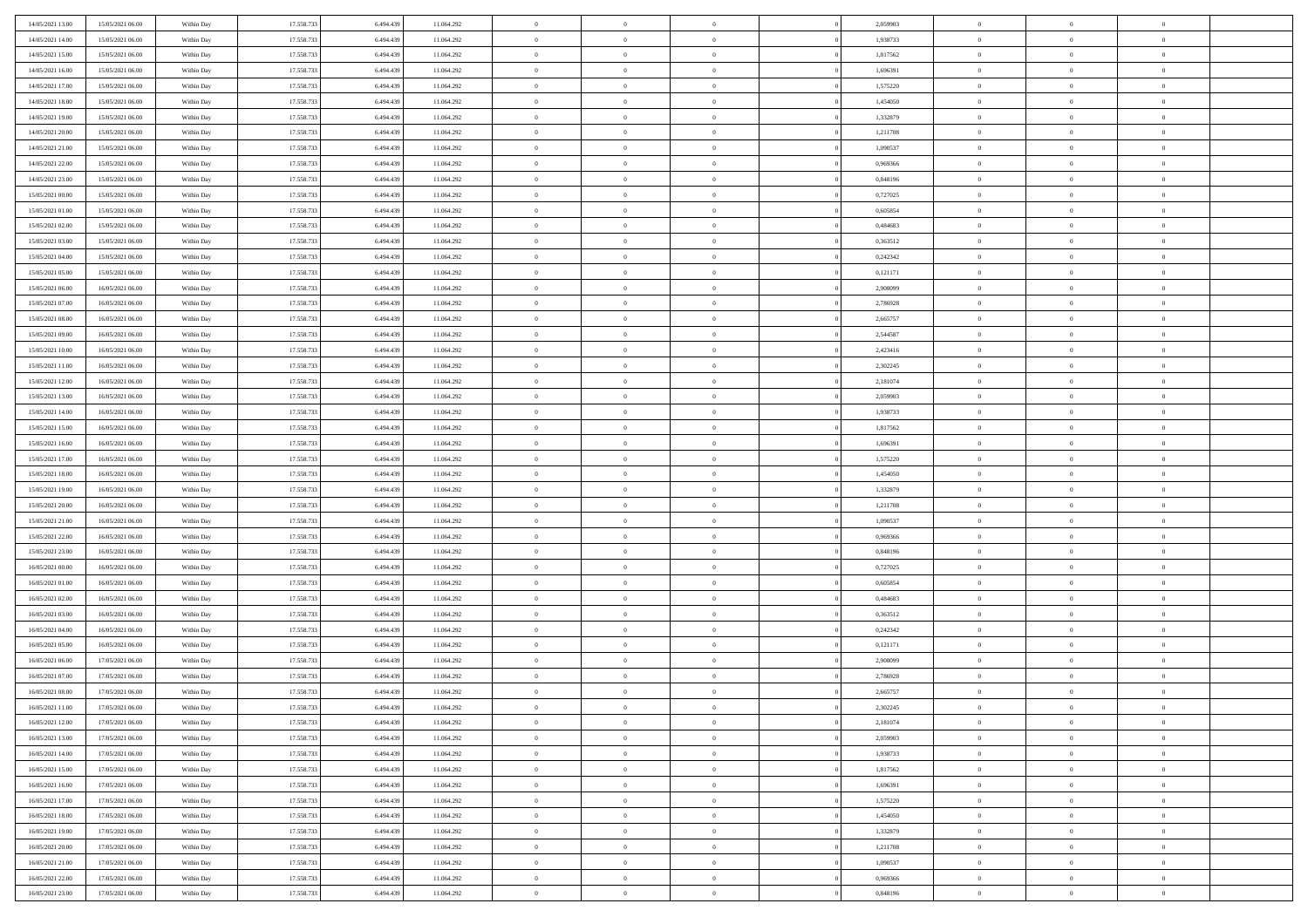| 14/05/2021 13:00                     | 15/05/2021 06:00                     | Within Day               | 17.558.733               | 6.494.439              | 11.064.292               | $\bf{0}$                       | $\bf{0}$                         | $\theta$                         |          | 2,059903             | $\bf{0}$                 | $\overline{0}$                   | $\,0\,$                          |  |
|--------------------------------------|--------------------------------------|--------------------------|--------------------------|------------------------|--------------------------|--------------------------------|----------------------------------|----------------------------------|----------|----------------------|--------------------------|----------------------------------|----------------------------------|--|
| 14/05/2021 14:00                     | 15/05/2021 06:00                     | Within Day               | 17.558.733               | 6,494,439              | 11.064.292               | $\overline{0}$                 | $\overline{0}$                   | $\overline{0}$                   |          | 1,938733             | $\overline{0}$           | $\overline{0}$                   | $\theta$                         |  |
| 14/05/2021 15:00                     | 15/05/2021 06:00                     | Within Dav               | 17.558.733               | 6.494.439              | 11.064.292               | $\mathbf{0}$                   | $\overline{0}$                   | $\overline{0}$                   |          | 1,817562             | $\mathbf{0}$             | $\overline{0}$                   | $\overline{0}$                   |  |
| 14/05/2021 16:00                     | 15/05/2021 06:00                     | Within Day               | 17.558.733               | 6.494.439              | 11.064.292               | $\bf{0}$                       | $\overline{0}$                   | $\bf{0}$                         |          | 1,696391             | $\bf{0}$                 | $\overline{0}$                   | $\bf{0}$                         |  |
| 14/05/2021 17:00                     | 15/05/2021 06:00                     | Within Day               | 17.558.733               | 6,494,439              | 11.064.292               | $\bf{0}$                       | $\bf{0}$                         | $\overline{0}$                   |          | 1,575220             | $\bf{0}$                 | $\bf{0}$                         | $\,0\,$                          |  |
| 14/05/2021 18:00                     | 15/05/2021 06:00                     | Within Dav               | 17.558.733               | 6.494.439              | 11.064.292               | $\mathbf{0}$                   | $\overline{0}$                   | $\overline{0}$                   |          | 1,454050             | $\mathbf{0}$             | $\overline{0}$                   | $\overline{0}$                   |  |
| 14/05/2021 19:00                     | 15/05/2021 06:00                     | Within Day               | 17.558.733               | 6.494.439              | 11.064.292               | $\bf{0}$                       | $\bf{0}$                         | $\overline{0}$                   |          | 1,332879             | $\bf{0}$                 | $\overline{0}$                   | $\,0\,$                          |  |
| 14/05/2021 20:00                     | 15/05/2021 06:00                     | Within Day               | 17.558.733               | 6,494,439              | 11.064.292               | $\overline{0}$                 | $\overline{0}$                   | $\overline{0}$                   |          | 1,211708             | $\,$ 0 $\,$              | $\overline{0}$                   | $\overline{0}$                   |  |
| 14/05/2021 21:00                     | 15/05/2021 06:00                     | Within Day               | 17.558.733               | 6.494.439              | 11.064.292               | $\mathbf{0}$                   | $\overline{0}$                   | $\overline{0}$                   |          | 1,090537             | $\mathbf{0}$             | $\overline{0}$                   | $\overline{0}$                   |  |
| 14/05/2021 22.00                     | 15/05/2021 06:00                     | Within Day               | 17.558.733               | 6.494.439              | 11.064.292               | $\bf{0}$                       | $\bf{0}$                         | $\overline{0}$                   |          | 0,969366             | $\bf{0}$                 | $\overline{0}$                   | $\,0\,$                          |  |
| 14/05/2021 23.00                     | 15/05/2021 06:00                     | Within Day               | 17.558.733               | 6,494,439              | 11.064.292               | $\overline{0}$                 | $\overline{0}$                   | $\overline{0}$                   |          | 0.848196             | $\bf{0}$                 | $\overline{0}$                   | $\theta$                         |  |
| 15/05/2021 00:00                     | 15/05/2021 06:00                     | Within Dav               | 17.558.733               | 6.494.439              | 11.064.292               | $\mathbf{0}$                   | $\overline{0}$                   | $\overline{0}$                   |          | 0,727025             | $\mathbf{0}$             | $\overline{0}$                   | $\overline{0}$                   |  |
| 15/05/2021 01:00                     | 15/05/2021 06:00                     | Within Day               | 17.558.733               | 6.494.439              | 11.064.292               | $\bf{0}$                       | $\overline{0}$                   | $\bf{0}$                         |          | 0,605854             | $\bf{0}$                 | $\overline{0}$                   | $\bf{0}$                         |  |
| 15/05/2021 02:00                     | 15/05/2021 06:00                     | Within Day               | 17.558.733               | 6,494,439              | 11.064.292               | $\bf{0}$                       | $\overline{0}$                   | $\overline{0}$                   |          | 0,484683             | $\bf{0}$                 | $\mathbf{0}$                     | $\,0\,$                          |  |
| 15/05/2021 03:00                     | 15/05/2021 06:00                     | Within Dav               | 17.558.733               | 6.494.439              | 11.064.292               | $\overline{0}$                 | $\overline{0}$                   | $\overline{0}$                   |          | 0,363512             | $\mathbf{0}$             | $\overline{0}$                   | $\overline{0}$                   |  |
| 15/05/2021 04:00                     | 15/05/2021 06:00                     | Within Day               | 17.558.733               | 6.494.439              | 11.064.292               | $\bf{0}$                       | $\bf{0}$                         | $\overline{0}$                   |          | 0,242342             | $\bf{0}$                 | $\overline{0}$                   | $\bf{0}$                         |  |
| 15/05/2021 05:00                     | 15/05/2021 06:00                     | Within Day               | 17.558.733               | 6,494,439              | 11.064.292               | $\overline{0}$                 | $\overline{0}$                   | $\overline{0}$                   |          | 0,121171             | $\,$ 0 $\,$              | $\overline{0}$                   | $\theta$                         |  |
| 15/05/2021 06:00                     | 16/05/2021 06:00                     | Within Day               | 17.558.733               | 6.494.439              | 11.064.292               | $\mathbf{0}$                   | $\overline{0}$                   | $\overline{0}$                   |          | 2,908099             | $\mathbf{0}$             | $\overline{0}$                   | $\overline{0}$                   |  |
| 15/05/2021 07:00                     | 16/05/2021 06:00                     | Within Day               | 17.558.733               | 6.494.439              | 11.064.292               | $\bf{0}$                       | $\bf{0}$                         | $\overline{0}$                   |          | 2,786928             | $\bf{0}$                 | $\overline{0}$                   | $\,0\,$                          |  |
| 15/05/2021 08:00                     | 16/05/2021 06:00                     | Within Day               | 17.558.733               | 6,494,439              | 11.064.292               | $\overline{0}$                 | $\overline{0}$                   | $\overline{0}$                   |          | 2,665757             | $\bf{0}$                 | $\overline{0}$                   | $\bf{0}$                         |  |
| 15/05/2021 09:00                     | 16/05/2021 06:00                     | Within Dav               | 17.558.733               | 6.494.439              | 11.064.292               | $\mathbf{0}$                   | $\overline{0}$                   | $\overline{0}$                   |          | 2,544587             | $\mathbf{0}$             | $\overline{0}$                   | $\overline{0}$                   |  |
| 15/05/2021 10:00                     | 16/05/2021 06:00                     | Within Day               | 17.558.733               | 6.494.439              | 11.064.292               | $\bf{0}$                       | $\overline{0}$                   | $\overline{0}$                   |          | 2,423416             | $\bf{0}$                 | $\overline{0}$                   | $\bf{0}$                         |  |
| 15/05/2021 11:00                     | 16/05/2021 06:00                     |                          | 17.558.733               | 6,494,439              | 11.064.292               | $\bf{0}$                       | $\bf{0}$                         | $\overline{0}$                   |          | 2,302245             | $\bf{0}$                 | $\overline{0}$                   | $\,0\,$                          |  |
| 15/05/2021 12:00                     | 16/05/2021 06:00                     | Within Day<br>Within Dav | 17.558.733               | 6.494.439              | 11.064.292               | $\mathbf{0}$                   | $\overline{0}$                   | $\overline{0}$                   |          | 2,181074             | $\mathbf{0}$             | $\overline{0}$                   | $\overline{0}$                   |  |
| 15/05/2021 13:00                     | 16/05/2021 06:00                     | Within Day               | 17.558.733               | 6.494.439              | 11.064.292               | $\bf{0}$                       | $\bf{0}$                         | $\overline{0}$                   |          | 2,059903             | $\bf{0}$                 | $\overline{0}$                   | $\,0\,$                          |  |
|                                      |                                      |                          | 17.558.733               | 6,494,439              |                          | $\overline{0}$                 | $\overline{0}$                   | $\overline{0}$                   |          |                      |                          | $\overline{0}$                   | $\overline{0}$                   |  |
| 15/05/2021 14:00<br>15/05/2021 15:00 | 16/05/2021 06:00                     | Within Day               |                          |                        | 11.064.292               | $\mathbf{0}$                   |                                  |                                  |          | 1,938733             | $\bf{0}$<br>$\mathbf{0}$ |                                  | $\overline{0}$                   |  |
|                                      | 16/05/2021 06:00                     | Within Day               | 17.558.733               | 6.494.439              | 11.064.292               |                                | $\overline{0}$                   | $\overline{0}$<br>$\overline{0}$ |          | 1,817562             |                          | $\overline{0}$<br>$\overline{0}$ |                                  |  |
| 15/05/2021 16:00                     | 16/05/2021 06:00                     | Within Day               | 17.558.733               | 6.494.439<br>6,494,439 | 11.064.292               | $\bf{0}$                       | $\bf{0}$                         |                                  |          | 1,696391             | $\bf{0}$                 |                                  | $\,0\,$                          |  |
| 15/05/2021 17:00                     | 16/05/2021 06:00                     | Within Day               | 17.558.733               |                        | 11.064.292               | $\bf{0}$<br>$\mathbf{0}$       | $\bf{0}$                         | $\overline{0}$                   |          | 1,575220             | $\bf{0}$<br>$\mathbf{0}$ | $\overline{0}$                   | $\bf{0}$<br>$\overline{0}$       |  |
| 15/05/2021 18:00                     | 16/05/2021 06:00                     | Within Dav               | 17.558.733               | 6.494.439              | 11.064.292               |                                | $\overline{0}$                   | $\overline{0}$                   |          | 1,454050             |                          | $\overline{0}$                   |                                  |  |
| 15/05/2021 19:00                     | 16/05/2021 06:00                     | Within Day               | 17.558.733               | 6.494.439              | 11.064.292               | $\bf{0}$                       | $\overline{0}$                   | $\overline{0}$                   |          | 1,332879             | $\,$ 0                   | $\overline{0}$                   | $\theta$                         |  |
| 15/05/2021 20:00                     | 16/05/2021 06:00                     | Within Day               | 17.558.733               | 6,494,439              | 11.064.292               | $\bf{0}$                       | $\bf{0}$                         | $\overline{0}$                   |          | 1,211708             | $\bf{0}$                 | $\overline{0}$                   | $\bf{0}$                         |  |
| 15/05/2021 21:00                     | 16/05/2021 06:00                     | Within Dav               | 17.558.733               | 6.494.439              | 11.064.292               | $\mathbf{0}$                   | $\overline{0}$                   | $\overline{0}$                   |          | 1,090537             | $\mathbf{0}$             | $\overline{0}$                   | $\overline{0}$                   |  |
| 15/05/2021 22.00                     | 16/05/2021 06:00                     | Within Day               | 17.558.733               | 6.494.439              | 11.064.292               | $\bf{0}$                       | $\overline{0}$                   | $\overline{0}$                   |          | 0,969366             | $\,$ 0                   | $\overline{0}$                   | $\theta$                         |  |
| 15/05/2021 23.00                     | 16/05/2021 06:00                     | Within Day               | 17.558.733               | 6,494,439              | 11.064.292               | $\overline{0}$<br>$\mathbf{0}$ | $\overline{0}$                   | $\overline{0}$                   |          | 0.848196             | $\bf{0}$<br>$\mathbf{0}$ | $\overline{0}$                   | $\overline{0}$<br>$\overline{0}$ |  |
| 16/05/2021 00:00                     | 16/05/2021 06:00                     | Within Day               | 17.558.733               | 6.494.439              | 11.064.292               | $\bf{0}$                       | $\overline{0}$                   | $\overline{0}$                   |          | 0,727025             |                          | $\overline{0}$<br>$\overline{0}$ | $\theta$                         |  |
| 16/05/2021 01:00                     | 16/05/2021 06:00                     | Within Day               | 17.558.733<br>17.558.733 | 6.494.439<br>6,494,439 | 11.064.292               | $\bf{0}$                       | $\overline{0}$                   | $\overline{0}$<br>$\overline{0}$ |          | 0,605854<br>0.484683 | $\,$ 0                   | $\overline{0}$                   |                                  |  |
| 16/05/2021 02:00<br>16/05/2021 03:00 | 16/05/2021 06:00<br>16/05/2021 06:00 | Within Day<br>Within Dav | 17.558.733               | 6.494.439              | 11.064.292<br>11.064.292 | $\mathbf{0}$                   | $\overline{0}$<br>$\overline{0}$ | $\overline{0}$                   |          | 0,363512             | $\bf{0}$<br>$\mathbf{0}$ | $\overline{0}$                   | $\bf{0}$<br>$\overline{0}$       |  |
|                                      |                                      |                          |                          |                        |                          |                                |                                  |                                  |          |                      |                          | $\overline{0}$                   | $\theta$                         |  |
| 16/05/2021 04:00                     | 16/05/2021 06:00<br>16/05/2021 06:00 | Within Day               | 17.558.733<br>17.558.733 | 6.494.439<br>6.494.439 | 11.064.292               | $\,0\,$<br>$\bf{0}$            | $\overline{0}$<br>$\overline{0}$ | $\overline{0}$<br>$\overline{0}$ |          | 0,242342             | $\,$ 0                   | $\overline{0}$                   | $\overline{0}$                   |  |
| 16/05/2021 05:00<br>16/05/2021 06:00 | 17/05/2021 06:00                     | Within Day<br>Within Dav | 17.558.733               | 6.494.439              | 11.064.292<br>11.064.292 | $\mathbf{0}$                   | $\overline{0}$                   | $\overline{0}$                   |          | 0,121171<br>2,908099 | $\bf{0}$<br>$\mathbf{0}$ | $\overline{0}$                   | $\overline{0}$                   |  |
| 16/05/2021 07:00                     | 17/05/2021 06:00                     | Within Day               | 17.558.733               | 6.494.439              | 11.064.292               | $\bf{0}$                       | $\overline{0}$                   | $\overline{0}$                   |          | 2,786928             | $\,$ 0                   | $\overline{0}$                   | $\theta$                         |  |
| 16/05/2021 08:00                     | 17/05/2021 06:00                     |                          | 17.558.733               | 6.494.439              | 11.064.292               | $\bf{0}$                       | $\overline{0}$                   | $\overline{0}$                   |          | 2,665757             | $\bf{0}$                 | $\overline{0}$                   | $\overline{0}$                   |  |
| 16/05/2021 11:00                     | 17/05/2021 06:00                     | Within Day<br>Within Day | 17.558.733               | 6.494.439              | 11.064.292               | $\bf{0}$                       | $\overline{0}$                   | $\Omega$                         |          | 2,302245             | $\overline{0}$           | $\theta$                         | $\theta$                         |  |
| 16/05/2021 12:00                     | 17/05/2021 06:00                     | Within Day               | 17.558.733               | 6.494.439              | 11.064.292               | $\,0\,$                        | $\overline{0}$                   | $\overline{0}$                   |          | 2,181074             | $\,$ 0 $\,$              | $\bf{0}$                         | $\theta$                         |  |
|                                      |                                      |                          | 17.558.733               | 6.494.439              |                          |                                | $\overline{0}$                   | $\overline{0}$                   |          |                      | $\overline{0}$           | $\overline{0}$                   |                                  |  |
| 16/05/2021 13:00<br>16/05/2021 14:00 | 17/05/2021 06:00<br>17/05/2021 06:00 | Within Day<br>Within Day | 17.558.733               | 6.494.439              | 11.064.292<br>11.064.292 | $\overline{0}$<br>$\bf{0}$     | $\overline{0}$                   | $\overline{0}$                   |          | 2,059903<br>1,938733 | $\overline{0}$           | $\bf{0}$                         | $\overline{0}$<br>$\mathbf{0}$   |  |
| 16/05/2021 15:00                     | 17/05/2021 06:00                     | Within Day               | 17.558.733               | 6.494.439              | 11.064.292               | $\bf{0}$                       | $\overline{0}$                   | $\overline{0}$                   | $\theta$ | 1,817562             | $\mathbf{0}$             | $\bf{0}$                         | $\,$ 0 $\,$                      |  |
| 16/05/2021 16:00                     | 17/05/2021 06:00                     |                          | 17.558.733               | 6,494,439              |                          | $\bf{0}$                       | $\overline{0}$                   | $\overline{0}$                   |          | 1,696391             | $\,$ 0 $\,$              | $\overline{0}$                   | $\overline{0}$                   |  |
| 16/05/2021 17:00                     | 17/05/2021 06:00                     | Within Day<br>Within Day | 17.558.733               | 6.494.439              | 11.064.292<br>11.064.292 | $\bf{0}$                       | $\overline{0}$                   | $\overline{0}$                   |          | 1,575220             | $\mathbf{0}$             | $\overline{0}$                   | $\overline{0}$                   |  |
|                                      |                                      |                          |                          |                        |                          |                                |                                  |                                  |          |                      |                          |                                  |                                  |  |
| 16/05/2021 18:00                     | 17/05/2021 06:00                     | Within Day               | 17.558.733               | 6.494.439              | 11.064.292               | $\,$ 0 $\,$                    | $\overline{0}$                   | $\overline{0}$                   | $\theta$ | 1,454050             | $\,$ 0 $\,$              | $\mathbf{0}$                     | $\,$ 0 $\,$                      |  |
| 16/05/2021 19:00                     | 17/05/2021 06:00                     | Within Day               | 17.558.733               | 6.494.439              | 11.064.292               | $\bf{0}$                       | $\overline{0}$                   | $\overline{0}$                   |          | 1,332879             | $\overline{0}$           | $\overline{0}$                   | $\overline{0}$                   |  |
| 16/05/2021 20:00                     | 17/05/2021 06:00                     | Within Day               | 17.558.733               | 6.494.439              | 11.064.292               | $\bf{0}$                       | $\overline{0}$                   | $\overline{0}$                   |          | 1,211708             | $\mathbf{0}$             | $\bf{0}$                         | $\overline{0}$                   |  |
| 16/05/2021 21:00                     | 17/05/2021 06:00                     | Within Day               | 17.558.733               | 6.494.439              | 11.064.292               | $\,0\,$                        | $\overline{0}$                   | $\overline{0}$                   |          | 1,090537             | $\,$ 0 $\,$              | $\mathbf{0}$                     | $\,$ 0 $\,$                      |  |
| 16/05/2021 22.00                     | 17/05/2021 06:00                     | Within Day               | 17.558.733               | 6.494.439              | 11.064.292               | $\bf{0}$                       | $\overline{0}$                   | $\overline{0}$                   |          | 0,969366             | $\mathbf 0$              | $\mathbf{0}$                     | $\overline{0}$                   |  |
| 16/05/2021 23:00                     | 17/05/2021 06:00                     | Within Day               | 17.558.733               | 6.494.439              | 11.064.292               | $\bf{0}$                       | $\overline{0}$                   | $\overline{0}$                   |          | 0,848196             | $\mathbf{0}$             | $\overline{0}$                   | $\overline{0}$                   |  |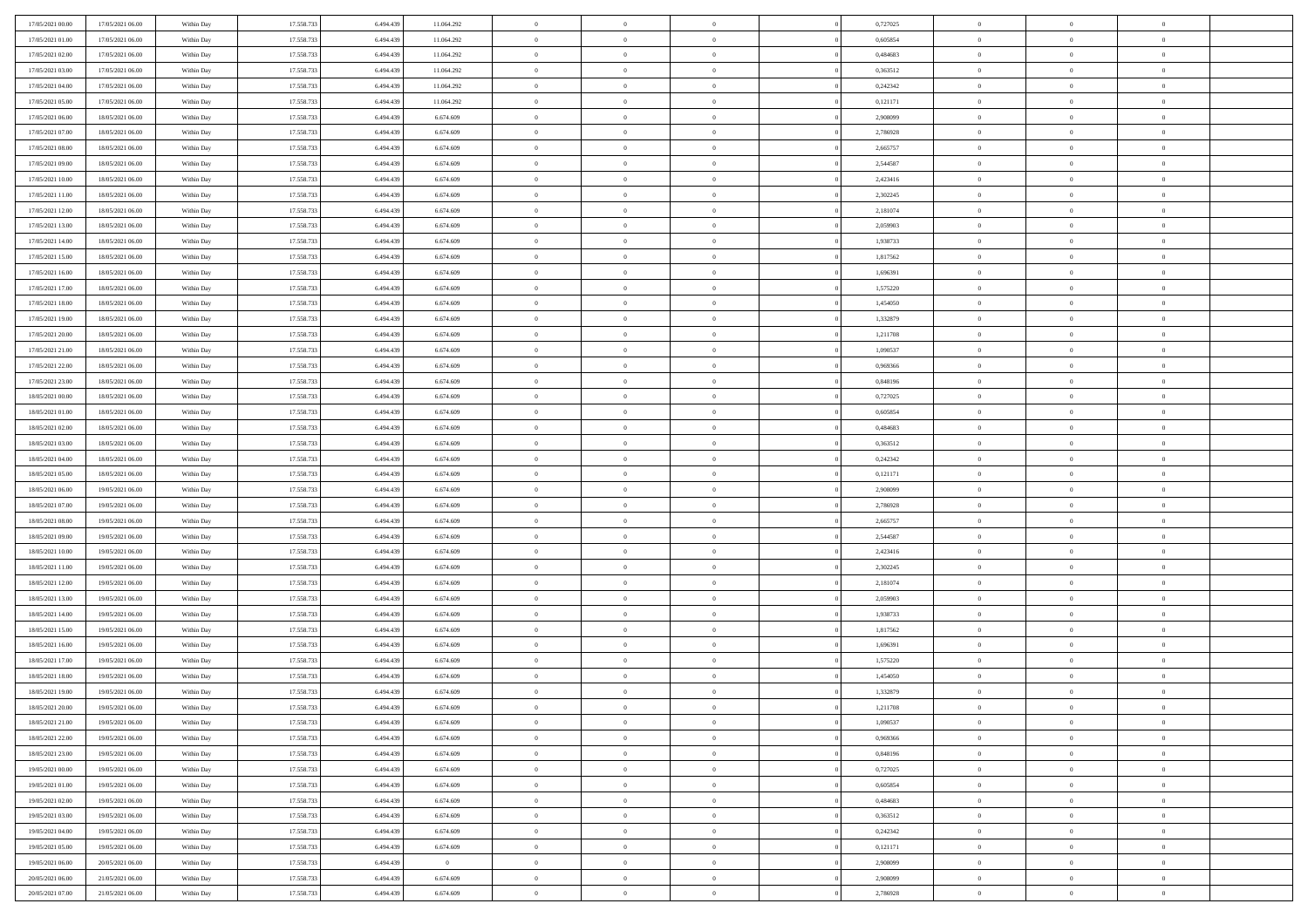| 17/05/2021 00:00 | 17/05/2021 06:00 | Within Day | 17.558.733 | 6.494.439 | 11.064.292 | $\bf{0}$       | $\bf{0}$       | $\overline{0}$ |          | 0,727025 | $\bf{0}$       | $\overline{0}$ | $\,0\,$        |  |
|------------------|------------------|------------|------------|-----------|------------|----------------|----------------|----------------|----------|----------|----------------|----------------|----------------|--|
| 17/05/2021 01:00 | 17/05/2021 06:00 | Within Day | 17.558.733 | 6,494,439 | 11.064.292 | $\overline{0}$ | $\overline{0}$ | $\overline{0}$ |          | 0.605854 | $\overline{0}$ | $\overline{0}$ | $\theta$       |  |
| 17/05/2021 02:00 | 17/05/2021 06:00 | Within Dav | 17.558.733 | 6.494.439 | 11.064.292 | $\mathbf{0}$   | $\overline{0}$ | $\overline{0}$ |          | 0,484683 | $\mathbf{0}$   | $\overline{0}$ | $\overline{0}$ |  |
| 17/05/2021 03:00 | 17/05/2021 06:00 | Within Day | 17.558.733 | 6.494.439 | 11.064.292 | $\bf{0}$       | $\overline{0}$ | $\overline{0}$ |          | 0,363512 | $\bf{0}$       | $\overline{0}$ | $\bf{0}$       |  |
| 17/05/2021 04:00 | 17/05/2021 06:00 | Within Day | 17.558.733 | 6,494,439 | 11.064.292 | $\bf{0}$       | $\bf{0}$       | $\overline{0}$ |          | 0,242342 | $\bf{0}$       | $\bf{0}$       | $\,0\,$        |  |
| 17/05/2021 05:00 | 17/05/2021 06:00 | Within Dav | 17.558.733 | 6.494.439 | 11.064.292 | $\mathbf{0}$   | $\overline{0}$ | $\overline{0}$ |          | 0,121171 | $\mathbf{0}$   | $\overline{0}$ | $\overline{0}$ |  |
| 17/05/2021 06:00 | 18/05/2021 06:00 | Within Day | 17.558.733 | 6.494.439 | 6.674.609  | $\bf{0}$       | $\bf{0}$       | $\overline{0}$ |          | 2,908099 | $\bf{0}$       | $\overline{0}$ | $\,0\,$        |  |
| 17/05/2021 07:00 | 18/05/2021 06:00 | Within Day | 17.558.733 | 6,494,439 | 6.674.609  | $\overline{0}$ | $\overline{0}$ | $\overline{0}$ |          | 2,786928 | $\,$ 0 $\,$    | $\overline{0}$ | $\overline{0}$ |  |
| 17/05/2021 08:00 | 18/05/2021 06:00 | Within Day | 17.558.733 | 6.494.439 | 6.674.609  | $\mathbf{0}$   | $\overline{0}$ | $\overline{0}$ |          | 2,665757 | $\mathbf{0}$   | $\overline{0}$ | $\overline{0}$ |  |
| 17/05/2021 09:00 | 18/05/2021 06:00 | Within Day | 17.558.733 | 6.494.439 | 6.674.609  | $\bf{0}$       | $\bf{0}$       | $\overline{0}$ |          | 2,544587 | $\bf{0}$       | $\overline{0}$ | $\,0\,$        |  |
| 17/05/2021 10:00 | 18/05/2021 06:00 | Within Day | 17.558.733 | 6,494,439 | 6.674.609  | $\overline{0}$ | $\overline{0}$ | $\overline{0}$ |          | 2,423416 | $\bf{0}$       | $\overline{0}$ | $\overline{0}$ |  |
| 17/05/2021 11:00 | 18/05/2021 06:00 | Within Dav | 17.558.733 | 6.494.439 | 6.674.609  | $\mathbf{0}$   | $\overline{0}$ | $\overline{0}$ |          | 2,302245 | $\mathbf{0}$   | $\overline{0}$ | $\overline{0}$ |  |
| 17/05/2021 12:00 | 18/05/2021 06:00 | Within Day | 17.558.733 | 6.494.439 | 6.674.609  | $\bf{0}$       | $\overline{0}$ | $\bf{0}$       |          | 2,181074 | $\bf{0}$       | $\overline{0}$ | $\bf{0}$       |  |
| 17/05/2021 13:00 | 18/05/2021 06:00 | Within Day | 17.558.733 | 6,494,439 | 6.674.609  | $\bf{0}$       | $\overline{0}$ | $\overline{0}$ |          | 2,059903 | $\bf{0}$       | $\mathbf{0}$   | $\,0\,$        |  |
| 17/05/2021 14:00 | 18/05/2021 06:00 | Within Dav | 17.558.733 | 6.494.439 | 6.674.609  | $\overline{0}$ | $\overline{0}$ | $\overline{0}$ |          | 1,938733 | $\mathbf{0}$   | $\overline{0}$ | $\overline{0}$ |  |
| 17/05/2021 15:00 | 18/05/2021 06:00 | Within Day | 17.558.733 | 6.494.439 | 6.674.609  | $\bf{0}$       | $\bf{0}$       | $\overline{0}$ |          | 1,817562 | $\bf{0}$       | $\overline{0}$ | $\bf{0}$       |  |
| 17/05/2021 16:00 | 18/05/2021 06:00 | Within Day | 17.558.733 | 6,494,439 | 6.674.609  | $\overline{0}$ | $\overline{0}$ | $\overline{0}$ |          | 1,696391 | $\bf{0}$       | $\overline{0}$ | $\overline{0}$ |  |
| 17/05/2021 17:00 | 18/05/2021 06:00 | Within Day | 17.558.733 | 6.494.439 | 6.674.609  | $\mathbf{0}$   | $\overline{0}$ | $\overline{0}$ |          | 1,575220 | $\mathbf{0}$   | $\overline{0}$ | $\overline{0}$ |  |
| 17/05/2021 18:00 | 18/05/2021 06:00 | Within Day | 17.558.733 | 6.494.439 | 6.674.609  | $\bf{0}$       | $\bf{0}$       | $\overline{0}$ |          | 1,454050 | $\bf{0}$       | $\overline{0}$ | $\,0\,$        |  |
| 17/05/2021 19:00 | 18/05/2021 06:00 | Within Day | 17.558.733 | 6,494,439 | 6.674.609  | $\bf{0}$       | $\overline{0}$ | $\overline{0}$ |          | 1,332879 | $\bf{0}$       | $\overline{0}$ | $\bf{0}$       |  |
| 17/05/2021 20:00 | 18/05/2021 06:00 | Within Dav | 17.558.733 | 6.494.439 | 6.674.609  | $\mathbf{0}$   | $\overline{0}$ | $\overline{0}$ |          | 1,211708 | $\mathbf{0}$   | $\overline{0}$ | $\overline{0}$ |  |
| 17/05/2021 21:00 | 18/05/2021 06:00 | Within Day | 17.558.733 | 6.494.439 | 6.674.609  | $\bf{0}$       | $\overline{0}$ | $\overline{0}$ |          | 1,090537 | $\bf{0}$       | $\overline{0}$ | $\bf{0}$       |  |
| 17/05/2021 22:00 | 18/05/2021 06:00 | Within Day | 17.558.733 | 6,494,439 | 6.674.609  | $\bf{0}$       | $\bf{0}$       | $\overline{0}$ |          | 0,969366 | $\bf{0}$       | $\bf{0}$       | $\,0\,$        |  |
| 17/05/2021 23:00 | 18/05/2021 06:00 | Within Dav | 17.558.733 | 6.494.439 | 6.674.609  | $\mathbf{0}$   | $\overline{0}$ | $\overline{0}$ |          | 0,848196 | $\mathbf{0}$   | $\overline{0}$ | $\overline{0}$ |  |
| 18/05/2021 00:00 | 18/05/2021 06:00 | Within Day | 17.558.733 | 6.494.439 | 6.674.609  | $\bf{0}$       | $\bf{0}$       | $\overline{0}$ |          | 0,727025 | $\bf{0}$       | $\overline{0}$ | $\,0\,$        |  |
| 18/05/2021 01:00 | 18/05/2021 06:00 | Within Day | 17.558.733 | 6,494,439 | 6.674.609  | $\overline{0}$ | $\overline{0}$ | $\overline{0}$ |          | 0.605854 | $\bf{0}$       | $\mathbf{0}$   | $\overline{0}$ |  |
| 18/05/2021 02:00 | 18/05/2021 06:00 | Within Day | 17.558.733 | 6.494.439 | 6.674.609  | $\mathbf{0}$   | $\overline{0}$ | $\overline{0}$ |          | 0,484683 | $\mathbf{0}$   | $\overline{0}$ | $\overline{0}$ |  |
| 18/05/2021 03:00 | 18/05/2021 06:00 | Within Day | 17.558.733 | 6.494.439 | 6.674.609  | $\bf{0}$       | $\bf{0}$       | $\overline{0}$ |          | 0,363512 | $\bf{0}$       | $\overline{0}$ | $\,0\,$        |  |
| 18/05/2021 04:00 | 18/05/2021 06:00 | Within Day | 17.558.733 | 6,494,439 | 6.674.609  | $\bf{0}$       | $\overline{0}$ | $\overline{0}$ |          | 0,242342 | $\bf{0}$       | $\bf{0}$       | $\overline{0}$ |  |
| 18/05/2021 05:00 | 18/05/2021 06:00 | Within Dav | 17.558.733 | 6.494.439 | 6.674.609  | $\mathbf{0}$   | $\overline{0}$ | $\overline{0}$ |          | 0,121171 | $\mathbf{0}$   | $\overline{0}$ | $\overline{0}$ |  |
| 18/05/2021 06:00 | 19/05/2021 06:00 | Within Day | 17.558.733 | 6.494.439 | 6.674.609  | $\bf{0}$       | $\overline{0}$ | $\theta$       |          | 2,908099 | $\,$ 0         | $\overline{0}$ | $\theta$       |  |
| 18/05/2021 07:00 | 19/05/2021 06:00 | Within Day | 17.558.733 | 6,494,439 | 6.674.609  | $\bf{0}$       | $\bf{0}$       | $\overline{0}$ |          | 2,786928 | $\bf{0}$       | $\bf{0}$       | $\overline{0}$ |  |
| 18/05/2021 08:00 | 19/05/2021 06:00 | Within Dav | 17.558.733 | 6.494.439 | 6.674.609  | $\overline{0}$ | $\overline{0}$ | $\overline{0}$ |          | 2,665757 | $\mathbf{0}$   | $\overline{0}$ | $\overline{0}$ |  |
| 18/05/2021 09:00 | 19/05/2021 06:00 | Within Day | 17.558.733 | 6.494.439 | 6.674.609  | $\bf{0}$       | $\overline{0}$ | $\theta$       |          | 2,544587 | $\,$ 0         | $\overline{0}$ | $\theta$       |  |
| 18/05/2021 10:00 | 19/05/2021 06:00 | Within Day | 17.558.733 | 6,494,439 | 6.674.609  | $\overline{0}$ | $\overline{0}$ | $\overline{0}$ |          | 2,423416 | $\bf{0}$       | $\overline{0}$ | $\overline{0}$ |  |
| 18/05/2021 11:00 | 19/05/2021 06:00 | Within Day | 17.558.733 | 6.494.439 | 6.674.609  | $\mathbf{0}$   | $\overline{0}$ | $\overline{0}$ |          | 2,302245 | $\mathbf{0}$   | $\overline{0}$ | $\overline{0}$ |  |
| 18/05/2021 12:00 | 19/05/2021 06:00 | Within Day | 17.558.733 | 6.494.439 | 6.674.609  | $\bf{0}$       | $\overline{0}$ | $\theta$       |          | 2,181074 | $\,$ 0         | $\overline{0}$ | $\theta$       |  |
| 18/05/2021 13:00 | 19/05/2021 06:00 | Within Day | 17.558.733 | 6,494,439 | 6.674.609  | $\bf{0}$       | $\overline{0}$ | $\overline{0}$ |          | 2,059903 | $\bf{0}$       | $\bf{0}$       | $\overline{0}$ |  |
| 18/05/2021 14:00 | 19/05/2021 06:00 | Within Dav | 17.558.733 | 6.494.439 | 6.674.609  | $\mathbf{0}$   | $\overline{0}$ | $\overline{0}$ |          | 1,938733 | $\mathbf{0}$   | $\overline{0}$ | $\overline{0}$ |  |
| 18/05/2021 15:00 | 19/05/2021 06:00 | Within Day | 17.558.733 | 6.494.439 | 6.674.609  | $\,0\,$        | $\overline{0}$ | $\theta$       |          | 1,817562 | $\,$ 0         | $\overline{0}$ | $\theta$       |  |
| 18/05/2021 16:00 | 19/05/2021 06:00 | Within Day | 17.558.733 | 6.494.439 | 6.674.609  | $\bf{0}$       | $\overline{0}$ | $\overline{0}$ |          | 1,696391 | $\bf{0}$       | $\overline{0}$ | $\bf{0}$       |  |
| 18/05/2021 17:00 | 19/05/2021 06:00 | Within Dav | 17.558.733 | 6.494.439 | 6.674.609  | $\mathbf{0}$   | $\overline{0}$ | $\overline{0}$ |          | 1,575220 | $\mathbf{0}$   | $\overline{0}$ | $\overline{0}$ |  |
| 18/05/2021 18:00 | 19/05/2021 06:00 | Within Day | 17.558.733 | 6.494.439 | 6.674.609  | $\bf{0}$       | $\overline{0}$ | $\theta$       |          | 1,454050 | $\,$ 0         | $\overline{0}$ | $\theta$       |  |
| 18/05/2021 19:00 | 19/05/2021 06:00 | Within Day | 17.558.733 | 6.494.439 | 6.674.609  | $\bf{0}$       | $\overline{0}$ | $\overline{0}$ |          | 1,332879 | $\bf{0}$       | $\overline{0}$ | $\bf{0}$       |  |
| 18/05/2021 20:00 | 19/05/2021 06:00 | Within Day | 17.558.733 | 6.494.439 | 6.674.609  | $\bf{0}$       | $\overline{0}$ | $\Omega$       |          | 1,211708 | $\overline{0}$ | $\theta$       | $\theta$       |  |
| 18/05/2021 21:00 | 19/05/2021 06:00 | Within Day | 17.558.733 | 6.494.439 | 6.674.609  | $\,0\,$        | $\overline{0}$ | $\theta$       |          | 1,090537 | $\,$ 0 $\,$    | $\bf{0}$       | $\theta$       |  |
| 18/05/2021 22:00 | 19/05/2021 06:00 | Within Day | 17.558.733 | 6.494.439 | 6.674.609  | $\overline{0}$ | $\overline{0}$ | $\overline{0}$ |          | 0,969366 | $\overline{0}$ | $\overline{0}$ | $\overline{0}$ |  |
| 18/05/2021 23:00 | 19/05/2021 06:00 | Within Day | 17.558.733 | 6.494.439 | 6.674.609  | $\bf{0}$       | $\overline{0}$ | $\overline{0}$ |          | 0,848196 | $\overline{0}$ | $\bf{0}$       | $\mathbf{0}$   |  |
| 19/05/2021 00:00 | 19/05/2021 06:00 | Within Day | 17.558.733 | 6.494.439 | 6.674.609  | $\bf{0}$       | $\overline{0}$ | $\overline{0}$ | $\theta$ | 0,727025 | $\mathbf{0}$   | $\bf{0}$       | $\,$ 0 $\,$    |  |
| 19/05/2021 01:00 | 19/05/2021 06:00 | Within Day | 17.558.733 | 6.494.439 | 6.674.609  | $\bf{0}$       | $\overline{0}$ | $\overline{0}$ |          | 0,605854 | $\,$ 0 $\,$    | $\overline{0}$ | $\overline{0}$ |  |
| 19/05/2021 02:00 | 19/05/2021 06:00 | Within Day | 17.558.733 | 6.494.439 | 6.674.609  | $\bf{0}$       | $\overline{0}$ | $\overline{0}$ |          | 0,484683 | $\mathbf{0}$   | $\overline{0}$ | $\overline{0}$ |  |
| 19/05/2021 03:00 | 19/05/2021 06:00 | Within Day | 17.558.733 | 6.494.439 | 6.674.609  | $\,$ 0 $\,$    | $\overline{0}$ | $\overline{0}$ | $\theta$ | 0,363512 | $\,$ 0 $\,$    | $\mathbf{0}$   | $\,$ 0 $\,$    |  |
| 19/05/2021 04:00 | 19/05/2021 06:00 | Within Day | 17.558.733 | 6.494.439 | 6.674.609  | $\bf{0}$       | $\overline{0}$ | $\overline{0}$ |          | 0,242342 | $\overline{0}$ | $\overline{0}$ | $\overline{0}$ |  |
| 19/05/2021 05:00 | 19/05/2021 06:00 | Within Day | 17.558.733 | 6.494.439 | 6.674.609  | $\bf{0}$       | $\overline{0}$ | $\overline{0}$ |          | 0,121171 | $\mathbf{0}$   | $\bf{0}$       | $\overline{0}$ |  |
| 19/05/2021 06:00 | 20/05/2021 06:00 | Within Day | 17.558.733 | 6.494.439 | $\bf{0}$   | $\,0\,$        | $\overline{0}$ | $\overline{0}$ |          | 2,908099 | $\,$ 0 $\,$    | $\mathbf{0}$   | $\,$ 0 $\,$    |  |
| 20/05/2021 06:00 | 21/05/2021 06:00 | Within Day | 17.558.733 | 6.494.439 | 6.674.609  | $\bf{0}$       | $\overline{0}$ | $\overline{0}$ |          | 2,908099 | $\mathbf{0}$   | $\mathbf{0}$   | $\overline{0}$ |  |
| 20/05/2021 07:00 | 21/05/2021 06:00 | Within Day | 17.558.733 | 6.494.439 | 6.674.609  | $\overline{0}$ | $\overline{0}$ | $\overline{0}$ |          | 2,786928 | $\mathbf{0}$   | $\overline{0}$ | $\overline{0}$ |  |
|                  |                  |            |            |           |            |                |                |                |          |          |                |                |                |  |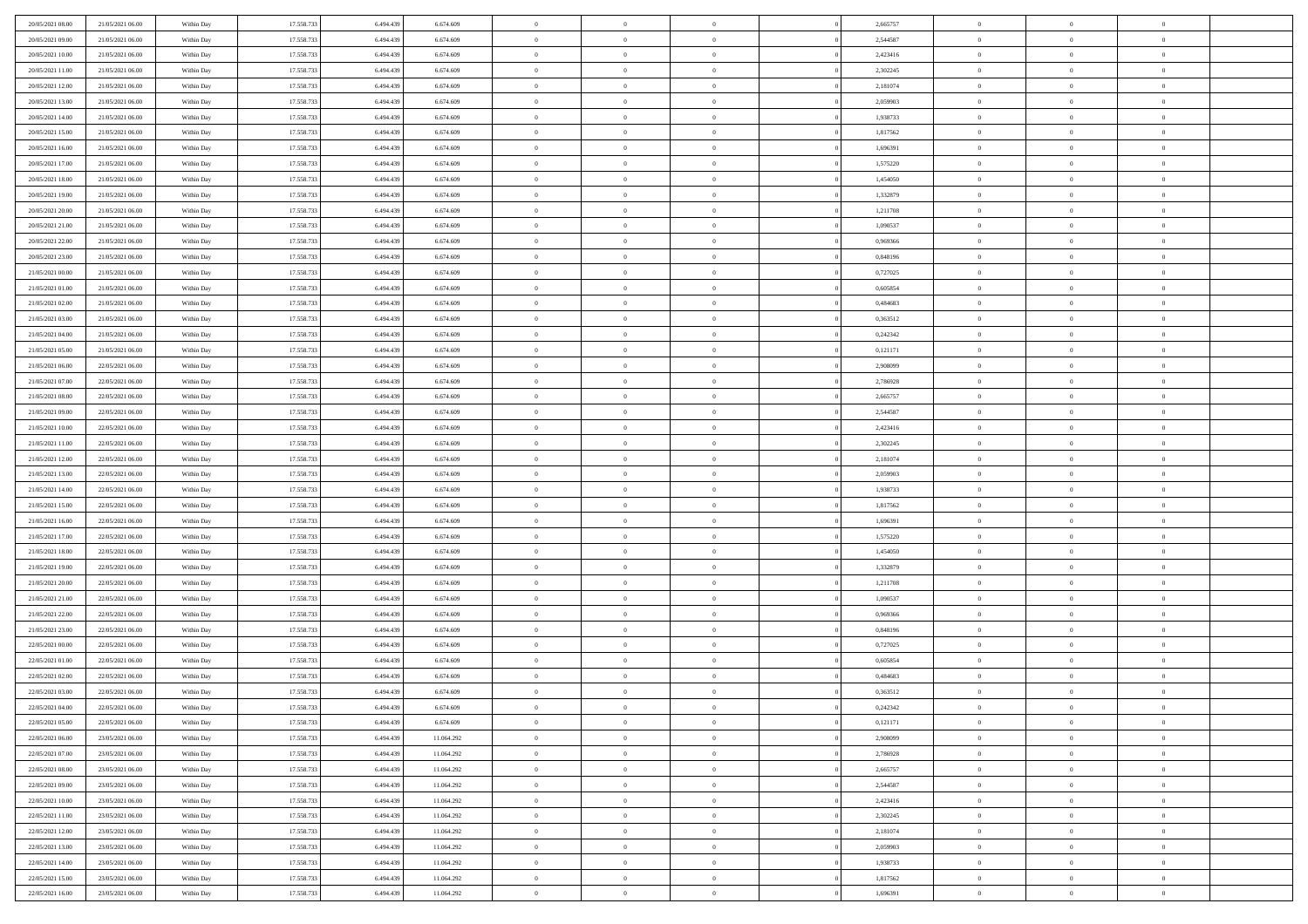| 20/05/2021 08:00 | 21/05/2021 06:00 | Within Day | 17.558.733 | 6.494.439 | 6.674.609  | $\,$ 0         | $\bf{0}$       | $\theta$       |          | 2,665757 | $\bf{0}$       | $\overline{0}$ | $\,0\,$        |  |
|------------------|------------------|------------|------------|-----------|------------|----------------|----------------|----------------|----------|----------|----------------|----------------|----------------|--|
| 20/05/2021 09:00 | 21/05/2021 06:00 | Within Day | 17.558.733 | 6,494,439 | 6.674.609  | $\overline{0}$ | $\overline{0}$ | $\overline{0}$ |          | 2,544587 | $\theta$       | $\overline{0}$ | $\theta$       |  |
| 20/05/2021 10:00 | 21/05/2021 06:00 | Within Dav | 17.558.733 | 6.494.439 | 6.674.609  | $\mathbf{0}$   | $\overline{0}$ | $\overline{0}$ |          | 2,423416 | $\mathbf{0}$   | $\overline{0}$ | $\overline{0}$ |  |
| 20/05/2021 11:00 | 21/05/2021 06:00 | Within Day | 17.558.733 | 6.494.439 | 6.674.609  | $\bf{0}$       | $\overline{0}$ | $\overline{0}$ |          | 2,302245 | $\bf{0}$       | $\overline{0}$ | $\bf{0}$       |  |
| 20/05/2021 12:00 | 21/05/2021 06:00 | Within Day | 17.558.733 | 6,494,439 | 6.674.609  | $\bf{0}$       | $\bf{0}$       | $\overline{0}$ |          | 2,181074 | $\bf{0}$       | $\bf{0}$       | $\,0\,$        |  |
| 20/05/2021 13:00 | 21/05/2021 06:00 | Within Dav | 17.558.733 | 6.494.439 | 6.674.609  | $\mathbf{0}$   | $\overline{0}$ | $\overline{0}$ |          | 2,059903 | $\mathbf{0}$   | $\overline{0}$ | $\overline{0}$ |  |
| 20/05/2021 14:00 | 21/05/2021 06:00 | Within Day | 17.558.733 | 6.494.439 | 6.674.609  | $\bf{0}$       | $\bf{0}$       | $\overline{0}$ |          | 1,938733 | $\bf{0}$       | $\overline{0}$ | $\,0\,$        |  |
| 20/05/2021 15:00 | 21/05/2021 06:00 | Within Day | 17.558.733 | 6,494,439 | 6.674.609  | $\overline{0}$ | $\overline{0}$ | $\overline{0}$ |          | 1,817562 | $\,$ 0 $\,$    | $\overline{0}$ | $\theta$       |  |
| 20/05/2021 16:00 | 21/05/2021 06:00 | Within Dav | 17.558.733 | 6.494.439 | 6.674.609  | $\mathbf{0}$   | $\overline{0}$ | $\overline{0}$ |          | 1,696391 | $\mathbf{0}$   | $\overline{0}$ | $\overline{0}$ |  |
| 20/05/2021 17:00 | 21/05/2021 06:00 | Within Day | 17.558.733 | 6.494.439 | 6.674.609  | $\bf{0}$       | $\bf{0}$       | $\overline{0}$ |          | 1,575220 | $\bf{0}$       | $\overline{0}$ | $\,0\,$        |  |
| 20/05/2021 18:00 | 21/05/2021 06:00 | Within Day | 17.558.733 | 6,494,439 | 6.674.609  | $\bf{0}$       | $\overline{0}$ | $\overline{0}$ |          | 1,454050 | $\bf{0}$       | $\overline{0}$ | $\theta$       |  |
| 20/05/2021 19:00 | 21/05/2021 06:00 | Within Dav | 17.558.733 | 6.494.439 | 6.674.609  | $\mathbf{0}$   | $\overline{0}$ | $\overline{0}$ |          | 1,332879 | $\mathbf{0}$   | $\overline{0}$ | $\overline{0}$ |  |
| 20/05/2021 20:00 | 21/05/2021 06:00 | Within Day | 17.558.733 | 6.494.439 | 6.674.609  | $\bf{0}$       | $\overline{0}$ | $\bf{0}$       |          | 1,211708 | $\bf{0}$       | $\overline{0}$ | $\bf{0}$       |  |
| 20/05/2021 21:00 | 21/05/2021 06:00 | Within Day | 17.558.733 | 6.494.439 | 6.674.609  | $\bf{0}$       | $\overline{0}$ | $\overline{0}$ |          | 1,090537 | $\bf{0}$       | $\overline{0}$ | $\,0\,$        |  |
| 20/05/2021 22:00 | 21/05/2021 06:00 | Within Dav | 17.558.733 | 6.494.439 | 6.674.609  | $\overline{0}$ | $\overline{0}$ | $\overline{0}$ |          | 0,969366 | $\mathbf{0}$   | $\overline{0}$ | $\overline{0}$ |  |
| 20/05/2021 23:00 | 21/05/2021 06:00 | Within Day | 17.558.733 | 6.494.439 | 6.674.609  | $\bf{0}$       | $\bf{0}$       | $\overline{0}$ |          | 0,848196 | $\bf{0}$       | $\overline{0}$ | $\bf{0}$       |  |
| 21/05/2021 00:00 | 21/05/2021 06:00 | Within Day | 17.558.733 | 6,494,439 | 6.674.609  | $\bf{0}$       | $\overline{0}$ | $\overline{0}$ |          | 0,727025 | $\bf{0}$       | $\overline{0}$ | $\theta$       |  |
| 21/05/2021 01:00 | 21/05/2021 06:00 | Within Day | 17.558.733 | 6.494.439 | 6.674.609  | $\mathbf{0}$   | $\overline{0}$ | $\overline{0}$ |          | 0,605854 | $\mathbf{0}$   | $\overline{0}$ | $\overline{0}$ |  |
| 21/05/2021 02:00 | 21/05/2021 06:00 | Within Day | 17.558.733 | 6.494.439 | 6.674.609  | $\bf{0}$       | $\bf{0}$       | $\overline{0}$ |          | 0,484683 | $\bf{0}$       | $\overline{0}$ | $\,0\,$        |  |
| 21/05/2021 03:00 | 21/05/2021 06:00 | Within Day | 17.558.733 | 6.494.439 | 6.674.609  | $\bf{0}$       | $\overline{0}$ | $\overline{0}$ |          | 0,363512 | $\bf{0}$       | $\overline{0}$ | $\overline{0}$ |  |
| 21/05/2021 04:00 | 21/05/2021 06:00 | Within Dav | 17.558.733 | 6.494.439 | 6.674.609  | $\mathbf{0}$   | $\overline{0}$ | $\overline{0}$ |          | 0,242342 | $\mathbf{0}$   | $\overline{0}$ | $\overline{0}$ |  |
| 21/05/2021 05:00 | 21/05/2021 06:00 | Within Day | 17.558.733 | 6.494.439 | 6.674.609  | $\bf{0}$       | $\overline{0}$ | $\overline{0}$ |          | 0,121171 | $\bf{0}$       | $\overline{0}$ | $\bf{0}$       |  |
| 21/05/2021 06:00 | 22/05/2021 06:00 | Within Day | 17.558.733 | 6,494,439 | 6.674.609  | $\bf{0}$       | $\bf{0}$       | $\overline{0}$ |          | 2,908099 | $\bf{0}$       | $\overline{0}$ | $\,0\,$        |  |
| 21/05/2021 07:00 | 22/05/2021 06:00 | Within Dav | 17.558.733 | 6.494.439 | 6.674.609  | $\mathbf{0}$   | $\overline{0}$ | $\overline{0}$ |          | 2,786928 | $\mathbf{0}$   | $\overline{0}$ | $\overline{0}$ |  |
| 21/05/2021 08:00 | 22/05/2021 06:00 | Within Day | 17.558.733 | 6.494.439 | 6.674.609  | $\bf{0}$       | $\bf{0}$       | $\overline{0}$ |          | 2,665757 | $\bf{0}$       | $\overline{0}$ | $\bf{0}$       |  |
| 21/05/2021 09:00 | 22/05/2021 06:00 | Within Day | 17.558.733 | 6.494.439 | 6.674.609  | $\bf{0}$       | $\overline{0}$ | $\overline{0}$ |          | 2,544587 | $\bf{0}$       | $\mathbf{0}$   | $\overline{0}$ |  |
| 21/05/2021 10:00 | 22/05/2021 06:00 | Within Dav | 17.558.733 | 6.494.439 | 6.674.609  | $\mathbf{0}$   | $\overline{0}$ | $\overline{0}$ |          | 2,423416 | $\mathbf{0}$   | $\overline{0}$ | $\overline{0}$ |  |
| 21/05/2021 11:00 | 22/05/2021 06:00 | Within Day | 17.558.733 | 6.494.439 | 6.674.609  | $\bf{0}$       | $\bf{0}$       | $\overline{0}$ |          | 2,302245 | $\bf{0}$       | $\overline{0}$ | $\,0\,$        |  |
| 21/05/2021 12:00 | 22/05/2021 06:00 | Within Day | 17.558.733 | 6,494,439 | 6.674.609  | $\bf{0}$       | $\overline{0}$ | $\overline{0}$ |          | 2,181074 | $\bf{0}$       | $\overline{0}$ | $\overline{0}$ |  |
| 21/05/2021 13:00 | 22/05/2021 06:00 | Within Dav | 17.558.733 | 6.494.439 | 6.674.609  | $\mathbf{0}$   | $\overline{0}$ | $\overline{0}$ |          | 2,059903 | $\mathbf{0}$   | $\overline{0}$ | $\overline{0}$ |  |
| 21/05/2021 14:00 | 22/05/2021 06:00 | Within Day | 17.558.733 | 6.494.439 | 6.674.609  | $\bf{0}$       | $\overline{0}$ | $\theta$       |          | 1,938733 | $\,$ 0         | $\overline{0}$ | $\,$ 0 $\,$    |  |
| 21/05/2021 15:00 | 22/05/2021 06:00 | Within Day | 17.558.733 | 6.494.439 | 6.674.609  | $\bf{0}$       | $\bf{0}$       | $\overline{0}$ |          | 1,817562 | $\bf{0}$       | $\overline{0}$ | $\bf{0}$       |  |
| 21/05/2021 16:00 | 22/05/2021 06:00 | Within Dav | 17.558.733 | 6.494.439 | 6.674.609  | $\overline{0}$ | $\overline{0}$ | $\overline{0}$ |          | 1,696391 | $\mathbf{0}$   | $\overline{0}$ | $\overline{0}$ |  |
| 21/05/2021 17:00 | 22/05/2021 06:00 | Within Day | 17.558.733 | 6.494.439 | 6.674.609  | $\bf{0}$       | $\overline{0}$ | $\theta$       |          | 1,575220 | $\,$ 0         | $\overline{0}$ | $\theta$       |  |
| 21/05/2021 18:00 | 22/05/2021 06:00 | Within Day | 17.558.733 | 6,494,439 | 6.674.609  | $\overline{0}$ | $\overline{0}$ | $\overline{0}$ |          | 1,454050 | $\bf{0}$       | $\overline{0}$ | $\overline{0}$ |  |
| 21/05/2021 19:00 | 22/05/2021 06:00 | Within Day | 17.558.733 | 6.494.439 | 6.674.609  | $\mathbf{0}$   | $\overline{0}$ | $\overline{0}$ |          | 1,332879 | $\mathbf{0}$   | $\overline{0}$ | $\overline{0}$ |  |
| 21/05/2021 20:00 | 22/05/2021 06:00 | Within Day | 17.558.733 | 6.494.439 | 6.674.609  | $\bf{0}$       | $\overline{0}$ | $\theta$       |          | 1,211708 | $\,$ 0         | $\overline{0}$ | $\theta$       |  |
| 21/05/2021 21:00 | 22/05/2021 06:00 | Within Day | 17.558.733 | 6,494,439 | 6.674.609  | $\bf{0}$       | $\overline{0}$ | $\overline{0}$ |          | 1,090537 | $\bf{0}$       | $\overline{0}$ | $\bf{0}$       |  |
| 21/05/2021 22:00 | 22/05/2021 06:00 | Within Dav | 17.558.733 | 6.494.439 | 6.674.609  | $\mathbf{0}$   | $\overline{0}$ | $\overline{0}$ |          | 0,969366 | $\mathbf{0}$   | $\overline{0}$ | $\overline{0}$ |  |
| 21/05/2021 23:00 | 22/05/2021 06:00 | Within Day | 17.558.733 | 6.494.439 | 6.674.609  | $\,0\,$        | $\overline{0}$ | $\theta$       |          | 0,848196 | $\,$ 0         | $\overline{0}$ | $\theta$       |  |
| 22/05/2021 00:00 | 22/05/2021 06:00 | Within Day | 17.558.733 | 6.494.439 | 6.674.609  | $\bf{0}$       | $\overline{0}$ | $\overline{0}$ |          | 0,727025 | $\bf{0}$       | $\overline{0}$ | $\bf{0}$       |  |
| 22/05/2021 01:00 | 22/05/2021 06:00 | Within Dav | 17.558.733 | 6.494.439 | 6.674.609  | $\mathbf{0}$   | $\overline{0}$ | $\overline{0}$ |          | 0,605854 | $\mathbf{0}$   | $\overline{0}$ | $\overline{0}$ |  |
| 22/05/2021 02:00 | 22/05/2021 06:00 | Within Day | 17.558.733 | 6.494.439 | 6.674.609  | $\bf{0}$       | $\overline{0}$ | $\theta$       |          | 0,484683 | $\,$ 0         | $\overline{0}$ | $\theta$       |  |
| 22/05/2021 03:00 | 22/05/2021 06:00 | Within Day | 17.558.733 | 6.494.439 | 6.674.609  | $\bf{0}$       | $\overline{0}$ | $\overline{0}$ |          | 0,363512 | $\bf{0}$       | $\overline{0}$ | $\bf{0}$       |  |
| 22/05/2021 04:00 | 22/05/2021 06:00 | Within Day | 17.558.733 | 6.494.439 | 6.674.609  | $\bf{0}$       | $\overline{0}$ | $\Omega$       |          | 0,242342 | $\overline{0}$ | $\theta$       | $\theta$       |  |
| 22/05/2021 05:00 | 22/05/2021 06:00 | Within Day | 17.558.733 | 6.494.439 | 6.674.609  | $\,0\,$        | $\overline{0}$ | $\theta$       |          | 0,121171 | $\,$ 0 $\,$    | $\bf{0}$       | $\theta$       |  |
| 22/05/2021 06:00 | 23/05/2021 06:00 | Within Day | 17.558.733 | 6.494.439 | 11.064.292 | $\overline{0}$ | $\overline{0}$ | $\overline{0}$ |          | 2,908099 | $\overline{0}$ | $\overline{0}$ | $\overline{0}$ |  |
| 22/05/2021 07:00 | 23/05/2021 06:00 | Within Day | 17.558.733 | 6.494.439 | 11.064.292 | $\bf{0}$       | $\overline{0}$ | $\overline{0}$ |          | 2,786928 | $\overline{0}$ | $\bf{0}$       | $\mathbf{0}$   |  |
| 22/05/2021 08:00 | 23/05/2021 06:00 | Within Day | 17.558.733 | 6.494.439 | 11.064.292 | $\bf{0}$       | $\overline{0}$ | $\overline{0}$ | $\theta$ | 2,665757 | $\mathbf{0}$   | $\bf{0}$       | $\,$ 0 $\,$    |  |
| 22/05/2021 09:00 | 23/05/2021 06:00 | Within Day | 17.558.733 | 6.494.439 | 11.064.292 | $\bf{0}$       | $\overline{0}$ | $\overline{0}$ |          | 2,544587 | $\,$ 0 $\,$    | $\overline{0}$ | $\overline{0}$ |  |
| 22/05/2021 10:00 | 23/05/2021 06:00 | Within Day | 17.558.733 | 6.494.439 | 11.064.292 | $\bf{0}$       | $\overline{0}$ | $\overline{0}$ |          | 2,423416 | $\mathbf{0}$   | $\overline{0}$ | $\overline{0}$ |  |
| 22/05/2021 11:00 | 23/05/2021 06:00 | Within Day | 17.558.733 | 6.494.439 | 11.064.292 | $\,$ 0 $\,$    | $\overline{0}$ | $\overline{0}$ | $\theta$ | 2,302245 | $\,$ 0 $\,$    | $\overline{0}$ | $\,$ 0 $\,$    |  |
| 22/05/2021 12:00 | 23/05/2021 06:00 | Within Day | 17.558.733 | 6.494.439 | 11.064.292 | $\bf{0}$       | $\overline{0}$ | $\overline{0}$ |          | 2,181074 | $\overline{0}$ | $\overline{0}$ | $\overline{0}$ |  |
| 22/05/2021 13:00 | 23/05/2021 06:00 | Within Day | 17.558.733 | 6.494.439 | 11.064.292 | $\bf{0}$       | $\overline{0}$ | $\overline{0}$ |          | 2,059903 | $\mathbf{0}$   | $\overline{0}$ | $\overline{0}$ |  |
| 22/05/2021 14:00 | 23/05/2021 06:00 | Within Day | 17.558.733 | 6.494.439 | 11.064.292 | $\,0\,$        | $\overline{0}$ | $\overline{0}$ |          | 1,938733 | $\,$ 0 $\,$    | $\mathbf{0}$   | $\,$ 0 $\,$    |  |
| 22/05/2021 15:00 | 23/05/2021 06:00 | Within Day | 17.558.733 | 6.494.439 | 11.064.292 | $\bf{0}$       | $\overline{0}$ | $\overline{0}$ |          | 1,817562 | $\bf{0}$       | $\mathbf{0}$   | $\overline{0}$ |  |
| 22/05/2021 16:00 | 23/05/2021 06:00 | Within Day | 17.558.733 | 6.494.439 | 11.064.292 | $\mathbf{0}$   | $\overline{0}$ | $\overline{0}$ |          | 1,696391 | $\mathbf{0}$   | $\overline{0}$ | $\overline{0}$ |  |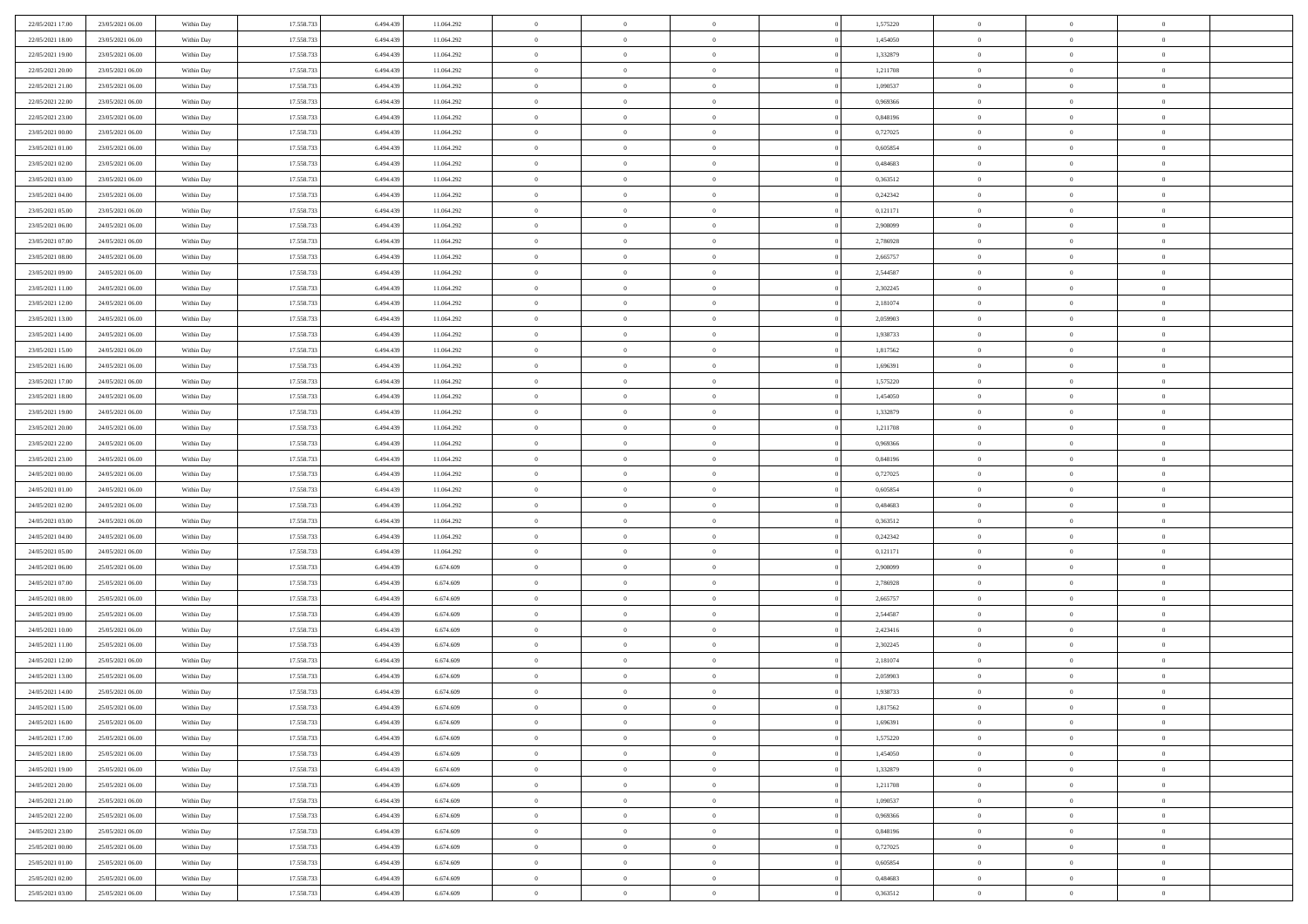| 22/05/2021 17:00                     | 23/05/2021 06:00                     | Within Day               | 17.558.733               | 6.494.439 | 11.064.292 | $\bf{0}$                 | $\bf{0}$                         | $\theta$                         |          | 1,575220 | $\bf{0}$                 | $\overline{0}$                   | $\,0\,$                    |  |
|--------------------------------------|--------------------------------------|--------------------------|--------------------------|-----------|------------|--------------------------|----------------------------------|----------------------------------|----------|----------|--------------------------|----------------------------------|----------------------------|--|
| 22/05/2021 18:00                     | 23/05/2021 06:00                     | Within Day               | 17.558.733               | 6,494,439 | 11.064.292 | $\overline{0}$           | $\overline{0}$                   | $\overline{0}$                   |          | 1,454050 | $\overline{0}$           | $\overline{0}$                   | $\theta$                   |  |
| 22/05/2021 19:00                     | 23/05/2021 06:00                     | Within Dav               | 17.558.733               | 6.494.439 | 11.064.292 | $\mathbf{0}$             | $\overline{0}$                   | $\overline{0}$                   |          | 1,332879 | $\mathbf{0}$             | $\overline{0}$                   | $\overline{0}$             |  |
| 22/05/2021 20:00                     | 23/05/2021 06:00                     | Within Day               | 17.558.733               | 6.494.439 | 11.064.292 | $\bf{0}$                 | $\overline{0}$                   | $\overline{0}$                   |          | 1,211708 | $\bf{0}$                 | $\overline{0}$                   | $\bf{0}$                   |  |
| 22/05/2021 21:00                     | 23/05/2021 06:00                     | Within Day               | 17.558.733               | 6,494,439 | 11.064.292 | $\bf{0}$                 | $\bf{0}$                         | $\overline{0}$                   |          | 1,090537 | $\bf{0}$                 | $\bf{0}$                         | $\,0\,$                    |  |
| 22/05/2021 22:00                     | 23/05/2021 06:00                     | Within Dav               | 17.558.733               | 6.494.439 | 11.064.292 | $\overline{0}$           | $\overline{0}$                   | $\overline{0}$                   |          | 0,969366 | $\mathbf{0}$             | $\overline{0}$                   | $\overline{0}$             |  |
| 22/05/2021 23:00                     | 23/05/2021 06:00                     | Within Day               | 17.558.733               | 6.494.439 | 11.064.292 | $\bf{0}$                 | $\bf{0}$                         | $\overline{0}$                   |          | 0,848196 | $\bf{0}$                 | $\overline{0}$                   | $\,0\,$                    |  |
| 23/05/2021 00:00                     | 23/05/2021 06:00                     | Within Day               | 17.558.733               | 6,494,439 | 11.064.292 | $\overline{0}$           | $\overline{0}$                   | $\overline{0}$                   |          | 0,727025 | $\,$ 0 $\,$              | $\overline{0}$                   | $\overline{0}$             |  |
| 23/05/2021 01:00                     | 23/05/2021 06:00                     | Within Day               | 17.558.733               | 6.494.439 | 11.064.292 | $\mathbf{0}$             | $\overline{0}$                   | $\overline{0}$                   |          | 0,605854 | $\mathbf{0}$             | $\overline{0}$                   | $\overline{0}$             |  |
| 23/05/2021 02:00                     | 23/05/2021 06:00                     | Within Day               | 17.558.733               | 6.494.439 | 11.064.292 | $\bf{0}$                 | $\bf{0}$                         | $\overline{0}$                   |          | 0,484683 | $\bf{0}$                 | $\overline{0}$                   | $\,0\,$                    |  |
| 23/05/2021 03:00                     | 23/05/2021 06:00                     | Within Day               | 17.558.733               | 6,494,439 | 11.064.292 | $\bf{0}$                 | $\overline{0}$                   | $\overline{0}$                   |          | 0.363512 | $\bf{0}$                 | $\overline{0}$                   | $\theta$                   |  |
| 23/05/2021 04:00                     | 23/05/2021 06:00                     | Within Dav               | 17.558.733               | 6.494.439 | 11.064.292 | $\mathbf{0}$             | $\overline{0}$                   | $\overline{0}$                   |          | 0,242342 | $\mathbf{0}$             | $\overline{0}$                   | $\overline{0}$             |  |
| 23/05/2021 05:00                     | 23/05/2021 06:00                     | Within Day               | 17.558.733               | 6.494.439 | 11.064.292 | $\bf{0}$                 | $\overline{0}$                   | $\bf{0}$                         |          | 0,121171 | $\bf{0}$                 | $\overline{0}$                   | $\overline{0}$             |  |
| 23/05/2021 06:00                     | 24/05/2021 06:00                     | Within Day               | 17.558.733               | 6,494,439 | 11.064.292 | $\bf{0}$                 | $\overline{0}$                   | $\overline{0}$                   |          | 2,908099 | $\bf{0}$                 | $\overline{0}$                   | $\,0\,$                    |  |
| 23/05/2021 07:00                     | 24/05/2021 06:00                     | Within Dav               | 17.558.733               | 6.494.439 | 11.064.292 | $\overline{0}$           | $\overline{0}$                   | $\overline{0}$                   |          | 2,786928 | $\mathbf{0}$             | $\overline{0}$                   | $\overline{0}$             |  |
| 23/05/2021 08:00                     | 24/05/2021 06:00                     | Within Day               | 17.558.733               | 6.494.439 | 11.064.292 | $\bf{0}$                 | $\bf{0}$                         | $\overline{0}$                   |          | 2,665757 | $\bf{0}$                 | $\overline{0}$                   | $\bf{0}$                   |  |
| 23/05/2021 09:00                     | 24/05/2021 06:00                     | Within Day               | 17.558.733               | 6,494,439 | 11.064.292 | $\overline{0}$           | $\overline{0}$                   | $\overline{0}$                   |          | 2,544587 | $\bf{0}$                 | $\overline{0}$                   | $\theta$                   |  |
| 23/05/2021 11:00                     | 24/05/2021 06:00                     | Within Day               | 17.558.733               | 6.494.439 | 11.064.292 | $\mathbf{0}$             | $\overline{0}$                   | $\overline{0}$                   |          | 2,302245 | $\mathbf{0}$             | $\overline{0}$                   | $\overline{0}$             |  |
| 23/05/2021 12:00                     | 24/05/2021 06:00                     | Within Day               | 17.558.733               | 6.494.439 | 11.064.292 | $\bf{0}$                 | $\bf{0}$                         | $\overline{0}$                   |          | 2,181074 | $\bf{0}$                 | $\overline{0}$                   | $\,0\,$                    |  |
| 23/05/2021 13:00                     | 24/05/2021 06:00                     | Within Day               | 17.558.733               | 6,494,439 | 11.064.292 | $\bf{0}$                 | $\overline{0}$                   | $\overline{0}$                   |          | 2,059903 | $\bf{0}$                 | $\overline{0}$                   | $\overline{0}$             |  |
| 23/05/2021 14:00                     | 24/05/2021 06:00                     | Within Dav               | 17.558.733               | 6.494.439 | 11.064.292 | $\mathbf{0}$             | $\overline{0}$                   | $\overline{0}$                   |          | 1,938733 | $\mathbf{0}$             | $\overline{0}$                   | $\overline{0}$             |  |
| 23/05/2021 15:00                     | 24/05/2021 06:00                     | Within Day               | 17.558.733               | 6.494.439 | 11.064.292 | $\bf{0}$                 | $\overline{0}$                   | $\overline{0}$                   |          | 1,817562 | $\bf{0}$                 | $\overline{0}$                   | $\bf{0}$                   |  |
| 23/05/2021 16:00                     | 24/05/2021 06:00                     |                          | 17.558.733               | 6,494,439 | 11.064.292 | $\bf{0}$                 | $\bf{0}$                         | $\overline{0}$                   |          | 1,696391 | $\bf{0}$                 | $\overline{0}$                   | $\,0\,$                    |  |
| 23/05/2021 17:00                     | 24/05/2021 06:00                     | Within Day<br>Within Dav | 17.558.733               | 6.494.439 | 11.064.292 | $\mathbf{0}$             | $\overline{0}$                   | $\overline{0}$                   |          | 1,575220 | $\mathbf{0}$             | $\overline{0}$                   | $\overline{0}$             |  |
| 23/05/2021 18:00                     | 24/05/2021 06:00                     | Within Day               | 17.558.733               | 6.494.439 | 11.064.292 | $\bf{0}$                 | $\bf{0}$                         | $\overline{0}$                   |          | 1,454050 | $\bf{0}$                 | $\overline{0}$                   | $\bf{0}$                   |  |
|                                      |                                      |                          |                          | 6,494,439 |            | $\overline{0}$           | $\overline{0}$                   | $\overline{0}$                   |          |          |                          | $\mathbf{0}$                     | $\overline{0}$             |  |
| 23/05/2021 19:00<br>23/05/2021 20:00 | 24/05/2021 06:00<br>24/05/2021 06:00 | Within Day               | 17.558.733               |           | 11.064.292 | $\mathbf{0}$             |                                  |                                  |          | 1,332879 | $\bf{0}$<br>$\mathbf{0}$ |                                  | $\overline{0}$             |  |
|                                      |                                      | Within Dav               | 17.558.733               | 6.494.439 | 11.064.292 |                          | $\overline{0}$                   | $\overline{0}$<br>$\overline{0}$ |          | 1,211708 |                          | $\overline{0}$<br>$\overline{0}$ |                            |  |
| 23/05/2021 22:00                     | 24/05/2021 06:00                     | Within Day               | 17.558.733               | 6.494.439 | 11.064.292 | $\bf{0}$                 | $\bf{0}$                         |                                  |          | 0,969366 | $\bf{0}$                 |                                  | $\,0\,$                    |  |
| 23/05/2021 23:00                     | 24/05/2021 06:00                     | Within Day               | 17.558.733               | 6,494,439 | 11.064.292 | $\bf{0}$<br>$\mathbf{0}$ | $\bf{0}$                         | $\overline{0}$                   |          | 0.848196 | $\bf{0}$<br>$\mathbf{0}$ | $\bf{0}$                         | $\bf{0}$<br>$\overline{0}$ |  |
| 24/05/2021 00:00                     | 24/05/2021 06:00                     | Within Dav               | 17.558.733               | 6.494.439 | 11.064.292 |                          | $\overline{0}$                   | $\overline{0}$                   |          | 0,727025 |                          | $\overline{0}$                   |                            |  |
| 24/05/2021 01:00                     | 24/05/2021 06:00                     | Within Day               | 17.558.733               | 6.494.439 | 11.064.292 | $\bf{0}$                 | $\overline{0}$                   | $\theta$                         |          | 0,605854 | $\,$ 0                   | $\overline{0}$                   | $\theta$                   |  |
| 24/05/2021 02:00                     | 24/05/2021 06:00                     | Within Day               | 17.558.733               | 6.494.439 | 11.064.292 | $\bf{0}$                 | $\bf{0}$                         | $\overline{0}$                   |          | 0,484683 | $\bf{0}$                 | $\overline{0}$                   | $\bf{0}$                   |  |
| 24/05/2021 03:00                     | 24/05/2021 06:00                     | Within Dav               | 17.558.733               | 6.494.439 | 11.064.292 | $\overline{0}$           | $\overline{0}$                   | $\overline{0}$                   |          | 0,363512 | $\mathbf{0}$             | $\overline{0}$                   | $\overline{0}$             |  |
| 24/05/2021 04:00                     | 24/05/2021 06:00                     | Within Day               | 17.558.733               | 6.494.439 | 11.064.292 | $\bf{0}$                 | $\overline{0}$                   | $\theta$                         |          | 0,242342 | $\,$ 0                   | $\overline{0}$                   | $\theta$                   |  |
| 24/05/2021 05:00                     | 24/05/2021 06:00                     | Within Day               | 17.558.733               | 6,494,439 | 11.064.292 | $\overline{0}$           | $\overline{0}$                   | $\overline{0}$                   |          | 0,121171 | $\bf{0}$                 | $\overline{0}$                   | $\overline{0}$             |  |
| 24/05/2021 06:00                     | 25/05/2021 06:00                     | Within Day               | 17.558.733               | 6.494.439 | 6.674.609  | $\mathbf{0}$             | $\overline{0}$                   | $\overline{0}$                   |          | 2,908099 | $\mathbf{0}$             | $\overline{0}$                   | $\overline{0}$             |  |
| 24/05/2021 07:00                     | 25/05/2021 06:00                     | Within Day               | 17.558.733               | 6.494.439 | 6.674.609  | $\bf{0}$                 | $\overline{0}$                   | $\theta$                         |          | 2,786928 | $\,$ 0                   | $\overline{0}$                   | $\theta$                   |  |
| 24/05/2021 08:00                     | 25/05/2021 06:00                     | Within Day               | 17.558.733               | 6,494,439 | 6.674.609  | $\bf{0}$                 | $\overline{0}$                   | $\overline{0}$                   |          | 2,665757 | $\bf{0}$                 | $\bf{0}$                         | $\bf{0}$                   |  |
| 24/05/2021 09:00                     | 25/05/2021 06:00                     | Within Dav               | 17.558.733               | 6.494.439 | 6.674.609  | $\mathbf{0}$             | $\overline{0}$                   | $\overline{0}$                   |          | 2,544587 | $\mathbf{0}$             | $\overline{0}$                   | $\overline{0}$             |  |
| 24/05/2021 10:00                     | 25/05/2021 06:00                     | Within Day               | 17.558.733               | 6.494.439 | 6.674.609  | $\,0\,$                  | $\overline{0}$                   | $\theta$                         |          | 2,423416 | $\,$ 0                   | $\overline{0}$                   | $\theta$                   |  |
| 24/05/2021 11:00                     | 25/05/2021 06:00                     | Within Day               | 17.558.733               | 6.494.439 | 6.674.609  | $\bf{0}$<br>$\mathbf{0}$ | $\overline{0}$                   | $\overline{0}$                   |          | 2,302245 | $\bf{0}$<br>$\mathbf{0}$ | $\overline{0}$                   | $\bf{0}$<br>$\overline{0}$ |  |
| 24/05/2021 12:00                     | 25/05/2021 06:00                     | Within Dav               | 17.558.733               | 6.494.439 | 6.674.609  | $\bf{0}$                 | $\overline{0}$                   | $\overline{0}$                   |          | 2,181074 |                          | $\overline{0}$                   | $\theta$                   |  |
| 24/05/2021 13:00                     | 25/05/2021 06:00<br>25/05/2021 06:00 | Within Day               | 17.558.733<br>17.558.733 | 6.494.439 | 6.674.609  | $\bf{0}$                 | $\overline{0}$<br>$\overline{0}$ | $\theta$                         |          | 2,059903 | $\,$ 0<br>$\bf{0}$       | $\overline{0}$<br>$\overline{0}$ |                            |  |
| 24/05/2021 14:00                     |                                      | Within Day               |                          | 6.494.439 | 6.674.609  |                          |                                  | $\overline{0}$                   |          | 1,938733 |                          |                                  | $\bf{0}$                   |  |
| 24/05/2021 15:00                     | 25/05/2021 06:00                     | Within Day               | 17.558.733               | 6.494.439 | 6.674.609  | $\bf{0}$                 | $\overline{0}$                   | $\Omega$                         |          | 1,817562 | $\overline{0}$           | $\theta$                         | $\theta$                   |  |
| 24/05/2021 16:00                     | 25/05/2021 06:00                     | Within Day               | 17.558.733               | 6.494.439 | 6.674.609  | $\,0\,$                  | $\overline{0}$                   | $\theta$                         |          | 1,696391 | $\,$ 0 $\,$              | $\bf{0}$                         | $\theta$                   |  |
| 24/05/2021 17:00                     | 25/05/2021 06:00                     | Within Day               | 17.558.733               | 6.494.439 | 6.674.609  | $\overline{0}$           | $\overline{0}$                   | $\overline{0}$                   |          | 1,575220 | $\overline{0}$           | $\overline{0}$                   | $\overline{0}$             |  |
| 24/05/2021 18:00                     | 25/05/2021 06:00                     | Within Day               | 17.558.733               | 6.494.439 | 6.674.609  | $\bf{0}$                 | $\overline{0}$                   | $\overline{0}$                   |          | 1,454050 | $\overline{0}$           | $\bf{0}$                         | $\mathbf{0}$               |  |
| 24/05/2021 19:00                     | 25/05/2021 06:00                     | Within Day               | 17.558.733               | 6.494.439 | 6.674.609  | $\bf{0}$                 | $\overline{0}$                   | $\overline{0}$                   | $\theta$ | 1,332879 | $\,$ 0 $\,$              | $\bf{0}$                         | $\,$ 0 $\,$                |  |
| 24/05/2021 20:00                     | 25/05/2021 06:00                     | Within Day               | 17.558.733               | 6.494.439 | 6.674.609  | $\bf{0}$                 | $\overline{0}$                   | $\overline{0}$                   |          | 1,211708 | $\,$ 0 $\,$              | $\overline{0}$                   | $\overline{0}$             |  |
| 24/05/2021 21:00                     | 25/05/2021 06:00                     | Within Day               | 17.558.733               | 6.494.439 | 6.674.609  | $\bf{0}$                 | $\overline{0}$                   | $\overline{0}$                   |          | 1,090537 | $\mathbf{0}$             | $\overline{0}$                   | $\overline{0}$             |  |
| 24/05/2021 22.00                     | 25/05/2021 06:00                     | Within Day               | 17.558.733               | 6.494.439 | 6.674.609  | $\,$ 0 $\,$              | $\overline{0}$                   | $\overline{0}$                   | $\theta$ | 0,969366 | $\,$ 0 $\,$              | $\overline{0}$                   | $\overline{0}$             |  |
| 24/05/2021 23:00                     | 25/05/2021 06:00                     | Within Day               | 17.558.733               | 6.494.439 | 6.674.609  | $\bf{0}$                 | $\overline{0}$                   | $\overline{0}$                   |          | 0,848196 | $\overline{0}$           | $\overline{0}$                   | $\overline{0}$             |  |
| 25/05/2021 00:00                     | 25/05/2021 06:00                     | Within Day               | 17.558.733               | 6.494.439 | 6.674.609  | $\bf{0}$                 | $\overline{0}$                   | $\overline{0}$                   |          | 0,727025 | $\mathbf{0}$             | $\overline{0}$                   | $\overline{0}$             |  |
| 25/05/2021 01:00                     | 25/05/2021 06:00                     | Within Day               | 17.558.733               | 6.494.439 | 6.674.609  | $\,0\,$                  | $\overline{0}$                   | $\overline{0}$                   |          | 0,605854 | $\,$ 0 $\,$              | $\mathbf{0}$                     | $\,$ 0 $\,$                |  |
| 25/05/2021 02:00                     | 25/05/2021 06:00                     | Within Day               | 17.558.733               | 6.494.439 | 6.674.609  | $\overline{0}$           | $\bf{0}$                         | $\overline{0}$                   |          | 0.484683 | $\bf{0}$                 | $\mathbf{0}$                     | $\overline{0}$             |  |
| 25/05/2021 03:00                     | 25/05/2021 06:00                     | Within Day               | 17.558.733               | 6.494.439 | 6.674.609  | $\bf{0}$                 | $\overline{0}$                   | $\overline{0}$                   |          | 0,363512 | $\mathbf{0}$             | $\overline{0}$                   | $\overline{0}$             |  |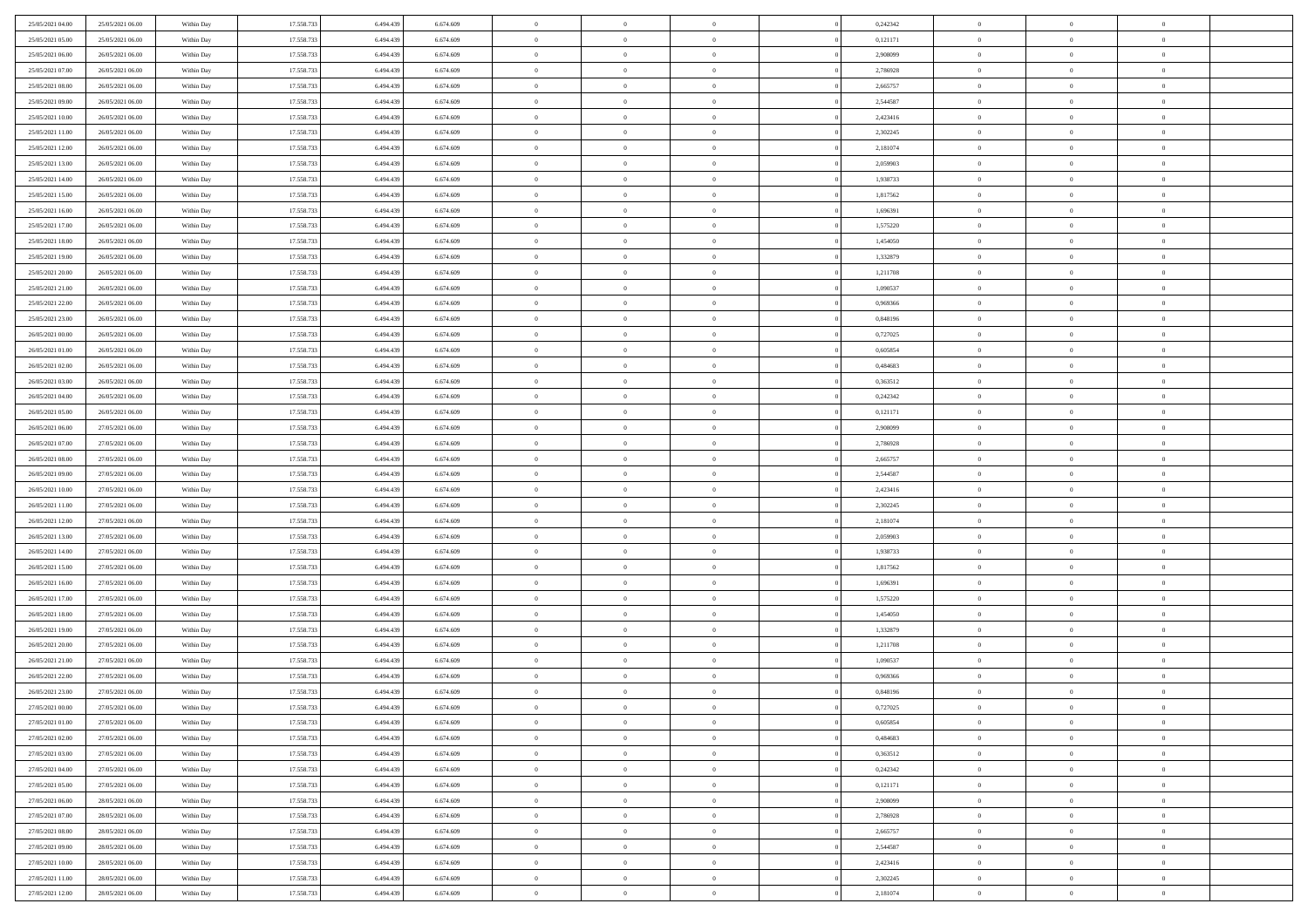| 25/05/2021 04:00 | 25/05/2021 06:00 | Within Day | 17.558.733 | 6.494.439 | 6.674.609 | $\overline{0}$ | $\overline{0}$ | $\Omega$       | 0,242342 | $\bf{0}$       | $\mathbf{0}$   | $\bf{0}$       |  |
|------------------|------------------|------------|------------|-----------|-----------|----------------|----------------|----------------|----------|----------------|----------------|----------------|--|
| 25/05/2021 05:00 | 25/05/2021 06:00 | Within Day | 17.558.733 | 6.494.439 | 6.674.609 | $\mathbf{0}$   | $\overline{0}$ | $\overline{0}$ | 0,121171 | $\mathbf{0}$   | $\overline{0}$ | $\overline{0}$ |  |
| 25/05/2021 06:00 | 26/05/2021 06:00 | Within Day | 17.558.733 | 6.494.439 | 6.674.609 | $\,$ 0         | $\overline{0}$ | $\bf{0}$       | 2,908099 | $\,$ 0         | $\overline{0}$ | $\,$ 0 $\,$    |  |
| 25/05/2021 07:00 | 26/05/2021 06:00 | Within Day | 17.558.733 | 6,494,439 | 6.674.609 | $\bf{0}$       | $\overline{0}$ | $\Omega$       | 2,786928 | $\bf{0}$       | $\mathbf{0}$   | $\theta$       |  |
| 25/05/2021 08:00 | 26/05/2021 06:00 | Within Day | 17.558.733 | 6.494.439 | 6.674.609 | $\bf{0}$       | $\overline{0}$ | $\overline{0}$ | 2,665757 | $\overline{0}$ | $\bf{0}$       | $\overline{0}$ |  |
| 25/05/2021 09:00 | 26/05/2021 06:00 | Within Day | 17.558.733 | 6.494.439 | 6.674.609 | $\bf{0}$       | $\overline{0}$ | $\bf{0}$       | 2,544587 | $\,$ 0         | $\overline{0}$ | $\,$ 0 $\,$    |  |
| 25/05/2021 10:00 | 26/05/2021 06:00 | Within Day | 17.558.733 | 6.494.439 | 6.674.609 | $\bf{0}$       | $\overline{0}$ | $\Omega$       | 2,423416 | $\bf{0}$       | $\bf{0}$       | $\theta$       |  |
| 25/05/2021 11:00 | 26/05/2021 06:00 | Within Day | 17.558.733 | 6.494.439 | 6.674.609 | $\overline{0}$ | $\overline{0}$ | $\overline{0}$ | 2,302245 | $\mathbf{0}$   | $\overline{0}$ | $\overline{0}$ |  |
| 25/05/2021 12:00 | 26/05/2021 06:00 | Within Day | 17.558.733 | 6.494.439 | 6.674.609 | $\bf{0}$       | $\overline{0}$ | $\bf{0}$       | 2,181074 | $\,$ 0         | $\overline{0}$ | $\,$ 0 $\,$    |  |
| 25/05/2021 13:00 | 26/05/2021 06:00 | Within Day | 17.558.733 | 6,494,439 | 6.674.609 | $\overline{0}$ | $\overline{0}$ | $\Omega$       | 2.059903 | $\theta$       | $\mathbf{0}$   | $\theta$       |  |
| 25/05/2021 14:00 | 26/05/2021 06:00 | Within Day | 17.558.733 | 6.494.439 | 6.674.609 | $\bf{0}$       | $\overline{0}$ | $\overline{0}$ | 1,938733 | $\mathbf{0}$   | $\overline{0}$ | $\overline{0}$ |  |
| 25/05/2021 15:00 | 26/05/2021 06:00 | Within Day | 17.558.733 | 6.494.439 | 6.674.609 | $\bf{0}$       | $\overline{0}$ | $\bf{0}$       | 1,817562 | $\,$ 0         | $\overline{0}$ | $\,$ 0 $\,$    |  |
| 25/05/2021 16:00 | 26/05/2021 06:00 | Within Day | 17.558.733 | 6,494,439 | 6.674.609 | $\bf{0}$       | $\overline{0}$ | $\Omega$       | 1.696391 | $\bf{0}$       | $\mathbf{0}$   | $\theta$       |  |
| 25/05/2021 17:00 | 26/05/2021 06:00 | Within Day | 17.558.733 | 6.494.439 | 6.674.609 | $\overline{0}$ | $\overline{0}$ | $\overline{0}$ | 1,575220 | $\mathbf{0}$   | $\overline{0}$ | $\overline{0}$ |  |
| 25/05/2021 18:00 | 26/05/2021 06:00 | Within Day | 17.558.733 | 6.494.439 | 6.674.609 | $\bf{0}$       | $\overline{0}$ | $\bf{0}$       | 1,454050 | $\,$ 0         | $\overline{0}$ | $\,$ 0 $\,$    |  |
| 25/05/2021 19:00 | 26/05/2021 06:00 | Within Day | 17.558.733 | 6.494.439 | 6.674.609 | $\bf{0}$       | $\overline{0}$ | $\overline{0}$ | 1,332879 | $\theta$       | $\bf{0}$       | $\bf{0}$       |  |
| 25/05/2021 20:00 | 26/05/2021 06:00 | Within Day | 17.558.733 | 6.494.439 | 6.674.609 | $\overline{0}$ | $\overline{0}$ | $\overline{0}$ | 1,211708 | $\mathbf{0}$   | $\overline{0}$ | $\overline{0}$ |  |
| 25/05/2021 21:00 | 26/05/2021 06:00 | Within Day | 17.558.733 | 6.494.439 | 6.674.609 | $\bf{0}$       | $\overline{0}$ | $\bf{0}$       | 1,090537 | $\,$ 0         | $\overline{0}$ | $\,$ 0 $\,$    |  |
| 25/05/2021 22.00 | 26/05/2021 06:00 | Within Day | 17.558.733 | 6,494,439 | 6.674.609 | $\bf{0}$       | $\overline{0}$ | $\Omega$       | 0.969366 | $\theta$       | $\mathbf{0}$   | $\theta$       |  |
| 25/05/2021 23:00 | 26/05/2021 06:00 | Within Day | 17.558.733 | 6.494.439 | 6.674.609 | $\overline{0}$ | $\overline{0}$ | $\overline{0}$ | 0,848196 | $\mathbf{0}$   | $\overline{0}$ | $\overline{0}$ |  |
| 26/05/2021 00:00 | 26/05/2021 06:00 | Within Day | 17.558.733 | 6.494.439 | 6.674.609 | $\bf{0}$       | $\overline{0}$ | $\bf{0}$       | 0,727025 | $\,$ 0         | $\overline{0}$ | $\,$ 0 $\,$    |  |
| 26/05/2021 01:00 | 26/05/2021 06:00 | Within Day | 17.558.733 | 6,494,439 | 6.674.609 | $\bf{0}$       | $\overline{0}$ | $\Omega$       | 0.605854 | $\bf{0}$       | $\mathbf{0}$   | $\theta$       |  |
| 26/05/2021 02:00 | 26/05/2021 06:00 | Within Day | 17.558.733 | 6.494.439 | 6.674.609 | $\overline{0}$ | $\overline{0}$ | $\overline{0}$ | 0,484683 | $\mathbf{0}$   | $\overline{0}$ | $\overline{0}$ |  |
| 26/05/2021 03:00 | 26/05/2021 06:00 | Within Day | 17.558.733 | 6.494.439 | 6.674.609 | $\bf{0}$       | $\overline{0}$ | $\bf{0}$       | 0,363512 | $\,$ 0         | $\overline{0}$ | $\,$ 0 $\,$    |  |
| 26/05/2021 04:00 | 26/05/2021 06:00 | Within Day | 17.558.733 | 6.494.439 | 6.674.609 | $\bf{0}$       | $\overline{0}$ | $\overline{0}$ | 0,242342 | $\bf{0}$       | $\bf{0}$       | $\bf{0}$       |  |
| 26/05/2021 05:00 | 26/05/2021 06:00 | Within Day | 17.558.733 | 6.494.439 | 6.674.609 | $\overline{0}$ | $\overline{0}$ | $\overline{0}$ | 0,121171 | $\mathbf{0}$   | $\overline{0}$ | $\overline{0}$ |  |
| 26/05/2021 06:00 | 27/05/2021 06:00 | Within Day | 17.558.733 | 6.494.439 | 6.674.609 | $\bf{0}$       | $\overline{0}$ | $\bf{0}$       | 2,908099 | $\,$ 0         | $\overline{0}$ | $\,$ 0 $\,$    |  |
| 26/05/2021 07:00 | 27/05/2021 06:00 | Within Day | 17.558.733 | 6,494,439 | 6.674.609 | $\bf{0}$       | $\overline{0}$ | $\Omega$       | 2,786928 | $\theta$       | $\mathbf{0}$   | $\theta$       |  |
| 26/05/2021 08:00 | 27/05/2021 06:00 | Within Day | 17.558.733 | 6.494.439 | 6.674.609 | $\overline{0}$ | $\overline{0}$ | $\overline{0}$ | 2,665757 | $\mathbf{0}$   | $\overline{0}$ | $\overline{0}$ |  |
| 26/05/2021 09:00 | 27/05/2021 06:00 | Within Day | 17.558.733 | 6.494.439 | 6.674.609 | $\bf{0}$       | $\overline{0}$ | $\bf{0}$       | 2,544587 | $\,$ 0         | $\overline{0}$ | $\,$ 0 $\,$    |  |
| 26/05/2021 10:00 | 27/05/2021 06:00 | Within Day | 17.558.733 | 6.494.439 | 6.674.609 | $\bf{0}$       | $\bf{0}$       | $\overline{0}$ | 2,423416 | $\bf{0}$       | $\overline{0}$ | $\,0\,$        |  |
| 26/05/2021 11:00 | 27/05/2021 06:00 | Within Day | 17.558.733 | 6.494.439 | 6.674.609 | $\overline{0}$ | $\overline{0}$ | $\overline{0}$ | 2,302245 | $\mathbf{0}$   | $\overline{0}$ | $\overline{0}$ |  |
| 26/05/2021 12:00 | 27/05/2021 06:00 | Within Day | 17.558.733 | 6.494.439 | 6.674.609 | $\bf{0}$       | $\overline{0}$ | $\bf{0}$       | 2,181074 | $\,$ 0         | $\overline{0}$ | $\,$ 0 $\,$    |  |
| 26/05/2021 13:00 | 27/05/2021 06:00 | Within Day | 17.558.733 | 6.494.439 | 6.674.609 | $\bf{0}$       | $\overline{0}$ | $\bf{0}$       | 2,059903 | $\bf{0}$       | $\overline{0}$ | $\,0\,$        |  |
| 26/05/2021 14:00 | 27/05/2021 06:00 | Within Day | 17.558.733 | 6.494.439 | 6.674.609 | $\overline{0}$ | $\overline{0}$ | $\overline{0}$ | 1,938733 | $\mathbf{0}$   | $\overline{0}$ | $\overline{0}$ |  |
| 26/05/2021 15:00 | 27/05/2021 06:00 | Within Day | 17.558.733 | 6.494.439 | 6.674.609 | $\bf{0}$       | $\overline{0}$ | $\bf{0}$       | 1,817562 | $\,$ 0         | $\overline{0}$ | $\,$ 0 $\,$    |  |
| 26/05/2021 16:00 | 27/05/2021 06:00 | Within Day | 17.558.733 | 6.494.439 | 6.674.609 | $\bf{0}$       | $\bf{0}$       | $\overline{0}$ | 1,696391 | $\bf{0}$       | $\overline{0}$ | $\,0\,$        |  |
| 26/05/2021 17:00 | 27/05/2021 06:00 | Within Day | 17.558.733 | 6.494.439 | 6.674.609 | $\overline{0}$ | $\overline{0}$ | $\overline{0}$ | 1,575220 | $\mathbf{0}$   | $\overline{0}$ | $\overline{0}$ |  |
| 26/05/2021 18:00 | 27/05/2021 06:00 | Within Day | 17.558.733 | 6.494.439 | 6.674.609 | $\bf{0}$       | $\overline{0}$ | $\bf{0}$       | 1,454050 | $\,$ 0         | $\overline{0}$ | $\,$ 0 $\,$    |  |
| 26/05/2021 19:00 | 27/05/2021 06:00 | Within Day | 17.558.733 | 6.494.439 | 6.674.609 | $\bf{0}$       | $\bf{0}$       | $\overline{0}$ | 1,332879 | $\bf{0}$       | $\overline{0}$ | $\,0\,$        |  |
| 26/05/2021 20:00 | 27/05/2021 06:00 | Within Day | 17.558.733 | 6.494.439 | 6.674.609 | $\overline{0}$ | $\overline{0}$ | $\overline{0}$ | 1,211708 | $\mathbf{0}$   | $\overline{0}$ | $\overline{0}$ |  |
| 26/05/2021 21:00 | 27/05/2021 06:00 | Within Day | 17.558.733 | 6.494.439 | 6.674.609 | $\bf{0}$       | $\overline{0}$ | $\bf{0}$       | 1,090537 | $\,$ 0         | $\overline{0}$ | $\,$ 0 $\,$    |  |
| 26/05/2021 22.00 | 27/05/2021 06:00 | Within Day | 17.558.733 | 6.494.439 | 6.674.609 | $\bf{0}$       | $\bf{0}$       | $\bf{0}$       | 0,969366 | $\bf{0}$       | $\overline{0}$ | $\,0\,$        |  |
| 26/05/2021 23:00 | 27/05/2021 06:00 | Within Dav | 17.558.733 | 6.494.439 | 6.674.609 | $\mathbf{0}$   | $\overline{0}$ | $\overline{0}$ | 0,848196 | $\mathbf{0}$   | $\overline{0}$ | $\overline{0}$ |  |
| 27/05/2021 00:00 | 27/05/2021 06:00 | Within Day | 17.558.733 | 6.494.439 | 6.674.609 | $\bf{0}$       | $\overline{0}$ | $\theta$       | 0,727025 | $\overline{0}$ | $\overline{0}$ | $\theta$       |  |
| 27/05/2021 01:00 | 27/05/2021 06:00 | Within Day | 17.558.733 | 6.494.439 | 6.674.609 | $\bf{0}$       | $\bf{0}$       | $\bf{0}$       | 0,605854 | $\bf{0}$       | $\overline{0}$ | $\bf{0}$       |  |
| 27/05/2021 02:00 | 27/05/2021 06:00 | Within Day | 17.558.733 | 6.494.439 | 6.674.609 | $\overline{0}$ | $\overline{0}$ | $\overline{0}$ | 0,484683 | $\overline{0}$ | $\bf{0}$       | $\overline{0}$ |  |
| 27/05/2021 03:00 | 27/05/2021 06:00 | Within Day | 17.558.733 | 6.494.439 | 6.674.609 | $\,$ 0 $\,$    | $\overline{0}$ | $\overline{0}$ | 0,363512 | $\mathbf{0}$   | $\,$ 0 $\,$    | $\,$ 0 $\,$    |  |
| 27/05/2021 04:00 | 27/05/2021 06:00 | Within Day | 17.558.733 | 6.494.439 | 6.674.609 | $\bf{0}$       | $\bf{0}$       | $\overline{0}$ | 0,242342 | $\bf{0}$       | $\overline{0}$ | $\bf{0}$       |  |
| 27/05/2021 05:00 | 27/05/2021 06:00 | Within Day | 17.558.733 | 6.494.439 | 6.674.609 | $\bf{0}$       | $\overline{0}$ | $\overline{0}$ | 0,121171 | $\overline{0}$ | $\bf{0}$       | $\overline{0}$ |  |
| 27/05/2021 06:00 | 28/05/2021 06:00 | Within Day | 17.558.733 | 6.494.439 | 6.674.609 | $\,$ 0 $\,$    | $\overline{0}$ | $\overline{0}$ | 2,908099 | $\,$ 0 $\,$    | $\overline{0}$ | $\,$ 0 $\,$    |  |
| 27/05/2021 07:00 | 28/05/2021 06:00 | Within Day | 17.558.733 | 6.494.439 | 6.674.609 | $\overline{0}$ | $\overline{0}$ | $\overline{0}$ | 2,786928 | $\bf{0}$       | $\overline{0}$ | $\overline{0}$ |  |
| 27/05/2021 08:00 | 28/05/2021 06:00 | Within Day | 17.558.733 | 6.494.439 | 6.674.609 | $\overline{0}$ | $\overline{0}$ | $\overline{0}$ | 2,665757 | $\overline{0}$ | $\bf{0}$       | $\overline{0}$ |  |
| 27/05/2021 09:00 | 28/05/2021 06:00 | Within Day | 17.558.733 | 6.494.439 | 6.674.609 | $\,$ 0 $\,$    | $\overline{0}$ | $\overline{0}$ | 2,544587 | $\mathbf{0}$   | $\,$ 0 $\,$    | $\,$ 0 $\,$    |  |
| 27/05/2021 10:00 | 28/05/2021 06:00 | Within Day | 17.558.733 | 6.494.439 | 6.674.609 | $\bf{0}$       | $\bf{0}$       | $\overline{0}$ | 2,423416 | $\mathbf{0}$   | $\overline{0}$ | $\bf{0}$       |  |
| 27/05/2021 11:00 | 28/05/2021 06:00 | Within Day | 17.558.733 | 6.494.439 | 6.674.609 | $\overline{0}$ | $\overline{0}$ | $\overline{0}$ | 2,302245 | $\mathbf{0}$   | $\bf{0}$       | $\overline{0}$ |  |
| 27/05/2021 12:00 | 28/05/2021 06:00 | Within Day | 17.558.733 | 6.494.439 | 6.674.609 | $\,0\,$        | $\overline{0}$ | $\overline{0}$ | 2,181074 | $\,$ 0         | $\overline{0}$ | $\,$ 0 $\,$    |  |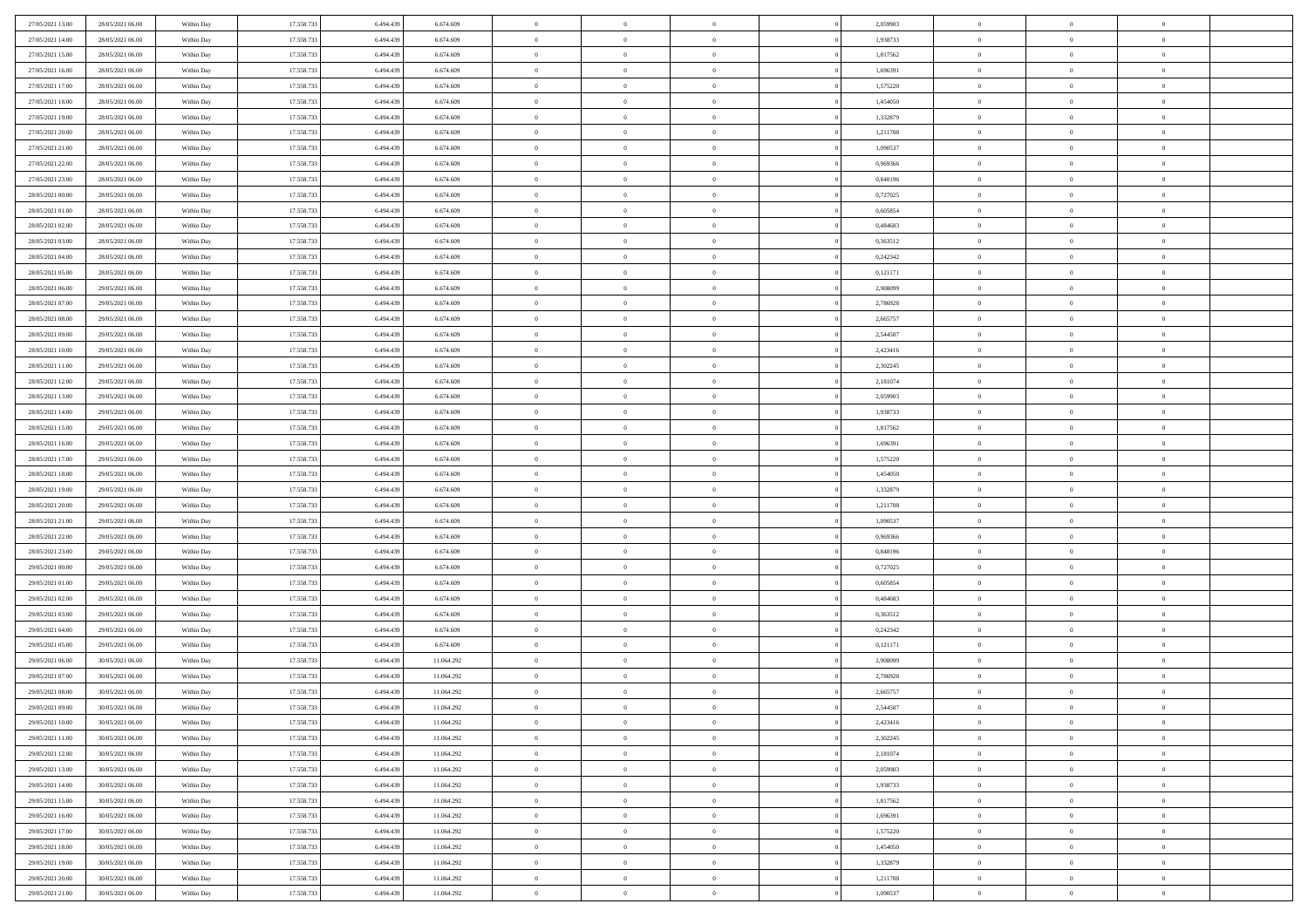| 27/05/2021 13:00 | 28/05/2021 06:00 | Within Day | 17.558.733 | 6.494.439 | 6.674.609  | $\,$ 0         | $\bf{0}$       | $\theta$       |          | 2,059903 | $\bf{0}$       | $\overline{0}$ | $\,0\,$        |  |
|------------------|------------------|------------|------------|-----------|------------|----------------|----------------|----------------|----------|----------|----------------|----------------|----------------|--|
| 27/05/2021 14:00 | 28/05/2021 06:00 | Within Day | 17.558.733 | 6,494,439 | 6.674.609  | $\overline{0}$ | $\overline{0}$ | $\overline{0}$ |          | 1,938733 | $\overline{0}$ | $\overline{0}$ | $\theta$       |  |
| 27/05/2021 15:00 | 28/05/2021 06:00 | Within Dav | 17.558.733 | 6.494.439 | 6.674.609  | $\mathbf{0}$   | $\overline{0}$ | $\overline{0}$ |          | 1,817562 | $\mathbf{0}$   | $\overline{0}$ | $\overline{0}$ |  |
| 27/05/2021 16:00 | 28/05/2021 06:00 | Within Day | 17.558.733 | 6.494.439 | 6.674.609  | $\bf{0}$       | $\overline{0}$ | $\overline{0}$ |          | 1,696391 | $\bf{0}$       | $\overline{0}$ | $\bf{0}$       |  |
| 27/05/2021 17:00 | 28/05/2021 06:00 | Within Day | 17.558.733 | 6,494,439 | 6.674.609  | $\bf{0}$       | $\bf{0}$       | $\overline{0}$ |          | 1,575220 | $\bf{0}$       | $\bf{0}$       | $\,0\,$        |  |
| 27/05/2021 18:00 | 28/05/2021 06:00 | Within Dav | 17.558.733 | 6.494.439 | 6.674.609  | $\mathbf{0}$   | $\overline{0}$ | $\overline{0}$ |          | 1,454050 | $\mathbf{0}$   | $\overline{0}$ | $\overline{0}$ |  |
| 27/05/2021 19:00 | 28/05/2021 06:00 | Within Day | 17.558.733 | 6.494.439 | 6.674.609  | $\bf{0}$       | $\bf{0}$       | $\overline{0}$ |          | 1,332879 | $\bf{0}$       | $\overline{0}$ | $\,0\,$        |  |
| 27/05/2021 20:00 | 28/05/2021 06:00 | Within Day | 17.558.733 | 6,494,439 | 6.674.609  | $\overline{0}$ | $\overline{0}$ | $\overline{0}$ |          | 1,211708 | $\,$ 0 $\,$    | $\overline{0}$ | $\overline{0}$ |  |
| 27/05/2021 21:00 | 28/05/2021 06:00 | Within Day | 17.558.733 | 6.494.439 | 6.674.609  | $\mathbf{0}$   | $\overline{0}$ | $\overline{0}$ |          | 1,090537 | $\mathbf{0}$   | $\overline{0}$ | $\overline{0}$ |  |
| 27/05/2021 22:00 | 28/05/2021 06:00 | Within Day | 17.558.733 | 6.494.439 | 6.674.609  | $\bf{0}$       | $\bf{0}$       | $\overline{0}$ |          | 0,969366 | $\bf{0}$       | $\overline{0}$ | $\,0\,$        |  |
| 27/05/2021 23:00 | 28/05/2021 06:00 | Within Day | 17.558.733 | 6,494,439 | 6.674.609  | $\bf{0}$       | $\overline{0}$ | $\overline{0}$ |          | 0.848196 | $\bf{0}$       | $\overline{0}$ | $\theta$       |  |
| 28/05/2021 00:00 | 28/05/2021 06:00 | Within Dav | 17.558.733 | 6.494.439 | 6.674.609  | $\mathbf{0}$   | $\overline{0}$ | $\overline{0}$ |          | 0,727025 | $\mathbf{0}$   | $\overline{0}$ | $\overline{0}$ |  |
| 28/05/2021 01:00 | 28/05/2021 06:00 | Within Day | 17.558.733 | 6.494.439 | 6.674.609  | $\bf{0}$       | $\overline{0}$ | $\bf{0}$       |          | 0,605854 | $\bf{0}$       | $\overline{0}$ | $\bf{0}$       |  |
| 28/05/2021 02:00 | 28/05/2021 06:00 | Within Day | 17.558.733 | 6.494.439 | 6.674.609  | $\bf{0}$       | $\overline{0}$ | $\overline{0}$ |          | 0,484683 | $\bf{0}$       | $\overline{0}$ | $\,0\,$        |  |
| 28/05/2021 03:00 | 28/05/2021 06:00 | Within Dav | 17.558.733 | 6.494.439 | 6.674.609  | $\overline{0}$ | $\overline{0}$ | $\overline{0}$ |          | 0,363512 | $\mathbf{0}$   | $\overline{0}$ | $\overline{0}$ |  |
| 28/05/2021 04:00 | 28/05/2021 06:00 | Within Day | 17.558.733 | 6.494.439 | 6.674.609  | $\bf{0}$       | $\bf{0}$       | $\overline{0}$ |          | 0,242342 | $\bf{0}$       | $\overline{0}$ | $\bf{0}$       |  |
| 28/05/2021 05:00 | 28/05/2021 06:00 | Within Day | 17.558.733 | 6,494,439 | 6.674.609  | $\overline{0}$ | $\overline{0}$ | $\overline{0}$ |          | 0,121171 | $\bf{0}$       | $\overline{0}$ | $\theta$       |  |
| 28/05/2021 06:00 | 29/05/2021 06:00 | Within Day | 17.558.733 | 6.494.439 | 6.674.609  | $\mathbf{0}$   | $\overline{0}$ | $\overline{0}$ |          | 2,908099 | $\mathbf{0}$   | $\overline{0}$ | $\overline{0}$ |  |
| 28/05/2021 07:00 | 29/05/2021 06:00 | Within Day | 17.558.733 | 6.494.439 | 6.674.609  | $\bf{0}$       | $\bf{0}$       | $\overline{0}$ |          | 2,786928 | $\bf{0}$       | $\overline{0}$ | $\,0\,$        |  |
| 28/05/2021 08:00 | 29/05/2021 06:00 | Within Day | 17.558.733 | 6.494.439 | 6.674.609  | $\bf{0}$       | $\overline{0}$ | $\overline{0}$ |          | 2,665757 | $\bf{0}$       | $\overline{0}$ | $\bf{0}$       |  |
| 28/05/2021 09:00 | 29/05/2021 06:00 | Within Dav | 17.558.733 | 6.494.439 | 6.674.609  | $\mathbf{0}$   | $\overline{0}$ | $\overline{0}$ |          | 2,544587 | $\mathbf{0}$   | $\overline{0}$ | $\overline{0}$ |  |
| 28/05/2021 10:00 | 29/05/2021 06:00 | Within Day | 17.558.733 | 6.494.439 | 6.674.609  | $\bf{0}$       | $\overline{0}$ | $\overline{0}$ |          | 2,423416 | $\bf{0}$       | $\overline{0}$ | $\bf{0}$       |  |
| 28/05/2021 11:00 | 29/05/2021 06:00 | Within Day | 17.558.733 | 6,494,439 | 6.674.609  | $\bf{0}$       | $\bf{0}$       | $\overline{0}$ |          | 2,302245 | $\bf{0}$       | $\overline{0}$ | $\,0\,$        |  |
| 28/05/2021 12:00 | 29/05/2021 06:00 | Within Dav | 17.558.733 | 6.494.439 | 6.674.609  | $\mathbf{0}$   | $\overline{0}$ | $\overline{0}$ |          | 2,181074 | $\mathbf{0}$   | $\overline{0}$ | $\overline{0}$ |  |
| 28/05/2021 13:00 | 29/05/2021 06:00 | Within Day | 17.558.733 | 6.494.439 | 6.674.609  | $\bf{0}$       | $\bf{0}$       | $\overline{0}$ |          | 2,059903 | $\bf{0}$       | $\overline{0}$ | $\,0\,$        |  |
| 28/05/2021 14:00 | 29/05/2021 06:00 | Within Day | 17.558.733 | 6.494.439 | 6.674.609  | $\overline{0}$ | $\overline{0}$ | $\overline{0}$ |          | 1,938733 | $\bf{0}$       | $\mathbf{0}$   | $\overline{0}$ |  |
| 28/05/2021 15:00 | 29/05/2021 06:00 | Within Dav | 17.558.733 | 6.494.439 | 6.674.609  | $\mathbf{0}$   | $\overline{0}$ | $\overline{0}$ |          | 1,817562 | $\mathbf{0}$   | $\overline{0}$ | $\overline{0}$ |  |
| 28/05/2021 16:00 | 29/05/2021 06:00 | Within Day | 17.558.733 | 6.494.439 | 6.674.609  | $\bf{0}$       | $\overline{0}$ | $\overline{0}$ |          | 1,696391 | $\bf{0}$       | $\overline{0}$ | $\,0\,$        |  |
| 28/05/2021 17:00 | 29/05/2021 06:00 | Within Day | 17.558.733 | 6,494,439 | 6.674.609  | $\bf{0}$       | $\overline{0}$ | $\overline{0}$ |          | 1,575220 | $\bf{0}$       | $\overline{0}$ | $\overline{0}$ |  |
| 28/05/2021 18:00 | 29/05/2021 06:00 | Within Dav | 17.558.733 | 6.494.439 | 6.674.609  | $\mathbf{0}$   | $\overline{0}$ | $\overline{0}$ |          | 1,454050 | $\mathbf{0}$   | $\overline{0}$ | $\overline{0}$ |  |
| 28/05/2021 19:00 | 29/05/2021 06:00 | Within Day | 17.558.733 | 6.494.439 | 6.674.609  | $\bf{0}$       | $\overline{0}$ | $\theta$       |          | 1,332879 | $\,$ 0         | $\overline{0}$ | $\,$ 0 $\,$    |  |
| 28/05/2021 20:00 | 29/05/2021 06:00 | Within Day | 17.558.733 | 6.494.439 | 6.674.609  | $\bf{0}$       | $\overline{0}$ | $\overline{0}$ |          | 1,211708 | $\bf{0}$       | $\overline{0}$ | $\overline{0}$ |  |
| 28/05/2021 21:00 | 29/05/2021 06:00 | Within Dav | 17.558.733 | 6.494.439 | 6.674.609  | $\overline{0}$ | $\overline{0}$ | $\overline{0}$ |          | 1,090537 | $\mathbf{0}$   | $\overline{0}$ | $\overline{0}$ |  |
| 28/05/2021 22:00 | 29/05/2021 06:00 | Within Day | 17.558.733 | 6.494.439 | 6.674.609  | $\bf{0}$       | $\overline{0}$ | $\theta$       |          | 0,969366 | $\,$ 0         | $\overline{0}$ | $\theta$       |  |
| 28/05/2021 23:00 | 29/05/2021 06:00 | Within Day | 17.558.733 | 6,494,439 | 6.674.609  | $\overline{0}$ | $\overline{0}$ | $\overline{0}$ |          | 0,848196 | $\bf{0}$       | $\overline{0}$ | $\overline{0}$ |  |
| 29/05/2021 00:00 | 29/05/2021 06:00 | Within Day | 17.558.733 | 6.494.439 | 6.674.609  | $\mathbf{0}$   | $\overline{0}$ | $\overline{0}$ |          | 0,727025 | $\mathbf{0}$   | $\overline{0}$ | $\overline{0}$ |  |
| 29/05/2021 01:00 | 29/05/2021 06:00 | Within Day | 17.558.733 | 6.494.439 | 6.674.609  | $\bf{0}$       | $\overline{0}$ | $\theta$       |          | 0,605854 | $\,$ 0         | $\overline{0}$ | $\theta$       |  |
| 29/05/2021 02:00 | 29/05/2021 06:00 | Within Day | 17.558.733 | 6,494,439 | 6.674.609  | $\bf{0}$       | $\overline{0}$ | $\overline{0}$ |          | 0.484683 | $\bf{0}$       | $\overline{0}$ | $\overline{0}$ |  |
| 29/05/2021 03:00 | 29/05/2021 06:00 | Within Dav | 17.558.733 | 6.494.439 | 6.674.609  | $\mathbf{0}$   | $\overline{0}$ | $\overline{0}$ |          | 0,363512 | $\mathbf{0}$   | $\overline{0}$ | $\overline{0}$ |  |
| 29/05/2021 04:00 | 29/05/2021 06:00 | Within Day | 17.558.733 | 6.494.439 | 6.674.609  | $\,0\,$        | $\overline{0}$ | $\theta$       |          | 0,242342 | $\,$ 0         | $\overline{0}$ | $\theta$       |  |
| 29/05/2021 05:00 | 29/05/2021 06:00 | Within Day | 17.558.733 | 6.494.439 | 6.674.609  | $\bf{0}$       | $\overline{0}$ | $\overline{0}$ |          | 0,121171 | $\bf{0}$       | $\overline{0}$ | $\overline{0}$ |  |
| 29/05/2021 06:00 | 30/05/2021 06:00 | Within Dav | 17.558.733 | 6.494.439 | 11.064.292 | $\mathbf{0}$   | $\overline{0}$ | $\overline{0}$ |          | 2,908099 | $\mathbf{0}$   | $\overline{0}$ | $\overline{0}$ |  |
| 29/05/2021 07:00 | 30/05/2021 06:00 | Within Day | 17.558.733 | 6.494.439 | 11.064.292 | $\bf{0}$       | $\overline{0}$ | $\theta$       |          | 2,786928 | $\,$ 0         | $\overline{0}$ | $\theta$       |  |
| 29/05/2021 08:00 | 30/05/2021 06:00 | Within Day | 17.558.733 | 6.494.439 | 11.064.292 | $\bf{0}$       | $\overline{0}$ | $\overline{0}$ |          | 2,665757 | $\bf{0}$       | $\overline{0}$ | $\overline{0}$ |  |
| 29/05/2021 09:00 | 30/05/2021 06:00 | Within Day | 17.558.733 | 6.494.439 | 11.064.292 | $\bf{0}$       | $\overline{0}$ | $\Omega$       |          | 2,544587 | $\overline{0}$ | $\theta$       | $\theta$       |  |
| 29/05/2021 10:00 | 30/05/2021 06:00 | Within Day | 17.558.733 | 6.494.439 | 11.064.292 | $\,0\,$        | $\overline{0}$ | $\theta$       |          | 2,423416 | $\,$ 0 $\,$    | $\bf{0}$       | $\theta$       |  |
| 29/05/2021 11:00 | 30/05/2021 06:00 | Within Day | 17.558.733 | 6.494.439 | 11.064.292 | $\overline{0}$ | $\overline{0}$ | $\overline{0}$ |          | 2,302245 | $\overline{0}$ | $\overline{0}$ | $\overline{0}$ |  |
| 29/05/2021 12:00 | 30/05/2021 06:00 | Within Day | 17.558.733 | 6.494.439 | 11.064.292 | $\bf{0}$       | $\overline{0}$ | $\overline{0}$ |          | 2,181074 | $\overline{0}$ | $\bf{0}$       | $\mathbf{0}$   |  |
| 29/05/2021 13:00 | 30/05/2021 06:00 | Within Day | 17.558.733 | 6.494.439 | 11.064.292 | $\bf{0}$       | $\overline{0}$ | $\overline{0}$ | $\theta$ | 2,059903 | $\mathbf{0}$   | $\bf{0}$       | $\,$ 0 $\,$    |  |
| 29/05/2021 14:00 | 30/05/2021 06:00 | Within Day | 17.558.733 | 6.494.439 | 11.064.292 | $\,$ 0 $\,$    | $\overline{0}$ | $\overline{0}$ |          | 1,938733 | $\,$ 0 $\,$    | $\overline{0}$ | $\overline{0}$ |  |
| 29/05/2021 15:00 | 30/05/2021 06:00 | Within Day | 17.558.733 | 6.494.439 | 11.064.292 | $\bf{0}$       | $\overline{0}$ | $\overline{0}$ |          | 1,817562 | $\mathbf{0}$   | $\overline{0}$ | $\overline{0}$ |  |
| 29/05/2021 16:00 | 30/05/2021 06:00 | Within Day | 17.558.733 | 6.494.439 | 11.064.292 | $\,$ 0 $\,$    | $\overline{0}$ | $\overline{0}$ | $\theta$ | 1,696391 | $\,$ 0 $\,$    | $\mathbf{0}$   | $\,$ 0 $\,$    |  |
| 29/05/2021 17:00 | 30/05/2021 06:00 | Within Day | 17.558.733 | 6.494.439 | 11.064.292 | $\bf{0}$       | $\overline{0}$ | $\overline{0}$ |          | 1,575220 | $\overline{0}$ | $\overline{0}$ | $\overline{0}$ |  |
| 29/05/2021 18:00 | 30/05/2021 06:00 | Within Day | 17.558.733 | 6.494.439 | 11.064.292 | $\bf{0}$       | $\overline{0}$ | $\overline{0}$ |          | 1,454050 | $\mathbf{0}$   | $\bf{0}$       | $\overline{0}$ |  |
| 29/05/2021 19:00 | 30/05/2021 06:00 | Within Day | 17.558.733 | 6.494.439 | 11.064.292 | $\,0\,$        | $\overline{0}$ | $\overline{0}$ |          | 1,332879 | $\,$ 0 $\,$    | $\mathbf{0}$   | $\,$ 0 $\,$    |  |
| 29/05/2021 20:00 | 30/05/2021 06:00 | Within Day | 17.558.733 | 6.494.439 | 11.064.292 | $\bf{0}$       | $\overline{0}$ | $\overline{0}$ |          | 1,211708 | $\mathbf 0$    | $\mathbf{0}$   | $\overline{0}$ |  |
| 29/05/2021 21:00 | 30/05/2021 06:00 | Within Day | 17.558.733 | 6.494.439 | 11.064.292 | $\bf{0}$       | $\overline{0}$ | $\overline{0}$ |          | 1,090537 | $\mathbf{0}$   | $\overline{0}$ | $\overline{0}$ |  |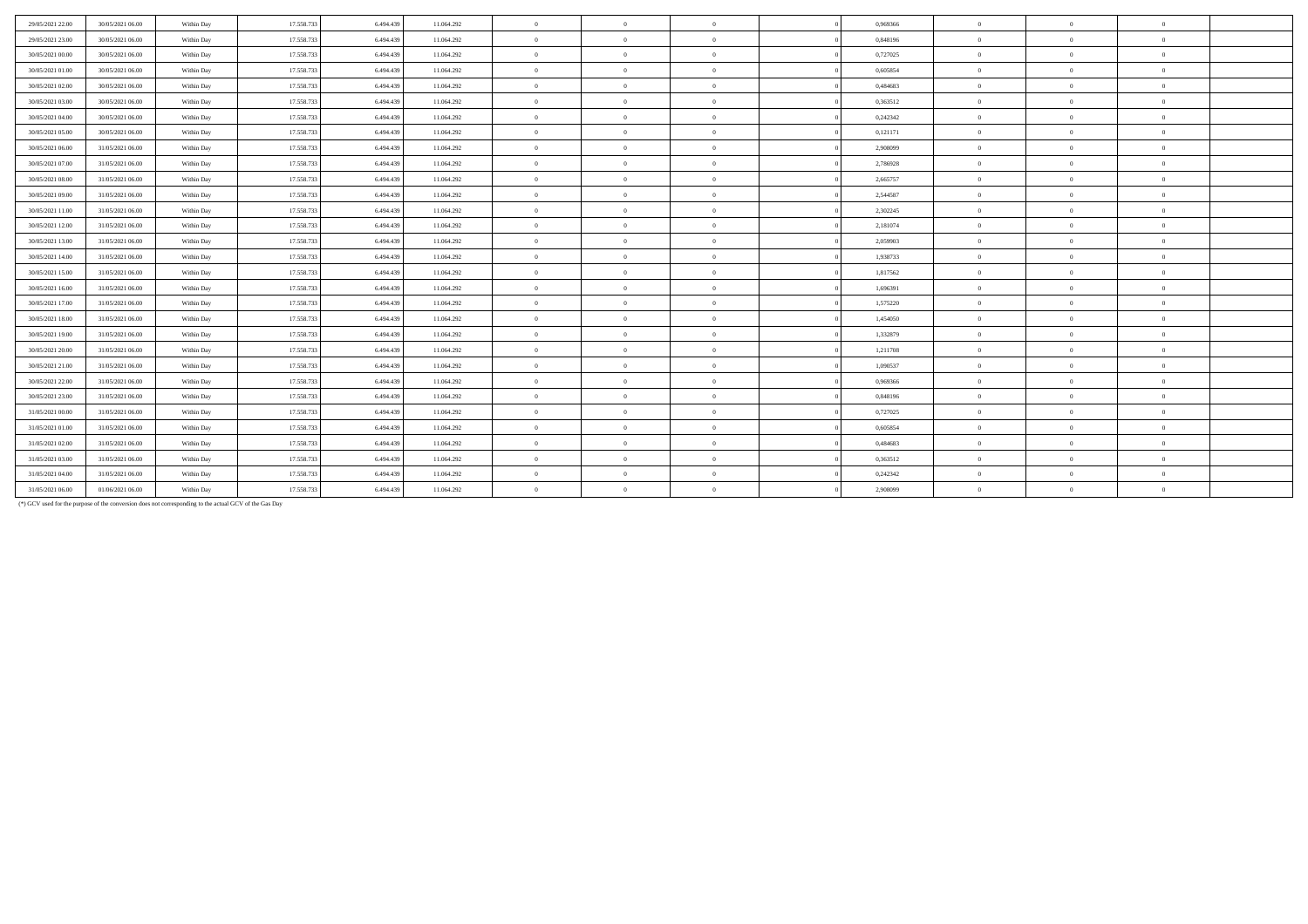| 29/05/2021 22:00 | 30/05/2021 06:00 | Within Day | 17.558.733 | 6.494.439 | 11.064.292 | $\overline{0}$ | $\overline{0}$ | $\Omega$       | 0,969366 | $\Omega$       | $\theta$       | $\Omega$       |  |
|------------------|------------------|------------|------------|-----------|------------|----------------|----------------|----------------|----------|----------------|----------------|----------------|--|
| 29/05/2021 23:00 | 30/05/2021 06:00 | Within Day | 17.558.73  | 6.494.439 | 11.064.292 | $\overline{0}$ | $\overline{0}$ | $\Omega$       | 0,848196 | $\theta$       | $\overline{0}$ | $\theta$       |  |
| 30/05/2021 00:00 | 30/05/2021 06:00 | Within Day | 17.558.733 | 6.494.439 | 11.064.292 | $\overline{0}$ | $\overline{0}$ | $\theta$       | 0,727025 | $\overline{0}$ | $\overline{0}$ | $\overline{0}$ |  |
| 30/05/2021 01:00 | 30/05/2021 06:00 | Within Day | 17.558.733 | 6.494.439 | 11.064.292 | $\overline{0}$ | $\overline{0}$ | $\theta$       | 0.605854 | $\mathbf{0}$   | $\Omega$       | $\overline{0}$ |  |
| 30/05/2021 02:00 | 30/05/2021 06:00 | Within Day | 17.558.733 | 6.494.439 | 11.064.292 | $\overline{0}$ | $\overline{0}$ | $\overline{0}$ | 0,484683 | $\mathbf{0}$   | $\theta$       | $\overline{0}$ |  |
| 30/05/2021 03:00 | 30/05/2021 06:00 | Within Day | 17.558.73  | 6.494.439 | 11.064.292 | $\theta$       | $\overline{0}$ | $\theta$       | 0,363512 | $\Omega$       | $\Omega$       | $\theta$       |  |
| 30/05/2021 04:00 | 30/05/2021 06:00 | Within Day | 17.558.733 | 6.494.439 | 11.064.292 | $\overline{0}$ | $\overline{0}$ | $\theta$       | 0,242342 | $\overline{0}$ | $\overline{0}$ | $\overline{0}$ |  |
| 30/05/2021 05:00 | 30/05/2021 06:00 | Within Day | 17.558.733 | 6.494.439 | 11.064.292 | $\overline{0}$ | $\overline{0}$ | $\Omega$       | 0,121171 | $\Omega$       | $\theta$       | $\theta$       |  |
| 30/05/2021 06:00 | 31/05/2021 06:00 | Within Day | 17.558.733 | 6.494.439 | 11.064.292 | $\overline{0}$ | $\overline{0}$ | $\theta$       | 2.908099 | $\mathbf{0}$   | $\Omega$       | $\overline{0}$ |  |
| 30/05/2021 07:00 | 31/05/2021 06:00 | Within Day | 17.558.73  | 6.494.439 | 11.064.292 | $\overline{0}$ | $\overline{0}$ | $\overline{0}$ | 2,786928 | $\overline{0}$ | $\overline{0}$ | $\overline{0}$ |  |
| 30/05/2021 08:00 | 31/05/2021 06:00 | Within Day | 17.558.733 | 6.494.439 | 11.064.292 | $\overline{0}$ | $\overline{0}$ | $\theta$       | 2,665757 | $\overline{0}$ | $\overline{0}$ | $\overline{0}$ |  |
| 30/05/2021 09:00 | 31/05/2021 06:00 | Within Day | 17.558.73  | 6.494.439 | 11.064.292 | $\theta$       | $\overline{0}$ | $\Omega$       | 2,544587 | $\Omega$       | $\Omega$       | $\overline{0}$ |  |
| 30/05/2021 11:00 | 31/05/2021 06:00 | Within Day | 17.558.733 | 6.494.439 | 11.064.292 | $\overline{0}$ | $\overline{0}$ | $\overline{0}$ | 2,302245 | $\mathbf{0}$   | $\theta$       | $\overline{0}$ |  |
| 30/05/2021 12:00 | 31/05/2021 06:00 | Within Day | 17.558.733 | 6.494.439 | 11.064.292 | $\theta$       | $\overline{0}$ | $\Omega$       | 2.181074 | $\Omega$       | $\theta$       | $\theta$       |  |
| 30/05/2021 13:00 | 31/05/2021 06:00 | Within Day | 17.558.733 | 6.494.439 | 11.064.292 | $\overline{0}$ | $\overline{0}$ | $\overline{0}$ | 2,059903 | $\overline{0}$ | $\overline{0}$ | $\overline{0}$ |  |
| 30/05/2021 14:00 | 31/05/2021 06:00 | Within Day | 17.558.73  | 6.494.439 | 11.064.292 | $\overline{0}$ | $\overline{0}$ | $\overline{0}$ | 1,938733 | $\Omega$       | $\theta$       | $\Omega$       |  |
| 30/05/2021 15:00 | 31/05/2021 06:00 | Within Day | 17.558.733 | 6.494.439 | 11.064.292 | $\overline{0}$ | $\overline{0}$ | $\overline{0}$ | 1,817562 | $\mathbf{0}$   | $\theta$       | $\theta$       |  |
| 30/05/2021 16:00 | 31/05/2021 06:00 | Within Day | 17.558.733 | 6.494.439 | 11.064.292 | $\overline{0}$ | $\overline{0}$ | $\theta$       | 1,696391 | $\mathbf{0}$   | $\theta$       | $\overline{0}$ |  |
| 30/05/2021 17:00 | 31/05/2021 06:00 | Within Day | 17.558.733 | 6.494.439 | 11.064.292 | $\overline{0}$ | $\overline{0}$ | $\theta$       | 1,575220 | $\bf{0}$       | $\overline{0}$ | $\overline{0}$ |  |
| 30/05/2021 18:00 | 31/05/2021 06:00 | Within Day | 17.558.733 | 6.494.439 | 11.064.292 | $\theta$       | $\overline{0}$ | $\overline{0}$ | 1,454050 | $\mathbf{0}$   | $\Omega$       | $\theta$       |  |
| 30/05/2021 19:00 | 31/05/2021 06:00 | Within Day | 17.558.733 | 6.494.439 | 11.064.292 | $\overline{0}$ | $\overline{0}$ | $\overline{0}$ | 1,332879 | $\theta$       | $\Omega$       | $\overline{0}$ |  |
| 30/05/2021 20:00 | 31/05/2021 06:00 | Within Day | 17.558.73  | 6.494.439 | 11.064.292 | $\theta$       | $\overline{0}$ | $\Omega$       | 1.211708 | $\Omega$       | $\theta$       | $\theta$       |  |
| 30/05/2021 21:00 | 31/05/2021 06:00 | Within Day | 17.558.73  | 6.494.439 | 11.064.292 | $\overline{0}$ | $\overline{0}$ | $\overline{0}$ | 1,090537 | $\overline{0}$ | $\overline{0}$ | $\overline{0}$ |  |
| 30/05/2021 22.00 | 31/05/2021 06:00 | Within Day | 17.558.733 | 6.494.439 | 11.064.292 | $\overline{0}$ | $\overline{0}$ | $\theta$       | 0.969366 | $\mathbf{0}$   | $\theta$       | $\overline{0}$ |  |
| 30/05/2021 23:00 | 31/05/2021 06:00 | Within Day | 17.558.733 | 6.494.439 | 11.064.292 | $\overline{0}$ | $\overline{0}$ | $\theta$       | 0.848196 | $\mathbf{0}$   | $\Omega$       | $\theta$       |  |
| 31/05/2021 00:00 | 31/05/2021 06:00 | Within Day | 17.558.733 | 6.494.439 | 11.064.292 | $\overline{0}$ | $\overline{0}$ | $\overline{0}$ | 0,727025 | $\mathbf{0}$   | $\theta$       | $\theta$       |  |
| 31/05/2021 01:00 | 31/05/2021 06:00 | Within Day | 17.558.73  | 6.494.439 | 11.064.292 | $\overline{0}$ | $\overline{0}$ | $\overline{0}$ | 0.605854 | $\overline{0}$ | $\overline{0}$ | $\overline{0}$ |  |
| 31/05/2021 02:00 | 31/05/2021 06:00 | Within Day | 17.558.733 | 6.494.439 | 11.064.292 | $\overline{0}$ | $\overline{0}$ | $\theta$       | 0.484683 | $\overline{0}$ | $\overline{0}$ | $\theta$       |  |
| 31/05/2021 03:00 | 31/05/2021 06:00 | Within Day | 17.558.733 | 6.494.439 | 11.064.292 | $\overline{0}$ | $\overline{0}$ | $\overline{0}$ | 0,363512 | $\mathbf{0}$   | $\theta$       | $\overline{0}$ |  |
| 31/05/2021 04:00 | 31/05/2021 06:00 | Within Day | 17.558.733 | 6.494.439 | 11.064.292 | $\theta$       | $\overline{0}$ | $\theta$       | 0,242342 | $\mathbf{0}$   | $\Omega$       | $\theta$       |  |
| 31/05/2021 06:00 | 01/06/2021 06:00 | Within Day | 17.558.733 | 6.494.439 | 11.064.292 | $\theta$       | $\overline{0}$ | $\theta$       | 2,908099 | $\Omega$       | $\Omega$       | $\theta$       |  |

(\*) GCV used for the purpose of the conversion does not corresponding to the actual GCV of the Gas Day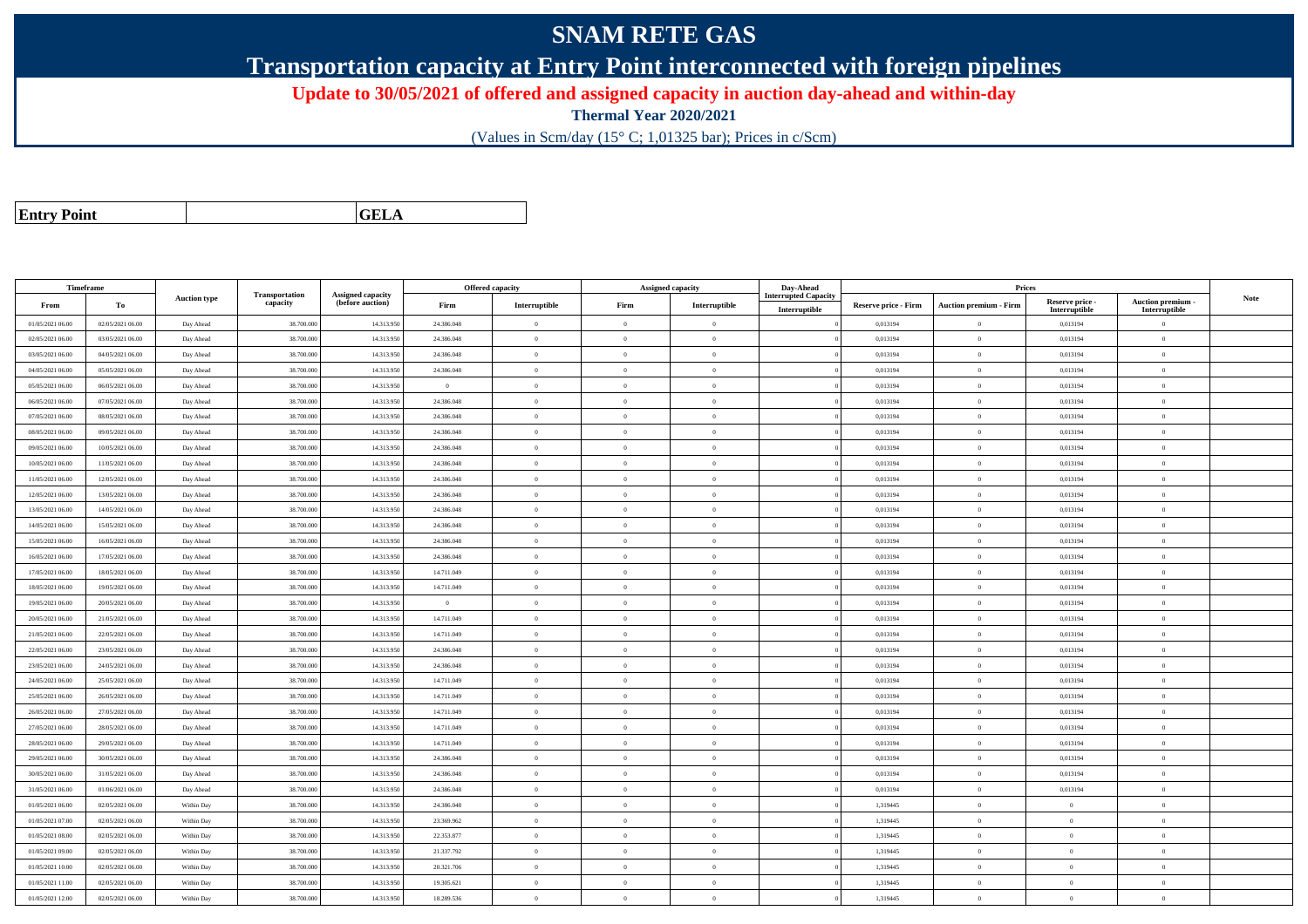## **SNAM RETE GAS**

**Transportation capacity at Entry Point interconnected with foreign pipelines**

**Update to 30/05/2021 of offered and assigned capacity in auction day-ahead and within-day**

**Thermal Year 2020/2021**

(Values in Scm/day (15° C; 1,01325 bar); Prices in c/Scm)

| <b>Entry Point</b> |  |
|--------------------|--|
|--------------------|--|

**a CELA** 

| Timeframe        |                  |                     |                            |                                       |                | Offered capacity |                | Assigned capacity | Day-Ahead                   |                             | Prices                        |                           |                           |             |
|------------------|------------------|---------------------|----------------------------|---------------------------------------|----------------|------------------|----------------|-------------------|-----------------------------|-----------------------------|-------------------------------|---------------------------|---------------------------|-------------|
| From             | To               | <b>Auction type</b> | Transportation<br>capacity | Assigned capacity<br>(before auction) | Firm           | Interruptible    | Firm           | Interruptible     | <b>Interrupted Capacity</b> | <b>Reserve price - Firm</b> | <b>Auction premium - Firm</b> | Reserve price -           | Auction premium           | <b>Note</b> |
| 01/05/2021 06:00 | 02/05/2021 06:00 | Day Ahead           | 38.700.00                  | 14.313.95                             | 24.386.048     | $\theta$         | $\overline{0}$ | $\overline{0}$    | Interruptible               | 0,013194                    | $\theta$                      | Interruptible<br>0,013194 | Interruptible<br>$\Omega$ |             |
| 02/05/2021 06:00 | 03/05/2021 06:00 | Day Ahead           | 38.700.000                 | 14.313.95                             | 24.386.048     | $\theta$         | $\overline{0}$ | $\mathbf{0}$      |                             | 0,013194                    | $\theta$                      | 0,013194                  | $\overline{0}$            |             |
| 03/05/2021 06:00 | 04/05/2021 06:00 | Day Ahead           | 38.700.00                  | 14.313.95                             | 24.386.048     | $\Omega$         | $\overline{0}$ | $\mathbf{0}$      |                             | 0,013194                    | $\theta$                      | 0,013194                  | $\Omega$                  |             |
| 04/05/2021 06:00 | 05/05/2021 06:00 | Day Ahead           | 38.700.000                 | 14.313.95                             | 24.386.048     | $\theta$         | $\overline{0}$ | $\overline{0}$    |                             | 0,013194                    | $\bf{0}$                      | 0,013194                  | $\overline{0}$            |             |
| 05/05/2021 06:00 | 06/05/2021 06:00 | Day Ahead           | 38.700.00                  | 14.313.95                             | $\overline{0}$ | $\overline{0}$   | $\overline{0}$ | $\overline{0}$    |                             | 0,013194                    | $\overline{0}$                | 0,013194                  | $\overline{0}$            |             |
| 06/05/2021 06:00 | 07/05/2021 06:00 | Day Ahead           | 38.700.00                  | 14.313.95                             | 24.386.048     | $\Omega$         | $\overline{0}$ | $\overline{0}$    |                             | 0,013194                    | $\overline{0}$                | 0,013194                  | $\overline{0}$            |             |
| 07/05/2021 06:00 | 08/05/2021 06:00 | Day Ahead           | 38.700.000                 | 14.313.95                             | 24.386.048     | $\theta$         | $\overline{0}$ | $\overline{0}$    |                             | 0,013194                    | $\theta$                      | 0,013194                  | $\overline{0}$            |             |
| 08/05/2021 06:00 | 09/05/2021 06:00 | Day Ahead           | 38,700,000                 | 14.313.95                             | 24.386.048     | $\Omega$         | $\theta$       | $\theta$          |                             | 0.013194                    | $\theta$                      | 0.013194                  | $\theta$                  |             |
| 09/05/2021 06:00 | 10/05/2021 06:00 | Day Ahead           | 38.700.000                 | 14.313.95                             | 24.386.048     | $\theta$         | $\theta$       | $\Omega$          |                             | 0,013194                    | $\theta$                      | 0,013194                  | $\Omega$                  |             |
| 10/05/2021 06:00 | 11/05/2021 06:00 | Day Ahead           | 38.700.00                  | 14.313.95                             | 24.386.048     | $\theta$         | $\overline{0}$ | $\overline{0}$    |                             | 0,013194                    | $\overline{0}$                | 0,013194                  | $\overline{0}$            |             |
| 11/05/2021 06:00 | 12/05/2021 06:00 | Day Ahead           | 38,700,00                  | 14.313.95                             | 24.386.048     | $\Omega$         | $\theta$       | $\Omega$          |                             | 0.013194                    | $\theta$                      | 0.013194                  | $\overline{0}$            |             |
| 12/05/2021 06:00 | 13/05/2021 06:00 | Day Ahead           | 38.700.000                 | 14.313.95                             | 24.386.048     | $\Omega$         | $\overline{0}$ | $\overline{0}$    |                             | 0,013194                    | $\overline{0}$                | 0,013194                  | $\theta$                  |             |
| 13/05/2021 06:00 | 14/05/2021 06:00 | Day Ahead           | 38.700.000                 | 14.313.95                             | 24.386.048     | $\theta$         | $\overline{0}$ | $\overline{0}$    |                             | 0,013194                    | $\theta$                      | 0,013194                  | $\theta$                  |             |
| 14/05/2021 06:00 | 15/05/2021 06:00 | Day Ahead           | 38.700.00                  | 14.313.95                             | 24.386.048     | $\Omega$         | $\theta$       | $\Omega$          |                             | 0,013194                    | $\theta$                      | 0,013194                  | $\Omega$                  |             |
| 15/05/2021 06:00 | 16/05/2021 06:00 | Day Ahead           | 38,700,000                 | 14.313.95                             | 24.386.048     | $\theta$         | $\theta$       | $\theta$          |                             | 0.013194                    | $\overline{0}$                | 0.013194                  | $\overline{0}$            |             |
| 16/05/2021 06:00 | 17/05/2021 06:00 | Day Ahead           | 38,700,00                  | 14.313.95                             | 24.386.048     | $\theta$         | $\overline{0}$ | $\overline{0}$    |                             | 0,013194                    | $\overline{0}$                | 0,013194                  | $\overline{0}$            |             |
| 17/05/2021 06:00 | 18/05/2021 06:00 | Day Ahead           | 38.700.00                  | 14.313.95                             | 14.711.049     | $\Omega$         | $\overline{0}$ | $\overline{0}$    |                             | 0,013194                    | $\theta$                      | 0,013194                  | $\Omega$                  |             |
| 18/05/2021 06:00 | 19/05/2021 06:00 | Day Ahead           | 38.700.000                 | 14.313.95                             | 14.711.049     | $\Omega$         | $\overline{0}$ | $\overline{0}$    |                             | 0,013194                    | $\theta$                      | 0,013194                  | $\overline{0}$            |             |
| 19/05/2021 06:00 | 20/05/2021 06:00 | Day Ahead           | 38.700.00                  | 14.313.95                             | $\overline{0}$ | $\Omega$         | $\overline{0}$ | $\mathbf{0}$      |                             | 0,013194                    | $\theta$                      | 0,013194                  | $\theta$                  |             |
| 20/05/2021 06:00 | 21/05/2021 06:00 | Day Ahead           | 38,700,000                 | 14.313.95                             | 14.711.049     | $\Omega$         | $\theta$       | $\overline{0}$    |                             | 0,013194                    | $\overline{0}$                | 0.013194                  | $\theta$                  |             |
| 21/05/2021 06:00 | 22/05/2021 06:00 | Day Ahead           | 38.700.00                  | 14.313.95                             | 14.711.049     | $\theta$         | $\overline{0}$ | $\overline{0}$    |                             | 0,013194                    | $\overline{0}$                | 0,013194                  | $\overline{0}$            |             |
| 22/05/2021 06:00 | 23/05/2021 06:00 | Day Ahead           | 38.700.00                  | 14.313.95                             | 24.386.048     | $\theta$         | $\overline{0}$ | $\overline{0}$    |                             | 0,013194                    | $\overline{0}$                | 0,013194                  | $\overline{0}$            |             |
| 23/05/2021 06:00 | 24/05/2021 06:00 | Day Ahead           | 38,700,000                 | 14.313.950                            | 24.386.048     | $\theta$         | $\theta$       | $\Omega$          |                             | 0,013194                    | $\theta$                      | 0.013194                  | $\theta$                  |             |
| 24/05/2021 06:00 | 25/05/2021 06:00 | Day Ahead           | 38.700.000                 | 14.313.95                             | 14.711.049     | $\mathbf{0}$     | $\theta$       | $\Omega$          |                             | 0,013194                    | $\theta$                      | 0,013194                  | $\Omega$                  |             |
| 25/05/2021 06:00 | 26/05/2021 06:00 | Day Ahead           | 38.700.00                  | 14.313.95                             | 14.711.049     | $\theta$         | $\overline{0}$ | $\overline{0}$    |                             | 0,013194                    | $\theta$                      | 0,013194                  | $\Omega$                  |             |
| 26/05/2021 06:00 | 27/05/2021 06:00 | Day Ahead           | 38.700.00                  | 14.313.95                             | 14.711.049     | $\theta$         | $\overline{0}$ | $\mathbf{0}$      |                             | 0,013194                    | $\theta$                      | 0,013194                  | $\overline{0}$            |             |
| 27/05/2021 06:00 | 28/05/2021 06:00 | Day Ahead           | 38,700,00                  | 14.313.95                             | 14.711.049     | $\theta$         | $\theta$       | $\overline{0}$    |                             | 0.013194                    | $\theta$                      | 0,013194                  | $\theta$                  |             |
| 28/05/2021 06:00 | 29/05/2021 06:00 | Day Ahead           | 38,700,000                 | 14.313.95                             | 14.711.049     | $\theta$         | $\overline{0}$ | $\overline{0}$    |                             | 0.013194                    | $\overline{0}$                | 0,013194                  | $\Omega$                  |             |
| 29/05/2021 06:00 | 30/05/2021 06:00 | Day Ahead           | 38.700.000                 | 14.313.95                             | 24.386.048     | $\theta$         | $\overline{0}$ | $\overline{0}$    |                             | 0,013194                    | $\theta$                      | 0,013194                  | $\overline{0}$            |             |
| 30/05/2021 06:00 | 31/05/2021 06:00 | Day Ahead           | 38.700.000                 | 14.313.95                             | 24.386.048     | $\theta$         | $\overline{0}$ | $\overline{0}$    |                             | 0,013194                    | $\theta$                      | 0,013194                  | $\Omega$                  |             |
| 31/05/2021 06:00 | 01/06/2021 06:00 | Day Ahead           | 38,700,000                 | 14.313.95                             | 24.386.048     | $\overline{0}$   | $\overline{0}$ | $\overline{0}$    |                             | 0.013194                    | $\overline{0}$                | 0.013194                  | $\overline{0}$            |             |
| 01/05/2021 06:00 | 02/05/2021 06:00 | Within Day          | 38.700.000                 | 14.313.95                             | 24.386.048     | $\mathbf{0}$     | $\overline{0}$ | $\overline{0}$    |                             | 1,319445                    | $\theta$                      | $\overline{0}$            | $\theta$                  |             |
| 01/05/2021 07:00 | 02/05/2021 06:00 | Within Day          | 38.700.00                  | 14.313.95                             | 23.369.962     | $\theta$         | $\overline{0}$ | $\overline{0}$    |                             | 1,319445                    | $\overline{0}$                | $\mathbf{0}$              | $\overline{0}$            |             |
| 01/05/2021 08:00 | 02/05/2021 06:00 | Within Day          | 38.700.000                 | 14.313.950                            | 22.353.877     | $\Omega$         | $\theta$       | $\Omega$          |                             | 1,319445                    | $\overline{0}$                | $\theta$                  | $\overline{0}$            |             |
| 01/05/2021 09:00 | 02/05/2021 06:00 | Within Day          | 38,700,000                 | 14.313.95                             | 21.337.792     | $\theta$         | $\theta$       | $\Omega$          |                             | 1.319445                    | $\theta$                      | $\theta$                  | $\overline{0}$            |             |
| 01/05/2021 10:00 | 02/05/2021 06:00 | Within Day          | 38.700.00                  | 14.313.95                             | 20.321.706     | $\Omega$         | $\overline{0}$ | $\overline{0}$    |                             | 1,319445                    | $\theta$                      | $\mathbf{0}$              | $\Omega$                  |             |
| 01/05/2021 11:00 | 02/05/2021 06:00 | Within Day          | 38.700.00                  | 14.313.95                             | 19.305.621     | $\theta$         | $\overline{0}$ | $\overline{0}$    |                             | 1,319445                    | $\mathbf{0}$                  | $\mathbf{0}$              | $\overline{0}$            |             |
| 01/05/2021 12:00 | 02/05/2021 06:00 | Within Day          | 38.700.000                 | 14.313.950                            | 18.289.536     | $\theta$         | $\overline{0}$ | $\overline{0}$    |                             | 1,319445                    | $\theta$                      | $\mathbf{0}$              | $\Omega$                  |             |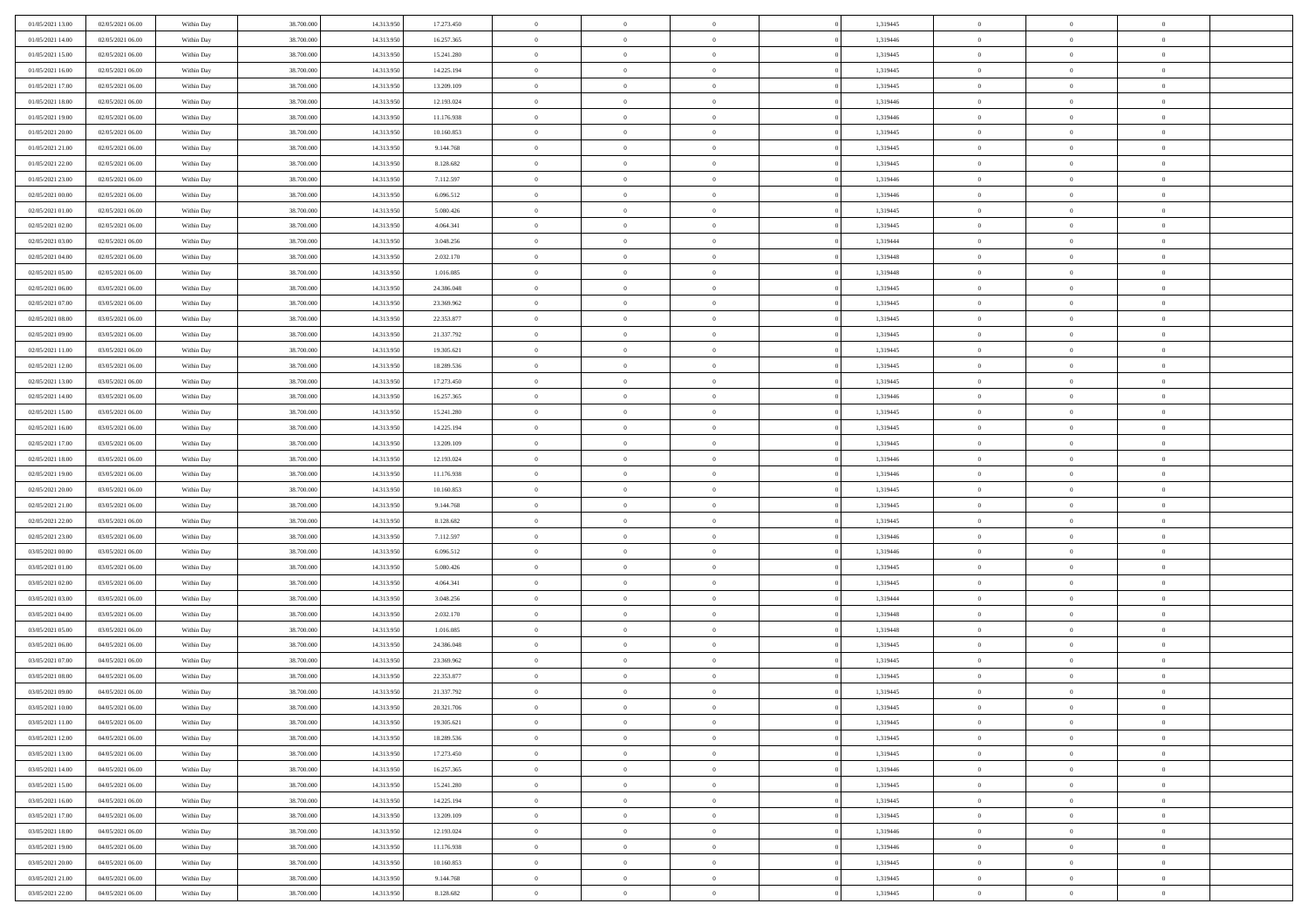| 01/05/2021 13:00 | 02/05/2021 06:00 | Within Day | 38,700,000 | 14.313.950 | 17.273.450 | $\overline{0}$ | $\overline{0}$ | $\Omega$       | 1,319445 | $\bf{0}$       | $\mathbf{0}$   | $\bf{0}$       |  |
|------------------|------------------|------------|------------|------------|------------|----------------|----------------|----------------|----------|----------------|----------------|----------------|--|
| 01/05/2021 14:00 | 02/05/2021 06:00 | Within Day | 38.700.000 | 14.313.950 | 16.257.365 | $\mathbf{0}$   | $\overline{0}$ | $\overline{0}$ | 1,319446 | $\overline{0}$ | $\overline{0}$ | $\theta$       |  |
| 01/05/2021 15:00 | 02/05/2021 06:00 | Within Day | 38.700.000 | 14.313.950 | 15.241.280 | $\,$ 0         | $\overline{0}$ | $\bf{0}$       | 1,319445 | $\,$ 0         | $\overline{0}$ | $\,$ 0 $\,$    |  |
| 01/05/2021 16:00 | 02/05/2021 06:00 | Within Day | 38,700,000 | 14.313.950 | 14.225.194 | $\bf{0}$       | $\overline{0}$ | $\Omega$       | 1,319445 | $\bf{0}$       | $\mathbf{0}$   | $\theta$       |  |
| 01/05/2021 17:00 | 02/05/2021 06:00 | Within Dav | 38.700.000 | 14.313.950 | 13.209.109 | $\bf{0}$       | $\overline{0}$ | $\overline{0}$ | 1,319445 | $\mathbf{0}$   | $\overline{0}$ | $\overline{0}$ |  |
| 01/05/2021 18:00 | 02/05/2021 06:00 | Within Day | 38.700.000 | 14.313.950 | 12.193.024 | $\bf{0}$       | $\overline{0}$ | $\bf{0}$       | 1,319446 | $\,$ 0         | $\overline{0}$ | $\,$ 0 $\,$    |  |
| 01/05/2021 19:00 | 02/05/2021 06:00 | Within Day | 38,700,000 | 14.313.950 | 11.176.938 | $\bf{0}$       | $\overline{0}$ | $\Omega$       | 1,319446 | $\bf{0}$       | $\mathbf{0}$   | $\theta$       |  |
| 01/05/2021 20:00 | 02/05/2021 06:00 | Within Dav | 38.700.000 | 14.313.950 | 10.160.853 | $\overline{0}$ | $\overline{0}$ | $\overline{0}$ | 1,319445 | $\mathbf{0}$   | $\overline{0}$ | $\overline{0}$ |  |
| 01/05/2021 21:00 | 02/05/2021 06:00 | Within Day | 38.700.000 | 14.313.950 | 9.144.768  | $\bf{0}$       | $\overline{0}$ | $\bf{0}$       | 1,319445 | $\,$ 0         | $\overline{0}$ | $\,$ 0 $\,$    |  |
| 01/05/2021 22:00 | 02/05/2021 06:00 | Within Day | 38,700,000 | 14.313.950 | 8.128.682  | $\bf{0}$       | $\overline{0}$ | $\Omega$       | 1,319445 | $\bf{0}$       | $\mathbf{0}$   | $\theta$       |  |
| 01/05/2021 23:00 | 02/05/2021 06:00 | Within Day | 38.700.000 | 14.313.950 | 7.112.597  | $\overline{0}$ | $\overline{0}$ | $\overline{0}$ | 1,319446 | $\overline{0}$ | $\overline{0}$ | $\overline{0}$ |  |
| 02/05/2021 00:00 | 02/05/2021 06:00 | Within Day | 38.700.000 | 14.313.950 | 6.096.512  | $\bf{0}$       | $\overline{0}$ | $\bf{0}$       | 1,319446 | $\,$ 0         | $\overline{0}$ | $\,$ 0 $\,$    |  |
| 02/05/2021 01:00 | 02/05/2021 06:00 | Within Day | 38,700,000 | 14.313.950 | 5.080.426  | $\bf{0}$       | $\overline{0}$ | $\Omega$       | 1,319445 | $\overline{0}$ | $\mathbf{0}$   | $\theta$       |  |
| 02/05/2021 02:00 | 02/05/2021 06:00 | Within Dav | 38.700.000 | 14.313.950 | 4.064.341  | $\overline{0}$ | $\overline{0}$ | $\overline{0}$ | 1,319445 | $\mathbf{0}$   | $\overline{0}$ | $\overline{0}$ |  |
| 02/05/2021 03:00 | 02/05/2021 06:00 | Within Day | 38.700.000 | 14.313.950 | 3.048.256  | $\bf{0}$       | $\overline{0}$ | $\bf{0}$       | 1,319444 | $\,$ 0         | $\overline{0}$ | $\,$ 0 $\,$    |  |
| 02/05/2021 04:00 | 02/05/2021 06:00 | Within Day | 38,700,000 | 14.313.950 | 2.032.170  | $\bf{0}$       | $\overline{0}$ | $\overline{0}$ | 1,319448 | $\bf{0}$       | $\mathbf{0}$   | $\theta$       |  |
| 02/05/2021 05:00 | 02/05/2021 06:00 | Within Day | 38.700.000 | 14.313.950 | 1.016.085  | $\overline{0}$ | $\overline{0}$ | $\overline{0}$ | 1,319448 | $\mathbf{0}$   | $\overline{0}$ | $\overline{0}$ |  |
| 02/05/2021 06:00 | 03/05/2021 06:00 | Within Day | 38.700.000 | 14.313.950 | 24.386.048 | $\bf{0}$       | $\overline{0}$ | $\bf{0}$       | 1,319445 | $\,$ 0         | $\overline{0}$ | $\,0\,$        |  |
| 02/05/2021 07:00 | 03/05/2021 06:00 | Within Day | 38,700,000 | 14.313.950 | 23.369.962 | $\bf{0}$       | $\overline{0}$ | $\Omega$       | 1,319445 | $\theta$       | $\mathbf{0}$   | $\theta$       |  |
| 02/05/2021 08:00 | 03/05/2021 06:00 | Within Day | 38.700.000 | 14.313.950 | 22.353.877 | $\overline{0}$ | $\overline{0}$ | $\overline{0}$ | 1,319445 | $\mathbf{0}$   | $\overline{0}$ | $\overline{0}$ |  |
| 02/05/2021 09:00 | 03/05/2021 06:00 | Within Day | 38.700.000 | 14.313.950 | 21.337.792 | $\bf{0}$       | $\overline{0}$ | $\bf{0}$       | 1,319445 | $\,$ 0         | $\overline{0}$ | $\,$ 0 $\,$    |  |
| 02/05/2021 11:00 | 03/05/2021 06:00 | Within Day | 38,700,000 | 14.313.950 | 19.305.621 | $\bf{0}$       | $\overline{0}$ | $\Omega$       | 1,319445 | $\bf{0}$       | $\theta$       | $\theta$       |  |
| 02/05/2021 12:00 | 03/05/2021 06:00 | Within Dav | 38.700.000 | 14.313.950 | 18.289.536 | $\overline{0}$ | $\overline{0}$ | $\overline{0}$ | 1,319445 | $\mathbf{0}$   | $\overline{0}$ | $\overline{0}$ |  |
| 02/05/2021 13:00 | 03/05/2021 06:00 | Within Day | 38.700.000 | 14.313.950 | 17.273.450 | $\bf{0}$       | $\overline{0}$ | $\bf{0}$       | 1,319445 | $\,$ 0         | $\overline{0}$ | $\,$ 0 $\,$    |  |
| 02/05/2021 14:00 | 03/05/2021 06:00 | Within Day | 38,700,000 | 14.313.950 | 16.257.365 | $\bf{0}$       | $\overline{0}$ | $\overline{0}$ | 1,319446 | $\bf{0}$       | $\bf{0}$       | $\theta$       |  |
| 02/05/2021 15:00 | 03/05/2021 06:00 | Within Day | 38.700.000 | 14.313.950 | 15.241.280 | $\overline{0}$ | $\overline{0}$ | $\overline{0}$ | 1,319445 | $\overline{0}$ | $\overline{0}$ | $\overline{0}$ |  |
| 02/05/2021 16:00 | 03/05/2021 06:00 | Within Day | 38.700.000 | 14.313.950 | 14.225.194 | $\bf{0}$       | $\overline{0}$ | $\bf{0}$       | 1,319445 | $\,$ 0         | $\overline{0}$ | $\,$ 0 $\,$    |  |
| 02/05/2021 17:00 | 03/05/2021 06:00 | Within Day | 38,700,000 | 14.313.950 | 13.209.109 | $\bf{0}$       | $\overline{0}$ | $\Omega$       | 1,319445 | $\bf{0}$       | $\mathbf{0}$   | $\theta$       |  |
| 02/05/2021 18:00 | 03/05/2021 06:00 | Within Day | 38.700.000 | 14.313.950 | 12.193.024 | $\overline{0}$ | $\overline{0}$ | $\overline{0}$ | 1,319446 | $\mathbf{0}$   | $\overline{0}$ | $\overline{0}$ |  |
| 02/05/2021 19:00 | 03/05/2021 06:00 | Within Day | 38.700.000 | 14.313.950 | 11.176.938 | $\bf{0}$       | $\overline{0}$ | $\bf{0}$       | 1,319446 | $\,$ 0         | $\overline{0}$ | $\,$ 0 $\,$    |  |
| 02/05/2021 20:00 | 03/05/2021 06:00 | Within Day | 38.700.000 | 14.313.950 | 10.160.853 | $\,$ 0         | $\overline{0}$ | $\overline{0}$ | 1,319445 | $\bf{0}$       | $\overline{0}$ | $\,0\,$        |  |
| 02/05/2021 21:00 | 03/05/2021 06:00 | Within Dav | 38.700.000 | 14.313.950 | 9.144.768  | $\overline{0}$ | $\overline{0}$ | $\overline{0}$ | 1,319445 | $\mathbf{0}$   | $\overline{0}$ | $\overline{0}$ |  |
| 02/05/2021 22:00 | 03/05/2021 06:00 | Within Day | 38.700.000 | 14.313.950 | 8.128.682  | $\bf{0}$       | $\overline{0}$ | $\bf{0}$       | 1,319445 | $\,$ 0         | $\overline{0}$ | $\,$ 0 $\,$    |  |
| 02/05/2021 23:00 | 03/05/2021 06:00 | Within Day | 38.700.000 | 14.313.950 | 7.112.597  | $\bf{0}$       | $\overline{0}$ | $\bf{0}$       | 1,319446 | $\bf{0}$       | $\overline{0}$ | $\,0\,$        |  |
| 03/05/2021 00:00 | 03/05/2021 06:00 | Within Day | 38.700.000 | 14.313.950 | 6.096.512  | $\overline{0}$ | $\overline{0}$ | $\overline{0}$ | 1,319446 | $\overline{0}$ | $\overline{0}$ | $\overline{0}$ |  |
| 03/05/2021 01:00 | 03/05/2021 06:00 | Within Day | 38.700.000 | 14.313.950 | 5.080.426  | $\bf{0}$       | $\overline{0}$ | $\bf{0}$       | 1,319445 | $\,$ 0         | $\overline{0}$ | $\,$ 0 $\,$    |  |
| 03/05/2021 02:00 | 03/05/2021 06:00 | Within Day | 38.700.000 | 14.313.950 | 4.064.341  | $\bf{0}$       | $\overline{0}$ | $\overline{0}$ | 1,319445 | $\bf{0}$       | $\overline{0}$ | $\,0\,$        |  |
| 03/05/2021 03:00 | 03/05/2021 06:00 | Within Day | 38.700.000 | 14.313.950 | 3.048.256  | $\overline{0}$ | $\overline{0}$ | $\overline{0}$ | 1,319444 | $\mathbf{0}$   | $\overline{0}$ | $\overline{0}$ |  |
| 03/05/2021 04:00 | 03/05/2021 06:00 | Within Day | 38.700.000 | 14.313.950 | 2.032.170  | $\bf{0}$       | $\overline{0}$ | $\bf{0}$       | 1,319448 | $\,$ 0         | $\overline{0}$ | $\,$ 0 $\,$    |  |
| 03/05/2021 05:00 | 03/05/2021 06:00 | Within Day | 38.700.000 | 14.313.950 | 1.016.085  | $\bf{0}$       | $\bf{0}$       | $\overline{0}$ | 1,319448 | $\bf{0}$       | $\overline{0}$ | $\,0\,$        |  |
| 03/05/2021 06:00 | 04/05/2021 06:00 | Within Dav | 38.700.000 | 14.313.950 | 24.386.048 | $\overline{0}$ | $\overline{0}$ | $\overline{0}$ | 1,319445 | $\overline{0}$ | $\overline{0}$ | $\overline{0}$ |  |
| 03/05/2021 07:00 | 04/05/2021 06:00 | Within Day | 38.700.000 | 14.313.950 | 23.369.962 | $\bf{0}$       | $\overline{0}$ | $\bf{0}$       | 1,319445 | $\,$ 0         | $\overline{0}$ | $\,$ 0 $\,$    |  |
| 03/05/2021 08:00 | 04/05/2021 06:00 | Within Day | 38.700.000 | 14.313.950 | 22.353.877 | $\bf{0}$       | $\bf{0}$       | $\bf{0}$       | 1,319445 | $\bf{0}$       | $\overline{0}$ | $\,0\,$        |  |
| 03/05/2021 09:00 | 04/05/2021 06:00 | Within Day | 38.700.000 | 14.313.950 | 21.337.792 | $\mathbf{0}$   | $\overline{0}$ | $\overline{0}$ | 1,319445 | $\overline{0}$ | $\overline{0}$ | $\overline{0}$ |  |
| 03/05/2021 10:00 | 04/05/2021 06:00 | Within Day | 38.700.000 | 14.313.950 | 20.321.706 | $\bf{0}$       | $\overline{0}$ | $\theta$       | 1,319445 | $\overline{0}$ | $\theta$       | $\theta$       |  |
| 03/05/2021 11:00 | 04/05/2021 06:00 | Within Day | 38.700.000 | 14.313.950 | 19.305.621 | $\bf{0}$       | $\bf{0}$       | $\bf{0}$       | 1,319445 | $\bf{0}$       | $\overline{0}$ | $\,0\,$        |  |
| 03/05/2021 12:00 | 04/05/2021 06:00 | Within Day | 38.700.000 | 14.313.950 | 18.289.536 | $\overline{0}$ | $\overline{0}$ | $\overline{0}$ | 1,319445 | $\overline{0}$ | $\bf{0}$       | $\overline{0}$ |  |
| 03/05/2021 13:00 | 04/05/2021 06:00 | Within Day | 38.700.000 | 14.313.950 | 17.273.450 | $\,$ 0 $\,$    | $\overline{0}$ | $\overline{0}$ | 1,319445 | $\,$ 0 $\,$    | $\,$ 0 $\,$    | $\,$ 0 $\,$    |  |
| 03/05/2021 14:00 | 04/05/2021 06:00 | Within Day | 38.700.000 | 14.313.950 | 16.257.365 | $\bf{0}$       | $\bf{0}$       | $\overline{0}$ | 1,319446 | $\bf{0}$       | $\overline{0}$ | $\bf{0}$       |  |
| 03/05/2021 15:00 | 04/05/2021 06:00 | Within Day | 38.700.000 | 14.313.950 | 15.241.280 | $\bf{0}$       | $\overline{0}$ | $\overline{0}$ | 1,319445 | $\overline{0}$ | $\overline{0}$ | $\overline{0}$ |  |
| 03/05/2021 16:00 | 04/05/2021 06:00 | Within Day | 38.700.000 | 14.313.950 | 14.225.194 | $\,$ 0 $\,$    | $\overline{0}$ | $\overline{0}$ | 1,319445 | $\,$ 0 $\,$    | $\overline{0}$ | $\,$ 0 $\,$    |  |
| 03/05/2021 17:00 | 04/05/2021 06:00 | Within Day | 38.700.000 | 14.313.950 | 13.209.109 | $\bf{0}$       | $\overline{0}$ | $\overline{0}$ | 1,319445 | $\bf{0}$       | $\overline{0}$ | $\overline{0}$ |  |
| 03/05/2021 18:00 | 04/05/2021 06:00 | Within Day | 38.700.000 | 14.313.950 | 12.193.024 | $\overline{0}$ | $\overline{0}$ | $\overline{0}$ | 1,319446 | $\overline{0}$ | $\bf{0}$       | $\overline{0}$ |  |
| 03/05/2021 19:00 | 04/05/2021 06:00 | Within Day | 38.700.000 | 14.313.950 | 11.176.938 | $\,$ 0 $\,$    | $\overline{0}$ | $\overline{0}$ | 1,319446 | $\,$ 0 $\,$    | $\,$ 0 $\,$    | $\,$ 0 $\,$    |  |
| 03/05/2021 20:00 | 04/05/2021 06:00 | Within Day | 38.700.000 | 14.313.950 | 10.160.853 | $\bf{0}$       | $\bf{0}$       | $\overline{0}$ | 1,319445 | $\mathbf{0}$   | $\overline{0}$ | $\bf{0}$       |  |
| 03/05/2021 21:00 | 04/05/2021 06:00 | Within Day | 38.700.000 | 14.313.950 | 9.144.768  | $\bf{0}$       | $\overline{0}$ | $\overline{0}$ | 1,319445 | $\mathbf{0}$   | $\bf{0}$       | $\overline{0}$ |  |
| 03/05/2021 22.00 | 04/05/2021 06:00 | Within Day | 38.700.000 | 14.313.950 | 8.128.682  | $\,0\,$        | $\overline{0}$ | $\overline{0}$ | 1,319445 | $\,$ 0         | $\overline{0}$ | $\,$ 0 $\,$    |  |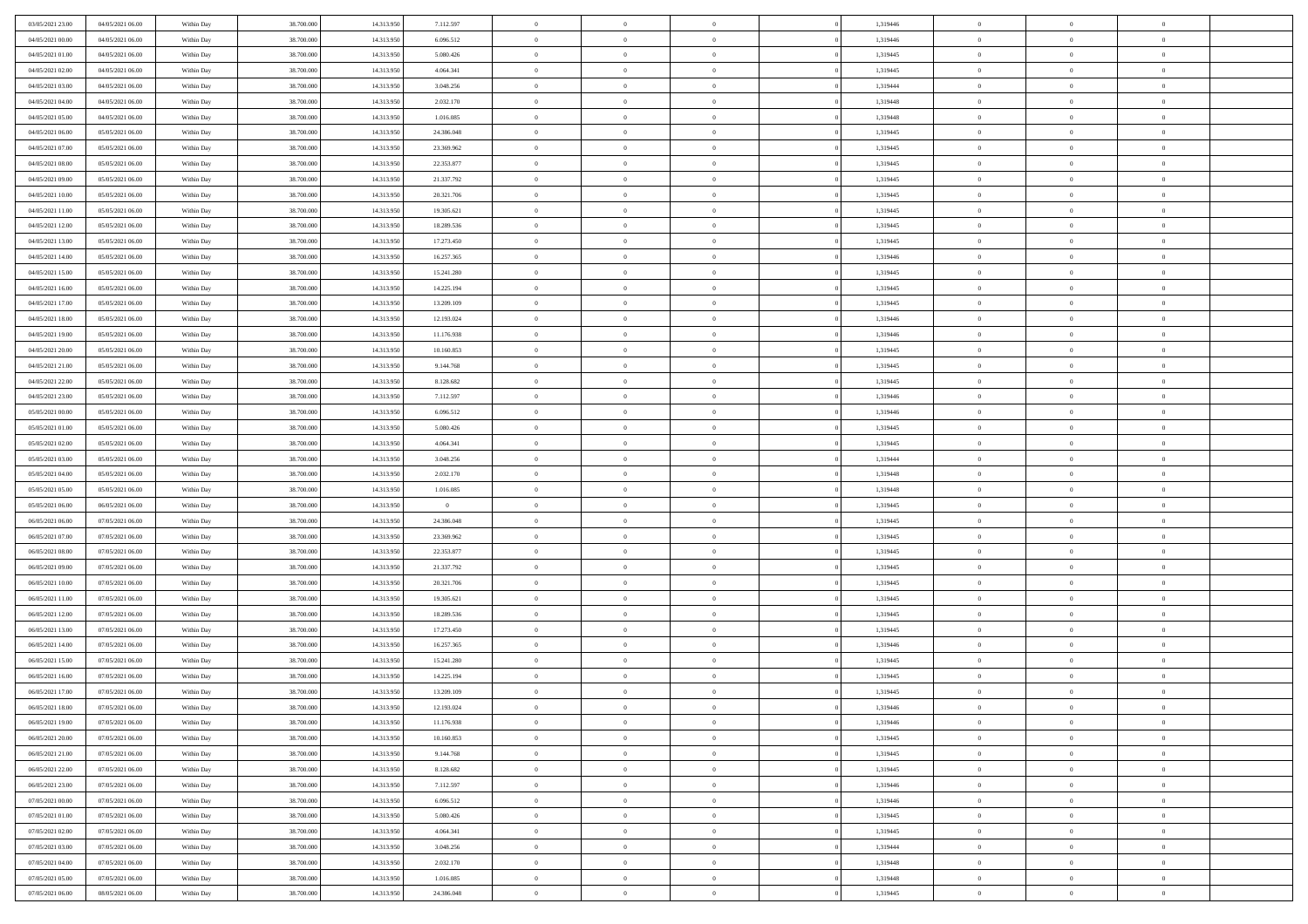| 03/05/2021 23.00 | 04/05/2021 06:00 | Within Day | 38,700,000 | 14.313.950 | 7.112.597      | $\overline{0}$ | $\overline{0}$ | $\Omega$       | 1,319446 | $\bf{0}$       | $\mathbf{0}$   | $\theta$       |  |
|------------------|------------------|------------|------------|------------|----------------|----------------|----------------|----------------|----------|----------------|----------------|----------------|--|
| 04/05/2021 00:00 | 04/05/2021 06:00 | Within Day | 38.700.000 | 14.313.950 | 6.096.512      | $\mathbf{0}$   | $\overline{0}$ | $\overline{0}$ | 1,319446 | $\overline{0}$ | $\overline{0}$ | $\theta$       |  |
| 04/05/2021 01:00 | 04/05/2021 06:00 | Within Day | 38.700.000 | 14.313.950 | 5.080.426      | $\,$ 0         | $\overline{0}$ | $\bf{0}$       | 1,319445 | $\,$ 0         | $\overline{0}$ | $\,$ 0 $\,$    |  |
| 04/05/2021 02.00 | 04/05/2021 06:00 | Within Day | 38,700,000 | 14.313.950 | 4.064.341      | $\bf{0}$       | $\overline{0}$ | $\Omega$       | 1,319445 | $\bf{0}$       | $\mathbf{0}$   | $\theta$       |  |
| 04/05/2021 03:00 | 04/05/2021 06:00 | Within Dav | 38.700.000 | 14.313.950 | 3.048.256      | $\bf{0}$       | $\overline{0}$ | $\overline{0}$ | 1,319444 | $\mathbf{0}$   | $\overline{0}$ | $\overline{0}$ |  |
| 04/05/2021 04:00 | 04/05/2021 06:00 | Within Day | 38.700.000 | 14.313.950 | 2.032.170      | $\bf{0}$       | $\overline{0}$ | $\bf{0}$       | 1,319448 | $\,$ 0         | $\overline{0}$ | $\,$ 0 $\,$    |  |
| 04/05/2021 05:00 | 04/05/2021 06:00 | Within Day | 38,700,000 | 14.313.950 | 1.016.085      | $\bf{0}$       | $\overline{0}$ | $\Omega$       | 1,319448 | $\overline{0}$ | $\mathbf{0}$   | $\theta$       |  |
| 04/05/2021 06:00 | 05/05/2021 06:00 | Within Dav | 38.700.000 | 14.313.950 | 24.386.048     | $\overline{0}$ | $\overline{0}$ | $\overline{0}$ | 1,319445 | $\mathbf{0}$   | $\overline{0}$ | $\overline{0}$ |  |
| 04/05/2021 07:00 | 05/05/2021 06:00 | Within Day | 38.700.000 | 14.313.950 | 23.369.962     | $\bf{0}$       | $\overline{0}$ | $\bf{0}$       | 1,319445 | $\,$ 0         | $\overline{0}$ | $\,$ 0 $\,$    |  |
| 04/05/2021 08:00 | 05/05/2021 06:00 | Within Day | 38,700,000 | 14.313.950 | 22.353.877     | $\bf{0}$       | $\overline{0}$ | $\Omega$       | 1,319445 | $\bf{0}$       | $\mathbf{0}$   | $\theta$       |  |
| 04/05/2021 09:00 | 05/05/2021 06:00 | Within Day | 38.700.000 | 14.313.950 | 21.337.792     | $\overline{0}$ | $\overline{0}$ | $\overline{0}$ | 1,319445 | $\overline{0}$ | $\overline{0}$ | $\overline{0}$ |  |
| 04/05/2021 10:00 | 05/05/2021 06:00 | Within Day | 38.700.000 | 14.313.950 | 20.321.706     | $\bf{0}$       | $\overline{0}$ | $\bf{0}$       | 1,319445 | $\,$ 0         | $\overline{0}$ | $\,$ 0 $\,$    |  |
| 04/05/2021 11:00 | 05/05/2021 06:00 | Within Day | 38,700,000 | 14.313.950 | 19.305.621     | $\bf{0}$       | $\overline{0}$ | $\Omega$       | 1,319445 | $\overline{0}$ | $\mathbf{0}$   | $\theta$       |  |
| 04/05/2021 12:00 | 05/05/2021 06:00 | Within Dav | 38.700.000 | 14.313.950 | 18.289.536     | $\overline{0}$ | $\overline{0}$ | $\overline{0}$ | 1,319445 | $\mathbf{0}$   | $\overline{0}$ | $\overline{0}$ |  |
| 04/05/2021 13:00 | 05/05/2021 06:00 | Within Day | 38.700.000 | 14.313.950 | 17.273.450     | $\bf{0}$       | $\overline{0}$ | $\bf{0}$       | 1,319445 | $\,$ 0         | $\overline{0}$ | $\,$ 0 $\,$    |  |
| 04/05/2021 14:00 | 05/05/2021 06:00 | Within Day | 38,700,000 | 14.313.950 | 16.257.365     | $\bf{0}$       | $\overline{0}$ | $\overline{0}$ | 1,319446 | $\bf{0}$       | $\mathbf{0}$   | $\bf{0}$       |  |
| 04/05/2021 15:00 | 05/05/2021 06:00 | Within Day | 38.700.000 | 14.313.950 | 15.241.280     | $\overline{0}$ | $\overline{0}$ | $\overline{0}$ | 1,319445 | $\mathbf{0}$   | $\overline{0}$ | $\overline{0}$ |  |
| 04/05/2021 16:00 | 05/05/2021 06:00 | Within Day | 38.700.000 | 14.313.950 | 14.225.194     | $\bf{0}$       | $\overline{0}$ | $\bf{0}$       | 1,319445 | $\,$ 0         | $\overline{0}$ | $\,0\,$        |  |
| 04/05/2021 17:00 | 05/05/2021 06:00 | Within Day | 38,700,000 | 14.313.950 | 13.209.109     | $\bf{0}$       | $\overline{0}$ | $\Omega$       | 1,319445 | $\overline{0}$ | $\mathbf{0}$   | $\theta$       |  |
| 04/05/2021 18:00 | 05/05/2021 06:00 | Within Day | 38.700.000 | 14.313.950 | 12.193.024     | $\overline{0}$ | $\overline{0}$ | $\overline{0}$ | 1,319446 | $\overline{0}$ | $\overline{0}$ | $\overline{0}$ |  |
| 04/05/2021 19:00 | 05/05/2021 06:00 | Within Day | 38.700.000 | 14.313.950 | 11.176.938     | $\bf{0}$       | $\overline{0}$ | $\bf{0}$       | 1,319446 | $\,$ 0         | $\overline{0}$ | $\,$ 0 $\,$    |  |
| 04/05/2021 20:00 | 05/05/2021 06:00 | Within Day | 38,700,000 | 14.313.950 | 10.160.853     | $\bf{0}$       | $\overline{0}$ | $\Omega$       | 1,319445 | $\overline{0}$ | $\theta$       | $\theta$       |  |
| 04/05/2021 21:00 | 05/05/2021 06:00 | Within Day | 38.700.000 | 14.313.950 | 9.144.768      | $\overline{0}$ | $\overline{0}$ | $\overline{0}$ | 1,319445 | $\mathbf{0}$   | $\overline{0}$ | $\overline{0}$ |  |
| 04/05/2021 22.00 | 05/05/2021 06:00 | Within Day | 38.700.000 | 14.313.950 | 8.128.682      | $\bf{0}$       | $\overline{0}$ | $\bf{0}$       | 1,319445 | $\,$ 0         | $\overline{0}$ | $\,$ 0 $\,$    |  |
| 04/05/2021 23.00 | 05/05/2021 06:00 | Within Day | 38,700,000 | 14.313.950 | 7.112.597      | $\bf{0}$       | $\overline{0}$ | $\overline{0}$ | 1,319446 | $\bf{0}$       | $\bf{0}$       | $\theta$       |  |
| 05/05/2021 00:00 | 05/05/2021 06:00 | Within Day | 38.700.000 | 14.313.950 | 6.096.512      | $\overline{0}$ | $\overline{0}$ | $\overline{0}$ | 1,319446 | $\overline{0}$ | $\overline{0}$ | $\overline{0}$ |  |
| 05/05/2021 01:00 | 05/05/2021 06:00 | Within Day | 38.700.000 | 14.313.950 | 5.080.426      | $\bf{0}$       | $\overline{0}$ | $\bf{0}$       | 1,319445 | $\,$ 0         | $\overline{0}$ | $\,$ 0 $\,$    |  |
| 05/05/2021 02:00 | 05/05/2021 06:00 | Within Day | 38,700,000 | 14.313.950 | 4.064.341      | $\bf{0}$       | $\overline{0}$ | $\Omega$       | 1,319445 | $\bf{0}$       | $\mathbf{0}$   | $\theta$       |  |
| 05/05/2021 03:00 | 05/05/2021 06:00 | Within Day | 38.700.000 | 14.313.950 | 3.048.256      | $\overline{0}$ | $\overline{0}$ | $\overline{0}$ | 1,319444 | $\mathbf{0}$   | $\overline{0}$ | $\overline{0}$ |  |
| 05/05/2021 04:00 | 05/05/2021 06:00 | Within Day | 38.700.000 | 14.313.950 | 2.032.170      | $\bf{0}$       | $\overline{0}$ | $\bf{0}$       | 1,319448 | $\,$ 0         | $\overline{0}$ | $\,$ 0 $\,$    |  |
| 05/05/2021 05:00 | 05/05/2021 06:00 | Within Day | 38.700.000 | 14.313.950 | 1.016.085      | $\bf{0}$       | $\overline{0}$ | $\overline{0}$ | 1,319448 | $\bf{0}$       | $\overline{0}$ | $\,0\,$        |  |
| 05/05/2021 06:00 | 06/05/2021 06:00 | Within Dav | 38.700.000 | 14.313.950 | $\overline{0}$ | $\overline{0}$ | $\overline{0}$ | $\overline{0}$ | 1,319445 | $\mathbf{0}$   | $\overline{0}$ | $\overline{0}$ |  |
| 06/05/2021 06:00 | 07/05/2021 06:00 | Within Day | 38.700.000 | 14.313.950 | 24.386.048     | $\bf{0}$       | $\overline{0}$ | $\bf{0}$       | 1,319445 | $\,$ 0         | $\overline{0}$ | $\,$ 0 $\,$    |  |
| 06/05/2021 07:00 | 07/05/2021 06:00 | Within Day | 38.700.000 | 14.313.950 | 23.369.962     | $\bf{0}$       | $\overline{0}$ | $\bf{0}$       | 1,319445 | $\bf{0}$       | $\overline{0}$ | $\,0\,$        |  |
| 06/05/2021 08:00 | 07/05/2021 06:00 | Within Day | 38.700.000 | 14.313.950 | 22.353.877     | $\mathbf{0}$   | $\overline{0}$ | $\overline{0}$ | 1,319445 | $\overline{0}$ | $\overline{0}$ | $\overline{0}$ |  |
| 06/05/2021 09:00 | 07/05/2021 06:00 | Within Day | 38.700.000 | 14.313.950 | 21.337.792     | $\bf{0}$       | $\overline{0}$ | $\bf{0}$       | 1,319445 | $\,$ 0         | $\overline{0}$ | $\,$ 0 $\,$    |  |
| 06/05/2021 10:00 | 07/05/2021 06:00 | Within Day | 38.700.000 | 14.313.950 | 20.321.706     | $\,$ 0         | $\overline{0}$ | $\overline{0}$ | 1,319445 | $\bf{0}$       | $\overline{0}$ | $\,0\,$        |  |
| 06/05/2021 11:00 | 07/05/2021 06:00 | Within Day | 38.700.000 | 14.313.950 | 19.305.621     | $\overline{0}$ | $\overline{0}$ | $\overline{0}$ | 1,319445 | $\mathbf{0}$   | $\overline{0}$ | $\overline{0}$ |  |
| 06/05/2021 12:00 | 07/05/2021 06:00 | Within Day | 38.700.000 | 14.313.950 | 18.289.536     | $\bf{0}$       | $\overline{0}$ | $\bf{0}$       | 1,319445 | $\,$ 0         | $\overline{0}$ | $\,$ 0 $\,$    |  |
| 06/05/2021 13:00 | 07/05/2021 06:00 | Within Day | 38.700.000 | 14.313.950 | 17.273.450     | $\bf{0}$       | $\overline{0}$ | $\overline{0}$ | 1,319445 | $\bf{0}$       | $\overline{0}$ | $\,0\,$        |  |
| 06/05/2021 14:00 | 07/05/2021 06:00 | Within Dav | 38.700.000 | 14.313.950 | 16.257.365     | $\overline{0}$ | $\overline{0}$ | $\overline{0}$ | 1,319446 | $\overline{0}$ | $\overline{0}$ | $\overline{0}$ |  |
| 06/05/2021 15:00 | 07/05/2021 06:00 | Within Day | 38.700.000 | 14.313.950 | 15.241.280     | $\bf{0}$       | $\overline{0}$ | $\bf{0}$       | 1,319445 | $\,$ 0         | $\overline{0}$ | $\,$ 0 $\,$    |  |
| 06/05/2021 16:00 | 07/05/2021 06:00 | Within Day | 38.700.000 | 14.313.950 | 14.225.194     | $\bf{0}$       | $\bf{0}$       | $\bf{0}$       | 1,319445 | $\bf{0}$       | $\overline{0}$ | $\,0\,$        |  |
| 06/05/2021 17:00 | 07/05/2021 06:00 | Within Day | 38.700.000 | 14.313.950 | 13.209.109     | $\mathbf{0}$   | $\overline{0}$ | $\overline{0}$ | 1,319445 | $\overline{0}$ | $\overline{0}$ | $\overline{0}$ |  |
| 06/05/2021 18:00 | 07/05/2021 06:00 | Within Day | 38.700.000 | 14.313.950 | 12.193.024     | $\bf{0}$       | $\overline{0}$ | $\theta$       | 1,319446 | $\overline{0}$ | $\theta$       | $\theta$       |  |
| 06/05/2021 19:00 | 07/05/2021 06:00 | Within Day | 38.700.000 | 14.313.950 | 11.176.938     | $\bf{0}$       | $\bf{0}$       | $\bf{0}$       | 1,319446 | $\bf{0}$       | $\overline{0}$ | $\,0\,$        |  |
| 06/05/2021 20:00 | 07/05/2021 06:00 | Within Day | 38.700.000 | 14.313.950 | 10.160.853     | $\overline{0}$ | $\overline{0}$ | $\overline{0}$ | 1,319445 | $\overline{0}$ | $\bf{0}$       | $\overline{0}$ |  |
| 06/05/2021 21:00 | 07/05/2021 06:00 | Within Day | 38.700.000 | 14.313.950 | 9.144.768      | $\,$ 0 $\,$    | $\overline{0}$ | $\overline{0}$ | 1,319445 | $\mathbf{0}$   | $\,$ 0 $\,$    | $\,$ 0 $\,$    |  |
| 06/05/2021 22.00 | 07/05/2021 06:00 | Within Day | 38.700.000 | 14.313.950 | 8.128.682      | $\bf{0}$       | $\bf{0}$       | $\overline{0}$ | 1,319445 | $\bf{0}$       | $\overline{0}$ | $\bf{0}$       |  |
| 06/05/2021 23:00 | 07/05/2021 06:00 | Within Day | 38.700.000 | 14.313.950 | 7.112.597      | $\bf{0}$       | $\overline{0}$ | $\overline{0}$ | 1,319446 | $\overline{0}$ | $\overline{0}$ | $\overline{0}$ |  |
| 07/05/2021 00:00 | 07/05/2021 06:00 | Within Day | 38.700.000 | 14.313.950 | 6.096.512      | $\,$ 0 $\,$    | $\overline{0}$ | $\overline{0}$ | 1,319446 | $\,$ 0 $\,$    | $\overline{0}$ | $\,$ 0 $\,$    |  |
| 07/05/2021 01:00 | 07/05/2021 06:00 | Within Day | 38.700.000 | 14.313.950 | 5.080.426      | $\overline{0}$ | $\overline{0}$ | $\overline{0}$ | 1,319445 | $\bf{0}$       | $\overline{0}$ | $\overline{0}$ |  |
| 07/05/2021 02:00 | 07/05/2021 06:00 | Within Day | 38.700.000 | 14.313.950 | 4.064.341      | $\overline{0}$ | $\overline{0}$ | $\overline{0}$ | 1,319445 | $\overline{0}$ | $\bf{0}$       | $\overline{0}$ |  |
| 07/05/2021 03:00 | 07/05/2021 06:00 | Within Day | 38.700.000 | 14.313.950 | 3.048.256      | $\,$ 0 $\,$    | $\overline{0}$ | $\overline{0}$ | 1,319444 | $\,$ 0 $\,$    | $\,$ 0 $\,$    | $\,$ 0 $\,$    |  |
| 07/05/2021 04:00 | 07/05/2021 06:00 | Within Day | 38.700.000 | 14.313.950 | 2.032.170      | $\bf{0}$       | $\bf{0}$       | $\overline{0}$ | 1,319448 | $\mathbf{0}$   | $\overline{0}$ | $\bf{0}$       |  |
| 07/05/2021 05:00 | 07/05/2021 06:00 | Within Day | 38.700.000 | 14.313.950 | 1.016.085      | $\bf{0}$       | $\overline{0}$ | $\overline{0}$ | 1,319448 | $\mathbf{0}$   | $\bf{0}$       | $\overline{0}$ |  |
| 07/05/2021 06:00 | 08/05/2021 06:00 | Within Day | 38.700.000 | 14.313.950 | 24.386.048     | $\,0\,$        | $\overline{0}$ | $\overline{0}$ | 1,319445 | $\,$ 0         | $\overline{0}$ | $\,$ 0 $\,$    |  |
|                  |                  |            |            |            |                |                |                |                |          |                |                |                |  |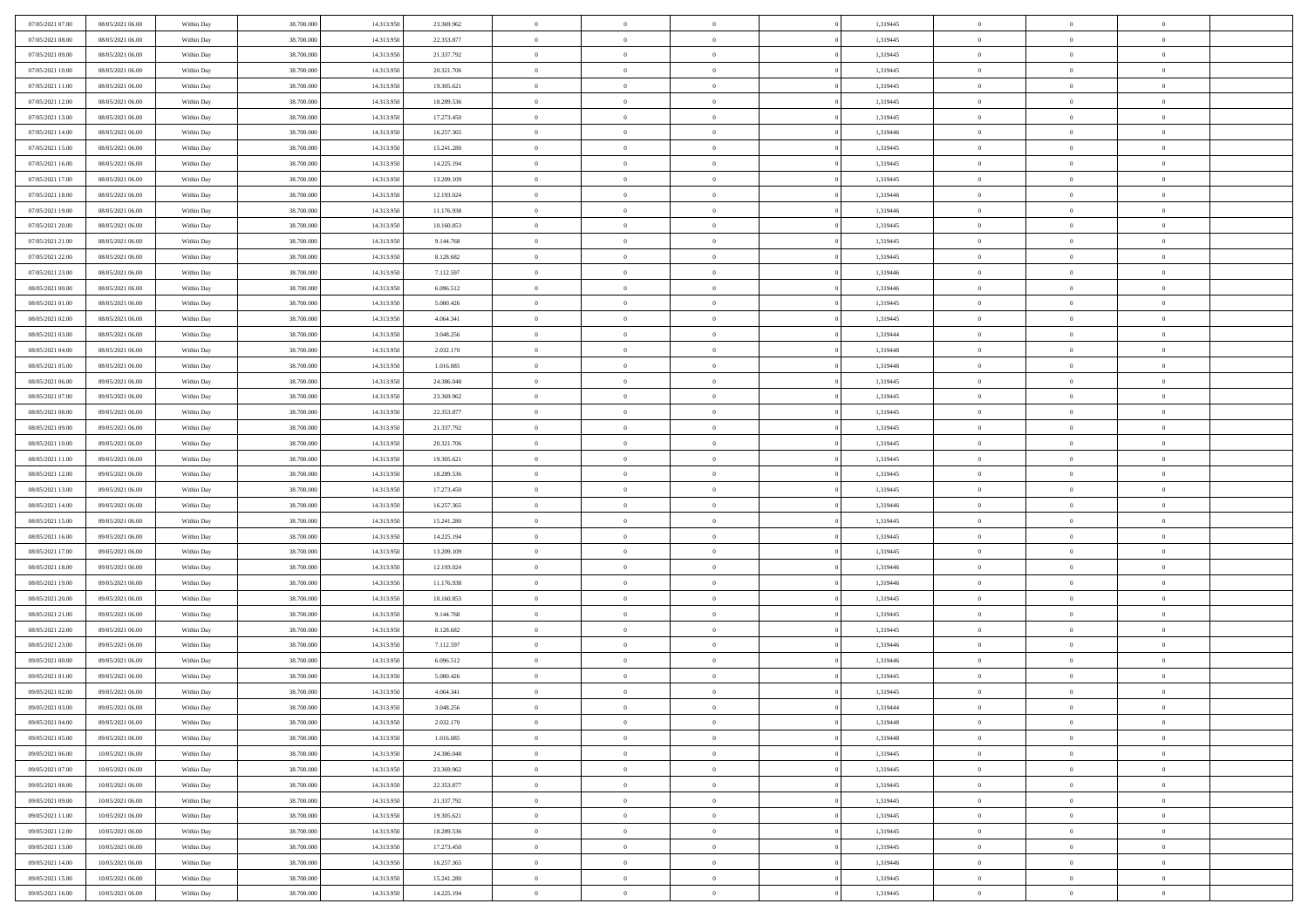| 07/05/2021 07:00                     | 08/05/2021 06:00 | Within Day               | 38.700.000 | 14.313.950 | 23.369.962 | $\,$ 0         | $\bf{0}$       | $\theta$                         |          | 1,319445 | $\bf{0}$       | $\overline{0}$ | $\,0\,$        |  |
|--------------------------------------|------------------|--------------------------|------------|------------|------------|----------------|----------------|----------------------------------|----------|----------|----------------|----------------|----------------|--|
| 07/05/2021 08:00                     | 08/05/2021 06:00 | Within Day               | 38,700,000 | 14.313.950 | 22.353.877 | $\overline{0}$ | $\overline{0}$ | $\overline{0}$                   |          | 1,319445 | $\overline{0}$ | $\overline{0}$ | $\theta$       |  |
| 07/05/2021 09:00                     | 08/05/2021 06:00 | Within Dav               | 38.700.000 | 14.313.950 | 21.337.792 | $\mathbf{0}$   | $\overline{0}$ | $\overline{0}$                   |          | 1,319445 | $\mathbf{0}$   | $\overline{0}$ | $\overline{0}$ |  |
| 07/05/2021 10:00                     | 08/05/2021 06:00 | Within Day               | 38.700.000 | 14.313.950 | 20.321.706 | $\bf{0}$       | $\overline{0}$ | $\bf{0}$                         |          | 1,319445 | $\bf{0}$       | $\overline{0}$ | $\bf{0}$       |  |
| 07/05/2021 11:00                     | 08/05/2021 06:00 | Within Day               | 38,700,000 | 14.313.950 | 19.305.621 | $\bf{0}$       | $\bf{0}$       | $\overline{0}$                   |          | 1,319445 | $\bf{0}$       | $\bf{0}$       | $\,0\,$        |  |
| 07/05/2021 12:00                     | 08/05/2021 06:00 | Within Dav               | 38.700.000 | 14.313.950 | 18.289.536 | $\mathbf{0}$   | $\overline{0}$ | $\overline{0}$                   |          | 1,319445 | $\mathbf{0}$   | $\overline{0}$ | $\overline{0}$ |  |
| 07/05/2021 13:00                     | 08/05/2021 06:00 | Within Day               | 38.700.000 | 14.313.950 | 17.273.450 | $\bf{0}$       | $\bf{0}$       | $\overline{0}$                   |          | 1,319445 | $\bf{0}$       | $\overline{0}$ | $\,0\,$        |  |
| 07/05/2021 14:00                     | 08/05/2021 06:00 | Within Day               | 38,700,000 | 14.313.950 | 16.257.365 | $\overline{0}$ | $\overline{0}$ | $\overline{0}$                   |          | 1,319446 | $\,$ 0 $\,$    | $\overline{0}$ | $\theta$       |  |
| 07/05/2021 15:00                     | 08/05/2021 06:00 | Within Day               | 38.700.000 | 14.313.950 | 15.241.280 | $\mathbf{0}$   | $\overline{0}$ | $\overline{0}$                   |          | 1,319445 | $\mathbf{0}$   | $\overline{0}$ | $\overline{0}$ |  |
| 07/05/2021 16:00                     | 08/05/2021 06:00 | Within Day               | 38.700.000 | 14.313.950 | 14.225.194 | $\bf{0}$       | $\bf{0}$       | $\overline{0}$                   |          | 1,319445 | $\bf{0}$       | $\overline{0}$ | $\,0\,$        |  |
| 07/05/2021 17:00                     | 08/05/2021 06:00 |                          | 38,700,000 | 14.313.950 | 13.209.109 | $\overline{0}$ | $\overline{0}$ | $\overline{0}$                   |          | 1,319445 | $\bf{0}$       | $\mathbf{0}$   | $\theta$       |  |
| 07/05/2021 18:00                     | 08/05/2021 06:00 | Within Day<br>Within Dav | 38.700.000 | 14.313.950 | 12.193.024 | $\mathbf{0}$   | $\overline{0}$ | $\overline{0}$                   |          | 1,319446 | $\mathbf{0}$   | $\overline{0}$ | $\overline{0}$ |  |
| 07/05/2021 19:00                     | 08/05/2021 06:00 |                          | 38.700.000 | 14.313.950 | 11.176.938 | $\bf{0}$       | $\overline{0}$ | $\bf{0}$                         |          | 1,319446 | $\bf{0}$       | $\overline{0}$ | $\bf{0}$       |  |
|                                      | 08/05/2021 06:00 | Within Day               | 38.700.000 | 14.313.950 | 10.160.853 | $\bf{0}$       | $\overline{0}$ | $\overline{0}$                   |          | 1,319445 | $\bf{0}$       | $\theta$       | $\,0\,$        |  |
| 07/05/2021 20:00<br>07/05/2021 21:00 | 08/05/2021 06:00 | Within Day<br>Within Dav | 38.700.000 | 14.313.950 | 9.144.768  | $\mathbf{0}$   | $\overline{0}$ |                                  |          | 1,319445 | $\mathbf{0}$   | $\overline{0}$ | $\overline{0}$ |  |
|                                      |                  |                          |            |            |            |                |                | $\overline{0}$<br>$\overline{0}$ |          |          |                | $\overline{0}$ |                |  |
| 07/05/2021 22.00                     | 08/05/2021 06:00 | Within Day               | 38.700.000 | 14.313.950 | 8.128.682  | $\bf{0}$       | $\bf{0}$       |                                  |          | 1,319445 | $\bf{0}$       | $\overline{0}$ | $\,0\,$        |  |
| 07/05/2021 23.00                     | 08/05/2021 06:00 | Within Day               | 38,700,000 | 14.313.950 | 7.112.597  | $\overline{0}$ | $\overline{0}$ | $\overline{0}$                   |          | 1,319446 | $\bf{0}$       |                | $\theta$       |  |
| 08/05/2021 00:00                     | 08/05/2021 06:00 | Within Day               | 38.700.000 | 14.313.950 | 6.096.512  | $\mathbf{0}$   | $\overline{0}$ | $\overline{0}$                   |          | 1,319446 | $\mathbf{0}$   | $\overline{0}$ | $\overline{0}$ |  |
| 08/05/2021 01:00                     | 08/05/2021 06:00 | Within Day               | 38.700.000 | 14.313.950 | 5.080.426  | $\bf{0}$       | $\overline{0}$ | $\overline{0}$                   |          | 1,319445 | $\bf{0}$       | $\overline{0}$ | $\,0\,$        |  |
| 08/05/2021 02:00                     | 08/05/2021 06:00 | Within Day               | 38,700,000 | 14.313.950 | 4.064.341  | $\overline{0}$ | $\overline{0}$ | $\overline{0}$                   |          | 1,319445 | $\bf{0}$       | $\overline{0}$ | $\overline{0}$ |  |
| 08/05/2021 03:00                     | 08/05/2021 06:00 | Within Dav               | 38.700.000 | 14.313.950 | 3.048.256  | $\mathbf{0}$   | $\overline{0}$ | $\overline{0}$                   |          | 1,319444 | $\mathbf{0}$   | $\overline{0}$ | $\overline{0}$ |  |
| 08/05/2021 04:00                     | 08/05/2021 06:00 | Within Day               | 38.700.000 | 14.313.950 | 2.032.170  | $\bf{0}$       | $\overline{0}$ | $\bf{0}$                         |          | 1,319448 | $\bf{0}$       | $\overline{0}$ | $\bf{0}$       |  |
| 08/05/2021 05:00                     | 08/05/2021 06:00 | Within Day               | 38,700,000 | 14.313.950 | 1.016.085  | $\bf{0}$       | $\overline{0}$ | $\overline{0}$                   |          | 1,319448 | $\bf{0}$       | $\overline{0}$ | $\,0\,$        |  |
| 08/05/2021 06:00                     | 09/05/2021 06:00 | Within Dav               | 38.700.000 | 14.313.950 | 24.386.048 | $\mathbf{0}$   | $\overline{0}$ | $\overline{0}$                   |          | 1,319445 | $\mathbf{0}$   | $\overline{0}$ | $\overline{0}$ |  |
| 08/05/2021 07:00                     | 09/05/2021 06:00 | Within Day               | 38.700.000 | 14.313.950 | 23.369.962 | $\bf{0}$       | $\overline{0}$ | $\overline{0}$                   |          | 1,319445 | $\bf{0}$       | $\overline{0}$ | $\,0\,$        |  |
| 08/05/2021 08:00                     | 09/05/2021 06:00 | Within Day               | 38,700,000 | 14.313.950 | 22.353.877 | $\overline{0}$ | $\overline{0}$ | $\overline{0}$                   |          | 1,319445 | $\bf{0}$       | $\overline{0}$ | $\overline{0}$ |  |
| 08/05/2021 09:00                     | 09/05/2021 06:00 | Within Dav               | 38.700.000 | 14.313.950 | 21.337.792 | $\mathbf{0}$   | $\overline{0}$ | $\overline{0}$                   |          | 1,319445 | $\mathbf{0}$   | $\overline{0}$ | $\overline{0}$ |  |
| 08/05/2021 10:00                     | 09/05/2021 06:00 | Within Day               | 38.700.000 | 14.313.950 | 20.321.706 | $\bf{0}$       | $\overline{0}$ | $\overline{0}$                   |          | 1,319445 | $\bf{0}$       | $\overline{0}$ | $\,0\,$        |  |
| 08/05/2021 11:00                     | 09/05/2021 06:00 | Within Day               | 38,700,000 | 14.313.950 | 19.305.621 | $\bf{0}$       | $\overline{0}$ | $\overline{0}$                   |          | 1,319445 | $\bf{0}$       | $\mathbf{0}$   | $\overline{0}$ |  |
| 08/05/2021 12:00                     | 09/05/2021 06:00 | Within Dav               | 38.700.000 | 14.313.950 | 18.289.536 | $\mathbf{0}$   | $\overline{0}$ | $\overline{0}$                   |          | 1,319445 | $\mathbf{0}$   | $\overline{0}$ | $\overline{0}$ |  |
| 08/05/2021 13:00                     | 09/05/2021 06:00 | Within Day               | 38.700.000 | 14.313.950 | 17.273.450 | $\bf{0}$       | $\overline{0}$ | $\theta$                         |          | 1,319445 | $\,$ 0         | $\overline{0}$ | $\theta$       |  |
| 08/05/2021 14:00                     | 09/05/2021 06:00 | Within Day               | 38.700.000 | 14.313.950 | 16.257.365 | $\bf{0}$       | $\overline{0}$ | $\overline{0}$                   |          | 1,319446 | $\bf{0}$       | $\mathbf{0}$   | $\overline{0}$ |  |
| 08/05/2021 15:00                     | 09/05/2021 06:00 | Within Dav               | 38.700.000 | 14.313.950 | 15.241.280 | $\mathbf{0}$   | $\overline{0}$ | $\overline{0}$                   |          | 1,319445 | $\mathbf{0}$   | $\overline{0}$ | $\overline{0}$ |  |
| 08/05/2021 16:00                     | 09/05/2021 06:00 | Within Day               | 38.700.000 | 14.313.950 | 14.225.194 | $\bf{0}$       | $\overline{0}$ | $\theta$                         |          | 1,319445 | $\,$ 0         | $\overline{0}$ | $\theta$       |  |
| 08/05/2021 17:00                     | 09/05/2021 06:00 | Within Day               | 38,700,000 | 14.313.950 | 13.209.109 | $\overline{0}$ | $\overline{0}$ | $\overline{0}$                   |          | 1,319445 | $\bf{0}$       | $\overline{0}$ | $\overline{0}$ |  |
| 08/05/2021 18:00                     | 09/05/2021 06:00 | Within Day               | 38.700.000 | 14.313.950 | 12.193.024 | $\mathbf{0}$   | $\overline{0}$ | $\overline{0}$                   |          | 1,319446 | $\mathbf{0}$   | $\overline{0}$ | $\overline{0}$ |  |
| 08/05/2021 19:00                     | 09/05/2021 06:00 | Within Day               | 38.700.000 | 14.313.950 | 11.176.938 | $\bf{0}$       | $\overline{0}$ | $\theta$                         |          | 1,319446 | $\,$ 0         | $\overline{0}$ | $\theta$       |  |
| 08/05/2021 20:00                     | 09/05/2021 06:00 | Within Day               | 38,700,000 | 14.313.950 | 10.160.853 | $\bf{0}$       | $\overline{0}$ | $\overline{0}$                   |          | 1,319445 | $\bf{0}$       | $\mathbf{0}$   | $\overline{0}$ |  |
| 08/05/2021 21:00                     | 09/05/2021 06:00 | Within Dav               | 38.700.000 | 14.313.950 | 9.144.768  | $\mathbf{0}$   | $\overline{0}$ | $\overline{0}$                   |          | 1,319445 | $\mathbf{0}$   | $\overline{0}$ | $\overline{0}$ |  |
| 08/05/2021 22:00                     | 09/05/2021 06:00 | Within Day               | 38.700.000 | 14.313.950 | 8.128.682  | $\,0\,$        | $\overline{0}$ | $\theta$                         |          | 1,319445 | $\,$ 0         | $\overline{0}$ | $\theta$       |  |
| 08/05/2021 23:00                     | 09/05/2021 06:00 | Within Day               | 38.700.000 | 14.313.950 | 7.112.597  | $\bf{0}$       | $\bf{0}$       | $\overline{0}$                   |          | 1,319446 | $\bf{0}$       | $\overline{0}$ | $\overline{0}$ |  |
| 09/05/2021 00:00                     | 09/05/2021 06:00 | Within Dav               | 38.700.000 | 14.313.950 | 6.096.512  | $\mathbf{0}$   | $\overline{0}$ | $\overline{0}$                   |          | 1,319446 | $\mathbf{0}$   | $\overline{0}$ | $\overline{0}$ |  |
| 09/05/2021 01:00                     | 09/05/2021 06:00 | Within Day               | 38.700.000 | 14.313.950 | 5.080.426  | $\bf{0}$       | $\overline{0}$ | $\theta$                         |          | 1,319445 | $\,$ 0         | $\overline{0}$ | $\theta$       |  |
| 09/05/2021 02:00                     | 09/05/2021 06:00 | Within Day               | 38,700,000 | 14.313.950 | 4.064.341  | $\bf{0}$       | $\overline{0}$ | $\overline{0}$                   |          | 1,319445 | $\,$ 0 $\,$    | $\overline{0}$ | $\overline{0}$ |  |
| 09/05/2021 03:00                     | 09/05/2021 06:00 | Within Day               | 38.700.000 | 14.313.950 | 3.048.256  | $\bf{0}$       | $\overline{0}$ |                                  |          | 1,319444 | $\overline{0}$ | $\theta$       | $\theta$       |  |
| 09/05/2021 04:00                     | 09/05/2021 06:00 | Within Day               | 38.700.000 | 14.313.950 | 2.032.170  | $\,0\,$        | $\overline{0}$ | $\theta$                         |          | 1,319448 | $\,$ 0 $\,$    | $\bf{0}$       | $\theta$       |  |
| 09/05/2021 05:00                     | 09/05/2021 06:00 | Within Day               | 38.700.000 | 14.313.950 | 1.016.085  | $\overline{0}$ | $\overline{0}$ | $\overline{0}$                   |          | 1,319448 | $\overline{0}$ | $\overline{0}$ | $\overline{0}$ |  |
| 09/05/2021 06:00                     | 10/05/2021 06:00 | Within Day               | 38.700.000 | 14.313.950 | 24.386.048 | $\bf{0}$       | $\overline{0}$ | $\overline{0}$                   |          | 1,319445 | $\overline{0}$ | $\bf{0}$       | $\mathbf{0}$   |  |
| 09/05/2021 07:00                     | 10/05/2021 06:00 | Within Day               | 38.700.000 | 14.313.950 | 23.369.962 | $\bf{0}$       | $\overline{0}$ | $\overline{0}$                   | $\theta$ | 1,319445 | $\,$ 0 $\,$    | $\bf{0}$       | $\,$ 0 $\,$    |  |
| 09/05/2021 08:00                     | 10/05/2021 06:00 | Within Day               | 38.700.000 | 14.313.950 | 22.353.877 | $\bf{0}$       | $\overline{0}$ | $\overline{0}$                   |          | 1,319445 | $\,$ 0 $\,$    | $\overline{0}$ | $\overline{0}$ |  |
| 09/05/2021 09:00                     | 10/05/2021 06:00 | Within Day               | 38.700.000 | 14.313.950 | 21.337.792 | $\bf{0}$       | $\overline{0}$ | $\overline{0}$                   |          | 1,319445 | $\mathbf{0}$   | $\overline{0}$ | $\overline{0}$ |  |
| 09/05/2021 11:00                     | 10/05/2021 06:00 | Within Day               | 38.700.000 | 14.313.950 | 19.305.621 | $\,0\,$        | $\overline{0}$ | $\overline{0}$                   | $\theta$ | 1,319445 | $\,$ 0 $\,$    | $\overline{0}$ | $\overline{0}$ |  |
| 09/05/2021 12:00                     | 10/05/2021 06:00 | Within Day               | 38.700.000 | 14.313.950 | 18.289.536 | $\bf{0}$       | $\overline{0}$ | $\overline{0}$                   |          | 1,319445 | $\overline{0}$ | $\overline{0}$ | $\overline{0}$ |  |
| 09/05/2021 13:00                     | 10/05/2021 06:00 | Within Day               | 38.700.000 | 14.313.950 | 17.273.450 | $\bf{0}$       | $\overline{0}$ | $\overline{0}$                   |          | 1,319445 | $\mathbf{0}$   | $\overline{0}$ | $\mathbf{0}$   |  |
| 09/05/2021 14:00                     | 10/05/2021 06:00 | Within Day               | 38.700.000 | 14.313.950 | 16.257.365 | $\,0\,$        | $\overline{0}$ | $\overline{0}$                   |          | 1,319446 | $\,$ 0 $\,$    | $\mathbf{0}$   | $\theta$       |  |
| 09/05/2021 15:00                     | 10/05/2021 06:00 | Within Day               | 38,700,000 | 14.313.950 | 15.241.280 | $\bf{0}$       | $\overline{0}$ | $\overline{0}$                   |          | 1,319445 | $\mathbf 0$    | $\mathbf{0}$   | $\overline{0}$ |  |
| 09/05/2021 16:00                     | 10/05/2021 06:00 | Within Day               | 38.700.000 | 14.313.950 | 14.225.194 | $\mathbf{0}$   | $\overline{0}$ | $\overline{0}$                   |          | 1,319445 | $\mathbf{0}$   | $\overline{0}$ | $\overline{0}$ |  |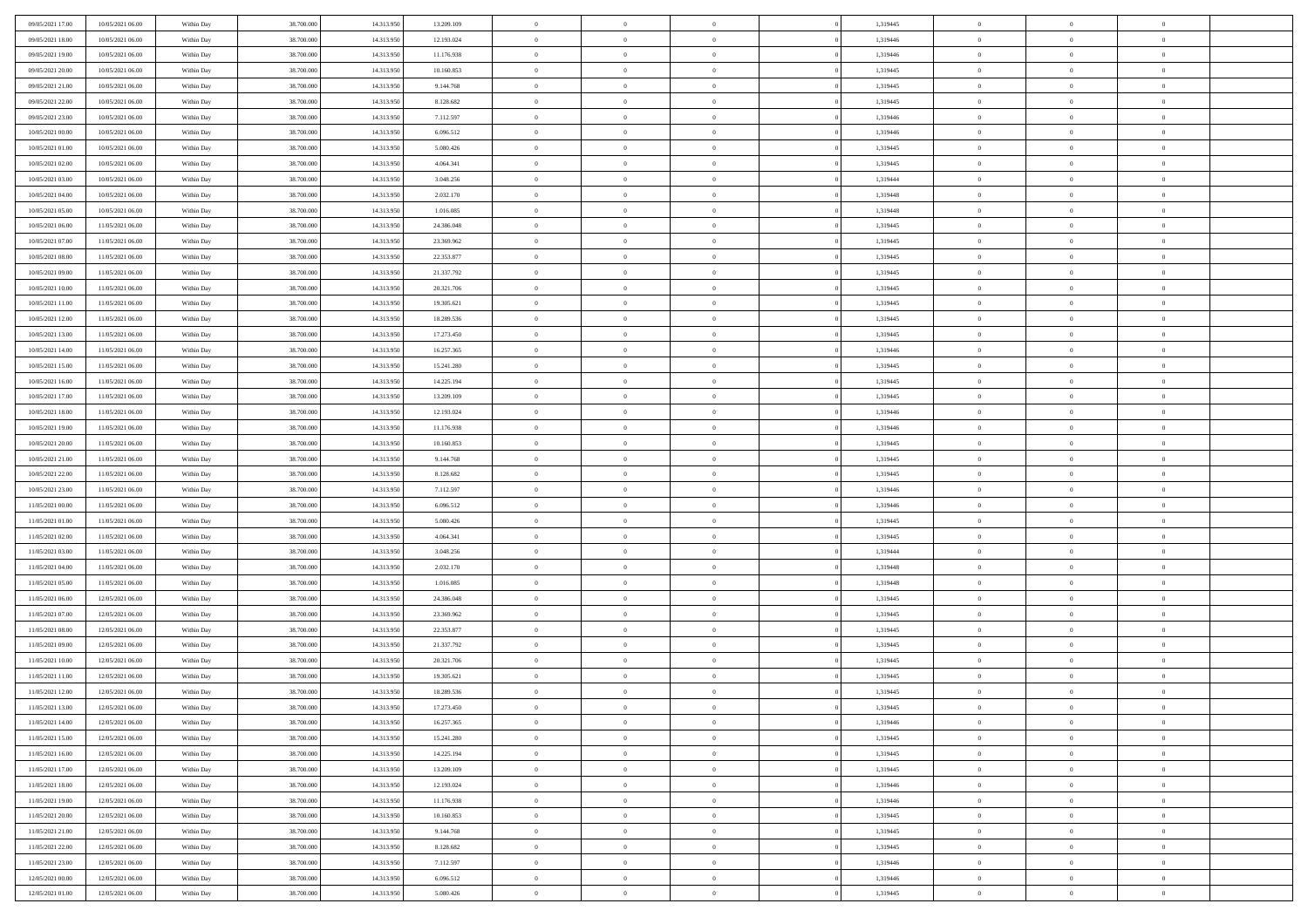| 09/05/2021 17:00                     | 10/05/2021 06:00                     | Within Day               | 38,700,000               | 14.313.950               | 13.209.109             | $\overline{0}$ | $\overline{0}$                   | $\Omega$                   | 1,319445             | $\bf{0}$       | $\mathbf{0}$   | $\bf{0}$       |  |
|--------------------------------------|--------------------------------------|--------------------------|--------------------------|--------------------------|------------------------|----------------|----------------------------------|----------------------------|----------------------|----------------|----------------|----------------|--|
| 09/05/2021 18:00                     | 10/05/2021 06:00                     | Within Day               | 38.700.000               | 14.313.950               | 12.193.024             | $\mathbf{0}$   | $\overline{0}$                   | $\overline{0}$             | 1,319446             | $\overline{0}$ | $\overline{0}$ | $\overline{0}$ |  |
| 09/05/2021 19:00                     | 10/05/2021 06:00                     | Within Day               | 38.700.000               | 14.313.950               | 11.176.938             | $\,$ 0         | $\overline{0}$                   | $\bf{0}$                   | 1,319446             | $\,$ 0         | $\overline{0}$ | $\,$ 0 $\,$    |  |
| 09/05/2021 20:00                     | 10/05/2021 06:00                     | Within Day               | 38,700,000               | 14.313.950               | 10.160.853             | $\bf{0}$       | $\overline{0}$                   | $\Omega$                   | 1,319445             | $\bf{0}$       | $\mathbf{0}$   | $\theta$       |  |
| 09/05/2021 21:00                     | 10/05/2021 06:00                     | Within Day               | 38.700.000               | 14.313.950               | 9.144.768              | $\bf{0}$       | $\overline{0}$                   | $\overline{0}$             | 1,319445             | $\overline{0}$ | $\overline{0}$ | $\overline{0}$ |  |
| 09/05/2021 22.00                     | 10/05/2021 06:00                     | Within Day               | 38.700.000               | 14.313.950               | 8.128.682              | $\bf{0}$       | $\overline{0}$                   | $\bf{0}$                   | 1,319445             | $\,$ 0         | $\overline{0}$ | $\,$ 0 $\,$    |  |
| 09/05/2021 23.00                     | 10/05/2021 06:00                     | Within Day               | 38,700,000               | 14.313.950               | 7.112.597              | $\bf{0}$       | $\overline{0}$                   | $\overline{0}$             | 1,319446             | $\theta$       | $\overline{0}$ | $\theta$       |  |
| 10/05/2021 00:00                     | 10/05/2021 06:00                     | Within Day               | 38.700.000               | 14.313.950               | 6.096.512              | $\overline{0}$ | $\overline{0}$                   | $\overline{0}$             | 1,319446             | $\mathbf{0}$   | $\overline{0}$ | $\overline{0}$ |  |
| 10/05/2021 01:00                     | 10/05/2021 06:00                     | Within Day               | 38.700.000               | 14.313.950               | 5.080.426              | $\bf{0}$       | $\overline{0}$                   | $\bf{0}$                   | 1,319445             | $\,$ 0         | $\overline{0}$ | $\,$ 0 $\,$    |  |
| 10/05/2021 02:00                     | 10/05/2021 06:00                     | Within Day               | 38,700,000               | 14.313.950               | 4.064.341              | $\overline{0}$ | $\overline{0}$                   | $\Omega$                   | 1,319445             | $\theta$       | $\mathbf{0}$   | $\theta$       |  |
| 10/05/2021 03:00                     | 10/05/2021 06:00                     | Within Day               | 38.700.000               | 14.313.950               | 3.048.256              | $\overline{0}$ | $\overline{0}$                   | $\overline{0}$             | 1,319444             | $\mathbf{0}$   | $\overline{0}$ | $\overline{0}$ |  |
| 10/05/2021 04:00                     | 10/05/2021 06:00                     | Within Day               | 38.700.000               | 14.313.950               | 2.032.170              | $\bf{0}$       | $\overline{0}$                   | $\bf{0}$                   | 1,319448             | $\,$ 0         | $\overline{0}$ | $\,$ 0 $\,$    |  |
| 10/05/2021 05:00                     | 10/05/2021 06:00                     | Within Day               | 38,700,000               | 14.313.950               | 1.016.085              | $\bf{0}$       | $\overline{0}$                   | $\Omega$                   | 1,319448             | $\overline{0}$ | $\mathbf{0}$   | $\theta$       |  |
| 10/05/2021 06:00                     | 11/05/2021 06:00                     | Within Day               | 38.700.000               | 14.313.950               | 24.386.048             | $\overline{0}$ | $\overline{0}$                   | $\overline{0}$             | 1,319445             | $\mathbf{0}$   | $\overline{0}$ | $\overline{0}$ |  |
| 10/05/2021 07:00                     | 11/05/2021 06:00                     | Within Day               | 38.700.000               | 14.313.950               | 23.369.962             | $\bf{0}$       | $\overline{0}$                   | $\bf{0}$                   | 1,319445             | $\,$ 0         | $\overline{0}$ | $\,$ 0 $\,$    |  |
| 10/05/2021 08:00                     | 11/05/2021 06:00                     | Within Day               | 38,700,000               | 14.313.950               | 22.353.877             | $\bf{0}$       | $\overline{0}$                   | $\overline{0}$             | 1,319445             | $\bf{0}$       | $\mathbf{0}$   | $\bf{0}$       |  |
| 10/05/2021 09:00                     | 11/05/2021 06:00                     | Within Day               | 38.700.000               | 14.313.950               | 21.337.792             | $\overline{0}$ | $\overline{0}$                   | $\overline{0}$             | 1,319445             | $\mathbf{0}$   | $\overline{0}$ | $\overline{0}$ |  |
| 10/05/2021 10:00                     | 11/05/2021 06:00                     | Within Day               | 38.700.000               | 14.313.950               | 20.321.706             | $\bf{0}$       | $\overline{0}$                   | $\bf{0}$                   | 1,319445             | $\,$ 0         | $\overline{0}$ | $\,$ 0 $\,$    |  |
| 10/05/2021 11:00                     | 11/05/2021 06:00                     | Within Day               | 38,700,000               | 14.313.950               | 19.305.621             | $\bf{0}$       | $\overline{0}$                   | $\Omega$                   | 1,319445             | $\theta$       | $\mathbf{0}$   | $\theta$       |  |
| 10/05/2021 12:00                     | 11/05/2021 06:00                     | Within Day               | 38.700.000               | 14.313.950               | 18.289.536             | $\overline{0}$ | $\overline{0}$                   | $\overline{0}$             | 1,319445             | $\mathbf{0}$   | $\overline{0}$ | $\overline{0}$ |  |
| 10/05/2021 13:00                     | 11/05/2021 06:00                     | Within Day               | 38.700.000               | 14.313.950               | 17.273.450             | $\bf{0}$       | $\overline{0}$                   | $\bf{0}$                   | 1,319445             | $\,$ 0         | $\overline{0}$ | $\,$ 0 $\,$    |  |
| 10/05/2021 14:00                     | 11/05/2021 06:00                     | Within Day               | 38,700,000               | 14.313.950               | 16.257.365             | $\bf{0}$       | $\overline{0}$                   | $\Omega$                   | 1,319446             | $\bf{0}$       | $\mathbf{0}$   | $\theta$       |  |
| 10/05/2021 15:00                     | 11/05/2021 06:00                     | Within Dav               | 38.700.000               | 14.313.950               | 15.241.280             | $\overline{0}$ | $\overline{0}$                   | $\overline{0}$             | 1,319445             | $\mathbf{0}$   | $\overline{0}$ | $\overline{0}$ |  |
| 10/05/2021 16:00                     | 11/05/2021 06:00                     | Within Day               | 38.700.000               | 14.313.950               | 14.225.194             | $\bf{0}$       | $\overline{0}$                   | $\bf{0}$                   | 1,319445             | $\,$ 0         | $\overline{0}$ | $\,$ 0 $\,$    |  |
| 10/05/2021 17:00                     | 11/05/2021 06:00                     | Within Day               | 38,700,000               | 14.313.950               | 13.209.109             | $\bf{0}$       | $\overline{0}$                   | $\overline{0}$             | 1,319445             | $\bf{0}$       | $\overline{0}$ | $\bf{0}$       |  |
| 10/05/2021 18:00                     | 11/05/2021 06:00                     | Within Day               | 38.700.000               | 14.313.950               | 12.193.024             | $\overline{0}$ | $\overline{0}$                   | $\overline{0}$             | 1,319446             | $\mathbf{0}$   | $\overline{0}$ | $\overline{0}$ |  |
| 10/05/2021 19:00                     | 11/05/2021 06:00                     |                          | 38.700.000               | 14.313.950               | 11.176.938             | $\bf{0}$       | $\overline{0}$                   |                            | 1,319446             | $\,$ 0         | $\overline{0}$ | $\,$ 0 $\,$    |  |
| 10/05/2021 20:00                     | 11/05/2021 06:00                     | Within Day<br>Within Day | 38,700,000               | 14.313.950               | 10.160.853             | $\bf{0}$       | $\overline{0}$                   | $\bf{0}$<br>$\Omega$       | 1,319445             | $\theta$       | $\mathbf{0}$   | $\theta$       |  |
| 10/05/2021 21:00                     | 11/05/2021 06:00                     |                          | 38.700.000               | 14.313.950               | 9.144.768              | $\overline{0}$ | $\overline{0}$                   | $\overline{0}$             | 1,319445             | $\mathbf{0}$   | $\overline{0}$ | $\overline{0}$ |  |
| 10/05/2021 22:00                     | 11/05/2021 06:00                     | Within Day<br>Within Day | 38.700.000               | 14.313.950               | 8.128.682              | $\bf{0}$       | $\overline{0}$                   |                            | 1,319445             | $\,$ 0         | $\overline{0}$ | $\,$ 0 $\,$    |  |
|                                      |                                      |                          |                          |                          |                        | $\bf{0}$       |                                  | $\bf{0}$<br>$\overline{0}$ |                      | $\bf{0}$       | $\overline{0}$ | $\,0\,$        |  |
| 10/05/2021 23:00<br>11/05/2021 00:00 | 11/05/2021 06:00<br>11/05/2021 06:00 | Within Day<br>Within Dav | 38.700.000<br>38.700.000 | 14.313.950<br>14.313.950 | 7.112.597<br>6.096.512 | $\overline{0}$ | $\overline{0}$<br>$\overline{0}$ | $\overline{0}$             | 1,319446<br>1,319446 | $\mathbf{0}$   | $\overline{0}$ | $\overline{0}$ |  |
| 11/05/2021 01:00                     | 11/05/2021 06:00                     | Within Day               | 38.700.000               | 14.313.950               | 5.080.426              | $\bf{0}$       | $\overline{0}$                   | $\bf{0}$                   | 1,319445             | $\,$ 0         | $\overline{0}$ | $\,$ 0 $\,$    |  |
| 11/05/2021 02.00                     | 11/05/2021 06:00                     | Within Day               | 38.700.000               | 14.313.950               | 4.064.341              | $\bf{0}$       | $\bf{0}$                         | $\bf{0}$                   | 1,319445             | $\bf{0}$       | $\overline{0}$ | $\,0\,$        |  |
| 11/05/2021 03:00                     | 11/05/2021 06:00                     | Within Day               | 38.700.000               | 14.313.950               | 3.048.256              | $\overline{0}$ | $\overline{0}$                   | $\overline{0}$             | 1,319444             | $\overline{0}$ | $\overline{0}$ | $\overline{0}$ |  |
| 11/05/2021 04:00                     | 11/05/2021 06:00                     | Within Day               | 38.700.000               | 14.313.950               | 2.032.170              | $\bf{0}$       | $\overline{0}$                   | $\bf{0}$                   | 1,319448             | $\,$ 0         | $\overline{0}$ | $\,$ 0 $\,$    |  |
| 11/05/2021 05:00                     | 11/05/2021 06:00                     | Within Day               | 38.700.000               | 14.313.950               | 1.016.085              | $\bf{0}$       | $\bf{0}$                         | $\overline{0}$             | 1,319448             | $\bf{0}$       | $\overline{0}$ | $\,0\,$        |  |
| 11/05/2021 06:00                     | 12/05/2021 06:00                     | Within Day               | 38.700.000               | 14.313.950               | 24.386.048             | $\overline{0}$ | $\overline{0}$                   | $\overline{0}$             | 1,319445             | $\mathbf{0}$   | $\overline{0}$ | $\overline{0}$ |  |
| 11/05/2021 07:00                     | 12/05/2021 06:00                     | Within Day               | 38.700.000               | 14.313.950               | 23.369.962             | $\bf{0}$       | $\overline{0}$                   | $\bf{0}$                   | 1,319445             | $\,$ 0         | $\overline{0}$ | $\,$ 0 $\,$    |  |
| 11/05/2021 08:00                     | 12/05/2021 06:00                     | Within Day               | 38.700.000               | 14.313.950               | 22.353.877             | $\bf{0}$       | $\bf{0}$                         | $\overline{0}$             | 1,319445             | $\bf{0}$       | $\overline{0}$ | $\,0\,$        |  |
| 11/05/2021 09:00                     | 12/05/2021 06:00                     | Within Day               | 38.700.000               | 14.313.950               | 21.337.792             | $\overline{0}$ | $\overline{0}$                   | $\overline{0}$             | 1,319445             | $\overline{0}$ | $\overline{0}$ | $\overline{0}$ |  |
| 11/05/2021 10:00                     | 12/05/2021 06:00                     | Within Day               | 38.700.000               | 14.313.950               | 20.321.706             | $\bf{0}$       | $\overline{0}$                   | $\bf{0}$                   | 1,319445             | $\,$ 0         | $\overline{0}$ | $\,$ 0 $\,$    |  |
| 11/05/2021 11:00                     | 12/05/2021 06:00                     | Within Day               | 38.700.000               | 14.313.950               | 19.305.621             | $\bf{0}$       | $\bf{0}$                         | $\bf{0}$                   | 1,319445             | $\bf{0}$       | $\overline{0}$ | $\,0\,$        |  |
| 11/05/2021 12:00                     | 12/05/2021 06:00                     | Within Dav               | 38.700.000               | 14.313.950               | 18.289.536             | $\mathbf{0}$   | $\overline{0}$                   | $\overline{0}$             | 1,319445             | $\overline{0}$ | $\overline{0}$ | $\overline{0}$ |  |
| 11/05/2021 13:00                     | 12/05/2021 06:00                     | Within Day               | 38.700.000               | 14.313.950               | 17.273.450             | $\bf{0}$       | $\overline{0}$                   | $\overline{0}$             | 1,319445             | $\overline{0}$ | $\theta$       | $\theta$       |  |
| 11/05/2021 14:00                     | 12/05/2021 06:00                     | Within Day               | 38.700.000               | 14.313.950               | 16.257.365             | $\bf{0}$       | $\bf{0}$                         | $\bf{0}$                   | 1,319446             | $\bf{0}$       | $\overline{0}$ | $\bf{0}$       |  |
| 11/05/2021 15:00                     | 12/05/2021 06:00                     | Within Day               | 38.700.000               | 14.313.950               | 15.241.280             | $\overline{0}$ | $\overline{0}$                   | $\overline{0}$             | 1,319445             | $\overline{0}$ | $\bf{0}$       | $\overline{0}$ |  |
| 11/05/2021 16:00                     | 12/05/2021 06:00                     | Within Day               | 38.700.000               | 14.313.950               | 14.225.194             | $\,$ 0 $\,$    | $\overline{0}$                   | $\overline{0}$             | 1,319445             | $\,$ 0 $\,$    | $\,$ 0 $\,$    | $\,$ 0 $\,$    |  |
| 11/05/2021 17:00                     | 12/05/2021 06:00                     | Within Day               | 38.700.000               | 14.313.950               | 13.209.109             | $\bf{0}$       | $\bf{0}$                         | $\overline{0}$             | 1,319445             | $\bf{0}$       | $\overline{0}$ | $\bf{0}$       |  |
| 11/05/2021 18:00                     | 12/05/2021 06:00                     | Within Day               | 38.700.000               | 14.313.950               | 12.193.024             | $\bf{0}$       | $\overline{0}$                   | $\overline{0}$             | 1,319446             | $\overline{0}$ | $\bf{0}$       | $\overline{0}$ |  |
| 11/05/2021 19:00                     | 12/05/2021 06:00                     | Within Day               | 38.700.000               | 14.313.950               | 11.176.938             | $\,$ 0 $\,$    | $\overline{0}$                   | $\overline{0}$             | 1,319446             | $\,$ 0 $\,$    | $\overline{0}$ | $\,$ 0 $\,$    |  |
| 11/05/2021 20:00                     | 12/05/2021 06:00                     | Within Day               | 38.700.000               | 14.313.950               | 10.160.853             | $\overline{0}$ | $\overline{0}$                   | $\overline{0}$             | 1,319445             | $\bf{0}$       | $\overline{0}$ | $\overline{0}$ |  |
| 11/05/2021 21:00                     | 12/05/2021 06:00                     | Within Day               | 38.700.000               | 14.313.950               | 9.144.768              | $\overline{0}$ | $\overline{0}$                   | $\overline{0}$             | 1,319445             | $\overline{0}$ | $\bf{0}$       | $\overline{0}$ |  |
| 11/05/2021 22.00                     | 12/05/2021 06:00                     | Within Day               | 38.700.000               | 14.313.950               | 8.128.682              | $\,$ 0 $\,$    | $\overline{0}$                   | $\overline{0}$             | 1,319445             | $\,$ 0 $\,$    | $\,$ 0 $\,$    | $\,$ 0 $\,$    |  |
|                                      | 12/05/2021 06:00                     | Within Day               | 38.700.000               | 14.313.950               | 7.112.597              | $\bf{0}$       | $\bf{0}$                         | $\overline{0}$             | 1,319446             | $\bf{0}$       | $\overline{0}$ | $\bf{0}$       |  |
| 11/05/2021 23:00<br>12/05/2021 00:00 | 12/05/2021 06:00                     | Within Day               | 38.700.000               | 14.313.950               | 6.096.512              | $\overline{0}$ | $\overline{0}$                   | $\overline{0}$             | 1,319446             | $\mathbf{0}$   | $\bf{0}$       | $\overline{0}$ |  |
|                                      |                                      |                          |                          |                          |                        |                |                                  |                            |                      |                |                |                |  |
| 12/05/2021 01:00                     | 12/05/2021 06:00                     | Within Day               | 38.700.000               | 14.313.950               | 5.080.426              | $\,0\,$        | $\overline{0}$                   | $\overline{0}$             | 1,319445             | $\,$ 0         | $\overline{0}$ | $\,$ 0 $\,$    |  |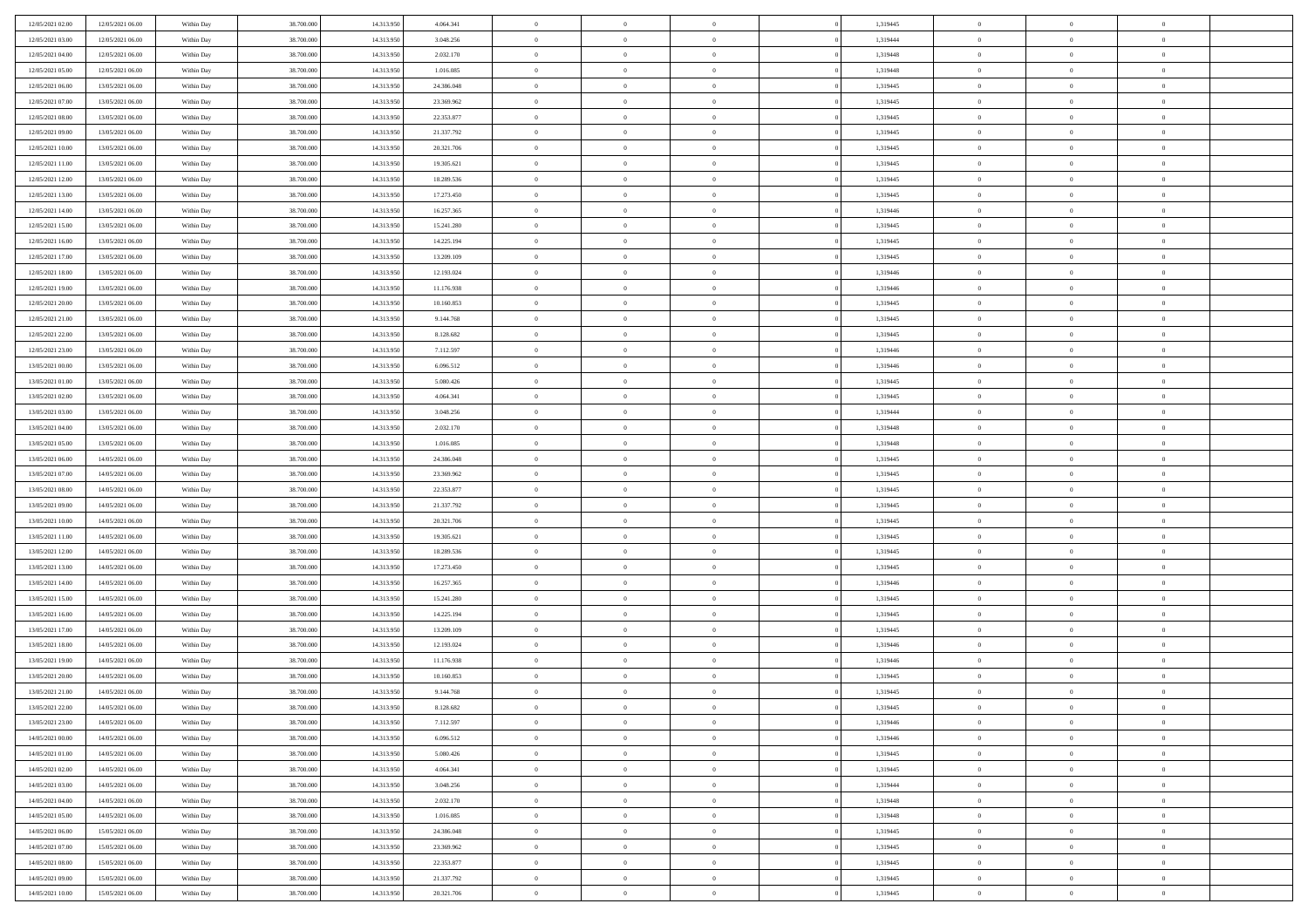| 12/05/2021 02:00 | 12/05/2021 06:00 | Within Day | 38,700,000 | 14.313.950 | 4.064.341  | $\overline{0}$ | $\overline{0}$ | $\Omega$       | 1,319445 | $\bf{0}$       | $\mathbf{0}$   | $\bf{0}$       |  |
|------------------|------------------|------------|------------|------------|------------|----------------|----------------|----------------|----------|----------------|----------------|----------------|--|
| 12/05/2021 03:00 | 12/05/2021 06:00 | Within Day | 38.700.000 | 14.313.950 | 3.048.256  | $\mathbf{0}$   | $\overline{0}$ | $\overline{0}$ | 1,319444 | $\overline{0}$ | $\overline{0}$ | $\overline{0}$ |  |
| 12/05/2021 04:00 | 12/05/2021 06:00 | Within Day | 38.700.000 | 14.313.950 | 2.032.170  | $\,$ 0         | $\overline{0}$ | $\bf{0}$       | 1,319448 | $\,$ 0         | $\overline{0}$ | $\,$ 0 $\,$    |  |
| 12/05/2021 05:00 | 12/05/2021 06:00 | Within Day | 38,700,000 | 14.313.950 | 1.016.085  | $\bf{0}$       | $\overline{0}$ | $\Omega$       | 1,319448 | $\bf{0}$       | $\mathbf{0}$   | $\theta$       |  |
| 12/05/2021 06:00 | 13/05/2021 06:00 | Within Day | 38.700.000 | 14.313.950 | 24.386.048 | $\bf{0}$       | $\overline{0}$ | $\overline{0}$ | 1,319445 | $\overline{0}$ | $\overline{0}$ | $\overline{0}$ |  |
| 12/05/2021 07:00 | 13/05/2021 06:00 | Within Day | 38.700.000 | 14.313.950 | 23.369.962 | $\bf{0}$       | $\overline{0}$ | $\bf{0}$       | 1,319445 | $\,$ 0         | $\overline{0}$ | $\,$ 0 $\,$    |  |
| 12/05/2021 08:00 | 13/05/2021 06:00 | Within Day | 38,700,000 | 14.313.950 | 22.353.877 | $\bf{0}$       | $\overline{0}$ | $\overline{0}$ | 1,319445 | $\bf{0}$       | $\overline{0}$ | $\theta$       |  |
| 12/05/2021 09:00 | 13/05/2021 06:00 | Within Day | 38.700.000 | 14.313.950 | 21.337.792 | $\overline{0}$ | $\overline{0}$ | $\overline{0}$ | 1,319445 | $\mathbf{0}$   | $\overline{0}$ | $\overline{0}$ |  |
| 12/05/2021 10:00 | 13/05/2021 06:00 | Within Day | 38.700.000 | 14.313.950 | 20.321.706 | $\bf{0}$       | $\overline{0}$ | $\bf{0}$       | 1,319445 | $\,$ 0         | $\overline{0}$ | $\,$ 0 $\,$    |  |
| 12/05/2021 11:00 | 13/05/2021 06:00 | Within Day | 38,700,000 | 14.313.950 | 19.305.621 | $\bf{0}$       | $\overline{0}$ | $\Omega$       | 1,319445 | $\theta$       | $\mathbf{0}$   | $\theta$       |  |
| 12/05/2021 12:00 | 13/05/2021 06:00 | Within Day | 38.700.000 | 14.313.950 | 18.289.536 | $\overline{0}$ | $\overline{0}$ | $\overline{0}$ | 1,319445 | $\mathbf{0}$   | $\overline{0}$ | $\overline{0}$ |  |
| 12/05/2021 13:00 | 13/05/2021 06:00 | Within Day | 38.700.000 | 14.313.950 | 17.273.450 | $\bf{0}$       | $\overline{0}$ | $\bf{0}$       | 1,319445 | $\,$ 0         | $\overline{0}$ | $\,$ 0 $\,$    |  |
| 12/05/2021 14:00 | 13/05/2021 06:00 | Within Day | 38,700,000 | 14.313.950 | 16.257.365 | $\bf{0}$       | $\overline{0}$ | $\Omega$       | 1,319446 | $\bf{0}$       | $\mathbf{0}$   | $\theta$       |  |
| 12/05/2021 15:00 | 13/05/2021 06:00 | Within Day | 38.700.000 | 14.313.950 | 15.241.280 | $\overline{0}$ | $\overline{0}$ | $\overline{0}$ | 1,319445 | $\mathbf{0}$   | $\overline{0}$ | $\overline{0}$ |  |
| 12/05/2021 16:00 | 13/05/2021 06:00 | Within Day | 38.700.000 | 14.313.950 | 14.225.194 | $\bf{0}$       | $\overline{0}$ | $\bf{0}$       | 1,319445 | $\,$ 0         | $\overline{0}$ | $\,$ 0 $\,$    |  |
| 12/05/2021 17:00 | 13/05/2021 06:00 | Within Day | 38,700,000 | 14.313.950 | 13.209.109 | $\bf{0}$       | $\overline{0}$ | $\overline{0}$ | 1,319445 | $\bf{0}$       | $\overline{0}$ | $\bf{0}$       |  |
| 12/05/2021 18:00 | 13/05/2021 06:00 | Within Day | 38.700.000 | 14.313.950 | 12.193.024 | $\overline{0}$ | $\overline{0}$ | $\overline{0}$ | 1,319446 | $\mathbf{0}$   | $\overline{0}$ | $\overline{0}$ |  |
| 12/05/2021 19:00 | 13/05/2021 06:00 | Within Day | 38.700.000 | 14.313.950 | 11.176.938 | $\bf{0}$       | $\overline{0}$ | $\bf{0}$       | 1,319446 | $\,$ 0         | $\overline{0}$ | $\,$ 0 $\,$    |  |
| 12/05/2021 20:00 | 13/05/2021 06:00 | Within Day | 38,700,000 | 14.313.950 | 10.160.853 | $\bf{0}$       | $\overline{0}$ | $\Omega$       | 1,319445 | $\theta$       | $\mathbf{0}$   | $\theta$       |  |
| 12/05/2021 21:00 | 13/05/2021 06:00 | Within Day | 38.700.000 | 14.313.950 | 9.144.768  | $\overline{0}$ | $\overline{0}$ | $\overline{0}$ | 1,319445 | $\mathbf{0}$   | $\overline{0}$ | $\overline{0}$ |  |
| 12/05/2021 22:00 | 13/05/2021 06:00 | Within Day | 38.700.000 | 14.313.950 | 8.128.682  | $\bf{0}$       | $\overline{0}$ | $\bf{0}$       | 1,319445 | $\,$ 0         | $\overline{0}$ | $\,$ 0 $\,$    |  |
| 12/05/2021 23:00 | 13/05/2021 06:00 | Within Day | 38,700,000 | 14.313.950 | 7.112.597  | $\bf{0}$       | $\overline{0}$ | $\Omega$       | 1,319446 | $\theta$       | $\mathbf{0}$   | $\theta$       |  |
| 13/05/2021 00:00 | 13/05/2021 06:00 | Within Day | 38.700.000 | 14.313.950 | 6.096.512  | $\overline{0}$ | $\overline{0}$ | $\overline{0}$ | 1,319446 | $\mathbf{0}$   | $\overline{0}$ | $\overline{0}$ |  |
| 13/05/2021 01:00 | 13/05/2021 06:00 | Within Day | 38.700.000 | 14.313.950 | 5.080.426  | $\bf{0}$       | $\overline{0}$ | $\bf{0}$       | 1,319445 | $\,$ 0         | $\overline{0}$ | $\,$ 0 $\,$    |  |
| 13/05/2021 02:00 | 13/05/2021 06:00 | Within Day | 38,700,000 | 14.313.950 | 4.064.341  | $\bf{0}$       | $\overline{0}$ | $\overline{0}$ | 1,319445 | $\bf{0}$       | $\overline{0}$ | $\bf{0}$       |  |
| 13/05/2021 03:00 | 13/05/2021 06:00 | Within Day | 38.700.000 | 14.313.950 | 3.048.256  | $\overline{0}$ | $\overline{0}$ | $\overline{0}$ | 1,319444 | $\mathbf{0}$   | $\overline{0}$ | $\overline{0}$ |  |
| 13/05/2021 04:00 | 13/05/2021 06:00 | Within Day | 38.700.000 | 14.313.950 | 2.032.170  | $\bf{0}$       | $\overline{0}$ | $\bf{0}$       | 1,319448 | $\,$ 0         | $\overline{0}$ | $\,$ 0 $\,$    |  |
| 13/05/2021 05:00 | 13/05/2021 06:00 | Within Day | 38,700,000 | 14.313.950 | 1.016.085  | $\bf{0}$       | $\overline{0}$ | $\Omega$       | 1,319448 | $\theta$       | $\mathbf{0}$   | $\theta$       |  |
| 13/05/2021 06:00 | 14/05/2021 06:00 | Within Day | 38.700.000 | 14.313.950 | 24.386.048 | $\overline{0}$ | $\overline{0}$ | $\overline{0}$ | 1,319445 | $\mathbf{0}$   | $\overline{0}$ | $\overline{0}$ |  |
| 13/05/2021 07:00 | 14/05/2021 06:00 | Within Day | 38.700.000 | 14.313.950 | 23.369.962 | $\bf{0}$       | $\overline{0}$ | $\bf{0}$       | 1,319445 | $\,$ 0         | $\overline{0}$ | $\,$ 0 $\,$    |  |
| 13/05/2021 08:00 | 14/05/2021 06:00 | Within Day | 38.700.000 | 14.313.950 | 22.353.877 | $\bf{0}$       | $\bf{0}$       | $\overline{0}$ | 1,319445 | $\bf{0}$       | $\overline{0}$ | $\,0\,$        |  |
| 13/05/2021 09:00 | 14/05/2021 06:00 | Within Day | 38.700.000 | 14.313.950 | 21.337.792 | $\overline{0}$ | $\overline{0}$ | $\overline{0}$ | 1,319445 | $\mathbf{0}$   | $\overline{0}$ | $\overline{0}$ |  |
| 13/05/2021 10:00 | 14/05/2021 06:00 | Within Day | 38.700.000 | 14.313.950 | 20.321.706 | $\bf{0}$       | $\overline{0}$ | $\bf{0}$       | 1,319445 | $\,$ 0         | $\overline{0}$ | $\,$ 0 $\,$    |  |
| 13/05/2021 11:00 | 14/05/2021 06:00 | Within Day | 38.700.000 | 14.313.950 | 19.305.621 | $\bf{0}$       | $\bf{0}$       | $\bf{0}$       | 1,319445 | $\bf{0}$       | $\overline{0}$ | $\,0\,$        |  |
| 13/05/2021 12:00 | 14/05/2021 06:00 | Within Day | 38.700.000 | 14.313.950 | 18.289.536 | $\overline{0}$ | $\overline{0}$ | $\overline{0}$ | 1,319445 | $\overline{0}$ | $\overline{0}$ | $\overline{0}$ |  |
| 13/05/2021 13:00 | 14/05/2021 06:00 | Within Day | 38.700.000 | 14.313.950 | 17.273.450 | $\bf{0}$       | $\overline{0}$ | $\bf{0}$       | 1,319445 | $\,$ 0         | $\overline{0}$ | $\,$ 0 $\,$    |  |
| 13/05/2021 14:00 | 14/05/2021 06:00 | Within Day | 38.700.000 | 14.313.950 | 16.257.365 | $\bf{0}$       | $\bf{0}$       | $\overline{0}$ | 1,319446 | $\bf{0}$       | $\overline{0}$ | $\,0\,$        |  |
| 13/05/2021 15:00 | 14/05/2021 06:00 | Within Day | 38.700.000 | 14.313.950 | 15.241.280 | $\overline{0}$ | $\overline{0}$ | $\overline{0}$ | 1,319445 | $\mathbf{0}$   | $\overline{0}$ | $\overline{0}$ |  |
| 13/05/2021 16:00 | 14/05/2021 06:00 | Within Day | 38.700.000 | 14.313.950 | 14.225.194 | $\bf{0}$       | $\overline{0}$ | $\bf{0}$       | 1,319445 | $\,$ 0         | $\overline{0}$ | $\,$ 0 $\,$    |  |
| 13/05/2021 17:00 | 14/05/2021 06:00 | Within Day | 38.700.000 | 14.313.950 | 13.209.109 | $\bf{0}$       | $\bf{0}$       | $\overline{0}$ | 1,319445 | $\bf{0}$       | $\overline{0}$ | $\,0\,$        |  |
| 13/05/2021 18:00 | 14/05/2021 06:00 | Within Day | 38.700.000 | 14.313.950 | 12.193.024 | $\overline{0}$ | $\overline{0}$ | $\overline{0}$ | 1,319446 | $\overline{0}$ | $\overline{0}$ | $\overline{0}$ |  |
| 13/05/2021 19:00 | 14/05/2021 06:00 | Within Day | 38.700.000 | 14.313.950 | 11.176.938 | $\bf{0}$       | $\overline{0}$ | $\bf{0}$       | 1,319446 | $\,$ 0         | $\overline{0}$ | $\,$ 0 $\,$    |  |
| 13/05/2021 20:00 | 14/05/2021 06:00 | Within Day | 38.700.000 | 14.313.950 | 10.160.853 | $\bf{0}$       | $\bf{0}$       | $\bf{0}$       | 1,319445 | $\bf{0}$       | $\overline{0}$ | $\,0\,$        |  |
| 13/05/2021 21:00 | 14/05/2021 06:00 | Within Day | 38.700.000 | 14.313.950 | 9.144.768  | $\mathbf{0}$   | $\overline{0}$ | $\overline{0}$ | 1,319445 | $\overline{0}$ | $\overline{0}$ | $\overline{0}$ |  |
| 13/05/2021 22:00 | 14/05/2021 06:00 | Within Day | 38.700.000 | 14.313.950 | 8.128.682  | $\bf{0}$       | $\overline{0}$ | $\theta$       | 1,319445 | $\overline{0}$ | $\overline{0}$ | $\theta$       |  |
| 13/05/2021 23:00 | 14/05/2021 06:00 | Within Day | 38.700.000 | 14.313.950 | 7.112.597  | $\bf{0}$       | $\bf{0}$       | $\bf{0}$       | 1,319446 | $\bf{0}$       | $\overline{0}$ | $\bf{0}$       |  |
| 14/05/2021 00:00 | 14/05/2021 06:00 | Within Day | 38.700.000 | 14.313.950 | 6.096.512  | $\overline{0}$ | $\overline{0}$ | $\overline{0}$ | 1,319446 | $\mathbf{0}$   | $\bf{0}$       | $\overline{0}$ |  |
| 14/05/2021 01:00 | 14/05/2021 06:00 | Within Day | 38.700.000 | 14.313.950 | 5.080.426  | $\,$ 0 $\,$    | $\overline{0}$ | $\overline{0}$ | 1,319445 | $\mathbf{0}$   | $\,$ 0 $\,$    | $\,$ 0 $\,$    |  |
| 14/05/2021 02.00 | 14/05/2021 06:00 | Within Day | 38.700.000 | 14.313.950 | 4.064.341  | $\bf{0}$       | $\bf{0}$       | $\overline{0}$ | 1,319445 | $\bf{0}$       | $\overline{0}$ | $\bf{0}$       |  |
| 14/05/2021 03:00 | 14/05/2021 06:00 | Within Day | 38.700.000 | 14.313.950 | 3.048.256  | $\bf{0}$       | $\overline{0}$ | $\overline{0}$ | 1,319444 | $\mathbf{0}$   | $\overline{0}$ | $\overline{0}$ |  |
| 14/05/2021 04:00 | 14/05/2021 06:00 | Within Day | 38.700.000 | 14.313.950 | 2.032.170  | $\,$ 0 $\,$    | $\overline{0}$ | $\overline{0}$ | 1,319448 | $\,$ 0 $\,$    | $\overline{0}$ | $\,$ 0 $\,$    |  |
| 14/05/2021 05:00 | 14/05/2021 06:00 | Within Day | 38.700.000 | 14.313.950 | 1.016.085  | $\bf{0}$       | $\overline{0}$ | $\overline{0}$ | 1,319448 | $\bf{0}$       | $\overline{0}$ | $\overline{0}$ |  |
| 14/05/2021 06:00 | 15/05/2021 06:00 | Within Day | 38.700.000 | 14.313.950 | 24.386.048 | $\overline{0}$ | $\overline{0}$ | $\overline{0}$ | 1,319445 | $\overline{0}$ | $\bf{0}$       | $\overline{0}$ |  |
| 14/05/2021 07:00 | 15/05/2021 06:00 | Within Day | 38.700.000 | 14.313.950 | 23.369.962 | $\,$ 0 $\,$    | $\overline{0}$ | $\overline{0}$ | 1,319445 | $\,$ 0 $\,$    | $\,$ 0 $\,$    | $\,$ 0 $\,$    |  |
| 14/05/2021 08:00 | 15/05/2021 06:00 | Within Day | 38.700.000 | 14.313.950 | 22.353.877 | $\bf{0}$       | $\bf{0}$       | $\overline{0}$ | 1,319445 | $\bf{0}$       | $\overline{0}$ | $\bf{0}$       |  |
| 14/05/2021 09:00 | 15/05/2021 06:00 | Within Day | 38.700.000 | 14.313.950 | 21.337.792 | $\bf{0}$       | $\overline{0}$ | $\overline{0}$ | 1,319445 | $\mathbf{0}$   | $\bf{0}$       | $\overline{0}$ |  |
| 14/05/2021 10:00 | 15/05/2021 06:00 | Within Day | 38.700.000 | 14.313.950 | 20.321.706 | $\,0\,$        | $\overline{0}$ | $\overline{0}$ | 1,319445 | $\,$ 0         | $\overline{0}$ | $\,$ 0 $\,$    |  |
|                  |                  |            |            |            |            |                |                |                |          |                |                |                |  |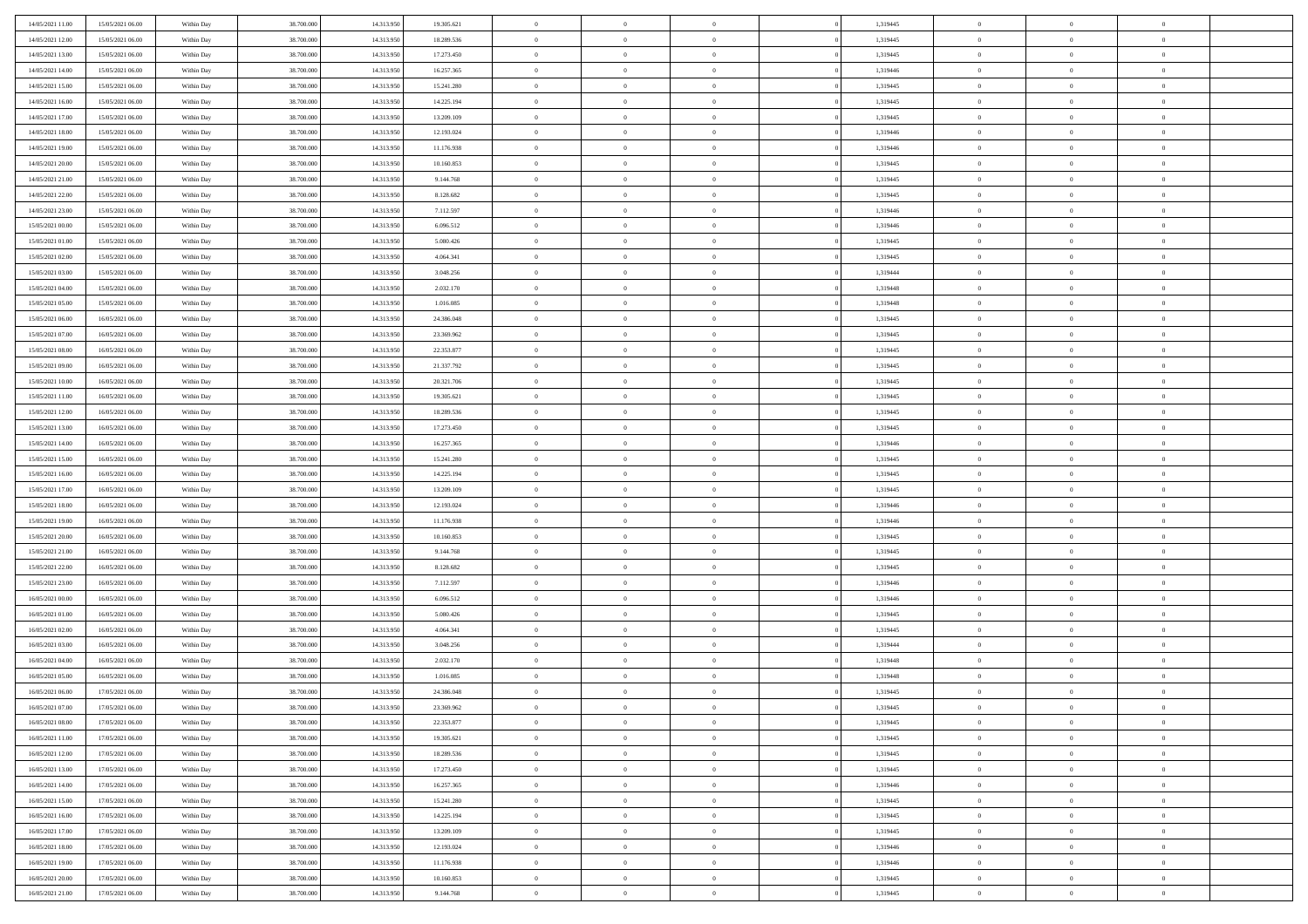| 14/05/2021 11:00 | 15/05/2021 06:00 | Within Day | 38,700,000 | 14.313.950 | 19.305.621 | $\overline{0}$ | $\overline{0}$ | $\Omega$       | 1,319445 | $\bf{0}$       | $\mathbf{0}$   | $\bf{0}$       |  |
|------------------|------------------|------------|------------|------------|------------|----------------|----------------|----------------|----------|----------------|----------------|----------------|--|
| 14/05/2021 12:00 | 15/05/2021 06:00 | Within Day | 38.700.000 | 14.313.950 | 18.289.536 | $\mathbf{0}$   | $\overline{0}$ | $\overline{0}$ | 1,319445 | $\overline{0}$ | $\overline{0}$ | $\theta$       |  |
| 14/05/2021 13:00 | 15/05/2021 06:00 | Within Day | 38.700.000 | 14.313.950 | 17.273.450 | $\,$ 0         | $\overline{0}$ | $\bf{0}$       | 1,319445 | $\,$ 0         | $\overline{0}$ | $\,$ 0 $\,$    |  |
| 14/05/2021 14:00 | 15/05/2021 06:00 | Within Day | 38,700,000 | 14.313.950 | 16.257.365 | $\bf{0}$       | $\overline{0}$ | $\Omega$       | 1,319446 | $\bf{0}$       | $\mathbf{0}$   | $\theta$       |  |
| 14/05/2021 15:00 | 15/05/2021 06:00 | Within Dav | 38.700.000 | 14.313.950 | 15.241.280 | $\bf{0}$       | $\overline{0}$ | $\overline{0}$ | 1,319445 | $\overline{0}$ | $\overline{0}$ | $\overline{0}$ |  |
| 14/05/2021 16:00 | 15/05/2021 06:00 | Within Day | 38.700.000 | 14.313.950 | 14.225.194 | $\bf{0}$       | $\overline{0}$ | $\bf{0}$       | 1,319445 | $\,$ 0         | $\overline{0}$ | $\,$ 0 $\,$    |  |
| 14/05/2021 17:00 | 15/05/2021 06:00 | Within Day | 38,700,000 | 14.313.950 | 13.209.109 | $\bf{0}$       | $\overline{0}$ | $\Omega$       | 1,319445 | $\theta$       | $\mathbf{0}$   | $\theta$       |  |
| 14/05/2021 18:00 | 15/05/2021 06:00 | Within Day | 38.700.000 | 14.313.950 | 12.193.024 | $\overline{0}$ | $\overline{0}$ | $\overline{0}$ | 1,319446 | $\mathbf{0}$   | $\overline{0}$ | $\overline{0}$ |  |
| 14/05/2021 19:00 | 15/05/2021 06:00 | Within Day | 38.700.000 | 14.313.950 | 11.176.938 | $\bf{0}$       | $\overline{0}$ | $\bf{0}$       | 1,319446 | $\,$ 0         | $\overline{0}$ | $\,$ 0 $\,$    |  |
| 14/05/2021 20:00 | 15/05/2021 06:00 | Within Day | 38,700,000 | 14.313.950 | 10.160.853 | $\bf{0}$       | $\overline{0}$ | $\Omega$       | 1,319445 | $\theta$       | $\mathbf{0}$   | $\theta$       |  |
| 14/05/2021 21:00 | 15/05/2021 06:00 | Within Day | 38.700.000 | 14.313.950 | 9.144.768  | $\overline{0}$ | $\overline{0}$ | $\overline{0}$ | 1,319445 | $\mathbf{0}$   | $\overline{0}$ | $\overline{0}$ |  |
| 14/05/2021 22.00 | 15/05/2021 06:00 | Within Day | 38.700.000 | 14.313.950 | 8.128.682  | $\bf{0}$       | $\overline{0}$ | $\bf{0}$       | 1,319445 | $\,$ 0         | $\overline{0}$ | $\,$ 0 $\,$    |  |
| 14/05/2021 23.00 | 15/05/2021 06:00 | Within Day | 38,700,000 | 14.313.950 | 7.112.597  | $\bf{0}$       | $\overline{0}$ | $\Omega$       | 1,319446 | $\overline{0}$ | $\mathbf{0}$   | $\theta$       |  |
| 15/05/2021 00:00 | 15/05/2021 06:00 | Within Dav | 38.700.000 | 14.313.950 | 6.096.512  | $\overline{0}$ | $\overline{0}$ | $\overline{0}$ | 1,319446 | $\mathbf{0}$   | $\overline{0}$ | $\overline{0}$ |  |
| 15/05/2021 01:00 | 15/05/2021 06:00 | Within Day | 38.700.000 | 14.313.950 | 5.080.426  | $\bf{0}$       | $\overline{0}$ | $\bf{0}$       | 1,319445 | $\,$ 0         | $\overline{0}$ | $\,$ 0 $\,$    |  |
| 15/05/2021 02:00 | 15/05/2021 06:00 | Within Day | 38,700,000 | 14.313.950 | 4.064.341  | $\bf{0}$       | $\overline{0}$ | $\overline{0}$ | 1,319445 | $\bf{0}$       | $\mathbf{0}$   | $\bf{0}$       |  |
| 15/05/2021 03:00 | 15/05/2021 06:00 | Within Day | 38.700.000 | 14.313.950 | 3.048.256  | $\overline{0}$ | $\overline{0}$ | $\overline{0}$ | 1,319444 | $\mathbf{0}$   | $\overline{0}$ | $\overline{0}$ |  |
| 15/05/2021 04:00 | 15/05/2021 06:00 | Within Day | 38.700.000 | 14.313.950 | 2.032.170  | $\bf{0}$       | $\overline{0}$ | $\bf{0}$       | 1,319448 | $\,$ 0         | $\overline{0}$ | $\,$ 0 $\,$    |  |
| 15/05/2021 05:00 | 15/05/2021 06:00 | Within Day | 38,700,000 | 14.313.950 | 1.016.085  | $\bf{0}$       | $\overline{0}$ | $\Omega$       | 1,319448 | $\theta$       | $\mathbf{0}$   | $\theta$       |  |
| 15/05/2021 06:00 | 16/05/2021 06:00 | Within Day | 38.700.000 | 14.313.950 | 24.386.048 | $\overline{0}$ | $\overline{0}$ | $\overline{0}$ | 1,319445 | $\mathbf{0}$   | $\overline{0}$ | $\overline{0}$ |  |
| 15/05/2021 07:00 | 16/05/2021 06:00 | Within Day | 38.700.000 | 14.313.950 | 23.369.962 | $\bf{0}$       | $\overline{0}$ | $\bf{0}$       | 1,319445 | $\,$ 0         | $\overline{0}$ | $\,$ 0 $\,$    |  |
| 15/05/2021 08:00 | 16/05/2021 06:00 | Within Day | 38,700,000 | 14.313.950 | 22.353.877 | $\bf{0}$       | $\overline{0}$ | $\Omega$       | 1,319445 | $\bf{0}$       | $\theta$       | $\theta$       |  |
| 15/05/2021 09:00 | 16/05/2021 06:00 | Within Dav | 38.700.000 | 14.313.950 | 21.337.792 | $\overline{0}$ | $\overline{0}$ | $\overline{0}$ | 1,319445 | $\mathbf{0}$   | $\overline{0}$ | $\overline{0}$ |  |
| 15/05/2021 10:00 | 16/05/2021 06:00 | Within Day | 38.700.000 | 14.313.950 | 20.321.706 | $\bf{0}$       | $\overline{0}$ | $\bf{0}$       | 1,319445 | $\,$ 0         | $\overline{0}$ | $\,$ 0 $\,$    |  |
| 15/05/2021 11:00 | 16/05/2021 06:00 | Within Day | 38,700,000 | 14.313.950 | 19.305.621 | $\bf{0}$       | $\overline{0}$ | $\overline{0}$ | 1,319445 | $\bf{0}$       | $\overline{0}$ | $\bf{0}$       |  |
| 15/05/2021 12:00 | 16/05/2021 06:00 | Within Day | 38.700.000 | 14.313.950 | 18.289.536 | $\overline{0}$ | $\overline{0}$ | $\overline{0}$ | 1,319445 | $\mathbf{0}$   | $\overline{0}$ | $\overline{0}$ |  |
| 15/05/2021 13:00 | 16/05/2021 06:00 | Within Day | 38.700.000 | 14.313.950 | 17.273.450 | $\bf{0}$       | $\overline{0}$ | $\bf{0}$       | 1,319445 | $\,$ 0         | $\overline{0}$ | $\,$ 0 $\,$    |  |
| 15/05/2021 14:00 | 16/05/2021 06:00 | Within Day | 38,700,000 | 14.313.950 | 16.257.365 | $\bf{0}$       | $\overline{0}$ | $\Omega$       | 1,319446 | $\theta$       | $\mathbf{0}$   | $\theta$       |  |
| 15/05/2021 15:00 | 16/05/2021 06:00 | Within Day | 38.700.000 | 14.313.950 | 15.241.280 | $\overline{0}$ | $\overline{0}$ | $\overline{0}$ | 1,319445 | $\mathbf{0}$   | $\overline{0}$ | $\overline{0}$ |  |
| 15/05/2021 16:00 | 16/05/2021 06:00 | Within Day | 38.700.000 | 14.313.950 | 14.225.194 | $\bf{0}$       | $\overline{0}$ | $\bf{0}$       | 1,319445 | $\,$ 0         | $\overline{0}$ | $\,$ 0 $\,$    |  |
| 15/05/2021 17:00 | 16/05/2021 06:00 | Within Day | 38.700.000 | 14.313.950 | 13.209.109 | $\,$ 0         | $\bf{0}$       | $\overline{0}$ | 1,319445 | $\bf{0}$       | $\overline{0}$ | $\,0\,$        |  |
| 15/05/2021 18:00 | 16/05/2021 06:00 | Within Dav | 38.700.000 | 14.313.950 | 12.193.024 | $\overline{0}$ | $\overline{0}$ | $\overline{0}$ | 1,319446 | $\mathbf{0}$   | $\overline{0}$ | $\overline{0}$ |  |
| 15/05/2021 19:00 | 16/05/2021 06:00 | Within Day | 38.700.000 | 14.313.950 | 11.176.938 | $\bf{0}$       | $\overline{0}$ | $\bf{0}$       | 1,319446 | $\,$ 0         | $\overline{0}$ | $\,$ 0 $\,$    |  |
| 15/05/2021 20:00 | 16/05/2021 06:00 | Within Day | 38.700.000 | 14.313.950 | 10.160.853 | $\bf{0}$       | $\bf{0}$       | $\bf{0}$       | 1,319445 | $\bf{0}$       | $\overline{0}$ | $\,0\,$        |  |
| 15/05/2021 21:00 | 16/05/2021 06:00 | Within Day | 38.700.000 | 14.313.950 | 9.144.768  | $\overline{0}$ | $\overline{0}$ | $\overline{0}$ | 1,319445 | $\overline{0}$ | $\overline{0}$ | $\overline{0}$ |  |
| 15/05/2021 22.00 | 16/05/2021 06:00 | Within Day | 38.700.000 | 14.313.950 | 8.128.682  | $\bf{0}$       | $\overline{0}$ | $\bf{0}$       | 1,319445 | $\,$ 0         | $\overline{0}$ | $\,$ 0 $\,$    |  |
| 15/05/2021 23:00 | 16/05/2021 06:00 | Within Day | 38.700.000 | 14.313.950 | 7.112.597  | $\bf{0}$       | $\bf{0}$       | $\overline{0}$ | 1,319446 | $\bf{0}$       | $\overline{0}$ | $\,0\,$        |  |
| 16/05/2021 00:00 | 16/05/2021 06:00 | Within Day | 38.700.000 | 14.313.950 | 6.096.512  | $\overline{0}$ | $\overline{0}$ | $\overline{0}$ | 1,319446 | $\mathbf{0}$   | $\overline{0}$ | $\overline{0}$ |  |
| 16/05/2021 01:00 | 16/05/2021 06:00 | Within Day | 38.700.000 | 14.313.950 | 5.080.426  | $\bf{0}$       | $\overline{0}$ | $\bf{0}$       | 1,319445 | $\,$ 0         | $\overline{0}$ | $\,$ 0 $\,$    |  |
| 16/05/2021 02:00 | 16/05/2021 06:00 | Within Day | 38.700.000 | 14.313.950 | 4.064.341  | $\bf{0}$       | $\bf{0}$       | $\overline{0}$ | 1,319445 | $\bf{0}$       | $\overline{0}$ | $\,0\,$        |  |
| 16/05/2021 03:00 | 16/05/2021 06:00 | Within Dav | 38.700.000 | 14.313.950 | 3.048.256  | $\overline{0}$ | $\overline{0}$ | $\overline{0}$ | 1,319444 | $\overline{0}$ | $\overline{0}$ | $\overline{0}$ |  |
| 16/05/2021 04:00 | 16/05/2021 06:00 | Within Day | 38.700.000 | 14.313.950 | 2.032.170  | $\bf{0}$       | $\overline{0}$ | $\bf{0}$       | 1,319448 | $\,$ 0         | $\overline{0}$ | $\,$ 0 $\,$    |  |
| 16/05/2021 05:00 | 16/05/2021 06:00 | Within Day | 38.700.000 | 14.313.950 | 1.016.085  | $\bf{0}$       | $\bf{0}$       | $\bf{0}$       | 1,319448 | $\bf{0}$       | $\overline{0}$ | $\,0\,$        |  |
| 16/05/2021 06:00 | 17/05/2021 06:00 | Within Dav | 38.700.000 | 14.313.950 | 24.386.048 | $\mathbf{0}$   | $\overline{0}$ | $\overline{0}$ | 1,319445 | $\overline{0}$ | $\overline{0}$ | $\overline{0}$ |  |
| 16/05/2021 07:00 | 17/05/2021 06:00 | Within Day | 38.700.000 | 14.313.950 | 23.369.962 | $\bf{0}$       | $\overline{0}$ | $\overline{0}$ | 1,319445 | $\overline{0}$ | $\theta$       | $\theta$       |  |
| 16/05/2021 08:00 | 17/05/2021 06:00 | Within Day | 38.700.000 | 14.313.950 | 22.353.877 | $\bf{0}$       | $\bf{0}$       | $\bf{0}$       | 1,319445 | $\bf{0}$       | $\overline{0}$ | $\,0\,$        |  |
| 16/05/2021 11:00 | 17/05/2021 06:00 | Within Day | 38.700.000 | 14.313.950 | 19.305.621 | $\overline{0}$ | $\overline{0}$ | $\overline{0}$ | 1,319445 | $\overline{0}$ | $\bf{0}$       | $\overline{0}$ |  |
| 16/05/2021 12:00 | 17/05/2021 06:00 | Within Day | 38.700.000 | 14.313.950 | 18.289.536 | $\,$ 0 $\,$    | $\overline{0}$ | $\overline{0}$ | 1,319445 | $\mathbf{0}$   | $\,$ 0 $\,$    | $\,$ 0 $\,$    |  |
| 16/05/2021 13:00 | 17/05/2021 06:00 | Within Day | 38.700.000 | 14.313.950 | 17.273.450 | $\bf{0}$       | $\bf{0}$       | $\overline{0}$ | 1,319445 | $\bf{0}$       | $\overline{0}$ | $\bf{0}$       |  |
| 16/05/2021 14:00 | 17/05/2021 06:00 | Within Day | 38.700.000 | 14.313.950 | 16.257.365 | $\bf{0}$       | $\overline{0}$ | $\overline{0}$ | 1,319446 | $\overline{0}$ | $\overline{0}$ | $\overline{0}$ |  |
| 16/05/2021 15:00 | 17/05/2021 06:00 | Within Day | 38.700.000 | 14.313.950 | 15.241.280 | $\,$ 0 $\,$    | $\overline{0}$ | $\overline{0}$ | 1,319445 | $\,$ 0 $\,$    | $\overline{0}$ | $\,$ 0 $\,$    |  |
| 16/05/2021 16:00 | 17/05/2021 06:00 | Within Day | 38.700.000 | 14.313.950 | 14.225.194 | $\bf{0}$       | $\overline{0}$ | $\overline{0}$ | 1,319445 | $\bf{0}$       | $\overline{0}$ | $\overline{0}$ |  |
| 16/05/2021 17:00 | 17/05/2021 06:00 | Within Day | 38.700.000 | 14.313.950 | 13.209.109 | $\overline{0}$ | $\overline{0}$ | $\overline{0}$ | 1,319445 | $\overline{0}$ | $\bf{0}$       | $\overline{0}$ |  |
| 16/05/2021 18:00 | 17/05/2021 06:00 | Within Day | 38.700.000 | 14.313.950 | 12.193.024 | $\,$ 0 $\,$    | $\overline{0}$ | $\overline{0}$ | 1,319446 | $\,$ 0 $\,$    | $\,$ 0 $\,$    | $\,$ 0 $\,$    |  |
| 16/05/2021 19:00 | 17/05/2021 06:00 | Within Day | 38.700.000 | 14.313.950 | 11.176.938 | $\bf{0}$       | $\bf{0}$       | $\overline{0}$ | 1,319446 | $\mathbf{0}$   | $\overline{0}$ | $\bf{0}$       |  |
| 16/05/2021 20:00 | 17/05/2021 06:00 | Within Day | 38.700.000 | 14.313.950 | 10.160.853 | $\bf{0}$       | $\overline{0}$ | $\overline{0}$ | 1,319445 | $\mathbf{0}$   | $\bf{0}$       | $\overline{0}$ |  |
| 16/05/2021 21:00 | 17/05/2021 06:00 | Within Day | 38.700.000 | 14.313.950 | 9.144.768  | $\,0\,$        | $\overline{0}$ | $\overline{0}$ | 1,319445 | $\,$ 0         | $\overline{0}$ | $\,$ 0 $\,$    |  |
|                  |                  |            |            |            |            |                |                |                |          |                |                |                |  |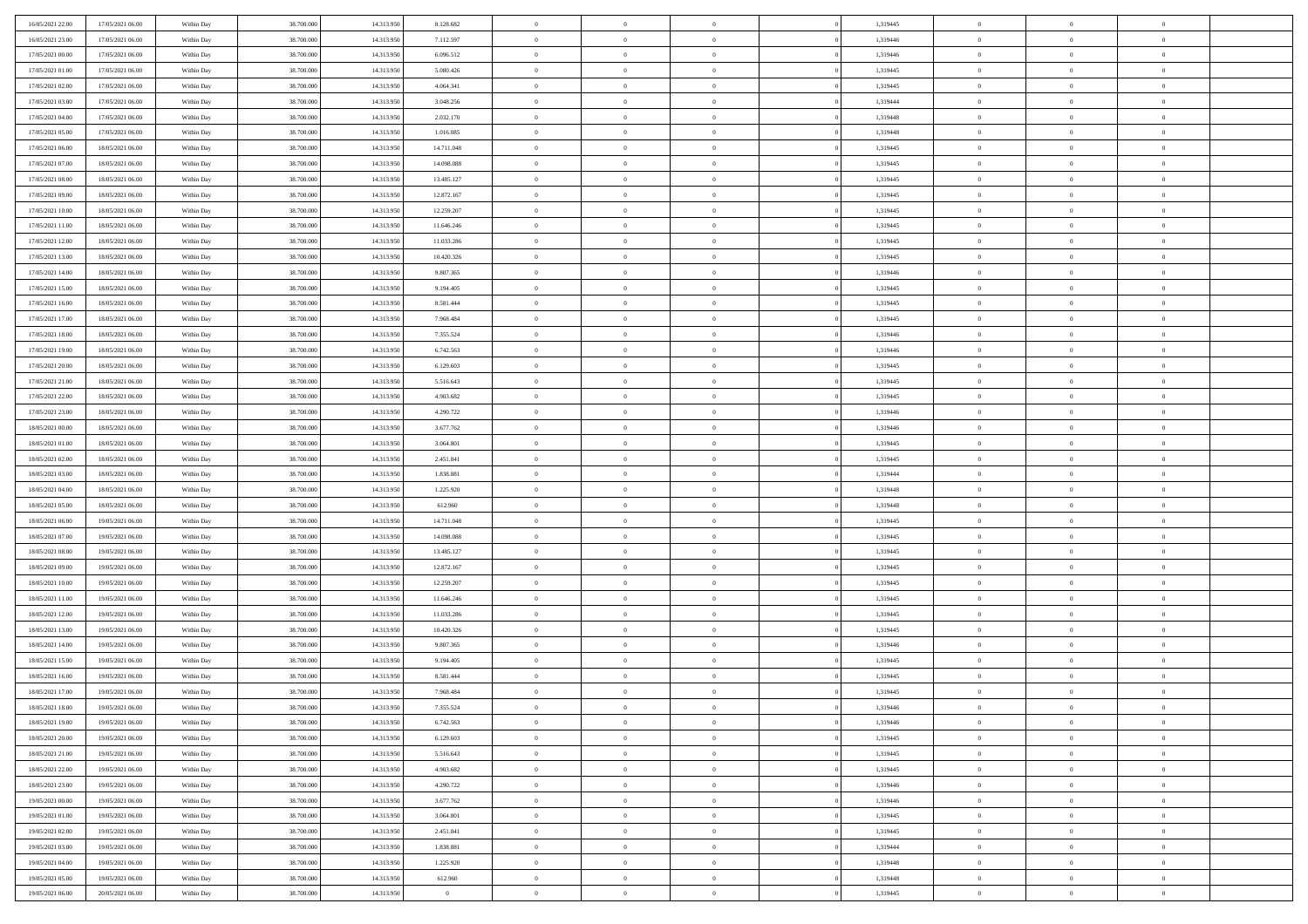| 16/05/2021 22:00 | 17/05/2021 06:00 | Within Day | 38,700,000 | 14.313.950 | 8.128.682      | $\overline{0}$ | $\overline{0}$ | $\Omega$       | 1,319445 | $\bf{0}$       | $\mathbf{0}$   | $\bf{0}$       |  |
|------------------|------------------|------------|------------|------------|----------------|----------------|----------------|----------------|----------|----------------|----------------|----------------|--|
| 16/05/2021 23:00 | 17/05/2021 06:00 | Within Dav | 38.700.000 | 14.313.950 | 7.112.597      | $\overline{0}$ | $\overline{0}$ | $\overline{0}$ | 1,319446 | $\overline{0}$ | $\overline{0}$ | $\overline{0}$ |  |
| 17/05/2021 00:00 | 17/05/2021 06:00 | Within Day | 38.700.000 | 14.313.950 | 6.096.512      | $\,$ 0         | $\overline{0}$ | $\bf{0}$       | 1,319446 | $\,$ 0         | $\overline{0}$ | $\,$ 0 $\,$    |  |
| 17/05/2021 01:00 | 17/05/2021 06:00 | Within Day | 38,700,000 | 14.313.950 | 5.080.426      | $\bf{0}$       | $\overline{0}$ | $\Omega$       | 1,319445 | $\bf{0}$       | $\mathbf{0}$   | $\theta$       |  |
| 17/05/2021 02:00 | 17/05/2021 06:00 | Within Dav | 38.700.000 | 14.313.950 | 4.064.341      | $\bf{0}$       | $\overline{0}$ | $\overline{0}$ | 1,319445 | $\overline{0}$ | $\overline{0}$ | $\overline{0}$ |  |
| 17/05/2021 03:00 | 17/05/2021 06:00 | Within Day | 38.700.000 | 14.313.950 | 3.048.256      | $\bf{0}$       | $\overline{0}$ | $\bf{0}$       | 1,319444 | $\,$ 0         | $\overline{0}$ | $\,$ 0 $\,$    |  |
| 17/05/2021 04:00 | 17/05/2021 06:00 | Within Day | 38,700,000 | 14.313.950 | 2.032.170      | $\bf{0}$       | $\overline{0}$ | $\Omega$       | 1,319448 | $\theta$       | $\mathbf{0}$   | $\theta$       |  |
| 17/05/2021 05:00 | 17/05/2021 06:00 | Within Day | 38.700.000 | 14.313.950 | 1.016.085      | $\overline{0}$ | $\overline{0}$ | $\overline{0}$ | 1,319448 | $\mathbf{0}$   | $\overline{0}$ | $\overline{0}$ |  |
| 17/05/2021 06:00 | 18/05/2021 06:00 | Within Day | 38.700.000 | 14.313.950 | 14.711.048     | $\bf{0}$       | $\overline{0}$ | $\bf{0}$       | 1,319445 | $\,$ 0         | $\overline{0}$ | $\,$ 0 $\,$    |  |
| 17/05/2021 07:00 | 18/05/2021 06:00 | Within Day | 38,700,000 | 14.313.950 | 14,098,088     | $\bf{0}$       | $\overline{0}$ | $\Omega$       | 1,319445 | $\theta$       | $\mathbf{0}$   | $\theta$       |  |
| 17/05/2021 08:00 | 18/05/2021 06:00 | Within Day | 38.700.000 | 14.313.950 | 13.485.127     | $\overline{0}$ | $\overline{0}$ | $\overline{0}$ | 1,319445 | $\mathbf{0}$   | $\overline{0}$ | $\overline{0}$ |  |
| 17/05/2021 09:00 | 18/05/2021 06:00 | Within Day | 38.700.000 | 14.313.950 | 12.872.167     | $\bf{0}$       | $\overline{0}$ | $\bf{0}$       | 1,319445 | $\,$ 0         | $\overline{0}$ | $\,$ 0 $\,$    |  |
| 17/05/2021 10:00 | 18/05/2021 06:00 | Within Day | 38,700,000 | 14.313.950 | 12.259.207     | $\bf{0}$       | $\overline{0}$ | $\Omega$       | 1,319445 | $\overline{0}$ | $\mathbf{0}$   | $\theta$       |  |
| 17/05/2021 11:00 | 18/05/2021 06:00 | Within Dav | 38.700.000 | 14.313.950 | 11.646.246     | $\overline{0}$ | $\overline{0}$ | $\overline{0}$ | 1,319445 | $\mathbf{0}$   | $\overline{0}$ | $\overline{0}$ |  |
| 17/05/2021 12:00 | 18/05/2021 06:00 | Within Day | 38.700.000 | 14.313.950 | 11.033.286     | $\bf{0}$       | $\overline{0}$ | $\bf{0}$       | 1,319445 | $\,$ 0         | $\overline{0}$ | $\,$ 0 $\,$    |  |
| 17/05/2021 13:00 | 18/05/2021 06:00 | Within Day | 38,700,000 | 14.313.950 | 10.420.326     | $\bf{0}$       | $\overline{0}$ | $\overline{0}$ | 1,319445 | $\bf{0}$       | $\mathbf{0}$   | $\bf{0}$       |  |
| 17/05/2021 14:00 | 18/05/2021 06:00 | Within Dav | 38.700.000 | 14.313.950 | 9.807.365      | $\overline{0}$ | $\overline{0}$ | $\overline{0}$ | 1,319446 | $\mathbf{0}$   | $\overline{0}$ | $\overline{0}$ |  |
| 17/05/2021 15:00 | 18/05/2021 06:00 | Within Day | 38.700.000 | 14.313.950 | 9.194.405      | $\bf{0}$       | $\overline{0}$ | $\bf{0}$       | 1,319445 | $\,$ 0         | $\overline{0}$ | $\,$ 0 $\,$    |  |
| 17/05/2021 16:00 | 18/05/2021 06:00 | Within Day | 38,700,000 | 14.313.950 | 8.581.444      | $\bf{0}$       | $\overline{0}$ | $\Omega$       | 1,319445 | $\theta$       | $\mathbf{0}$   | $\theta$       |  |
| 17/05/2021 17:00 | 18/05/2021 06:00 | Within Day | 38.700.000 | 14.313.950 | 7.968.484      | $\overline{0}$ | $\overline{0}$ | $\overline{0}$ | 1,319445 | $\mathbf{0}$   | $\overline{0}$ | $\overline{0}$ |  |
| 17/05/2021 18:00 | 18/05/2021 06:00 | Within Day | 38.700.000 | 14.313.950 | 7.355.524      | $\bf{0}$       | $\overline{0}$ | $\bf{0}$       | 1,319446 | $\,$ 0         | $\overline{0}$ | $\,$ 0 $\,$    |  |
| 17/05/2021 19:00 | 18/05/2021 06:00 | Within Day | 38,700,000 | 14.313.950 | 6.742.563      | $\bf{0}$       | $\overline{0}$ | $\Omega$       | 1,319446 | $\bf{0}$       | $\mathbf{0}$   | $\theta$       |  |
| 17/05/2021 20:00 | 18/05/2021 06:00 | Within Dav | 38.700.000 | 14.313.950 | 6.129.603      | $\overline{0}$ | $\overline{0}$ | $\overline{0}$ | 1,319445 | $\mathbf{0}$   | $\overline{0}$ | $\overline{0}$ |  |
| 17/05/2021 21:00 | 18/05/2021 06:00 | Within Day | 38.700.000 | 14.313.950 | 5.516.643      | $\bf{0}$       | $\overline{0}$ | $\bf{0}$       | 1,319445 | $\,$ 0         | $\overline{0}$ | $\,$ 0 $\,$    |  |
| 17/05/2021 22.00 | 18/05/2021 06:00 | Within Day | 38,700,000 | 14.313.950 | 4.903.682      | $\bf{0}$       | $\overline{0}$ | $\overline{0}$ | 1,319445 | $\bf{0}$       | $\overline{0}$ | $\bf{0}$       |  |
| 17/05/2021 23:00 | 18/05/2021 06:00 | Within Day | 38.700.000 | 14.313.950 | 4.290.722      | $\overline{0}$ | $\overline{0}$ | $\overline{0}$ | 1,319446 | $\mathbf{0}$   | $\overline{0}$ | $\overline{0}$ |  |
| 18/05/2021 00:00 | 18/05/2021 06:00 | Within Day | 38.700.000 | 14.313.950 | 3.677.762      | $\bf{0}$       | $\overline{0}$ | $\bf{0}$       | 1,319446 | $\,$ 0         | $\overline{0}$ | $\,$ 0 $\,$    |  |
| 18/05/2021 01:00 | 18/05/2021 06:00 | Within Day | 38,700,000 | 14.313.950 | 3.064.801      | $\bf{0}$       | $\overline{0}$ | $\Omega$       | 1,319445 | $\theta$       | $\mathbf{0}$   | $\theta$       |  |
| 18/05/2021 02:00 | 18/05/2021 06:00 | Within Day | 38.700.000 | 14.313.950 | 2.451.841      | $\overline{0}$ | $\overline{0}$ | $\overline{0}$ | 1,319445 | $\mathbf{0}$   | $\overline{0}$ | $\overline{0}$ |  |
| 18/05/2021 03:00 | 18/05/2021 06:00 | Within Day | 38.700.000 | 14.313.950 | 1.838.881      | $\bf{0}$       | $\overline{0}$ | $\bf{0}$       | 1,319444 | $\,$ 0         | $\overline{0}$ | $\,$ 0 $\,$    |  |
| 18/05/2021 04:00 | 18/05/2021 06:00 | Within Day | 38.700.000 | 14.313.950 | 1.225.920      | $\bf{0}$       | $\bf{0}$       | $\overline{0}$ | 1,319448 | $\bf{0}$       | $\overline{0}$ | $\,0\,$        |  |
| 18/05/2021 05:00 | 18/05/2021 06:00 | Within Dav | 38.700.000 | 14.313.950 | 612.960        | $\overline{0}$ | $\overline{0}$ | $\overline{0}$ | 1,319448 | $\mathbf{0}$   | $\overline{0}$ | $\overline{0}$ |  |
| 18/05/2021 06:00 | 19/05/2021 06:00 | Within Day | 38.700.000 | 14.313.950 | 14.711.048     | $\bf{0}$       | $\overline{0}$ | $\bf{0}$       | 1,319445 | $\,$ 0         | $\overline{0}$ | $\,$ 0 $\,$    |  |
| 18/05/2021 07:00 | 19/05/2021 06:00 | Within Day | 38.700.000 | 14.313.950 | 14.098.088     | $\bf{0}$       | $\bf{0}$       | $\bf{0}$       | 1,319445 | $\bf{0}$       | $\overline{0}$ | $\,0\,$        |  |
| 18/05/2021 08:00 | 19/05/2021 06:00 | Within Day | 38.700.000 | 14.313.950 | 13.485.127     | $\overline{0}$ | $\overline{0}$ | $\overline{0}$ | 1,319445 | $\overline{0}$ | $\overline{0}$ | $\overline{0}$ |  |
| 18/05/2021 09:00 | 19/05/2021 06:00 | Within Day | 38.700.000 | 14.313.950 | 12.872.167     | $\bf{0}$       | $\overline{0}$ | $\bf{0}$       | 1,319445 | $\,$ 0         | $\overline{0}$ | $\,$ 0 $\,$    |  |
| 18/05/2021 10:00 | 19/05/2021 06:00 | Within Day | 38.700.000 | 14.313.950 | 12.259.207     | $\bf{0}$       | $\bf{0}$       | $\overline{0}$ | 1,319445 | $\bf{0}$       | $\overline{0}$ | $\,0\,$        |  |
| 18/05/2021 11:00 | 19/05/2021 06:00 | Within Day | 38.700.000 | 14.313.950 | 11.646.246     | $\overline{0}$ | $\overline{0}$ | $\overline{0}$ | 1,319445 | $\mathbf{0}$   | $\overline{0}$ | $\overline{0}$ |  |
| 18/05/2021 12:00 | 19/05/2021 06:00 | Within Day | 38.700.000 | 14.313.950 | 11.033.286     | $\bf{0}$       | $\overline{0}$ | $\bf{0}$       | 1,319445 | $\,$ 0         | $\overline{0}$ | $\,$ 0 $\,$    |  |
| 18/05/2021 13:00 | 19/05/2021 06:00 | Within Day | 38.700.000 | 14.313.950 | 10.420.326     | $\bf{0}$       | $\bf{0}$       | $\overline{0}$ | 1,319445 | $\bf{0}$       | $\overline{0}$ | $\,0\,$        |  |
| 18/05/2021 14:00 | 19/05/2021 06:00 | Within Dav | 38.700.000 | 14.313.950 | 9.807.365      | $\overline{0}$ | $\overline{0}$ | $\overline{0}$ | 1,319446 | $\overline{0}$ | $\overline{0}$ | $\overline{0}$ |  |
| 18/05/2021 15:00 | 19/05/2021 06:00 | Within Day | 38.700.000 | 14.313.950 | 9.194.405      | $\bf{0}$       | $\overline{0}$ | $\bf{0}$       | 1,319445 | $\,$ 0         | $\overline{0}$ | $\,$ 0 $\,$    |  |
| 18/05/2021 16:00 | 19/05/2021 06:00 | Within Day | 38.700.000 | 14.313.950 | 8.581.444      | $\bf{0}$       | $\bf{0}$       | $\bf{0}$       | 1,319445 | $\bf{0}$       | $\overline{0}$ | $\,0\,$        |  |
| 18/05/2021 17:00 | 19/05/2021 06:00 | Within Dav | 38.700.000 | 14.313.950 | 7.968.484      | $\mathbf{0}$   | $\overline{0}$ | $\overline{0}$ | 1,319445 | $\overline{0}$ | $\overline{0}$ | $\overline{0}$ |  |
| 18/05/2021 18:00 | 19/05/2021 06:00 | Within Day | 38.700.000 | 14.313.950 | 7.355.524      | $\bf{0}$       | $\overline{0}$ | $\theta$       | 1,319446 | $\overline{0}$ | $\overline{0}$ | $\theta$       |  |
| 18/05/2021 19:00 | 19/05/2021 06:00 | Within Day | 38.700.000 | 14.313.950 | 6.742.563      | $\bf{0}$       | $\bf{0}$       | $\bf{0}$       | 1,319446 | $\bf{0}$       | $\overline{0}$ | $\,0\,$        |  |
| 18/05/2021 20:00 | 19/05/2021 06:00 | Within Day | 38.700.000 | 14.313.950 | 6.129.603      | $\overline{0}$ | $\overline{0}$ | $\overline{0}$ | 1,319445 | $\overline{0}$ | $\bf{0}$       | $\overline{0}$ |  |
| 18/05/2021 21:00 | 19/05/2021 06:00 | Within Day | 38.700.000 | 14.313.950 | 5.516.643      | $\,$ 0 $\,$    | $\overline{0}$ | $\overline{0}$ | 1,319445 | $\mathbf{0}$   | $\,$ 0 $\,$    | $\,$ 0 $\,$    |  |
| 18/05/2021 22:00 | 19/05/2021 06:00 | Within Day | 38.700.000 | 14.313.950 | 4.903.682      | $\bf{0}$       | $\bf{0}$       | $\overline{0}$ | 1,319445 | $\bf{0}$       | $\overline{0}$ | $\bf{0}$       |  |
| 18/05/2021 23:00 | 19/05/2021 06:00 | Within Day | 38.700.000 | 14.313.950 | 4.290.722      | $\bf{0}$       | $\overline{0}$ | $\overline{0}$ | 1,319446 | $\overline{0}$ | $\overline{0}$ | $\overline{0}$ |  |
| 19/05/2021 00:00 | 19/05/2021 06:00 | Within Day | 38.700.000 | 14.313.950 | 3.677.762      | $\,$ 0 $\,$    | $\overline{0}$ | $\overline{0}$ | 1,319446 | $\,$ 0 $\,$    | $\overline{0}$ | $\,$ 0 $\,$    |  |
| 19/05/2021 01:00 | 19/05/2021 06:00 | Within Day | 38.700.000 | 14.313.950 | 3.064.801      | $\overline{0}$ | $\overline{0}$ | $\overline{0}$ | 1,319445 | $\bf{0}$       | $\overline{0}$ | $\overline{0}$ |  |
| 19/05/2021 02:00 | 19/05/2021 06:00 | Within Day | 38.700.000 | 14.313.950 | 2.451.841      | $\overline{0}$ | $\overline{0}$ | $\overline{0}$ | 1,319445 | $\overline{0}$ | $\bf{0}$       | $\overline{0}$ |  |
| 19/05/2021 03:00 | 19/05/2021 06:00 | Within Day | 38.700.000 | 14.313.950 | 1.838.881      | $\,$ 0 $\,$    | $\overline{0}$ | $\overline{0}$ | 1,319444 | $\,$ 0 $\,$    | $\,$ 0 $\,$    | $\,$ 0 $\,$    |  |
| 19/05/2021 04:00 | 19/05/2021 06:00 | Within Day | 38.700.000 | 14.313.950 | 1.225.920      | $\bf{0}$       | $\bf{0}$       | $\overline{0}$ | 1,319448 | $\mathbf{0}$   | $\overline{0}$ | $\bf{0}$       |  |
| 19/05/2021 05:00 | 19/05/2021 06:00 | Within Day | 38.700.000 | 14.313.950 | 612.960        | $\overline{0}$ | $\overline{0}$ | $\overline{0}$ | 1,319448 | $\mathbf{0}$   | $\bf{0}$       | $\overline{0}$ |  |
| 19/05/2021 06:00 | 20/05/2021 06:00 | Within Day | 38.700.000 | 14.313.950 | $\overline{0}$ | $\,0\,$        | $\overline{0}$ | $\overline{0}$ | 1,319445 | $\,$ 0         | $\overline{0}$ | $\,$ 0 $\,$    |  |
|                  |                  |            |            |            |                |                |                |                |          |                |                |                |  |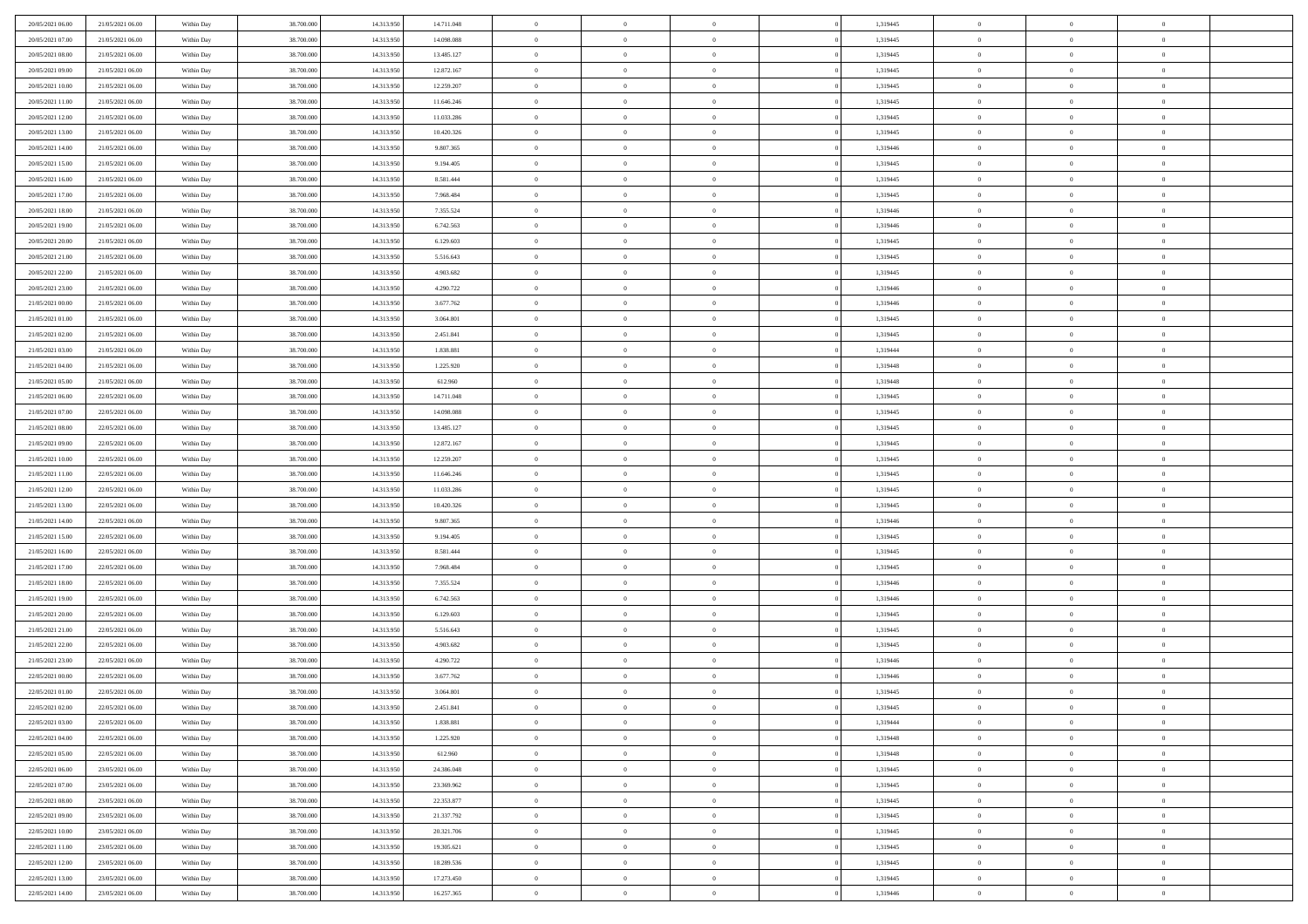| 20/05/2021 06:00 | 21/05/2021 06:00 | Within Day | 38,700,000 | 14.313.950 | 14.711.048 | $\overline{0}$ | $\overline{0}$ | $\Omega$       | 1,319445 | $\bf{0}$       | $\mathbf{0}$   | $\bf{0}$       |  |
|------------------|------------------|------------|------------|------------|------------|----------------|----------------|----------------|----------|----------------|----------------|----------------|--|
| 20/05/2021 07:00 | 21/05/2021 06:00 | Within Day | 38.700.000 | 14.313.950 | 14.098.088 | $\mathbf{0}$   | $\overline{0}$ | $\overline{0}$ | 1,319445 | $\mathbf{0}$   | $\overline{0}$ | $\overline{0}$ |  |
| 20/05/2021 08:00 | 21/05/2021 06:00 | Within Day | 38.700.000 | 14.313.950 | 13.485.127 | $\,$ 0         | $\overline{0}$ | $\bf{0}$       | 1,319445 | $\,$ 0         | $\overline{0}$ | $\,$ 0 $\,$    |  |
| 20/05/2021 09:00 | 21/05/2021 06:00 | Within Day | 38,700,000 | 14.313.950 | 12.872.167 | $\bf{0}$       | $\overline{0}$ | $\Omega$       | 1,319445 | $\bf{0}$       | $\mathbf{0}$   | $\theta$       |  |
| 20/05/2021 10:00 | 21/05/2021 06:00 | Within Day | 38.700.000 | 14.313.950 | 12.259.207 | $\bf{0}$       | $\overline{0}$ | $\overline{0}$ | 1,319445 | $\mathbf{0}$   | $\overline{0}$ | $\overline{0}$ |  |
| 20/05/2021 11:00 | 21/05/2021 06:00 | Within Day | 38.700.000 | 14.313.950 | 11.646.246 | $\bf{0}$       | $\overline{0}$ | $\bf{0}$       | 1,319445 | $\,$ 0         | $\overline{0}$ | $\,$ 0 $\,$    |  |
| 20/05/2021 12:00 | 21/05/2021 06:00 | Within Day | 38,700,000 | 14.313.950 | 11.033.286 | $\bf{0}$       | $\overline{0}$ | $\overline{0}$ | 1,319445 | $\bf{0}$       | $\overline{0}$ | $\theta$       |  |
| 20/05/2021 13:00 | 21/05/2021 06:00 | Within Day | 38.700.000 | 14.313.950 | 10.420.326 | $\overline{0}$ | $\overline{0}$ | $\overline{0}$ | 1,319445 | $\mathbf{0}$   | $\overline{0}$ | $\overline{0}$ |  |
| 20/05/2021 14:00 | 21/05/2021 06:00 | Within Day | 38.700.000 | 14.313.950 | 9.807.365  | $\bf{0}$       | $\overline{0}$ | $\bf{0}$       | 1,319446 | $\,$ 0         | $\overline{0}$ | $\,$ 0 $\,$    |  |
| 20/05/2021 15:00 | 21/05/2021 06:00 | Within Day | 38,700,000 | 14.313.950 | 9.194.405  | $\mathbf{0}$   | $\overline{0}$ | $\Omega$       | 1,319445 | $\theta$       | $\mathbf{0}$   | $\theta$       |  |
| 20/05/2021 16:00 | 21/05/2021 06:00 | Within Day | 38.700.000 | 14.313.950 | 8.581.444  | $\bf{0}$       | $\overline{0}$ | $\overline{0}$ | 1,319445 | $\mathbf{0}$   | $\overline{0}$ | $\overline{0}$ |  |
| 20/05/2021 17:00 | 21/05/2021 06:00 | Within Day | 38.700.000 | 14.313.950 | 7.968.484  | $\bf{0}$       | $\overline{0}$ | $\bf{0}$       | 1,319445 | $\,$ 0         | $\overline{0}$ | $\,$ 0 $\,$    |  |
| 20/05/2021 18:00 | 21/05/2021 06:00 | Within Day | 38,700,000 | 14.313.950 | 7.355.524  | $\bf{0}$       | $\overline{0}$ | $\Omega$       | 1,319446 | $\bf{0}$       | $\mathbf{0}$   | $\theta$       |  |
| 20/05/2021 19:00 | 21/05/2021 06:00 | Within Day | 38.700.000 | 14.313.950 | 6.742.563  | $\overline{0}$ | $\overline{0}$ | $\overline{0}$ | 1,319446 | $\mathbf{0}$   | $\overline{0}$ | $\overline{0}$ |  |
| 20/05/2021 20:00 | 21/05/2021 06:00 | Within Day | 38.700.000 | 14.313.950 | 6.129.603  | $\bf{0}$       | $\overline{0}$ | $\bf{0}$       | 1,319445 | $\,$ 0         | $\overline{0}$ | $\,$ 0 $\,$    |  |
| 20/05/2021 21:00 | 21/05/2021 06:00 | Within Day | 38,700,000 | 14.313.950 | 5.516.643  | $\bf{0}$       | $\overline{0}$ | $\overline{0}$ | 1,319445 | $\bf{0}$       | $\mathbf{0}$   | $\theta$       |  |
| 20/05/2021 22:00 | 21/05/2021 06:00 | Within Day | 38.700.000 | 14.313.950 | 4.903.682  | $\overline{0}$ | $\overline{0}$ | $\overline{0}$ | 1,319445 | $\mathbf{0}$   | $\overline{0}$ | $\overline{0}$ |  |
| 20/05/2021 23:00 | 21/05/2021 06:00 | Within Day | 38.700.000 | 14.313.950 | 4.290.722  | $\bf{0}$       | $\overline{0}$ | $\bf{0}$       | 1,319446 | $\,$ 0         | $\overline{0}$ | $\,$ 0 $\,$    |  |
| 21/05/2021 00:00 | 21/05/2021 06:00 | Within Day | 38,700,000 | 14.313.950 | 3.677.762  | $\bf{0}$       | $\overline{0}$ | $\Omega$       | 1,319446 | $\theta$       | $\mathbf{0}$   | $\theta$       |  |
| 21/05/2021 01:00 | 21/05/2021 06:00 | Within Day | 38.700.000 | 14.313.950 | 3.064.801  | $\overline{0}$ | $\overline{0}$ | $\overline{0}$ | 1,319445 | $\mathbf{0}$   | $\overline{0}$ | $\overline{0}$ |  |
| 21/05/2021 02:00 | 21/05/2021 06:00 | Within Day | 38.700.000 | 14.313.950 | 2.451.841  | $\bf{0}$       | $\overline{0}$ | $\bf{0}$       | 1,319445 | $\,$ 0         | $\overline{0}$ | $\,$ 0 $\,$    |  |
| 21/05/2021 03:00 | 21/05/2021 06:00 | Within Day | 38,700,000 | 14.313.950 | 1.838.881  | $\bf{0}$       | $\overline{0}$ | $\Omega$       | 1,319444 | $\theta$       | $\mathbf{0}$   | $\theta$       |  |
| 21/05/2021 04:00 | 21/05/2021 06:00 | Within Day | 38.700.000 | 14.313.950 | 1.225.920  | $\overline{0}$ | $\overline{0}$ | $\overline{0}$ | 1,319448 | $\mathbf{0}$   | $\overline{0}$ | $\overline{0}$ |  |
| 21/05/2021 05:00 | 21/05/2021 06:00 | Within Day | 38.700.000 | 14.313.950 | 612.960    | $\bf{0}$       | $\overline{0}$ | $\bf{0}$       | 1,319448 | $\,$ 0         | $\overline{0}$ | $\,$ 0 $\,$    |  |
| 21/05/2021 06:00 | 22/05/2021 06:00 | Within Day | 38,700,000 | 14.313.950 | 14.711.048 | $\bf{0}$       | $\overline{0}$ | $\overline{0}$ | 1,319445 | $\bf{0}$       | $\overline{0}$ | $\bf{0}$       |  |
| 21/05/2021 07:00 | 22/05/2021 06:00 | Within Day | 38.700.000 | 14.313.950 | 14.098.088 | $\overline{0}$ | $\overline{0}$ | $\overline{0}$ | 1,319445 | $\mathbf{0}$   | $\overline{0}$ | $\overline{0}$ |  |
| 21/05/2021 08:00 | 22/05/2021 06:00 | Within Day | 38.700.000 | 14.313.950 | 13.485.127 | $\bf{0}$       | $\overline{0}$ | $\bf{0}$       | 1,319445 | $\,$ 0         | $\overline{0}$ | $\,$ 0 $\,$    |  |
| 21/05/2021 09:00 | 22/05/2021 06:00 | Within Day | 38,700,000 | 14.313.950 | 12.872.167 | $\bf{0}$       | $\overline{0}$ | $\Omega$       | 1,319445 | $\theta$       | $\mathbf{0}$   | $\theta$       |  |
| 21/05/2021 10:00 | 22/05/2021 06:00 | Within Day | 38.700.000 | 14.313.950 | 12.259.207 | $\overline{0}$ | $\overline{0}$ | $\overline{0}$ | 1,319445 | $\mathbf{0}$   | $\overline{0}$ | $\overline{0}$ |  |
| 21/05/2021 11:00 | 22/05/2021 06:00 | Within Day | 38.700.000 | 14.313.950 | 11.646.246 | $\bf{0}$       | $\overline{0}$ | $\bf{0}$       | 1,319445 | $\,$ 0         | $\overline{0}$ | $\,$ 0 $\,$    |  |
| 21/05/2021 12:00 | 22/05/2021 06:00 | Within Day | 38.700.000 | 14.313.950 | 11.033.286 | $\bf{0}$       | $\bf{0}$       | $\overline{0}$ | 1,319445 | $\bf{0}$       | $\overline{0}$ | $\,0\,$        |  |
| 21/05/2021 13:00 | 22/05/2021 06:00 | Within Day | 38.700.000 | 14.313.950 | 10.420.326 | $\overline{0}$ | $\overline{0}$ | $\overline{0}$ | 1,319445 | $\mathbf{0}$   | $\overline{0}$ | $\overline{0}$ |  |
| 21/05/2021 14:00 | 22/05/2021 06:00 | Within Day | 38.700.000 | 14.313.950 | 9.807.365  | $\bf{0}$       | $\overline{0}$ | $\bf{0}$       | 1,319446 | $\,$ 0         | $\overline{0}$ | $\,$ 0 $\,$    |  |
| 21/05/2021 15:00 | 22/05/2021 06:00 | Within Day | 38.700.000 | 14.313.950 | 9.194.405  | $\bf{0}$       | $\bf{0}$       | $\bf{0}$       | 1,319445 | $\bf{0}$       | $\overline{0}$ | $\,0\,$        |  |
| 21/05/2021 16:00 | 22/05/2021 06:00 | Within Day | 38.700.000 | 14.313.950 | 8.581.444  | $\overline{0}$ | $\overline{0}$ | $\overline{0}$ | 1,319445 | $\mathbf{0}$   | $\overline{0}$ | $\overline{0}$ |  |
| 21/05/2021 17:00 | 22/05/2021 06:00 | Within Day | 38.700.000 | 14.313.950 | 7.968.484  | $\bf{0}$       | $\overline{0}$ | $\bf{0}$       | 1,319445 | $\,$ 0         | $\overline{0}$ | $\,$ 0 $\,$    |  |
| 21/05/2021 18:00 | 22/05/2021 06:00 | Within Day | 38.700.000 | 14.313.950 | 7.355.524  | $\bf{0}$       | $\bf{0}$       | $\overline{0}$ | 1,319446 | $\bf{0}$       | $\overline{0}$ | $\,0\,$        |  |
| 21/05/2021 19:00 | 22/05/2021 06:00 | Within Day | 38.700.000 | 14.313.950 | 6.742.563  | $\overline{0}$ | $\overline{0}$ | $\overline{0}$ | 1,319446 | $\mathbf{0}$   | $\overline{0}$ | $\overline{0}$ |  |
| 21/05/2021 20:00 | 22/05/2021 06:00 | Within Day | 38.700.000 | 14.313.950 | 6.129.603  | $\bf{0}$       | $\overline{0}$ | $\bf{0}$       | 1,319445 | $\,$ 0         | $\overline{0}$ | $\,$ 0 $\,$    |  |
| 21/05/2021 21:00 | 22/05/2021 06:00 | Within Day | 38.700.000 | 14.313.950 | 5.516.643  | $\bf{0}$       | $\bf{0}$       | $\overline{0}$ | 1,319445 | $\bf{0}$       | $\overline{0}$ | $\,0\,$        |  |
| 21/05/2021 22:00 | 22/05/2021 06:00 | Within Day | 38.700.000 | 14.313.950 | 4.903.682  | $\overline{0}$ | $\overline{0}$ | $\overline{0}$ | 1,319445 | $\mathbf{0}$   | $\overline{0}$ | $\overline{0}$ |  |
| 21/05/2021 23:00 | 22/05/2021 06:00 | Within Day | 38.700.000 | 14.313.950 | 4.290.722  | $\bf{0}$       | $\overline{0}$ | $\bf{0}$       | 1,319446 | $\,$ 0         | $\overline{0}$ | $\,$ 0 $\,$    |  |
| 22/05/2021 00:00 | 22/05/2021 06:00 | Within Day | 38.700.000 | 14.313.950 | 3.677.762  | $\bf{0}$       | $\bf{0}$       | $\bf{0}$       | 1,319446 | $\bf{0}$       | $\overline{0}$ | $\,0\,$        |  |
| 22/05/2021 01:00 | 22/05/2021 06:00 | Within Dav | 38.700.000 | 14.313.950 | 3.064.801  | $\mathbf{0}$   | $\overline{0}$ | $\overline{0}$ | 1,319445 | $\mathbf{0}$   | $\overline{0}$ | $\overline{0}$ |  |
| 22/05/2021 02:00 | 22/05/2021 06:00 | Within Day | 38.700.000 | 14.313.950 | 2.451.841  | $\bf{0}$       | $\overline{0}$ | $\theta$       | 1,319445 | $\overline{0}$ | $\theta$       | $\theta$       |  |
| 22/05/2021 03:00 | 22/05/2021 06:00 | Within Day | 38.700.000 | 14.313.950 | 1.838.881  | $\bf{0}$       | $\bf{0}$       | $\bf{0}$       | 1,319444 | $\bf{0}$       | $\overline{0}$ | $\bf{0}$       |  |
| 22/05/2021 04:00 | 22/05/2021 06:00 | Within Day | 38.700.000 | 14.313.950 | 1.225.920  | $\overline{0}$ | $\overline{0}$ | $\overline{0}$ | 1,319448 | $\overline{0}$ | $\bf{0}$       | $\overline{0}$ |  |
| 22/05/2021 05:00 | 22/05/2021 06:00 | Within Day | 38.700.000 | 14.313.950 | 612.960    | $\,$ 0 $\,$    | $\overline{0}$ | $\overline{0}$ | 1,319448 | $\mathbf{0}$   | $\,$ 0 $\,$    | $\,$ 0 $\,$    |  |
| 22/05/2021 06:00 | 23/05/2021 06:00 | Within Day | 38.700.000 | 14.313.950 | 24.386.048 | $\bf{0}$       | $\bf{0}$       | $\overline{0}$ | 1,319445 | $\bf{0}$       | $\overline{0}$ | $\bf{0}$       |  |
| 22/05/2021 07:00 | 23/05/2021 06:00 | Within Day | 38.700.000 | 14.313.950 | 23.369.962 | $\bf{0}$       | $\overline{0}$ | $\overline{0}$ | 1,319445 | $\overline{0}$ | $\overline{0}$ | $\overline{0}$ |  |
| 22/05/2021 08:00 | 23/05/2021 06:00 | Within Day | 38.700.000 | 14.313.950 | 22.353.877 | $\,$ 0 $\,$    | $\overline{0}$ | $\overline{0}$ | 1,319445 | $\,$ 0 $\,$    | $\overline{0}$ | $\,$ 0 $\,$    |  |
| 22/05/2021 09:00 | 23/05/2021 06:00 | Within Day | 38.700.000 | 14.313.950 | 21.337.792 | $\bf{0}$       | $\overline{0}$ | $\overline{0}$ | 1,319445 | $\bf{0}$       | $\overline{0}$ | $\overline{0}$ |  |
| 22/05/2021 10:00 | 23/05/2021 06:00 | Within Day | 38.700.000 | 14.313.950 | 20.321.706 | $\overline{0}$ | $\overline{0}$ | $\overline{0}$ | 1,319445 | $\overline{0}$ | $\bf{0}$       | $\overline{0}$ |  |
| 22/05/2021 11:00 | 23/05/2021 06:00 | Within Day | 38.700.000 | 14.313.950 | 19.305.621 | $\,$ 0 $\,$    | $\overline{0}$ | $\overline{0}$ | 1,319445 | $\,$ 0 $\,$    | $\,$ 0 $\,$    | $\,$ 0 $\,$    |  |
| 22/05/2021 12:00 | 23/05/2021 06:00 | Within Day | 38.700.000 | 14.313.950 | 18.289.536 | $\bf{0}$       | $\bf{0}$       | $\overline{0}$ | 1,319445 | $\mathbf{0}$   | $\overline{0}$ | $\bf{0}$       |  |
| 22/05/2021 13:00 | 23/05/2021 06:00 | Within Day | 38.700.000 | 14.313.950 | 17.273.450 | $\bf{0}$       | $\overline{0}$ | $\overline{0}$ | 1,319445 | $\mathbf{0}$   | $\bf{0}$       | $\overline{0}$ |  |
| 22/05/2021 14:00 | 23/05/2021 06:00 | Within Day | 38.700.000 | 14.313.950 | 16.257.365 | $\,0\,$        | $\overline{0}$ | $\overline{0}$ | 1,319446 | $\,$ 0         | $\overline{0}$ | $\,$ 0 $\,$    |  |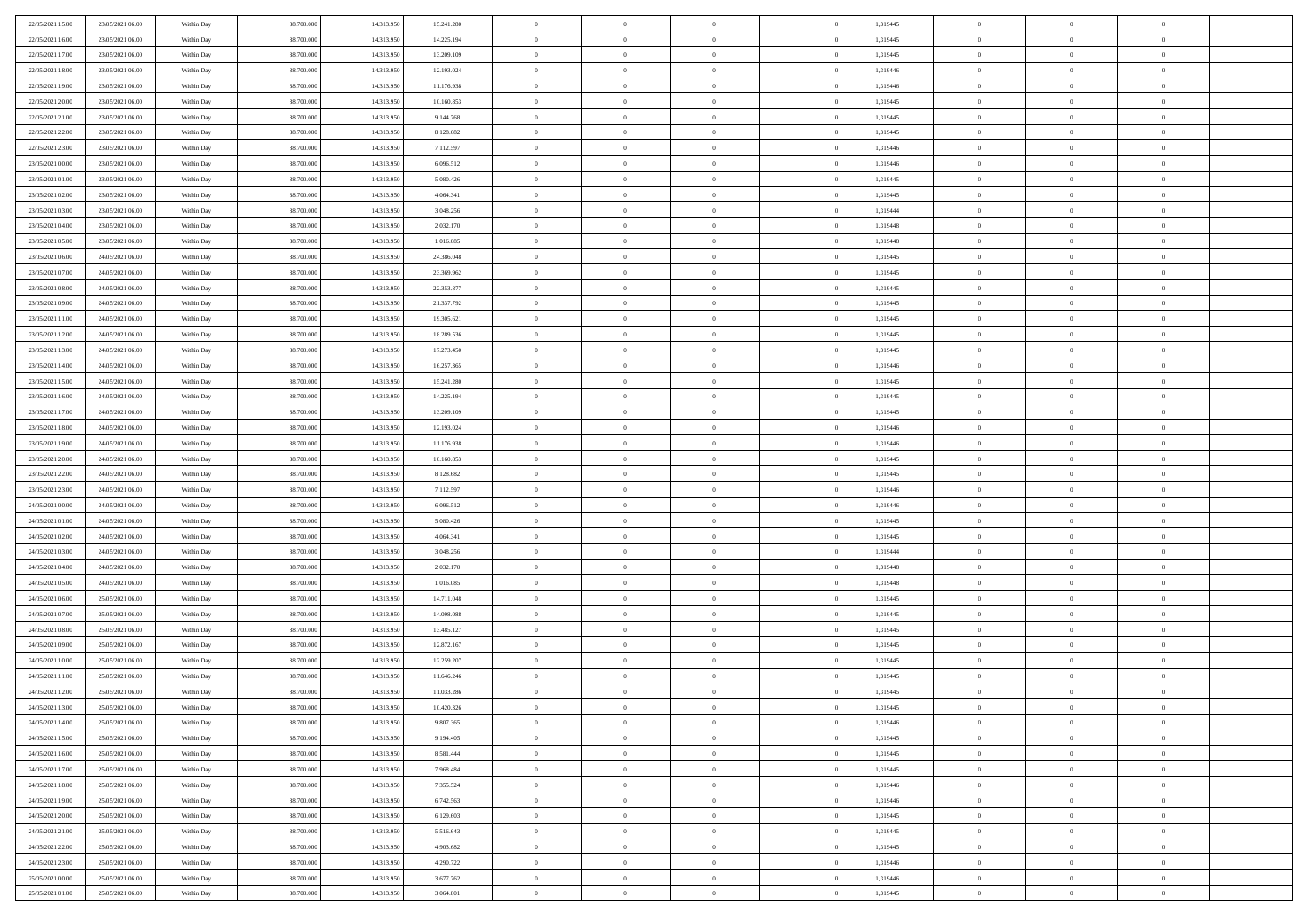| 22/05/2021 15:00 | 23/05/2021 06:00 | Within Day | 38,700,000 | 14.313.950 | 15.241.280 | $\overline{0}$ | $\overline{0}$ | $\Omega$       | 1,319445 | $\bf{0}$       | $\mathbf{0}$   | $\bf{0}$       |  |
|------------------|------------------|------------|------------|------------|------------|----------------|----------------|----------------|----------|----------------|----------------|----------------|--|
| 22/05/2021 16:00 | 23/05/2021 06:00 | Within Day | 38.700.000 | 14.313.950 | 14.225.194 | $\mathbf{0}$   | $\overline{0}$ | $\overline{0}$ | 1,319445 | $\overline{0}$ | $\overline{0}$ | $\overline{0}$ |  |
| 22/05/2021 17:00 | 23/05/2021 06:00 | Within Day | 38.700.000 | 14.313.950 | 13.209.109 | $\,$ 0         | $\overline{0}$ | $\bf{0}$       | 1,319445 | $\,$ 0         | $\overline{0}$ | $\,$ 0 $\,$    |  |
| 22/05/2021 18:00 | 23/05/2021 06:00 | Within Day | 38,700,000 | 14.313.950 | 12.193.024 | $\bf{0}$       | $\overline{0}$ | $\Omega$       | 1,319446 | $\bf{0}$       | $\mathbf{0}$   | $\theta$       |  |
| 22/05/2021 19:00 | 23/05/2021 06:00 | Within Day | 38.700.000 | 14.313.950 | 11.176.938 | $\bf{0}$       | $\overline{0}$ | $\overline{0}$ | 1,319446 | $\overline{0}$ | $\overline{0}$ | $\overline{0}$ |  |
| 22/05/2021 20:00 | 23/05/2021 06:00 | Within Day | 38.700.000 | 14.313.950 | 10.160.853 | $\bf{0}$       | $\overline{0}$ | $\bf{0}$       | 1,319445 | $\,$ 0         | $\overline{0}$ | $\,$ 0 $\,$    |  |
| 22/05/2021 21:00 | 23/05/2021 06:00 | Within Day | 38,700,000 | 14.313.950 | 9.144.768  | $\bf{0}$       | $\overline{0}$ | $\overline{0}$ | 1,319445 | $\bf{0}$       | $\overline{0}$ | $\theta$       |  |
| 22/05/2021 22:00 | 23/05/2021 06:00 | Within Day | 38.700.000 | 14.313.950 | 8.128.682  | $\overline{0}$ | $\overline{0}$ | $\overline{0}$ | 1,319445 | $\mathbf{0}$   | $\overline{0}$ | $\overline{0}$ |  |
| 22/05/2021 23:00 | 23/05/2021 06:00 | Within Day | 38.700.000 | 14.313.950 | 7.112.597  | $\bf{0}$       | $\overline{0}$ | $\bf{0}$       | 1,319446 | $\,$ 0         | $\overline{0}$ | $\,$ 0 $\,$    |  |
| 23/05/2021 00:00 | 23/05/2021 06:00 | Within Day | 38,700,000 | 14.313.950 | 6.096.512  | $\bf{0}$       | $\overline{0}$ | $\Omega$       | 1,319446 | $\theta$       | $\mathbf{0}$   | $\theta$       |  |
| 23/05/2021 01:00 | 23/05/2021 06:00 | Within Day | 38.700.000 | 14.313.950 | 5.080.426  | $\bf{0}$       | $\overline{0}$ | $\overline{0}$ | 1,319445 | $\mathbf{0}$   | $\overline{0}$ | $\overline{0}$ |  |
| 23/05/2021 02:00 | 23/05/2021 06:00 | Within Day | 38.700.000 | 14.313.950 | 4.064.341  | $\bf{0}$       | $\overline{0}$ | $\bf{0}$       | 1,319445 | $\,$ 0         | $\overline{0}$ | $\,$ 0 $\,$    |  |
| 23/05/2021 03:00 | 23/05/2021 06:00 | Within Day | 38,700,000 | 14.313.950 | 3.048.256  | $\bf{0}$       | $\overline{0}$ | $\Omega$       | 1,319444 | $\overline{0}$ | $\mathbf{0}$   | $\theta$       |  |
| 23/05/2021 04:00 | 23/05/2021 06:00 | Within Day | 38.700.000 | 14.313.950 | 2.032.170  | $\overline{0}$ | $\overline{0}$ | $\overline{0}$ | 1,319448 | $\mathbf{0}$   | $\overline{0}$ | $\overline{0}$ |  |
| 23/05/2021 05:00 | 23/05/2021 06:00 | Within Day | 38.700.000 | 14.313.950 | 1.016.085  | $\bf{0}$       | $\overline{0}$ | $\bf{0}$       | 1,319448 | $\,$ 0         | $\overline{0}$ | $\,$ 0 $\,$    |  |
| 23/05/2021 06:00 | 24/05/2021 06:00 | Within Day | 38,700,000 | 14.313.950 | 24.386.048 | $\bf{0}$       | $\overline{0}$ | $\overline{0}$ | 1,319445 | $\theta$       | $\mathbf{0}$   | $\bf{0}$       |  |
| 23/05/2021 07:00 | 24/05/2021 06:00 | Within Day | 38.700.000 | 14.313.950 | 23.369.962 | $\overline{0}$ | $\overline{0}$ | $\overline{0}$ | 1,319445 | $\mathbf{0}$   | $\overline{0}$ | $\overline{0}$ |  |
| 23/05/2021 08:00 | 24/05/2021 06:00 | Within Day | 38.700.000 | 14.313.950 | 22.353.877 | $\bf{0}$       | $\overline{0}$ | $\bf{0}$       | 1,319445 | $\,$ 0         | $\overline{0}$ | $\,$ 0 $\,$    |  |
| 23/05/2021 09:00 | 24/05/2021 06:00 | Within Day | 38,700,000 | 14.313.950 | 21.337.792 | $\bf{0}$       | $\overline{0}$ | $\Omega$       | 1,319445 | $\theta$       | $\mathbf{0}$   | $\theta$       |  |
| 23/05/2021 11:00 | 24/05/2021 06:00 | Within Day | 38.700.000 | 14.313.950 | 19.305.621 | $\overline{0}$ | $\overline{0}$ | $\overline{0}$ | 1,319445 | $\mathbf{0}$   | $\overline{0}$ | $\overline{0}$ |  |
| 23/05/2021 12:00 | 24/05/2021 06:00 | Within Day | 38.700.000 | 14.313.950 | 18.289.536 | $\bf{0}$       | $\overline{0}$ | $\bf{0}$       | 1,319445 | $\,$ 0         | $\overline{0}$ | $\,$ 0 $\,$    |  |
| 23/05/2021 13:00 | 24/05/2021 06:00 | Within Day | 38,700,000 | 14.313.950 | 17.273.450 | $\bf{0}$       | $\overline{0}$ | $\Omega$       | 1,319445 | $\bf{0}$       | $\mathbf{0}$   | $\theta$       |  |
| 23/05/2021 14:00 | 24/05/2021 06:00 | Within Day | 38.700.000 | 14.313.950 | 16.257.365 | $\overline{0}$ | $\overline{0}$ | $\overline{0}$ | 1,319446 | $\mathbf{0}$   | $\overline{0}$ | $\overline{0}$ |  |
| 23/05/2021 15:00 | 24/05/2021 06:00 | Within Day | 38.700.000 | 14.313.950 | 15.241.280 | $\bf{0}$       | $\overline{0}$ | $\bf{0}$       | 1,319445 | $\,$ 0         | $\overline{0}$ | $\,$ 0 $\,$    |  |
| 23/05/2021 16:00 | 24/05/2021 06:00 | Within Day | 38,700,000 | 14.313.950 | 14.225.194 | $\bf{0}$       | $\overline{0}$ | $\overline{0}$ | 1,319445 | $\bf{0}$       | $\overline{0}$ | $\bf{0}$       |  |
| 23/05/2021 17:00 | 24/05/2021 06:00 | Within Day | 38.700.000 | 14.313.950 | 13.209.109 | $\overline{0}$ | $\overline{0}$ | $\overline{0}$ | 1,319445 | $\mathbf{0}$   | $\overline{0}$ | $\overline{0}$ |  |
| 23/05/2021 18:00 | 24/05/2021 06:00 | Within Day | 38.700.000 | 14.313.950 | 12.193.024 | $\bf{0}$       | $\overline{0}$ | $\bf{0}$       | 1,319446 | $\,$ 0         | $\overline{0}$ | $\,$ 0 $\,$    |  |
| 23/05/2021 19:00 | 24/05/2021 06:00 | Within Day | 38,700,000 | 14.313.950 | 11.176.938 | $\bf{0}$       | $\overline{0}$ | $\Omega$       | 1,319446 | $\theta$       | $\mathbf{0}$   | $\theta$       |  |
| 23/05/2021 20:00 | 24/05/2021 06:00 | Within Day | 38.700.000 | 14.313.950 | 10.160.853 | $\overline{0}$ | $\overline{0}$ | $\overline{0}$ | 1,319445 | $\mathbf{0}$   | $\overline{0}$ | $\overline{0}$ |  |
| 23/05/2021 22:00 | 24/05/2021 06:00 | Within Day | 38.700.000 | 14.313.950 | 8.128.682  | $\bf{0}$       | $\overline{0}$ | $\bf{0}$       | 1,319445 | $\,$ 0         | $\overline{0}$ | $\,$ 0 $\,$    |  |
| 23/05/2021 23:00 | 24/05/2021 06:00 | Within Day | 38.700.000 | 14.313.950 | 7.112.597  | $\bf{0}$       | $\bf{0}$       | $\overline{0}$ | 1,319446 | $\bf{0}$       | $\overline{0}$ | $\,0\,$        |  |
| 24/05/2021 00:00 | 24/05/2021 06:00 | Within Day | 38.700.000 | 14.313.950 | 6.096.512  | $\overline{0}$ | $\overline{0}$ | $\overline{0}$ | 1,319446 | $\mathbf{0}$   | $\overline{0}$ | $\overline{0}$ |  |
| 24/05/2021 01:00 | 24/05/2021 06:00 | Within Day | 38.700.000 | 14.313.950 | 5.080.426  | $\bf{0}$       | $\overline{0}$ | $\bf{0}$       | 1,319445 | $\,$ 0         | $\overline{0}$ | $\,$ 0 $\,$    |  |
| 24/05/2021 02.00 | 24/05/2021 06:00 | Within Day | 38.700.000 | 14.313.950 | 4.064.341  | $\bf{0}$       | $\bf{0}$       | $\bf{0}$       | 1,319445 | $\bf{0}$       | $\overline{0}$ | $\,0\,$        |  |
| 24/05/2021 03:00 | 24/05/2021 06:00 | Within Day | 38.700.000 | 14.313.950 | 3.048.256  | $\overline{0}$ | $\overline{0}$ | $\overline{0}$ | 1,319444 | $\overline{0}$ | $\overline{0}$ | $\overline{0}$ |  |
| 24/05/2021 04:00 | 24/05/2021 06:00 | Within Day | 38.700.000 | 14.313.950 | 2.032.170  | $\bf{0}$       | $\overline{0}$ | $\bf{0}$       | 1,319448 | $\,$ 0         | $\overline{0}$ | $\,$ 0 $\,$    |  |
| 24/05/2021 05:00 | 24/05/2021 06:00 | Within Day | 38.700.000 | 14.313.950 | 1.016.085  | $\bf{0}$       | $\bf{0}$       | $\overline{0}$ | 1,319448 | $\bf{0}$       | $\overline{0}$ | $\,0\,$        |  |
| 24/05/2021 06:00 | 25/05/2021 06:00 | Within Day | 38.700.000 | 14.313.950 | 14.711.048 | $\overline{0}$ | $\overline{0}$ | $\overline{0}$ | 1,319445 | $\mathbf{0}$   | $\overline{0}$ | $\overline{0}$ |  |
| 24/05/2021 07:00 | 25/05/2021 06:00 | Within Day | 38.700.000 | 14.313.950 | 14.098.088 | $\bf{0}$       | $\overline{0}$ | $\bf{0}$       | 1,319445 | $\,$ 0         | $\overline{0}$ | $\,$ 0 $\,$    |  |
| 24/05/2021 08:00 | 25/05/2021 06:00 | Within Day | 38.700.000 | 14.313.950 | 13.485.127 | $\bf{0}$       | $\bf{0}$       | $\overline{0}$ | 1,319445 | $\bf{0}$       | $\overline{0}$ | $\,0\,$        |  |
| 24/05/2021 09:00 | 25/05/2021 06:00 | Within Day | 38.700.000 | 14.313.950 | 12.872.167 | $\overline{0}$ | $\overline{0}$ | $\overline{0}$ | 1,319445 | $\overline{0}$ | $\overline{0}$ | $\overline{0}$ |  |
| 24/05/2021 10:00 | 25/05/2021 06:00 | Within Day | 38.700.000 | 14.313.950 | 12.259.207 | $\bf{0}$       | $\overline{0}$ | $\bf{0}$       | 1,319445 | $\,$ 0         | $\overline{0}$ | $\,$ 0 $\,$    |  |
| 24/05/2021 11:00 | 25/05/2021 06:00 | Within Day | 38.700.000 | 14.313.950 | 11.646.246 | $\bf{0}$       | $\bf{0}$       | $\bf{0}$       | 1,319445 | $\bf{0}$       | $\overline{0}$ | $\,0\,$        |  |
| 24/05/2021 12:00 | 25/05/2021 06:00 | Within Day | 38.700.000 | 14.313.950 | 11.033.286 | $\mathbf{0}$   | $\overline{0}$ | $\overline{0}$ | 1,319445 | $\mathbf{0}$   | $\overline{0}$ | $\overline{0}$ |  |
| 24/05/2021 13:00 | 25/05/2021 06:00 | Within Day | 38.700.000 | 14.313.950 | 10.420.326 | $\bf{0}$       | $\overline{0}$ | $\theta$       | 1,319445 | $\overline{0}$ | $\theta$       | $\theta$       |  |
| 24/05/2021 14:00 | 25/05/2021 06:00 | Within Day | 38.700.000 | 14.313.950 | 9.807.365  | $\bf{0}$       | $\bf{0}$       | $\bf{0}$       | 1,319446 | $\bf{0}$       | $\overline{0}$ | $\bf{0}$       |  |
| 24/05/2021 15:00 | 25/05/2021 06:00 | Within Day | 38.700.000 | 14.313.950 | 9.194.405  | $\overline{0}$ | $\overline{0}$ | $\overline{0}$ | 1,319445 | $\overline{0}$ | $\bf{0}$       | $\overline{0}$ |  |
| 24/05/2021 16:00 | 25/05/2021 06:00 | Within Day | 38.700.000 | 14.313.950 | 8.581.444  | $\,$ 0 $\,$    | $\overline{0}$ | $\overline{0}$ | 1,319445 | $\mathbf{0}$   | $\,$ 0 $\,$    | $\,$ 0 $\,$    |  |
| 24/05/2021 17:00 | 25/05/2021 06:00 | Within Day | 38.700.000 | 14.313.950 | 7.968.484  | $\bf{0}$       | $\bf{0}$       | $\overline{0}$ | 1,319445 | $\bf{0}$       | $\overline{0}$ | $\bf{0}$       |  |
| 24/05/2021 18:00 | 25/05/2021 06:00 | Within Day | 38.700.000 | 14.313.950 | 7.355.524  | $\bf{0}$       | $\overline{0}$ | $\overline{0}$ | 1,319446 | $\overline{0}$ | $\overline{0}$ | $\overline{0}$ |  |
| 24/05/2021 19:00 | 25/05/2021 06:00 | Within Day | 38.700.000 | 14.313.950 | 6.742.563  | $\,$ 0 $\,$    | $\overline{0}$ | $\overline{0}$ | 1,319446 | $\,$ 0 $\,$    | $\overline{0}$ | $\,$ 0 $\,$    |  |
| 24/05/2021 20:00 | 25/05/2021 06:00 | Within Day | 38.700.000 | 14.313.950 | 6.129.603  | $\overline{0}$ | $\overline{0}$ | $\overline{0}$ | 1,319445 | $\bf{0}$       | $\overline{0}$ | $\overline{0}$ |  |
| 24/05/2021 21:00 | 25/05/2021 06:00 | Within Day | 38.700.000 | 14.313.950 | 5.516.643  | $\overline{0}$ | $\overline{0}$ | $\overline{0}$ | 1,319445 | $\overline{0}$ | $\bf{0}$       | $\overline{0}$ |  |
| 24/05/2021 22.00 | 25/05/2021 06:00 | Within Day | 38.700.000 | 14.313.950 | 4.903.682  | $\,$ 0 $\,$    | $\overline{0}$ | $\overline{0}$ | 1,319445 | $\mathbf{0}$   | $\,$ 0 $\,$    | $\,$ 0 $\,$    |  |
| 24/05/2021 23:00 | 25/05/2021 06:00 | Within Day | 38.700.000 | 14.313.950 | 4.290.722  | $\bf{0}$       | $\bf{0}$       | $\overline{0}$ | 1,319446 | $\mathbf{0}$   | $\overline{0}$ | $\bf{0}$       |  |
| 25/05/2021 00:00 | 25/05/2021 06:00 | Within Day | 38.700.000 | 14.313.950 | 3.677.762  | $\bf{0}$       | $\overline{0}$ | $\overline{0}$ | 1,319446 | $\mathbf{0}$   | $\bf{0}$       | $\overline{0}$ |  |
| 25/05/2021 01:00 | 25/05/2021 06:00 | Within Day | 38.700.000 | 14.313.950 | 3.064.801  | $\,0\,$        | $\overline{0}$ | $\overline{0}$ | 1,319445 | $\,$ 0         | $\overline{0}$ | $\,$ 0 $\,$    |  |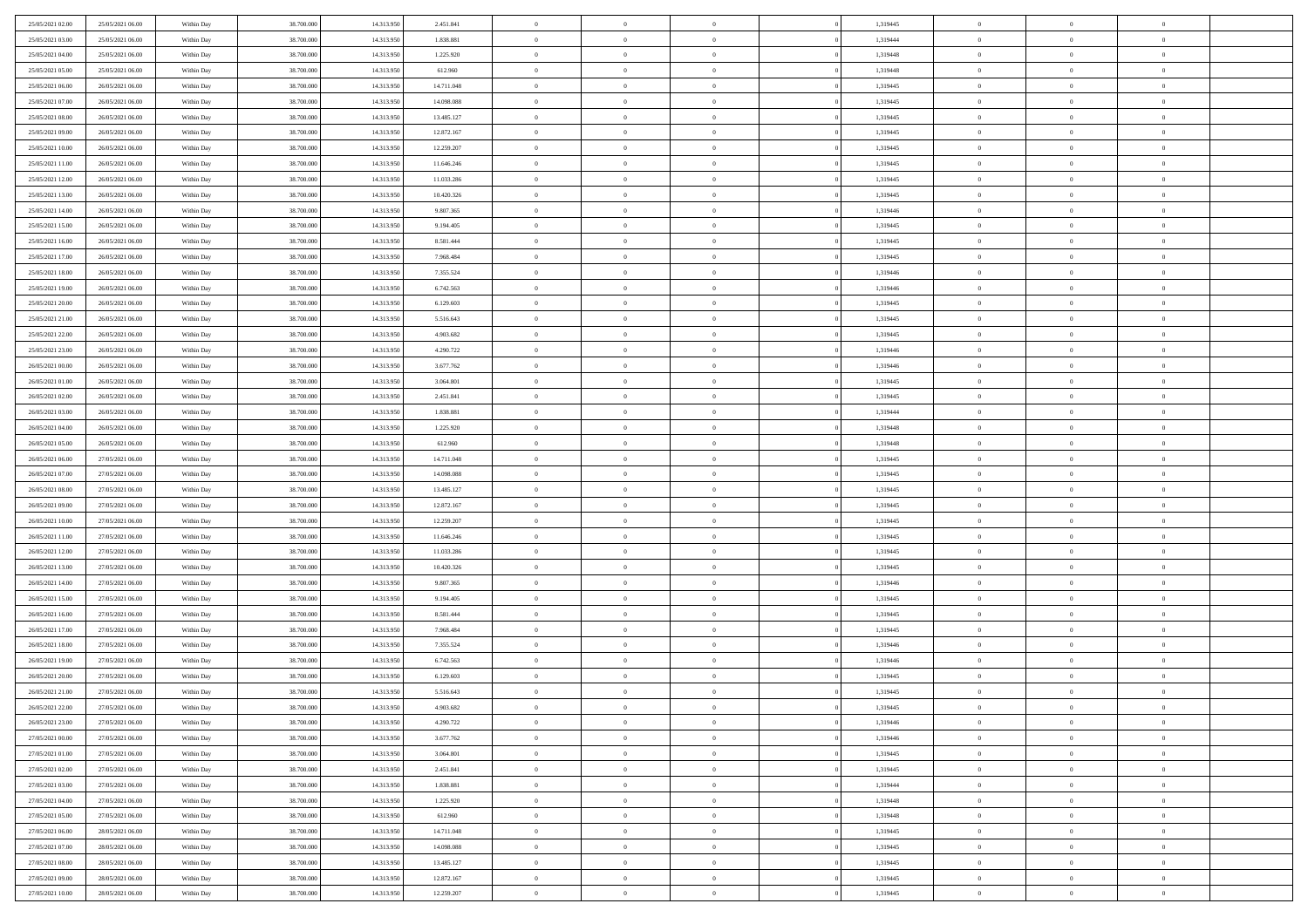| 25/05/2021 02:00 | 25/05/2021 06:00 | Within Day | 38,700,000 | 14.313.950 | 2.451.841  | $\overline{0}$ | $\overline{0}$ | $\Omega$       | 1,319445 | $\bf{0}$       | $\mathbf{0}$   | $\bf{0}$       |  |
|------------------|------------------|------------|------------|------------|------------|----------------|----------------|----------------|----------|----------------|----------------|----------------|--|
| 25/05/2021 03:00 | 25/05/2021 06:00 | Within Dav | 38.700.000 | 14.313.950 | 1.838.881  | $\mathbf{0}$   | $\overline{0}$ | $\overline{0}$ | 1,319444 | $\overline{0}$ | $\overline{0}$ | $\overline{0}$ |  |
| 25/05/2021 04:00 | 25/05/2021 06:00 | Within Day | 38.700.000 | 14.313.950 | 1.225.920  | $\,$ 0         | $\overline{0}$ | $\bf{0}$       | 1,319448 | $\,$ 0         | $\overline{0}$ | $\,$ 0 $\,$    |  |
| 25/05/2021 05:00 | 25/05/2021 06:00 | Within Day | 38,700,000 | 14.313.950 | 612.960    | $\bf{0}$       | $\overline{0}$ | $\Omega$       | 1,319448 | $\bf{0}$       | $\mathbf{0}$   | $\theta$       |  |
| 25/05/2021 06:00 | 26/05/2021 06:00 | Within Day | 38.700.000 | 14.313.950 | 14.711.048 | $\bf{0}$       | $\overline{0}$ | $\overline{0}$ | 1,319445 | $\overline{0}$ | $\overline{0}$ | $\overline{0}$ |  |
| 25/05/2021 07:00 | 26/05/2021 06:00 | Within Day | 38.700.000 | 14.313.950 | 14.098.088 | $\bf{0}$       | $\overline{0}$ | $\bf{0}$       | 1,319445 | $\,$ 0         | $\overline{0}$ | $\,$ 0 $\,$    |  |
| 25/05/2021 08:00 | 26/05/2021 06:00 | Within Day | 38,700,000 | 14.313.950 | 13.485.127 | $\bf{0}$       | $\overline{0}$ | $\overline{0}$ | 1,319445 | $\theta$       | $\overline{0}$ | $\theta$       |  |
| 25/05/2021 09:00 | 26/05/2021 06:00 | Within Day | 38.700.000 | 14.313.950 | 12.872.167 | $\overline{0}$ | $\overline{0}$ | $\overline{0}$ | 1,319445 | $\mathbf{0}$   | $\overline{0}$ | $\overline{0}$ |  |
| 25/05/2021 10:00 | 26/05/2021 06:00 | Within Day | 38.700.000 | 14.313.950 | 12.259.207 | $\bf{0}$       | $\overline{0}$ | $\bf{0}$       | 1,319445 | $\,$ 0         | $\overline{0}$ | $\,$ 0 $\,$    |  |
| 25/05/2021 11:00 | 26/05/2021 06:00 | Within Day | 38,700,000 | 14.313.950 | 11.646.246 | $\bf{0}$       | $\overline{0}$ | $\Omega$       | 1,319445 | $\theta$       | $\mathbf{0}$   | $\theta$       |  |
| 25/05/2021 12:00 | 26/05/2021 06:00 | Within Day | 38.700.000 | 14.313.950 | 11.033.286 | $\overline{0}$ | $\overline{0}$ | $\overline{0}$ | 1,319445 | $\mathbf{0}$   | $\overline{0}$ | $\overline{0}$ |  |
| 25/05/2021 13:00 | 26/05/2021 06:00 | Within Day | 38.700.000 | 14.313.950 | 10.420.326 | $\bf{0}$       | $\overline{0}$ | $\bf{0}$       | 1,319445 | $\,$ 0         | $\overline{0}$ | $\,$ 0 $\,$    |  |
| 25/05/2021 14:00 | 26/05/2021 06:00 | Within Day | 38,700,000 | 14.313.950 | 9.807.365  | $\bf{0}$       | $\overline{0}$ | $\Omega$       | 1,319446 | $\bf{0}$       | $\mathbf{0}$   | $\theta$       |  |
| 25/05/2021 15:00 | 26/05/2021 06:00 | Within Day | 38.700.000 | 14.313.950 | 9.194.405  | $\overline{0}$ | $\overline{0}$ | $\overline{0}$ | 1,319445 | $\mathbf{0}$   | $\overline{0}$ | $\overline{0}$ |  |
| 25/05/2021 16:00 | 26/05/2021 06:00 | Within Day | 38.700.000 | 14.313.950 | 8.581.444  | $\bf{0}$       | $\overline{0}$ | $\bf{0}$       | 1,319445 | $\,$ 0         | $\overline{0}$ | $\,$ 0 $\,$    |  |
| 25/05/2021 17:00 | 26/05/2021 06:00 | Within Day | 38,700,000 | 14.313.950 | 7.968.484  | $\bf{0}$       | $\overline{0}$ | $\overline{0}$ | 1,319445 | $\theta$       | $\mathbf{0}$   | $\bf{0}$       |  |
| 25/05/2021 18:00 | 26/05/2021 06:00 | Within Day | 38.700.000 | 14.313.950 | 7.355.524  | $\overline{0}$ | $\overline{0}$ | $\overline{0}$ | 1,319446 | $\mathbf{0}$   | $\overline{0}$ | $\overline{0}$ |  |
| 25/05/2021 19:00 | 26/05/2021 06:00 | Within Day | 38.700.000 | 14.313.950 | 6.742.563  | $\bf{0}$       | $\overline{0}$ | $\bf{0}$       | 1,319446 | $\,$ 0         | $\overline{0}$ | $\,$ 0 $\,$    |  |
| 25/05/2021 20:00 | 26/05/2021 06:00 | Within Day | 38,700,000 | 14.313.950 | 6.129.603  | $\bf{0}$       | $\overline{0}$ | $\Omega$       | 1,319445 | $\theta$       | $\mathbf{0}$   | $\theta$       |  |
| 25/05/2021 21:00 | 26/05/2021 06:00 | Within Day | 38.700.000 | 14.313.950 | 5.516.643  | $\overline{0}$ | $\overline{0}$ | $\overline{0}$ | 1,319445 | $\mathbf{0}$   | $\overline{0}$ | $\overline{0}$ |  |
| 25/05/2021 22:00 | 26/05/2021 06:00 | Within Day | 38.700.000 | 14.313.950 | 4.903.682  | $\bf{0}$       | $\overline{0}$ | $\bf{0}$       | 1,319445 | $\,$ 0         | $\overline{0}$ | $\,$ 0 $\,$    |  |
| 25/05/2021 23.00 | 26/05/2021 06:00 | Within Day | 38,700,000 | 14.313.950 | 4.290.722  | $\bf{0}$       | $\overline{0}$ | $\Omega$       | 1,319446 | $\bf{0}$       | $\mathbf{0}$   | $\theta$       |  |
| 26/05/2021 00:00 | 26/05/2021 06:00 | Within Day | 38.700.000 | 14.313.950 | 3.677.762  | $\overline{0}$ | $\overline{0}$ | $\overline{0}$ | 1,319446 | $\mathbf{0}$   | $\overline{0}$ | $\overline{0}$ |  |
| 26/05/2021 01:00 | 26/05/2021 06:00 | Within Day | 38.700.000 | 14.313.950 | 3.064.801  | $\bf{0}$       | $\overline{0}$ | $\bf{0}$       | 1,319445 | $\,$ 0         | $\overline{0}$ | $\,$ 0 $\,$    |  |
| 26/05/2021 02:00 | 26/05/2021 06:00 | Within Day | 38,700,000 | 14.313.950 | 2.451.841  | $\bf{0}$       | $\overline{0}$ | $\overline{0}$ | 1,319445 | $\bf{0}$       | $\overline{0}$ | $\bf{0}$       |  |
| 26/05/2021 03:00 | 26/05/2021 06:00 | Within Day | 38.700.000 | 14.313.950 | 1.838.881  | $\overline{0}$ | $\overline{0}$ | $\overline{0}$ | 1,319444 | $\mathbf{0}$   | $\overline{0}$ | $\overline{0}$ |  |
| 26/05/2021 04:00 | 26/05/2021 06:00 | Within Day | 38.700.000 | 14.313.950 | 1.225.920  | $\bf{0}$       | $\overline{0}$ | $\bf{0}$       | 1,319448 | $\,$ 0         | $\overline{0}$ | $\,$ 0 $\,$    |  |
| 26/05/2021 05:00 | 26/05/2021 06:00 | Within Day | 38,700,000 | 14.313.950 | 612.960    | $\bf{0}$       | $\overline{0}$ | $\Omega$       | 1,319448 | $\theta$       | $\mathbf{0}$   | $\theta$       |  |
| 26/05/2021 06:00 | 27/05/2021 06:00 | Within Day | 38.700.000 | 14.313.950 | 14.711.048 | $\overline{0}$ | $\overline{0}$ | $\overline{0}$ | 1,319445 | $\mathbf{0}$   | $\overline{0}$ | $\overline{0}$ |  |
| 26/05/2021 07:00 | 27/05/2021 06:00 | Within Day | 38.700.000 | 14.313.950 | 14.098.088 | $\bf{0}$       | $\overline{0}$ | $\bf{0}$       | 1,319445 | $\,$ 0         | $\overline{0}$ | $\,$ 0 $\,$    |  |
| 26/05/2021 08:00 | 27/05/2021 06:00 | Within Day | 38.700.000 | 14.313.950 | 13.485.127 | $\bf{0}$       | $\bf{0}$       | $\overline{0}$ | 1,319445 | $\bf{0}$       | $\overline{0}$ | $\,0\,$        |  |
| 26/05/2021 09:00 | 27/05/2021 06:00 | Within Dav | 38.700.000 | 14.313.950 | 12.872.167 | $\overline{0}$ | $\overline{0}$ | $\overline{0}$ | 1,319445 | $\mathbf{0}$   | $\overline{0}$ | $\overline{0}$ |  |
| 26/05/2021 10:00 | 27/05/2021 06:00 | Within Day | 38.700.000 | 14.313.950 | 12.259.207 | $\bf{0}$       | $\overline{0}$ | $\bf{0}$       | 1,319445 | $\,$ 0         | $\overline{0}$ | $\,$ 0 $\,$    |  |
| 26/05/2021 11:00 | 27/05/2021 06:00 | Within Day | 38.700.000 | 14.313.950 | 11.646.246 | $\bf{0}$       | $\overline{0}$ | $\bf{0}$       | 1,319445 | $\bf{0}$       | $\overline{0}$ | $\,0\,$        |  |
| 26/05/2021 12:00 | 27/05/2021 06:00 | Within Day | 38.700.000 | 14.313.950 | 11.033.286 | $\overline{0}$ | $\overline{0}$ | $\overline{0}$ | 1,319445 | $\overline{0}$ | $\overline{0}$ | $\overline{0}$ |  |
| 26/05/2021 13:00 | 27/05/2021 06:00 | Within Day | 38.700.000 | 14.313.950 | 10.420.326 | $\bf{0}$       | $\overline{0}$ | $\bf{0}$       | 1,319445 | $\,$ 0         | $\overline{0}$ | $\,$ 0 $\,$    |  |
| 26/05/2021 14:00 | 27/05/2021 06:00 | Within Day | 38.700.000 | 14.313.950 | 9.807.365  | $\bf{0}$       | $\overline{0}$ | $\overline{0}$ | 1,319446 | $\bf{0}$       | $\overline{0}$ | $\,0\,$        |  |
| 26/05/2021 15:00 | 27/05/2021 06:00 | Within Day | 38.700.000 | 14.313.950 | 9.194.405  | $\overline{0}$ | $\overline{0}$ | $\overline{0}$ | 1,319445 | $\mathbf{0}$   | $\overline{0}$ | $\overline{0}$ |  |
| 26/05/2021 16:00 | 27/05/2021 06:00 | Within Day | 38.700.000 | 14.313.950 | 8.581.444  | $\bf{0}$       | $\overline{0}$ | $\bf{0}$       | 1,319445 | $\,$ 0         | $\overline{0}$ | $\,$ 0 $\,$    |  |
| 26/05/2021 17:00 | 27/05/2021 06:00 | Within Day | 38.700.000 | 14.313.950 | 7.968.484  | $\bf{0}$       | $\overline{0}$ | $\overline{0}$ | 1,319445 | $\bf{0}$       | $\overline{0}$ | $\,0\,$        |  |
| 26/05/2021 18:00 | 27/05/2021 06:00 | Within Day | 38.700.000 | 14.313.950 | 7.355.524  | $\overline{0}$ | $\overline{0}$ | $\overline{0}$ | 1,319446 | $\overline{0}$ | $\overline{0}$ | $\overline{0}$ |  |
| 26/05/2021 19:00 | 27/05/2021 06:00 | Within Day | 38.700.000 | 14.313.950 | 6.742.563  | $\bf{0}$       | $\overline{0}$ | $\bf{0}$       | 1,319446 | $\,$ 0         | $\overline{0}$ | $\,$ 0 $\,$    |  |
| 26/05/2021 20:00 | 27/05/2021 06:00 | Within Day | 38.700.000 | 14.313.950 | 6.129.603  | $\bf{0}$       | $\overline{0}$ | $\bf{0}$       | 1,319445 | $\bf{0}$       | $\overline{0}$ | $\,0\,$        |  |
| 26/05/2021 21:00 | 27/05/2021 06:00 | Within Dav | 38.700.000 | 14.313.950 | 5.516.643  | $\mathbf{0}$   | $\overline{0}$ | $\overline{0}$ | 1,319445 | $\mathbf{0}$   | $\overline{0}$ | $\overline{0}$ |  |
| 26/05/2021 22:00 | 27/05/2021 06:00 | Within Day | 38.700.000 | 14.313.950 | 4.903.682  | $\bf{0}$       | $\overline{0}$ | $\overline{0}$ | 1,319445 | $\overline{0}$ | $\theta$       | $\theta$       |  |
| 26/05/2021 23:00 | 27/05/2021 06:00 | Within Day | 38.700.000 | 14.313.950 | 4.290.722  | $\bf{0}$       | $\overline{0}$ | $\bf{0}$       | 1,319446 | $\bf{0}$       | $\overline{0}$ | $\bf{0}$       |  |
| 27/05/2021 00:00 | 27/05/2021 06:00 | Within Day | 38.700.000 | 14.313.950 | 3.677.762  | $\overline{0}$ | $\overline{0}$ | $\overline{0}$ | 1,319446 | $\overline{0}$ | $\bf{0}$       | $\overline{0}$ |  |
| 27/05/2021 01:00 | 27/05/2021 06:00 | Within Day | 38.700.000 | 14.313.950 | 3.064.801  | $\,$ 0 $\,$    | $\overline{0}$ | $\overline{0}$ | 1,319445 | $\mathbf{0}$   | $\,$ 0 $\,$    | $\,$ 0 $\,$    |  |
| 27/05/2021 02:00 | 27/05/2021 06:00 | Within Day | 38.700.000 | 14.313.950 | 2.451.841  | $\bf{0}$       | $\overline{0}$ | $\overline{0}$ | 1,319445 | $\bf{0}$       | $\overline{0}$ | $\bf{0}$       |  |
| 27/05/2021 03:00 | 27/05/2021 06:00 | Within Day | 38.700.000 | 14.313.950 | 1.838.881  | $\bf{0}$       | $\overline{0}$ | $\overline{0}$ | 1,319444 | $\overline{0}$ | $\overline{0}$ | $\overline{0}$ |  |
| 27/05/2021 04:00 | 27/05/2021 06:00 | Within Day | 38.700.000 | 14.313.950 | 1.225.920  | $\,$ 0 $\,$    | $\overline{0}$ | $\overline{0}$ | 1,319448 | $\,$ 0 $\,$    | $\overline{0}$ | $\,$ 0 $\,$    |  |
| 27/05/2021 05:00 | 27/05/2021 06:00 | Within Day | 38.700.000 | 14.313.950 | 612.960    | $\bf{0}$       | $\overline{0}$ | $\overline{0}$ | 1,319448 | $\bf{0}$       | $\overline{0}$ | $\overline{0}$ |  |
| 27/05/2021 06:00 | 28/05/2021 06:00 | Within Day | 38.700.000 | 14.313.950 | 14.711.048 | $\overline{0}$ | $\overline{0}$ | $\overline{0}$ | 1,319445 | $\overline{0}$ | $\bf{0}$       | $\overline{0}$ |  |
| 27/05/2021 07:00 | 28/05/2021 06:00 | Within Day | 38.700.000 | 14.313.950 | 14.098.088 | $\,$ 0 $\,$    | $\overline{0}$ | $\overline{0}$ | 1,319445 | $\,$ 0 $\,$    | $\,$ 0 $\,$    | $\,$ 0 $\,$    |  |
| 27/05/2021 08:00 | 28/05/2021 06:00 | Within Day | 38.700.000 | 14.313.950 | 13.485.127 | $\bf{0}$       | $\overline{0}$ | $\overline{0}$ | 1,319445 | $\mathbf{0}$   | $\overline{0}$ | $\bf{0}$       |  |
| 27/05/2021 09:00 | 28/05/2021 06:00 | Within Day | 38.700.000 | 14.313.950 | 12.872.167 | $\bf{0}$       | $\overline{0}$ | $\overline{0}$ | 1,319445 | $\mathbf{0}$   | $\bf{0}$       | $\overline{0}$ |  |
| 27/05/2021 10:00 | 28/05/2021 06:00 | Within Day | 38.700.000 | 14.313.950 | 12.259.207 | $\,0\,$        | $\overline{0}$ | $\overline{0}$ | 1,319445 | $\,$ 0         | $\overline{0}$ | $\,$ 0 $\,$    |  |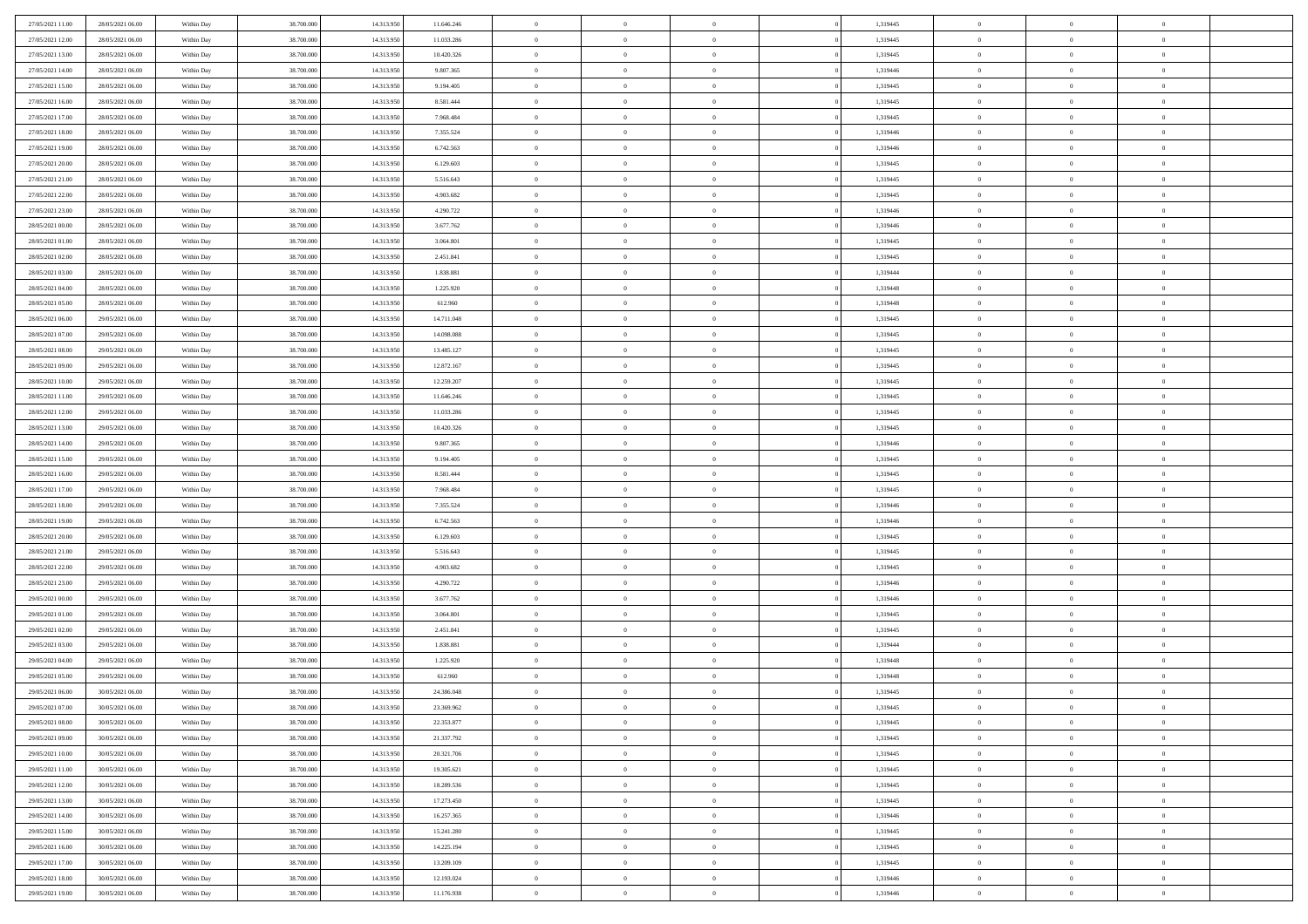| 27/05/2021 11:00 | 28/05/2021 06:00 | Within Day | 38,700,000 | 14.313.950 | 11.646.246 | $\overline{0}$ | $\overline{0}$ | $\Omega$       | 1,319445 | $\bf{0}$       | $\mathbf{0}$   | $\bf{0}$       |  |
|------------------|------------------|------------|------------|------------|------------|----------------|----------------|----------------|----------|----------------|----------------|----------------|--|
| 27/05/2021 12:00 | 28/05/2021 06:00 | Within Dav | 38.700.000 | 14.313.950 | 11.033.286 | $\mathbf{0}$   | $\overline{0}$ | $\overline{0}$ | 1,319445 | $\overline{0}$ | $\overline{0}$ | $\overline{0}$ |  |
| 27/05/2021 13:00 | 28/05/2021 06:00 | Within Day | 38.700.000 | 14.313.950 | 10.420.326 | $\,$ 0         | $\overline{0}$ | $\bf{0}$       | 1,319445 | $\,$ 0         | $\overline{0}$ | $\,$ 0 $\,$    |  |
| 27/05/2021 14:00 | 28/05/2021 06:00 | Within Day | 38,700,000 | 14.313.950 | 9.807.365  | $\bf{0}$       | $\overline{0}$ | $\Omega$       | 1,319446 | $\bf{0}$       | $\mathbf{0}$   | $\theta$       |  |
| 27/05/2021 15:00 | 28/05/2021 06:00 | Within Day | 38.700.000 | 14.313.950 | 9.194.405  | $\bf{0}$       | $\overline{0}$ | $\overline{0}$ | 1,319445 | $\overline{0}$ | $\overline{0}$ | $\overline{0}$ |  |
| 27/05/2021 16:00 | 28/05/2021 06:00 | Within Day | 38.700.000 | 14.313.950 | 8.581.444  | $\bf{0}$       | $\overline{0}$ | $\bf{0}$       | 1,319445 | $\,$ 0         | $\overline{0}$ | $\,$ 0 $\,$    |  |
| 27/05/2021 17:00 | 28/05/2021 06:00 | Within Day | 38,700,000 | 14.313.950 | 7.968.484  | $\bf{0}$       | $\overline{0}$ | $\overline{0}$ | 1,319445 | $\theta$       | $\overline{0}$ | $\theta$       |  |
| 27/05/2021 18:00 | 28/05/2021 06:00 | Within Day | 38.700.000 | 14.313.950 | 7.355.524  | $\overline{0}$ | $\overline{0}$ | $\overline{0}$ | 1,319446 | $\mathbf{0}$   | $\overline{0}$ | $\overline{0}$ |  |
| 27/05/2021 19:00 | 28/05/2021 06:00 | Within Day | 38.700.000 | 14.313.950 | 6.742.563  | $\bf{0}$       | $\overline{0}$ | $\bf{0}$       | 1,319446 | $\,$ 0         | $\overline{0}$ | $\,$ 0 $\,$    |  |
| 27/05/2021 20:00 | 28/05/2021 06:00 | Within Day | 38,700,000 | 14.313.950 | 6.129.603  | $\bf{0}$       | $\overline{0}$ | $\Omega$       | 1,319445 | $\theta$       | $\mathbf{0}$   | $\theta$       |  |
| 27/05/2021 21:00 | 28/05/2021 06:00 | Within Day | 38.700.000 | 14.313.950 | 5.516.643  | $\overline{0}$ | $\overline{0}$ | $\overline{0}$ | 1,319445 | $\mathbf{0}$   | $\overline{0}$ | $\overline{0}$ |  |
| 27/05/2021 22:00 | 28/05/2021 06:00 | Within Day | 38.700.000 | 14.313.950 | 4.903.682  | $\bf{0}$       | $\overline{0}$ | $\bf{0}$       | 1,319445 | $\,$ 0         | $\overline{0}$ | $\,$ 0 $\,$    |  |
| 27/05/2021 23:00 | 28/05/2021 06:00 | Within Day | 38,700,000 | 14.313.950 | 4.290.722  | $\bf{0}$       | $\overline{0}$ | $\Omega$       | 1,319446 | $\bf{0}$       | $\mathbf{0}$   | $\theta$       |  |
| 28/05/2021 00:00 | 28/05/2021 06:00 | Within Day | 38.700.000 | 14.313.950 | 3.677.762  | $\overline{0}$ | $\overline{0}$ | $\overline{0}$ | 1,319446 | $\mathbf{0}$   | $\overline{0}$ | $\overline{0}$ |  |
| 28/05/2021 01:00 | 28/05/2021 06:00 | Within Day | 38.700.000 | 14.313.950 | 3.064.801  | $\bf{0}$       | $\overline{0}$ | $\bf{0}$       | 1,319445 | $\,$ 0         | $\overline{0}$ | $\,$ 0 $\,$    |  |
| 28/05/2021 02:00 | 28/05/2021 06:00 | Within Day | 38,700,000 | 14.313.950 | 2.451.841  | $\bf{0}$       | $\overline{0}$ | $\overline{0}$ | 1,319445 | $\theta$       | $\mathbf{0}$   | $\bf{0}$       |  |
| 28/05/2021 03:00 | 28/05/2021 06:00 | Within Day | 38.700.000 | 14.313.950 | 1.838.881  | $\overline{0}$ | $\overline{0}$ | $\overline{0}$ | 1,319444 | $\mathbf{0}$   | $\overline{0}$ | $\overline{0}$ |  |
| 28/05/2021 04:00 | 28/05/2021 06:00 | Within Day | 38.700.000 | 14.313.950 | 1.225.920  | $\bf{0}$       | $\overline{0}$ | $\bf{0}$       | 1,319448 | $\,$ 0         | $\overline{0}$ | $\,$ 0 $\,$    |  |
| 28/05/2021 05:00 | 28/05/2021 06:00 | Within Day | 38,700,000 | 14.313.950 | 612.960    | $\bf{0}$       | $\overline{0}$ | $\Omega$       | 1,319448 | $\theta$       | $\mathbf{0}$   | $\theta$       |  |
| 28/05/2021 06:00 | 29/05/2021 06:00 | Within Day | 38.700.000 | 14.313.950 | 14.711.048 | $\overline{0}$ | $\overline{0}$ | $\overline{0}$ | 1,319445 | $\mathbf{0}$   | $\overline{0}$ | $\overline{0}$ |  |
| 28/05/2021 07:00 | 29/05/2021 06:00 | Within Day | 38.700.000 | 14.313.950 | 14.098.088 | $\bf{0}$       | $\overline{0}$ | $\bf{0}$       | 1,319445 | $\,$ 0         | $\overline{0}$ | $\,$ 0 $\,$    |  |
| 28/05/2021 08:00 | 29/05/2021 06:00 | Within Day | 38,700,000 | 14.313.950 | 13.485.127 | $\bf{0}$       | $\overline{0}$ | $\Omega$       | 1,319445 | $\bf{0}$       | $\mathbf{0}$   | $\theta$       |  |
| 28/05/2021 09:00 | 29/05/2021 06:00 | Within Day | 38.700.000 | 14.313.950 | 12.872.167 | $\overline{0}$ | $\overline{0}$ | $\overline{0}$ | 1,319445 | $\mathbf{0}$   | $\overline{0}$ | $\overline{0}$ |  |
| 28/05/2021 10:00 | 29/05/2021 06:00 | Within Day | 38.700.000 | 14.313.950 | 12.259.207 | $\bf{0}$       | $\overline{0}$ | $\bf{0}$       | 1,319445 | $\,$ 0         | $\overline{0}$ | $\,$ 0 $\,$    |  |
| 28/05/2021 11:00 | 29/05/2021 06:00 | Within Day | 38,700,000 | 14.313.950 | 11.646.246 | $\bf{0}$       | $\overline{0}$ | $\overline{0}$ | 1,319445 | $\bf{0}$       | $\overline{0}$ | $\bf{0}$       |  |
| 28/05/2021 12:00 | 29/05/2021 06:00 | Within Day | 38.700.000 | 14.313.950 | 11.033.286 | $\overline{0}$ | $\overline{0}$ | $\overline{0}$ | 1,319445 | $\mathbf{0}$   | $\overline{0}$ | $\overline{0}$ |  |
| 28/05/2021 13:00 | 29/05/2021 06:00 | Within Day | 38.700.000 | 14.313.950 | 10.420.326 | $\bf{0}$       | $\overline{0}$ | $\bf{0}$       | 1,319445 | $\,$ 0         | $\overline{0}$ | $\,$ 0 $\,$    |  |
| 28/05/2021 14:00 | 29/05/2021 06:00 | Within Day | 38,700,000 | 14.313.950 | 9.807.365  | $\bf{0}$       | $\overline{0}$ | $\Omega$       | 1,319446 | $\theta$       | $\mathbf{0}$   | $\theta$       |  |
| 28/05/2021 15:00 | 29/05/2021 06:00 | Within Day | 38.700.000 | 14.313.950 | 9.194.405  | $\overline{0}$ | $\overline{0}$ | $\overline{0}$ | 1,319445 | $\mathbf{0}$   | $\overline{0}$ | $\overline{0}$ |  |
| 28/05/2021 16:00 | 29/05/2021 06:00 | Within Day | 38.700.000 | 14.313.950 | 8.581.444  | $\bf{0}$       | $\overline{0}$ | $\bf{0}$       | 1,319445 | $\,$ 0         | $\overline{0}$ | $\,$ 0 $\,$    |  |
| 28/05/2021 17:00 | 29/05/2021 06:00 | Within Day | 38.700.000 | 14.313.950 | 7.968.484  | $\bf{0}$       | $\bf{0}$       | $\overline{0}$ | 1,319445 | $\bf{0}$       | $\overline{0}$ | $\,0\,$        |  |
| 28/05/2021 18:00 | 29/05/2021 06:00 | Within Day | 38.700.000 | 14.313.950 | 7.355.524  | $\overline{0}$ | $\overline{0}$ | $\overline{0}$ | 1,319446 | $\mathbf{0}$   | $\overline{0}$ | $\overline{0}$ |  |
| 28/05/2021 19:00 | 29/05/2021 06:00 | Within Day | 38.700.000 | 14.313.950 | 6.742.563  | $\bf{0}$       | $\overline{0}$ | $\bf{0}$       | 1,319446 | $\,$ 0         | $\overline{0}$ | $\,$ 0 $\,$    |  |
| 28/05/2021 20:00 | 29/05/2021 06:00 | Within Day | 38.700.000 | 14.313.950 | 6.129.603  | $\bf{0}$       | $\overline{0}$ | $\bf{0}$       | 1,319445 | $\bf{0}$       | $\overline{0}$ | $\,0\,$        |  |
| 28/05/2021 21:00 | 29/05/2021 06:00 | Within Day | 38.700.000 | 14.313.950 | 5.516.643  | $\overline{0}$ | $\overline{0}$ | $\overline{0}$ | 1,319445 | $\overline{0}$ | $\overline{0}$ | $\overline{0}$ |  |
| 28/05/2021 22:00 | 29/05/2021 06:00 | Within Day | 38.700.000 | 14.313.950 | 4.903.682  | $\bf{0}$       | $\overline{0}$ | $\bf{0}$       | 1,319445 | $\,$ 0         | $\overline{0}$ | $\,$ 0 $\,$    |  |
| 28/05/2021 23:00 | 29/05/2021 06:00 | Within Day | 38.700.000 | 14.313.950 | 4.290.722  | $\bf{0}$       | $\overline{0}$ | $\overline{0}$ | 1,319446 | $\bf{0}$       | $\overline{0}$ | $\,0\,$        |  |
| 29/05/2021 00:00 | 29/05/2021 06:00 | Within Day | 38.700.000 | 14.313.950 | 3.677.762  | $\overline{0}$ | $\overline{0}$ | $\overline{0}$ | 1,319446 | $\mathbf{0}$   | $\overline{0}$ | $\overline{0}$ |  |
| 29/05/2021 01:00 | 29/05/2021 06:00 | Within Day | 38.700.000 | 14.313.950 | 3.064.801  | $\bf{0}$       | $\overline{0}$ | $\bf{0}$       | 1,319445 | $\,$ 0         | $\overline{0}$ | $\,$ 0 $\,$    |  |
| 29/05/2021 02:00 | 29/05/2021 06:00 | Within Day | 38.700.000 | 14.313.950 | 2.451.841  | $\bf{0}$       | $\overline{0}$ | $\overline{0}$ | 1,319445 | $\bf{0}$       | $\overline{0}$ | $\,0\,$        |  |
| 29/05/2021 03:00 | 29/05/2021 06:00 | Within Day | 38.700.000 | 14.313.950 | 1.838.881  | $\overline{0}$ | $\overline{0}$ | $\overline{0}$ | 1,319444 | $\overline{0}$ | $\overline{0}$ | $\overline{0}$ |  |
| 29/05/2021 04:00 | 29/05/2021 06:00 | Within Day | 38.700.000 | 14.313.950 | 1.225.920  | $\bf{0}$       | $\overline{0}$ | $\bf{0}$       | 1,319448 | $\,$ 0         | $\overline{0}$ | $\,$ 0 $\,$    |  |
| 29/05/2021 05:00 | 29/05/2021 06:00 | Within Day | 38.700.000 | 14.313.950 | 612.960    | $\bf{0}$       | $\overline{0}$ | $\bf{0}$       | 1,319448 | $\bf{0}$       | $\overline{0}$ | $\,0\,$        |  |
| 29/05/2021 06:00 | 30/05/2021 06:00 | Within Dav | 38.700.000 | 14.313.950 | 24.386.048 | $\mathbf{0}$   | $\overline{0}$ | $\overline{0}$ | 1,319445 | $\mathbf{0}$   | $\overline{0}$ | $\overline{0}$ |  |
| 29/05/2021 07:00 | 30/05/2021 06:00 | Within Day | 38.700.000 | 14.313.950 | 23.369.962 | $\bf{0}$       | $\overline{0}$ | $\theta$       | 1,319445 | $\overline{0}$ | $\overline{0}$ | $\theta$       |  |
| 29/05/2021 08:00 | 30/05/2021 06:00 | Within Day | 38.700.000 | 14.313.950 | 22.353.877 | $\bf{0}$       | $\overline{0}$ | $\bf{0}$       | 1,319445 | $\bf{0}$       | $\overline{0}$ | $\bf{0}$       |  |
| 29/05/2021 09:00 | 30/05/2021 06:00 | Within Day | 38.700.000 | 14.313.950 | 21.337.792 | $\overline{0}$ | $\overline{0}$ | $\overline{0}$ | 1,319445 | $\overline{0}$ | $\bf{0}$       | $\overline{0}$ |  |
| 29/05/2021 10:00 | 30/05/2021 06:00 | Within Day | 38.700.000 | 14.313.950 | 20.321.706 | $\,$ 0 $\,$    | $\overline{0}$ | $\overline{0}$ | 1,319445 | $\mathbf{0}$   | $\,$ 0 $\,$    | $\,$ 0 $\,$    |  |
| 29/05/2021 11:00 | 30/05/2021 06:00 | Within Day | 38.700.000 | 14.313.950 | 19.305.621 | $\bf{0}$       | $\overline{0}$ | $\overline{0}$ | 1,319445 | $\bf{0}$       | $\overline{0}$ | $\bf{0}$       |  |
| 29/05/2021 12:00 | 30/05/2021 06:00 | Within Day | 38.700.000 | 14.313.950 | 18.289.536 | $\bf{0}$       | $\overline{0}$ | $\overline{0}$ | 1,319445 | $\overline{0}$ | $\overline{0}$ | $\overline{0}$ |  |
| 29/05/2021 13:00 | 30/05/2021 06:00 | Within Day | 38.700.000 | 14.313.950 | 17.273.450 | $\,$ 0 $\,$    | $\overline{0}$ | $\overline{0}$ | 1,319445 | $\,$ 0 $\,$    | $\overline{0}$ | $\,$ 0 $\,$    |  |
| 29/05/2021 14:00 | 30/05/2021 06:00 | Within Day | 38.700.000 | 14.313.950 | 16.257.365 | $\bf{0}$       | $\overline{0}$ | $\overline{0}$ | 1,319446 | $\bf{0}$       | $\overline{0}$ | $\overline{0}$ |  |
| 29/05/2021 15:00 | 30/05/2021 06:00 | Within Day | 38.700.000 | 14.313.950 | 15.241.280 | $\overline{0}$ | $\overline{0}$ | $\overline{0}$ | 1,319445 | $\overline{0}$ | $\bf{0}$       | $\overline{0}$ |  |
| 29/05/2021 16:00 | 30/05/2021 06:00 | Within Day | 38.700.000 | 14.313.950 | 14.225.194 | $\,$ 0 $\,$    | $\overline{0}$ | $\overline{0}$ | 1,319445 | $\,$ 0 $\,$    | $\,$ 0 $\,$    | $\,$ 0 $\,$    |  |
| 29/05/2021 17:00 | 30/05/2021 06:00 | Within Day | 38.700.000 | 14.313.950 | 13.209.109 | $\bf{0}$       | $\overline{0}$ | $\overline{0}$ | 1,319445 | $\mathbf{0}$   | $\overline{0}$ | $\bf{0}$       |  |
| 29/05/2021 18:00 | 30/05/2021 06:00 | Within Day | 38.700.000 | 14.313.950 | 12.193.024 | $\bf{0}$       | $\overline{0}$ | $\overline{0}$ | 1,319446 | $\mathbf{0}$   | $\bf{0}$       | $\overline{0}$ |  |
| 29/05/2021 19:00 | 30/05/2021 06:00 | Within Day | 38.700.000 | 14.313.950 | 11.176.938 | $\,0\,$        | $\overline{0}$ | $\overline{0}$ | 1,319446 | $\,$ 0         | $\overline{0}$ | $\,$ 0 $\,$    |  |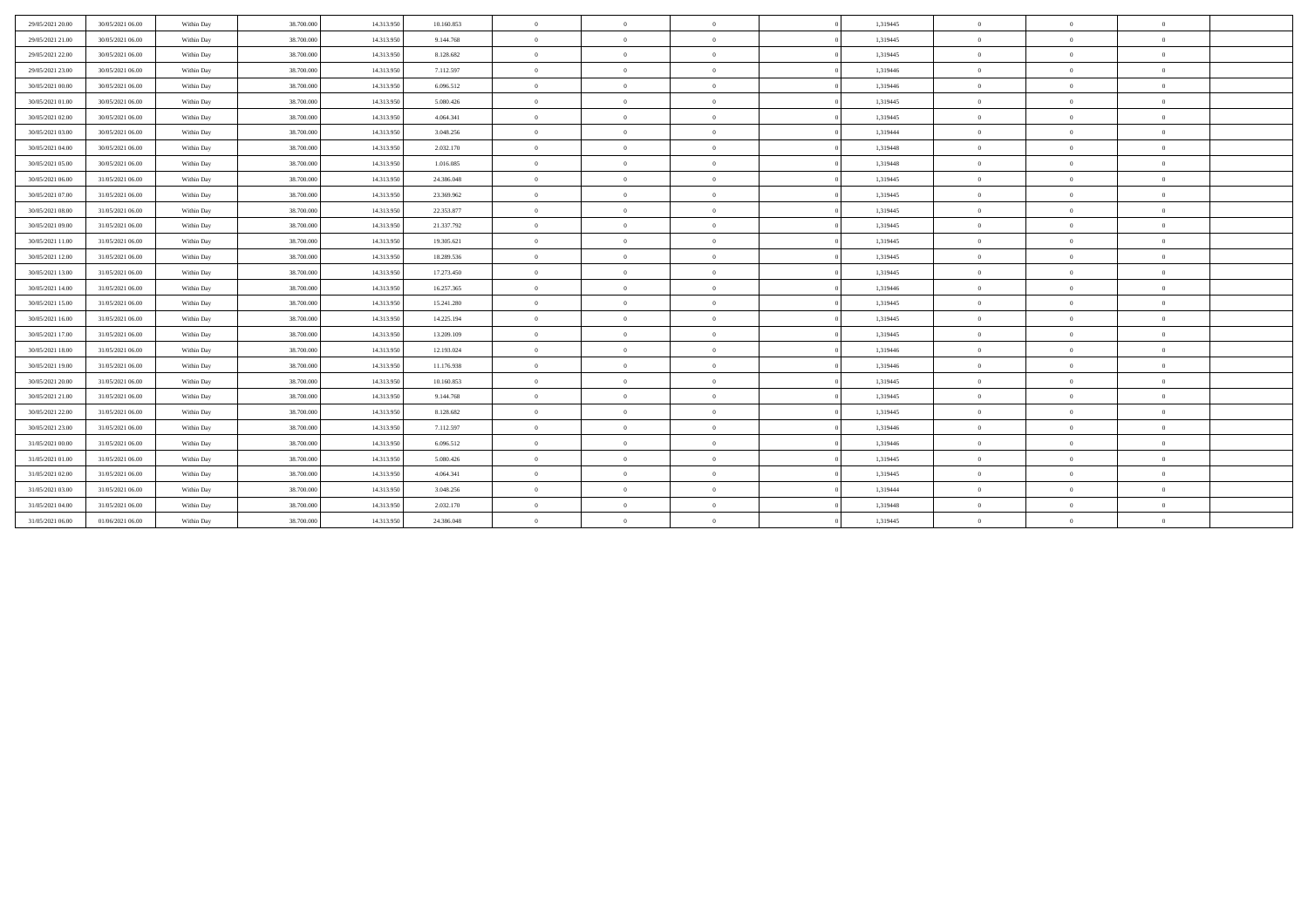| 29/05/2021 20:00 | 30/05/2021 06:00 | Within Day | 38,700,000 | 14.313.950 | 10.160.853 | $\overline{0}$ | $\overline{0}$ | $\overline{0}$ | 1,319445 | $\mathbf{0}$   | $\overline{0}$ | $\theta$       |  |
|------------------|------------------|------------|------------|------------|------------|----------------|----------------|----------------|----------|----------------|----------------|----------------|--|
| 29/05/2021 21:00 | 30/05/2021 06:00 | Within Day | 38.700.000 | 14.313.950 | 9.144.768  | $\overline{0}$ | $\overline{0}$ | $\overline{0}$ | 1,319445 | $\mathbf{0}$   | $\Omega$       | $\overline{0}$ |  |
| 29/05/2021 22.00 | 30/05/2021 06:00 | Within Day | 38.700.000 | 14.313.950 | 8.128.682  | $\overline{0}$ | $\overline{0}$ | $\overline{0}$ | 1,319445 | $\theta$       | $\Omega$       | $\overline{0}$ |  |
| 29/05/2021 23:00 | 30/05/2021 06:00 | Within Day | 38,700,000 | 14.313.950 | 7.112.597  | $\overline{0}$ | $\theta$       | $\overline{0}$ | 1.319446 | $\mathbf{0}$   | $\Omega$       | $\overline{0}$ |  |
| 30/05/2021 00:00 | 30/05/2021 06:00 | Within Day | 38,700,000 | 14.313.950 | 6.096.512  | $\overline{0}$ | $\theta$       | $\overline{0}$ | 1,319446 | $\mathbf{0}$   | $\mathbf{0}$   | $\overline{0}$ |  |
| 30/05/2021 01:00 | 30/05/2021 06:00 | Within Day | 38,700,000 | 14.313.950 | 5.080.426  | $\overline{0}$ | $\Omega$       | $\overline{0}$ | 1.319445 | $\mathbf{0}$   | $\theta$       | $\overline{0}$ |  |
| 30/05/2021 02:00 | 30/05/2021 06:00 | Within Day | 38,700,000 | 14.313.950 | 4.064.341  | $\overline{0}$ | $\theta$       | $\overline{0}$ | 1.319445 | $\theta$       | $\Omega$       | $\overline{0}$ |  |
| 30/05/2021 03:00 | 30/05/2021 06:00 | Within Day | 38,700,000 | 14.313.950 | 3.048.256  | $\overline{0}$ | $\overline{0}$ | $\overline{0}$ | 1.319444 | $\overline{0}$ | $\mathbf{0}$   | $\overline{0}$ |  |
| 30/05/2021 04:00 | 30/05/2021 06:00 | Within Day | 38,700,000 | 14.313.950 | 2.032.170  | $\overline{0}$ | $\Omega$       | $\overline{0}$ | 1.319448 | $\mathbf{0}$   | $\Omega$       | $\overline{0}$ |  |
| 30/05/2021 05:00 | 30/05/2021 06:00 | Within Day | 38.700.000 | 14.313.950 | 1.016.085  | $\overline{0}$ | $\overline{0}$ | $\overline{0}$ | 1,319448 | $\overline{0}$ | $\overline{0}$ | $\overline{0}$ |  |
| 30/05/2021 06:00 | 31/05/2021 06:00 | Within Day | 38.700.000 | 14.313.950 | 24.386.048 | $\overline{0}$ | $\theta$       | $\overline{0}$ | 1,319445 | $\mathbf{0}$   | $\mathbf{0}$   | $\overline{0}$ |  |
| 30/05/2021 07:00 | 31/05/2021 06:00 | Within Day | 38.700.000 | 14.313.950 | 23.369.962 | $\overline{0}$ | $\overline{0}$ | $\overline{0}$ | 1,319445 | $\overline{0}$ | $\Omega$       | $\overline{0}$ |  |
| 30/05/2021 08:00 | 31/05/2021 06:00 | Within Day | 38.700.000 | 14.313.950 | 22.353.877 | $\overline{0}$ | $\theta$       | $\overline{0}$ | 1,319445 | $\mathbf{0}$   | $\mathbf{0}$   | $\overline{0}$ |  |
| 30/05/2021 09:00 | 31/05/2021 06:00 | Within Day | 38.700.000 | 14.313.950 | 21.337.792 | $\overline{0}$ | $\overline{0}$ | $\overline{0}$ | 1,319445 | $\overline{0}$ | $\mathbf{0}$   | $\overline{0}$ |  |
| 30/05/2021 11:00 | 31/05/2021 06:00 | Within Day | 38.700.000 | 14.313.950 | 19.305.621 | $\overline{0}$ | $\theta$       | $\overline{0}$ | 1,319445 | $\theta$       | $\theta$       | $\overline{0}$ |  |
| 30/05/2021 12:00 | 31/05/2021 06:00 | Within Day | 38,700,000 | 14.313.950 | 18.289.536 | $\overline{0}$ | $\theta$       | $\overline{0}$ | 1.319445 | $\theta$       | $\Omega$       | $\overline{0}$ |  |
| 30/05/2021 13:00 | 31/05/2021 06:00 | Within Day | 38.700.000 | 14.313.950 | 17.273.450 | $\overline{0}$ | $\Omega$       | $\overline{0}$ | 1,319445 | $\theta$       | $\Omega$       | $\overline{0}$ |  |
| 30/05/2021 14:00 | 31/05/2021 06:00 | Within Day | 38,700,000 | 14.313.950 | 16.257.365 | $\overline{0}$ | $\Omega$       | $\overline{0}$ | 1,319446 | $\theta$       | $\Omega$       | $\Omega$       |  |
| 30/05/2021 15:00 | 31/05/2021 06:00 | Within Day | 38,700,000 | 14.313.950 | 15.241.280 | $\overline{0}$ | $\overline{0}$ | $\overline{0}$ | 1.319445 | $\mathbf{0}$   | $\mathbf{0}$   | $\overline{0}$ |  |
| 30/05/2021 16:00 | 31/05/2021 06:00 | Within Day | 38,700,000 | 14.313.950 | 14.225.194 | $\overline{0}$ | $\Omega$       | $\theta$       | 1.319445 | $\theta$       | $\Omega$       | $\overline{0}$ |  |
| 30/05/2021 17:00 | 31/05/2021 06:00 | Within Day | 38.700.000 | 14.313.950 | 13.209.109 | $\overline{0}$ | $\theta$       | $\overline{0}$ | 1,319445 | $\mathbf{0}$   | $\Omega$       | $\overline{0}$ |  |
| 30/05/2021 18:00 | 31/05/2021 06:00 | Within Day | 38.700.000 | 14.313.950 | 12.193.024 | $\overline{0}$ | $\theta$       | $\overline{0}$ | 1,319446 | $\overline{0}$ | $\mathbf{0}$   | $\overline{0}$ |  |
| 30/05/2021 19:00 | 31/05/2021 06:00 | Within Day | 38.700.000 | 14.313.950 | 11.176.938 | $\overline{0}$ | $\overline{0}$ | $\overline{0}$ | 1,319446 | $\overline{0}$ | $\Omega$       | $\overline{0}$ |  |
| 30/05/2021 20:00 | 31/05/2021 06:00 | Within Day | 38.700.000 | 14.313.950 | 10.160.853 | $\overline{0}$ | $\Omega$       | $\overline{0}$ | 1,319445 | $\theta$       | $\Omega$       | $\overline{0}$ |  |
| 30/05/2021 21:00 | 31/05/2021 06:00 | Within Day | 38.700.000 | 14.313.950 | 9.144.768  | $\overline{0}$ | $\overline{0}$ | $\overline{0}$ | 1,319445 | $\overline{0}$ | $\overline{0}$ | $\overline{0}$ |  |
| 30/05/2021 22:00 | 31/05/2021 06:00 | Within Day | 38.700.000 | 14.313.950 | 8.128.682  | $\overline{0}$ | $\theta$       | $\overline{0}$ | 1,319445 | $\mathbf{0}$   | $\theta$       | $\overline{0}$ |  |
| 30/05/2021 23:00 | 31/05/2021 06:00 | Within Day | 38.700.000 | 14.313.950 | 7.112.597  | $\overline{0}$ | $\overline{0}$ | $\overline{0}$ | 1,319446 | $\overline{0}$ | $\mathbf{0}$   | $\overline{0}$ |  |
| 31/05/2021 00:00 | 31/05/2021 06:00 | Within Day | 38,700,000 | 14.313.950 | 6.096.512  | $\overline{0}$ | $\Omega$       | $\overline{0}$ | 1,319446 | $\theta$       | $\Omega$       | $\overline{0}$ |  |
| 31/05/2021 01:00 | 31/05/2021 06:00 | Within Day | 38,700,000 | 14.313.950 | 5.080.426  | $\overline{0}$ | $\Omega$       | $\overline{0}$ | 1,319445 | $\theta$       | $\Omega$       | $\overline{0}$ |  |
| 31/05/2021 02:00 | 31/05/2021 06:00 | Within Day | 38.700.000 | 14.313.950 | 4.064.341  | $\overline{0}$ | $\Omega$       | $\overline{0}$ | 1,319445 | $\mathbf{0}$   | $\Omega$       | $\overline{0}$ |  |
| 31/05/2021 03:00 | 31/05/2021 06:00 | Within Day | 38,700,000 | 14.313.950 | 3.048.256  | $\overline{0}$ | $\Omega$       | $\overline{0}$ | 1,319444 | $\mathbf{0}$   | $\Omega$       | $\theta$       |  |
| 31/05/2021 04:00 | 31/05/2021 06:00 | Within Day | 38.700.000 | 14.313.950 | 2.032.170  | $\overline{0}$ | $\Omega$       | $\overline{0}$ | 1,319448 | $\theta$       | $\Omega$       | $\overline{0}$ |  |
| 31/05/2021 06:00 | 01/06/2021 06:00 | Within Day | 38.700.000 | 14.313.950 | 24.386.048 | $\overline{0}$ | $\Omega$       | $\overline{0}$ | 1,319445 | $\theta$       | $\Omega$       | $\theta$       |  |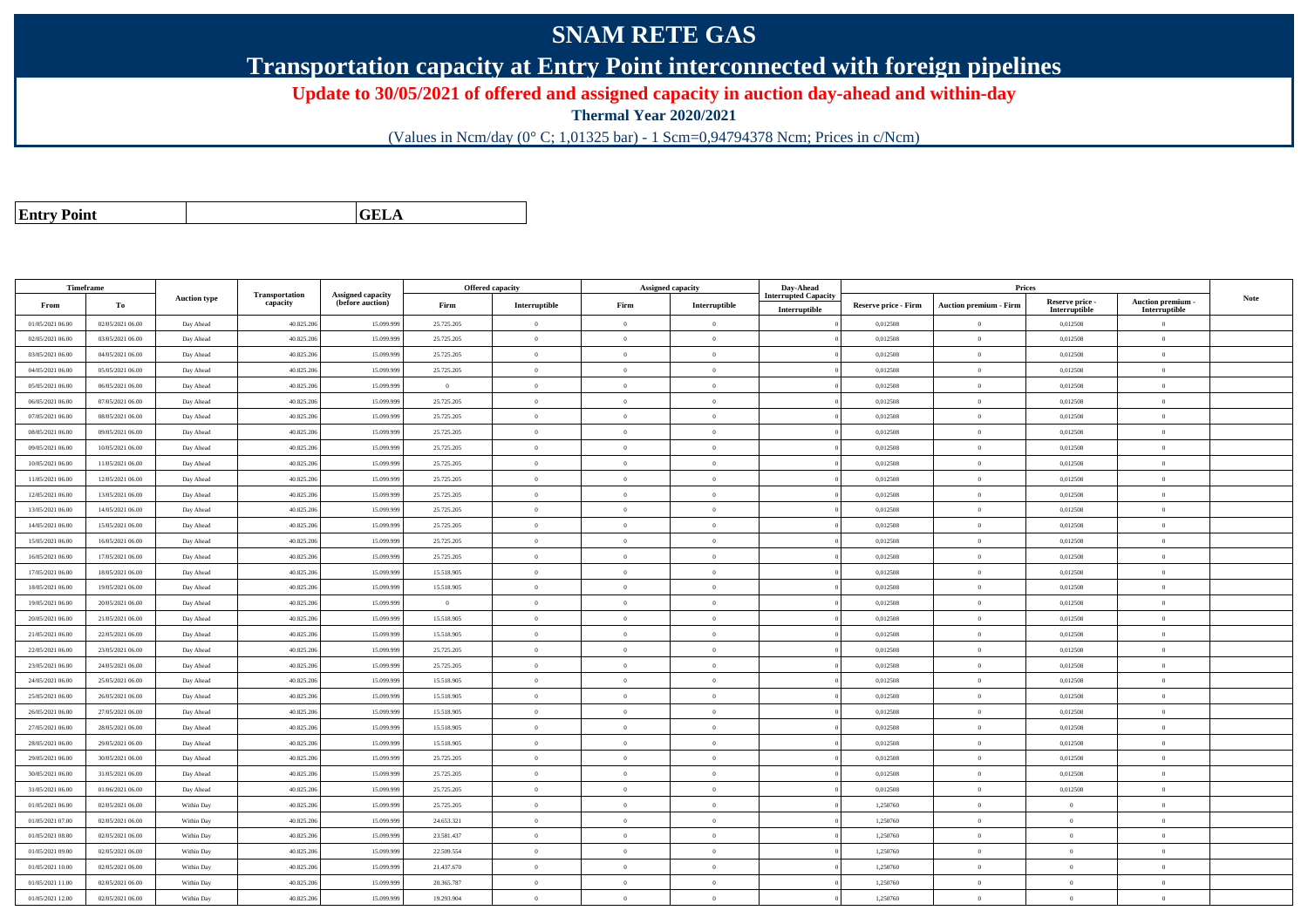## **SNAM RETE GAS**

**Transportation capacity at Entry Point interconnected with foreign pipelines**

**Update to 30/05/2021 of offered and assigned capacity in auction day-ahead and within-day**

**Thermal Year 2020/2021**

(Values in Ncm/day (0° C; 1,01325 bar) - 1 Scm=0,94794378 Ncm; Prices in c/Ncm)

| <b>Entry Point</b> |  |
|--------------------|--|
|                    |  |

**GELA**

| <b>Transportation</b><br>Assigned capacity<br><b>Interrupted Capacity</b><br><b>Note</b><br><b>Auction type</b><br>Auction premium -<br>Reserve price -<br>capacity<br>(before auction)<br>То<br>Firm<br>Interruptible<br>Firm<br>Interruptible<br><b>Auction premium - Firm</b><br>From<br><b>Reserve price - Firm</b><br>Interruptible<br>Interruptible<br>Interruptible<br>01/05/2021 06:00<br>02/05/2021 06:00<br>40.825.206<br>15.099.99<br>25.725.205<br>$\Omega$<br>0,012508<br>$\bf{0}$<br>0,012508<br>$\overline{0}$<br>$\overline{0}$<br>$\overline{0}$<br>Day Ahead<br>40.825.206<br>15.099.99<br>25.725.205<br>0,012508<br>$\theta$<br>0,012508<br>02/05/2021 06:00<br>03/05/2021 06:00<br>Day Ahead<br>$\overline{0}$<br>$\Omega$<br>$\Omega$<br>$\overline{0}$<br>03/05/2021 06:00<br>04/05/2021 06:00<br>Day Ahead<br>40.825.20<br>15.099.99<br>25.725.205<br>$\overline{0}$<br>$\overline{0}$<br>$\Omega$<br>0,012508<br>$\theta$<br>0,012508<br>$\overline{0}$<br>04/05/2021 06:00<br>05/05/2021 06:00<br>40.825.206<br>15.099.99<br>25.725.205<br>0,012508<br>$\theta$<br>0,012508<br>$\mathbf{0}$<br>Day Ahead<br>$\overline{0}$<br>$\overline{0}$<br>$\Omega$<br>15,099.99<br>$\mathbf{0}$<br>0.012508<br>05/05/2021 06:00<br>06/05/2021 06:00<br>40.825.20<br>$\overline{0}$<br>$\overline{0}$<br>$\Omega$<br>0.012508<br>$\theta$<br>Day Ahead<br>$\alpha$<br>40.825.20<br>15.099.99<br>25.725.205<br>$\theta$<br>0,012508<br>06/05/2021 06:00<br>07/05/2021 06:00<br>Day Ahead<br>$\overline{0}$<br>$\Omega$<br>0,012508<br>$\overline{0}$<br>$\theta$<br>07/05/2021 06:00<br>08/05/2021 06:00<br>Day Ahead<br>40.825.206<br>15.099.99<br>25.725.205<br>$\overline{0}$<br>$\theta$<br>$\overline{0}$<br>0,012508<br>$\,$ 0 $\,$<br>0,012508<br>$\mathbf{0}$<br>15.099.99<br>08/05/2021 06:00<br>09/05/2021 06:00<br>40.825.20<br>25.725.205<br>$\theta$<br>$\theta$<br>0.012508<br>$\theta$<br>0.012508<br>$\theta$<br>Day Ahead<br>$\Omega$<br>09/05/2021 06:00<br>10/05/2021 06:00<br>40.825.206<br>15.099.99<br>25.725.205<br>$\overline{0}$<br>$\overline{0}$<br>$\overline{0}$<br>0,012508<br>$\overline{0}$<br>0,012508<br>$\overline{0}$<br>Day Ahead<br>10/05/2021 06:00<br>11/05/2021 06:00<br>40.825.206<br>15.099.999<br>25.725.205<br>$\theta$<br>0,012508<br>$\theta$<br>0,012508<br>$\mathbf{0}$<br>Day Ahead<br>$\overline{0}$<br>$\overline{0}$<br>11/05/2021 06:00<br>12/05/2021 06:00<br>40.825.20<br>15.099.99<br>25.725.205<br>$\overline{0}$<br>$\theta$<br>0,012508<br>$\theta$<br>0,012508<br>Day Ahead<br>$\Omega$<br>$\overline{0}$<br>12/05/2021 06:00<br>13/05/2021 06:00<br>40.825.206<br>15.099.99<br>25.725.205<br>$\overline{0}$<br>$\Omega$<br>0,012508<br>$\theta$<br>0,012508<br>$\overline{0}$<br>Day Ahead<br>$\Omega$<br>40.825.206<br>15.099.99<br>25.725.205<br>0.012508<br>13/05/2021 06:00<br>14/05/2021 06:00<br>$\Omega$<br>0.012508<br>$\theta$<br>Day Ahead<br>$\theta$<br>$\Omega$<br>$\Omega$<br>14/05/2021 06:00<br>15/05/2021 06:00<br>Day Ahead<br>40.825.20<br>15.099.99<br>25.725.205<br>$\overline{0}$<br>$\theta$<br>$\Omega$<br>0,012508<br>$\theta$<br>0,012508<br>$\overline{0}$<br>15/05/2021 06:00<br>40.825.20<br>15.099.99<br>0,012508<br>0,012508<br>16/05/2021 06:00<br>Day Ahead<br>25.725.205<br>$\overline{0}$<br>$\theta$<br>$\overline{0}$<br>$\theta$<br>$\mathbf{0}$<br>$\theta$<br>16/05/2021 06:00<br>17/05/2021 06:00<br>Day Ahead<br>40.825.20<br>15,099.99<br>25.725.205<br>$\overline{0}$<br>$\theta$<br>0.012508<br>0.012508<br>$\Omega$<br>$\Omega$<br>40.825.20<br>$\theta$<br>17/05/2021 06:00<br>18/05/2021 06:00<br>15.099.99<br>15.518.905<br>$\overline{0}$<br>$\Omega$<br>0,012508<br>0,012508<br>$\overline{0}$<br>Day Ahead<br>$\Omega$<br>18/05/2021 06:00<br>19/05/2021 06:00<br>Day Ahead<br>40.825.206<br>15.099.999<br>15.518.905<br>$\overline{0}$<br>$\theta$<br>0,012508<br>$\theta$<br>0,012508<br>$\mathbf{0}$<br>$\overline{0}$<br>19/05/2021 06:00<br>20/05/2021 06:00<br>40.825.20<br>15.099.99<br>$\theta$<br>$\Omega$<br>0,012508<br>$\theta$<br>0,012508<br>$\Omega$<br>Day Ahead<br>$\theta$<br>$\Omega$<br>20/05/2021 06:00<br>21/05/2021 06:00<br>40.825.206<br>15.099.999<br>15.518.905<br>$\overline{0}$<br>$\theta$<br>0,012508<br>$\mathbf{0}$<br>0,012508<br>$\overline{0}$<br>Day Ahead<br>$\theta$<br>40.825.20<br>15.099.99<br>0,012508<br>$\theta$<br>0,012508<br>21/05/2021 06:00<br>22/05/2021 06:00<br>Day Ahead<br>15.518.905<br>$\overline{0}$<br>$\overline{0}$<br>$\Omega$<br>$\overline{0}$<br>22/05/2021 06:00<br>23/05/2021 06:00<br>Day Ahead<br>40.825.20<br>15.099.99<br>25.725.205<br>$\overline{0}$<br>$\overline{0}$<br>$\overline{0}$<br>0,012508<br>$\theta$<br>0,012508<br>$\overline{0}$<br>40.825.206<br>15.099.999<br>0,012508<br>$\bf{0}$<br>0,012508<br>23/05/2021 06:00<br>24/05/2021 06:00<br>Day Ahead<br>25.725.205<br>$\mathbf{0}$<br>$\theta$<br>$\theta$<br>$\mathbf{0}$<br>15,099.99<br>24/05/2021 06:00<br>40.825.206<br>15.518.905<br>$\overline{0}$<br>$\Omega$<br>0.012508<br>$\theta$<br>0.012508<br>$\Omega$<br>25/05/2021 06:00<br>Day Ahead<br>$\Omega$<br>40.825.206<br>$\theta$<br>25/05/2021 06:00<br>26/05/2021 06:00<br>15.099.99<br>15.518.905<br>$\theta$<br>$\Omega$<br>0,012508<br>0,012508<br>$\Omega$<br>Day Ahead<br>$^{\circ}$<br>26/05/2021 06:00<br>27/05/2021 06:00<br>Day Ahead<br>40.825.20<br>15.099.99<br>15.518.905<br>$\mathbf{0}$<br>$\theta$<br>$\overline{0}$<br>0,012508<br>$\theta$<br>0,012508<br>$\mathbf{0}$<br>27/05/2021 06:00<br>28/05/2021 06:00<br>40.825.20<br>15,099.99<br>15.518.905<br>$\theta$<br>0.012508<br>$\theta$<br>0.012508<br>$\Omega$<br>Day Ahead<br>$\theta$<br>$\Omega$<br>28/05/2021 06:00<br>29/05/2021 06:00<br>40.825.206<br>15.099.99<br>15.518.905<br>$\overline{0}$<br>$\Omega$<br>0,012508<br>$\overline{0}$<br>0,012508<br>$\overline{0}$<br>Day Ahead<br>$\theta$<br>40.825.206<br>15.099.99<br>25.725.205<br>$\theta$<br>0,012508<br>29/05/2021 06:00<br>30/05/2021 06:00<br>Day Ahead<br>$\overline{0}$<br>$\Omega$<br>$\Omega$<br>0,012508<br>$\overline{0}$<br>30/05/2021 06:00<br>31/05/2021 06:00<br>40.825.20<br>15.099.99<br>25.725.205<br>$\theta$<br>0,012508<br>$\theta$<br>0,012508<br>Day Ahead<br>$\theta$<br>$\Omega$<br>$\Omega$<br>31/05/2021 06:00<br>01/06/2021 06:00<br>40.825.20<br>15.099.99<br>25.725.205<br>$\mathbf{0}$<br>$\theta$<br>0,012508<br>$\theta$<br>0,012508<br>$\mathbf{0}$<br>Day Ahead<br>$\Omega$<br>40.825.20<br>1.250760<br>$\mathbf{0}$<br>01/05/2021 06:00<br>02/05/2021 06:00<br>15.099.99<br>25.725.205<br>$\mathbf{0}$<br>$\Omega$<br>$\theta$<br>Within Day<br>$\theta$<br>$\mathbf{0}$<br>01/05/2021 07:00<br>02/05/2021 06:00<br>Within Day<br>40.825.20<br>15.099.99<br>24.653.321<br>$\overline{0}$<br>$\theta$<br>1,250760<br>$\theta$<br>$\overline{0}$<br>$\overline{0}$<br>$\theta$<br>01/05/2021 08:00<br>02/05/2021 06:00<br>Within Day<br>40.825.206<br>15.099.99<br>23.581.437<br>$\mathbf{0}$<br>$\theta$<br>$\overline{0}$<br>1,250760<br>$\,$ 0 $\,$<br>$\mathbf{0}$<br>$\mathbf{0}$<br>01/05/2021 09:00<br>02/05/2021 06:00<br>40.825.206<br>15.099.99<br>22.509.554<br>$\Omega$<br>1.250760<br>$\theta$<br>$\Omega$<br>Within Day<br>$\theta$<br>$\Omega$<br>$\mathbf{0}$<br>40.825.20<br>$\,$ 0 $\,$<br>01/05/2021 10:00<br>02/05/2021 06:00<br>15.099.99<br>21.437.670<br>$\overline{0}$<br>$\overline{0}$<br>1,250760<br>$\overline{0}$<br>Within Day<br>$\Omega$<br>$\mathbf{0}$<br>1,250760<br>$\theta$<br>01/05/2021 11:00<br>02/05/2021 06:00<br>Within Day<br>40.825.20<br>15.099.99<br>20.365.787<br>$\overline{0}$<br>$\overline{0}$<br>$\overline{0}$<br>$\overline{0}$<br>$\overline{0}$ | Timeframe |  |  | Offered capacity | Assigned capacity | Day-Ahead | Prices |  |  |
|-----------------------------------------------------------------------------------------------------------------------------------------------------------------------------------------------------------------------------------------------------------------------------------------------------------------------------------------------------------------------------------------------------------------------------------------------------------------------------------------------------------------------------------------------------------------------------------------------------------------------------------------------------------------------------------------------------------------------------------------------------------------------------------------------------------------------------------------------------------------------------------------------------------------------------------------------------------------------------------------------------------------------------------------------------------------------------------------------------------------------------------------------------------------------------------------------------------------------------------------------------------------------------------------------------------------------------------------------------------------------------------------------------------------------------------------------------------------------------------------------------------------------------------------------------------------------------------------------------------------------------------------------------------------------------------------------------------------------------------------------------------------------------------------------------------------------------------------------------------------------------------------------------------------------------------------------------------------------------------------------------------------------------------------------------------------------------------------------------------------------------------------------------------------------------------------------------------------------------------------------------------------------------------------------------------------------------------------------------------------------------------------------------------------------------------------------------------------------------------------------------------------------------------------------------------------------------------------------------------------------------------------------------------------------------------------------------------------------------------------------------------------------------------------------------------------------------------------------------------------------------------------------------------------------------------------------------------------------------------------------------------------------------------------------------------------------------------------------------------------------------------------------------------------------------------------------------------------------------------------------------------------------------------------------------------------------------------------------------------------------------------------------------------------------------------------------------------------------------------------------------------------------------------------------------------------------------------------------------------------------------------------------------------------------------------------------------------------------------------------------------------------------------------------------------------------------------------------------------------------------------------------------------------------------------------------------------------------------------------------------------------------------------------------------------------------------------------------------------------------------------------------------------------------------------------------------------------------------------------------------------------------------------------------------------------------------------------------------------------------------------------------------------------------------------------------------------------------------------------------------------------------------------------------------------------------------------------------------------------------------------------------------------------------------------------------------------------------------------------------------------------------------------------------------------------------------------------------------------------------------------------------------------------------------------------------------------------------------------------------------------------------------------------------------------------------------------------------------------------------------------------------------------------------------------------------------------------------------------------------------------------------------------------------------------------------------------------------------------------------------------------------------------------------------------------------------------------------------------------------------------------------------------------------------------------------------------------------------------------------------------------------------------------------------------------------------------------------------------------------------------------------------------------------------------------------------------------------------------------------------------------------------------------------------------------------------------------------------------------------------------------------------------------------------------------------------------------------------------------------------------------------------------------------------------------------------------------------------------------------------------------------------------------------------------------------------------------------------------------------------------------------------------------------------------------------------------------------------------------------------------------------------------------------------------------------------------------------------------------------------------------------------------------------------------------------------------------------------------------------------------------------------------------------------------------------------------------------------------------------------------------------------------------------------------------------------------------------------------------------------------------------------------------------------------------------------------------------------------------------------------------------------------------------------------------------------------------------------------------------------------------------------------------------------------------------------------------------------------------------------------------------------------------------------------------------------------------------------------------------------------------------------------------------------------------------------------------------------------------------------------------------------------------------------------------------------------------------------|-----------|--|--|------------------|-------------------|-----------|--------|--|--|
|                                                                                                                                                                                                                                                                                                                                                                                                                                                                                                                                                                                                                                                                                                                                                                                                                                                                                                                                                                                                                                                                                                                                                                                                                                                                                                                                                                                                                                                                                                                                                                                                                                                                                                                                                                                                                                                                                                                                                                                                                                                                                                                                                                                                                                                                                                                                                                                                                                                                                                                                                                                                                                                                                                                                                                                                                                                                                                                                                                                                                                                                                                                                                                                                                                                                                                                                                                                                                                                                                                                                                                                                                                                                                                                                                                                                                                                                                                                                                                                                                                                                                                                                                                                                                                                                                                                                                                                                                                                                                                                                                                                                                                                                                                                                                                                                                                                                                                                                                                                                                                                                                                                                                                                                                                                                                                                                                                                                                                                                                                                                                                                                                                                                                                                                                                                                                                                                                                                                                                                                                                                                                                                                                                                                                                                                                                                                                                                                                                                                                                                                                                                                                                                                                                                                                                                                                                                                                                                                                                                                                                                                                                                                                                                                                                                                                                                                                                                                                                                                                                                                                                                                                                                                                                                       |           |  |  |                  |                   |           |        |  |  |
|                                                                                                                                                                                                                                                                                                                                                                                                                                                                                                                                                                                                                                                                                                                                                                                                                                                                                                                                                                                                                                                                                                                                                                                                                                                                                                                                                                                                                                                                                                                                                                                                                                                                                                                                                                                                                                                                                                                                                                                                                                                                                                                                                                                                                                                                                                                                                                                                                                                                                                                                                                                                                                                                                                                                                                                                                                                                                                                                                                                                                                                                                                                                                                                                                                                                                                                                                                                                                                                                                                                                                                                                                                                                                                                                                                                                                                                                                                                                                                                                                                                                                                                                                                                                                                                                                                                                                                                                                                                                                                                                                                                                                                                                                                                                                                                                                                                                                                                                                                                                                                                                                                                                                                                                                                                                                                                                                                                                                                                                                                                                                                                                                                                                                                                                                                                                                                                                                                                                                                                                                                                                                                                                                                                                                                                                                                                                                                                                                                                                                                                                                                                                                                                                                                                                                                                                                                                                                                                                                                                                                                                                                                                                                                                                                                                                                                                                                                                                                                                                                                                                                                                                                                                                                                                       |           |  |  |                  |                   |           |        |  |  |
|                                                                                                                                                                                                                                                                                                                                                                                                                                                                                                                                                                                                                                                                                                                                                                                                                                                                                                                                                                                                                                                                                                                                                                                                                                                                                                                                                                                                                                                                                                                                                                                                                                                                                                                                                                                                                                                                                                                                                                                                                                                                                                                                                                                                                                                                                                                                                                                                                                                                                                                                                                                                                                                                                                                                                                                                                                                                                                                                                                                                                                                                                                                                                                                                                                                                                                                                                                                                                                                                                                                                                                                                                                                                                                                                                                                                                                                                                                                                                                                                                                                                                                                                                                                                                                                                                                                                                                                                                                                                                                                                                                                                                                                                                                                                                                                                                                                                                                                                                                                                                                                                                                                                                                                                                                                                                                                                                                                                                                                                                                                                                                                                                                                                                                                                                                                                                                                                                                                                                                                                                                                                                                                                                                                                                                                                                                                                                                                                                                                                                                                                                                                                                                                                                                                                                                                                                                                                                                                                                                                                                                                                                                                                                                                                                                                                                                                                                                                                                                                                                                                                                                                                                                                                                                                       |           |  |  |                  |                   |           |        |  |  |
|                                                                                                                                                                                                                                                                                                                                                                                                                                                                                                                                                                                                                                                                                                                                                                                                                                                                                                                                                                                                                                                                                                                                                                                                                                                                                                                                                                                                                                                                                                                                                                                                                                                                                                                                                                                                                                                                                                                                                                                                                                                                                                                                                                                                                                                                                                                                                                                                                                                                                                                                                                                                                                                                                                                                                                                                                                                                                                                                                                                                                                                                                                                                                                                                                                                                                                                                                                                                                                                                                                                                                                                                                                                                                                                                                                                                                                                                                                                                                                                                                                                                                                                                                                                                                                                                                                                                                                                                                                                                                                                                                                                                                                                                                                                                                                                                                                                                                                                                                                                                                                                                                                                                                                                                                                                                                                                                                                                                                                                                                                                                                                                                                                                                                                                                                                                                                                                                                                                                                                                                                                                                                                                                                                                                                                                                                                                                                                                                                                                                                                                                                                                                                                                                                                                                                                                                                                                                                                                                                                                                                                                                                                                                                                                                                                                                                                                                                                                                                                                                                                                                                                                                                                                                                                                       |           |  |  |                  |                   |           |        |  |  |
|                                                                                                                                                                                                                                                                                                                                                                                                                                                                                                                                                                                                                                                                                                                                                                                                                                                                                                                                                                                                                                                                                                                                                                                                                                                                                                                                                                                                                                                                                                                                                                                                                                                                                                                                                                                                                                                                                                                                                                                                                                                                                                                                                                                                                                                                                                                                                                                                                                                                                                                                                                                                                                                                                                                                                                                                                                                                                                                                                                                                                                                                                                                                                                                                                                                                                                                                                                                                                                                                                                                                                                                                                                                                                                                                                                                                                                                                                                                                                                                                                                                                                                                                                                                                                                                                                                                                                                                                                                                                                                                                                                                                                                                                                                                                                                                                                                                                                                                                                                                                                                                                                                                                                                                                                                                                                                                                                                                                                                                                                                                                                                                                                                                                                                                                                                                                                                                                                                                                                                                                                                                                                                                                                                                                                                                                                                                                                                                                                                                                                                                                                                                                                                                                                                                                                                                                                                                                                                                                                                                                                                                                                                                                                                                                                                                                                                                                                                                                                                                                                                                                                                                                                                                                                                                       |           |  |  |                  |                   |           |        |  |  |
|                                                                                                                                                                                                                                                                                                                                                                                                                                                                                                                                                                                                                                                                                                                                                                                                                                                                                                                                                                                                                                                                                                                                                                                                                                                                                                                                                                                                                                                                                                                                                                                                                                                                                                                                                                                                                                                                                                                                                                                                                                                                                                                                                                                                                                                                                                                                                                                                                                                                                                                                                                                                                                                                                                                                                                                                                                                                                                                                                                                                                                                                                                                                                                                                                                                                                                                                                                                                                                                                                                                                                                                                                                                                                                                                                                                                                                                                                                                                                                                                                                                                                                                                                                                                                                                                                                                                                                                                                                                                                                                                                                                                                                                                                                                                                                                                                                                                                                                                                                                                                                                                                                                                                                                                                                                                                                                                                                                                                                                                                                                                                                                                                                                                                                                                                                                                                                                                                                                                                                                                                                                                                                                                                                                                                                                                                                                                                                                                                                                                                                                                                                                                                                                                                                                                                                                                                                                                                                                                                                                                                                                                                                                                                                                                                                                                                                                                                                                                                                                                                                                                                                                                                                                                                                                       |           |  |  |                  |                   |           |        |  |  |
|                                                                                                                                                                                                                                                                                                                                                                                                                                                                                                                                                                                                                                                                                                                                                                                                                                                                                                                                                                                                                                                                                                                                                                                                                                                                                                                                                                                                                                                                                                                                                                                                                                                                                                                                                                                                                                                                                                                                                                                                                                                                                                                                                                                                                                                                                                                                                                                                                                                                                                                                                                                                                                                                                                                                                                                                                                                                                                                                                                                                                                                                                                                                                                                                                                                                                                                                                                                                                                                                                                                                                                                                                                                                                                                                                                                                                                                                                                                                                                                                                                                                                                                                                                                                                                                                                                                                                                                                                                                                                                                                                                                                                                                                                                                                                                                                                                                                                                                                                                                                                                                                                                                                                                                                                                                                                                                                                                                                                                                                                                                                                                                                                                                                                                                                                                                                                                                                                                                                                                                                                                                                                                                                                                                                                                                                                                                                                                                                                                                                                                                                                                                                                                                                                                                                                                                                                                                                                                                                                                                                                                                                                                                                                                                                                                                                                                                                                                                                                                                                                                                                                                                                                                                                                                                       |           |  |  |                  |                   |           |        |  |  |
|                                                                                                                                                                                                                                                                                                                                                                                                                                                                                                                                                                                                                                                                                                                                                                                                                                                                                                                                                                                                                                                                                                                                                                                                                                                                                                                                                                                                                                                                                                                                                                                                                                                                                                                                                                                                                                                                                                                                                                                                                                                                                                                                                                                                                                                                                                                                                                                                                                                                                                                                                                                                                                                                                                                                                                                                                                                                                                                                                                                                                                                                                                                                                                                                                                                                                                                                                                                                                                                                                                                                                                                                                                                                                                                                                                                                                                                                                                                                                                                                                                                                                                                                                                                                                                                                                                                                                                                                                                                                                                                                                                                                                                                                                                                                                                                                                                                                                                                                                                                                                                                                                                                                                                                                                                                                                                                                                                                                                                                                                                                                                                                                                                                                                                                                                                                                                                                                                                                                                                                                                                                                                                                                                                                                                                                                                                                                                                                                                                                                                                                                                                                                                                                                                                                                                                                                                                                                                                                                                                                                                                                                                                                                                                                                                                                                                                                                                                                                                                                                                                                                                                                                                                                                                                                       |           |  |  |                  |                   |           |        |  |  |
|                                                                                                                                                                                                                                                                                                                                                                                                                                                                                                                                                                                                                                                                                                                                                                                                                                                                                                                                                                                                                                                                                                                                                                                                                                                                                                                                                                                                                                                                                                                                                                                                                                                                                                                                                                                                                                                                                                                                                                                                                                                                                                                                                                                                                                                                                                                                                                                                                                                                                                                                                                                                                                                                                                                                                                                                                                                                                                                                                                                                                                                                                                                                                                                                                                                                                                                                                                                                                                                                                                                                                                                                                                                                                                                                                                                                                                                                                                                                                                                                                                                                                                                                                                                                                                                                                                                                                                                                                                                                                                                                                                                                                                                                                                                                                                                                                                                                                                                                                                                                                                                                                                                                                                                                                                                                                                                                                                                                                                                                                                                                                                                                                                                                                                                                                                                                                                                                                                                                                                                                                                                                                                                                                                                                                                                                                                                                                                                                                                                                                                                                                                                                                                                                                                                                                                                                                                                                                                                                                                                                                                                                                                                                                                                                                                                                                                                                                                                                                                                                                                                                                                                                                                                                                                                       |           |  |  |                  |                   |           |        |  |  |
|                                                                                                                                                                                                                                                                                                                                                                                                                                                                                                                                                                                                                                                                                                                                                                                                                                                                                                                                                                                                                                                                                                                                                                                                                                                                                                                                                                                                                                                                                                                                                                                                                                                                                                                                                                                                                                                                                                                                                                                                                                                                                                                                                                                                                                                                                                                                                                                                                                                                                                                                                                                                                                                                                                                                                                                                                                                                                                                                                                                                                                                                                                                                                                                                                                                                                                                                                                                                                                                                                                                                                                                                                                                                                                                                                                                                                                                                                                                                                                                                                                                                                                                                                                                                                                                                                                                                                                                                                                                                                                                                                                                                                                                                                                                                                                                                                                                                                                                                                                                                                                                                                                                                                                                                                                                                                                                                                                                                                                                                                                                                                                                                                                                                                                                                                                                                                                                                                                                                                                                                                                                                                                                                                                                                                                                                                                                                                                                                                                                                                                                                                                                                                                                                                                                                                                                                                                                                                                                                                                                                                                                                                                                                                                                                                                                                                                                                                                                                                                                                                                                                                                                                                                                                                                                       |           |  |  |                  |                   |           |        |  |  |
|                                                                                                                                                                                                                                                                                                                                                                                                                                                                                                                                                                                                                                                                                                                                                                                                                                                                                                                                                                                                                                                                                                                                                                                                                                                                                                                                                                                                                                                                                                                                                                                                                                                                                                                                                                                                                                                                                                                                                                                                                                                                                                                                                                                                                                                                                                                                                                                                                                                                                                                                                                                                                                                                                                                                                                                                                                                                                                                                                                                                                                                                                                                                                                                                                                                                                                                                                                                                                                                                                                                                                                                                                                                                                                                                                                                                                                                                                                                                                                                                                                                                                                                                                                                                                                                                                                                                                                                                                                                                                                                                                                                                                                                                                                                                                                                                                                                                                                                                                                                                                                                                                                                                                                                                                                                                                                                                                                                                                                                                                                                                                                                                                                                                                                                                                                                                                                                                                                                                                                                                                                                                                                                                                                                                                                                                                                                                                                                                                                                                                                                                                                                                                                                                                                                                                                                                                                                                                                                                                                                                                                                                                                                                                                                                                                                                                                                                                                                                                                                                                                                                                                                                                                                                                                                       |           |  |  |                  |                   |           |        |  |  |
|                                                                                                                                                                                                                                                                                                                                                                                                                                                                                                                                                                                                                                                                                                                                                                                                                                                                                                                                                                                                                                                                                                                                                                                                                                                                                                                                                                                                                                                                                                                                                                                                                                                                                                                                                                                                                                                                                                                                                                                                                                                                                                                                                                                                                                                                                                                                                                                                                                                                                                                                                                                                                                                                                                                                                                                                                                                                                                                                                                                                                                                                                                                                                                                                                                                                                                                                                                                                                                                                                                                                                                                                                                                                                                                                                                                                                                                                                                                                                                                                                                                                                                                                                                                                                                                                                                                                                                                                                                                                                                                                                                                                                                                                                                                                                                                                                                                                                                                                                                                                                                                                                                                                                                                                                                                                                                                                                                                                                                                                                                                                                                                                                                                                                                                                                                                                                                                                                                                                                                                                                                                                                                                                                                                                                                                                                                                                                                                                                                                                                                                                                                                                                                                                                                                                                                                                                                                                                                                                                                                                                                                                                                                                                                                                                                                                                                                                                                                                                                                                                                                                                                                                                                                                                                                       |           |  |  |                  |                   |           |        |  |  |
|                                                                                                                                                                                                                                                                                                                                                                                                                                                                                                                                                                                                                                                                                                                                                                                                                                                                                                                                                                                                                                                                                                                                                                                                                                                                                                                                                                                                                                                                                                                                                                                                                                                                                                                                                                                                                                                                                                                                                                                                                                                                                                                                                                                                                                                                                                                                                                                                                                                                                                                                                                                                                                                                                                                                                                                                                                                                                                                                                                                                                                                                                                                                                                                                                                                                                                                                                                                                                                                                                                                                                                                                                                                                                                                                                                                                                                                                                                                                                                                                                                                                                                                                                                                                                                                                                                                                                                                                                                                                                                                                                                                                                                                                                                                                                                                                                                                                                                                                                                                                                                                                                                                                                                                                                                                                                                                                                                                                                                                                                                                                                                                                                                                                                                                                                                                                                                                                                                                                                                                                                                                                                                                                                                                                                                                                                                                                                                                                                                                                                                                                                                                                                                                                                                                                                                                                                                                                                                                                                                                                                                                                                                                                                                                                                                                                                                                                                                                                                                                                                                                                                                                                                                                                                                                       |           |  |  |                  |                   |           |        |  |  |
|                                                                                                                                                                                                                                                                                                                                                                                                                                                                                                                                                                                                                                                                                                                                                                                                                                                                                                                                                                                                                                                                                                                                                                                                                                                                                                                                                                                                                                                                                                                                                                                                                                                                                                                                                                                                                                                                                                                                                                                                                                                                                                                                                                                                                                                                                                                                                                                                                                                                                                                                                                                                                                                                                                                                                                                                                                                                                                                                                                                                                                                                                                                                                                                                                                                                                                                                                                                                                                                                                                                                                                                                                                                                                                                                                                                                                                                                                                                                                                                                                                                                                                                                                                                                                                                                                                                                                                                                                                                                                                                                                                                                                                                                                                                                                                                                                                                                                                                                                                                                                                                                                                                                                                                                                                                                                                                                                                                                                                                                                                                                                                                                                                                                                                                                                                                                                                                                                                                                                                                                                                                                                                                                                                                                                                                                                                                                                                                                                                                                                                                                                                                                                                                                                                                                                                                                                                                                                                                                                                                                                                                                                                                                                                                                                                                                                                                                                                                                                                                                                                                                                                                                                                                                                                                       |           |  |  |                  |                   |           |        |  |  |
|                                                                                                                                                                                                                                                                                                                                                                                                                                                                                                                                                                                                                                                                                                                                                                                                                                                                                                                                                                                                                                                                                                                                                                                                                                                                                                                                                                                                                                                                                                                                                                                                                                                                                                                                                                                                                                                                                                                                                                                                                                                                                                                                                                                                                                                                                                                                                                                                                                                                                                                                                                                                                                                                                                                                                                                                                                                                                                                                                                                                                                                                                                                                                                                                                                                                                                                                                                                                                                                                                                                                                                                                                                                                                                                                                                                                                                                                                                                                                                                                                                                                                                                                                                                                                                                                                                                                                                                                                                                                                                                                                                                                                                                                                                                                                                                                                                                                                                                                                                                                                                                                                                                                                                                                                                                                                                                                                                                                                                                                                                                                                                                                                                                                                                                                                                                                                                                                                                                                                                                                                                                                                                                                                                                                                                                                                                                                                                                                                                                                                                                                                                                                                                                                                                                                                                                                                                                                                                                                                                                                                                                                                                                                                                                                                                                                                                                                                                                                                                                                                                                                                                                                                                                                                                                       |           |  |  |                  |                   |           |        |  |  |
|                                                                                                                                                                                                                                                                                                                                                                                                                                                                                                                                                                                                                                                                                                                                                                                                                                                                                                                                                                                                                                                                                                                                                                                                                                                                                                                                                                                                                                                                                                                                                                                                                                                                                                                                                                                                                                                                                                                                                                                                                                                                                                                                                                                                                                                                                                                                                                                                                                                                                                                                                                                                                                                                                                                                                                                                                                                                                                                                                                                                                                                                                                                                                                                                                                                                                                                                                                                                                                                                                                                                                                                                                                                                                                                                                                                                                                                                                                                                                                                                                                                                                                                                                                                                                                                                                                                                                                                                                                                                                                                                                                                                                                                                                                                                                                                                                                                                                                                                                                                                                                                                                                                                                                                                                                                                                                                                                                                                                                                                                                                                                                                                                                                                                                                                                                                                                                                                                                                                                                                                                                                                                                                                                                                                                                                                                                                                                                                                                                                                                                                                                                                                                                                                                                                                                                                                                                                                                                                                                                                                                                                                                                                                                                                                                                                                                                                                                                                                                                                                                                                                                                                                                                                                                                                       |           |  |  |                  |                   |           |        |  |  |
|                                                                                                                                                                                                                                                                                                                                                                                                                                                                                                                                                                                                                                                                                                                                                                                                                                                                                                                                                                                                                                                                                                                                                                                                                                                                                                                                                                                                                                                                                                                                                                                                                                                                                                                                                                                                                                                                                                                                                                                                                                                                                                                                                                                                                                                                                                                                                                                                                                                                                                                                                                                                                                                                                                                                                                                                                                                                                                                                                                                                                                                                                                                                                                                                                                                                                                                                                                                                                                                                                                                                                                                                                                                                                                                                                                                                                                                                                                                                                                                                                                                                                                                                                                                                                                                                                                                                                                                                                                                                                                                                                                                                                                                                                                                                                                                                                                                                                                                                                                                                                                                                                                                                                                                                                                                                                                                                                                                                                                                                                                                                                                                                                                                                                                                                                                                                                                                                                                                                                                                                                                                                                                                                                                                                                                                                                                                                                                                                                                                                                                                                                                                                                                                                                                                                                                                                                                                                                                                                                                                                                                                                                                                                                                                                                                                                                                                                                                                                                                                                                                                                                                                                                                                                                                                       |           |  |  |                  |                   |           |        |  |  |
|                                                                                                                                                                                                                                                                                                                                                                                                                                                                                                                                                                                                                                                                                                                                                                                                                                                                                                                                                                                                                                                                                                                                                                                                                                                                                                                                                                                                                                                                                                                                                                                                                                                                                                                                                                                                                                                                                                                                                                                                                                                                                                                                                                                                                                                                                                                                                                                                                                                                                                                                                                                                                                                                                                                                                                                                                                                                                                                                                                                                                                                                                                                                                                                                                                                                                                                                                                                                                                                                                                                                                                                                                                                                                                                                                                                                                                                                                                                                                                                                                                                                                                                                                                                                                                                                                                                                                                                                                                                                                                                                                                                                                                                                                                                                                                                                                                                                                                                                                                                                                                                                                                                                                                                                                                                                                                                                                                                                                                                                                                                                                                                                                                                                                                                                                                                                                                                                                                                                                                                                                                                                                                                                                                                                                                                                                                                                                                                                                                                                                                                                                                                                                                                                                                                                                                                                                                                                                                                                                                                                                                                                                                                                                                                                                                                                                                                                                                                                                                                                                                                                                                                                                                                                                                                       |           |  |  |                  |                   |           |        |  |  |
|                                                                                                                                                                                                                                                                                                                                                                                                                                                                                                                                                                                                                                                                                                                                                                                                                                                                                                                                                                                                                                                                                                                                                                                                                                                                                                                                                                                                                                                                                                                                                                                                                                                                                                                                                                                                                                                                                                                                                                                                                                                                                                                                                                                                                                                                                                                                                                                                                                                                                                                                                                                                                                                                                                                                                                                                                                                                                                                                                                                                                                                                                                                                                                                                                                                                                                                                                                                                                                                                                                                                                                                                                                                                                                                                                                                                                                                                                                                                                                                                                                                                                                                                                                                                                                                                                                                                                                                                                                                                                                                                                                                                                                                                                                                                                                                                                                                                                                                                                                                                                                                                                                                                                                                                                                                                                                                                                                                                                                                                                                                                                                                                                                                                                                                                                                                                                                                                                                                                                                                                                                                                                                                                                                                                                                                                                                                                                                                                                                                                                                                                                                                                                                                                                                                                                                                                                                                                                                                                                                                                                                                                                                                                                                                                                                                                                                                                                                                                                                                                                                                                                                                                                                                                                                                       |           |  |  |                  |                   |           |        |  |  |
|                                                                                                                                                                                                                                                                                                                                                                                                                                                                                                                                                                                                                                                                                                                                                                                                                                                                                                                                                                                                                                                                                                                                                                                                                                                                                                                                                                                                                                                                                                                                                                                                                                                                                                                                                                                                                                                                                                                                                                                                                                                                                                                                                                                                                                                                                                                                                                                                                                                                                                                                                                                                                                                                                                                                                                                                                                                                                                                                                                                                                                                                                                                                                                                                                                                                                                                                                                                                                                                                                                                                                                                                                                                                                                                                                                                                                                                                                                                                                                                                                                                                                                                                                                                                                                                                                                                                                                                                                                                                                                                                                                                                                                                                                                                                                                                                                                                                                                                                                                                                                                                                                                                                                                                                                                                                                                                                                                                                                                                                                                                                                                                                                                                                                                                                                                                                                                                                                                                                                                                                                                                                                                                                                                                                                                                                                                                                                                                                                                                                                                                                                                                                                                                                                                                                                                                                                                                                                                                                                                                                                                                                                                                                                                                                                                                                                                                                                                                                                                                                                                                                                                                                                                                                                                                       |           |  |  |                  |                   |           |        |  |  |
|                                                                                                                                                                                                                                                                                                                                                                                                                                                                                                                                                                                                                                                                                                                                                                                                                                                                                                                                                                                                                                                                                                                                                                                                                                                                                                                                                                                                                                                                                                                                                                                                                                                                                                                                                                                                                                                                                                                                                                                                                                                                                                                                                                                                                                                                                                                                                                                                                                                                                                                                                                                                                                                                                                                                                                                                                                                                                                                                                                                                                                                                                                                                                                                                                                                                                                                                                                                                                                                                                                                                                                                                                                                                                                                                                                                                                                                                                                                                                                                                                                                                                                                                                                                                                                                                                                                                                                                                                                                                                                                                                                                                                                                                                                                                                                                                                                                                                                                                                                                                                                                                                                                                                                                                                                                                                                                                                                                                                                                                                                                                                                                                                                                                                                                                                                                                                                                                                                                                                                                                                                                                                                                                                                                                                                                                                                                                                                                                                                                                                                                                                                                                                                                                                                                                                                                                                                                                                                                                                                                                                                                                                                                                                                                                                                                                                                                                                                                                                                                                                                                                                                                                                                                                                                                       |           |  |  |                  |                   |           |        |  |  |
|                                                                                                                                                                                                                                                                                                                                                                                                                                                                                                                                                                                                                                                                                                                                                                                                                                                                                                                                                                                                                                                                                                                                                                                                                                                                                                                                                                                                                                                                                                                                                                                                                                                                                                                                                                                                                                                                                                                                                                                                                                                                                                                                                                                                                                                                                                                                                                                                                                                                                                                                                                                                                                                                                                                                                                                                                                                                                                                                                                                                                                                                                                                                                                                                                                                                                                                                                                                                                                                                                                                                                                                                                                                                                                                                                                                                                                                                                                                                                                                                                                                                                                                                                                                                                                                                                                                                                                                                                                                                                                                                                                                                                                                                                                                                                                                                                                                                                                                                                                                                                                                                                                                                                                                                                                                                                                                                                                                                                                                                                                                                                                                                                                                                                                                                                                                                                                                                                                                                                                                                                                                                                                                                                                                                                                                                                                                                                                                                                                                                                                                                                                                                                                                                                                                                                                                                                                                                                                                                                                                                                                                                                                                                                                                                                                                                                                                                                                                                                                                                                                                                                                                                                                                                                                                       |           |  |  |                  |                   |           |        |  |  |
|                                                                                                                                                                                                                                                                                                                                                                                                                                                                                                                                                                                                                                                                                                                                                                                                                                                                                                                                                                                                                                                                                                                                                                                                                                                                                                                                                                                                                                                                                                                                                                                                                                                                                                                                                                                                                                                                                                                                                                                                                                                                                                                                                                                                                                                                                                                                                                                                                                                                                                                                                                                                                                                                                                                                                                                                                                                                                                                                                                                                                                                                                                                                                                                                                                                                                                                                                                                                                                                                                                                                                                                                                                                                                                                                                                                                                                                                                                                                                                                                                                                                                                                                                                                                                                                                                                                                                                                                                                                                                                                                                                                                                                                                                                                                                                                                                                                                                                                                                                                                                                                                                                                                                                                                                                                                                                                                                                                                                                                                                                                                                                                                                                                                                                                                                                                                                                                                                                                                                                                                                                                                                                                                                                                                                                                                                                                                                                                                                                                                                                                                                                                                                                                                                                                                                                                                                                                                                                                                                                                                                                                                                                                                                                                                                                                                                                                                                                                                                                                                                                                                                                                                                                                                                                                       |           |  |  |                  |                   |           |        |  |  |
|                                                                                                                                                                                                                                                                                                                                                                                                                                                                                                                                                                                                                                                                                                                                                                                                                                                                                                                                                                                                                                                                                                                                                                                                                                                                                                                                                                                                                                                                                                                                                                                                                                                                                                                                                                                                                                                                                                                                                                                                                                                                                                                                                                                                                                                                                                                                                                                                                                                                                                                                                                                                                                                                                                                                                                                                                                                                                                                                                                                                                                                                                                                                                                                                                                                                                                                                                                                                                                                                                                                                                                                                                                                                                                                                                                                                                                                                                                                                                                                                                                                                                                                                                                                                                                                                                                                                                                                                                                                                                                                                                                                                                                                                                                                                                                                                                                                                                                                                                                                                                                                                                                                                                                                                                                                                                                                                                                                                                                                                                                                                                                                                                                                                                                                                                                                                                                                                                                                                                                                                                                                                                                                                                                                                                                                                                                                                                                                                                                                                                                                                                                                                                                                                                                                                                                                                                                                                                                                                                                                                                                                                                                                                                                                                                                                                                                                                                                                                                                                                                                                                                                                                                                                                                                                       |           |  |  |                  |                   |           |        |  |  |
|                                                                                                                                                                                                                                                                                                                                                                                                                                                                                                                                                                                                                                                                                                                                                                                                                                                                                                                                                                                                                                                                                                                                                                                                                                                                                                                                                                                                                                                                                                                                                                                                                                                                                                                                                                                                                                                                                                                                                                                                                                                                                                                                                                                                                                                                                                                                                                                                                                                                                                                                                                                                                                                                                                                                                                                                                                                                                                                                                                                                                                                                                                                                                                                                                                                                                                                                                                                                                                                                                                                                                                                                                                                                                                                                                                                                                                                                                                                                                                                                                                                                                                                                                                                                                                                                                                                                                                                                                                                                                                                                                                                                                                                                                                                                                                                                                                                                                                                                                                                                                                                                                                                                                                                                                                                                                                                                                                                                                                                                                                                                                                                                                                                                                                                                                                                                                                                                                                                                                                                                                                                                                                                                                                                                                                                                                                                                                                                                                                                                                                                                                                                                                                                                                                                                                                                                                                                                                                                                                                                                                                                                                                                                                                                                                                                                                                                                                                                                                                                                                                                                                                                                                                                                                                                       |           |  |  |                  |                   |           |        |  |  |
|                                                                                                                                                                                                                                                                                                                                                                                                                                                                                                                                                                                                                                                                                                                                                                                                                                                                                                                                                                                                                                                                                                                                                                                                                                                                                                                                                                                                                                                                                                                                                                                                                                                                                                                                                                                                                                                                                                                                                                                                                                                                                                                                                                                                                                                                                                                                                                                                                                                                                                                                                                                                                                                                                                                                                                                                                                                                                                                                                                                                                                                                                                                                                                                                                                                                                                                                                                                                                                                                                                                                                                                                                                                                                                                                                                                                                                                                                                                                                                                                                                                                                                                                                                                                                                                                                                                                                                                                                                                                                                                                                                                                                                                                                                                                                                                                                                                                                                                                                                                                                                                                                                                                                                                                                                                                                                                                                                                                                                                                                                                                                                                                                                                                                                                                                                                                                                                                                                                                                                                                                                                                                                                                                                                                                                                                                                                                                                                                                                                                                                                                                                                                                                                                                                                                                                                                                                                                                                                                                                                                                                                                                                                                                                                                                                                                                                                                                                                                                                                                                                                                                                                                                                                                                                                       |           |  |  |                  |                   |           |        |  |  |
|                                                                                                                                                                                                                                                                                                                                                                                                                                                                                                                                                                                                                                                                                                                                                                                                                                                                                                                                                                                                                                                                                                                                                                                                                                                                                                                                                                                                                                                                                                                                                                                                                                                                                                                                                                                                                                                                                                                                                                                                                                                                                                                                                                                                                                                                                                                                                                                                                                                                                                                                                                                                                                                                                                                                                                                                                                                                                                                                                                                                                                                                                                                                                                                                                                                                                                                                                                                                                                                                                                                                                                                                                                                                                                                                                                                                                                                                                                                                                                                                                                                                                                                                                                                                                                                                                                                                                                                                                                                                                                                                                                                                                                                                                                                                                                                                                                                                                                                                                                                                                                                                                                                                                                                                                                                                                                                                                                                                                                                                                                                                                                                                                                                                                                                                                                                                                                                                                                                                                                                                                                                                                                                                                                                                                                                                                                                                                                                                                                                                                                                                                                                                                                                                                                                                                                                                                                                                                                                                                                                                                                                                                                                                                                                                                                                                                                                                                                                                                                                                                                                                                                                                                                                                                                                       |           |  |  |                  |                   |           |        |  |  |
|                                                                                                                                                                                                                                                                                                                                                                                                                                                                                                                                                                                                                                                                                                                                                                                                                                                                                                                                                                                                                                                                                                                                                                                                                                                                                                                                                                                                                                                                                                                                                                                                                                                                                                                                                                                                                                                                                                                                                                                                                                                                                                                                                                                                                                                                                                                                                                                                                                                                                                                                                                                                                                                                                                                                                                                                                                                                                                                                                                                                                                                                                                                                                                                                                                                                                                                                                                                                                                                                                                                                                                                                                                                                                                                                                                                                                                                                                                                                                                                                                                                                                                                                                                                                                                                                                                                                                                                                                                                                                                                                                                                                                                                                                                                                                                                                                                                                                                                                                                                                                                                                                                                                                                                                                                                                                                                                                                                                                                                                                                                                                                                                                                                                                                                                                                                                                                                                                                                                                                                                                                                                                                                                                                                                                                                                                                                                                                                                                                                                                                                                                                                                                                                                                                                                                                                                                                                                                                                                                                                                                                                                                                                                                                                                                                                                                                                                                                                                                                                                                                                                                                                                                                                                                                                       |           |  |  |                  |                   |           |        |  |  |
|                                                                                                                                                                                                                                                                                                                                                                                                                                                                                                                                                                                                                                                                                                                                                                                                                                                                                                                                                                                                                                                                                                                                                                                                                                                                                                                                                                                                                                                                                                                                                                                                                                                                                                                                                                                                                                                                                                                                                                                                                                                                                                                                                                                                                                                                                                                                                                                                                                                                                                                                                                                                                                                                                                                                                                                                                                                                                                                                                                                                                                                                                                                                                                                                                                                                                                                                                                                                                                                                                                                                                                                                                                                                                                                                                                                                                                                                                                                                                                                                                                                                                                                                                                                                                                                                                                                                                                                                                                                                                                                                                                                                                                                                                                                                                                                                                                                                                                                                                                                                                                                                                                                                                                                                                                                                                                                                                                                                                                                                                                                                                                                                                                                                                                                                                                                                                                                                                                                                                                                                                                                                                                                                                                                                                                                                                                                                                                                                                                                                                                                                                                                                                                                                                                                                                                                                                                                                                                                                                                                                                                                                                                                                                                                                                                                                                                                                                                                                                                                                                                                                                                                                                                                                                                                       |           |  |  |                  |                   |           |        |  |  |
|                                                                                                                                                                                                                                                                                                                                                                                                                                                                                                                                                                                                                                                                                                                                                                                                                                                                                                                                                                                                                                                                                                                                                                                                                                                                                                                                                                                                                                                                                                                                                                                                                                                                                                                                                                                                                                                                                                                                                                                                                                                                                                                                                                                                                                                                                                                                                                                                                                                                                                                                                                                                                                                                                                                                                                                                                                                                                                                                                                                                                                                                                                                                                                                                                                                                                                                                                                                                                                                                                                                                                                                                                                                                                                                                                                                                                                                                                                                                                                                                                                                                                                                                                                                                                                                                                                                                                                                                                                                                                                                                                                                                                                                                                                                                                                                                                                                                                                                                                                                                                                                                                                                                                                                                                                                                                                                                                                                                                                                                                                                                                                                                                                                                                                                                                                                                                                                                                                                                                                                                                                                                                                                                                                                                                                                                                                                                                                                                                                                                                                                                                                                                                                                                                                                                                                                                                                                                                                                                                                                                                                                                                                                                                                                                                                                                                                                                                                                                                                                                                                                                                                                                                                                                                                                       |           |  |  |                  |                   |           |        |  |  |
|                                                                                                                                                                                                                                                                                                                                                                                                                                                                                                                                                                                                                                                                                                                                                                                                                                                                                                                                                                                                                                                                                                                                                                                                                                                                                                                                                                                                                                                                                                                                                                                                                                                                                                                                                                                                                                                                                                                                                                                                                                                                                                                                                                                                                                                                                                                                                                                                                                                                                                                                                                                                                                                                                                                                                                                                                                                                                                                                                                                                                                                                                                                                                                                                                                                                                                                                                                                                                                                                                                                                                                                                                                                                                                                                                                                                                                                                                                                                                                                                                                                                                                                                                                                                                                                                                                                                                                                                                                                                                                                                                                                                                                                                                                                                                                                                                                                                                                                                                                                                                                                                                                                                                                                                                                                                                                                                                                                                                                                                                                                                                                                                                                                                                                                                                                                                                                                                                                                                                                                                                                                                                                                                                                                                                                                                                                                                                                                                                                                                                                                                                                                                                                                                                                                                                                                                                                                                                                                                                                                                                                                                                                                                                                                                                                                                                                                                                                                                                                                                                                                                                                                                                                                                                                                       |           |  |  |                  |                   |           |        |  |  |
|                                                                                                                                                                                                                                                                                                                                                                                                                                                                                                                                                                                                                                                                                                                                                                                                                                                                                                                                                                                                                                                                                                                                                                                                                                                                                                                                                                                                                                                                                                                                                                                                                                                                                                                                                                                                                                                                                                                                                                                                                                                                                                                                                                                                                                                                                                                                                                                                                                                                                                                                                                                                                                                                                                                                                                                                                                                                                                                                                                                                                                                                                                                                                                                                                                                                                                                                                                                                                                                                                                                                                                                                                                                                                                                                                                                                                                                                                                                                                                                                                                                                                                                                                                                                                                                                                                                                                                                                                                                                                                                                                                                                                                                                                                                                                                                                                                                                                                                                                                                                                                                                                                                                                                                                                                                                                                                                                                                                                                                                                                                                                                                                                                                                                                                                                                                                                                                                                                                                                                                                                                                                                                                                                                                                                                                                                                                                                                                                                                                                                                                                                                                                                                                                                                                                                                                                                                                                                                                                                                                                                                                                                                                                                                                                                                                                                                                                                                                                                                                                                                                                                                                                                                                                                                                       |           |  |  |                  |                   |           |        |  |  |
|                                                                                                                                                                                                                                                                                                                                                                                                                                                                                                                                                                                                                                                                                                                                                                                                                                                                                                                                                                                                                                                                                                                                                                                                                                                                                                                                                                                                                                                                                                                                                                                                                                                                                                                                                                                                                                                                                                                                                                                                                                                                                                                                                                                                                                                                                                                                                                                                                                                                                                                                                                                                                                                                                                                                                                                                                                                                                                                                                                                                                                                                                                                                                                                                                                                                                                                                                                                                                                                                                                                                                                                                                                                                                                                                                                                                                                                                                                                                                                                                                                                                                                                                                                                                                                                                                                                                                                                                                                                                                                                                                                                                                                                                                                                                                                                                                                                                                                                                                                                                                                                                                                                                                                                                                                                                                                                                                                                                                                                                                                                                                                                                                                                                                                                                                                                                                                                                                                                                                                                                                                                                                                                                                                                                                                                                                                                                                                                                                                                                                                                                                                                                                                                                                                                                                                                                                                                                                                                                                                                                                                                                                                                                                                                                                                                                                                                                                                                                                                                                                                                                                                                                                                                                                                                       |           |  |  |                  |                   |           |        |  |  |
|                                                                                                                                                                                                                                                                                                                                                                                                                                                                                                                                                                                                                                                                                                                                                                                                                                                                                                                                                                                                                                                                                                                                                                                                                                                                                                                                                                                                                                                                                                                                                                                                                                                                                                                                                                                                                                                                                                                                                                                                                                                                                                                                                                                                                                                                                                                                                                                                                                                                                                                                                                                                                                                                                                                                                                                                                                                                                                                                                                                                                                                                                                                                                                                                                                                                                                                                                                                                                                                                                                                                                                                                                                                                                                                                                                                                                                                                                                                                                                                                                                                                                                                                                                                                                                                                                                                                                                                                                                                                                                                                                                                                                                                                                                                                                                                                                                                                                                                                                                                                                                                                                                                                                                                                                                                                                                                                                                                                                                                                                                                                                                                                                                                                                                                                                                                                                                                                                                                                                                                                                                                                                                                                                                                                                                                                                                                                                                                                                                                                                                                                                                                                                                                                                                                                                                                                                                                                                                                                                                                                                                                                                                                                                                                                                                                                                                                                                                                                                                                                                                                                                                                                                                                                                                                       |           |  |  |                  |                   |           |        |  |  |
|                                                                                                                                                                                                                                                                                                                                                                                                                                                                                                                                                                                                                                                                                                                                                                                                                                                                                                                                                                                                                                                                                                                                                                                                                                                                                                                                                                                                                                                                                                                                                                                                                                                                                                                                                                                                                                                                                                                                                                                                                                                                                                                                                                                                                                                                                                                                                                                                                                                                                                                                                                                                                                                                                                                                                                                                                                                                                                                                                                                                                                                                                                                                                                                                                                                                                                                                                                                                                                                                                                                                                                                                                                                                                                                                                                                                                                                                                                                                                                                                                                                                                                                                                                                                                                                                                                                                                                                                                                                                                                                                                                                                                                                                                                                                                                                                                                                                                                                                                                                                                                                                                                                                                                                                                                                                                                                                                                                                                                                                                                                                                                                                                                                                                                                                                                                                                                                                                                                                                                                                                                                                                                                                                                                                                                                                                                                                                                                                                                                                                                                                                                                                                                                                                                                                                                                                                                                                                                                                                                                                                                                                                                                                                                                                                                                                                                                                                                                                                                                                                                                                                                                                                                                                                                                       |           |  |  |                  |                   |           |        |  |  |
|                                                                                                                                                                                                                                                                                                                                                                                                                                                                                                                                                                                                                                                                                                                                                                                                                                                                                                                                                                                                                                                                                                                                                                                                                                                                                                                                                                                                                                                                                                                                                                                                                                                                                                                                                                                                                                                                                                                                                                                                                                                                                                                                                                                                                                                                                                                                                                                                                                                                                                                                                                                                                                                                                                                                                                                                                                                                                                                                                                                                                                                                                                                                                                                                                                                                                                                                                                                                                                                                                                                                                                                                                                                                                                                                                                                                                                                                                                                                                                                                                                                                                                                                                                                                                                                                                                                                                                                                                                                                                                                                                                                                                                                                                                                                                                                                                                                                                                                                                                                                                                                                                                                                                                                                                                                                                                                                                                                                                                                                                                                                                                                                                                                                                                                                                                                                                                                                                                                                                                                                                                                                                                                                                                                                                                                                                                                                                                                                                                                                                                                                                                                                                                                                                                                                                                                                                                                                                                                                                                                                                                                                                                                                                                                                                                                                                                                                                                                                                                                                                                                                                                                                                                                                                                                       |           |  |  |                  |                   |           |        |  |  |
|                                                                                                                                                                                                                                                                                                                                                                                                                                                                                                                                                                                                                                                                                                                                                                                                                                                                                                                                                                                                                                                                                                                                                                                                                                                                                                                                                                                                                                                                                                                                                                                                                                                                                                                                                                                                                                                                                                                                                                                                                                                                                                                                                                                                                                                                                                                                                                                                                                                                                                                                                                                                                                                                                                                                                                                                                                                                                                                                                                                                                                                                                                                                                                                                                                                                                                                                                                                                                                                                                                                                                                                                                                                                                                                                                                                                                                                                                                                                                                                                                                                                                                                                                                                                                                                                                                                                                                                                                                                                                                                                                                                                                                                                                                                                                                                                                                                                                                                                                                                                                                                                                                                                                                                                                                                                                                                                                                                                                                                                                                                                                                                                                                                                                                                                                                                                                                                                                                                                                                                                                                                                                                                                                                                                                                                                                                                                                                                                                                                                                                                                                                                                                                                                                                                                                                                                                                                                                                                                                                                                                                                                                                                                                                                                                                                                                                                                                                                                                                                                                                                                                                                                                                                                                                                       |           |  |  |                  |                   |           |        |  |  |
|                                                                                                                                                                                                                                                                                                                                                                                                                                                                                                                                                                                                                                                                                                                                                                                                                                                                                                                                                                                                                                                                                                                                                                                                                                                                                                                                                                                                                                                                                                                                                                                                                                                                                                                                                                                                                                                                                                                                                                                                                                                                                                                                                                                                                                                                                                                                                                                                                                                                                                                                                                                                                                                                                                                                                                                                                                                                                                                                                                                                                                                                                                                                                                                                                                                                                                                                                                                                                                                                                                                                                                                                                                                                                                                                                                                                                                                                                                                                                                                                                                                                                                                                                                                                                                                                                                                                                                                                                                                                                                                                                                                                                                                                                                                                                                                                                                                                                                                                                                                                                                                                                                                                                                                                                                                                                                                                                                                                                                                                                                                                                                                                                                                                                                                                                                                                                                                                                                                                                                                                                                                                                                                                                                                                                                                                                                                                                                                                                                                                                                                                                                                                                                                                                                                                                                                                                                                                                                                                                                                                                                                                                                                                                                                                                                                                                                                                                                                                                                                                                                                                                                                                                                                                                                                       |           |  |  |                  |                   |           |        |  |  |
|                                                                                                                                                                                                                                                                                                                                                                                                                                                                                                                                                                                                                                                                                                                                                                                                                                                                                                                                                                                                                                                                                                                                                                                                                                                                                                                                                                                                                                                                                                                                                                                                                                                                                                                                                                                                                                                                                                                                                                                                                                                                                                                                                                                                                                                                                                                                                                                                                                                                                                                                                                                                                                                                                                                                                                                                                                                                                                                                                                                                                                                                                                                                                                                                                                                                                                                                                                                                                                                                                                                                                                                                                                                                                                                                                                                                                                                                                                                                                                                                                                                                                                                                                                                                                                                                                                                                                                                                                                                                                                                                                                                                                                                                                                                                                                                                                                                                                                                                                                                                                                                                                                                                                                                                                                                                                                                                                                                                                                                                                                                                                                                                                                                                                                                                                                                                                                                                                                                                                                                                                                                                                                                                                                                                                                                                                                                                                                                                                                                                                                                                                                                                                                                                                                                                                                                                                                                                                                                                                                                                                                                                                                                                                                                                                                                                                                                                                                                                                                                                                                                                                                                                                                                                                                                       |           |  |  |                  |                   |           |        |  |  |
| 01/05/2021 12:00<br>02/05/2021 06:00<br>Within Day<br>40.825.20<br>15.099.999<br>19.293.904<br>1,250760<br>$\theta$<br>$\Omega$<br>$\Omega$<br>$\bf{0}$<br>$\theta$<br>$\Omega$                                                                                                                                                                                                                                                                                                                                                                                                                                                                                                                                                                                                                                                                                                                                                                                                                                                                                                                                                                                                                                                                                                                                                                                                                                                                                                                                                                                                                                                                                                                                                                                                                                                                                                                                                                                                                                                                                                                                                                                                                                                                                                                                                                                                                                                                                                                                                                                                                                                                                                                                                                                                                                                                                                                                                                                                                                                                                                                                                                                                                                                                                                                                                                                                                                                                                                                                                                                                                                                                                                                                                                                                                                                                                                                                                                                                                                                                                                                                                                                                                                                                                                                                                                                                                                                                                                                                                                                                                                                                                                                                                                                                                                                                                                                                                                                                                                                                                                                                                                                                                                                                                                                                                                                                                                                                                                                                                                                                                                                                                                                                                                                                                                                                                                                                                                                                                                                                                                                                                                                                                                                                                                                                                                                                                                                                                                                                                                                                                                                                                                                                                                                                                                                                                                                                                                                                                                                                                                                                                                                                                                                                                                                                                                                                                                                                                                                                                                                                                                                                                                                                       |           |  |  |                  |                   |           |        |  |  |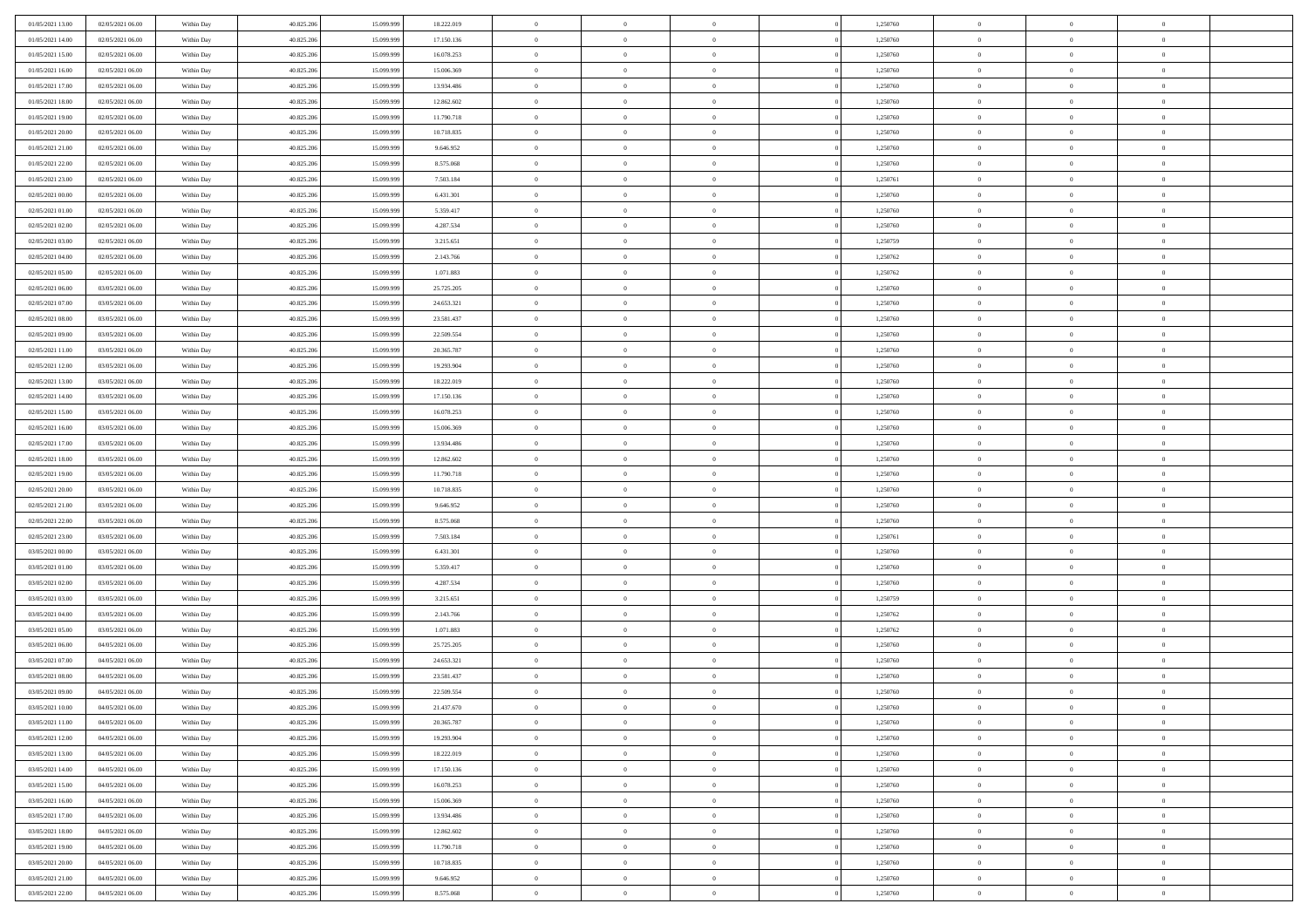| 01/05/2021 13:00 | 02/05/2021 06:00 | Within Day               | 40.825.206 | 15.099.999 | 18.222.019 | $\,0\,$        | $\overline{0}$ | $\bf{0}$       |                | 1,250760 | $\,$ 0 $\,$    | $\overline{0}$                   | $\bf{0}$       |  |
|------------------|------------------|--------------------------|------------|------------|------------|----------------|----------------|----------------|----------------|----------|----------------|----------------------------------|----------------|--|
| 01/05/2021 14:00 | 02/05/2021 06:00 | Within Day               | 40.825.206 | 15.099.99  | 17.150.136 | $\overline{0}$ | $\overline{0}$ | $\overline{0}$ |                | 1,250760 | $\theta$       | $\overline{0}$                   | $\theta$       |  |
| 01/05/2021 15:00 | 02/05/2021 06:00 | Within Day               | 40.825.206 | 15.099.999 | 16.078.253 | $\mathbf{0}$   | $\overline{0}$ | $\overline{0}$ |                | 1,250760 | $\theta$       | $\overline{0}$                   | $\overline{0}$ |  |
| 01/05/2021 16:00 | 02/05/2021 06:00 | Within Day               | 40.825.206 | 15.099.999 | 15.006.369 | $\bf{0}$       | $\overline{0}$ | $\bf{0}$       |                | 1,250760 | $\bf{0}$       | $\overline{0}$                   | $\bf{0}$       |  |
| 01/05/2021 17:00 | 02/05/2021 06:00 | Within Day               | 40.825.206 | 15.099.999 | 13.934.486 | $\bf{0}$       | $\overline{0}$ | $\overline{0}$ |                | 1,250760 | $\bf{0}$       | $\bf{0}$                         | $\bf{0}$       |  |
| 01/05/2021 18:00 | 02/05/2021 06:00 | Within Day               | 40.825.206 | 15.099.999 | 12.862.602 | $\mathbf{0}$   | $\overline{0}$ | $\overline{0}$ |                | 1,250760 | $\theta$       |                                  | $\theta$       |  |
|                  |                  |                          |            |            |            |                |                |                |                |          |                | $\overline{0}$                   |                |  |
| 01/05/2021 19:00 | 02/05/2021 06:00 | Within Day               | 40.825.206 | 15.099.999 | 11.790.718 | $\mathbf{0}$   | $\overline{0}$ | $\overline{0}$ |                | 1,250760 | $\bf{0}$       | $\overline{0}$                   | $\theta$       |  |
| 01/05/2021 20:00 | 02/05/2021 06:00 | Within Day               | 40.825.206 | 15.099.999 | 10.718.835 | $\overline{0}$ | $\mathbf{0}$   | $\overline{0}$ |                | 1,250760 | $\,$ 0 $\,$    | $\overline{0}$                   | $\theta$       |  |
| 01/05/2021 21:00 | 02/05/2021 06:00 | Within Day               | 40.825.206 | 15.099.999 | 9.646.952  | $\mathbf{0}$   | $\overline{0}$ | $\overline{0}$ |                | 1,250760 | $\theta$       | $\overline{0}$                   | $\overline{0}$ |  |
| 01/05/2021 22.00 | 02/05/2021 06:00 | Within Day               | 40.825.206 | 15.099.999 | 8.575.068  | $\bf{0}$       | $\overline{0}$ | $\bf{0}$       |                | 1,250760 | $\bf{0}$       | $\overline{0}$                   | $\bf{0}$       |  |
| 01/05/2021 23:00 | 02/05/2021 06:00 | Within Day               | 40.825.206 | 15.099.999 | 7.503.184  | $\bf{0}$       | $\overline{0}$ | $\overline{0}$ |                | 1,250761 | $\bf{0}$       | $\theta$                         | $\theta$       |  |
| 02/05/2021 00:00 | 02/05/2021 06:00 | Within Day               | 40.825.206 | 15.099.999 | 6.431.301  | $\mathbf{0}$   | $\overline{0}$ | $\overline{0}$ |                | 1,250760 | $\theta$       | $\overline{0}$                   | $\overline{0}$ |  |
| 02/05/2021 01:00 | 02/05/2021 06:00 | Within Day               | 40.825.206 | 15.099.999 | 5.359.417  | $\,0\,$        | $\overline{0}$ | $\overline{0}$ |                | 1,250760 | $\bf{0}$       | $\overline{0}$                   | $\bf{0}$       |  |
| 02/05/2021 02:00 | 02/05/2021 06:00 | Within Day               | 40.825.206 | 15.099.999 | 4.287.534  | $\bf{0}$       | $\overline{0}$ | $\overline{0}$ |                | 1,250760 | $\,$ 0 $\,$    | $\overline{0}$                   | $\theta$       |  |
| 02/05/2021 03:00 | 02/05/2021 06:00 | Within Day               | 40.825.206 | 15.099.999 | 3.215.651  | $\mathbf{0}$   | $\overline{0}$ | $\overline{0}$ |                | 1,250759 | $\theta$       | $\overline{0}$                   | $\overline{0}$ |  |
| 02/05/2021 04:00 | 02/05/2021 06:00 | Within Day               | 40.825.206 | 15.099.999 | 2.143.766  | $\,0\,$        | $\overline{0}$ | $\overline{0}$ |                | 1,250762 | $\bf{0}$       | $\overline{0}$                   | $\bf{0}$       |  |
| 02/05/2021 05:00 | 02/05/2021 06:00 | Within Day               | 40.825.206 | 15.099.999 | 1.071.883  | $\bf{0}$       | $\overline{0}$ | $\overline{0}$ |                | 1,250762 | $\bf{0}$       | $\overline{0}$                   | $\overline{0}$ |  |
| 02/05/2021 06:00 | 03/05/2021 06:00 | Within Day               | 40.825.206 | 15.099.999 | 25.725.205 | $\mathbf{0}$   | $\overline{0}$ | $\overline{0}$ |                | 1,250760 | $\theta$       | $\overline{0}$                   | $\overline{0}$ |  |
| 02/05/2021 07:00 | 03/05/2021 06:00 | Within Day               | 40.825.206 | 15.099.999 | 24.653.321 | $\,0\,$        | $\overline{0}$ | $\bf{0}$       |                | 1,250760 | $\bf{0}$       | $\overline{0}$                   | $\bf{0}$       |  |
| 02/05/2021 08:00 | 03/05/2021 06:00 | Within Day               | 40.825.206 | 15.099.999 | 23.581.437 | $\bf{0}$       | $\overline{0}$ | $\overline{0}$ |                | 1,250760 | $\,$ 0 $\,$    | $\overline{0}$                   | $\bf{0}$       |  |
| 02/05/2021 09:00 | 03/05/2021 06:00 | Within Day               | 40.825.206 | 15.099.999 | 22.509.554 | $\mathbf{0}$   | $\overline{0}$ | $\overline{0}$ |                | 1,250760 | $\theta$       | $\overline{0}$                   | $\overline{0}$ |  |
| 02/05/2021 11:00 | 03/05/2021 06:00 | Within Day               | 40.825.206 | 15.099.999 | 20.365.787 | $\mathbf{0}$   | $\overline{0}$ | $\overline{0}$ |                | 1,250760 | $\bf{0}$       | $\overline{0}$                   | $\theta$       |  |
| 02/05/2021 12:00 | 03/05/2021 06:00 | Within Day               | 40.825.206 | 15.099.999 | 19.293.904 | $\overline{0}$ | $\overline{0}$ | $\overline{0}$ |                | 1,250760 | $\bf{0}$       | $\overline{0}$                   | $\overline{0}$ |  |
| 02/05/2021 13:00 | 03/05/2021 06:00 | Within Day               | 40.825.206 | 15.099.999 | 18.222.019 | $\mathbf{0}$   | $\overline{0}$ | $\overline{0}$ |                | 1,250760 | $\theta$       | $\overline{0}$                   | $\overline{0}$ |  |
| 02/05/2021 14:00 | 03/05/2021 06:00 | Within Day               | 40.825.206 | 15.099.999 | 17.150.136 | $\bf{0}$       | $\overline{0}$ | $\overline{0}$ |                | 1,250760 | $\bf{0}$       | $\overline{0}$                   | $\bf{0}$       |  |
| 02/05/2021 15:00 | 03/05/2021 06:00 | Within Day               | 40.825.206 | 15.099.999 | 16.078.253 | $\bf{0}$       | $\overline{0}$ | $\overline{0}$ |                | 1,250760 | $\bf{0}$       | $\mathbf{0}$                     | $\bf{0}$       |  |
| 02/05/2021 16:00 | 03/05/2021 06:00 | Within Day               | 40.825.206 | 15.099.999 | 15.006.369 | $\mathbf{0}$   | $\overline{0}$ | $\overline{0}$ |                | 1,250760 | $\theta$       | $\overline{0}$                   | $\overline{0}$ |  |
| 02/05/2021 17:00 | 03/05/2021 06:00 | Within Day               | 40.825.206 | 15.099.999 | 13.934.486 | $\,0\,$        | $\overline{0}$ | $\bf{0}$       |                | 1,250760 | $\bf{0}$       | $\overline{0}$                   | $\bf{0}$       |  |
| 02/05/2021 18:00 | 03/05/2021 06:00 | Within Day               | 40.825.206 | 15.099.999 | 12.862.602 | $\overline{0}$ | $\overline{0}$ | $\overline{0}$ |                | 1,250760 | $\,$ 0 $\,$    | $\overline{0}$                   | $\overline{0}$ |  |
| 02/05/2021 19:00 | 03/05/2021 06:00 | Within Day               | 40.825.206 | 15.099.999 | 11.790.718 | $\mathbf{0}$   | $\overline{0}$ | $\overline{0}$ |                | 1,250760 | $\theta$       | $\overline{0}$                   | $\overline{0}$ |  |
| 02/05/2021 20:00 | 03/05/2021 06:00 | Within Day               | 40.825.206 | 15.099.999 | 10.718.835 | $\mathbf{0}$   | $\overline{0}$ | $\theta$       |                | 1,250760 | $\,$ 0 $\,$    | $\overline{0}$                   | $\theta$       |  |
| 02/05/2021 21:00 | 03/05/2021 06:00 | Within Day               | 40.825.206 | 15.099.999 | 9.646.952  | $\bf{0}$       | $\overline{0}$ | $\overline{0}$ |                | 1,250760 | $\bf{0}$       | $\overline{0}$                   | $\bf{0}$       |  |
| 02/05/2021 22:00 | 03/05/2021 06:00 | Within Day               | 40.825.206 | 15.099.999 | 8.575.068  | $\mathbf{0}$   | $\overline{0}$ | $\overline{0}$ |                | 1,250760 | $\theta$       | $\overline{0}$                   | $\overline{0}$ |  |
| 02/05/2021 23:00 | 03/05/2021 06:00 | Within Day               | 40.825.206 | 15.099.999 | 7.503.184  | $\mathbf{0}$   | $\overline{0}$ | $\overline{0}$ |                | 1,250761 | $\,$ 0 $\,$    | $\overline{0}$                   | $\theta$       |  |
| 03/05/2021 00:00 | 03/05/2021 06:00 |                          | 40.825.206 | 15.099.999 | 6.431.301  | $\overline{0}$ | $\overline{0}$ | $\overline{0}$ |                | 1,250760 | $\bf{0}$       | $\overline{0}$                   | $\bf{0}$       |  |
| 03/05/2021 01:00 | 03/05/2021 06:00 | Within Day<br>Within Day | 40.825.206 | 15.099.999 | 5.359.417  | $\mathbf{0}$   | $\overline{0}$ | $\overline{0}$ |                | 1,250760 | $\theta$       | $\overline{0}$                   | $\overline{0}$ |  |
|                  |                  |                          |            |            |            | $\mathbf{0}$   | $\overline{0}$ |                |                |          |                |                                  | $\theta$       |  |
| 03/05/2021 02:00 | 03/05/2021 06:00 | Within Day               | 40.825.206 | 15.099.999 | 4.287.534  |                | $\overline{0}$ | $\theta$       |                | 1,250760 | $\,$ 0 $\,$    | $\overline{0}$<br>$\overline{0}$ | $\overline{0}$ |  |
| 03/05/2021 03:00 | 03/05/2021 06:00 | Within Day               | 40.825.206 | 15.099.999 | 3.215.651  | $\bf{0}$       |                | $\overline{0}$ |                | 1,250759 | $\bf{0}$       |                                  |                |  |
| 03/05/2021 04:00 | 03/05/2021 06:00 | Within Day               | 40.825.206 | 15.099.999 | 2.143.766  | $\mathbf{0}$   | $\overline{0}$ | $\overline{0}$ |                | 1,250762 | $\theta$       | $\overline{0}$                   | $\overline{0}$ |  |
| 03/05/2021 05:00 | 03/05/2021 06:00 | Within Day               | 40.825.206 | 15.099.999 | 1.071.883  | $\mathbf{0}$   | $\overline{0}$ | $\bf{0}$       |                | 1,250762 | $\,$ 0 $\,$    | $\overline{0}$                   | $\theta$       |  |
| 03/05/2021 06:00 | 04/05/2021 06:00 | Within Day               | 40.825.206 | 15.099.999 | 25.725.205 | $\bf{0}$       | $\overline{0}$ | $\overline{0}$ |                | 1,250760 | $\bf{0}$       | $\overline{0}$                   | $\bf{0}$       |  |
| 03/05/2021 07:00 | 04/05/2021 06:00 | Within Day               | 40.825.206 | 15.099.999 | 24.653.321 | $\mathbf{0}$   | $\overline{0}$ | $\overline{0}$ |                | 1,250760 | $\theta$       | $\overline{0}$                   | $\overline{0}$ |  |
| 03/05/2021 08:00 | 04/05/2021 06:00 | Within Day               | 40.825.206 | 15.099.999 | 23.581.437 | $\mathbf{0}$   | $\overline{0}$ | $\overline{0}$ |                | 1,250760 | $\,$ 0 $\,$    | $\overline{0}$                   | $\theta$       |  |
| 03/05/2021 09:00 | 04/05/2021 06:00 | Within Day               | 40.825.206 | 15.099.999 | 22.509.554 | $\bf{0}$       | $\overline{0}$ | $\overline{0}$ |                | 1,250760 | $\,$ 0 $\,$    | $\overline{0}$                   | $\bf{0}$       |  |
| 03/05/2021 10:00 | 04/05/2021 06:00 | Within Day               | 40.825.206 | 15.099.999 | 21.437.670 | $\bf{0}$       | $\overline{0}$ | $\overline{0}$ |                | 1,250760 | $\overline{0}$ | $^{\circ}$                       | $\theta$       |  |
| 03/05/2021 11:00 | 04/05/2021 06:00 | Within Day               | 40.825.206 | 15.099.999 | 20.365.787 | $\,$ 0 $\,$    | $\overline{0}$ | $\overline{0}$ |                | 1,250760 | $\,$ 0 $\,$    | $\bf{0}$                         | $\theta$       |  |
| 03/05/2021 12:00 | 04/05/2021 06:00 | Within Day               | 40.825.206 | 15.099.999 | 19.293.904 | $\mathbf{0}$   | $\overline{0}$ | $\overline{0}$ |                | 1,250760 | $\,$ 0 $\,$    | $\overline{0}$                   | $\overline{0}$ |  |
| 03/05/2021 13:00 | 04/05/2021 06:00 | Within Day               | 40.825.206 | 15.099.999 | 18.222.019 | $\mathbf{0}$   | $\overline{0}$ | $\overline{0}$ |                | 1,250760 | $\mathbf{0}$   | $\overline{0}$                   | $\overline{0}$ |  |
| 03/05/2021 14:00 | 04/05/2021 06:00 | Within Day               | 40.825.206 | 15.099.999 | 17.150.136 | $\,$ 0         | $\overline{0}$ | $\overline{0}$ | $\overline{0}$ | 1,250760 | $\,$ 0 $\,$    | $\bf{0}$                         | $\,$ 0 $\,$    |  |
| 03/05/2021 15:00 | 04/05/2021 06:00 | Within Day               | 40.825.206 | 15.099.999 | 16.078.253 | $\bf{0}$       | $\overline{0}$ | $\overline{0}$ |                | 1,250760 | $\,$ 0 $\,$    | $\overline{0}$                   | $\overline{0}$ |  |
| 03/05/2021 16:00 | 04/05/2021 06:00 | Within Day               | 40.825.206 | 15.099.999 | 15.006.369 | $\mathbf{0}$   | $\overline{0}$ | $\overline{0}$ |                | 1,250760 | $\overline{0}$ | $\overline{0}$                   | $\overline{0}$ |  |
| 03/05/2021 17:00 | 04/05/2021 06:00 | Within Day               | 40.825.206 | 15.099.999 | 13.934.486 | $\,$ 0 $\,$    | $\overline{0}$ | $\overline{0}$ |                | 1,250760 | $\,$ 0 $\,$    | $\bf{0}$                         | $\overline{0}$ |  |
| 03/05/2021 18:00 | 04/05/2021 06:00 | Within Day               | 40.825.206 | 15.099.999 | 12.862.602 | $\overline{0}$ | $\overline{0}$ | $\overline{0}$ |                | 1,250760 | $\overline{0}$ | $\overline{0}$                   | $\overline{0}$ |  |
| 03/05/2021 19:00 | 04/05/2021 06:00 | Within Day               | 40.825.206 | 15.099.999 | 11.790.718 | $\mathbf{0}$   | $\overline{0}$ | $\overline{0}$ |                | 1,250760 | $\mathbf{0}$   | $\overline{0}$                   | $\mathbf{0}$   |  |
| 03/05/2021 20:00 | 04/05/2021 06:00 | Within Day               | 40.825.206 | 15.099.999 | 10.718.835 | $\,$ 0         | $\overline{0}$ | $\bf{0}$       |                | 1,250760 | $\,$ 0 $\,$    | $\bf{0}$                         | $\,$ 0 $\,$    |  |
| 03/05/2021 21:00 | 04/05/2021 06:00 | Within Day               | 40.825.206 | 15.099.999 | 9.646.952  | $\bf{0}$       | $\overline{0}$ | $\overline{0}$ |                | 1,250760 | $\,$ 0 $\,$    | $\mathbf{0}$                     | $\overline{0}$ |  |
| 03/05/2021 22:00 | 04/05/2021 06:00 | Within Day               | 40.825.206 | 15.099.999 | 8.575.068  | $\overline{0}$ | $\overline{0}$ | $\overline{0}$ |                | 1,250760 | $\mathbf{0}$   | $\overline{0}$                   | $\overline{0}$ |  |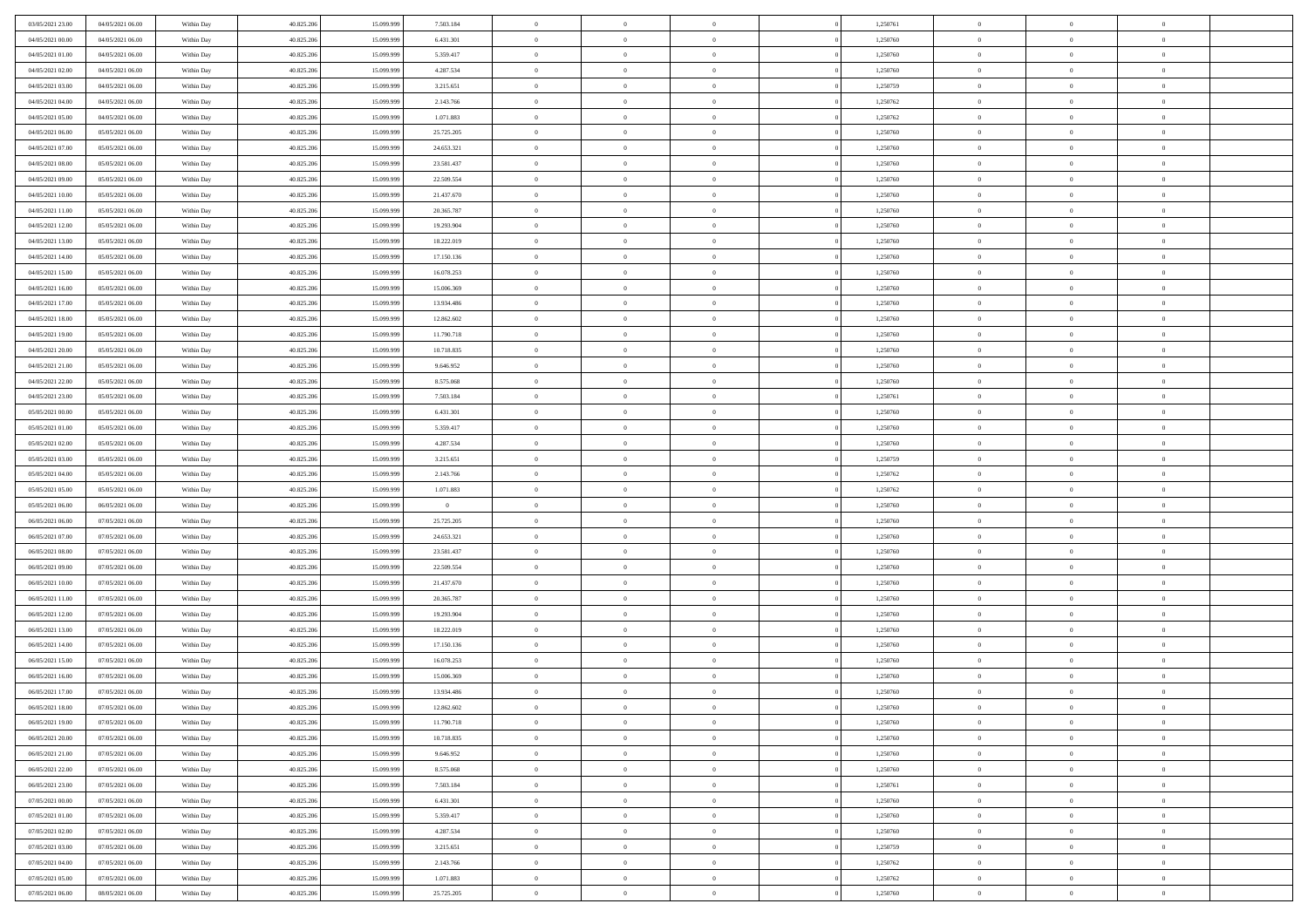| 03/05/2021 23:00 | 04/05/2021 06:00 | Within Day | 40.825.206 | 15.099.99  | 7.503.184      | $\theta$       | $\overline{0}$ | $\overline{0}$ | 1,250761 | $\bf{0}$       | $\bf{0}$       | $\bf{0}$       |  |
|------------------|------------------|------------|------------|------------|----------------|----------------|----------------|----------------|----------|----------------|----------------|----------------|--|
| 04/05/2021 00:00 | 04/05/2021 06:00 | Within Day | 40.825.206 | 15.099.999 | 6.431.301      | $\overline{0}$ | $\overline{0}$ | $\overline{0}$ | 1,250760 | $\theta$       | $\overline{0}$ | $\theta$       |  |
| 04/05/2021 01:00 | 04/05/2021 06:00 | Within Day | 40.825.206 | 15.099.999 | 5.359.417      | $\,$ 0 $\,$    | $\overline{0}$ | $\bf{0}$       | 1,250760 | $\,$ 0 $\,$    | $\overline{0}$ | $\,$ 0 $\,$    |  |
| 04/05/2021 02:00 | 04/05/2021 06:00 | Within Day | 40.825.206 | 15.099.999 | 4.287.534      | $\mathbf{0}$   | $\Omega$       | $\overline{0}$ | 1,250760 | $\theta$       | $\mathbf{0}$   | $\theta$       |  |
| 04/05/2021 03:00 | 04/05/2021 06:00 | Within Day | 40.825.206 | 15.099.999 | 3.215.651      | $\bf{0}$       | $\overline{0}$ | $\overline{0}$ | 1,250759 | $\mathbf{0}$   | $\overline{0}$ | $\overline{0}$ |  |
| 04/05/2021 04:00 | 04/05/2021 06:00 | Within Day | 40.825.206 | 15.099.999 | 2.143.766      | $\,$ 0 $\,$    | $\overline{0}$ | $\bf{0}$       | 1,250762 | $\,$ 0 $\,$    | $\overline{0}$ | $\,$ 0 $\,$    |  |
| 04/05/2021 05:00 | 04/05/2021 06:00 | Within Day | 40.825.206 | 15.099.999 | 1.071.883      | $\bf{0}$       | $\overline{0}$ | $\overline{0}$ | 1,250762 | $\bf{0}$       | $\overline{0}$ | $\theta$       |  |
| 04/05/2021 06:00 | 05/05/2021 06:00 | Within Day | 40.825.206 | 15.099.999 | 25.725.205     | $\overline{0}$ | $\overline{0}$ | $\overline{0}$ | 1,250760 | $\overline{0}$ | $\overline{0}$ | $\overline{0}$ |  |
| 04/05/2021 07:00 | 05/05/2021 06:00 | Within Day | 40.825.206 | 15.099.999 | 24.653.321     | $\,$ 0 $\,$    | $\overline{0}$ | $\bf{0}$       | 1,250760 | $\,$ 0 $\,$    | $\overline{0}$ | $\bf{0}$       |  |
| 04/05/2021 08:00 | 05/05/2021 06:00 | Within Day | 40.825.206 | 15.099.999 | 23.581.437     | $\mathbf{0}$   | $\mathbf{0}$   | $\overline{0}$ | 1,250760 | $\theta$       | $\mathbf{0}$   | $\theta$       |  |
| 04/05/2021 09:00 | 05/05/2021 06:00 | Within Day | 40.825.206 | 15.099.999 | 22.509.554     | $\overline{0}$ | $\overline{0}$ | $\overline{0}$ | 1,250760 | $\overline{0}$ | $\overline{0}$ | $\overline{0}$ |  |
| 04/05/2021 10:00 | 05/05/2021 06:00 | Within Day | 40.825.206 | 15.099.999 | 21.437.670     | $\,$ 0 $\,$    | $\overline{0}$ | $\bf{0}$       | 1,250760 | $\,$ 0 $\,$    | $\overline{0}$ | $\,$ 0 $\,$    |  |
| 04/05/2021 11:00 | 05/05/2021 06:00 | Within Day | 40.825.206 | 15.099.999 | 20.365.787     | $\bf{0}$       | $\overline{0}$ | $\overline{0}$ | 1,250760 | $\bf{0}$       | $\mathbf{0}$   | $\theta$       |  |
| 04/05/2021 12:00 | 05/05/2021 06:00 | Within Day | 40.825.206 | 15.099.999 | 19.293.904     | $\overline{0}$ | $\overline{0}$ | $\overline{0}$ | 1,250760 | $\overline{0}$ | $\overline{0}$ | $\theta$       |  |
| 04/05/2021 13:00 | 05/05/2021 06:00 | Within Day | 40.825.206 | 15.099.999 | 18.222.019     | $\,$ 0 $\,$    | $\overline{0}$ | $\bf{0}$       | 1,250760 | $\,$ 0 $\,$    | $\overline{0}$ | $\,$ 0 $\,$    |  |
| 04/05/2021 14:00 | 05/05/2021 06:00 | Within Day | 40.825.206 | 15.099.999 | 17.150.136     | $\mathbf{0}$   | $\mathbf{0}$   | $\overline{0}$ | 1,250760 | $\theta$       | $\mathbf{0}$   | $\theta$       |  |
| 04/05/2021 15:00 | 05/05/2021 06:00 | Within Day | 40.825.206 | 15.099.999 | 16.078.253     | $\overline{0}$ | $\overline{0}$ | $\overline{0}$ | 1,250760 | $\overline{0}$ | $\overline{0}$ | $\overline{0}$ |  |
| 04/05/2021 16:00 | 05/05/2021 06:00 | Within Day | 40.825.206 | 15.099.999 | 15.006.369     | $\,$ 0 $\,$    | $\overline{0}$ | $\bf{0}$       | 1,250760 | $\,$ 0 $\,$    | $\overline{0}$ | $\,$ 0 $\,$    |  |
| 04/05/2021 17:00 | 05/05/2021 06:00 | Within Day | 40.825.206 | 15.099.999 | 13.934.486     | $\mathbf{0}$   | $\Omega$       | $\overline{0}$ | 1,250760 | $\theta$       | $\theta$       | $\theta$       |  |
| 04/05/2021 18:00 | 05/05/2021 06:00 | Within Day | 40.825.206 | 15.099.999 | 12.862.602     | $\overline{0}$ | $\overline{0}$ | $\overline{0}$ | 1,250760 | $\mathbf{0}$   | $\overline{0}$ | $\overline{0}$ |  |
| 04/05/2021 19:00 | 05/05/2021 06:00 | Within Day | 40.825.206 | 15.099.999 | 11.790.718     | $\,$ 0 $\,$    | $\overline{0}$ | $\bf{0}$       | 1,250760 | $\,$ 0 $\,$    | $\overline{0}$ | $\,$ 0 $\,$    |  |
| 04/05/2021 20:00 | 05/05/2021 06:00 | Within Day | 40.825.206 | 15.099.999 | 10.718.835     | $\overline{0}$ | $\overline{0}$ | $\overline{0}$ | 1,250760 | $\bf{0}$       | $\mathbf{0}$   | $\theta$       |  |
| 04/05/2021 21:00 | 05/05/2021 06:00 | Within Day | 40.825.206 | 15.099.999 | 9.646.952      | $\overline{0}$ | $\overline{0}$ | $\overline{0}$ | 1,250760 | $\mathbf{0}$   | $\overline{0}$ | $\overline{0}$ |  |
| 04/05/2021 22:00 | 05/05/2021 06:00 | Within Day | 40.825.206 | 15.099.999 | 8.575.068      | $\,$ 0 $\,$    | $\overline{0}$ | $\bf{0}$       | 1,250760 | $\,$ 0 $\,$    | $\overline{0}$ | $\bf{0}$       |  |
| 04/05/2021 23:00 | 05/05/2021 06:00 | Within Day | 40.825.206 | 15.099.99  | 7.503.184      | $\overline{0}$ | $\mathbf{0}$   | $\overline{0}$ | 1,250761 | $\theta$       | $\mathbf{0}$   | $\theta$       |  |
| 05/05/2021 00:00 | 05/05/2021 06:00 | Within Day | 40.825.206 | 15.099.999 | 6.431.301      | $\overline{0}$ | $\overline{0}$ | $\overline{0}$ | 1,250760 | $\mathbf{0}$   | $\overline{0}$ | $\overline{0}$ |  |
| 05/05/2021 01:00 | 05/05/2021 06:00 | Within Day | 40.825.206 | 15.099.999 | 5.359.417      | $\,$ 0 $\,$    | $\overline{0}$ | $\bf{0}$       | 1,250760 | $\,$ 0 $\,$    | $\overline{0}$ | $\,$ 0 $\,$    |  |
| 05/05/2021 02:00 | 05/05/2021 06:00 | Within Day | 40.825.206 | 15.099.999 | 4.287.534      | $\bf{0}$       | $\overline{0}$ | $\overline{0}$ | 1,250760 | $\bf{0}$       | $\overline{0}$ | $\bf{0}$       |  |
| 05/05/2021 03:00 | 05/05/2021 06:00 | Within Day | 40.825.206 | 15.099.999 | 3.215.651      | $\overline{0}$ | $\overline{0}$ | $\overline{0}$ | 1,250759 | $\mathbf{0}$   | $\overline{0}$ | $\theta$       |  |
| 05/05/2021 04:00 | 05/05/2021 06:00 | Within Day | 40.825.206 | 15.099.999 | 2.143.766      | $\,$ 0 $\,$    | $\overline{0}$ | $\bf{0}$       | 1,250762 | $\,$ 0 $\,$    | $\overline{0}$ | $\,$ 0 $\,$    |  |
| 05/05/2021 05:00 | 05/05/2021 06:00 | Within Day | 40.825.206 | 15.099.999 | 1.071.883      | $\,0\,$        | $\overline{0}$ | $\bf{0}$       | 1,250762 | $\,$ 0 $\,$    | $\overline{0}$ | $\bf{0}$       |  |
| 05/05/2021 06:00 | 06/05/2021 06:00 | Within Day | 40.825.206 | 15.099.999 | $\overline{0}$ | $\overline{0}$ | $\overline{0}$ | $\overline{0}$ | 1,250760 | $\mathbf{0}$   | $\overline{0}$ | $\overline{0}$ |  |
| 06/05/2021 06:00 | 07/05/2021 06:00 | Within Day | 40.825.206 | 15.099.999 | 25.725.205     | $\,$ 0 $\,$    | $\overline{0}$ | $\bf{0}$       | 1,250760 | $\,$ 0 $\,$    | $\overline{0}$ | $\,$ 0 $\,$    |  |
| 06/05/2021 07:00 | 07/05/2021 06:00 | Within Day | 40.825.206 | 15.099.999 | 24.653.321     | $\,0\,$        | $\overline{0}$ | $\bf{0}$       | 1,250760 | $\bf{0}$       | $\overline{0}$ | $\bf{0}$       |  |
| 06/05/2021 08:00 | 07/05/2021 06:00 | Within Day | 40.825.206 | 15.099.999 | 23.581.437     | $\overline{0}$ | $\overline{0}$ | $\overline{0}$ | 1,250760 | $\theta$       | $\overline{0}$ | $\theta$       |  |
| 06/05/2021 09:00 | 07/05/2021 06:00 | Within Day | 40.825.206 | 15.099.999 | 22.509.554     | $\,$ 0 $\,$    | $\overline{0}$ | $\bf{0}$       | 1,250760 | $\,$ 0 $\,$    | $\overline{0}$ | $\,$ 0 $\,$    |  |
| 06/05/2021 10:00 | 07/05/2021 06:00 | Within Day | 40.825.206 | 15.099.999 | 21.437.670     | $\bf{0}$       | $\overline{0}$ | $\bf{0}$       | 1,250760 | $\bf{0}$       | $\overline{0}$ | $\bf{0}$       |  |
| 06/05/2021 11:00 | 07/05/2021 06:00 | Within Day | 40.825.206 | 15.099.999 | 20.365.787     | $\overline{0}$ | $\overline{0}$ | $\overline{0}$ | 1,250760 | $\mathbf{0}$   | $\overline{0}$ | $\overline{0}$ |  |
| 06/05/2021 12:00 | 07/05/2021 06:00 | Within Day | 40.825.206 | 15.099.999 | 19.293.904     | $\,$ 0 $\,$    | $\overline{0}$ | $\bf{0}$       | 1,250760 | $\,$ 0 $\,$    | $\overline{0}$ | $\,$ 0 $\,$    |  |
| 06/05/2021 13:00 | 07/05/2021 06:00 | Within Day | 40.825.206 | 15.099.999 | 18.222.019     | $\mathbf{0}$   | $\overline{0}$ | $\bf{0}$       | 1,250760 | $\bf{0}$       | $\overline{0}$ | $\bf{0}$       |  |
| 06/05/2021 14:00 | 07/05/2021 06:00 | Within Day | 40.825.206 | 15.099.999 | 17.150.136     | $\overline{0}$ | $\overline{0}$ | $\overline{0}$ | 1,250760 | $\mathbf{0}$   | $\overline{0}$ | $\overline{0}$ |  |
| 06/05/2021 15:00 | 07/05/2021 06:00 | Within Day | 40.825.206 | 15.099.999 | 16.078.253     | $\,$ 0 $\,$    | $\overline{0}$ | $\bf{0}$       | 1,250760 | $\,$ 0 $\,$    | $\overline{0}$ | $\,$ 0 $\,$    |  |
| 06/05/2021 16:00 | 07/05/2021 06:00 | Within Day | 40.825.206 | 15.099.999 | 15.006.369     | $\,0\,$        | $\overline{0}$ | $\bf{0}$       | 1,250760 | $\bf{0}$       | $\overline{0}$ | $\bf{0}$       |  |
| 06/05/2021 17:00 | 07/05/2021 06:00 | Within Day | 40.825.206 | 15.099.999 | 13.934.486     | $\mathbf{0}$   | $\overline{0}$ | $\overline{0}$ | 1,250760 | $\theta$       | $\overline{0}$ | $\overline{0}$ |  |
| 06/05/2021 18:00 | 07/05/2021 06:00 | Within Day | 40.825.206 | 15.099.999 | 12.862.602     | $\mathbf{0}$   | $\overline{0}$ | $\theta$       | 1,250760 | $\overline{0}$ | $\overline{0}$ | $\theta$       |  |
| 06/05/2021 19:00 | 07/05/2021 06:00 | Within Day | 40.825.206 | 15.099.999 | 11.790.718     | $\bf{0}$       | $\overline{0}$ | $\bf{0}$       | 1,250760 | $\bf{0}$       | $\overline{0}$ | $\bf{0}$       |  |
| 06/05/2021 20:00 | 07/05/2021 06:00 | Within Day | 40.825.206 | 15.099.999 | 10.718.835     | $\overline{0}$ | $\overline{0}$ | $\overline{0}$ | 1,250760 | $\overline{0}$ | $\overline{0}$ | $\overline{0}$ |  |
| 06/05/2021 21:00 | 07/05/2021 06:00 | Within Day | 40.825.206 | 15.099.999 | 9.646.952      | $\,$ 0         | $\overline{0}$ | $\overline{0}$ | 1,250760 | $\,$ 0 $\,$    | $\overline{0}$ | $\,$ 0 $\,$    |  |
| 06/05/2021 22:00 | 07/05/2021 06:00 | Within Day | 40.825.206 | 15.099.999 | 8.575.068      | $\bf{0}$       | $\overline{0}$ | $\overline{0}$ | 1,250760 | $\mathbf{0}$   | $\overline{0}$ | $\bf{0}$       |  |
| 06/05/2021 23:00 | 07/05/2021 06:00 | Within Day | 40.825.206 | 15.099.999 | 7.503.184      | $\overline{0}$ | $\overline{0}$ | $\overline{0}$ | 1,250761 | $\mathbf{0}$   | $\overline{0}$ | $\overline{0}$ |  |
| 07/05/2021 00:00 | 07/05/2021 06:00 | Within Day | 40.825.206 | 15.099.999 | 6.431.301      | $\,$ 0         | $\overline{0}$ | $\overline{0}$ | 1,250760 | $\,$ 0 $\,$    | $\overline{0}$ | $\,$ 0 $\,$    |  |
| 07/05/2021 01:00 | 07/05/2021 06:00 | Within Day | 40.825.206 | 15.099.999 | 5.359.417      | $\overline{0}$ | $\overline{0}$ | $\overline{0}$ | 1,250760 | $\overline{0}$ | $\overline{0}$ | $\bf{0}$       |  |
| 07/05/2021 02:00 | 07/05/2021 06:00 | Within Day | 40.825.206 | 15.099.999 | 4.287.534      | $\mathbf{0}$   | $\overline{0}$ | $\overline{0}$ | 1,250760 | $\overline{0}$ | $\overline{0}$ | $\overline{0}$ |  |
| 07/05/2021 03:00 | 07/05/2021 06:00 | Within Day | 40.825.206 | 15.099.999 | 3.215.651      | $\,$ 0         | $\overline{0}$ | $\overline{0}$ | 1,250759 | $\,$ 0 $\,$    | $\bf{0}$       | $\,$ 0 $\,$    |  |
| 07/05/2021 04:00 | 07/05/2021 06:00 | Within Day | 40.825.206 | 15.099.999 | 2.143.766      | $\bf{0}$       | $\overline{0}$ | $\overline{0}$ | 1,250762 | $\mathbf{0}$   | $\overline{0}$ | $\bf{0}$       |  |
| 07/05/2021 05:00 | 07/05/2021 06:00 | Within Day | 40.825.206 | 15.099.999 | 1.071.883      | $\mathbf{0}$   | $\overline{0}$ | $\overline{0}$ | 1,250762 | $\mathbf{0}$   | $\overline{0}$ | $\overline{0}$ |  |
| 07/05/2021 06:00 | 08/05/2021 06:00 | Within Day | 40.825.206 | 15.099.999 | 25.725.205     | $\,$ 0 $\,$    | $\overline{0}$ | $\bf{0}$       | 1,250760 | $\,$ 0 $\,$    | $\overline{0}$ | $\,$ 0 $\,$    |  |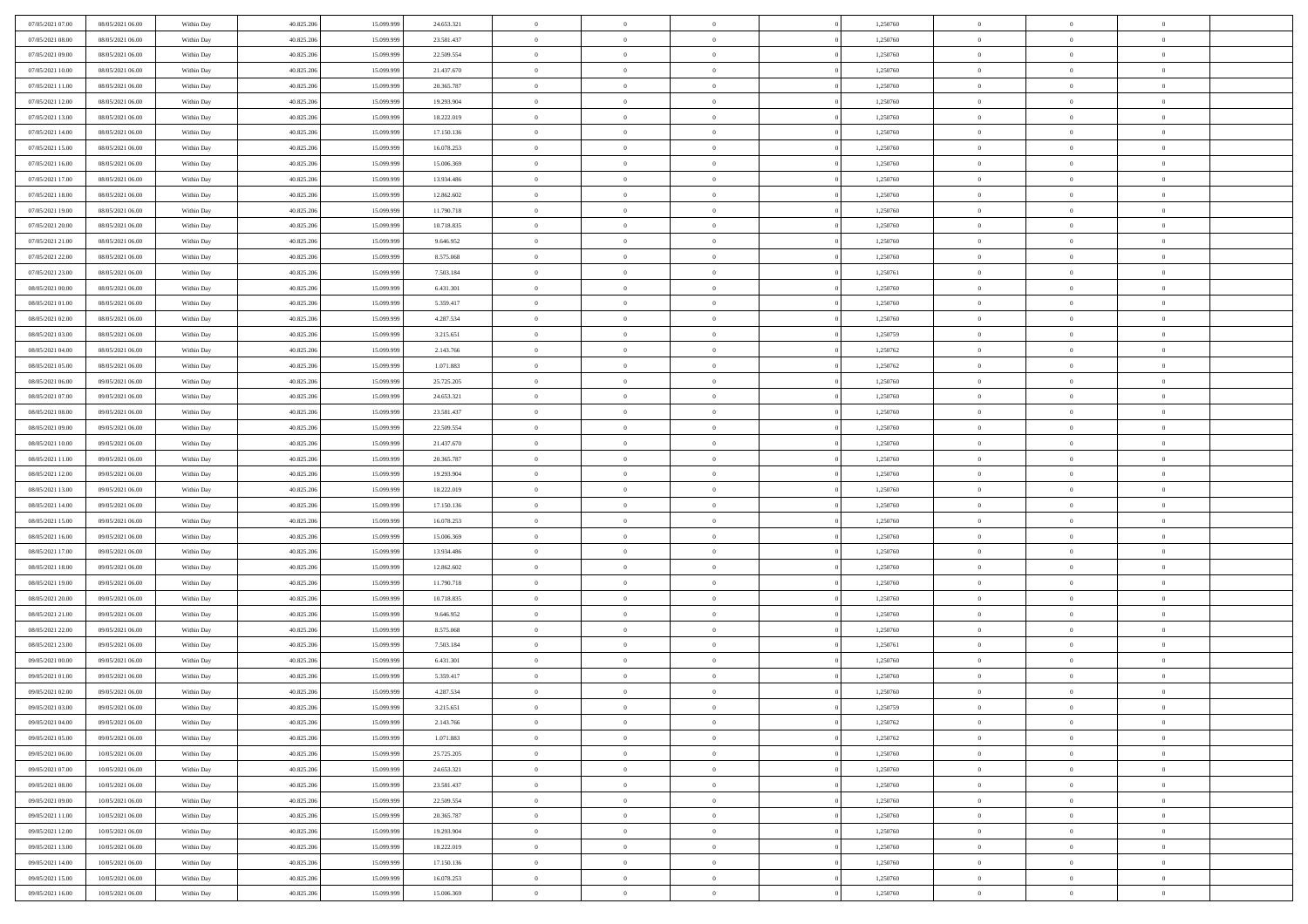| 07/05/2021 07:00                     | 08/05/2021 06:00 | Within Day               | 40.825.206 | 15.099.999 | 24.653.321              | $\,0\,$                | $\overline{0}$ | $\bf{0}$       |                | 1,250760             | $\,$ 0 $\,$    | $\overline{0}$                   | $\bf{0}$       |  |
|--------------------------------------|------------------|--------------------------|------------|------------|-------------------------|------------------------|----------------|----------------|----------------|----------------------|----------------|----------------------------------|----------------|--|
| 07/05/2021 08:00                     | 08/05/2021 06:00 | Within Day               | 40.825.206 | 15.099.99  | 23.581.437              | $\overline{0}$         | $\overline{0}$ | $\overline{0}$ |                | 1,250760             | $\theta$       | $\overline{0}$                   | $\overline{0}$ |  |
| 07/05/2021 09:00                     | 08/05/2021 06:00 | Within Day               | 40.825.206 | 15.099.999 | 22.509.554              | $\mathbf{0}$           | $\overline{0}$ | $\overline{0}$ |                | 1,250760             | $\theta$       | $\overline{0}$                   | $\overline{0}$ |  |
| 07/05/2021 10:00                     | 08/05/2021 06:00 | Within Day               | 40.825.206 | 15.099.999 | 21.437.670              | $\bf{0}$               | $\overline{0}$ | $\bf{0}$       |                | 1,250760             | $\bf{0}$       | $\overline{0}$                   | $\bf{0}$       |  |
| 07/05/2021 11:00                     | 08/05/2021 06:00 | Within Day               | 40.825.206 | 15.099.999 | 20.365.787              | $\bf{0}$               | $\overline{0}$ | $\overline{0}$ |                | 1,250760             | $\bf{0}$       | $\bf{0}$                         | $\bf{0}$       |  |
| 07/05/2021 12:00                     | 08/05/2021 06:00 | Within Day               | 40.825.206 | 15.099.999 | 19.293.904              | $\mathbf{0}$           | $\overline{0}$ | $\overline{0}$ |                | 1,250760             | $\theta$       | $\overline{0}$                   | $\theta$       |  |
| 07/05/2021 13:00                     | 08/05/2021 06:00 | Within Day               | 40.825.206 | 15.099.999 | 18.222.019              | $\mathbf{0}$           | $\overline{0}$ | $\overline{0}$ |                | 1,250760             | $\bf{0}$       | $\overline{0}$                   | $\theta$       |  |
| 07/05/2021 14:00                     | 08/05/2021 06:00 | Within Day               | 40.825.206 | 15.099.999 | 17.150.136              | $\overline{0}$         | $\mathbf{0}$   | $\overline{0}$ |                | 1,250760             | $\,$ 0 $\,$    | $\overline{0}$                   | $\theta$       |  |
| 07/05/2021 15:00                     | 08/05/2021 06:00 | Within Day               | 40.825.206 | 15.099.999 | 16.078.253              | $\mathbf{0}$           | $\overline{0}$ | $\overline{0}$ |                | 1,250760             | $\theta$       | $\overline{0}$                   | $\overline{0}$ |  |
| 07/05/2021 16:00                     | 08/05/2021 06:00 | Within Day               | 40.825.206 | 15.099.999 | 15.006.369              | $\bf{0}$               | $\overline{0}$ | $\bf{0}$       |                | 1,250760             | $\bf{0}$       | $\overline{0}$                   | $\bf{0}$       |  |
|                                      | 08/05/2021 06:00 |                          | 40.825.206 | 15.099.999 | 13.934.486              | $\bf{0}$               | $\overline{0}$ | $\overline{0}$ |                | 1,250760             | $\bf{0}$       | $\theta$                         | $\theta$       |  |
| 07/05/2021 17:00<br>07/05/2021 18:00 | 08/05/2021 06:00 | Within Day<br>Within Day | 40.825.206 | 15.099.999 | 12.862.602              | $\mathbf{0}$           | $\overline{0}$ | $\overline{0}$ |                | 1,250760             | $\theta$       | $\overline{0}$                   | $\overline{0}$ |  |
| 07/05/2021 19:00                     | 08/05/2021 06:00 | Within Day               | 40.825.206 | 15.099.999 | 11.790.718              | $\,0\,$                | $\overline{0}$ | $\bf{0}$       |                | 1,250760             | $\bf{0}$       | $\overline{0}$                   | $\bf{0}$       |  |
| 07/05/2021 20:00                     | 08/05/2021 06:00 |                          | 40.825.206 | 15.099.999 |                         | $\bf{0}$               | $\overline{0}$ | $\overline{0}$ |                |                      | $\,$ 0 $\,$    | $\overline{0}$                   | $\theta$       |  |
| 07/05/2021 21:00                     | 08/05/2021 06:00 | Within Day<br>Within Day | 40.825.206 | 15.099.999 | 10.718.835<br>9.646.952 | $\mathbf{0}$           | $\overline{0}$ | $\overline{0}$ |                | 1,250760<br>1,250760 | $\theta$       |                                  | $\overline{0}$ |  |
|                                      |                  |                          |            |            |                         |                        | $\overline{0}$ | $\overline{0}$ |                |                      |                | $\overline{0}$<br>$\overline{0}$ |                |  |
| 07/05/2021 22.00                     | 08/05/2021 06:00 | Within Day               | 40.825.206 | 15.099.999 | 8.575.068               | $\,0\,$                |                |                |                | 1,250760             | $\bf{0}$       |                                  | $\bf{0}$       |  |
| 07/05/2021 23:00                     | 08/05/2021 06:00 | Within Day               | 40.825.206 | 15.099.999 | 7.503.184               | $\bf{0}$               | $\overline{0}$ | $\overline{0}$ |                | 1,250761             | $\bf{0}$       | $\overline{0}$                   | $\overline{0}$ |  |
| 08/05/2021 00:00                     | 08/05/2021 06:00 | Within Day               | 40.825.206 | 15.099.999 | 6.431.301               | $\mathbf{0}$           | $\overline{0}$ | $\overline{0}$ |                | 1,250760             | $\theta$       | $\overline{0}$                   | $\overline{0}$ |  |
| 08/05/2021 01:00                     | 08/05/2021 06:00 | Within Day               | 40.825.206 | 15.099.999 | 5.359.417               | $\,0\,$                | $\overline{0}$ | $\bf{0}$       |                | 1,250760             | $\bf{0}$       | $\overline{0}$                   | $\bf{0}$       |  |
| 08/05/2021 02:00                     | 08/05/2021 06:00 | Within Day               | 40.825.206 | 15.099.999 | 4.287.534               | $\bf{0}$               | $\overline{0}$ | $\overline{0}$ |                | 1,250760             | $\bf{0}$       | $\overline{0}$                   | $\bf{0}$       |  |
| 08/05/2021 03:00                     | 08/05/2021 06:00 | Within Day               | 40.825.206 | 15.099.999 | 3.215.651               | $\mathbf{0}$           | $\overline{0}$ | $\overline{0}$ |                | 1,250759             | $\theta$       | $\overline{0}$                   | $\overline{0}$ |  |
| 08/05/2021 04:00                     | 08/05/2021 06:00 | Within Day               | 40.825.206 | 15.099.999 | 2.143.766               | $\mathbf{0}$           | $\overline{0}$ | $\overline{0}$ |                | 1,250762             | $\bf{0}$       | $\overline{0}$                   | $\theta$       |  |
| 08/05/2021 05:00                     | 08/05/2021 06:00 | Within Day               | 40.825.206 | 15.099.999 | 1.071.883               | $\overline{0}$         | $\overline{0}$ | $\overline{0}$ |                | 1,250762             | $\bf{0}$       | $\overline{0}$                   | $\overline{0}$ |  |
| 08/05/2021 06:00                     | 09/05/2021 06:00 | Within Day               | 40.825.206 | 15.099.999 | 25.725.205              | $\mathbf{0}$           | $\overline{0}$ | $\overline{0}$ |                | 1,250760             | $\theta$       | $\overline{0}$                   | $\overline{0}$ |  |
| 08/05/2021 07:00                     | 09/05/2021 06:00 | Within Day               | 40.825.206 | 15.099.999 | 24.653.321              | $\bf{0}$               | $\overline{0}$ | $\overline{0}$ |                | 1,250760             | $\bf{0}$       | $\overline{0}$                   | $\bf{0}$       |  |
| 08/05/2021 08:00                     | 09/05/2021 06:00 | Within Day               | 40.825.206 | 15.099.999 | 23.581.437              | $\bf{0}$               | $\overline{0}$ | $\overline{0}$ |                | 1,250760             | $\bf{0}$       | $\mathbf{0}$                     | $\bf{0}$       |  |
| 08/05/2021 09:00                     | 09/05/2021 06:00 | Within Day               | 40.825.206 | 15.099.999 | 22.509.554              | $\mathbf{0}$           | $\overline{0}$ | $\overline{0}$ |                | 1,250760             | $\theta$       | $\overline{0}$                   | $\overline{0}$ |  |
| 08/05/2021 10:00                     | 09/05/2021 06:00 | Within Day               | 40.825.206 | 15.099.999 | 21.437.670              | $\,0\,$                | $\overline{0}$ | $\bf{0}$       |                | 1,250760             | $\bf{0}$       | $\overline{0}$                   | $\bf{0}$       |  |
| 08/05/2021 11:00                     | 09/05/2021 06:00 | Within Day               | 40.825.206 | 15.099.999 | 20.365.787              | $\overline{0}$         | $\overline{0}$ | $\overline{0}$ |                | 1,250760             | $\,$ 0 $\,$    | $\overline{0}$                   | $\overline{0}$ |  |
| 08/05/2021 12:00                     | 09/05/2021 06:00 | Within Day               | 40.825.206 | 15.099.999 | 19.293.904              | $\mathbf{0}$           | $\overline{0}$ | $\overline{0}$ |                | 1,250760             | $\theta$       | $\overline{0}$                   | $\overline{0}$ |  |
| 08/05/2021 13:00                     | 09/05/2021 06:00 | Within Day               | 40.825.206 | 15.099.999 | 18.222.019              | $\mathbf{0}$           | $\overline{0}$ | $\theta$       |                | 1,250760             | $\,$ 0 $\,$    | $\overline{0}$                   | $\theta$       |  |
| 08/05/2021 14:00                     | 09/05/2021 06:00 | Within Day               | 40.825.206 | 15.099.999 | 17.150.136              | $\bf{0}$               | $\overline{0}$ | $\overline{0}$ |                | 1,250760             | $\bf{0}$       | $\overline{0}$                   | $\bf{0}$       |  |
| 08/05/2021 15:00                     | 09/05/2021 06:00 | Within Day               | 40.825.206 | 15.099.999 | 16.078.253              | $\mathbf{0}$           | $\overline{0}$ | $\overline{0}$ |                | 1,250760             | $\theta$       | $\overline{0}$                   | $\overline{0}$ |  |
| 08/05/2021 16:00                     | 09/05/2021 06:00 | Within Day               | 40.825.206 | 15.099.999 | 15.006.369              | $\mathbf{0}$           | $\overline{0}$ | $\overline{0}$ |                | 1,250760             | $\,$ 0 $\,$    | $\overline{0}$                   | $\theta$       |  |
| 08/05/2021 17:00                     | 09/05/2021 06:00 | Within Day               | 40.825.206 | 15.099.999 | 13.934.486              | $\overline{0}$         | $\overline{0}$ | $\overline{0}$ |                | 1,250760             | $\bf{0}$       | $\overline{0}$                   | $\bf{0}$       |  |
| 08/05/2021 18:00                     | 09/05/2021 06:00 | Within Day               | 40.825.206 | 15.099.999 | 12.862.602              | $\mathbf{0}$           | $\overline{0}$ | $\overline{0}$ |                | 1,250760             | $\theta$       | $\overline{0}$                   | $\overline{0}$ |  |
| 08/05/2021 19:00                     | 09/05/2021 06:00 | Within Day               | 40.825.206 | 15.099.999 | 11.790.718              | $\mathbf{0}$           | $\overline{0}$ | $\theta$       |                | 1,250760             | $\,$ 0 $\,$    | $\overline{0}$                   | $\theta$       |  |
| 08/05/2021 20:00                     | 09/05/2021 06:00 | Within Day               | 40.825.206 | 15.099.999 | 10.718.835              | $\bf{0}$               | $\overline{0}$ | $\overline{0}$ |                | 1,250760             | $\bf{0}$       | $\overline{0}$                   | $\overline{0}$ |  |
| 08/05/2021 21:00                     | 09/05/2021 06:00 | Within Day               | 40.825.206 | 15.099.999 | 9.646.952               | $\mathbf{0}$           | $\overline{0}$ | $\overline{0}$ |                | 1,250760             | $\theta$       | $\overline{0}$                   | $\overline{0}$ |  |
| 08/05/2021 22:00                     | 09/05/2021 06:00 | Within Day               | 40.825.206 | 15.099.999 | 8.575.068               | $\mathbf{0}$           | $\overline{0}$ | $\bf{0}$       |                | 1,250760             | $\,$ 0 $\,$    | $\overline{0}$                   | $\theta$       |  |
| 08/05/2021 23:00                     | 09/05/2021 06:00 | Within Day               | 40.825.206 | 15.099.999 | 7.503.184               | $\bf{0}$               | $\overline{0}$ | $\overline{0}$ |                | 1,250761             | $\bf{0}$       | $\overline{0}$                   | $\overline{0}$ |  |
| 09/05/2021 00:00                     | 09/05/2021 06:00 | Within Day               | 40.825.206 | 15.099.999 | 6.431.301               | $\mathbf{0}$           | $\overline{0}$ | $\overline{0}$ |                | 1,250760             | $\theta$       | $\overline{0}$                   | $\overline{0}$ |  |
| 09/05/2021 01:00                     | 09/05/2021 06:00 | Within Day               | 40.825.206 | 15.099.999 | 5.359.417               | $\mathbf{0}$           | $\overline{0}$ | $\overline{0}$ |                | 1,250760             | $\,$ 0 $\,$    | $\overline{0}$                   | $\theta$       |  |
| 09/05/2021 02:00                     | 09/05/2021 06:00 | Within Day               | 40.825.206 | 15.099.999 | 4.287.534               | $\bf{0}$               | $\overline{0}$ | $\overline{0}$ |                | 1,250760             | $\,$ 0 $\,$    | $\overline{0}$                   | $\overline{0}$ |  |
| 09/05/2021 03:00                     | 09/05/2021 06:00 | Within Day               | 40.825.206 | 15.099.999 | 3.215.651               | $\mathbf{0}$           | $\overline{0}$ | $\overline{0}$ |                | 1,250759             | $\overline{0}$ | $^{\circ}$                       | $\theta$       |  |
| 09/05/2021 04:00                     | 09/05/2021 06:00 | Within Day               | 40.825.206 | 15.099.999 | 2.143.766               | $\,$ 0 $\,$            | $\overline{0}$ | $\bf{0}$       |                | 1,250762             | $\,$ 0 $\,$    | $\bf{0}$                         | $\theta$       |  |
| 09/05/2021 05:00                     | 09/05/2021 06:00 | Within Day               | 40.825.206 | 15.099.999 | 1.071.883               | $\mathbf{0}$           | $\overline{0}$ | $\overline{0}$ |                | 1,250762             | $\,$ 0 $\,$    | $\overline{0}$                   | $\overline{0}$ |  |
| 09/05/2021 06:00                     | 10/05/2021 06:00 | Within Day               | 40.825.206 | 15.099.999 | 25.725.205              | $\mathbf{0}$           | $\overline{0}$ | $\overline{0}$ |                | 1,250760             | $\mathbf{0}$   | $\overline{0}$                   | $\overline{0}$ |  |
| 09/05/2021 07:00                     | 10/05/2021 06:00 | Within Day               | 40.825.206 | 15.099.999 | 24.653.321              | $\,$ 0                 | $\overline{0}$ | $\overline{0}$ | $\overline{0}$ | 1,250760             | $\,$ 0 $\,$    | $\bf{0}$                         | $\,$ 0 $\,$    |  |
| 09/05/2021 08:00                     | 10/05/2021 06:00 | Within Day               | 40.825.206 | 15.099.999 | 23.581.437              | $\hspace{0.1mm}\bm{0}$ | $\overline{0}$ | $\overline{0}$ |                | 1,250760             | $\,$ 0 $\,$    | $\overline{0}$                   | $\overline{0}$ |  |
| 09/05/2021 09:00                     | 10/05/2021 06:00 | Within Day               | 40.825.206 | 15.099.999 | 22.509.554              | $\mathbf{0}$           | $\overline{0}$ | $\overline{0}$ |                | 1,250760             | $\overline{0}$ | $\overline{0}$                   | $\overline{0}$ |  |
| 09/05/2021 11:00                     | 10/05/2021 06:00 | Within Day               | 40.825.206 | 15.099.999 | 20.365.787              | $\,$ 0 $\,$            | $\overline{0}$ | $\overline{0}$ |                | 1,250760             | $\,$ 0 $\,$    | $\bf{0}$                         | $\,$ 0 $\,$    |  |
| 09/05/2021 12:00                     | 10/05/2021 06:00 | Within Day               | 40.825.206 | 15.099.999 | 19.293.904              | $\overline{0}$         | $\overline{0}$ | $\overline{0}$ |                | 1,250760             | $\overline{0}$ | $\overline{0}$                   | $\overline{0}$ |  |
| 09/05/2021 13:00                     | 10/05/2021 06:00 | Within Day               | 40.825.206 | 15.099.999 | 18.222.019              | $\mathbf{0}$           | $\overline{0}$ | $\overline{0}$ |                | 1,250760             | $\mathbf{0}$   | $\overline{0}$                   | $\overline{0}$ |  |
| 09/05/2021 14:00                     | 10/05/2021 06:00 | Within Day               | 40.825.206 | 15.099.999 | 17.150.136              | $\,$ 0 $\,$            | $\overline{0}$ | $\bf{0}$       |                | 1,250760             | $\,$ 0 $\,$    | $\bf{0}$                         | $\,$ 0 $\,$    |  |
| 09/05/2021 15:00                     | 10/05/2021 06:00 | Within Day               | 40.825.206 | 15.099.999 | 16.078.253              | $\bf{0}$               | $\overline{0}$ | $\overline{0}$ |                | 1,250760             | $\,$ 0 $\,$    | $\mathbf{0}$                     | $\overline{0}$ |  |
| 09/05/2021 16:00                     | 10/05/2021 06:00 | Within Day               | 40.825.206 | 15.099.999 | 15.006.369              | $\overline{0}$         | $\overline{0}$ | $\overline{0}$ |                | 1,250760             | $\mathbf{0}$   | $\overline{0}$                   | $\overline{0}$ |  |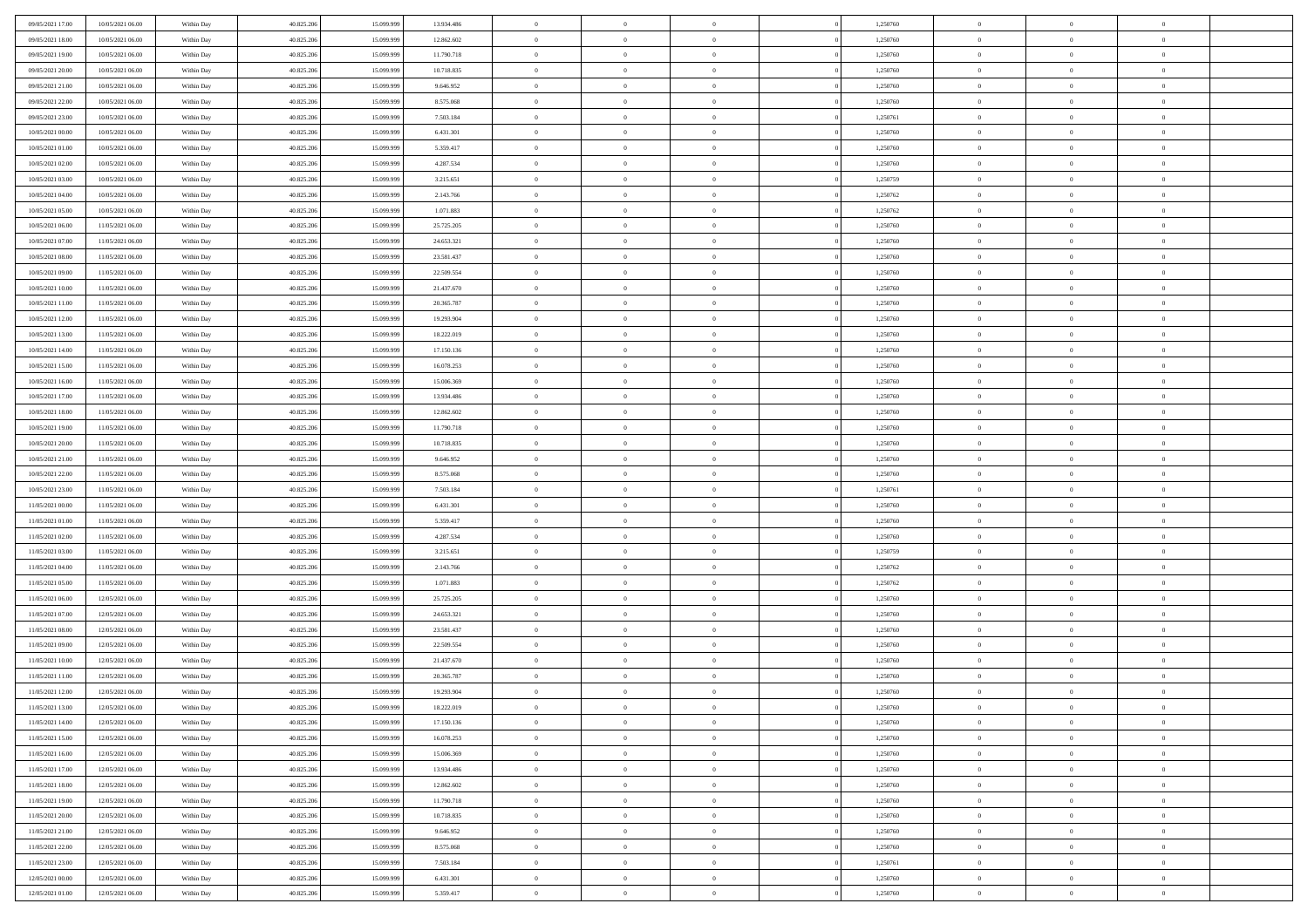| 09/05/2021 17:00 | 10/05/2021 06:00 | Within Day | 40.825.206 | 15.099.999 | 13.934.486 | $\bf{0}$                 | $\bf{0}$       | $\theta$       |          | 1,250760 | $\bf{0}$                 | $\overline{0}$ | $\,0\,$        |  |
|------------------|------------------|------------|------------|------------|------------|--------------------------|----------------|----------------|----------|----------|--------------------------|----------------|----------------|--|
| 09/05/2021 18:00 | 10/05/2021 06:00 | Within Day | 40.825.206 | 15.099.999 | 12.862.602 | $\overline{0}$           | $\overline{0}$ | $\overline{0}$ |          | 1,250760 | $\overline{0}$           | $\overline{0}$ | $\theta$       |  |
| 09/05/2021 19:00 | 10/05/2021 06:00 | Within Dav | 40.825.206 | 15.099.999 | 11.790.718 | $\mathbf{0}$             | $\overline{0}$ | $\overline{0}$ |          | 1,250760 | $\mathbf{0}$             | $\overline{0}$ | $\overline{0}$ |  |
| 09/05/2021 20:00 | 10/05/2021 06:00 | Within Day | 40.825.206 | 15.099.999 | 10.718.835 | $\bf{0}$                 | $\overline{0}$ | $\bf{0}$       |          | 1,250760 | $\bf{0}$                 | $\overline{0}$ | $\bf{0}$       |  |
| 09/05/2021 21:00 | 10/05/2021 06:00 | Within Day | 40.825.206 | 15.099.999 | 9.646.952  | $\bf{0}$                 | $\bf{0}$       | $\overline{0}$ |          | 1,250760 | $\bf{0}$                 | $\bf{0}$       | $\,0\,$        |  |
| 09/05/2021 22:00 | 10/05/2021 06:00 | Within Dav | 40.825.206 | 15.099.999 | 8.575.068  | $\mathbf{0}$             | $\overline{0}$ | $\overline{0}$ |          | 1,250760 | $\mathbf{0}$             | $\overline{0}$ | $\overline{0}$ |  |
|                  |                  |            |            |            |            | $\bf{0}$                 |                | $\overline{0}$ |          |          | $\bf{0}$                 | $\overline{0}$ | $\,0\,$        |  |
| 09/05/2021 23.00 | 10/05/2021 06:00 | Within Day | 40.825.206 | 15.099.999 | 7.503.184  |                          | $\bf{0}$       |                |          | 1,250761 |                          |                |                |  |
| 10/05/2021 00:00 | 10/05/2021 06:00 | Within Day | 40.825.206 | 15.099.999 | 6.431.301  | $\overline{0}$           | $\overline{0}$ | $\overline{0}$ |          | 1,250760 | $\,$ 0 $\,$              | $\overline{0}$ | $\overline{0}$ |  |
| 10/05/2021 01:00 | 10/05/2021 06:00 | Within Day | 40.825.206 | 15.099.999 | 5.359.417  | $\mathbf{0}$             | $\overline{0}$ | $\overline{0}$ |          | 1,250760 | $\mathbf{0}$             | $\overline{0}$ | $\overline{0}$ |  |
| 10/05/2021 02:00 | 10/05/2021 06:00 | Within Day | 40.825.206 | 15.099.999 | 4.287.534  | $\bf{0}$                 | $\bf{0}$       | $\overline{0}$ |          | 1,250760 | $\bf{0}$                 | $\overline{0}$ | $\,0\,$        |  |
| 10/05/2021 03:00 | 10/05/2021 06:00 | Within Day | 40.825.206 | 15,099,999 | 3.215.651  | $\bf{0}$                 | $\overline{0}$ | $\overline{0}$ |          | 1,250759 | $\bf{0}$                 | $\mathbf{0}$   | $\theta$       |  |
| 10/05/2021 04:00 | 10/05/2021 06:00 | Within Dav | 40.825.206 | 15.099.999 | 2.143.766  | $\mathbf{0}$             | $\overline{0}$ | $\overline{0}$ |          | 1,250762 | $\mathbf{0}$             | $\overline{0}$ | $\overline{0}$ |  |
| 10/05/2021 05:00 | 10/05/2021 06:00 | Within Day | 40.825.206 | 15.099.999 | 1.071.883  | $\bf{0}$                 | $\overline{0}$ | $\bf{0}$       |          | 1,250762 | $\bf{0}$                 | $\overline{0}$ | $\overline{0}$ |  |
| 10/05/2021 06:00 | 11/05/2021 06:00 | Within Day | 40.825.206 | 15.099.999 | 25.725.205 | $\bf{0}$                 | $\overline{0}$ | $\overline{0}$ |          | 1,250760 | $\bf{0}$                 | $\mathbf{0}$   | $\,0\,$        |  |
| 10/05/2021 07:00 | 11/05/2021 06:00 | Within Dav | 40.825.206 | 15.099.999 | 24.653.321 | $\overline{0}$           | $\overline{0}$ | $\overline{0}$ |          | 1,250760 | $\mathbf{0}$             | $\overline{0}$ | $\overline{0}$ |  |
| 10/05/2021 08:00 | 11/05/2021 06:00 | Within Day | 40.825.206 | 15.099.999 | 23.581.437 | $\bf{0}$                 | $\bf{0}$       | $\overline{0}$ |          | 1,250760 | $\bf{0}$                 | $\overline{0}$ | $\bf{0}$       |  |
| 10/05/2021 09:00 | 11/05/2021 06:00 | Within Day | 40.825.206 | 15.099.999 | 22.509.554 | $\overline{0}$           | $\overline{0}$ | $\overline{0}$ |          | 1,250760 | $\bf{0}$                 | $\overline{0}$ | $\theta$       |  |
| 10/05/2021 10:00 | 11/05/2021 06:00 | Within Day | 40.825.206 | 15.099.999 | 21.437.670 | $\mathbf{0}$             | $\overline{0}$ | $\overline{0}$ |          | 1,250760 | $\mathbf{0}$             | $\overline{0}$ | $\overline{0}$ |  |
| 10/05/2021 11:00 | 11/05/2021 06:00 | Within Day | 40.825.206 | 15.099.999 | 20.365.787 | $\bf{0}$                 | $\bf{0}$       | $\overline{0}$ |          | 1,250760 | $\bf{0}$                 | $\overline{0}$ | $\,0\,$        |  |
| 10/05/2021 12:00 | 11/05/2021 06:00 | Within Day | 40.825.206 | 15.099.999 | 19.293.904 | $\overline{0}$           | $\overline{0}$ | $\overline{0}$ |          | 1,250760 | $\bf{0}$                 | $\overline{0}$ | $\overline{0}$ |  |
| 10/05/2021 13:00 | 11/05/2021 06:00 | Within Dav | 40.825.206 | 15.099.999 | 18.222.019 | $\mathbf{0}$             | $\overline{0}$ | $\overline{0}$ |          | 1,250760 | $\mathbf{0}$             | $\overline{0}$ | $\overline{0}$ |  |
| 10/05/2021 14:00 | 11/05/2021 06:00 | Within Day | 40.825.206 | 15.099.999 | 17.150.136 | $\bf{0}$                 | $\overline{0}$ | $\bf{0}$       |          | 1,250760 | $\bf{0}$                 | $\overline{0}$ | $\bf{0}$       |  |
| 10/05/2021 15:00 | 11/05/2021 06:00 | Within Day | 40.825.206 | 15.099.999 | 16.078.253 | $\bf{0}$                 | $\bf{0}$       | $\overline{0}$ |          | 1,250760 | $\bf{0}$                 | $\overline{0}$ | $\,0\,$        |  |
| 10/05/2021 16:00 | 11/05/2021 06:00 | Within Dav | 40.825.206 | 15.099.999 | 15.006.369 | $\mathbf{0}$             | $\overline{0}$ | $\overline{0}$ |          | 1,250760 | $\mathbf{0}$             | $\overline{0}$ | $\overline{0}$ |  |
| 10/05/2021 17:00 | 11/05/2021 06:00 | Within Day | 40.825.206 | 15.099.999 | 13.934.486 | $\bf{0}$                 | $\bf{0}$       | $\overline{0}$ |          | 1,250760 | $\bf{0}$                 | $\overline{0}$ | $\,0\,$        |  |
| 10/05/2021 18:00 | 11/05/2021 06:00 | Within Day | 40.825.206 | 15.099.999 | 12.862.602 | $\overline{0}$           | $\overline{0}$ | $\overline{0}$ |          | 1,250760 | $\bf{0}$                 | $\overline{0}$ | $\overline{0}$ |  |
| 10/05/2021 19:00 | 11/05/2021 06:00 | Within Dav | 40.825.206 | 15.099.999 | 11.790.718 | $\mathbf{0}$             | $\overline{0}$ | $\overline{0}$ |          | 1,250760 | $\mathbf{0}$             | $\overline{0}$ | $\overline{0}$ |  |
| 10/05/2021 20:00 | 11/05/2021 06:00 |            | 40.825.206 | 15.099.999 | 10.718.835 | $\bf{0}$                 | $\bf{0}$       | $\overline{0}$ |          | 1,250760 | $\bf{0}$                 | $\overline{0}$ | $\,0\,$        |  |
|                  |                  | Within Day |            | 15,099,999 |            |                          |                |                |          |          |                          |                | $\overline{0}$ |  |
| 10/05/2021 21:00 | 11/05/2021 06:00 | Within Day | 40.825.206 |            | 9.646.952  | $\bf{0}$<br>$\mathbf{0}$ | $\bf{0}$       | $\overline{0}$ |          | 1,250760 | $\bf{0}$<br>$\mathbf{0}$ | $\overline{0}$ | $\overline{0}$ |  |
| 10/05/2021 22:00 | 11/05/2021 06:00 | Within Dav | 40.825.206 | 15.099.999 | 8.575.068  |                          | $\overline{0}$ | $\overline{0}$ |          | 1,250760 |                          | $\overline{0}$ |                |  |
| 10/05/2021 23:00 | 11/05/2021 06:00 | Within Day | 40.825.206 | 15.099.999 | 7.503.184  | $\bf{0}$                 | $\overline{0}$ | $\theta$       |          | 1,250761 | $\,$ 0                   | $\overline{0}$ | $\theta$       |  |
| 11/05/2021 00:00 | 11/05/2021 06:00 | Within Day | 40.825.206 | 15.099.999 | 6.431.301  | $\bf{0}$                 | $\bf{0}$       | $\overline{0}$ |          | 1,250760 | $\bf{0}$                 | $\mathbf{0}$   | $\bf{0}$       |  |
| 11/05/2021 01:00 | 11/05/2021 06:00 | Within Dav | 40.825.206 | 15.099.999 | 5.359.417  | $\mathbf{0}$             | $\overline{0}$ | $\overline{0}$ |          | 1,250760 | $\mathbf{0}$             | $\overline{0}$ | $\overline{0}$ |  |
| 11/05/2021 02:00 | 11/05/2021 06:00 | Within Day | 40.825.206 | 15.099.999 | 4.287.534  | $\bf{0}$                 | $\overline{0}$ | $\theta$       |          | 1,250760 | $\,$ 0                   | $\overline{0}$ | $\theta$       |  |
| 11/05/2021 03:00 | 11/05/2021 06:00 | Within Day | 40.825.206 | 15.099.999 | 3.215.651  | $\bf{0}$                 | $\overline{0}$ | $\overline{0}$ |          | 1,250759 | $\bf{0}$                 | $\overline{0}$ | $\overline{0}$ |  |
| 11/05/2021 04:00 | 11/05/2021 06:00 | Within Day | 40.825.206 | 15.099.999 | 2.143.766  | $\mathbf{0}$             | $\overline{0}$ | $\overline{0}$ |          | 1,250762 | $\mathbf{0}$             | $\overline{0}$ | $\overline{0}$ |  |
| 11/05/2021 05:00 | 11/05/2021 06:00 | Within Day | 40.825.206 | 15.099.999 | 1.071.883  | $\bf{0}$                 | $\overline{0}$ | $\theta$       |          | 1,250762 | $\,$ 0                   | $\overline{0}$ | $\theta$       |  |
| 11/05/2021 06:00 | 12/05/2021 06:00 | Within Day | 40.825.206 | 15.099.999 | 25.725.205 | $\bf{0}$                 | $\overline{0}$ | $\overline{0}$ |          | 1,250760 | $\bf{0}$                 | $\overline{0}$ | $\bf{0}$       |  |
| 11/05/2021 07:00 | 12/05/2021 06:00 | Within Dav | 40.825.206 | 15.099.999 | 24.653.321 | $\mathbf{0}$             | $\overline{0}$ | $\overline{0}$ |          | 1,250760 | $\mathbf{0}$             | $\overline{0}$ | $\overline{0}$ |  |
| 11/05/2021 08:00 | 12/05/2021 06:00 | Within Day | 40.825.206 | 15.099.999 | 23.581.437 | $\,0\,$                  | $\overline{0}$ | $\theta$       |          | 1,250760 | $\,$ 0                   | $\overline{0}$ | $\theta$       |  |
| 11/05/2021 09:00 | 12/05/2021 06:00 | Within Day | 40.825.206 | 15.099.999 | 22.509.554 | $\bf{0}$                 | $\bf{0}$       | $\overline{0}$ |          | 1,250760 | $\bf{0}$                 | $\overline{0}$ | $\bf{0}$       |  |
| 11/05/2021 10:00 | 12/05/2021 06:00 | Within Dav | 40.825.206 | 15.099.999 | 21.437.670 | $\mathbf{0}$             | $\overline{0}$ | $\overline{0}$ |          | 1,250760 | $\mathbf{0}$             | $\overline{0}$ | $\overline{0}$ |  |
| 11/05/2021 11:00 | 12/05/2021 06:00 | Within Day | 40.825.206 | 15.099.999 | 20.365.787 | $\bf{0}$                 | $\overline{0}$ | $\theta$       |          | 1,250760 | $\,$ 0                   | $\overline{0}$ | $\theta$       |  |
| 11/05/2021 12:00 | 12/05/2021 06:00 | Within Day | 40.825.206 | 15.099.999 | 19.293.904 | $\bf{0}$                 | $\overline{0}$ | $\overline{0}$ |          | 1,250760 | $\bf{0}$                 | $\overline{0}$ | $\bf{0}$       |  |
| 11/05/2021 13:00 | 12/05/2021 06:00 | Within Day | 40.825.206 | 15.099.999 | 18.222.019 | $\bf{0}$                 | $\overline{0}$ |                |          | 1,250760 | $\overline{0}$           | $\theta$       | $\theta$       |  |
| 11/05/2021 14:00 | 12/05/2021 06:00 | Within Day | 40.825.206 | 15.099.999 | 17.150.136 | $\,0\,$                  | $\overline{0}$ | $\theta$       |          | 1,250760 | $\,$ 0 $\,$              | $\bf{0}$       | $\theta$       |  |
| 11/05/2021 15:00 | 12/05/2021 06:00 | Within Day | 40.825.206 | 15.099.999 | 16.078.253 | $\overline{0}$           | $\overline{0}$ | $\overline{0}$ |          | 1,250760 | $\overline{0}$           | $\overline{0}$ | $\overline{0}$ |  |
| 11/05/2021 16:00 | 12/05/2021 06:00 | Within Day | 40.825.206 | 15.099.999 | 15.006.369 | $\bf{0}$                 | $\overline{0}$ | $\overline{0}$ |          | 1,250760 | $\overline{0}$           | $\bf{0}$       | $\overline{0}$ |  |
| 11/05/2021 17:00 | 12/05/2021 06:00 | Within Day | 40.825.206 | 15.099.999 | 13.934.486 | $\bf{0}$                 | $\overline{0}$ | $\overline{0}$ | $\theta$ | 1,250760 | $\,$ 0 $\,$              | $\bf{0}$       | $\,$ 0 $\,$    |  |
| 11/05/2021 18:00 | 12/05/2021 06:00 | Within Day | 40.825.206 | 15.099.999 | 12.862.602 | $\overline{0}$           | $\overline{0}$ | $\overline{0}$ |          | 1,250760 | $\,$ 0 $\,$              | $\overline{0}$ | $\overline{0}$ |  |
| 11/05/2021 19:00 | 12/05/2021 06:00 | Within Day | 40.825.206 | 15.099.999 | 11.790.718 | $\bf{0}$                 | $\overline{0}$ | $\overline{0}$ |          | 1,250760 | $\mathbf{0}$             | $\overline{0}$ | $\overline{0}$ |  |
| 11/05/2021 20:00 | 12/05/2021 06:00 | Within Day | 40.825.206 | 15.099.999 | 10.718.835 | $\,$ 0 $\,$              | $\overline{0}$ | $\overline{0}$ | $\theta$ | 1,250760 | $\,$ 0 $\,$              | $\mathbf{0}$   | $\,$ 0 $\,$    |  |
| 11/05/2021 21:00 | 12/05/2021 06:00 | Within Day | 40.825.206 | 15.099.999 | 9.646.952  | $\bf{0}$                 | $\overline{0}$ | $\overline{0}$ |          | 1,250760 | $\overline{0}$           | $\overline{0}$ | $\overline{0}$ |  |
| 11/05/2021 22:00 | 12/05/2021 06:00 | Within Day | 40.825.206 | 15.099.999 | 8.575.068  | $\bf{0}$                 | $\overline{0}$ | $\overline{0}$ |          | 1,250760 | $\overline{0}$           | $\bf{0}$       | $\overline{0}$ |  |
| 11/05/2021 23:00 | 12/05/2021 06:00 | Within Day | 40.825.206 | 15.099.999 | 7.503.184  | $\,$ 0 $\,$              | $\overline{0}$ | $\overline{0}$ |          | 1,250761 | $\,$ 0 $\,$              | $\mathbf{0}$   | $\,$ 0 $\,$    |  |
|                  |                  |            | 40.825.206 |            |            |                          |                |                |          |          |                          | $\overline{0}$ |                |  |
| 12/05/2021 00:00 | 12/05/2021 06:00 | Within Day |            | 15.099.999 | 6.431.301  | $\overline{0}$           | $\overline{0}$ | $\overline{0}$ |          | 1,250760 | $\mathbf{0}$             |                | $\overline{0}$ |  |
| 12/05/2021 01:00 | 12/05/2021 06:00 | Within Day | 40.825.206 | 15.099.999 | 5.359.417  | $\bf{0}$                 | $\overline{0}$ | $\overline{0}$ |          | 1,250760 | $\mathbf{0}$             | $\overline{0}$ | $\overline{0}$ |  |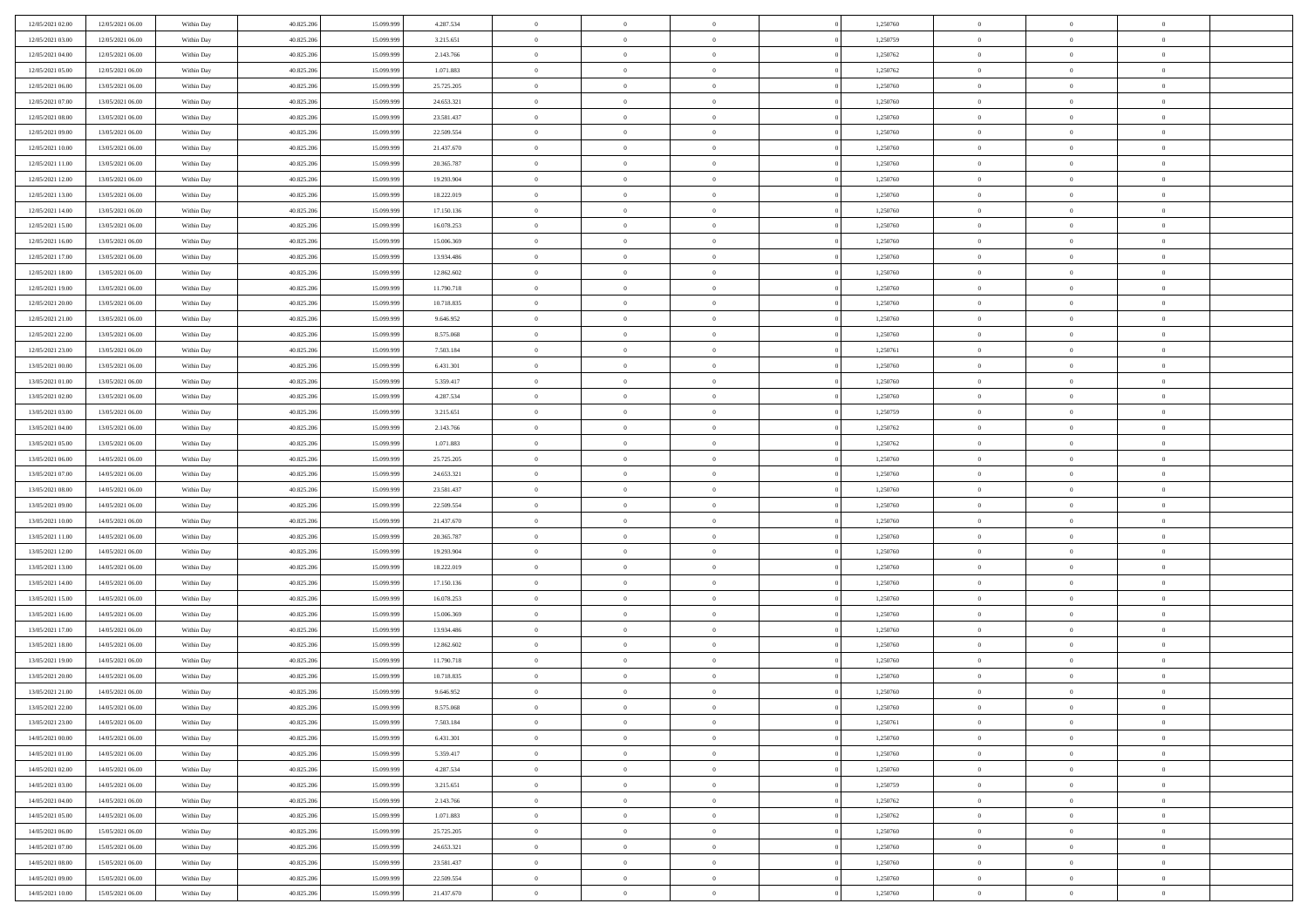| 12/05/2021 02:00 | 12/05/2021 06:00                     | Within Day | 40.825.206 | 15.099.999 | 4.287.534  | $\,$ 0 $\,$          | $\overline{0}$ | $\overline{0}$                   |          | 1,250760 | $\bf{0}$                 | $\overline{0}$             | $\,0\,$        |  |
|------------------|--------------------------------------|------------|------------|------------|------------|----------------------|----------------|----------------------------------|----------|----------|--------------------------|----------------------------|----------------|--|
| 12/05/2021 03:00 | 12/05/2021 06:00                     | Within Day | 40.825.206 | 15,099,999 | 3.215.651  | $\overline{0}$       | $\overline{0}$ | $\mathbf{0}$                     |          | 1,250759 | $\theta$                 | $\overline{0}$             | $\theta$       |  |
| 12/05/2021 04:00 | 12/05/2021 06:00                     | Within Day | 40.825.206 | 15.099.999 | 2.143.766  | $\theta$             | $\overline{0}$ | $\overline{0}$                   |          | 1,250762 | $\mathbf{0}$             | $\overline{0}$             | $\overline{0}$ |  |
| 12/05/2021 05:00 | 12/05/2021 06:00                     | Within Day | 40.825.206 | 15.099.999 | 1.071.883  | $\,$ 0 $\,$          | $\overline{0}$ | $\overline{0}$                   |          | 1,250762 | $\bf{0}$                 | $\overline{0}$             | $\bf{0}$       |  |
| 12/05/2021 06:00 | 13/05/2021 06:00                     | Within Day | 40.825.206 | 15.099.999 | 25.725.205 | $\,$ 0               | $\overline{0}$ | $\mathbf{0}$                     |          | 1,250760 | $\bf{0}$                 | $\bf{0}$                   | $\,0\,$        |  |
| 12/05/2021 07:00 | 13/05/2021 06:00                     | Within Day | 40.825.206 | 15.099.999 | 24.653.321 | $\theta$             | $\overline{0}$ | $\mathbf{0}$                     |          | 1,250760 | $\mathbf{0}$             | $\overline{0}$             | $\overline{0}$ |  |
| 12/05/2021 08:00 | 13/05/2021 06:00                     | Within Day | 40.825.206 | 15.099.999 | 23.581.437 | $\,$ 0 $\,$          | $\overline{0}$ | $\overline{0}$                   |          | 1,250760 | $\bf{0}$                 | $\overline{0}$             | $\bf{0}$       |  |
| 12/05/2021 09:00 | 13/05/2021 06:00                     | Within Day | 40.825.206 | 15.099.999 | 22.509.554 | $\overline{0}$       | $\overline{0}$ | $\mathbf{0}$                     |          | 1,250760 | $\,$ 0 $\,$              | $\overline{0}$             | $\overline{0}$ |  |
| 12/05/2021 10:00 | 13/05/2021 06:00                     | Within Day | 40.825.206 | 15.099.999 | 21.437.670 | $\theta$             | $\overline{0}$ | $\mathbf{0}$                     |          | 1,250760 | $\mathbf{0}$             | $\overline{0}$             | $\overline{0}$ |  |
|                  | 13/05/2021 06:00                     |            | 40.825.206 | 15.099.999 | 20.365.787 | $\,$ 0 $\,$          | $\overline{0}$ | $\Omega$                         |          | 1,250760 | $\bf{0}$                 | $\overline{0}$             | $\bf{0}$       |  |
| 12/05/2021 11:00 |                                      | Within Day |            | 15.099.999 |            |                      |                |                                  |          |          |                          | $\mathbf{0}$               | $\theta$       |  |
| 12/05/2021 12:00 | 13/05/2021 06:00                     | Within Day | 40.825.206 |            | 19.293.904 | $\bf{0}$<br>$\theta$ | $\overline{0}$ | $\mathbf{0}$                     |          | 1,250760 | $\bf{0}$<br>$\mathbf{0}$ |                            | $\overline{0}$ |  |
| 12/05/2021 13:00 | 13/05/2021 06:00                     | Within Day | 40.825.206 | 15.099.999 | 18.222.019 |                      | $\overline{0}$ | $\overline{0}$                   |          | 1,250760 |                          | $\overline{0}$             |                |  |
| 12/05/2021 14:00 | 13/05/2021 06:00                     | Within Day | 40.825.206 | 15.099.999 | 17.150.136 | $\,$ 0 $\,$          | $\overline{0}$ | $\overline{0}$                   |          | 1,250760 | $\bf{0}$                 | $\overline{0}$             | $\bf{0}$       |  |
| 12/05/2021 15:00 | 13/05/2021 06:00                     | Within Day | 40.825.206 | 15.099.999 | 16.078.253 | $\bf{0}$             | $\overline{0}$ | $\mathbf{0}$                     |          | 1,250760 | $\bf{0}$                 | $\theta$                   | $\,0\,$        |  |
| 12/05/2021 16:00 | 13/05/2021 06:00                     | Within Day | 40.825.206 | 15.099.999 | 15.006.369 | $\theta$             | $\overline{0}$ | $\overline{0}$                   |          | 1,250760 | $\mathbf{0}$             | $\overline{0}$             | $\overline{0}$ |  |
| 12/05/2021 17:00 | 13/05/2021 06:00                     | Within Day | 40.825.206 | 15.099.999 | 13.934.486 | $\,$ 0 $\,$          | $\overline{0}$ | $\Omega$                         |          | 1,250760 | $\bf{0}$                 | $\overline{0}$             | $\bf{0}$       |  |
| 12/05/2021 18:00 | 13/05/2021 06:00                     | Within Day | 40.825.206 | 15.099.999 | 12.862.602 | $\,$ 0 $\,$          | $\overline{0}$ | $\mathbf{0}$                     |          | 1,250760 | $\,$ 0 $\,$              | $\overline{0}$             | $\theta$       |  |
| 12/05/2021 19:00 | 13/05/2021 06:00                     | Within Day | 40.825.206 | 15.099.999 | 11.790.718 | $\theta$             | $\overline{0}$ | $\mathbf{0}$                     |          | 1,250760 | $\mathbf{0}$             | $\overline{0}$             | $\overline{0}$ |  |
| 12/05/2021 20:00 | 13/05/2021 06:00                     | Within Day | 40.825.206 | 15.099.999 | 10.718.835 | $\,$ 0 $\,$          | $\overline{0}$ | $\Omega$                         |          | 1,250760 | $\bf{0}$                 | $\overline{0}$             | $\,0\,$        |  |
| 12/05/2021 21:00 | 13/05/2021 06:00                     | Within Day | 40.825.206 | 15.099.999 | 9.646.952  | $\bf{0}$             | $\overline{0}$ | $\mathbf{0}$                     |          | 1,250760 | $\bf{0}$                 | $\overline{0}$             | $\theta$       |  |
| 12/05/2021 22:00 | 13/05/2021 06:00                     | Within Day | 40.825.206 | 15.099.999 | 8.575.068  | $\theta$             | $\overline{0}$ | $\overline{0}$                   |          | 1,250760 | $\mathbf{0}$             | $\overline{0}$             | $\overline{0}$ |  |
| 12/05/2021 23:00 | 13/05/2021 06:00                     | Within Day | 40.825.206 | 15.099.999 | 7.503.184  | $\,$ 0 $\,$          | $\overline{0}$ | $\overline{0}$                   |          | 1,250761 | $\bf{0}$                 | $\overline{0}$             | $\bf{0}$       |  |
| 13/05/2021 00:00 | 13/05/2021 06:00                     | Within Day | 40.825.206 | 15.099.999 | 6.431.301  | $\,$ 0               | $\overline{0}$ | $\mathbf{0}$                     |          | 1,250760 | $\bf{0}$                 | $\overline{0}$             | $\,0\,$        |  |
| 13/05/2021 01:00 | 13/05/2021 06:00                     | Within Day | 40.825.206 | 15.099.999 | 5.359.417  | $\theta$             | $\overline{0}$ | $\mathbf{0}$                     |          | 1,250760 | $\mathbf{0}$             | $\overline{0}$             | $\overline{0}$ |  |
| 13/05/2021 02:00 | 13/05/2021 06:00                     | Within Day | 40.825.206 | 15.099.999 | 4.287.534  | $\,$ 0 $\,$          | $\overline{0}$ | $\overline{0}$                   |          | 1,250760 | $\bf{0}$                 | $\overline{0}$             | $\bf{0}$       |  |
| 13/05/2021 03:00 | 13/05/2021 06:00                     | Within Day | 40.825.206 | 15.099.999 | 3.215.651  | $\,$ 0 $\,$          | $\overline{0}$ | $\mathbf{0}$                     |          | 1,250759 | $\mathbf{0}$             | $\overline{0}$             | $\theta$       |  |
| 13/05/2021 04:00 | 13/05/2021 06:00                     | Within Day | 40.825.206 | 15.099.999 | 2.143.766  | $\theta$             | $\overline{0}$ | $\mathbf{0}$                     |          | 1,250762 | $\mathbf{0}$             | $\overline{0}$             | $\overline{0}$ |  |
| 13/05/2021 05:00 | 13/05/2021 06:00                     | Within Day | 40.825.206 | 15.099.999 | 1.071.883  | $\,$ 0 $\,$          | $\overline{0}$ | $\Omega$                         |          | 1,250762 | $\bf{0}$                 | $\overline{0}$             | $\bf{0}$       |  |
| 13/05/2021 06:00 | 14/05/2021 06:00                     | Within Day | 40.825.206 | 15.099.999 | 25.725.205 | $\bf{0}$             | $\overline{0}$ | $\mathbf{0}$                     |          | 1,250760 | $\bf{0}$                 | $\mathbf{0}$               | $\overline{0}$ |  |
| 13/05/2021 07:00 | 14/05/2021 06:00                     | Within Day | 40.825.206 | 15.099.999 | 24.653.321 | $\theta$             | $\overline{0}$ | $\overline{0}$                   |          | 1,250760 | $\mathbf{0}$             | $\overline{0}$             | $\overline{0}$ |  |
| 13/05/2021 08:00 | 14/05/2021 06:00                     | Within Day | 40.825.206 | 15.099.999 | 23.581.437 | $\,$ 0 $\,$          | $\overline{0}$ | $\overline{0}$                   |          | 1,250760 | $\,$ 0                   | $\overline{0}$             | $\,$ 0 $\,$    |  |
| 13/05/2021 09:00 | 14/05/2021 06:00                     | Within Day | 40.825.206 | 15.099.999 | 22.509.554 | $\,$ 0               | $\overline{0}$ | $\mathbf{0}$                     |          | 1,250760 | $\bf{0}$                 | $\mathbf{0}$               | $\bf{0}$       |  |
| 13/05/2021 10:00 | 14/05/2021 06:00                     | Within Day | 40.825.206 | 15.099.999 | 21.437.670 | $\theta$             | $\overline{0}$ | $\overline{0}$                   |          | 1,250760 | $\mathbf{0}$             | $\overline{0}$             | $\overline{0}$ |  |
| 13/05/2021 11:00 | 14/05/2021 06:00                     | Within Day | 40.825.206 | 15.099.999 | 20.365.787 | $\theta$             | $\overline{0}$ | $\overline{0}$                   |          | 1,250760 | $\,$ 0                   | $\overline{0}$             | $\theta$       |  |
| 13/05/2021 12:00 | 14/05/2021 06:00                     | Within Day | 40.825.206 | 15.099.999 | 19.293.904 | $\bf{0}$             | $\overline{0}$ | $\mathbf{0}$                     |          | 1,250760 | $\mathbf{0}$             | $\overline{0}$             | $\overline{0}$ |  |
| 13/05/2021 13:00 | 14/05/2021 06:00                     | Within Day | 40.825.206 | 15.099.999 | 18.222.019 | $\theta$             | $\overline{0}$ | $\mathbf{0}$                     |          | 1,250760 | $\mathbf{0}$             | $\overline{0}$             | $\overline{0}$ |  |
| 13/05/2021 14:00 | 14/05/2021 06:00                     | Within Day | 40.825.206 | 15.099.999 | 17.150.136 | $\theta$             | $\overline{0}$ | $\overline{0}$                   |          | 1,250760 | $\,$ 0                   | $\overline{0}$             | $\theta$       |  |
| 13/05/2021 15:00 | 14/05/2021 06:00                     | Within Day | 40.825.206 | 15.099.999 | 16.078.253 | $\bf{0}$             | $\overline{0}$ | $\mathbf{0}$                     |          | 1,250760 | $\bf{0}$                 | $\mathbf{0}$               | $\bf{0}$       |  |
| 13/05/2021 16:00 | 14/05/2021 06:00                     | Within Day | 40.825.206 | 15.099.999 | 15.006.369 | $\theta$             | $\overline{0}$ | $\overline{0}$                   |          | 1,250760 | $\mathbf{0}$             | $\overline{0}$             | $\overline{0}$ |  |
| 13/05/2021 17:00 | 14/05/2021 06:00                     | Within Day | 40.825.206 | 15.099.999 | 13.934.486 | $\,$ 0 $\,$          | $\overline{0}$ | $\overline{0}$                   |          | 1,250760 | $\,$ 0                   | $\overline{0}$             | $\,$ 0 $\,$    |  |
| 13/05/2021 18:00 | 14/05/2021 06:00                     | Within Day | 40.825.206 | 15.099.999 | 12.862.602 | $\bf{0}$             | $\,$ 0 $\,$    | $\overline{0}$                   |          | 1,250760 | $\,$ 0 $\,$              | $\overline{0}$             | $\bf{0}$       |  |
| 13/05/2021 19:00 | 14/05/2021 06:00                     | Within Day | 40.825.206 | 15.099.999 | 11.790.718 | $\theta$             | $\overline{0}$ | $\mathbf{0}$                     |          | 1,250760 | $\mathbf{0}$             | $\overline{0}$             | $\theta$       |  |
| 13/05/2021 20:00 | 14/05/2021 06:00                     | Within Day | 40.825.206 | 15.099.999 | 10.718.835 | $\theta$             | $\overline{0}$ | $\overline{0}$                   |          | 1,250760 | $\,$ 0                   | $\overline{0}$             | $\theta$       |  |
| 13/05/2021 21:00 | 14/05/2021 06:00                     | Within Day | 40.825.206 | 15.099.999 | 9.646.952  | $\bf{0}$             | $\overline{0}$ | $\mathbf{0}$                     |          | 1,250760 | $\,$ 0 $\,$              | $\overline{0}$             | $\bf{0}$       |  |
| 13/05/2021 22:00 | 14/05/2021 06:00                     | Within Day | 40.825.206 | 15.099.999 | 8.575.068  | $\overline{0}$       | $\theta$       |                                  |          | 1,250760 | $\overline{0}$           | $\theta$                   | $\theta$       |  |
| 13/05/2021 23:00 | 14/05/2021 06:00                     | Within Day | 40.825.206 | 15.099.999 | 7.503.184  | $\,$ 0 $\,$          | $\overline{0}$ | $\overline{0}$                   |          | 1,250761 | $\,$ 0 $\,$              | $\bf{0}$                   | $\theta$       |  |
| 14/05/2021 00:00 | 14/05/2021 06:00                     | Within Day | 40.825.206 | 15.099.999 | 6.431.301  | $\overline{0}$       | $\,$ 0 $\,$    | $\overline{0}$                   |          | 1,250760 | $\,$ 0 $\,$              | $\overline{0}$             | $\overline{0}$ |  |
| 14/05/2021 01:00 | 14/05/2021 06:00                     | Within Day | 40.825.206 | 15.099.999 | 5.359.417  | $\mathbf{0}$         | $\overline{0}$ | $\overline{0}$                   |          | 1,250760 | $\,$ 0 $\,$              | $\bf{0}$                   | $\overline{0}$ |  |
| 14/05/2021 02:00 | 14/05/2021 06:00                     | Within Day | 40.825.206 | 15.099.999 | 4.287.534  | $\,$ 0 $\,$          | $\overline{0}$ | $\overline{0}$                   | $\theta$ | 1,250760 | $\,$ 0 $\,$              | $\bf{0}$                   | $\,$ 0 $\,$    |  |
| 14/05/2021 03:00 | 14/05/2021 06:00                     | Within Day | 40.825.206 | 15.099.999 | 3.215.651  | $\,$ 0 $\,$          | $\,$ 0 $\,$    | $\overline{0}$                   |          | 1,250759 | $\,$ 0 $\,$              | $\overline{0}$             | $\overline{0}$ |  |
| 14/05/2021 04:00 | 14/05/2021 06:00                     | Within Day | 40.825.206 | 15.099.999 | 2.143.766  | $\mathbf{0}$         | $\overline{0}$ | $\overline{0}$                   |          | 1,250762 | $\mathbf{0}$             | $\bf{0}$                   | $\overline{0}$ |  |
|                  |                                      |            |            |            |            |                      |                |                                  |          |          |                          |                            |                |  |
| 14/05/2021 05:00 | 14/05/2021 06:00                     | Within Day | 40.825.206 | 15.099.999 | 1.071.883  | $\,$ 0 $\,$          | $\overline{0}$ | $\overline{0}$<br>$\overline{0}$ |          | 1,250762 | $\,$ 0 $\,$              | $\bf{0}$<br>$\overline{0}$ | $\,$ 0 $\,$    |  |
| 14/05/2021 06:00 | 15/05/2021 06:00<br>15/05/2021 06:00 | Within Day | 40.825.206 | 15.099.999 | 25.725.205 | $\overline{0}$       | $\,$ 0 $\,$    |                                  |          | 1,250760 | $\,$ 0 $\,$              |                            | $\overline{0}$ |  |
| 14/05/2021 07:00 |                                      | Within Day | 40.825.206 | 15.099.999 | 24.653.321 | $\,$ 0 $\,$          | $\overline{0}$ | $\overline{0}$                   |          | 1,250760 | $\,$ 0 $\,$              | $\bf{0}$                   | $\overline{0}$ |  |
| 14/05/2021 08:00 | 15/05/2021 06:00                     | Within Day | 40.825.206 | 15.099.999 | 23.581.437 | $\,$ 0 $\,$          | $\overline{0}$ | $\overline{0}$                   |          | 1,250760 | $\,$ 0 $\,$              | $\mathbf{0}$               | $\,$ 0 $\,$    |  |
| 14/05/2021 09:00 | 15/05/2021 06:00                     | Within Day | 40.825.206 | 15.099.999 | 22.509.554 | $\,$ 0 $\,$          | $\,$ 0 $\,$    | $\overline{0}$                   |          | 1,250760 | $\,$ 0 $\,$              | $\overline{0}$             | $\overline{0}$ |  |
| 14/05/2021 10:00 | 15/05/2021 06:00                     | Within Day | 40.825.206 | 15.099.999 | 21.437.670 | $\theta$             | $\overline{0}$ | $\overline{0}$                   |          | 1,250760 | $\mathbf{0}$             | $\mathbf{0}$               | $\overline{0}$ |  |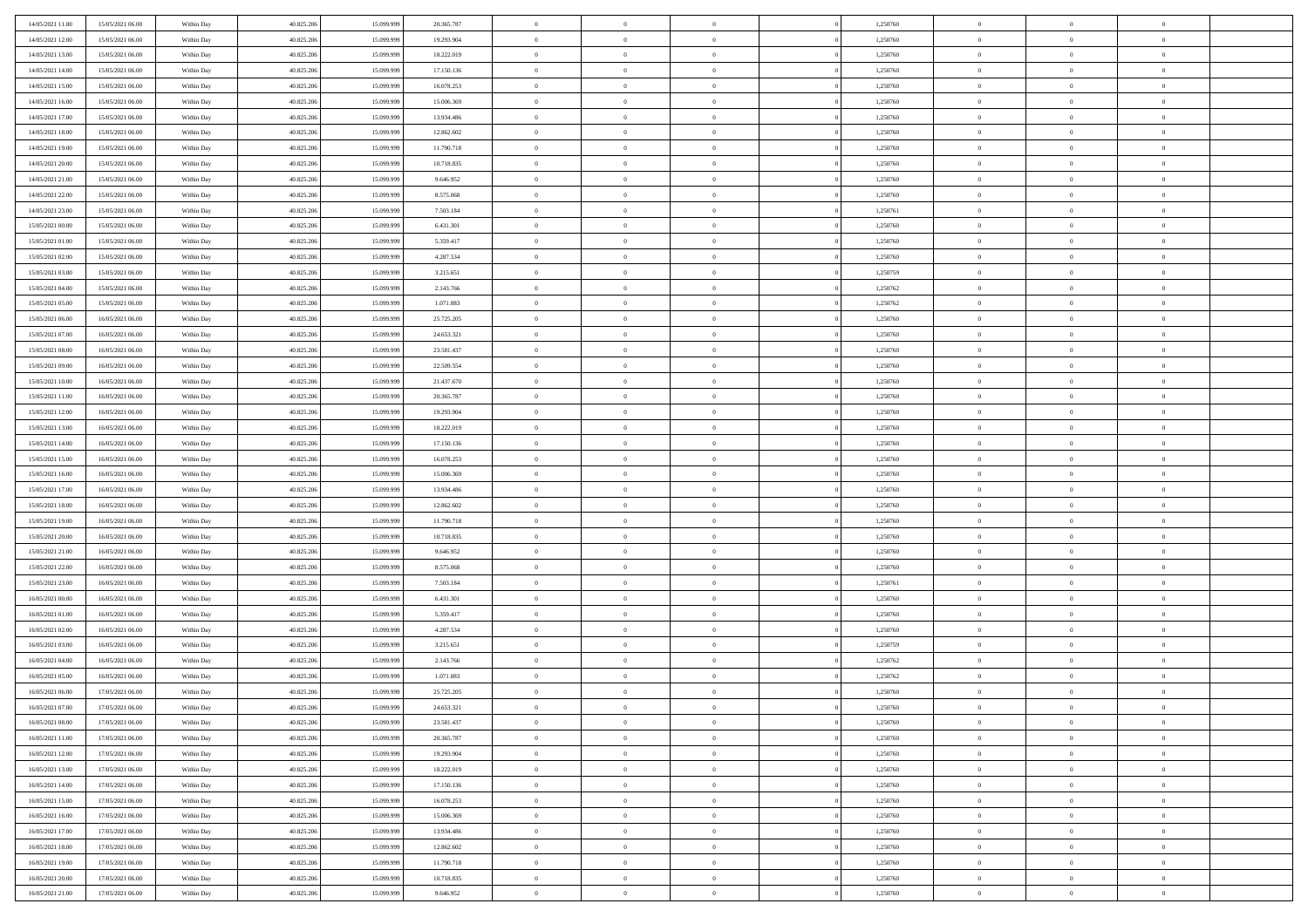| 14/05/2021 11:00                     | 15/05/2021 06:00                     | Within Day               | 40.825.206               | 15.099.999               | 20.365.787             | $\,$ 0 $\,$             | $\overline{0}$                   | $\overline{0}$                   | 1,250760             | $\bf{0}$              | $\overline{0}$                   | $\,0\,$                          |  |
|--------------------------------------|--------------------------------------|--------------------------|--------------------------|--------------------------|------------------------|-------------------------|----------------------------------|----------------------------------|----------------------|-----------------------|----------------------------------|----------------------------------|--|
| 14/05/2021 12:00                     | 15/05/2021 06:00                     | Within Day               | 40.825.206               | 15,099.99                | 19.293.904             | $\overline{0}$          | $\overline{0}$                   | $\mathbf{0}$                     | 1,250760             | $\theta$              | $\overline{0}$                   | $\theta$                         |  |
| 14/05/2021 13:00                     | 15/05/2021 06:00                     | Within Day               | 40.825.206               | 15.099.999               | 18.222.019             | $\theta$                | $\overline{0}$                   | $\overline{0}$                   | 1,250760             | $\mathbf{0}$          | $\overline{0}$                   | $\overline{0}$                   |  |
| 14/05/2021 14:00                     | 15/05/2021 06:00                     | Within Day               | 40.825.206               | 15.099.999               | 17.150.136             | $\,$ 0 $\,$             | $\overline{0}$                   | $\overline{0}$                   | 1,250760             | $\bf{0}$              | $\overline{0}$                   | $\bf{0}$                         |  |
| 14/05/2021 15:00                     | 15/05/2021 06:00                     | Within Day               | 40.825.206               | 15.099.999               | 16.078.253             | $\bf{0}$                | $\overline{0}$                   | $\mathbf{0}$                     | 1,250760             | $\bf{0}$              | $\theta$                         | $\,0\,$                          |  |
| 14/05/2021 16:00                     | 15/05/2021 06:00                     | Within Day               | 40.825.206               | 15.099.999               | 15.006.369             | $\theta$                | $\overline{0}$                   | $\mathbf{0}$                     | 1,250760             | $\mathbf{0}$          | $\overline{0}$                   | $\overline{0}$                   |  |
| 14/05/2021 17:00                     | 15/05/2021 06:00                     | Within Day               | 40.825.206               | 15.099.999               | 13.934.486             | $\,$ 0 $\,$             | $\overline{0}$                   | $\overline{0}$                   | 1,250760             | $\bf{0}$              | $\overline{0}$                   | $\bf{0}$                         |  |
| 14/05/2021 18:00                     | 15/05/2021 06:00                     | Within Day               | 40.825.206               | 15,099,999               | 12.862.602             | $\overline{0}$          | $\overline{0}$                   | $\mathbf{0}$                     | 1,250760             | $\,$ 0 $\,$           | $\overline{0}$                   | $\theta$                         |  |
| 14/05/2021 19:00                     | 15/05/2021 06:00                     | Within Day               | 40.825.206               | 15.099.999               | 11.790.718             | $\theta$                | $\overline{0}$                   | $\mathbf{0}$                     | 1,250760             | $\mathbf{0}$          | $\overline{0}$                   | $\overline{0}$                   |  |
| 14/05/2021 20:00                     | 15/05/2021 06:00                     | Within Day               | 40.825.206               | 15.099.999               | 10.718.835             | $\,$ 0 $\,$             | $\overline{0}$                   | $\Omega$                         | 1,250760             | $\bf{0}$              | $\overline{0}$                   | $\bf{0}$                         |  |
| 14/05/2021 21:00                     | 15/05/2021 06:00                     | Within Day               | 40.825.206               | 15.099.999               | 9.646.952              | $\bf{0}$                | $\overline{0}$                   | $\mathbf{0}$                     | 1,250760             | $\bf{0}$              | $\mathbf{0}$                     | $\theta$                         |  |
| 14/05/2021 22:00                     | 15/05/2021 06:00                     | Within Day               | 40.825.206               | 15.099.999               | 8.575.068              | $\theta$                | $\overline{0}$                   | $\overline{0}$                   | 1,250760             | $\mathbf{0}$          | $\overline{0}$                   | $\overline{0}$                   |  |
| 14/05/2021 23:00                     | 15/05/2021 06:00                     | Within Day               | 40.825.206               | 15.099.999               | 7.503.184              | $\,$ 0 $\,$             | $\overline{0}$                   | $\overline{0}$                   | 1,250761             | $\bf{0}$              | $\overline{0}$                   | $\bf{0}$                         |  |
| 15/05/2021 00:00                     | 15/05/2021 06:00                     | Within Day               | 40.825.206               | 15.099.999               | 6.431.301              | $\,$ 0                  | $\overline{0}$                   | $\mathbf{0}$                     | 1,250760             | $\bf{0}$              | $\theta$                         | $\,0\,$                          |  |
| 15/05/2021 01:00                     | 15/05/2021 06:00                     | Within Day               | 40.825.206               | 15.099.999               | 5.359.417              | $\theta$                | $\overline{0}$                   | $\mathbf{0}$                     | 1,250760             | $\mathbf{0}$          | $\overline{0}$                   | $\overline{0}$                   |  |
| 15/05/2021 02:00                     | 15/05/2021 06:00                     | Within Day               | 40.825.206               | 15.099.999               | 4.287.534              | $\,$ 0 $\,$             | $\overline{0}$                   | $\Omega$                         | 1,250760             | $\bf{0}$              | $\overline{0}$                   | $\bf{0}$                         |  |
| 15/05/2021 03:00                     | 15/05/2021 06:00                     | Within Day               | 40.825.206               | 15.099.999               | 3.215.651              | $\,$ 0 $\,$             | $\overline{0}$                   | $\mathbf{0}$                     | 1,250759             | $\bf{0}$              | $\overline{0}$                   | $\theta$                         |  |
| 15/05/2021 04:00                     | 15/05/2021 06:00                     | Within Day               | 40.825.206               | 15.099.999               | 2.143.766              | $\theta$                | $\overline{0}$                   | $\mathbf{0}$                     | 1,250762             | $\mathbf{0}$          | $\overline{0}$                   | $\overline{0}$                   |  |
| 15/05/2021 05:00                     | 15/05/2021 06:00                     | Within Day               | 40.825.206               | 15.099.999               | 1.071.883              | $\,$ 0 $\,$             | $\overline{0}$                   | $\Omega$                         | 1,250762             | $\bf{0}$              | $\overline{0}$                   | $\,0\,$                          |  |
| 15/05/2021 06:00                     | 16/05/2021 06:00                     | Within Day               | 40.825.206               | 15.099.999               | 25.725.205             | $\bf{0}$                | $\overline{0}$                   | $\mathbf{0}$                     | 1,250760             | $\bf{0}$              | $\mathbf{0}$                     | $\theta$                         |  |
| 15/05/2021 07:00                     | 16/05/2021 06:00                     | Within Day               | 40.825.206               | 15.099.999               | 24.653.321             | $\theta$                | $\overline{0}$                   | $\mathbf{0}$                     | 1,250760             | $\mathbf{0}$          | $\overline{0}$                   | $\overline{0}$                   |  |
| 15/05/2021 08:00                     | 16/05/2021 06:00                     | Within Day               | 40.825.206               | 15.099.999               | 23.581.437             | $\,$ 0 $\,$             | $\overline{0}$                   | $\overline{0}$                   | 1,250760             | $\bf{0}$              | $\overline{0}$                   | $\bf{0}$                         |  |
| 15/05/2021 09:00                     | 16/05/2021 06:00                     | Within Day               | 40.825.206               | 15.099.999               | 22.509.554             | $\,$ 0                  | $\overline{0}$                   | $\mathbf{0}$                     | 1,250760             | $\bf{0}$              | $\overline{0}$                   | $\,0\,$                          |  |
| 15/05/2021 10:00                     | 16/05/2021 06:00                     | Within Day               | 40.825.206               | 15.099.999               | 21.437.670             | $\theta$                | $\overline{0}$                   | $\mathbf{0}$                     | 1,250760             | $\mathbf{0}$          | $\overline{0}$                   | $\overline{0}$                   |  |
| 15/05/2021 11:00                     | 16/05/2021 06:00                     | Within Day               | 40.825.206               | 15.099.999               | 20.365.787             | $\,$ 0 $\,$             | $\overline{0}$                   | $\overline{0}$                   | 1,250760             | $\bf{0}$              | $\overline{0}$                   | $\bf{0}$                         |  |
| 15/05/2021 12:00                     | 16/05/2021 06:00                     | Within Day               | 40.825.206               | 15.099.999               | 19.293.904             | $\,$ 0                  | $\overline{0}$                   | $\mathbf{0}$                     | 1,250760             | $\bf{0}$              | $\overline{0}$                   | $\theta$                         |  |
| 15/05/2021 13:00                     | 16/05/2021 06:00                     | Within Day               | 40.825.206               | 15.099.999               | 18.222.019             | $\theta$                | $\overline{0}$                   | $\overline{0}$                   | 1,250760             | $\mathbf{0}$          | $\overline{0}$                   | $\overline{0}$                   |  |
| 15/05/2021 14:00                     | 16/05/2021 06:00                     | Within Day               | 40.825.206               | 15.099.999               | 17.150.136             | $\,$ 0 $\,$             | $\overline{0}$                   | $\Omega$                         | 1,250760             | $\bf{0}$              | $\overline{0}$                   | $\bf{0}$                         |  |
| 15/05/2021 15:00                     | 16/05/2021 06:00                     | Within Day               | 40.825.206               | 15,099,999               | 16.078.253             | $\bf{0}$                | $\overline{0}$                   | $\mathbf{0}$                     | 1,250760             | $\bf{0}$              | $\mathbf{0}$                     | $\overline{0}$                   |  |
| 15/05/2021 16:00                     | 16/05/2021 06:00                     | Within Day               | 40.825.206               | 15.099.999               | 15.006.369             | $\theta$                | $\overline{0}$                   | $\overline{0}$                   | 1,250760             | $\mathbf{0}$          | $\overline{0}$                   | $\overline{0}$                   |  |
| 15/05/2021 17:00                     | 16/05/2021 06:00                     | Within Day               | 40.825.206               | 15.099.999               | 13.934.486             | $\,$ 0 $\,$             | $\overline{0}$                   | $\overline{0}$                   | 1,250760             | $\,$ 0                | $\overline{0}$                   | $\,$ 0 $\,$                      |  |
| 15/05/2021 18:00                     | 16/05/2021 06:00                     | Within Day               | 40.825.206               | 15.099.999               | 12.862.602             | $\,$ 0                  | $\overline{0}$                   | $\mathbf{0}$                     | 1,250760             | $\bf{0}$              | $\mathbf{0}$                     | $\overline{0}$                   |  |
| 15/05/2021 19:00                     | 16/05/2021 06:00                     | Within Day               | 40.825.206               | 15.099.999               | 11.790.718             | $\theta$                | $\overline{0}$                   | $\mathbf{0}$                     | 1,250760             | $\mathbf{0}$          | $\overline{0}$                   | $\overline{0}$                   |  |
| 15/05/2021 20:00                     | 16/05/2021 06:00                     | Within Day               | 40.825.206               | 15.099.999               | 10.718.835             | $\theta$                | $\overline{0}$                   | $\overline{0}$                   | 1,250760             | $\,$ 0                | $\overline{0}$                   | $\theta$                         |  |
| 15/05/2021 21:00                     | 16/05/2021 06:00                     | Within Day               | 40.825.206               | 15.099.999               | 9.646.952              | $\bf{0}$                | $\overline{0}$                   | $\mathbf{0}$                     | 1,250760             | $\mathbf{0}$          | $\overline{0}$                   | $\overline{0}$                   |  |
| 15/05/2021 22:00                     | 16/05/2021 06:00                     | Within Day               | 40.825.206               | 15.099.999               | 8.575.068              | $\theta$                | $\overline{0}$                   | $\mathbf{0}$                     | 1,250760             | $\mathbf{0}$          | $\overline{0}$                   | $\overline{0}$                   |  |
| 15/05/2021 23:00                     | 16/05/2021 06:00                     | Within Day               | 40.825.206               | 15.099.999<br>15.099.999 | 7.503.184              | $\theta$<br>$\bf{0}$    | $\overline{0}$                   | $\overline{0}$<br>$\mathbf{0}$   | 1,250761             | $\,$ 0<br>$\bf{0}$    | $\overline{0}$<br>$\mathbf{0}$   | $\theta$                         |  |
| 16/05/2021 00:00<br>16/05/2021 01:00 | 16/05/2021 06:00<br>16/05/2021 06:00 | Within Day<br>Within Day | 40.825.206<br>40.825.206 | 15.099.999               | 6.431.301<br>5.359.417 | $\theta$                | $\overline{0}$<br>$\overline{0}$ | $\overline{0}$                   | 1,250760<br>1,250760 | $\mathbf{0}$          | $\overline{0}$                   | $\overline{0}$<br>$\overline{0}$ |  |
|                                      |                                      |                          |                          |                          |                        |                         |                                  |                                  |                      |                       |                                  |                                  |  |
| 16/05/2021 02:00<br>16/05/2021 03:00 | 16/05/2021 06:00<br>16/05/2021 06:00 | Within Day<br>Within Day | 40.825.206<br>40.825.206 | 15.099.999<br>15.099.999 | 4.287.534<br>3.215.651 | $\,$ 0 $\,$<br>$\bf{0}$ | $\overline{0}$<br>$\,$ 0 $\,$    | $\overline{0}$<br>$\overline{0}$ | 1,250760<br>1,250759 | $\,$ 0<br>$\,$ 0 $\,$ | $\overline{0}$<br>$\overline{0}$ | $\,$ 0 $\,$<br>$\overline{0}$    |  |
| 16/05/2021 04:00                     | 16/05/2021 06:00                     | Within Day               | 40.825.206               | 15.099.999               | 2.143.766              | $\theta$                | $\overline{0}$                   | $\mathbf{0}$                     | 1,250762             | $\mathbf{0}$          | $\overline{0}$                   | $\overline{0}$                   |  |
| 16/05/2021 05:00                     | 16/05/2021 06:00                     | Within Day               | 40.825.206               | 15.099.999               | 1.071.883              | $\overline{0}$          | $\overline{0}$                   | $\overline{0}$                   | 1,250762             | $\,$ 0                | $\overline{0}$                   | $\theta$                         |  |
| 16/05/2021 06:00                     | 17/05/2021 06:00                     | Within Day               | 40.825.206               | 15.099.999               | 25.725.205             | $\bf{0}$                | $\overline{0}$                   | $\mathbf{0}$                     | 1,250760             | $\,$ 0 $\,$           | $\overline{0}$                   | $\overline{0}$                   |  |
| 16/05/2021 07:00                     | 17/05/2021 06:00                     | Within Day               | 40.825.206               | 15.099.999               | 24.653.321             | $\overline{0}$          | $\theta$                         |                                  | 1,250760             | $\overline{0}$        | $^{\circ}$                       | $\theta$                         |  |
| 16/05/2021 08:00                     | 17/05/2021 06:00                     | Within Day               | 40.825.206               | 15.099.999               | 23.581.437             | $\,$ 0 $\,$             | $\overline{0}$                   | $\overline{0}$                   | 1,250760             | $\,$ 0 $\,$           | $\bf{0}$                         | $\theta$                         |  |
| 16/05/2021 11:00                     | 17/05/2021 06:00                     | Within Day               | 40.825.206               | 15.099.999               | 20.365.787             | $\sim$ 0                | $\,$ 0 $\,$                      | $\overline{0}$                   | 1,250760             | $\,$ 0 $\,$           | $\overline{0}$                   | $\overline{0}$                   |  |
| 16/05/2021 12:00                     | 17/05/2021 06:00                     | Within Day               | 40.825.206               | 15.099.999               | 19.293.904             | $\overline{0}$          | $\overline{0}$                   | $\overline{0}$                   | 1,250760             | $\,$ 0 $\,$           | $\bf{0}$                         | $\overline{0}$                   |  |
| 16/05/2021 13:00                     | 17/05/2021 06:00                     | Within Day               | 40.825.206               | 15.099.999               | 18.222.019             | $\,$ 0 $\,$             | $\overline{0}$                   | $\overline{0}$                   | 1,250760             | $\,$ 0 $\,$           | $\bf{0}$                         | $\,$ 0 $\,$                      |  |
| 16/05/2021 14:00                     | 17/05/2021 06:00                     | Within Day               | 40.825.206               | 15.099.999               | 17.150.136             | $\,$ 0 $\,$             | $\,$ 0 $\,$                      | $\overline{0}$                   | 1,250760             | $\,$ 0 $\,$           | $\overline{0}$                   | $\overline{0}$                   |  |
| 16/05/2021 15:00                     | 17/05/2021 06:00                     | Within Day               | 40.825.206               | 15.099.999               | 16.078.253             | $\overline{0}$          | $\overline{0}$                   | $\overline{0}$                   | 1,250760             | $\mathbf{0}$          | $\bf{0}$                         | $\overline{0}$                   |  |
| 16/05/2021 16:00                     | 17/05/2021 06:00                     | Within Day               | 40.825.206               | 15.099.999               | 15.006.369             | $\,$ 0 $\,$             | $\overline{0}$                   | $\overline{0}$                   | 1,250760             | $\,$ 0 $\,$           | $\bf{0}$                         | $\,$ 0 $\,$                      |  |
| 16/05/2021 17:00                     | 17/05/2021 06:00                     | Within Day               | 40.825.206               | 15.099.999               | 13.934.486             | $\overline{0}$          | $\,$ 0 $\,$                      | $\overline{0}$                   | 1,250760             | $\,$ 0 $\,$           | $\overline{0}$                   | $\overline{0}$                   |  |
| 16/05/2021 18:00                     | 17/05/2021 06:00                     | Within Day               | 40.825.206               | 15.099.999               | 12.862.602             | $\mathbf{0}$            | $\overline{0}$                   | $\overline{0}$                   | 1,250760             | $\,$ 0 $\,$           | $\bf{0}$                         | $\overline{0}$                   |  |
| 16/05/2021 19:00                     | 17/05/2021 06:00                     | Within Day               | 40.825.206               | 15.099.999               | 11.790.718             | $\,$ 0 $\,$             | $\overline{0}$                   | $\overline{0}$                   | 1,250760             | $\,$ 0 $\,$           | $\overline{0}$                   | $\,$ 0 $\,$                      |  |
| 16/05/2021 20:00                     | 17/05/2021 06:00                     | Within Day               | 40.825.206               | 15.099.999               | 10.718.835             | $\,$ 0 $\,$             | $\,$ 0 $\,$                      | $\overline{0}$                   | 1,250760             | $\,$ 0 $\,$           | $\overline{0}$                   | $\overline{0}$                   |  |
| 16/05/2021 21:00                     | 17/05/2021 06:00                     | Within Day               | 40.825.206               | 15.099.999               | 9.646.952              | $\theta$                | $\overline{0}$                   | $\overline{0}$                   | 1,250760             | $\mathbf{0}$          | $\mathbf{0}$                     | $\overline{0}$                   |  |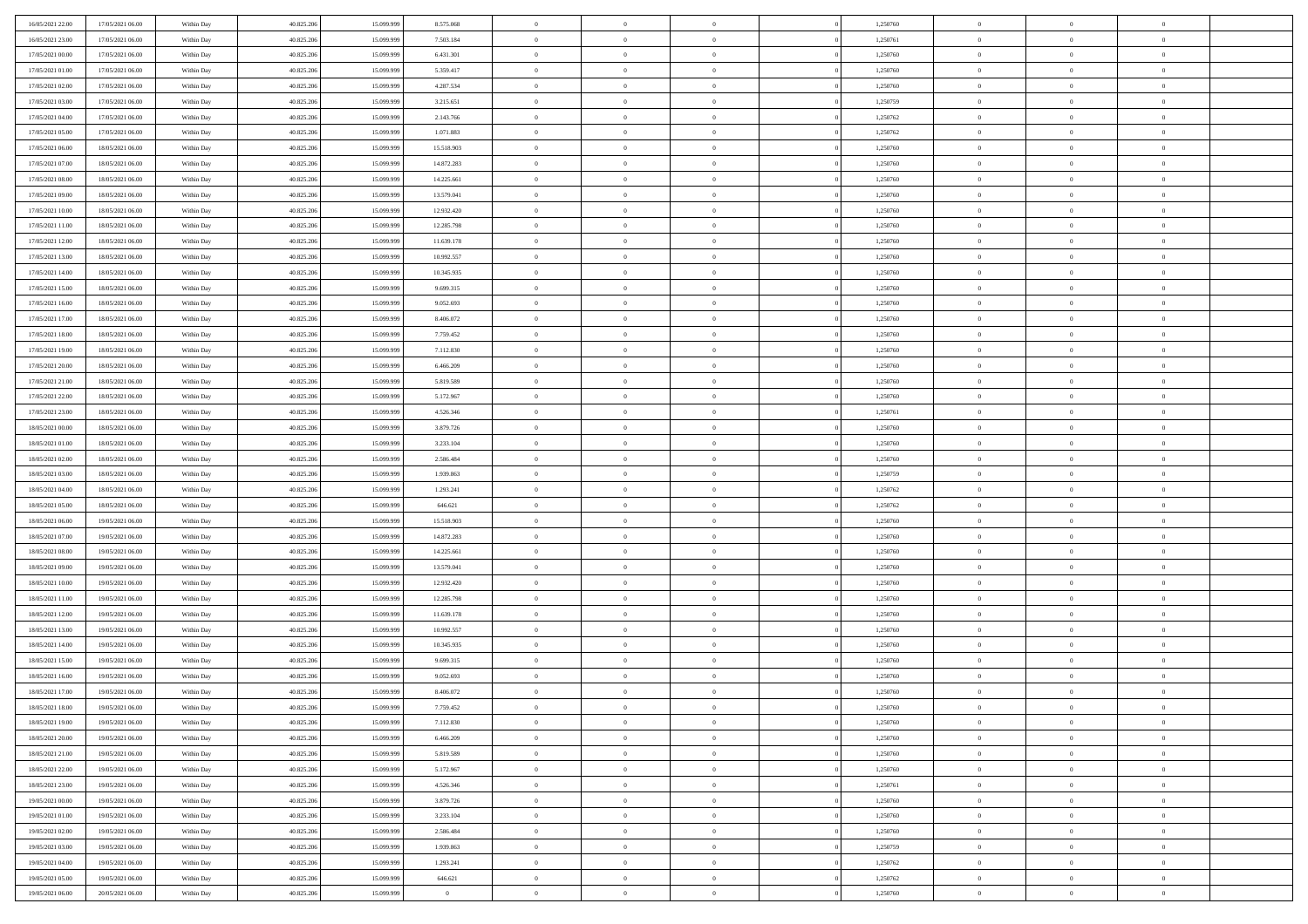| 16/05/2021 22:00                     | 17/05/2021 06:00                     | Within Day               | 40.825.206               | 15.099.999               | 8.575.068                | $\bf{0}$                      | $\overline{0}$                   | $\Omega$                         | 1,250760             | $\bf{0}$                 | $\overline{0}$             | $\bf{0}$                  |  |
|--------------------------------------|--------------------------------------|--------------------------|--------------------------|--------------------------|--------------------------|-------------------------------|----------------------------------|----------------------------------|----------------------|--------------------------|----------------------------|---------------------------|--|
| 16/05/2021 23:00                     | 17/05/2021 06:00                     | Within Day               | 40.825.206               | 15.099.999               | 7.503.184                | $\overline{0}$                | $\overline{0}$                   | $\overline{0}$                   | 1,250761             | $\mathbf{0}$             | $\bf{0}$                   | $\overline{0}$            |  |
| 17/05/2021 00:00                     | 17/05/2021 06:00                     | Within Day               | 40.825.206               | 15.099.999               | 6.431.301                | $\theta$                      | $\overline{0}$                   | $\overline{0}$                   | 1,250760             | $\,$ 0                   | $\overline{0}$             | $\,$ 0 $\,$               |  |
| 17/05/2021 01:00                     | 17/05/2021 06:00                     | Within Day               | 40.825.206               | 15.099.999               | 5.359.417                | $\mathbf{0}$                  | $\overline{0}$                   | $\mathbf{0}$                     | 1,250760             | $\bf{0}$                 | $\mathbf{0}$               | $\theta$                  |  |
| 17/05/2021 02:00                     | 17/05/2021 06:00                     | Within Day               | 40.825.206               | 15.099.999               | 4.287.534                | $\mathbf{0}$                  | $\overline{0}$                   | $\overline{0}$                   | 1,250760             | $\mathbf{0}$             | $\bf{0}$                   | $\overline{0}$            |  |
| 17/05/2021 03:00                     | 17/05/2021 06:00                     | Within Day               | 40.825.206               | 15.099.999               | 3.215.651                | $\theta$                      | $\overline{0}$                   | $\bf{0}$                         | 1,250759             | $\,$ 0                   | $\overline{0}$             | $\,$ 0 $\,$               |  |
| 17/05/2021 04:00                     | 17/05/2021 06:00                     | Within Day               | 40.825.206               | 15.099.999               | 2.143.766                | $\,$ 0 $\,$                   | $\overline{0}$                   | $\mathbf{0}$                     | 1,250762             | $\bf{0}$                 | $\bf{0}$                   | $\theta$                  |  |
| 17/05/2021 05:00                     | 17/05/2021 06:00                     | Within Day               | 40.825.206               | 15.099.999               | 1.071.883                | $\overline{0}$                | $\overline{0}$                   | $\overline{0}$                   | 1,250762             | $\mathbf{0}$             | $\bf{0}$                   | $\overline{0}$            |  |
| 17/05/2021 06:00                     | 18/05/2021 06:00                     | Within Day               | 40.825.206               | 15.099.999               | 15.518.903               | $\theta$                      | $\overline{0}$                   | $\bf{0}$                         | 1,250760             | $\,$ 0                   | $\overline{0}$             | $\,$ 0 $\,$               |  |
| 17/05/2021 07:00                     | 18/05/2021 06:00                     | Within Day               | 40.825.206               | 15.099.999               | 14.872.283               | $\mathbf{0}$                  | $\overline{0}$                   | $\mathbf{0}$                     | 1,250760             | $\bf{0}$                 | $\mathbf{0}$               | $\theta$                  |  |
| 17/05/2021 08:00                     | 18/05/2021 06:00                     | Within Day               | 40.825.206               | 15.099.999               | 14.225.661               | $\mathbf{0}$                  | $\overline{0}$                   | $\overline{0}$                   | 1,250760             | $\mathbf{0}$             | $\bf{0}$                   | $\overline{0}$            |  |
| 17/05/2021 09:00                     | 18/05/2021 06:00                     | Within Day               | 40.825.206               | 15.099.999               | 13.579.041               | $\theta$                      | $\overline{0}$                   | $\bf{0}$                         | 1,250760             | $\,$ 0                   | $\overline{0}$             | $\,$ 0 $\,$               |  |
| 17/05/2021 10:00                     | 18/05/2021 06:00                     | Within Day               | 40.825.206               | 15.099.999               | 12.932.420               | $\theta$                      | $\overline{0}$                   | $\mathbf{0}$                     | 1,250760             | $\bf{0}$                 | $\mathbf{0}$               | $\theta$                  |  |
| 17/05/2021 11:00                     | 18/05/2021 06:00                     | Within Day               | 40.825.206               | 15.099.999               | 12.285.798               | $\mathbf{0}$                  | $\overline{0}$                   | $\overline{0}$                   | 1,250760             | $\mathbf{0}$             | $\bf{0}$                   | $\overline{0}$            |  |
| 17/05/2021 12:00                     | 18/05/2021 06:00                     | Within Day               | 40.825.206               | 15.099.999               | 11.639.178               | $\theta$                      | $\overline{0}$                   | $\bf{0}$                         | 1,250760             | $\,$ 0                   | $\overline{0}$             | $\,$ 0 $\,$               |  |
| 17/05/2021 13:00                     | 18/05/2021 06:00                     | Within Day               | 40.825.206               | 15.099.999               | 10.992.557               | $\bf{0}$                      | $\overline{0}$                   | $\mathbf{0}$                     | 1,250760             | $\bf{0}$                 | $\bf{0}$                   | $\bf{0}$                  |  |
| 17/05/2021 14:00                     | 18/05/2021 06:00                     | Within Day               | 40.825.206               | 15.099.999               | 10.345.935               | $\overline{0}$                | $\overline{0}$                   | $\overline{0}$                   | 1,250760             | $\mathbf{0}$             | $\bf{0}$                   | $\overline{0}$            |  |
| 17/05/2021 15:00                     | 18/05/2021 06:00                     | Within Day               | 40.825.206               | 15.099.999               | 9.699.315                | $\theta$                      | $\overline{0}$                   | $\bf{0}$                         | 1,250760             | $\,$ 0                   | $\overline{0}$             | $\,$ 0 $\,$               |  |
| 17/05/2021 16:00                     | 18/05/2021 06:00                     | Within Day               | 40.825.206               | 15.099.999               | 9.052.693                | $\theta$                      | $\overline{0}$                   | $\mathbf{0}$                     | 1.250760             | $\theta$                 | $\mathbf{0}$               | $\theta$                  |  |
| 17/05/2021 17:00                     | 18/05/2021 06:00                     | Within Day               | 40.825.206               | 15.099.999               | 8.406.072                | $\overline{0}$                | $\overline{0}$                   | $\overline{0}$                   | 1,250760             | $\mathbf{0}$             | $\bf{0}$                   | $\overline{0}$            |  |
| 17/05/2021 18:00                     | 18/05/2021 06:00                     | Within Day               | 40.825.206               | 15.099.999               | 7.759.452                | $\theta$                      | $\overline{0}$                   | $\bf{0}$                         | 1,250760             | $\,$ 0                   | $\overline{0}$             | $\,$ 0 $\,$               |  |
| 17/05/2021 19:00                     | 18/05/2021 06:00                     | Within Day               | 40.825.206               | 15.099.999               | 7.112.830                | $\theta$                      | $\overline{0}$                   | $\mathbf{0}$                     | 1,250760             | $\bf{0}$                 | $\mathbf{0}$               | $\theta$                  |  |
| 17/05/2021 20:00                     | 18/05/2021 06:00                     | Within Day               | 40.825.206               | 15.099.999               | 6.466.209                | $\mathbf{0}$                  | $\overline{0}$                   | $\overline{0}$                   | 1,250760             | $\mathbf{0}$             | $\bf{0}$                   | $\overline{0}$            |  |
| 17/05/2021 21:00                     | 18/05/2021 06:00                     | Within Day               | 40.825.206               | 15.099.999               | 5.819.589                | $\theta$                      | $\overline{0}$                   | $\bf{0}$                         | 1,250760             | $\,$ 0                   | $\overline{0}$             | $\,$ 0 $\,$               |  |
| 17/05/2021 22:00                     | 18/05/2021 06:00                     | Within Day               | 40.825.206               | 15.099.999               | 5.172.967                | $\bf{0}$                      | $\overline{0}$                   | $\mathbf{0}$                     | 1,250760             | $\bf{0}$                 | $\bf{0}$                   | $\bf{0}$                  |  |
| 17/05/2021 23:00                     | 18/05/2021 06:00                     | Within Day               | 40.825.206               | 15.099.999               | 4.526.346                | $\overline{0}$                | $\overline{0}$                   | $\overline{0}$                   | 1,250761             | $\mathbf{0}$             | $\bf{0}$                   | $\overline{0}$            |  |
| 18/05/2021 00:00                     | 18/05/2021 06:00                     | Within Day               | 40.825.206               | 15.099.999               | 3.879.726                | $\theta$                      | $\overline{0}$                   | $\bf{0}$                         | 1,250760             | $\,$ 0                   | $\overline{0}$             | $\,$ 0 $\,$               |  |
| 18/05/2021 01:00                     | 18/05/2021 06:00                     | Within Day               | 40.825.206               | 15.099.999               | 3.233.104                | $\mathbf{0}$                  | $\overline{0}$                   | $\mathbf{0}$                     | 1,250760             | $\bf{0}$                 | $\mathbf{0}$               | $\theta$                  |  |
| 18/05/2021 02:00                     | 18/05/2021 06:00                     | Within Day               | 40.825.206               | 15.099.999               | 2.586.484                | $\mathbf{0}$                  | $\overline{0}$                   | $\overline{0}$                   | 1,250760             | $\mathbf{0}$             | $\bf{0}$                   | $\overline{0}$            |  |
| 18/05/2021 03:00                     | 18/05/2021 06:00                     | Within Day               | 40.825.206               | 15.099.999               | 1.939.863                | $\theta$                      | $\overline{0}$                   | $\overline{0}$                   | 1,250759             | $\,$ 0                   | $\overline{0}$             | $\,$ 0 $\,$               |  |
| 18/05/2021 04:00                     | 18/05/2021 06:00                     | Within Day               | 40.825.206               | 15.099.999               | 1.293.241                | $\,$ 0 $\,$                   | $\overline{0}$                   | $\overline{0}$                   | 1,250762             | $\bf{0}$                 | $\overline{0}$             | $\,0\,$                   |  |
| 18/05/2021 05:00                     | 18/05/2021 06:00                     | Within Day               | 40.825.206               | 15.099.999               | 646.621                  | $\overline{0}$                | $\overline{0}$                   | $\overline{0}$                   | 1,250762             | $\mathbf{0}$             | $\bf{0}$                   | $\overline{0}$            |  |
| 18/05/2021 06:00                     | 19/05/2021 06:00                     | Within Day               | 40.825.206               | 15.099.999               | 15.518.903               | $\theta$                      | $\overline{0}$                   | $\bf{0}$                         | 1,250760             | $\,$ 0                   | $\overline{0}$             | $\,$ 0 $\,$               |  |
| 18/05/2021 07:00                     | 19/05/2021 06:00                     | Within Day               | 40.825.206               | 15.099.999               | 14.872.283               | $\,$ 0 $\,$                   | $\overline{0}$                   | $\overline{0}$                   | 1,250760             | $\bf{0}$                 | $\overline{0}$             | $\bf{0}$                  |  |
| 18/05/2021 08:00                     | 19/05/2021 06:00                     | Within Day               | 40.825.206               | 15.099.999               | 14.225.661               | $\theta$                      | $\overline{0}$                   | $\overline{0}$                   | 1,250760             | $\mathbf{0}$             | $\bf{0}$                   | $\overline{0}$            |  |
| 18/05/2021 09:00                     | 19/05/2021 06:00                     | Within Day               | 40.825.206               | 15.099.999               | 13.579.041               | $\theta$                      | $\overline{0}$                   | $\bf{0}$                         | 1,250760             | $\,$ 0                   | $\overline{0}$             | $\,$ 0 $\,$               |  |
| 18/05/2021 10:00<br>18/05/2021 11:00 | 19/05/2021 06:00<br>19/05/2021 06:00 | Within Day<br>Within Day | 40.825.206<br>40.825.206 | 15.099.999<br>15.099.999 | 12.932.420<br>12.285.798 | $\,$ 0 $\,$<br>$\overline{0}$ | $\overline{0}$<br>$\overline{0}$ | $\overline{0}$<br>$\overline{0}$ | 1,250760<br>1,250760 | $\bf{0}$<br>$\mathbf{0}$ | $\overline{0}$<br>$\bf{0}$ | $\,0\,$<br>$\overline{0}$ |  |
| 18/05/2021 12:00                     | 19/05/2021 06:00                     |                          | 40.825.206               | 15.099.999               | 11.639.178               | $\theta$                      | $\overline{0}$                   | $\bf{0}$                         | 1,250760             | $\,$ 0                   | $\overline{0}$             | $\,$ 0 $\,$               |  |
|                                      |                                      | Within Day               |                          |                          |                          | $\,$ 0 $\,$                   |                                  | $\overline{0}$                   |                      | $\bf{0}$                 | $\overline{0}$             | $\,0\,$                   |  |
| 18/05/2021 13:00<br>18/05/2021 14:00 | 19/05/2021 06:00<br>19/05/2021 06:00 | Within Day<br>Within Day | 40.825.206<br>40.825.206 | 15.099.999<br>15.099.999 | 10.992.557<br>10.345.935 | $\theta$                      | $\overline{0}$<br>$\overline{0}$ | $\overline{0}$                   | 1,250760<br>1,250760 | $\mathbf{0}$             | $\bf{0}$                   | $\overline{0}$            |  |
| 18/05/2021 15:00                     | 19/05/2021 06:00                     | Within Day               | 40.825.206               | 15.099.999               | 9.699.315                | $\theta$                      | $\overline{0}$                   | $\bf{0}$                         | 1,250760             | $\,$ 0                   | $\overline{0}$             | $\,$ 0 $\,$               |  |
| 18/05/2021 16:00                     | 19/05/2021 06:00                     | Within Day               | 40.825.206               | 15.099.999               | 9.052.693                | $\,$ 0 $\,$                   | $\overline{0}$                   | $\overline{0}$                   | 1,250760             | $\bf{0}$                 | $\overline{0}$             | $\,0\,$                   |  |
| 18/05/2021 17:00                     | 19/05/2021 06:00                     | Within Dav               | 40.825.206               | 15.099.999               | 8.406.072                | $\theta$                      | $\overline{0}$                   | $\overline{0}$                   | 1,250760             | $\mathbf{0}$             | $\bf{0}$                   | $\overline{0}$            |  |
| 18/05/2021 18:00                     | 19/05/2021 06:00                     | Within Day               | 40.825.206               | 15.099.999               | 7.759.452                | $\overline{0}$                | $\overline{0}$                   | $\overline{0}$                   | 1,250760             | $\overline{0}$           | $\overline{0}$             | $\theta$                  |  |
| 18/05/2021 19:00                     | 19/05/2021 06:00                     | Within Day               | 40.825.206               | 15.099.999               | 7.112.830                | $\bf{0}$                      | $\overline{0}$                   | $\overline{0}$                   | 1,250760             | $\mathbf{0}$             | $\overline{0}$             | $\bf{0}$                  |  |
| 18/05/2021 20:00                     | 19/05/2021 06:00                     | Within Day               | 40.825.206               | 15.099.999               | 6.466.209                | $\overline{0}$                | $\overline{0}$                   | $\overline{0}$                   | 1,250760             | $\overline{0}$           | $\overline{0}$             | $\overline{0}$            |  |
| 18/05/2021 21:00                     | 19/05/2021 06:00                     | Within Day               | 40.825.206               | 15.099.999               | 5.819.589                | $\,$ 0 $\,$                   | $\overline{0}$                   | $\overline{0}$                   | 1,250760             | $\,$ 0 $\,$              | $\,$ 0 $\,$                | $\,$ 0 $\,$               |  |
| 18/05/2021 22:00                     | 19/05/2021 06:00                     | Within Day               | 40.825.206               | 15.099.999               | 5.172.967                | $\bf{0}$                      | $\overline{0}$                   | $\overline{0}$                   | 1,250760             | $\mathbf{0}$             | $\overline{0}$             | $\bf{0}$                  |  |
| 18/05/2021 23:00                     | 19/05/2021 06:00                     | Within Day               | 40.825.206               | 15.099.999               | 4.526.346                | $\mathbf{0}$                  | $\overline{0}$                   | $\overline{0}$                   | 1,250761             | $\,$ 0 $\,$              | $\bf{0}$                   | $\overline{0}$            |  |
| 19/05/2021 00:00                     | 19/05/2021 06:00                     | Within Day               | 40.825.206               | 15.099.999               | 3.879.726                | $\,$ 0                        | $\overline{0}$                   | $\overline{0}$                   | 1,250760             | $\,$ 0 $\,$              | $\overline{0}$             | $\,$ 0 $\,$               |  |
| 19/05/2021 01:00                     | 19/05/2021 06:00                     | Within Day               | 40.825.206               | 15.099.999               | 3.233.104                | $\bf{0}$                      | $\overline{0}$                   | $\overline{0}$                   | 1,250760             | $\overline{0}$           | $\overline{0}$             | $\overline{0}$            |  |
| 19/05/2021 02:00                     | 19/05/2021 06:00                     | Within Day               | 40.825.206               | 15.099.999               | 2.586.484                | $\,$ 0 $\,$                   | $\overline{0}$                   | $\overline{0}$                   | 1,250760             | $\,$ 0 $\,$              | $\bf{0}$                   | $\overline{0}$            |  |
| 19/05/2021 03:00                     | 19/05/2021 06:00                     | Within Day               | 40.825.206               | 15.099.999               | 1.939.863                | $\,$ 0                        | $\overline{0}$                   | $\overline{0}$                   | 1,250759             | $\,$ 0 $\,$              | $\,$ 0 $\,$                | $\,$ 0 $\,$               |  |
| 19/05/2021 04:00                     | 19/05/2021 06:00                     | Within Day               | 40.825.206               | 15.099.999               | 1.293.241                | $\bf{0}$                      | $\overline{0}$                   | $\overline{0}$                   | 1,250762             | $\mathbf{0}$             | $\overline{0}$             | $\bf{0}$                  |  |
| 19/05/2021 05:00                     | 19/05/2021 06:00                     | Within Day               | 40.825.206               | 15.099.999               | 646.621                  | $\mathbf{0}$                  | $\overline{0}$                   | $\overline{0}$                   | 1,250762             | $\overline{0}$           | $\bf{0}$                   | $\overline{0}$            |  |
| 19/05/2021 06:00                     | 20/05/2021 06:00                     | Within Day               | 40.825.206               | 15.099.999               | $\overline{0}$           | $\,$ 0 $\,$                   | $\overline{0}$                   | $\overline{0}$                   | 1,250760             | $\,$ 0 $\,$              | $\overline{0}$             | $\,$ 0 $\,$               |  |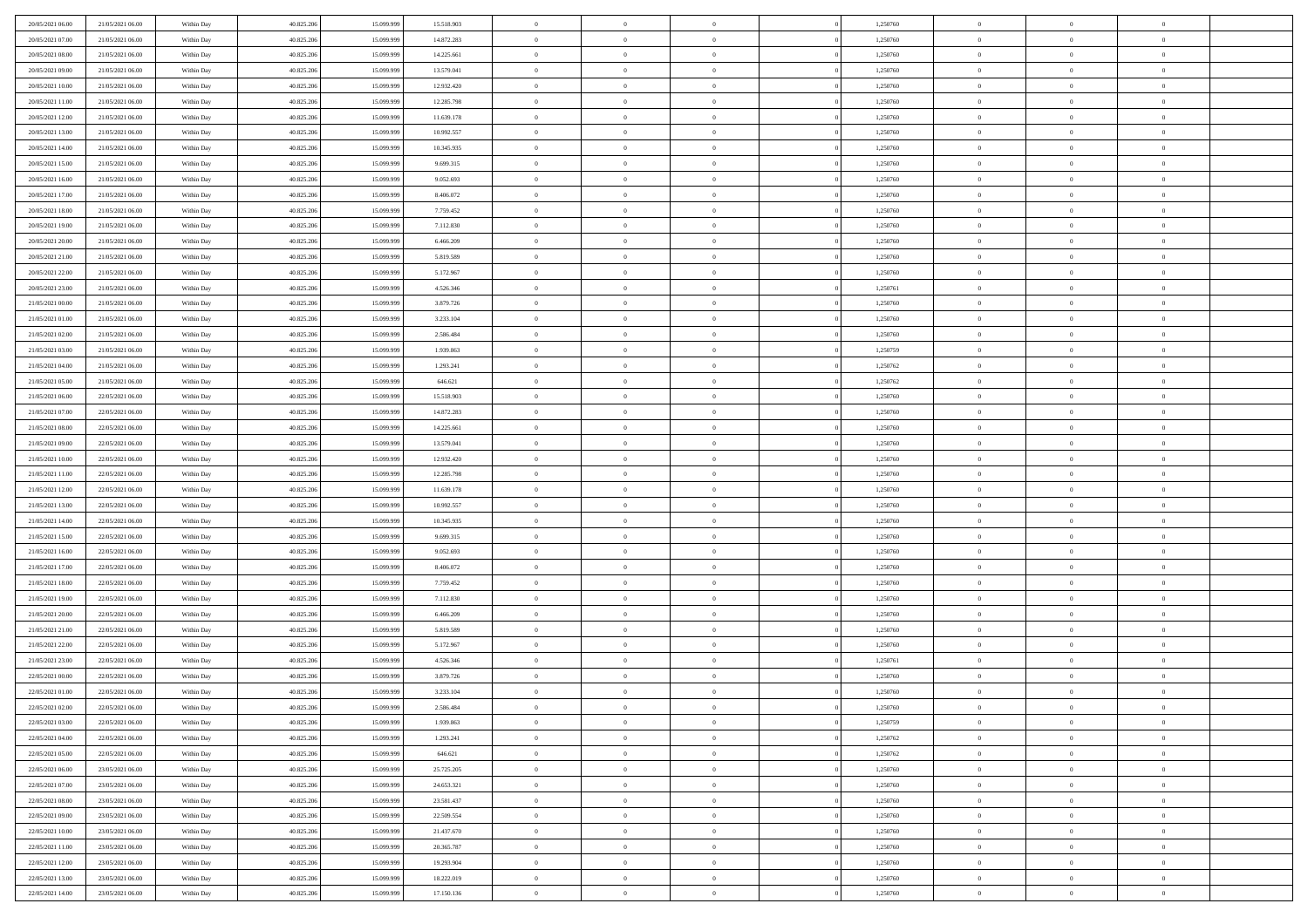| 20/05/2021 06:00 | 21/05/2021 06:00 | Within Day | 40.825.206 | 15.099.999 | 15.518.903 | $\,$ 0         | $\bf{0}$       | $\theta$       |          | 1,250760 | $\bf{0}$       | $\overline{0}$ | $\,0\,$        |  |
|------------------|------------------|------------|------------|------------|------------|----------------|----------------|----------------|----------|----------|----------------|----------------|----------------|--|
| 20/05/2021 07:00 | 21/05/2021 06:00 | Within Day | 40.825.206 | 15.099.999 | 14.872.283 | $\overline{0}$ | $\overline{0}$ | $\overline{0}$ |          | 1,250760 | $\overline{0}$ | $\overline{0}$ | $\theta$       |  |
| 20/05/2021 08:00 | 21/05/2021 06:00 | Within Dav | 40.825.206 | 15.099.999 | 14.225.661 | $\mathbf{0}$   | $\overline{0}$ | $\overline{0}$ |          | 1,250760 | $\mathbf{0}$   | $\overline{0}$ | $\overline{0}$ |  |
| 20/05/2021 09:00 | 21/05/2021 06:00 | Within Day | 40.825.206 | 15.099.999 | 13.579.041 | $\bf{0}$       | $\overline{0}$ | $\bf{0}$       |          | 1,250760 | $\bf{0}$       | $\overline{0}$ | $\bf{0}$       |  |
| 20/05/2021 10:00 | 21/05/2021 06:00 | Within Day | 40.825.206 | 15.099.999 | 12.932.420 | $\bf{0}$       | $\bf{0}$       | $\overline{0}$ |          | 1,250760 | $\bf{0}$       | $\bf{0}$       | $\,0\,$        |  |
| 20/05/2021 11:00 | 21/05/2021 06:00 | Within Dav | 40.825.206 | 15.099.999 | 12.285.798 | $\mathbf{0}$   | $\overline{0}$ | $\overline{0}$ |          | 1,250760 | $\mathbf{0}$   | $\overline{0}$ | $\overline{0}$ |  |
|                  |                  |            |            |            |            | $\bf{0}$       |                | $\overline{0}$ |          |          | $\bf{0}$       | $\overline{0}$ | $\,0\,$        |  |
| 20/05/2021 12:00 | 21/05/2021 06:00 | Within Day | 40.825.206 | 15.099.999 | 11.639.178 |                | $\bf{0}$       |                |          | 1,250760 |                |                |                |  |
| 20/05/2021 13:00 | 21/05/2021 06:00 | Within Day | 40.825.206 | 15.099.999 | 10.992.557 | $\overline{0}$ | $\overline{0}$ | $\overline{0}$ |          | 1,250760 | $\,$ 0 $\,$    | $\overline{0}$ | $\theta$       |  |
| 20/05/2021 14:00 | 21/05/2021 06:00 | Within Dav | 40.825.206 | 15.099.999 | 10.345.935 | $\mathbf{0}$   | $\overline{0}$ | $\overline{0}$ |          | 1,250760 | $\mathbf{0}$   | $\overline{0}$ | $\overline{0}$ |  |
| 20/05/2021 15:00 | 21/05/2021 06:00 | Within Day | 40.825.206 | 15.099.999 | 9.699.315  | $\bf{0}$       | $\bf{0}$       | $\overline{0}$ |          | 1,250760 | $\bf{0}$       | $\overline{0}$ | $\,0\,$        |  |
| 20/05/2021 16:00 | 21/05/2021 06:00 | Within Day | 40.825.206 | 15,099,999 | 9.052.693  | $\bf{0}$       | $\overline{0}$ | $\overline{0}$ |          | 1,250760 | $\bf{0}$       | $\mathbf{0}$   | $\theta$       |  |
| 20/05/2021 17:00 | 21/05/2021 06:00 | Within Dav | 40.825.206 | 15.099.999 | 8.406.072  | $\mathbf{0}$   | $\overline{0}$ | $\overline{0}$ |          | 1,250760 | $\mathbf{0}$   | $\overline{0}$ | $\overline{0}$ |  |
| 20/05/2021 18:00 | 21/05/2021 06:00 | Within Day | 40.825.206 | 15.099.999 | 7.759.452  | $\bf{0}$       | $\overline{0}$ | $\bf{0}$       |          | 1,250760 | $\bf{0}$       | $\overline{0}$ | $\bf{0}$       |  |
| 20/05/2021 19:00 | 21/05/2021 06:00 | Within Day | 40.825.206 | 15.099.999 | 7.112.830  | $\bf{0}$       | $\overline{0}$ | $\overline{0}$ |          | 1,250760 | $\bf{0}$       | $\mathbf{0}$   | $\,0\,$        |  |
| 20/05/2021 20:00 | 21/05/2021 06:00 | Within Dav | 40.825.206 | 15.099.999 | 6.466.209  | $\overline{0}$ | $\overline{0}$ | $\overline{0}$ |          | 1,250760 | $\mathbf{0}$   | $\overline{0}$ | $\overline{0}$ |  |
| 20/05/2021 21:00 | 21/05/2021 06:00 | Within Day | 40.825.206 | 15.099.999 | 5.819.589  | $\bf{0}$       | $\overline{0}$ | $\overline{0}$ |          | 1,250760 | $\bf{0}$       | $\overline{0}$ | $\bf{0}$       |  |
| 20/05/2021 22:00 | 21/05/2021 06:00 | Within Day | 40.825.206 | 15.099.999 | 5.172.967  | $\overline{0}$ | $\overline{0}$ | $\overline{0}$ |          | 1,250760 | $\bf{0}$       | $\overline{0}$ | $\theta$       |  |
| 20/05/2021 23:00 | 21/05/2021 06:00 | Within Day | 40.825.206 | 15.099.999 | 4.526.346  | $\mathbf{0}$   | $\overline{0}$ | $\overline{0}$ |          | 1,250761 | $\mathbf{0}$   | $\overline{0}$ | $\overline{0}$ |  |
| 21/05/2021 00:00 | 21/05/2021 06:00 | Within Day | 40.825.206 | 15.099.999 | 3.879.726  | $\bf{0}$       | $\overline{0}$ | $\overline{0}$ |          | 1,250760 | $\bf{0}$       | $\overline{0}$ | $\,0\,$        |  |
| 21/05/2021 01:00 | 21/05/2021 06:00 | Within Day | 40.825.206 | 15.099.999 | 3.233.104  | $\bf{0}$       | $\overline{0}$ | $\overline{0}$ |          | 1,250760 | $\bf{0}$       | $\overline{0}$ | $\overline{0}$ |  |
| 21/05/2021 02:00 | 21/05/2021 06:00 | Within Dav | 40.825.206 | 15.099.999 | 2.586.484  | $\mathbf{0}$   | $\overline{0}$ | $\overline{0}$ |          | 1,250760 | $\mathbf{0}$   | $\overline{0}$ | $\overline{0}$ |  |
| 21/05/2021 03:00 | 21/05/2021 06:00 | Within Day | 40.825.206 | 15.099.999 | 1.939.863  | $\bf{0}$       | $\overline{0}$ | $\overline{0}$ |          | 1,250759 | $\bf{0}$       | $\overline{0}$ | $\bf{0}$       |  |
| 21/05/2021 04:00 | 21/05/2021 06:00 | Within Day | 40.825.206 | 15.099.999 | 1.293.241  | $\bf{0}$       | $\overline{0}$ | $\overline{0}$ |          | 1,250762 | $\bf{0}$       | $\overline{0}$ | $\,0\,$        |  |
| 21/05/2021 05:00 | 21/05/2021 06:00 | Within Dav | 40.825.206 | 15.099.999 | 646.621    | $\mathbf{0}$   | $\overline{0}$ | $\overline{0}$ |          | 1,250762 | $\mathbf{0}$   | $\overline{0}$ | $\overline{0}$ |  |
| 21/05/2021 06:00 | 22/05/2021 06:00 | Within Day | 40.825.206 | 15.099.999 | 15.518.903 | $\bf{0}$       | $\overline{0}$ | $\overline{0}$ |          | 1,250760 | $\bf{0}$       | $\overline{0}$ | $\,0\,$        |  |
| 21/05/2021 07:00 | 22/05/2021 06:00 | Within Day | 40.825.206 | 15.099.999 | 14.872.283 | $\bf{0}$       | $\overline{0}$ | $\overline{0}$ |          | 1,250760 | $\bf{0}$       | $\mathbf{0}$   | $\overline{0}$ |  |
| 21/05/2021 08:00 | 22/05/2021 06:00 | Within Dav | 40.825.206 | 15.099.999 | 14.225.661 | $\mathbf{0}$   | $\overline{0}$ | $\overline{0}$ |          | 1,250760 | $\mathbf{0}$   | $\overline{0}$ | $\overline{0}$ |  |
| 21/05/2021 09:00 | 22/05/2021 06:00 |            | 40.825.206 | 15.099.999 | 13.579.041 | $\bf{0}$       | $\overline{0}$ | $\overline{0}$ |          | 1,250760 | $\bf{0}$       | $\overline{0}$ | $\,0\,$        |  |
|                  |                  | Within Day |            | 15.099.999 |            |                |                |                |          |          |                |                |                |  |
| 21/05/2021 10:00 | 22/05/2021 06:00 | Within Day | 40.825.206 |            | 12.932.420 | $\bf{0}$       | $\overline{0}$ | $\overline{0}$ |          | 1,250760 | $\bf{0}$       | $\overline{0}$ | $\overline{0}$ |  |
| 21/05/2021 11:00 | 22/05/2021 06:00 | Within Dav | 40.825.206 | 15.099.999 | 12.285.798 | $\mathbf{0}$   | $\overline{0}$ | $\overline{0}$ |          | 1,250760 | $\mathbf{0}$   | $\overline{0}$ | $\overline{0}$ |  |
| 21/05/2021 12:00 | 22/05/2021 06:00 | Within Day | 40.825.206 | 15.099.999 | 11.639.178 | $\bf{0}$       | $\overline{0}$ | $\theta$       |          | 1,250760 | $\,$ 0         | $\overline{0}$ | $\theta$       |  |
| 21/05/2021 13:00 | 22/05/2021 06:00 | Within Day | 40.825.206 | 15.099.999 | 10.992.557 | $\bf{0}$       | $\overline{0}$ | $\overline{0}$ |          | 1,250760 | $\bf{0}$       | $\overline{0}$ | $\overline{0}$ |  |
| 21/05/2021 14:00 | 22/05/2021 06:00 | Within Dav | 40.825.206 | 15.099.999 | 10.345.935 | $\mathbf{0}$   | $\overline{0}$ | $\overline{0}$ |          | 1,250760 | $\mathbf{0}$   | $\overline{0}$ | $\overline{0}$ |  |
| 21/05/2021 15:00 | 22/05/2021 06:00 | Within Day | 40.825.206 | 15.099.999 | 9.699.315  | $\bf{0}$       | $\overline{0}$ | $\theta$       |          | 1,250760 | $\,$ 0         | $\overline{0}$ | $\theta$       |  |
| 21/05/2021 16:00 | 22/05/2021 06:00 | Within Day | 40.825.206 | 15.099.999 | 9.052.693  | $\bf{0}$       | $\overline{0}$ | $\overline{0}$ |          | 1,250760 | $\bf{0}$       | $\overline{0}$ | $\overline{0}$ |  |
| 21/05/2021 17:00 | 22/05/2021 06:00 | Within Day | 40.825.206 | 15.099.999 | 8.406.072  | $\mathbf{0}$   | $\overline{0}$ | $\overline{0}$ |          | 1,250760 | $\mathbf{0}$   | $\overline{0}$ | $\overline{0}$ |  |
| 21/05/2021 18:00 | 22/05/2021 06:00 | Within Day | 40.825.206 | 15.099.999 | 7.759.452  | $\bf{0}$       | $\overline{0}$ | $\theta$       |          | 1,250760 | $\,$ 0         | $\overline{0}$ | $\theta$       |  |
| 21/05/2021 19:00 | 22/05/2021 06:00 | Within Day | 40.825.206 | 15.099.999 | 7.112.830  | $\bf{0}$       | $\overline{0}$ | $\overline{0}$ |          | 1,250760 | $\bf{0}$       | $\overline{0}$ | $\overline{0}$ |  |
| 21/05/2021 20:00 | 22/05/2021 06:00 | Within Dav | 40.825.206 | 15.099.999 | 6.466.209  | $\mathbf{0}$   | $\overline{0}$ | $\overline{0}$ |          | 1,250760 | $\mathbf{0}$   | $\overline{0}$ | $\overline{0}$ |  |
| 21/05/2021 21:00 | 22/05/2021 06:00 | Within Day | 40.825.206 | 15.099.999 | 5.819.589  | $\,0\,$        | $\overline{0}$ | $\theta$       |          | 1,250760 | $\,$ 0         | $\overline{0}$ | $\theta$       |  |
| 21/05/2021 22:00 | 22/05/2021 06:00 | Within Day | 40.825.206 | 15.099.999 | 5.172.967  | $\bf{0}$       | $\bf{0}$       | $\overline{0}$ |          | 1,250760 | $\bf{0}$       | $\overline{0}$ | $\overline{0}$ |  |
| 21/05/2021 23:00 | 22/05/2021 06:00 | Within Dav | 40.825.206 | 15.099.999 | 4.526.346  | $\mathbf{0}$   | $\overline{0}$ | $\overline{0}$ |          | 1,250761 | $\mathbf{0}$   | $\overline{0}$ | $\overline{0}$ |  |
| 22/05/2021 00:00 | 22/05/2021 06:00 | Within Day | 40.825.206 | 15.099.999 | 3.879.726  | $\bf{0}$       | $\overline{0}$ | $\theta$       |          | 1,250760 | $\,$ 0         | $\overline{0}$ | $\theta$       |  |
| 22/05/2021 01:00 | 22/05/2021 06:00 | Within Day | 40.825.206 | 15.099.999 | 3.233.104  | $\bf{0}$       | $\overline{0}$ | $\overline{0}$ |          | 1,250760 | $\bf{0}$       | $\overline{0}$ | $\bf{0}$       |  |
| 22/05/2021 02:00 | 22/05/2021 06:00 | Within Day | 40.825.206 | 15.099.999 | 2.586.484  | $\bf{0}$       | $\overline{0}$ | $\Omega$       |          | 1,250760 | $\overline{0}$ | $\theta$       | $\theta$       |  |
| 22/05/2021 03:00 | 22/05/2021 06:00 | Within Day | 40.825.206 | 15.099.999 | 1.939.863  | $\,0\,$        | $\overline{0}$ | $\theta$       |          | 1,250759 | $\,$ 0 $\,$    | $\bf{0}$       | $\theta$       |  |
| 22/05/2021 04:00 | 22/05/2021 06:00 | Within Day | 40.825.206 | 15.099.999 | 1.293.241  | $\overline{0}$ | $\overline{0}$ | $\overline{0}$ |          | 1,250762 | $\overline{0}$ | $\overline{0}$ | $\overline{0}$ |  |
| 22/05/2021 05:00 | 22/05/2021 06:00 | Within Day | 40.825.206 | 15.099.999 | 646.621    | $\bf{0}$       | $\overline{0}$ | $\overline{0}$ |          | 1,250762 | $\overline{0}$ | $\bf{0}$       | $\mathbf{0}$   |  |
| 22/05/2021 06:00 | 23/05/2021 06:00 | Within Day | 40.825.206 | 15.099.999 | 25.725.205 | $\bf{0}$       | $\overline{0}$ | $\overline{0}$ | $\theta$ | 1,250760 | $\mathbf{0}$   | $\bf{0}$       | $\,$ 0 $\,$    |  |
| 22/05/2021 07:00 | 23/05/2021 06:00 | Within Day | 40.825.206 | 15.099.999 | 24.653.321 | $\bf{0}$       | $\overline{0}$ | $\overline{0}$ |          | 1,250760 | $\,$ 0 $\,$    | $\overline{0}$ | $\overline{0}$ |  |
| 22/05/2021 08:00 | 23/05/2021 06:00 | Within Day | 40.825.206 | 15.099.999 | 23.581.437 | $\bf{0}$       | $\overline{0}$ | $\overline{0}$ |          | 1,250760 | $\mathbf{0}$   | $\overline{0}$ | $\overline{0}$ |  |
| 22/05/2021 09:00 | 23/05/2021 06:00 | Within Day | 40.825.206 | 15.099.999 | 22.509.554 | $\,$ 0 $\,$    | $\overline{0}$ | $\overline{0}$ | $\theta$ | 1,250760 | $\,$ 0 $\,$    | $\mathbf{0}$   | $\overline{0}$ |  |
| 22/05/2021 10:00 | 23/05/2021 06:00 | Within Day | 40.825.206 | 15.099.999 | 21.437.670 | $\bf{0}$       | $\overline{0}$ | $\overline{0}$ |          | 1,250760 | $\overline{0}$ | $\overline{0}$ | $\overline{0}$ |  |
| 22/05/2021 11:00 | 23/05/2021 06:00 | Within Day | 40.825.206 | 15.099.999 | 20.365.787 | $\bf{0}$       | $\overline{0}$ | $\overline{0}$ |          | 1,250760 | $\overline{0}$ | $\bf{0}$       | $\overline{0}$ |  |
| 22/05/2021 12:00 | 23/05/2021 06:00 | Within Day | 40.825.206 | 15.099.999 | 19.293.904 | $\,0\,$        | $\overline{0}$ | $\overline{0}$ |          | 1,250760 | $\mathbf{0}$   | $\mathbf{0}$   | $\overline{0}$ |  |
| 22/05/2021 13:00 | 23/05/2021 06:00 | Within Day | 40.825.206 | 15.099.999 | 18.222.019 | $\bf{0}$       | $\bf{0}$       | $\overline{0}$ |          | 1,250760 | $\mathbf{0}$   | $\mathbf{0}$   | $\overline{0}$ |  |
| 22/05/2021 14:00 | 23/05/2021 06:00 | Within Day | 40.825.206 | 15.099.999 | 17.150.136 | $\overline{0}$ | $\overline{0}$ | $\overline{0}$ |          | 1,250760 | $\mathbf{0}$   | $\overline{0}$ | $\overline{0}$ |  |
|                  |                  |            |            |            |            |                |                |                |          |          |                |                |                |  |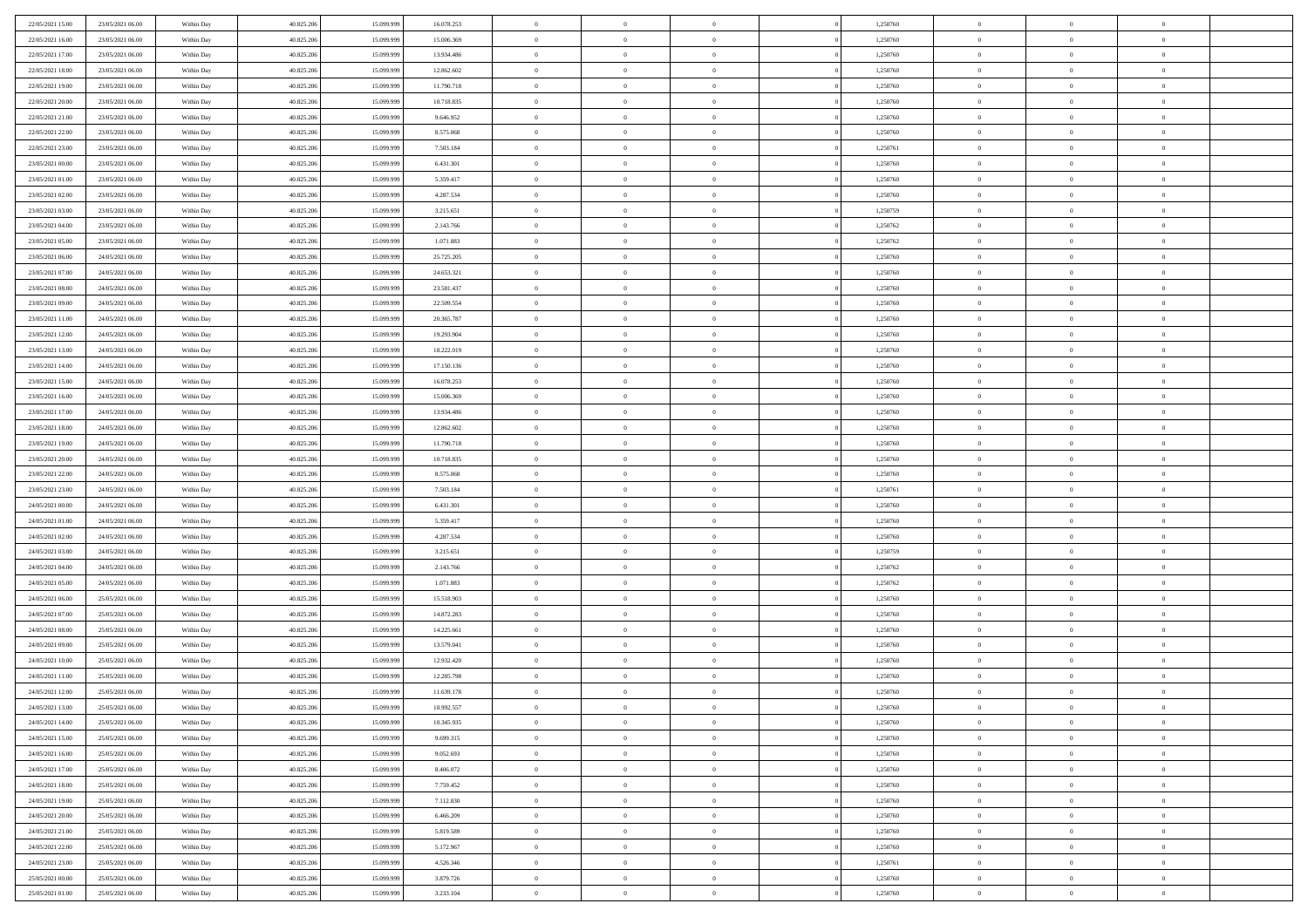| 22/05/2021 15:00 | 23/05/2021 06:00 | Within Day               | 40.825.206 | 15.099.999 | 16.078.253 | $\,0\,$        | $\overline{0}$ | $\bf{0}$       |                | 1,250760 | $\,$ 0 $\,$    | $\overline{0}$                   | $\bf{0}$       |  |
|------------------|------------------|--------------------------|------------|------------|------------|----------------|----------------|----------------|----------------|----------|----------------|----------------------------------|----------------|--|
| 22/05/2021 16:00 | 23/05/2021 06:00 | Within Day               | 40.825.206 | 15.099.99  | 15.006.369 | $\overline{0}$ | $\overline{0}$ | $\overline{0}$ |                | 1,250760 | $\theta$       | $\overline{0}$                   | $\theta$       |  |
| 22/05/2021 17:00 | 23/05/2021 06:00 | Within Day               | 40.825.206 | 15.099.999 | 13.934.486 | $\mathbf{0}$   | $\overline{0}$ | $\overline{0}$ |                | 1,250760 | $\theta$       | $\overline{0}$                   | $\overline{0}$ |  |
| 22/05/2021 18:00 | 23/05/2021 06:00 | Within Day               | 40.825.206 | 15.099.999 | 12.862.602 | $\bf{0}$       | $\overline{0}$ | $\bf{0}$       |                | 1,250760 | $\bf{0}$       | $\overline{0}$                   | $\bf{0}$       |  |
| 22/05/2021 19:00 | 23/05/2021 06:00 | Within Day               | 40.825.206 | 15.099.999 | 11.790.718 | $\overline{0}$ | $\overline{0}$ | $\overline{0}$ |                | 1,250760 | $\bf{0}$       | $\bf{0}$                         | $\bf{0}$       |  |
| 22/05/2021 20:00 | 23/05/2021 06:00 | Within Day               | 40.825.206 | 15.099.999 | 10.718.835 | $\mathbf{0}$   | $\overline{0}$ | $\overline{0}$ |                | 1,250760 | $\theta$       |                                  | $\theta$       |  |
|                  |                  |                          |            |            |            |                |                |                |                |          |                | $\overline{0}$                   |                |  |
| 22/05/2021 21:00 | 23/05/2021 06:00 | Within Day               | 40.825.206 | 15.099.999 | 9.646.952  | $\,0\,$        | $\overline{0}$ | $\overline{0}$ |                | 1,250760 | $\bf{0}$       | $\overline{0}$                   | $\theta$       |  |
| 22/05/2021 22:00 | 23/05/2021 06:00 | Within Day               | 40.825.206 | 15.099.999 | 8.575.068  | $\overline{0}$ | $\mathbf{0}$   | $\overline{0}$ |                | 1,250760 | $\,$ 0 $\,$    | $\overline{0}$                   | $\theta$       |  |
| 22/05/2021 23:00 | 23/05/2021 06:00 | Within Day               | 40.825.206 | 15.099.999 | 7.503.184  | $\mathbf{0}$   | $\overline{0}$ | $\overline{0}$ |                | 1,250761 | $\theta$       | $\overline{0}$                   | $\overline{0}$ |  |
| 23/05/2021 00:00 | 23/05/2021 06:00 | Within Day               | 40.825.206 | 15.099.999 | 6.431.301  | $\bf{0}$       | $\overline{0}$ | $\overline{0}$ |                | 1,250760 | $\bf{0}$       | $\overline{0}$                   | $\bf{0}$       |  |
| 23/05/2021 01:00 | 23/05/2021 06:00 | Within Day               | 40.825.206 | 15.099.999 | 5.359.417  | $\bf{0}$       | $\overline{0}$ | $\overline{0}$ |                | 1,250760 | $\bf{0}$       | $\theta$                         | $\bf{0}$       |  |
| 23/05/2021 02:00 | 23/05/2021 06:00 | Within Day               | 40.825.206 | 15.099.999 | 4.287.534  | $\mathbf{0}$   | $\overline{0}$ | $\overline{0}$ |                | 1,250760 | $\theta$       | $\overline{0}$                   | $\overline{0}$ |  |
| 23/05/2021 03:00 | 23/05/2021 06:00 | Within Day               | 40.825.206 | 15.099.999 | 3.215.651  | $\,0\,$        | $\overline{0}$ | $\overline{0}$ |                | 1,250759 | $\bf{0}$       | $\overline{0}$                   | $\bf{0}$       |  |
| 23/05/2021 04:00 | 23/05/2021 06:00 | Within Day               | 40.825.206 | 15.099.999 | 2.143.766  | $\bf{0}$       | $\overline{0}$ | $\overline{0}$ |                | 1,250762 | $\,$ 0 $\,$    | $\overline{0}$                   | $\theta$       |  |
| 23/05/2021 05:00 | 23/05/2021 06:00 | Within Day               | 40.825.206 | 15.099.999 | 1.071.883  | $\mathbf{0}$   | $\overline{0}$ | $\overline{0}$ |                | 1,250762 | $\theta$       | $\overline{0}$                   | $\overline{0}$ |  |
| 23/05/2021 06:00 | 24/05/2021 06:00 | Within Day               | 40.825.206 | 15.099.999 | 25.725.205 | $\,0\,$        | $\overline{0}$ | $\overline{0}$ |                | 1,250760 | $\bf{0}$       | $\overline{0}$                   | $\bf{0}$       |  |
| 23/05/2021 07:00 | 24/05/2021 06:00 | Within Day               | 40.825.206 | 15.099.999 | 24.653.321 | $\bf{0}$       | $\overline{0}$ | $\overline{0}$ |                | 1,250760 | $\bf{0}$       | $\overline{0}$                   | $\overline{0}$ |  |
| 23/05/2021 08:00 | 24/05/2021 06:00 | Within Day               | 40.825.206 | 15.099.999 | 23.581.437 | $\mathbf{0}$   | $\overline{0}$ | $\overline{0}$ |                | 1,250760 | $\theta$       | $\overline{0}$                   | $\overline{0}$ |  |
| 23/05/2021 09:00 | 24/05/2021 06:00 | Within Day               | 40.825.206 | 15.099.999 | 22.509.554 | $\bf{0}$       | $\overline{0}$ | $\bf{0}$       |                | 1,250760 | $\bf{0}$       | $\overline{0}$                   | $\bf{0}$       |  |
| 23/05/2021 11:00 | 24/05/2021 06:00 | Within Day               | 40.825.206 | 15.099.999 | 20.365.787 | $\bf{0}$       | $\overline{0}$ | $\overline{0}$ |                | 1,250760 | $\,$ 0 $\,$    | $\overline{0}$                   | $\bf{0}$       |  |
| 23/05/2021 12:00 | 24/05/2021 06:00 | Within Day               | 40.825.206 | 15.099.999 | 19.293.904 | $\mathbf{0}$   | $\overline{0}$ | $\overline{0}$ |                | 1,250760 | $\theta$       | $\bf{0}$                         | $\overline{0}$ |  |
| 23/05/2021 13:00 | 24/05/2021 06:00 | Within Day               | 40.825.206 | 15.099.999 | 18.222.019 | $\mathbf{0}$   | $\overline{0}$ | $\overline{0}$ |                | 1,250760 | $\bf{0}$       | $\overline{0}$                   | $\theta$       |  |
| 23/05/2021 14:00 | 24/05/2021 06:00 | Within Day               | 40.825.206 | 15.099.999 | 17.150.136 | $\bf{0}$       | $\overline{0}$ | $\overline{0}$ |                | 1,250760 | $\,$ 0 $\,$    | $\overline{0}$                   | $\overline{0}$ |  |
| 23/05/2021 15:00 | 24/05/2021 06:00 | Within Day               | 40.825.206 | 15.099.999 | 16.078.253 | $\mathbf{0}$   | $\overline{0}$ | $\overline{0}$ |                | 1,250760 | $\theta$       | $\overline{0}$                   | $\overline{0}$ |  |
| 23/05/2021 16:00 | 24/05/2021 06:00 | Within Day               | 40.825.206 | 15.099.999 | 15.006.369 | $\bf{0}$       | $\overline{0}$ | $\overline{0}$ |                | 1,250760 | $\bf{0}$       | $\overline{0}$                   | $\bf{0}$       |  |
| 23/05/2021 17:00 | 24/05/2021 06:00 | Within Day               | 40.825.206 | 15.099.999 | 13.934.486 | $\bf{0}$       | $\overline{0}$ | $\overline{0}$ |                | 1,250760 | $\,$ 0 $\,$    | $\bf{0}$                         | $\bf{0}$       |  |
| 23/05/2021 18:00 | 24/05/2021 06:00 | Within Day               | 40.825.206 | 15.099.999 | 12.862.602 | $\mathbf{0}$   | $\overline{0}$ | $\overline{0}$ |                | 1,250760 | $\theta$       | $\overline{0}$                   | $\overline{0}$ |  |
| 23/05/2021 19:00 | 24/05/2021 06:00 | Within Day               | 40.825.206 | 15.099.999 | 11.790.718 | $\,0\,$        | $\overline{0}$ | $\bf{0}$       |                | 1,250760 | $\bf{0}$       | $\overline{0}$                   | $\bf{0}$       |  |
| 23/05/2021 20:00 | 24/05/2021 06:00 | Within Day               | 40.825.206 | 15.099.999 | 10.718.835 | $\overline{0}$ | $\overline{0}$ | $\overline{0}$ |                | 1,250760 | $\,$ 0 $\,$    | $\overline{0}$                   | $\overline{0}$ |  |
| 23/05/2021 22:00 | 24/05/2021 06:00 | Within Day               | 40.825.206 | 15.099.999 | 8.575.068  | $\mathbf{0}$   | $\overline{0}$ | $\overline{0}$ |                | 1,250760 | $\theta$       | $\overline{0}$                   | $\overline{0}$ |  |
| 23/05/2021 23:00 | 24/05/2021 06:00 | Within Day               | 40.825.206 | 15.099.999 | 7.503.184  | $\mathbf{0}$   | $\overline{0}$ | $\overline{0}$ |                | 1,250761 | $\,$ 0 $\,$    | $\overline{0}$                   | $\theta$       |  |
| 24/05/2021 00:00 | 24/05/2021 06:00 | Within Day               | 40.825.206 | 15.099.999 | 6.431.301  | $\bf{0}$       | $\overline{0}$ | $\overline{0}$ |                | 1,250760 | $\bf{0}$       | $\bf{0}$                         | $\overline{0}$ |  |
| 24/05/2021 01:00 | 24/05/2021 06:00 | Within Day               | 40.825.206 | 15.099.999 | 5.359.417  | $\mathbf{0}$   | $\overline{0}$ | $\overline{0}$ |                | 1,250760 | $\theta$       | $\overline{0}$                   | $\overline{0}$ |  |
| 24/05/2021 02:00 | 24/05/2021 06:00 | Within Day               | 40.825.206 | 15.099.999 | 4.287.534  | $\mathbf{0}$   | $\overline{0}$ | $\overline{0}$ |                | 1,250760 | $\,$ 0 $\,$    | $\overline{0}$                   | $\theta$       |  |
| 24/05/2021 03:00 | 24/05/2021 06:00 |                          | 40.825.206 | 15.099.999 | 3.215.651  | $\overline{0}$ | $\overline{0}$ | $\overline{0}$ |                | 1,250759 | $\,$ 0 $\,$    | $\overline{0}$                   | $\overline{0}$ |  |
| 24/05/2021 04:00 | 24/05/2021 06:00 | Within Day<br>Within Day | 40.825.206 | 15.099.999 | 2.143.766  | $\mathbf{0}$   | $\overline{0}$ | $\overline{0}$ |                | 1,250762 | $\theta$       | $\overline{0}$                   | $\overline{0}$ |  |
|                  |                  |                          |            |            |            | $\mathbf{0}$   | $\overline{0}$ |                |                |          |                |                                  | $\theta$       |  |
| 24/05/2021 05:00 | 24/05/2021 06:00 | Within Day               | 40.825.206 | 15.099.999 | 1.071.883  |                | $\overline{0}$ | $\theta$       |                | 1,250762 | $\,$ 0 $\,$    | $\overline{0}$<br>$\overline{0}$ | $\overline{0}$ |  |
| 24/05/2021 06:00 | 25/05/2021 06:00 | Within Day               | 40.825.206 | 15.099.999 | 15.518.903 | $\bf{0}$       |                | $\overline{0}$ |                | 1,250760 | $\bf{0}$       |                                  |                |  |
| 24/05/2021 07:00 | 25/05/2021 06:00 | Within Day               | 40.825.206 | 15.099.999 | 14.872.283 | $\mathbf{0}$   | $\overline{0}$ | $\overline{0}$ |                | 1,250760 | $\theta$       | $\overline{0}$                   | $\overline{0}$ |  |
| 24/05/2021 08:00 | 25/05/2021 06:00 | Within Day               | 40.825.206 | 15.099.999 | 14.225.661 | $\,$ 0 $\,$    | $\overline{0}$ | $\bf{0}$       |                | 1,250760 | $\,$ 0 $\,$    | $\overline{0}$                   | $\theta$       |  |
| 24/05/2021 09:00 | 25/05/2021 06:00 | Within Day               | 40.825.206 | 15.099.999 | 13.579.041 | $\bf{0}$       | $\overline{0}$ | $\overline{0}$ |                | 1,250760 | $\bf{0}$       | $\overline{0}$                   | $\bf{0}$       |  |
| 24/05/2021 10:00 | 25/05/2021 06:00 | Within Day               | 40.825.206 | 15.099.999 | 12.932.420 | $\mathbf{0}$   | $\overline{0}$ | $\overline{0}$ |                | 1,250760 | $\theta$       | $\overline{0}$                   | $\overline{0}$ |  |
| 24/05/2021 11:00 | 25/05/2021 06:00 | Within Day               | 40.825.206 | 15.099.999 | 12.285.798 | $\mathbf{0}$   | $\overline{0}$ | $\overline{0}$ |                | 1,250760 | $\,$ 0 $\,$    | $\overline{0}$                   | $\theta$       |  |
| 24/05/2021 12:00 | 25/05/2021 06:00 | Within Day               | 40.825.206 | 15.099.999 | 11.639.178 | $\bf{0}$       | $\overline{0}$ | $\overline{0}$ |                | 1,250760 | $\,$ 0 $\,$    | $\overline{0}$                   | $\bf{0}$       |  |
| 24/05/2021 13:00 | 25/05/2021 06:00 | Within Day               | 40.825.206 | 15.099.999 | 10.992.557 | $\bf{0}$       | $\overline{0}$ | $\overline{0}$ |                | 1,250760 | $\overline{0}$ | $^{\circ}$                       | $\theta$       |  |
| 24/05/2021 14:00 | 25/05/2021 06:00 | Within Day               | 40.825.206 | 15.099.999 | 10.345.935 | $\,$ 0 $\,$    | $\overline{0}$ | $\bf{0}$       |                | 1,250760 | $\,$ 0 $\,$    | $\bf{0}$                         | $\theta$       |  |
| 24/05/2021 15:00 | 25/05/2021 06:00 | Within Day               | 40.825.206 | 15.099.999 | 9.699.315  | $\mathbf{0}$   | $\overline{0}$ | $\overline{0}$ |                | 1,250760 | $\,$ 0 $\,$    | $\overline{0}$                   | $\overline{0}$ |  |
| 24/05/2021 16:00 | 25/05/2021 06:00 | Within Day               | 40.825.206 | 15.099.999 | 9.052.693  | $\mathbf{0}$   | $\overline{0}$ | $\overline{0}$ |                | 1,250760 | $\mathbf{0}$   | $\overline{0}$                   | $\overline{0}$ |  |
| 24/05/2021 17:00 | 25/05/2021 06:00 | Within Day               | 40.825.206 | 15.099.999 | 8.406.072  | $\,$ 0         | $\overline{0}$ | $\overline{0}$ | $\overline{0}$ | 1,250760 | $\,$ 0 $\,$    | $\bf{0}$                         | $\,$ 0 $\,$    |  |
| 24/05/2021 18:00 | 25/05/2021 06:00 | Within Day               | 40.825.206 | 15.099.999 | 7.759.452  | $\bf{0}$       | $\overline{0}$ | $\overline{0}$ |                | 1,250760 | $\,$ 0 $\,$    | $\overline{0}$                   | $\mathbf{0}$   |  |
| 24/05/2021 19:00 | 25/05/2021 06:00 | Within Day               | 40.825.206 | 15.099.999 | 7.112.830  | $\mathbf{0}$   | $\overline{0}$ | $\overline{0}$ |                | 1,250760 | $\overline{0}$ | $\overline{0}$                   | $\overline{0}$ |  |
| 24/05/2021 20:00 | 25/05/2021 06:00 | Within Day               | 40.825.206 | 15.099.999 | 6.466.209  | $\,$ 0 $\,$    | $\overline{0}$ | $\overline{0}$ |                | 1,250760 | $\,$ 0 $\,$    | $\bf{0}$                         | $\,$ 0 $\,$    |  |
| 24/05/2021 21:00 | 25/05/2021 06:00 | Within Day               | 40.825.206 | 15.099.999 | 5.819.589  | $\overline{0}$ | $\overline{0}$ | $\overline{0}$ |                | 1,250760 | $\overline{0}$ | $\overline{0}$                   | $\overline{0}$ |  |
| 24/05/2021 22.00 | 25/05/2021 06:00 | Within Day               | 40.825.206 | 15.099.999 | 5.172.967  | $\mathbf{0}$   | $\overline{0}$ | $\overline{0}$ |                | 1,250760 | $\mathbf{0}$   | $\overline{0}$                   | $\overline{0}$ |  |
| 24/05/2021 23:00 | 25/05/2021 06:00 | Within Day               | 40.825.206 | 15.099.999 | 4.526.346  | $\,$ 0 $\,$    | $\overline{0}$ | $\overline{0}$ | $\overline{0}$ | 1,250761 | $\,$ 0 $\,$    | $\bf{0}$                         | $\,$ 0 $\,$    |  |
| 25/05/2021 00:00 | 25/05/2021 06:00 | Within Day               | 40.825.206 | 15.099.999 | 3.879.726  | $\bf{0}$       | $\overline{0}$ | $\overline{0}$ |                | 1,250760 | $\,$ 0 $\,$    | $\overline{0}$                   | $\overline{0}$ |  |
| 25/05/2021 01:00 | 25/05/2021 06:00 | Within Day               | 40.825.206 | 15.099.999 | 3.233.104  | $\mathbf{0}$   | $\overline{0}$ | $\overline{0}$ |                | 1,250760 | $\mathbf{0}$   | $\overline{0}$                   | $\overline{0}$ |  |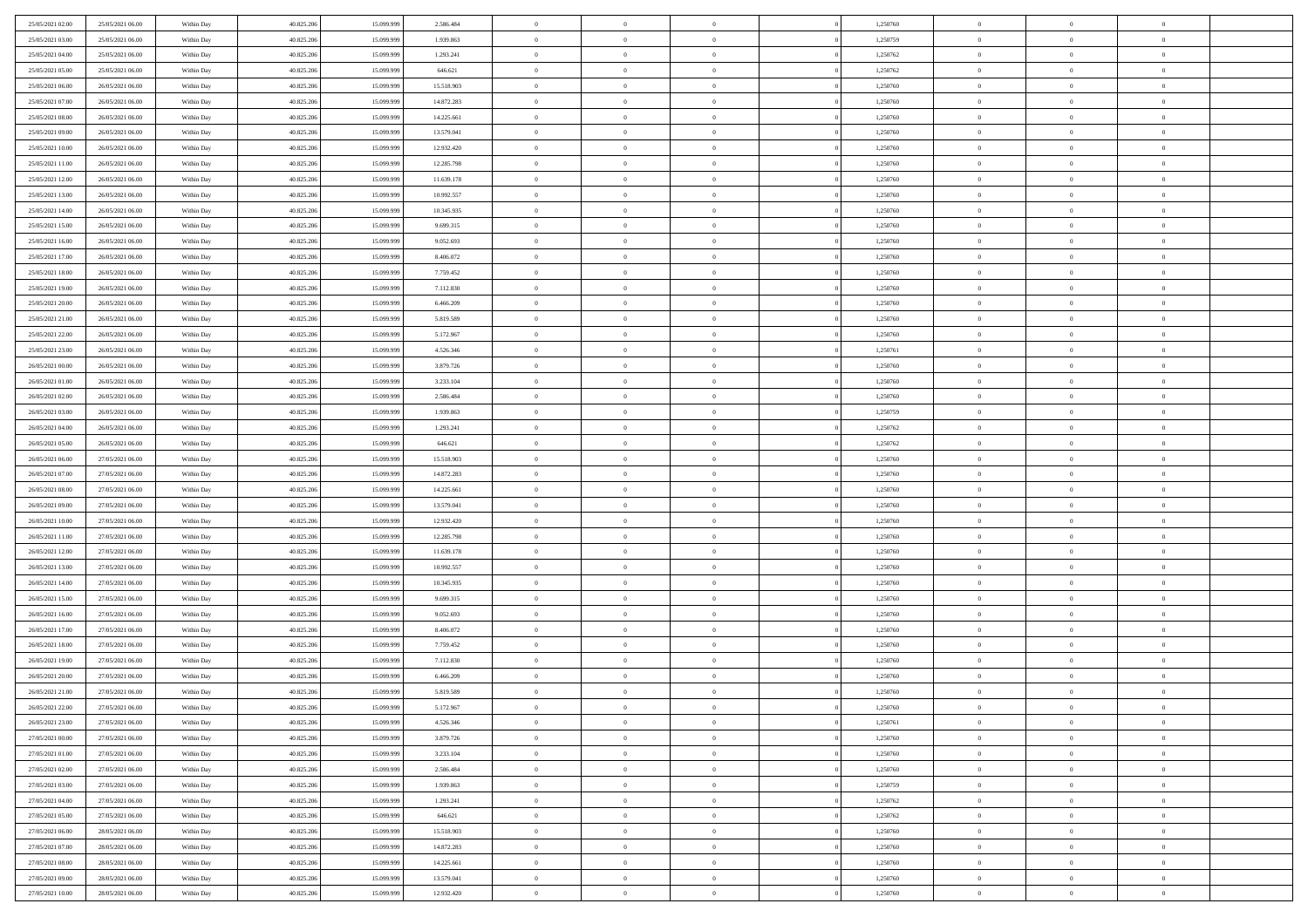| 25/05/2021 02:00 | 25/05/2021 06:00 | Within Day               | 40.825.206 | 15.099.999 | 2.586.484  | $\,0\,$        | $\overline{0}$ | $\overline{0}$ |                | 1,250760 | $\,$ 0 $\,$    | $\overline{0}$ | $\bf{0}$       |  |
|------------------|------------------|--------------------------|------------|------------|------------|----------------|----------------|----------------|----------------|----------|----------------|----------------|----------------|--|
| 25/05/2021 03:00 | 25/05/2021 06:00 | Within Day               | 40.825.206 | 15.099.99  | 1.939.863  | $\overline{0}$ | $\overline{0}$ | $\overline{0}$ |                | 1,250759 | $\theta$       | $\overline{0}$ | $\overline{0}$ |  |
| 25/05/2021 04:00 | 25/05/2021 06:00 | Within Day               | 40.825.206 | 15.099.999 | 1.293.241  | $\mathbf{0}$   | $\overline{0}$ | $\overline{0}$ |                | 1,250762 | $\theta$       | $\overline{0}$ | $\overline{0}$ |  |
| 25/05/2021 05:00 | 25/05/2021 06:00 | Within Day               | 40.825.206 | 15.099.999 | 646.621    | $\bf{0}$       | $\overline{0}$ | $\bf{0}$       |                | 1,250762 | $\bf{0}$       | $\overline{0}$ | $\bf{0}$       |  |
| 25/05/2021 06:00 | 26/05/2021 06:00 | Within Day               | 40.825.206 | 15.099.999 | 15.518.903 | $\bf{0}$       | $\overline{0}$ | $\overline{0}$ |                | 1,250760 | $\bf{0}$       | $\bf{0}$       | $\bf{0}$       |  |
| 25/05/2021 07:00 | 26/05/2021 06:00 | Within Day               | 40.825.206 | 15.099.999 | 14.872.283 | $\mathbf{0}$   | $\overline{0}$ | $\overline{0}$ |                | 1,250760 | $\theta$       | $\overline{0}$ | $\theta$       |  |
| 25/05/2021 08:00 | 26/05/2021 06:00 | Within Day               | 40.825.206 | 15.099.999 | 14.225.661 | $\mathbf{0}$   | $\overline{0}$ | $\overline{0}$ |                | 1,250760 | $\bf{0}$       | $\overline{0}$ | $\theta$       |  |
| 25/05/2021 09:00 | 26/05/2021 06:00 | Within Day               | 40.825.206 | 15.099.999 | 13.579.041 | $\overline{0}$ | $\mathbf{0}$   | $\overline{0}$ |                | 1,250760 | $\,$ 0 $\,$    | $\overline{0}$ | $\theta$       |  |
| 25/05/2021 10:00 | 26/05/2021 06:00 | Within Day               | 40.825.206 | 15.099.999 | 12.932.420 | $\mathbf{0}$   | $\overline{0}$ | $\overline{0}$ |                | 1,250760 | $\theta$       | $\overline{0}$ | $\overline{0}$ |  |
| 25/05/2021 11:00 | 26/05/2021 06:00 | Within Day               | 40.825.206 | 15.099.999 | 12.285.798 | $\bf{0}$       | $\overline{0}$ | $\overline{0}$ |                | 1,250760 | $\bf{0}$       | $\overline{0}$ | $\bf{0}$       |  |
| 25/05/2021 12:00 | 26/05/2021 06:00 | Within Day               | 40.825.206 | 15.099.999 | 11.639.178 | $\bf{0}$       | $\overline{0}$ | $\overline{0}$ |                | 1,250760 | $\bf{0}$       | $\theta$       | $\bf{0}$       |  |
| 25/05/2021 13:00 | 26/05/2021 06:00 | Within Day               | 40.825.206 | 15.099.999 | 10.992.557 | $\mathbf{0}$   | $\overline{0}$ | $\overline{0}$ |                | 1,250760 | $\theta$       | $\overline{0}$ | $\overline{0}$ |  |
| 25/05/2021 14:00 | 26/05/2021 06:00 | Within Day               | 40.825.206 | 15.099.999 | 10.345.935 | $\,0\,$        | $\overline{0}$ | $\overline{0}$ |                | 1,250760 | $\bf{0}$       | $\overline{0}$ | $\bf{0}$       |  |
| 25/05/2021 15:00 | 26/05/2021 06:00 | Within Day               | 40.825.206 | 15.099.999 | 9.699.315  | $\bf{0}$       | $\overline{0}$ | $\overline{0}$ |                | 1,250760 | $\,$ 0 $\,$    | $\overline{0}$ | $\theta$       |  |
| 25/05/2021 16:00 | 26/05/2021 06:00 | Within Day               | 40.825.206 | 15.099.999 | 9.052.693  | $\mathbf{0}$   | $\overline{0}$ | $\overline{0}$ |                | 1,250760 | $\theta$       | $\overline{0}$ | $\overline{0}$ |  |
| 25/05/2021 17:00 | 26/05/2021 06:00 | Within Day               | 40.825.206 | 15.099.999 | 8.406.072  | $\,0\,$        | $\overline{0}$ | $\overline{0}$ |                | 1,250760 | $\bf{0}$       | $\overline{0}$ | $\bf{0}$       |  |
| 25/05/2021 18:00 | 26/05/2021 06:00 | Within Day               | 40.825.206 | 15.099.999 | 7.759.452  | $\bf{0}$       | $\overline{0}$ | $\overline{0}$ |                | 1,250760 | $\bf{0}$       | $\overline{0}$ | $\bf{0}$       |  |
| 25/05/2021 19:00 | 26/05/2021 06:00 | Within Day               | 40.825.206 | 15.099.999 | 7.112.830  | $\mathbf{0}$   | $\overline{0}$ | $\overline{0}$ |                | 1,250760 | $\theta$       | $\overline{0}$ | $\overline{0}$ |  |
| 25/05/2021 20:00 | 26/05/2021 06:00 | Within Day               | 40.825.206 | 15.099.999 | 6.466.209  | $\bf{0}$       | $\overline{0}$ | $\bf{0}$       |                | 1,250760 | $\bf{0}$       | $\overline{0}$ | $\bf{0}$       |  |
| 25/05/2021 21:00 | 26/05/2021 06:00 | Within Day               | 40.825.206 | 15.099.999 | 5.819.589  | $\bf{0}$       | $\overline{0}$ | $\overline{0}$ |                | 1,250760 | $\,$ 0 $\,$    | $\overline{0}$ | $\bf{0}$       |  |
| 25/05/2021 22:00 | 26/05/2021 06:00 | Within Day               | 40.825.206 | 15.099.999 | 5.172.967  | $\mathbf{0}$   | $\overline{0}$ | $\overline{0}$ |                | 1,250760 | $\theta$       | $\overline{0}$ | $\overline{0}$ |  |
| 25/05/2021 23:00 | 26/05/2021 06:00 | Within Day               | 40.825.206 | 15.099.999 | 4.526.346  | $\mathbf{0}$   | $\overline{0}$ | $\overline{0}$ |                | 1,250761 | $\bf{0}$       | $\overline{0}$ | $\theta$       |  |
| 26/05/2021 00:00 | 26/05/2021 06:00 | Within Day               | 40.825.206 | 15.099.999 | 3.879.726  | $\bf{0}$       | $\overline{0}$ | $\overline{0}$ |                | 1,250760 | $\bf{0}$       | $\overline{0}$ | $\overline{0}$ |  |
| 26/05/2021 01:00 | 26/05/2021 06:00 | Within Day               | 40.825.206 | 15.099.999 | 3.233.104  | $\mathbf{0}$   | $\overline{0}$ | $\overline{0}$ |                | 1,250760 | $\theta$       | $\overline{0}$ | $\overline{0}$ |  |
| 26/05/2021 02:00 | 26/05/2021 06:00 | Within Day               | 40.825.206 | 15.099.999 | 2.586.484  | $\bf{0}$       | $\overline{0}$ | $\overline{0}$ |                | 1,250760 | $\bf{0}$       | $\overline{0}$ | $\bf{0}$       |  |
| 26/05/2021 03:00 | 26/05/2021 06:00 | Within Day               | 40.825.206 | 15.099.999 | 1.939.863  | $\bf{0}$       | $\overline{0}$ | $\overline{0}$ |                | 1,250759 | $\bf{0}$       | $\overline{0}$ | $\bf{0}$       |  |
| 26/05/2021 04:00 | 26/05/2021 06:00 | Within Day               | 40.825.206 | 15.099.999 | 1.293.241  | $\mathbf{0}$   | $\overline{0}$ | $\overline{0}$ |                | 1,250762 | $\theta$       | $\overline{0}$ | $\overline{0}$ |  |
| 26/05/2021 05:00 | 26/05/2021 06:00 | Within Day               | 40.825.206 | 15.099.999 | 646.621    | $\,0\,$        | $\overline{0}$ | $\bf{0}$       |                | 1,250762 | $\bf{0}$       | $\overline{0}$ | $\bf{0}$       |  |
| 26/05/2021 06:00 | 27/05/2021 06:00 |                          | 40.825.206 | 15.099.999 | 15.518.903 | $\overline{0}$ | $\overline{0}$ | $\overline{0}$ |                | 1,250760 | $\,$ 0 $\,$    | $\overline{0}$ | $\overline{0}$ |  |
| 26/05/2021 07:00 | 27/05/2021 06:00 | Within Day<br>Within Day | 40.825.206 | 15.099.999 | 14.872.283 | $\mathbf{0}$   | $\overline{0}$ | $\overline{0}$ |                | 1,250760 | $\theta$       | $\overline{0}$ | $\overline{0}$ |  |
| 26/05/2021 08:00 | 27/05/2021 06:00 | Within Day               | 40.825.206 | 15.099.999 | 14.225.661 | $\mathbf{0}$   | $\overline{0}$ | $\overline{0}$ |                | 1,250760 | $\,$ 0 $\,$    | $\overline{0}$ | $\theta$       |  |
| 26/05/2021 09:00 | 27/05/2021 06:00 | Within Day               | 40.825.206 | 15.099.999 | 13.579.041 | $\bf{0}$       | $\overline{0}$ | $\overline{0}$ |                | 1,250760 | $\bf{0}$       | $\overline{0}$ | $\overline{0}$ |  |
| 26/05/2021 10:00 | 27/05/2021 06:00 | Within Day               | 40.825.206 | 15.099.999 | 12.932.420 | $\mathbf{0}$   | $\overline{0}$ | $\overline{0}$ |                | 1,250760 | $\theta$       | $\overline{0}$ | $\overline{0}$ |  |
| 26/05/2021 11:00 | 27/05/2021 06:00 | Within Day               | 40.825.206 | 15.099.999 | 12.285.798 | $\mathbf{0}$   | $\overline{0}$ | $\overline{0}$ |                | 1,250760 | $\,$ 0 $\,$    | $\overline{0}$ | $\theta$       |  |
| 26/05/2021 12:00 | 27/05/2021 06:00 | Within Day               | 40.825.206 | 15.099.999 | 11.639.178 | $\overline{0}$ | $\overline{0}$ | $\overline{0}$ |                | 1,250760 | $\bf{0}$       | $\overline{0}$ | $\overline{0}$ |  |
| 26/05/2021 13:00 | 27/05/2021 06:00 | Within Day               | 40.825.206 | 15.099.999 | 10.992.557 | $\mathbf{0}$   | $\overline{0}$ | $\overline{0}$ |                | 1,250760 | $\theta$       | $\overline{0}$ | $\overline{0}$ |  |
| 26/05/2021 14:00 | 27/05/2021 06:00 | Within Day               | 40.825.206 | 15.099.999 | 10.345.935 | $\mathbf{0}$   | $\overline{0}$ | $\theta$       |                | 1,250760 | $\,$ 0 $\,$    | $\overline{0}$ | $\theta$       |  |
| 26/05/2021 15:00 | 27/05/2021 06:00 | Within Day               | 40.825.206 | 15.099.999 | 9.699.315  | $\bf{0}$       | $\overline{0}$ | $\overline{0}$ |                | 1,250760 | $\bf{0}$       | $\overline{0}$ | $\overline{0}$ |  |
| 26/05/2021 16:00 | 27/05/2021 06:00 | Within Day               | 40.825.206 | 15.099.999 | 9.052.693  | $\mathbf{0}$   | $\overline{0}$ | $\overline{0}$ |                | 1,250760 | $\theta$       | $\overline{0}$ | $\overline{0}$ |  |
| 26/05/2021 17:00 | 27/05/2021 06:00 | Within Day               | 40.825.206 | 15.099.999 | 8.406.072  | $\,$ 0 $\,$    | $\overline{0}$ | $\bf{0}$       |                | 1,250760 | $\,$ 0 $\,$    | $\overline{0}$ | $\theta$       |  |
| 26/05/2021 18:00 | 27/05/2021 06:00 | Within Day               | 40.825.206 | 15.099.999 | 7.759.452  | $\bf{0}$       | $\overline{0}$ | $\overline{0}$ |                | 1,250760 | $\bf{0}$       | $\bf{0}$       | $\bf{0}$       |  |
| 26/05/2021 19:00 | 27/05/2021 06:00 | Within Day               | 40.825.206 | 15.099.999 | 7.112.830  | $\mathbf{0}$   | $\overline{0}$ | $\overline{0}$ |                | 1,250760 | $\theta$       | $\overline{0}$ | $\overline{0}$ |  |
| 26/05/2021 20:00 | 27/05/2021 06:00 | Within Day               | 40.825.206 | 15.099.999 | 6.466.209  | $\mathbf{0}$   | $\overline{0}$ | $\overline{0}$ |                | 1,250760 | $\,$ 0 $\,$    | $\overline{0}$ | $\theta$       |  |
| 26/05/2021 21:00 | 27/05/2021 06:00 | Within Day               | 40.825.206 | 15.099.999 | 5.819.589  | $\bf{0}$       | $\overline{0}$ | $\overline{0}$ |                | 1,250760 | $\,$ 0 $\,$    | $\overline{0}$ | $\bf{0}$       |  |
| 26/05/2021 22:00 | 27/05/2021 06:00 | Within Day               | 40.825.206 | 15.099.999 | 5.172.967  | $\mathbf{0}$   | $\overline{0}$ | $\overline{0}$ |                | 1,250760 | $\overline{0}$ | $^{\circ}$     | $\theta$       |  |
| 26/05/2021 23:00 | 27/05/2021 06:00 | Within Day               | 40.825.206 | 15.099.999 | 4.526.346  | $\,$ 0 $\,$    | $\overline{0}$ | $\bf{0}$       |                | 1,250761 | $\,$ 0 $\,$    | $\bf{0}$       | $\theta$       |  |
| 27/05/2021 00:00 | 27/05/2021 06:00 | Within Day               | 40.825.206 | 15.099.999 | 3.879.726  | $\mathbf{0}$   | $\overline{0}$ | $\overline{0}$ |                | 1,250760 | $\,$ 0 $\,$    | $\overline{0}$ | $\overline{0}$ |  |
| 27/05/2021 01:00 | 27/05/2021 06:00 | Within Day               | 40.825.206 | 15.099.999 | 3.233.104  | $\mathbf{0}$   | $\overline{0}$ | $\overline{0}$ |                | 1,250760 | $\mathbf{0}$   | $\overline{0}$ | $\overline{0}$ |  |
| 27/05/2021 02:00 | 27/05/2021 06:00 | Within Day               | 40.825.206 | 15.099.999 | 2.586.484  | $\,$ 0 $\,$    | $\overline{0}$ | $\overline{0}$ | $\overline{0}$ | 1,250760 | $\,$ 0 $\,$    | $\bf{0}$       | $\,$ 0 $\,$    |  |
| 27/05/2021 03:00 | 27/05/2021 06:00 | Within Day               | 40.825.206 | 15.099.999 | 1.939.863  | $\bf{0}$       | $\overline{0}$ | $\overline{0}$ |                | 1,250759 | $\,$ 0 $\,$    | $\overline{0}$ | $\mathbf{0}$   |  |
| 27/05/2021 04:00 | 27/05/2021 06:00 | Within Day               | 40.825.206 | 15.099.999 | 1.293.241  | $\mathbf{0}$   | $\overline{0}$ | $\overline{0}$ |                | 1,250762 | $\overline{0}$ | $\overline{0}$ | $\overline{0}$ |  |
| 27/05/2021 05:00 | 27/05/2021 06:00 | Within Day               | 40.825.206 | 15.099.999 | 646.621    | $\,$ 0 $\,$    | $\overline{0}$ | $\overline{0}$ |                | 1,250762 | $\,$ 0 $\,$    | $\bf{0}$       | $\,$ 0 $\,$    |  |
| 27/05/2021 06:00 | 28/05/2021 06:00 | Within Day               | 40.825.206 | 15.099.999 | 15.518.903 | $\overline{0}$ | $\overline{0}$ | $\overline{0}$ |                | 1,250760 | $\mathbf{0}$   | $\overline{0}$ | $\overline{0}$ |  |
| 27/05/2021 07:00 | 28/05/2021 06:00 | Within Day               | 40.825.206 | 15.099.999 | 14.872.283 | $\mathbf{0}$   | $\overline{0}$ | $\overline{0}$ |                | 1,250760 | $\mathbf{0}$   | $\overline{0}$ | $\overline{0}$ |  |
| 27/05/2021 08:00 | 28/05/2021 06:00 | Within Day               | 40.825.206 | 15.099.999 | 14.225.661 | $\,$ 0 $\,$    | $\overline{0}$ | $\overline{0}$ | $\overline{0}$ | 1,250760 | $\,$ 0 $\,$    | $\bf{0}$       | $\,$ 0 $\,$    |  |
| 27/05/2021 09:00 | 28/05/2021 06:00 | Within Day               | 40.825.206 | 15.099.999 | 13.579.041 | $\bf{0}$       | $\overline{0}$ | $\overline{0}$ |                | 1,250760 | $\,$ 0 $\,$    | $\overline{0}$ | $\overline{0}$ |  |
| 27/05/2021 10:00 | 28/05/2021 06:00 | Within Day               | 40.825.206 | 15.099.999 | 12.932.420 | $\mathbf{0}$   | $\overline{0}$ | $\overline{0}$ |                | 1,250760 | $\mathbf{0}$   | $\overline{0}$ | $\overline{0}$ |  |
|                  |                  |                          |            |            |            |                |                |                |                |          |                |                |                |  |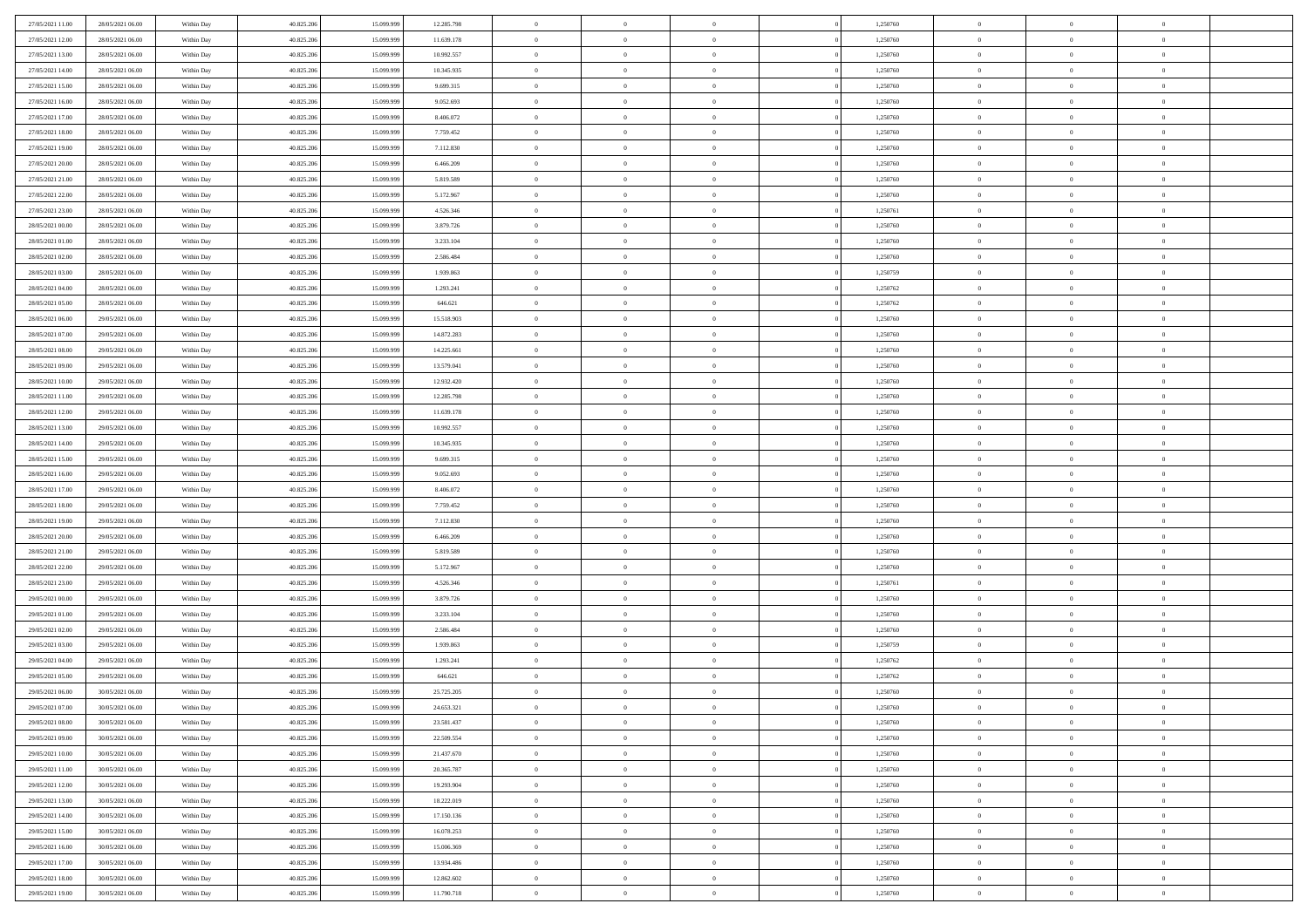| 27/05/2021 11:00                     | 28/05/2021 06:00                     | Within Day               | 40.825.206               | 15.099.999               | 12.285.798               | $\bf{0}$                 | $\bf{0}$                         | $\overline{0}$                   |          | 1,250760             | $\bf{0}$                 | $\overline{0}$                   | $\,0\,$                          |  |
|--------------------------------------|--------------------------------------|--------------------------|--------------------------|--------------------------|--------------------------|--------------------------|----------------------------------|----------------------------------|----------|----------------------|--------------------------|----------------------------------|----------------------------------|--|
| 27/05/2021 12:00                     | 28/05/2021 06:00                     | Within Day               | 40.825.206               | 15.099.999               | 11.639.178               | $\overline{0}$           | $\overline{0}$                   | $\overline{0}$                   |          | 1,250760             | $\overline{0}$           | $\overline{0}$                   | $\theta$                         |  |
| 27/05/2021 13:00                     | 28/05/2021 06:00                     | Within Dav               | 40.825.206               | 15.099.999               | 10.992.557               | $\mathbf{0}$             | $\overline{0}$                   | $\overline{0}$                   |          | 1,250760             | $\mathbf{0}$             | $\overline{0}$                   | $\overline{0}$                   |  |
| 27/05/2021 14:00                     | 28/05/2021 06:00                     | Within Day               | 40.825.206               | 15.099.999               | 10.345.935               | $\bf{0}$                 | $\overline{0}$                   | $\bf{0}$                         |          | 1,250760             | $\bf{0}$                 | $\overline{0}$                   | $\bf{0}$                         |  |
| 27/05/2021 15:00                     | 28/05/2021 06:00                     | Within Day               | 40.825.206               | 15.099.999               | 9.699.315                | $\bf{0}$                 | $\overline{0}$                   | $\overline{0}$                   |          | 1,250760             | $\bf{0}$                 | $\bf{0}$                         | $\,0\,$                          |  |
| 27/05/2021 16:00                     | 28/05/2021 06:00                     | Within Dav               | 40.825.206               | 15.099.999               | 9.052.693                | $\mathbf{0}$             | $\overline{0}$                   | $\overline{0}$                   |          | 1,250760             | $\mathbf{0}$             | $\overline{0}$                   | $\overline{0}$                   |  |
| 27/05/2021 17:00                     | 28/05/2021 06:00                     | Within Day               | 40.825.206               | 15.099.999               | 8.406.072                | $\bf{0}$                 | $\overline{0}$                   | $\overline{0}$                   |          | 1,250760             | $\bf{0}$                 | $\overline{0}$                   | $\,0\,$                          |  |
| 27/05/2021 18:00                     | 28/05/2021 06:00                     | Within Day               | 40.825.206               | 15.099.999               | 7.759.452                | $\overline{0}$           | $\overline{0}$                   | $\overline{0}$                   |          | 1,250760             | $\,$ 0 $\,$              | $\overline{0}$                   | $\theta$                         |  |
| 27/05/2021 19:00                     | 28/05/2021 06:00                     | Within Dav               | 40.825.206               | 15.099.999               | 7.112.830                | $\mathbf{0}$             | $\overline{0}$                   | $\overline{0}$                   |          | 1,250760             | $\mathbf{0}$             | $\overline{0}$                   | $\overline{0}$                   |  |
| 27/05/2021 20:00                     | 28/05/2021 06:00                     | Within Day               | 40.825.206               | 15.099.999               | 6.466.209                | $\bf{0}$                 | $\overline{0}$                   | $\overline{0}$                   |          | 1,250760             | $\bf{0}$                 | $\overline{0}$                   | $\,0\,$                          |  |
| 27/05/2021 21:00                     | 28/05/2021 06:00                     | Within Day               | 40.825.206               | 15,099,999               | 5.819.589                | $\bf{0}$                 | $\overline{0}$                   | $\overline{0}$                   |          | 1,250760             | $\bf{0}$                 | $\mathbf{0}$                     | $\theta$                         |  |
| 27/05/2021 22:00                     | 28/05/2021 06:00                     | Within Dav               | 40.825.206               | 15.099.999               | 5.172.967                | $\mathbf{0}$             | $\overline{0}$                   | $\overline{0}$                   |          | 1,250760             | $\mathbf{0}$             | $\overline{0}$                   | $\overline{0}$                   |  |
| 27/05/2021 23:00                     | 28/05/2021 06:00                     | Within Day               | 40.825.206               | 15.099.999               | 4.526.346                | $\bf{0}$                 | $\overline{0}$                   | $\bf{0}$                         |          | 1,250761             | $\bf{0}$                 | $\overline{0}$                   | $\overline{0}$                   |  |
| 28/05/2021 00:00                     | 28/05/2021 06:00                     | Within Day               | 40.825.206               | 15.099.999               | 3.879.726                | $\bf{0}$                 | $\overline{0}$                   | $\overline{0}$                   |          | 1,250760             | $\bf{0}$                 | $\mathbf{0}$                     | $\,0\,$                          |  |
| 28/05/2021 01:00                     | 28/05/2021 06:00                     | Within Dav               | 40.825.206               | 15.099.999               | 3.233.104                | $\overline{0}$           | $\overline{0}$                   | $\overline{0}$                   |          | 1,250760             | $\mathbf{0}$             | $\overline{0}$                   | $\overline{0}$                   |  |
| 28/05/2021 02:00                     | 28/05/2021 06:00                     | Within Day               | 40.825.206               | 15.099.999               | 2.586.484                | $\bf{0}$                 | $\overline{0}$                   | $\overline{0}$                   |          | 1,250760             | $\bf{0}$                 | $\overline{0}$                   | $\bf{0}$                         |  |
| 28/05/2021 03:00                     | 28/05/2021 06:00                     | Within Day               | 40.825.206               | 15.099.999               | 1.939.863                | $\overline{0}$           | $\overline{0}$                   | $\overline{0}$                   |          | 1,250759             | $\bf{0}$                 | $\overline{0}$                   | $\theta$                         |  |
| 28/05/2021 04:00                     | 28/05/2021 06:00                     | Within Day               | 40.825.206               | 15.099.999               | 1.293.241                | $\mathbf{0}$             | $\overline{0}$                   | $\overline{0}$                   |          | 1,250762             | $\mathbf{0}$             | $\overline{0}$                   | $\overline{0}$                   |  |
| 28/05/2021 05:00                     | 28/05/2021 06:00                     | Within Day               | 40.825.206               | 15.099.999               | 646.621                  | $\bf{0}$                 | $\overline{0}$                   | $\overline{0}$                   |          | 1,250762             | $\bf{0}$                 | $\overline{0}$                   | $\,0\,$                          |  |
| 28/05/2021 06:00                     | 29/05/2021 06:00                     | Within Day               | 40.825.206               | 15.099.999               | 15.518.903               | $\bf{0}$                 | $\overline{0}$                   | $\overline{0}$                   |          | 1,250760             | $\bf{0}$                 | $\overline{0}$                   | $\overline{0}$                   |  |
| 28/05/2021 07:00                     | 29/05/2021 06:00                     | Within Dav               | 40.825.206               | 15.099.999               | 14.872.283               | $\mathbf{0}$             | $\overline{0}$                   | $\overline{0}$                   |          | 1,250760             | $\mathbf{0}$             | $\overline{0}$                   | $\overline{0}$                   |  |
| 28/05/2021 08:00                     | 29/05/2021 06:00                     | Within Day               | 40.825.206               | 15.099.999               | 14.225.661               | $\bf{0}$                 | $\overline{0}$                   | $\overline{0}$                   |          | 1,250760             | $\bf{0}$                 | $\overline{0}$                   | $\bf{0}$                         |  |
|                                      | 29/05/2021 06:00                     |                          | 40.825.206               | 15.099.999               | 13.579.041               | $\bf{0}$                 | $\overline{0}$                   | $\overline{0}$                   |          |                      | $\bf{0}$                 | $\bf{0}$                         | $\,0\,$                          |  |
| 28/05/2021 09:00<br>28/05/2021 10:00 | 29/05/2021 06:00                     | Within Day<br>Within Dav | 40.825.206               | 15.099.999               | 12.932.420               | $\mathbf{0}$             | $\overline{0}$                   | $\overline{0}$                   |          | 1,250760<br>1,250760 | $\mathbf{0}$             | $\overline{0}$                   | $\overline{0}$                   |  |
| 28/05/2021 11:00                     | 29/05/2021 06:00                     | Within Day               | 40.825.206               | 15.099.999               | 12.285.798               | $\bf{0}$                 | $\bf{0}$                         | $\overline{0}$                   |          | 1,250760             | $\bf{0}$                 | $\overline{0}$                   | $\,0\,$                          |  |
|                                      |                                      |                          |                          |                          |                          | $\overline{0}$           | $\overline{0}$                   | $\overline{0}$                   |          |                      |                          | $\mathbf{0}$                     | $\overline{0}$                   |  |
| 28/05/2021 12:00<br>28/05/2021 13:00 | 29/05/2021 06:00<br>29/05/2021 06:00 | Within Day               | 40.825.206               | 15.099.999               | 11.639.178               | $\mathbf{0}$             |                                  |                                  |          | 1,250760             | $\bf{0}$<br>$\mathbf{0}$ |                                  | $\overline{0}$                   |  |
|                                      |                                      | Within Dav               | 40.825.206               | 15.099.999               | 10.992.557               |                          | $\overline{0}$                   | $\overline{0}$<br>$\overline{0}$ |          | 1,250760             |                          | $\overline{0}$<br>$\overline{0}$ |                                  |  |
| 28/05/2021 14:00                     | 29/05/2021 06:00                     | Within Day               | 40.825.206               | 15.099.999<br>15.099.999 | 10.345.935               | $\bf{0}$                 | $\bf{0}$                         |                                  |          | 1,250760             | $\bf{0}$                 |                                  | $\,0\,$                          |  |
| 28/05/2021 15:00<br>28/05/2021 16:00 | 29/05/2021 06:00<br>29/05/2021 06:00 | Within Day<br>Within Dav | 40.825.206<br>40.825.206 | 15.099.999               | 9.699.315<br>9.052.693   | $\bf{0}$<br>$\mathbf{0}$ | $\bf{0}$<br>$\overline{0}$       | $\overline{0}$<br>$\overline{0}$ |          | 1,250760<br>1,250760 | $\bf{0}$<br>$\mathbf{0}$ | $\bf{0}$<br>$\overline{0}$       | $\overline{0}$<br>$\overline{0}$ |  |
|                                      |                                      |                          |                          |                          |                          |                          |                                  |                                  |          |                      |                          | $\overline{0}$                   | $\theta$                         |  |
| 28/05/2021 17:00                     | 29/05/2021 06:00                     | Within Day               | 40.825.206               | 15.099.999               | 8.406.072                | $\bf{0}$                 | $\overline{0}$                   | $\overline{0}$                   |          | 1,250760             | $\,$ 0                   |                                  |                                  |  |
| 28/05/2021 18:00                     | 29/05/2021 06:00                     | Within Day               | 40.825.206               | 15.099.999               | 7.759.452                | $\bf{0}$<br>$\mathbf{0}$ | $\bf{0}$                         | $\overline{0}$                   |          | 1,250760             | $\bf{0}$<br>$\mathbf{0}$ | $\bf{0}$                         | $\overline{0}$<br>$\overline{0}$ |  |
| 28/05/2021 19:00                     | 29/05/2021 06:00                     | Within Dav               | 40.825.206               | 15.099.999               | 7.112.830                | $\bf{0}$                 | $\overline{0}$                   | $\overline{0}$                   |          | 1,250760             |                          | $\overline{0}$                   | $\theta$                         |  |
| 28/05/2021 20:00                     | 29/05/2021 06:00                     | Within Day               | 40.825.206               | 15.099.999<br>15.099.999 | 6.466.209                |                          | $\overline{0}$<br>$\overline{0}$ | $\overline{0}$<br>$\overline{0}$ |          | 1,250760             | $\,$ 0                   | $\overline{0}$<br>$\overline{0}$ | $\overline{0}$                   |  |
| 28/05/2021 21:00<br>28/05/2021 22:00 | 29/05/2021 06:00<br>29/05/2021 06:00 | Within Day<br>Within Day | 40.825.206<br>40.825.206 | 15.099.999               | 5.819.589<br>5.172.967   | $\bf{0}$<br>$\mathbf{0}$ | $\overline{0}$                   |                                  |          | 1,250760<br>1,250760 | $\bf{0}$<br>$\mathbf{0}$ | $\overline{0}$                   | $\overline{0}$                   |  |
|                                      |                                      |                          |                          |                          |                          | $\bf{0}$                 |                                  | $\overline{0}$                   |          |                      |                          |                                  | $\theta$                         |  |
| 28/05/2021 23:00                     | 29/05/2021 06:00                     | Within Day               | 40.825.206               | 15.099.999               | 4.526.346                |                          | $\overline{0}$                   | $\overline{0}$                   |          | 1,250761             | $\,$ 0                   | $\overline{0}$                   |                                  |  |
| 29/05/2021 00:00                     | 29/05/2021 06:00<br>29/05/2021 06:00 | Within Day               | 40.825.206               | 15.099.999               | 3.879.726                | $\bf{0}$<br>$\mathbf{0}$ | $\overline{0}$                   | $\overline{0}$                   |          | 1,250760             | $\bf{0}$<br>$\mathbf{0}$ | $\overline{0}$                   | $\overline{0}$<br>$\overline{0}$ |  |
| 29/05/2021 01:00                     |                                      | Within Dav               | 40.825.206               | 15.099.999               | 3.233.104                |                          | $\overline{0}$                   | $\overline{0}$                   |          | 1,250760             |                          | $\overline{0}$                   |                                  |  |
| 29/05/2021 02:00                     | 29/05/2021 06:00                     | Within Day               | 40.825.206               | 15.099.999               | 2.586.484                | $\,0\,$                  | $\overline{0}$                   | $\theta$                         |          | 1,250760             | $\,$ 0                   | $\overline{0}$<br>$\overline{0}$ | $\theta$                         |  |
| 29/05/2021 03:00<br>29/05/2021 04:00 | 29/05/2021 06:00<br>29/05/2021 06:00 | Within Day<br>Within Dav | 40.825.206<br>40.825.206 | 15.099.999<br>15.099.999 | 1.939.863<br>1.293.241   | $\bf{0}$<br>$\mathbf{0}$ | $\bf{0}$<br>$\overline{0}$       | $\overline{0}$                   |          | 1,250759<br>1,250762 | $\bf{0}$<br>$\mathbf{0}$ | $\overline{0}$                   | $\overline{0}$<br>$\overline{0}$ |  |
| 29/05/2021 05:00                     |                                      |                          |                          |                          |                          | $\bf{0}$                 | $\overline{0}$                   | $\overline{0}$<br>$\theta$       |          |                      | $\,$ 0                   | $\overline{0}$                   | $\theta$                         |  |
|                                      | 29/05/2021 06:00<br>30/05/2021 06:00 | Within Day               | 40.825.206               | 15.099.999               | 646.621                  | $\bf{0}$                 | $\overline{0}$                   |                                  |          | 1,250762             | $\bf{0}$                 | $\overline{0}$                   |                                  |  |
| 29/05/2021 06:00<br>29/05/2021 07:00 | 30/05/2021 06:00                     | Within Day<br>Within Day | 40.825.206<br>40.825.206 | 15.099.999<br>15.099.999 | 25.725.205<br>24.653.321 | $\bf{0}$                 | $\overline{0}$                   | $\overline{0}$<br>$\Omega$       |          | 1,250760<br>1,250760 | $\overline{0}$           | $\theta$                         | $\bf{0}$<br>$\theta$             |  |
|                                      |                                      |                          |                          |                          |                          |                          |                                  |                                  |          |                      |                          |                                  |                                  |  |
| 29/05/2021 08:00                     | 30/05/2021 06:00                     | Within Day               | 40.825.206               | 15.099.999               | 23.581.437               | $\,0\,$                  | $\overline{0}$                   | $\theta$<br>$\overline{0}$       |          | 1,250760             | $\,$ 0 $\,$              | $\bf{0}$<br>$\overline{0}$       | $\theta$                         |  |
| 29/05/2021 09:00                     | 30/05/2021 06:00<br>30/05/2021 06:00 | Within Day               | 40.825.206               | 15.099.999               | 22.509.554               | $\overline{0}$           | $\overline{0}$                   |                                  |          | 1,250760             | $\overline{0}$           |                                  | $\overline{0}$                   |  |
| 29/05/2021 10:00                     |                                      | Within Day               | 40.825.206               | 15.099.999               | 21.437.670               | $\bf{0}$                 | $\overline{0}$                   | $\overline{0}$                   |          | 1,250760             | $\overline{0}$           | $\bf{0}$                         | $\mathbf{0}$                     |  |
| 29/05/2021 11:00                     | 30/05/2021 06:00                     | Within Day               | 40.825.206               | 15.099.999               | 20.365.787               | $\bf{0}$                 | $\overline{0}$                   | $\overline{0}$                   | $\theta$ | 1,250760             | $\mathbf{0}$             | $\bf{0}$                         | $\,$ 0 $\,$                      |  |
| 29/05/2021 12:00                     | 30/05/2021 06:00                     | Within Day               | 40.825.206               | 15.099.999               | 19.293.904               | $\bf{0}$                 | $\overline{0}$                   | $\overline{0}$                   |          | 1,250760             | $\,$ 0 $\,$              | $\overline{0}$                   | $\overline{0}$                   |  |
| 29/05/2021 13:00                     | 30/05/2021 06:00                     | Within Day               | 40.825.206               | 15.099.999               | 18.222.019               | $\bf{0}$                 | $\overline{0}$                   | $\overline{0}$                   |          | 1,250760             | $\mathbf{0}$             | $\overline{0}$                   | $\overline{0}$                   |  |
| 29/05/2021 14:00                     | 30/05/2021 06:00                     | Within Day               | 40.825.206               | 15.099.999               | 17.150.136               | $\,0\,$                  | $\overline{0}$                   | $\overline{0}$                   | $\theta$ | 1,250760             | $\,$ 0 $\,$              | $\overline{0}$                   | $\overline{0}$                   |  |
| 29/05/2021 15:00                     | 30/05/2021 06:00                     | Within Day               | 40.825.206               | 15.099.999               | 16.078.253               | $\bf{0}$                 | $\overline{0}$                   | $\overline{0}$                   |          | 1,250760             | $\overline{0}$           | $\overline{0}$                   | $\overline{0}$                   |  |
| 29/05/2021 16:00                     | 30/05/2021 06:00                     | Within Day               | 40.825.206               | 15.099.999               | 15.006.369               | $\bf{0}$                 | $\overline{0}$                   | $\overline{0}$                   |          | 1,250760             | $\mathbf{0}$             | $\bf{0}$                         | $\overline{0}$                   |  |
| 29/05/2021 17:00                     | 30/05/2021 06:00                     | Within Day               | 40.825.206               | 15.099.999               | 13.934.486               | $\,0\,$                  | $\overline{0}$                   | $\overline{0}$                   |          | 1,250760             | $\,$ 0 $\,$              | $\overline{0}$                   | $\overline{0}$                   |  |
| 29/05/2021 18:00                     | 30/05/2021 06:00                     | Within Day               | 40.825.206               | 15.099.999               | 12.862.602               | $\bf{0}$                 | $\overline{0}$                   | $\overline{0}$                   |          | 1,250760             | $\bf{0}$                 | $\mathbf{0}$                     | $\overline{0}$                   |  |
| 29/05/2021 19:00                     | 30/05/2021 06:00                     | Within Day               | 40.825.206               | 15.099.999               | 11.790.718               | $\overline{0}$           | $\overline{0}$                   | $\overline{0}$                   |          | 1,250760             | $\mathbf{0}$             | $\overline{0}$                   | $\overline{0}$                   |  |